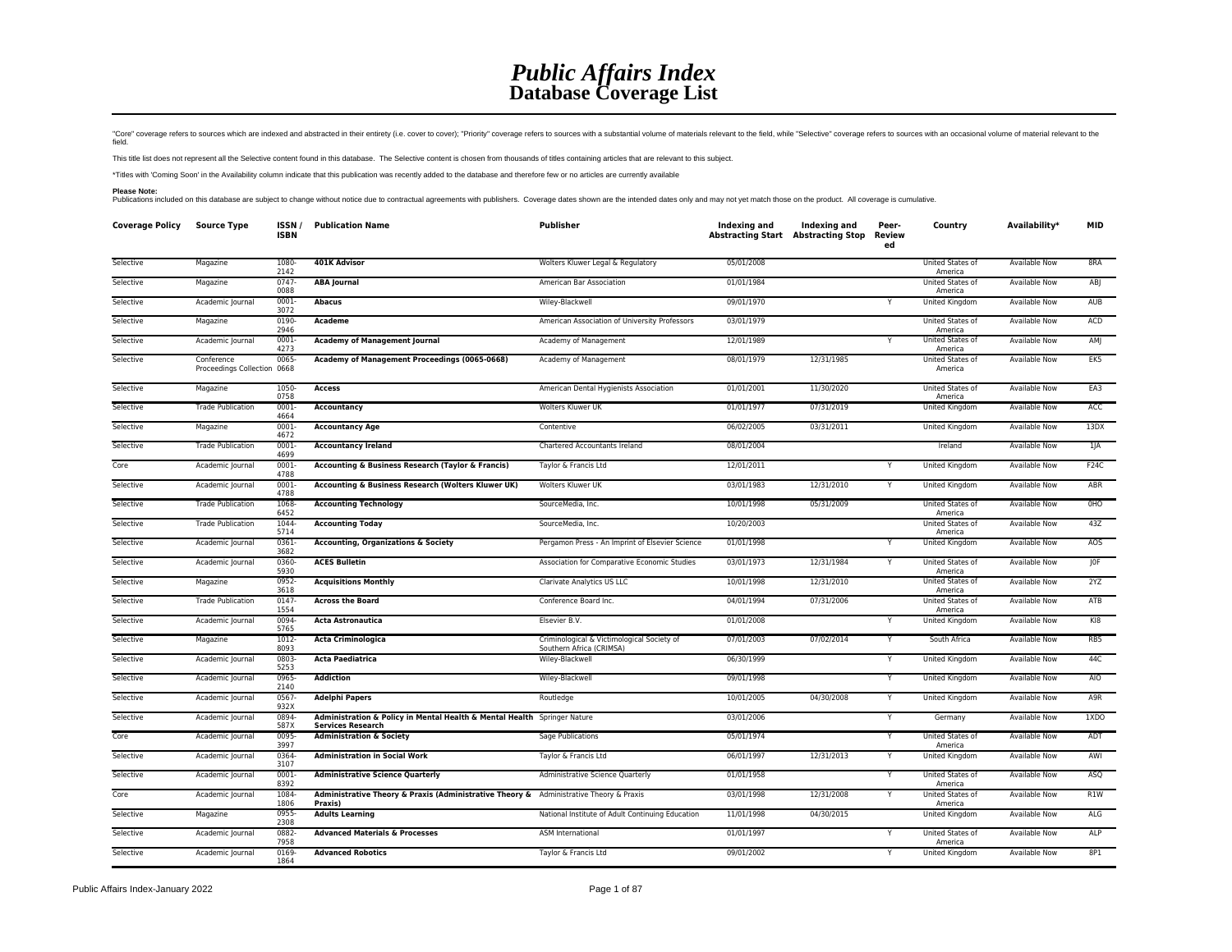## *Public Affairs Index* **Database Coverage List**

"Core" coverage refers to sources which are indexed and abstracted in their entirety (i.e. cover to cover); "Priority" coverage refers to sources with a substantial volume of materials relevant to the field, while "Selecti

This title list does not represent all the Selective content found in this database. The Selective content is chosen from thousands of titles containing articles that are relevant to this subject.

\*Titles with 'Coming Soon' in the Availability column indicate that this publication was recently added to the database and therefore few or no articles are currently available

Please Note:<br>Publications included on this database are subject to change without notice due to contractual agreements with publishers. Coverage dates shown are the intended dates only and may not yet match those on the pr

| <b>Coverage Policy Source Type</b> |                                           | ISSN/<br><b>ISBN</b> | <b>Publication Name</b>                                                                              | Publisher                                                              | Indexing and | Indexing and<br>Abstracting Start Abstracting Stop | Peer-<br>Review<br>ed | Country                            | Availability*        | <b>MID</b>      |
|------------------------------------|-------------------------------------------|----------------------|------------------------------------------------------------------------------------------------------|------------------------------------------------------------------------|--------------|----------------------------------------------------|-----------------------|------------------------------------|----------------------|-----------------|
| Selective                          | Magazine                                  | 1080<br>2142         | 401K Advisor                                                                                         | Wolters Kluwer Legal & Regulatory                                      | 05/01/2008   |                                                    |                       | United States of<br>America        | <b>Available Now</b> | 8RA             |
| Selective                          | Magazine                                  | $0747 -$<br>0088     | <b>ABA Journal</b>                                                                                   | American Bar Association                                               | 01/01/1984   |                                                    |                       | <b>United States of</b><br>America | <b>Available Now</b> | AB <sub>I</sub> |
| Selective                          | Academic Journal                          | 0001<br>3072         | <b>Abacus</b>                                                                                        | Wiley-Blackwell                                                        | 09/01/1970   |                                                    |                       | United Kingdom                     | Available Now        | AUB             |
| Selective                          | Magazine                                  | 0190-<br>2946        | Academe                                                                                              | American Association of University Professors                          | 03/01/1979   |                                                    |                       | United States of<br>America        | Available Now        | ACD             |
| Selective                          | Academic Journal                          | 0001<br>4273         | <b>Academy of Management Journal</b>                                                                 | Academy of Management                                                  | 12/01/1989   |                                                    | Y                     | United States of<br>America        | <b>Available Now</b> | AM              |
| Selective                          | Conference<br>Proceedings Collection 0668 | 0065                 | Academy of Management Proceedings (0065-0668)                                                        | Academy of Management                                                  | 08/01/1979   | 12/31/1985                                         |                       | United States of<br>America        | Available Now        | EK5             |
| Selective                          | Magazine                                  | 1050-<br>0758        | <b>Access</b>                                                                                        | American Dental Hygienists Association                                 | 01/01/2001   | 11/30/2020                                         |                       | United States of<br>America        | Available Now        | EA3             |
| Selective                          | <b>Trade Publication</b>                  | 0001-<br>4664        | Accountancy                                                                                          | Wolters Kluwer UK                                                      | 01/01/1977   | 07/31/2019                                         |                       | United Kingdom                     | Available Now        | <b>ACC</b>      |
| Selective                          | Magazine                                  | 0001-<br>4672        | <b>Accountancy Age</b>                                                                               | Contentive                                                             | 06/02/2005   | 03/31/2011                                         |                       | United Kingdom                     | Available Now        | 13DX            |
| Selective                          | <b>Trade Publication</b>                  | $0001 -$<br>4699     | <b>Accountancy Ireland</b>                                                                           | Chartered Accountants Ireland                                          | 08/01/2004   |                                                    |                       | Ireland                            | Available Now        | $1$ JA          |
| Core                               | Academic Journal                          | $0001 -$<br>4788     | Accounting & Business Research (Taylor & Francis)                                                    | Taylor & Francis Ltd                                                   | 12/01/2011   |                                                    | Y                     | United Kingdom                     | <b>Available Now</b> | F24C            |
| Selective                          | Academic Journal                          | 0001-<br>4788        | Accounting & Business Research (Wolters Kluwer UK)                                                   | Wolters Kluwer UK                                                      | 03/01/1983   | 12/31/2010                                         | Υ                     | United Kingdom                     | Available Now        | ABR             |
| Selective                          | <b>Trade Publication</b>                  | 1068<br>6452         | <b>Accounting Technology</b>                                                                         | SourceMedia, Inc.                                                      | 10/01/1998   | 05/31/2009                                         |                       | United States of<br>America        | Available Now        | OHO             |
| Selective                          | <b>Trade Publication</b>                  | 1044-<br>5714        | <b>Accounting Today</b>                                                                              | SourceMedia, Inc.                                                      | 10/20/2003   |                                                    |                       | United States of<br>America        | <b>Available Now</b> | 43Z             |
| Selective                          | Academic Journal                          | 0361<br>3682         | <b>Accounting, Organizations &amp; Society</b>                                                       | Pergamon Press - An Imprint of Elsevier Science                        | 01/01/1998   |                                                    | Y                     | United Kingdom                     | Available Now        | AOS             |
| Selective                          | Academic Journal                          | 0360-<br>5930        | <b>ACES Bulletin</b>                                                                                 | Association for Comparative Economic Studies                           | 03/01/1973   | 12/31/1984                                         | Y                     | United States of<br>America        | Available Now        | IOF             |
| Selective                          | Magazine                                  | 0952-<br>3618        | <b>Acquisitions Monthly</b>                                                                          | Clarivate Analytics US LLC                                             | 10/01/1998   | 12/31/2010                                         |                       | United States of<br>America        | Available Now        | 2YZ             |
| Selective                          | <b>Trade Publication</b>                  | 0147<br>1554         | <b>Across the Board</b>                                                                              | Conference Board Inc.                                                  | 04/01/1994   | 07/31/2006                                         |                       | United States of<br>America        | Available Now        | ATB             |
| Selective                          | Academic Journal                          | 0094<br>5765         | <b>Acta Astronautica</b>                                                                             | Elsevier B.V.                                                          | 01/01/2008   |                                                    | Υ                     | United Kingdom                     | Available Now        | K18             |
| Selective                          | Magazine                                  | 1012-<br>8093        | <b>Acta Criminologica</b>                                                                            | Criminological & Victimological Society of<br>Southern Africa (CRIMSA) | 07/01/2003   | 07/02/2014                                         | Y                     | South Africa                       | Available Now        | RB5             |
| Selective                          | Academic Journal                          | 0803<br>5253         | <b>Acta Paediatrica</b>                                                                              | Wiley-Blackwell                                                        | 06/30/1999   |                                                    |                       | United Kingdom                     | Available Now        | 44C             |
| Selective                          | Academic Journal                          | 0965<br>2140         | <b>Addiction</b>                                                                                     | Wiley-Blackwell                                                        | 09/01/1998   |                                                    | $\overline{Y}$        | United Kingdom                     | <b>Available Now</b> | AIO             |
| Selective                          | Academic Journal                          | 0567<br>932X         | <b>Adelphi Papers</b>                                                                                | Routledge                                                              | 10/01/2005   | 04/30/2008                                         | Y                     | United Kingdom                     | Available Now        | A9R             |
| Selective                          | Academic Journal                          | 0894<br>587X         | Administration & Policy in Mental Health & Mental Health Springer Nature<br><b>Services Research</b> |                                                                        | 03/01/2006   |                                                    | Y                     | Germany                            | <b>Available Now</b> | 1XDO            |
| Core                               | Academic Journal                          | 0095<br>3997         | <b>Administration &amp; Society</b>                                                                  | Sage Publications                                                      | 05/01/1974   |                                                    |                       | United States of<br>America        | Available Now        | ADT             |
| Selective                          | Academic Journal                          | 0364<br>3107         | <b>Administration in Social Work</b>                                                                 | Taylor & Francis Ltd                                                   | 06/01/1997   | 12/31/2013                                         | Y                     | United Kingdom                     | <b>Available Now</b> | AWI             |
| Selective                          | Academic Journal                          | $0001 -$<br>8392     | <b>Administrative Science Quarterly</b>                                                              | Administrative Science Quarterly                                       | 01/01/1958   |                                                    | Y                     | <b>United States of</b><br>America | <b>Available Now</b> | <b>ASQ</b>      |
| Core                               | Academic Journal                          | 1084<br>1806         | Administrative Theory & Praxis (Administrative Theory & Administrative Theory & Praxis<br>Praxis)    |                                                                        | 03/01/1998   | 12/31/2008                                         | Y                     | United States of<br>America        | Available Now        | R1W             |
| Selective                          | Magazine                                  | 0955-<br>2308        | <b>Adults Learning</b>                                                                               | National Institute of Adult Continuing Education                       | 11/01/1998   | 04/30/2015                                         |                       | United Kingdom                     | Available Now        | ALG             |
| Selective                          | Academic Journal                          | 0882<br>7958         | <b>Advanced Materials &amp; Processes</b>                                                            | <b>ASM International</b>                                               | 01/01/1997   |                                                    | Y                     | United States of<br>America        | <b>Available Now</b> | <b>ALP</b>      |
| Selective                          | Academic Journal                          | 0169<br>1864         | <b>Advanced Robotics</b>                                                                             | Taylor & Francis Ltd                                                   | 09/01/2002   |                                                    | Y                     | United Kingdom                     | Available Now        | 8P1             |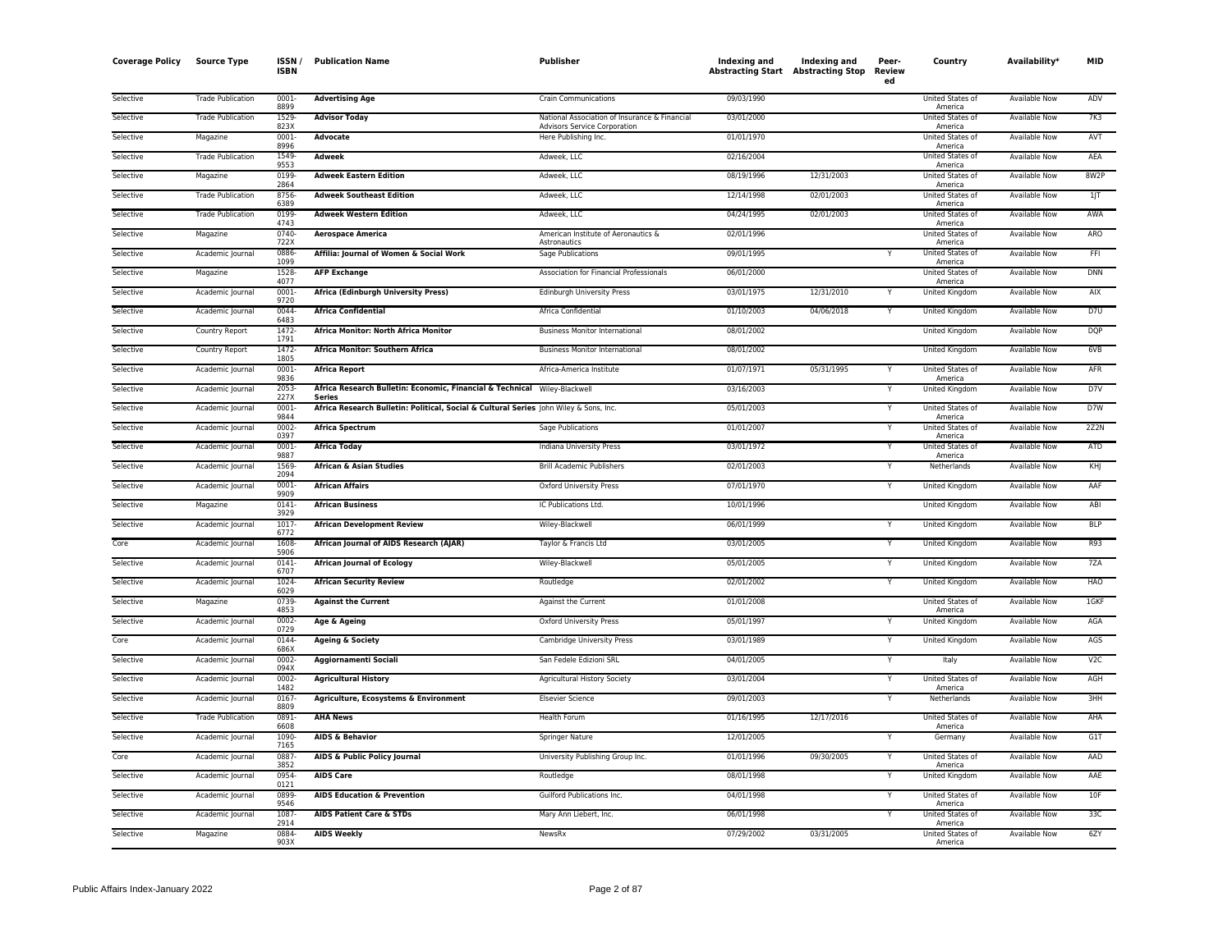| <b>Coverage Policy</b> | <b>Source Type</b>       | ISSN,<br><b>ISBN</b> | <b>Publication Name</b>                                                                                | Publisher                                            | Indexing and<br><b>Abstracting Start Abstracting Stop</b> | Indexing and | Peer-<br>Review<br>ed | Country                          | Availability <sup>*</sup> | MID             |
|------------------------|--------------------------|----------------------|--------------------------------------------------------------------------------------------------------|------------------------------------------------------|-----------------------------------------------------------|--------------|-----------------------|----------------------------------|---------------------------|-----------------|
| Selective              | <b>Trade Publication</b> | 0001-<br>8899        | <b>Advertising Age</b>                                                                                 | <b>Crain Communications</b>                          | 09/03/1990                                                |              |                       | United States of                 | Available Now             | ADV             |
| Selective              | <b>Trade Publication</b> | 1529-                | <b>Advisor Today</b>                                                                                   | National Association of Insurance & Financial        | 03/01/2000                                                |              |                       | America<br>United States of      | <b>Available Now</b>      | 7K3             |
| Selective              | Magazine                 | 823X<br>$0001 -$     | Advocate                                                                                               | Advisors Service Corporation<br>Here Publishing Inc. | 01/01/1970                                                |              |                       | America<br>United States of      | <b>Available Now</b>      | AVT             |
| Selective              | <b>Trade Publication</b> | 8996<br>1549         | <b>Adweek</b>                                                                                          | Adweek, LLC                                          | 02/16/2004                                                |              |                       | America<br>United States of      | Available Now             | AEA             |
| Selective              | Magazine                 | 9553<br>0199         | <b>Adweek Eastern Edition</b>                                                                          | Adweek, LLC                                          | 08/19/1996                                                | 12/31/2003   |                       | America<br>United States of      | Available Now             | 8W2P            |
| Selective              | <b>Trade Publication</b> | 2864<br>8756         | <b>Adweek Southeast Edition</b>                                                                        | Adweek, LLC                                          | 12/14/1998                                                | 02/01/2003   |                       | America<br>United States of      | Available Now             | 1J              |
| Selective              | <b>Trade Publication</b> | 6389<br>0199         | <b>Adweek Western Edition</b>                                                                          | Adweek, LLC                                          | 04/24/1995                                                | 02/01/2003   |                       | America<br>United States of      | Available Now             | AWA             |
| Selective              | Magazine                 | 4743<br>0740-        | <b>Aerospace America</b>                                                                               | American Institute of Aeronautics &                  | 02/01/1996                                                |              |                       | America<br>United States of      | Available Now             | ARO             |
| Selective              | Academic Journal         | 722X<br>0886         | Affilia: Journal of Women & Social Work                                                                | Astronautics<br>Sage Publications                    | 09/01/1995                                                |              |                       | America<br>United States of      | <b>Available Now</b>      | FFI             |
| Selective              | Magazine                 | 1099<br>1528         | <b>AFP Exchange</b>                                                                                    | Association for Financial Professionals              | 06/01/2000                                                |              |                       | America<br>United States of      | <b>Available Now</b>      | <b>DNN</b>      |
| Selective              | Academic Journal         | 4077<br>0001-        | Africa (Edinburgh University Press)                                                                    | Edinburgh University Press                           | 03/01/1975                                                | 12/31/2010   |                       | America<br>United Kingdom        | <b>Available Now</b>      | AIX             |
| Selective              | Academic Journal         | 9720<br>0044         | <b>Africa Confidential</b>                                                                             | Africa Confidential                                  | 01/10/2003                                                | 04/06/2018   | Y                     | United Kingdom                   | Available Now             | D7U             |
| Selective              | Country Report           | 6483<br>1472-        | Africa Monitor: North Africa Monitor                                                                   | <b>Business Monitor International</b>                | 08/01/2002                                                |              |                       | United Kingdom                   | Available Now             | <b>DQP</b>      |
| Selective              | Country Report           | 1791<br>1472-        | Africa Monitor: Southern Africa                                                                        | <b>Business Monitor International</b>                | 08/01/2002                                                |              |                       | United Kingdom                   | Available Now             | 6VB             |
| Selective              | Academic Journal         | 1805<br>0001-        | <b>Africa Report</b>                                                                                   | Africa-America Institute                             | 01/07/1971                                                | 05/31/1995   | Y                     | United States of                 | Available Now             | AFR             |
| Selective              | Academic Journal         | 9836<br>2053-        | Africa Research Bulletin: Economic, Financial & Technical Wiley-Blackwell                              |                                                      | 03/16/2003                                                |              | Y                     | America<br><b>United Kingdom</b> | <b>Available Now</b>      | D7V             |
| Selective              | Academic Journal         | 227X<br>0001-        | <b>Series</b><br>Africa Research Bulletin: Political, Social & Cultural Series John Wiley & Sons, Inc. |                                                      | 05/01/2003                                                |              | Y                     | <b>United States of</b>          | <b>Available Now</b>      | D7W             |
|                        |                          | 9844                 |                                                                                                        |                                                      | 01/01/2007                                                |              |                       | America                          |                           | 2Z2N            |
| Selective              | Academic Journal         | 0002-<br>0397        | <b>Africa Spectrum</b>                                                                                 | Sage Publications                                    |                                                           |              |                       | United States of<br>America      | Available Now             |                 |
| Selective              | Academic Journal         | 0001<br>9887         | <b>Africa Today</b>                                                                                    | Indiana University Press                             | 03/01/1972                                                |              |                       | United States of<br>America      | Available Now             | ATD             |
| Selective              | Academic Journal         | 1569<br>2094         | <b>African &amp; Asian Studies</b>                                                                     | <b>Brill Academic Publishers</b>                     | 02/01/2003                                                |              |                       | Netherlands                      | <b>Available Now</b>      | KHJ             |
| Selective              | Academic Journal         | 0001<br>9909         | <b>African Affairs</b>                                                                                 | <b>Oxford University Press</b>                       | 07/01/1970                                                |              | Y                     | United Kingdom                   | Available Now             | AAF             |
| Selective              | Magazine                 | 0141-<br>3929        | <b>African Business</b>                                                                                | IC Publications Ltd.                                 | 10/01/1996                                                |              |                       | United Kingdom                   | <b>Available Now</b>      | ABI             |
| Selective              | Academic Journal         | 1017<br>6772         | <b>African Development Review</b>                                                                      | Wiley-Blackwell                                      | 06/01/1999                                                |              | Y                     | <b>United Kingdom</b>            | <b>Available Now</b>      | <b>BLP</b>      |
| Core                   | Academic Journal         | 1608<br>5906         | African Journal of AIDS Research (AJAR)                                                                | Taylor & Francis Ltd                                 | 03/01/2005                                                |              | Y                     | United Kingdom                   | Available Now             | R93             |
| Selective              | Academic Journal         | 0141<br>6707         | <b>African Journal of Ecology</b>                                                                      | Wiley-Blackwell                                      | 05/01/2005                                                |              |                       | United Kingdom                   | Available Now             | 7ZA             |
| Selective              | Academic Journal         | 1024<br>6029         | <b>African Security Review</b>                                                                         | Routledge                                            | 02/01/2002                                                |              | Y                     | <b>United Kingdom</b>            | <b>Available Now</b>      | <b>HAO</b>      |
| Selective              | Magazine                 | 0739-<br>4853        | <b>Against the Current</b>                                                                             | Against the Current                                  | 01/01/2008                                                |              |                       | United States of<br>America      | Available Now             | 1GKF            |
| Selective              | Academic Journal         | 0002-<br>0729        | Age & Ageing                                                                                           | <b>Oxford University Press</b>                       | 05/01/1997                                                |              |                       | United Kingdom                   | Available Now             | AGA             |
| Core                   | Academic Journal         | 0144<br>686X         | <b>Ageing &amp; Society</b>                                                                            | Cambridge University Press                           | 03/01/1989                                                |              | Y                     | <b>United Kingdom</b>            | <b>Available Now</b>      | AGS             |
| Selective              | Academic Journal         | 0002-<br>094X        | Aggiornamenti Sociali                                                                                  | San Fedele Edizioni SRL                              | 04/01/2005                                                |              | Y                     | Italy                            | Available Now             | V <sub>2C</sub> |
| Selective              | Academic Journal         | 0002-<br>1482        | <b>Agricultural History</b>                                                                            | Agricultural History Society                         | 03/01/2004                                                |              |                       | United States of<br>America      | Available Now             | AGH             |
| Selective              | Academic Journal         | 0167<br>8809         | Agriculture, Ecosystems & Environment                                                                  | <b>Elsevier Science</b>                              | 09/01/2003                                                |              | Y                     | Netherlands                      | <b>Available Now</b>      | 3HH             |
| Selective              | <b>Trade Publication</b> | 0891-<br>6608        | <b>AHA News</b>                                                                                        | Health Forum                                         | 01/16/1995                                                | 12/17/2016   |                       | United States of<br>America      | Available Now             | AHA             |
| Selective              | Academic Journal         | 1090-<br>7165        | <b>AIDS &amp; Behavior</b>                                                                             | Springer Nature                                      | 12/01/2005                                                |              |                       | Germany                          | <b>Available Now</b>      | G1T             |
| Core                   | Academic Journal         | 0887                 | <b>AIDS &amp; Public Policy Journal</b>                                                                | University Publishing Group Inc.                     | 01/01/1996                                                | 09/30/2005   |                       | United States of                 | <b>Available Now</b>      | AAD             |
| Selective              | Academic Journal         | 3852<br>0954         | <b>AIDS Care</b>                                                                                       | Routledge                                            | 08/01/1998                                                |              | Y                     | America<br>United Kingdom        | Available Now             | AAE             |
| Selective              | Academic Journal         | 0121<br>0899-        | <b>AIDS Education &amp; Prevention</b>                                                                 | Guilford Publications Inc.                           | 04/01/1998                                                |              |                       | United States of                 | <b>Available Now</b>      | 10F             |
| Selective              | Academic Journal         | 9546<br>1087         | <b>AIDS Patient Care &amp; STDs</b>                                                                    | Mary Ann Liebert, Inc.                               | 06/01/1998                                                |              | Y                     | America<br>United States of      | <b>Available Now</b>      | 33C             |
| Selective              | Magazine                 | 2914<br>0884-        | <b>AIDS Weekly</b>                                                                                     | NewsRx                                               | 07/29/2002                                                | 03/31/2005   |                       | America<br>United States of      | Available Now             | 6ZY             |
|                        |                          | 903X                 |                                                                                                        |                                                      |                                                           |              |                       | America                          |                           |                 |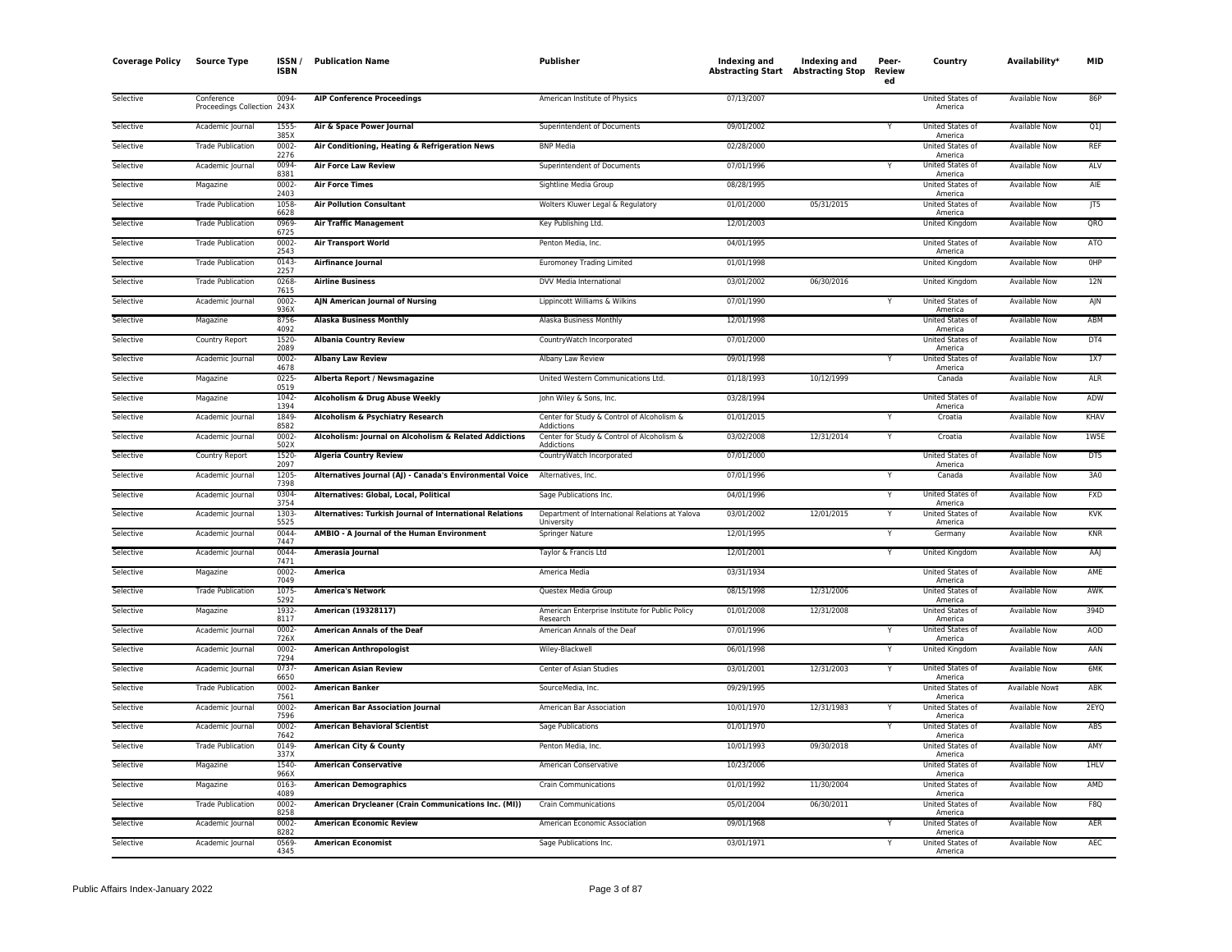| <b>Coverage Policy</b> | <b>Source Type</b>                        | <b>ISSN</b><br><b>ISBN</b> | <b>Publication Name</b>                                                     | Publisher                                                     | Indexing and | Indexing and<br><b>Abstracting Start Abstracting Stop</b> | Peer-<br>Review<br>ed | Country                            | Availability*        | MID        |
|------------------------|-------------------------------------------|----------------------------|-----------------------------------------------------------------------------|---------------------------------------------------------------|--------------|-----------------------------------------------------------|-----------------------|------------------------------------|----------------------|------------|
| Selective              | Conference<br>Proceedings Collection 243X | 0094-                      | <b>AIP Conference Proceedings</b>                                           | American Institute of Physics                                 | 07/13/2007   |                                                           |                       | United States of<br>America        | Available Now        | 86P        |
| Selective              | Academic Journal                          | 1555-<br>385>              | Air & Space Power Journal                                                   | Superintendent of Documents                                   | 09/01/2002   |                                                           | Y                     | United States of<br>America        | Available Now        | Q1         |
| Selective              | <b>Trade Publication</b>                  | $0002 -$<br>2276           | Air Conditioning, Heating & Refrigeration News                              | <b>BNP Media</b>                                              | 02/28/2000   |                                                           |                       | United States of<br>America        | Available Now        | REF        |
| Selective              | Academic Journal                          | 0094<br>8381               | <b>Air Force Law Review</b>                                                 | Superintendent of Documents                                   | 07/01/1996   |                                                           |                       | <b>United States of</b><br>America | <b>Available Now</b> | ALV        |
| Selective              | Magazine                                  | $0002 -$<br>2403           | <b>Air Force Times</b>                                                      | Sightline Media Group                                         | 08/28/1995   |                                                           |                       | <b>United States of</b><br>America | <b>Available Now</b> | AIE        |
| Selective              | <b>Trade Publication</b>                  | 1058<br>6628               | <b>Air Pollution Consultant</b>                                             | Wolters Kluwer Legal & Regulatory                             | 01/01/2000   | 05/31/2015                                                |                       | United States of<br>America        | Available Now        | T5         |
| Selective              | <b>Trade Publication</b>                  | 0969-<br>6725              | <b>Air Traffic Management</b>                                               | Key Publishing Ltd.                                           | 12/01/2003   |                                                           |                       | United Kingdom                     | Available Now        | ORO        |
| Selective              | <b>Trade Publication</b>                  | 0002-<br>2543              | <b>Air Transport World</b>                                                  | Penton Media, Inc.                                            | 04/01/1995   |                                                           |                       | United States of<br>America        | Available Now        | <b>ATO</b> |
| Selective              | <b>Trade Publication</b>                  | 0143-<br>2257              | <b>Airfinance Journal</b>                                                   | <b>Euromoney Trading Limited</b>                              | 01/01/1998   |                                                           |                       | United Kingdom                     | <b>Available Now</b> | OHP        |
| Selective              | <b>Trade Publication</b>                  | 0268<br>7615               | <b>Airline Business</b>                                                     | DVV Media International                                       | 03/01/2002   | 06/30/2016                                                |                       | United Kingdom                     | <b>Available Now</b> | 12N        |
| Selective              | Academic Journal                          | 0002<br>936>               | AJN American Journal of Nursing                                             | Lippincott Williams & Wilkins                                 | 07/01/1990   |                                                           |                       | United States of<br>America        | Available Now        | AJN        |
| Selective              | Magazine                                  | 8756-<br>4092              | <b>Alaska Business Monthly</b>                                              | Alaska Business Monthly                                       | 12/01/1998   |                                                           |                       | United States of<br>America        | Available Now        | ABM        |
| Selective              | Country Report                            | 1520-<br>2089              | <b>Albania Country Review</b>                                               | CountryWatch Incorporated                                     | 07/01/2000   |                                                           |                       | United States of<br>America        | Available Now        | DT4        |
| Selective              | Academic Journal                          | 0002<br>4678               | <b>Albany Law Review</b>                                                    | Albany Law Review                                             | 09/01/1998   |                                                           |                       | United States of<br>America        | <b>Available Now</b> | 1X7        |
| Selective              | Magazine                                  | 0225<br>0519               | Alberta Report / Newsmagazine                                               | United Western Communications Ltd.                            | 01/18/1993   | 10/12/1999                                                |                       | Canada                             | Available Now        | <b>ALR</b> |
| Selective              | Magazine                                  | 1042-<br>1394              | Alcoholism & Drug Abuse Weekly                                              | John Wiley & Sons, Inc.                                       | 03/28/1994   |                                                           |                       | <b>United States of</b><br>America | <b>Available Now</b> | ADW        |
| Selective              | Academic Journal                          | 1849<br>8582               | Alcoholism & Psychiatry Research                                            | Center for Study & Control of Alcoholism &<br>Addictions      | 01/01/2015   |                                                           | Y                     | Croatia                            | Available Now        | KHAV       |
| Selective              | Academic Journal                          | $0002 -$<br>502>           | Alcoholism: Journal on Alcoholism & Related Addictions                      | Center for Study & Control of Alcoholism &<br>Addictions      | 03/02/2008   | 12/31/2014                                                | Y                     | Croatia                            | <b>Available Now</b> | 1W5E       |
| Selective              | Country Report                            | 1520<br>2097               | <b>Algeria Country Review</b>                                               | CountryWatch Incorporated                                     | 07/01/2000   |                                                           |                       | United States of<br>America        | Available Now        | DT5        |
| Selective              | Academic Journal                          | 1205<br>7398               | Alternatives Journal (AJ) - Canada's Environmental Voice Alternatives, Inc. |                                                               | 07/01/1996   |                                                           |                       | Canada                             | <b>Available Now</b> | 3A0        |
| Selective              | Academic Journal                          | 0304<br>3754               | Alternatives: Global, Local, Political                                      | Sage Publications Inc.                                        | 04/01/1996   |                                                           |                       | <b>United States of</b><br>America | <b>Available Now</b> | <b>FXD</b> |
| Selective              | Academic Journal                          | 1303<br>5525               | Alternatives: Turkish Journal of International Relations                    | Department of International Relations at Yalova<br>University | 03/01/2002   | 12/01/2015                                                |                       | United States of<br>America        | Available Now        | <b>KVK</b> |
| Selective              | Academic Journal                          | 0044<br>7447               | AMBIO - A Journal of the Human Environment                                  | Springer Nature                                               | 12/01/1995   |                                                           | Y                     | Germany                            | Available Now        | <b>KNR</b> |
| Selective              | Academic Journal                          | 0044<br>7471               | Amerasia Journal                                                            | Taylor & Francis Ltd                                          | 12/01/2001   |                                                           |                       | <b>United Kingdom</b>              | <b>Available Now</b> | AAJ        |
| Selective              | Magazine                                  | 0002<br>7049               | <b>America</b>                                                              | America Media                                                 | 03/31/1934   |                                                           |                       | <b>United States of</b><br>America | <b>Available Now</b> | AME        |
| Selective              | <b>Trade Publication</b>                  | 1075<br>5292               | <b>America's Network</b>                                                    | Questex Media Group                                           | 08/15/1998   | 12/31/2006                                                |                       | United States of<br>America        | <b>Available Now</b> | AWK        |
| Selective              | Magazine                                  | 1932<br>8117               | American (19328117)                                                         | American Enterprise Institute for Public Policy<br>Research   | 01/01/2008   | 12/31/2008                                                |                       | United States of<br>America        | Available Now        | 394D       |
| Selective              | Academic Journal                          | 0002-<br>726X              | <b>American Annals of the Deaf</b>                                          | American Annals of the Deaf                                   | 07/01/1996   |                                                           | Y                     | United States of<br>America        | Available Now        | <b>AOD</b> |
| Selective              | Academic Journal                          | $0002 -$<br>7294           | <b>American Anthropologist</b>                                              | Wiley-Blackwell                                               | 06/01/1998   |                                                           | Y                     | United Kingdom                     | <b>Available Now</b> | AAN        |
| Selective              | Academic Journal                          | 0737<br>6650               | <b>American Asian Review</b>                                                | Center of Asian Studies                                       | 03/01/2001   | 12/31/2003                                                | Y                     | United States of<br>America        | <b>Available Now</b> | 6MK        |
| Selective              | <b>Trade Publication</b>                  | 0002-<br>7561              | <b>American Banker</b>                                                      | SourceMedia, Inc.                                             | 09/29/1995   |                                                           |                       | United States of<br>America        | Available Now‡       | ABK        |
| Selective              | Academic Journal                          | 0002<br>7596               | <b>American Bar Association Journal</b>                                     | American Bar Association                                      | 10/01/1970   | 12/31/1983                                                |                       | <b>United States of</b><br>America | <b>Available Now</b> | 2EYQ       |
| Selective              | Academic Journal                          | 0002-<br>7642              | <b>American Behavioral Scientist</b>                                        | Sage Publications                                             | 01/01/1970   |                                                           |                       | United States of<br>America        | Available Now        | ABS        |
| Selective              | <b>Trade Publication</b>                  | 0149-<br>337>              | American City & County                                                      | Penton Media, Inc.                                            | 10/01/1993   | 09/30/2018                                                |                       | United States of<br>America        | Available Now        | AMY        |
| Selective              | Magazine                                  | 1540<br>966X               | <b>American Conservative</b>                                                | American Conservative                                         | 10/23/2006   |                                                           |                       | United States of<br>America        | Available Now        | 1HLV       |
| Selective              | Magazine                                  | 0163<br>4089               | <b>American Demographics</b>                                                | Crain Communications                                          | 01/01/1992   | 11/30/2004                                                |                       | United States of<br>America        | <b>Available Now</b> | AMD        |
| Selective              | <b>Trade Publication</b>                  | 0002-<br>8258              | American Drycleaner (Crain Communications Inc. (MI))                        | <b>Crain Communications</b>                                   | 05/01/2004   | 06/30/2011                                                |                       | <b>United States of</b><br>America | <b>Available Now</b> | F8Q        |
| Selective              | Academic Journal                          | 0002<br>8282               | <b>American Economic Review</b>                                             | American Economic Association                                 | 09/01/1968   |                                                           |                       | United States of<br>America        | Available Now        | AFR        |
| Selective              | Academic Journal                          | 0569<br>4345               | <b>American Economist</b>                                                   | Sage Publications Inc.                                        | 03/01/1971   |                                                           | Y                     | United States of<br>America        | Available Now        | AEC        |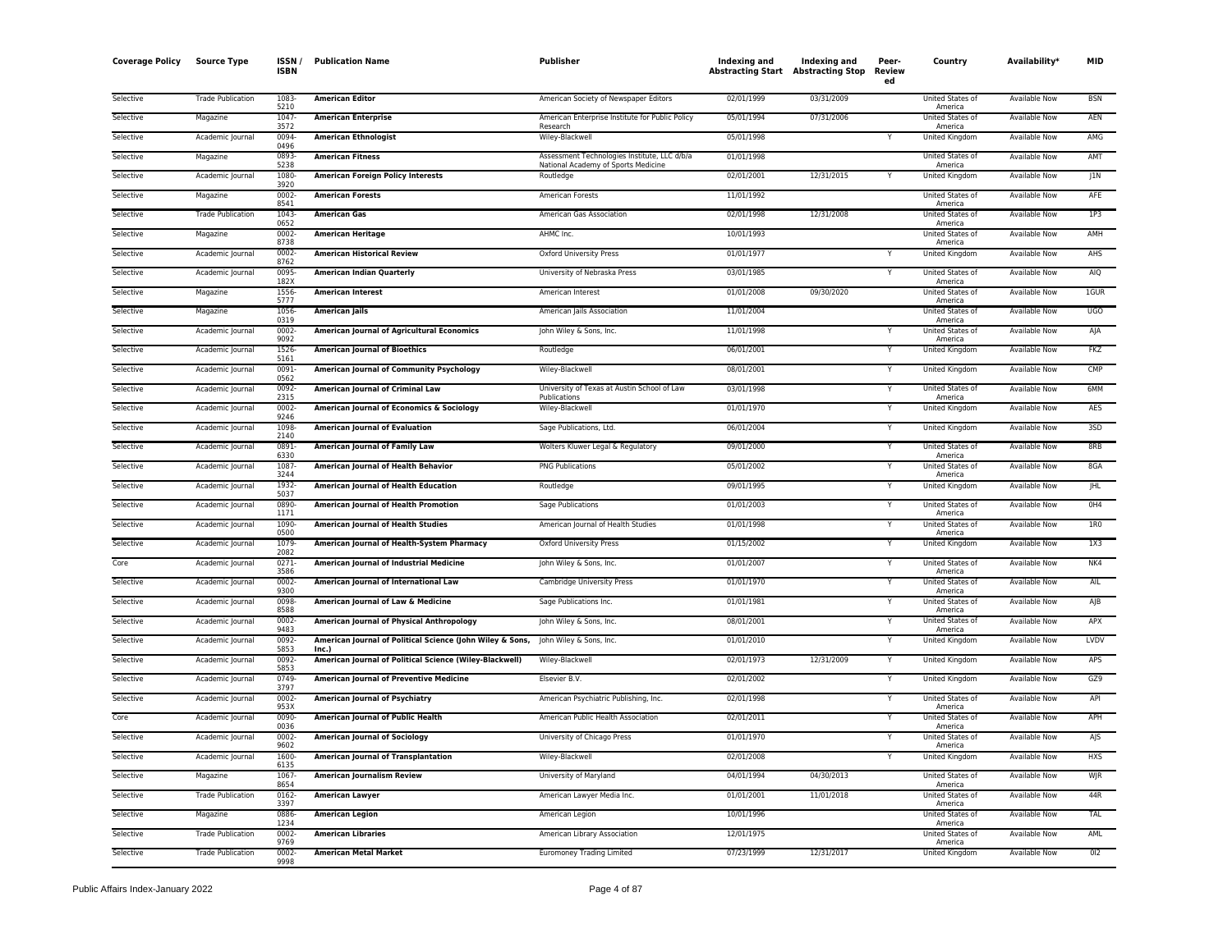| <b>Coverage Policy</b> | <b>Source Type</b>       | ISSN /<br><b>ISBN</b> | <b>Publication Name</b>                                            | <b>Publisher</b>                                            | Indexing and<br><b>Abstracting Start Abstracting Stop</b> | <b>Indexing and</b> | Peer-<br><b>Review</b><br>ed | Country                            | Availability*        | <b>MID</b>   |
|------------------------|--------------------------|-----------------------|--------------------------------------------------------------------|-------------------------------------------------------------|-----------------------------------------------------------|---------------------|------------------------------|------------------------------------|----------------------|--------------|
| Selective              | <b>Trade Publication</b> | 1083<br>5210          | <b>American Editor</b>                                             | American Society of Newspaper Editors                       | 02/01/1999                                                | 03/31/2009          |                              | United States of<br>America        | Available Now        | <b>BSN</b>   |
| Selective              | Magazine                 | 1047<br>3572          | <b>American Enterprise</b>                                         | American Enterprise Institute for Public Policy<br>Research | 05/01/1994                                                | 07/31/2006          |                              | United States of<br>America        | <b>Available Now</b> | AEN          |
| Selective              | Academic Journal         | 0094-<br>0496         | <b>American Ethnologist</b>                                        | Wiley-Blackwell                                             | 05/01/1998                                                |                     | Υ                            | <b>United Kingdom</b>              | <b>Available Now</b> | AMG          |
| Selective              | Magazine                 | 0893<br>5238          | <b>American Fitness</b>                                            | Assessment Technologies Institute, LLC d/b/a                | 01/01/1998                                                |                     |                              | United States of                   | <b>Available Now</b> | AMT          |
| Selective              | Academic Journal         | 1080                  | <b>American Foreign Policy Interests</b>                           | National Academy of Sports Medicine<br>Routledge            | 02/01/2001                                                | 12/31/2015          |                              | America<br>United Kingdom          | Available Now        | J1N          |
| Selective              | Magazine                 | 3920<br>0002          | <b>American Forests</b>                                            | American Forests                                            | 11/01/1992                                                |                     |                              | United States of                   | <b>Available Now</b> | AFE          |
| Selective              | <b>Trade Publication</b> | 8541<br>1043          | <b>American Gas</b>                                                | American Gas Association                                    | 02/01/1998                                                | 12/31/2008          |                              | America<br>United States of        | <b>Available Now</b> | 1P3          |
| Selective              | Magazine                 | 0652<br>0002          | <b>American Heritage</b>                                           | AHMC Inc.                                                   | 10/01/1993                                                |                     |                              | America<br>United States of        | Available Now        | AMH          |
| Selective              | Academic Journal         | 8738<br>0002          | <b>American Historical Review</b>                                  | <b>Oxford University Press</b>                              | 01/01/1977                                                |                     |                              | America<br>United Kingdom          | <b>Available Now</b> | AHS          |
| Selective              | Academic Journal         | 8762<br>0095          | <b>American Indian Quarterly</b>                                   | University of Nebraska Press                                | 03/01/1985                                                |                     |                              | <b>United States of</b>            | Available Now        | AIQ          |
| Selective              | Magazine                 | 182X<br>1556          | <b>American Interest</b>                                           | American Interest                                           | 01/01/2008                                                | 09/30/2020          |                              | America<br>United States of        | Available Now        | 1GUR         |
| Selective              | Magazine                 | 5777<br>1056          | <b>American Jails</b>                                              | American Jails Association                                  | 11/01/2004                                                |                     |                              | America<br>United States of        | Available Now        | <b>UGO</b>   |
| Selective              | Academic Journal         | 0319<br>0002          | <b>American Journal of Agricultural Economics</b>                  | John Wiley & Sons, Inc.                                     | 11/01/1998                                                |                     |                              | America<br>United States of        | <b>Available Now</b> | AJA          |
| Selective              | Academic Journal         | 9092<br>1526          | <b>American Journal of Bioethics</b>                               | Routledge                                                   | 06/01/2001                                                |                     |                              | America<br>United Kingdom          | Available Now        | <b>FKZ</b>   |
| Selective              | Academic Journal         | 5161<br>0091          | <b>American Journal of Community Psychology</b>                    | Wiley-Blackwell                                             | 08/01/2001                                                |                     | Y                            | United Kingdom                     | <b>Available Now</b> | CMP          |
| Selective              | Academic Journal         | 0562<br>0092          | <b>American Journal of Criminal Law</b>                            | University of Texas at Austin School of Law                 | 03/01/1998                                                |                     | v                            | United States of                   | <b>Available Now</b> | 6MM          |
| Selective              | Academic Journal         | 2315<br>0002          | American Journal of Economics & Sociology                          | Publications<br>Wiley-Blackwell                             | 01/01/1970                                                |                     | Y                            | America<br>United Kingdom          | Available Now        | <b>AES</b>   |
| Selective              | Academic Journal         | 9246<br>1098          | <b>American Journal of Evaluation</b>                              | Sage Publications, Ltd.                                     | 06/01/2004                                                |                     | Y                            | United Kingdom                     | Available Now        | 3SD          |
| Selective              | Academic Journal         | 2140<br>0891          | American Journal of Family Law                                     | Wolters Kluwer Legal & Regulatory                           | 09/01/2000                                                |                     | Y                            | United States of                   | Available Now        | 8RB          |
| Selective              | Academic Journal         | 6330<br>1087          | American Journal of Health Behavior                                | <b>PNG Publications</b>                                     | 05/01/2002                                                |                     |                              | America<br>United States of        | <b>Available Now</b> | 8GA          |
| Selective              | Academic Journal         | 3244<br>1932          | American Journal of Health Education                               | Routledge                                                   | 09/01/1995                                                |                     | Y                            | America<br>United Kingdom          | <b>Available Now</b> | <b>JHL</b>   |
| Selective              | Academic Journal         | 5037<br>0890-         | American Journal of Health Promotion                               | Sage Publications                                           | 01/01/2003                                                |                     | Y                            | United States of                   | Available Now        | OH4          |
| Selective              | Academic Journal         | 1171<br>1090          | American Journal of Health Studies                                 | American Journal of Health Studies                          | 01/01/1998                                                |                     |                              | America<br>United States of        | Available Now        | 1R0          |
|                        |                          | 0500                  | American Journal of Health-System Pharmacy                         |                                                             | 01/15/2002                                                |                     | Y                            | America                            | Available Now        | 1X3          |
| Selective              | Academic Journal         | 1079-<br>2082         |                                                                    | Oxford University Press                                     |                                                           |                     | Y                            | United Kingdom                     |                      |              |
| Core                   | Academic Journal         | 0271<br>3586          | American Journal of Industrial Medicine                            | John Wiley & Sons, Inc.                                     | 01/01/2007                                                |                     | Y                            | United States of<br>America        | <b>Available Now</b> | NK4          |
| Selective              | Academic Journal         | 0002<br>9300          | American Journal of International Law                              | Cambridge University Press                                  | 01/01/1970                                                |                     |                              | United States of<br>America        | <b>Available Now</b> | AIL          |
| Selective              | Academic Journal         | 0098<br>8588          | American Journal of Law & Medicine                                 | Sage Publications Inc.                                      | 01/01/1981                                                |                     |                              | United States of<br>America        | <b>Available Now</b> | $A$ <b>B</b> |
| Selective              | Academic Journal         | 0002<br>9483          | <b>American Journal of Physical Anthropology</b>                   | John Wiley & Sons, Inc.                                     | 08/01/2001                                                |                     |                              | United States of<br>America        | <b>Available Now</b> | APX          |
| Selective              | Academic Journal         | 0092<br>5853          | American Journal of Political Science (John Wiley & Sons,<br>Inc.) | John Wiley & Sons, Inc.                                     | 01/01/2010                                                |                     | Y                            | United Kingdom                     | <b>Available Now</b> | LVDV         |
| Selective              | Academic Journal         | 0092<br>5853          | American Journal of Political Science (Wiley-Blackwell)            | Wiley-Blackwell                                             | 02/01/1973                                                | 12/31/2009          | v                            | United Kingdom                     | Available Now        | APS          |
| Selective              | Academic Journal         | 0749-<br>3797         | American Journal of Preventive Medicine                            | Elsevier B.V.                                               | 02/01/2002                                                |                     | Y                            | United Kingdom                     | Available Now        | GZ9          |
| Selective              | Academic Journal         | 0002<br>953X          | American Journal of Psychiatry                                     | American Psychiatric Publishing, Inc.                       | 02/01/1998                                                |                     |                              | United States of<br>America        | <b>Available Now</b> | API          |
| Core                   | Academic Journal         | 0090<br>0036          | American Journal of Public Health                                  | American Public Health Association                          | 02/01/2011                                                |                     |                              | United States of<br>America        | Available Now        | APH          |
| Selective              | Academic Journal         | 0002<br>9602          | <b>American Journal of Sociology</b>                               | University of Chicago Press                                 | 01/01/1970                                                |                     |                              | United States of<br>America        | <b>Available Now</b> | AJS          |
| Selective              | Academic Journal         | 1600<br>6135          | <b>American Journal of Transplantation</b>                         | Wiley-Blackwell                                             | 02/01/2008                                                |                     |                              | <b>United Kingdom</b>              | <b>Available Now</b> | <b>HXS</b>   |
| Selective              | Magazine                 | 1067-<br>8654         | American Journalism Review                                         | University of Maryland                                      | 04/01/1994                                                | 04/30/2013          |                              | United States of<br>America        | Available Now        | WJR          |
| Selective              | <b>Trade Publication</b> | 0162<br>3397          | <b>American Lawyer</b>                                             | American Lawyer Media Inc.                                  | 01/01/2001                                                | 11/01/2018          |                              | United States of<br>America        | Available Now        | 44R          |
| Selective              | Magazine                 | 0886<br>1234          | <b>American Legion</b>                                             | American Legion                                             | 10/01/1996                                                |                     |                              | United States of<br>America        | <b>Available Now</b> | TAL          |
| Selective              | <b>Trade Publication</b> | 0002<br>9769          | <b>American Libraries</b>                                          | American Library Association                                | 12/01/1975                                                |                     |                              | <b>United States of</b><br>America | Available Now        | AML          |
| Selective              | <b>Trade Publication</b> | 0002<br>9998          | <b>American Metal Market</b>                                       | <b>Euromoney Trading Limited</b>                            | 07/23/1999                                                | 12/31/2017          |                              | United Kingdom                     | <b>Available Now</b> | 012          |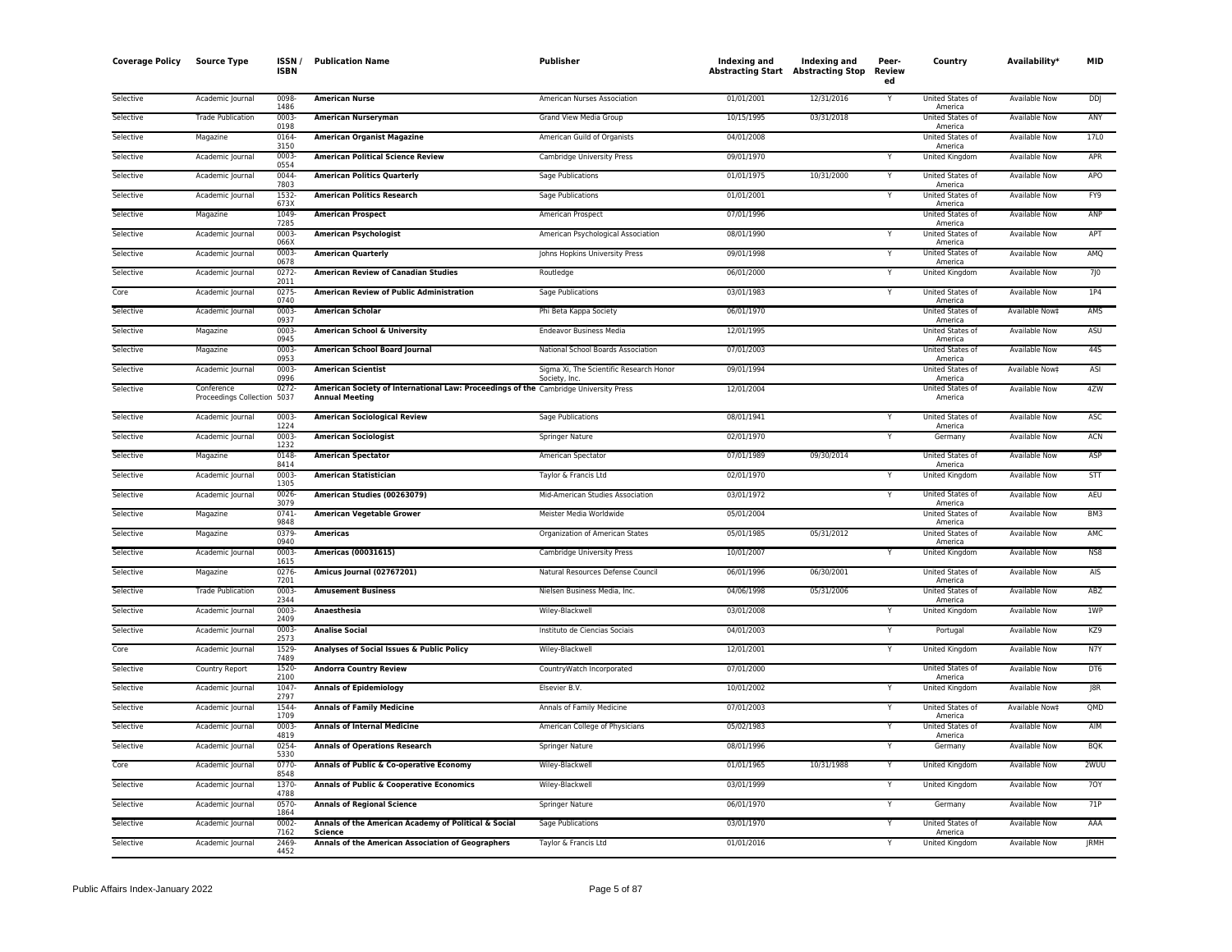| <b>Coverage Policy</b> | <b>Source Type</b>                        | ISSN/<br><b>ISBN</b> | <b>Publication Name</b>                                                                                       | Publisher                                               | Indexing and<br><b>Abstracting Start Abstracting Stop</b> | Indexing and | Peer-<br><b>Review</b><br>ed | Country                            | Availability*        | MID              |
|------------------------|-------------------------------------------|----------------------|---------------------------------------------------------------------------------------------------------------|---------------------------------------------------------|-----------------------------------------------------------|--------------|------------------------------|------------------------------------|----------------------|------------------|
| Selective              | Academic Journal                          | 0098<br>1486         | <b>American Nurse</b>                                                                                         | American Nurses Association                             | 01/01/2001                                                | 12/31/2016   | Υ                            | United States of<br>America        | <b>Available Now</b> | <b>DDJ</b>       |
| Selective              | <b>Trade Publication</b>                  | $0003 -$<br>0198     | <b>American Nurseryman</b>                                                                                    | Grand View Media Group                                  | 10/15/1995                                                | 03/31/2018   |                              | United States of<br>America        | Available Now        | ANY              |
| Selective              | Magazine                                  | 0164-<br>3150        | <b>American Organist Magazine</b>                                                                             | American Guild of Organists                             | 04/01/2008                                                |              |                              | United States of<br>America        | Available Now        | 17L0             |
| Selective              | Academic Journal                          | 0003<br>0554         | <b>American Political Science Review</b>                                                                      | Cambridge University Press                              | 09/01/1970                                                |              |                              | United Kingdom                     | Available Now        | APR              |
| Selective              | Academic Journal                          | 0044<br>7803         | <b>American Politics Quarterly</b>                                                                            | Sage Publications                                       | 01/01/1975                                                | 10/31/2000   | Y                            | United States of<br>America        | Available Now        | APO              |
| Selective              | Academic Journal                          | 1532<br>673X         | <b>American Politics Research</b>                                                                             | Sage Publications                                       | 01/01/2001                                                |              | Υ                            | United States of<br>America        | Available Now        | FY9              |
| Selective              | Magazine                                  | 1049<br>7285         | <b>American Prospect</b>                                                                                      | American Prospect                                       | 07/01/1996                                                |              |                              | United States of<br>America        | Available Now        | ANP              |
| Selective              | Academic Journal                          | 0003<br>066X         | <b>American Psychologist</b>                                                                                  | American Psychological Association                      | 08/01/1990                                                |              |                              | United States of<br>America        | Available Now        | APT              |
| Selective              | Academic Journal                          | 0003<br>0678         | <b>American Quarterly</b>                                                                                     | Johns Hopkins University Press                          | 09/01/1998                                                |              |                              | United States of<br>America        | <b>Available Now</b> | AMQ              |
| Selective              | Academic Journal                          | $0272 -$<br>2011     | <b>American Review of Canadian Studies</b>                                                                    | Routledge                                               | 06/01/2000                                                |              | Y                            | United Kingdom                     | Available Now        | 7J0              |
| Core                   | Academic Journal                          | 0275<br>0740         | American Review of Public Administration                                                                      | Sage Publications                                       | 03/01/1983                                                |              | Y                            | United States of<br>America        | Available Now        | 1P4              |
| Selective              | Academic Journal                          | 0003<br>0937         | <b>American Scholar</b>                                                                                       | Phi Beta Kappa Society                                  | 06/01/1970                                                |              |                              | United States of<br>America        | Available Now‡       | AMS              |
| Selective              | Magazine                                  | $0003 -$<br>0945     | <b>American School &amp; University</b>                                                                       | <b>Endeavor Business Media</b>                          | 12/01/1995                                                |              |                              | <b>United States of</b><br>America | <b>Available Now</b> | ASU              |
| Selective              | Magazine                                  | 0003<br>0953         | American School Board Journal                                                                                 | National School Boards Association                      | 07/01/2003                                                |              |                              | United States of<br>America        | Available Now        | 44S              |
| Selective              | Academic Journal                          | 0003<br>0996         | <b>American Scientist</b>                                                                                     | Sigma Xi, The Scientific Research Honor<br>Society, Inc | 09/01/1994                                                |              |                              | United States of<br>America        | Available Now‡       | ASI              |
| Selective              | Conference<br>Proceedings Collection 5037 | 0272-                | American Society of International Law: Proceedings of the Cambridge University Press<br><b>Annual Meeting</b> |                                                         | 12/01/2004                                                |              |                              | United States of<br>America        | <b>Available Now</b> | 4ZW              |
| Selective              | Academic Journal                          | 0003<br>1224         | <b>American Sociological Review</b>                                                                           | Sage Publications                                       | 08/01/1941                                                |              | Y                            | United States of<br>America        | Available Now        | ASC              |
| Selective              | Academic Journal                          | 0003<br>1232         | <b>American Sociologist</b>                                                                                   | Springer Nature                                         | 02/01/1970                                                |              | $\mathsf{v}$                 | Germany                            | <b>Available Now</b> | ACN              |
| Selective              | Magazine                                  | 0148<br>8414         | <b>American Spectator</b>                                                                                     | American Spectator                                      | 07/01/1989                                                | 09/30/2014   |                              | United States of<br>America        | <b>Available Now</b> | ASP              |
| Selective              | Academic Journal                          | 0003<br>1305         | <b>American Statistician</b>                                                                                  | Taylor & Francis Ltd                                    | 02/01/1970                                                |              |                              | United Kingdom                     | <b>Available Now</b> | STT              |
| Selective              | Academic Journal                          | 0026<br>3079         | American Studies (00263079)                                                                                   | Mid-American Studies Association                        | 03/01/1972                                                |              | Y                            | United States of<br>America        | Available Now        | AEU              |
| Selective              | Magazine                                  | 0741<br>9848         | <b>American Vegetable Grower</b>                                                                              | Meister Media Worldwide                                 | 05/01/2004                                                |              |                              | United States of<br>America        | Available Now        | BM3              |
| Selective              | Magazine                                  | 0379-<br>0940        | <b>Americas</b>                                                                                               | Organization of American States                         | 05/01/1985                                                | 05/31/2012   |                              | United States of<br>America        | <b>Available Now</b> | AMC              |
| Selective              | Academic Journal                          | $0003 -$<br>1615     | <b>Americas (00031615)</b>                                                                                    | Cambridge University Press                              | 10/01/2007                                                |              | Y                            | <b>United Kingdom</b>              | <b>Available Now</b> | N <sub>S</sub> 8 |
| Selective              | Magazine                                  | 0276<br>7201         | Amicus Journal (02767201)                                                                                     | Natural Resources Defense Council                       | 06/01/1996                                                | 06/30/2001   |                              | United States of<br>America        | Available Now        | <b>AIS</b>       |
| Selective              | <b>Trade Publication</b>                  | 0003<br>2344         | <b>Amusement Business</b>                                                                                     | Nielsen Business Media, Inc.                            | 04/06/1998                                                | 05/31/2006   |                              | United States of<br>America        | Available Now        | ABZ              |
| Selective              | Academic Journal                          | 0003-<br>2409        | Anaesthesia                                                                                                   | Wiley-Blackwell                                         | 03/01/2008                                                |              |                              | United Kingdom                     | Available Now        | 1WP              |
| Selective              | Academic Journal                          | 0003<br>2573         | <b>Analise Social</b>                                                                                         | Instituto de Ciencias Sociais                           | 04/01/2003                                                |              | Y                            | Portugal                           | <b>Available Now</b> | KZ9              |
| Core                   | Academic Journal                          | 1529<br>7489         | Analyses of Social Issues & Public Policy                                                                     | Wiley-Blackwell                                         | 12/01/2001                                                |              | Y                            | United Kingdom                     | Available Now        | N7Y              |
| Selective              | Country Report                            | 1520-<br>2100        | <b>Andorra Country Review</b>                                                                                 | CountryWatch Incorporated                               | 07/01/2000                                                |              |                              | United States of<br>America        | Available Now        | DT6              |
| Selective              | Academic Journal                          | 1047<br>2797         | <b>Annals of Epidemiology</b>                                                                                 | Elsevier B.V.                                           | 10/01/2002                                                |              | Y                            | United Kingdom                     | <b>Available Now</b> | JBR              |
| Selective              | Academic Journal                          | 1544<br>1709         | <b>Annals of Family Medicine</b>                                                                              | Annals of Family Medicine                               | 07/01/2003                                                |              |                              | United States of<br>America        | Available Now‡       | QMD              |
| Selective              | Academic Journal                          | 0003<br>4819         | <b>Annals of Internal Medicine</b>                                                                            | American College of Physicians                          | 05/02/1983                                                |              |                              | United States of<br>America        | <b>Available Now</b> | AIM              |
| Selective              | Academic Journal                          | 0254-<br>5330        | <b>Annals of Operations Research</b>                                                                          | Springer Nature                                         | 08/01/1996                                                |              | Y                            | Germany                            | Available Now        | <b>BQK</b>       |
| Core                   | Academic Journal                          | 0770-<br>8548        | Annals of Public & Co-operative Economy                                                                       | Wiley-Blackwell                                         | 01/01/1965                                                | 10/31/1988   |                              | United Kingdom                     | Available Now        | 2WUU             |
| Selective              | Academic Journal                          | 1370-<br>4788        | Annals of Public & Cooperative Economics                                                                      | Wiley-Blackwell                                         | 03/01/1999                                                |              | Y                            | United Kingdom                     | <b>Available Now</b> | 70Y              |
| Selective              | Academic Journal                          | 0570<br>1864         | <b>Annals of Regional Science</b>                                                                             | Springer Nature                                         | 06/01/1970                                                |              | Y                            | Germany                            | <b>Available Now</b> | 71P              |
| Selective              | Academic Journal                          | 0002-<br>7162        | Annals of the American Academy of Political & Social<br><b>Science</b>                                        | Sage Publications                                       | 03/01/1970                                                |              |                              | United States of<br>America        | <b>Available Now</b> | AAA              |
| Selective              | Academic Journal                          | 2469-<br>4452        | Annals of the American Association of Geographers                                                             | Taylor & Francis Ltd                                    | 01/01/2016                                                |              | Y                            | United Kingdom                     | <b>Available Now</b> | <b>IRMH</b>      |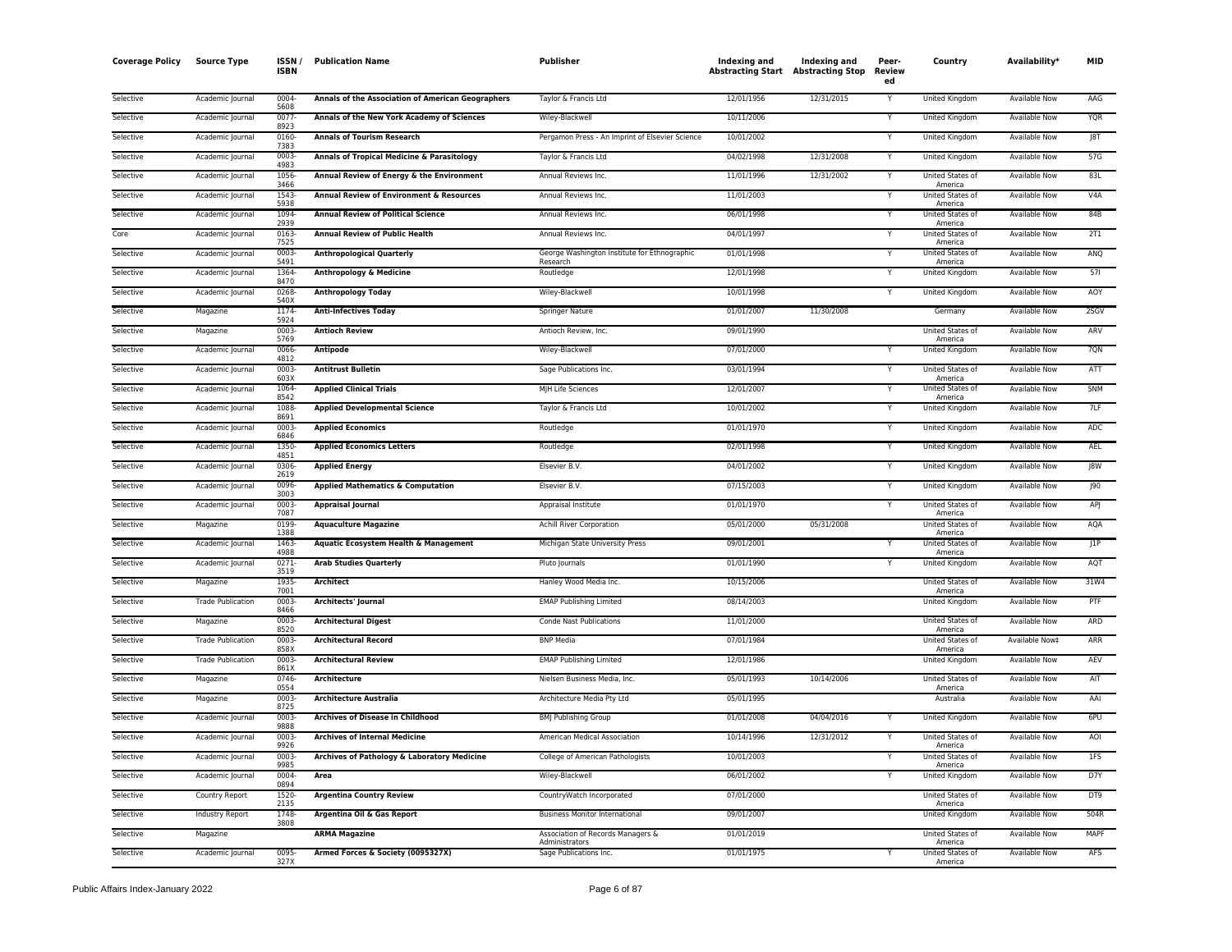| <b>Coverage Policy</b> | <b>Source Type</b>       | ISSN/<br><b>ISBN</b> | <b>Publication Name</b>                             | Publisher                                                | Indexing and<br><b>Abstracting Start Abstracting Stop</b> | Indexing and | Peer-<br>Review<br>ed | Country                            | Availability*        | <b>MID</b> |
|------------------------|--------------------------|----------------------|-----------------------------------------------------|----------------------------------------------------------|-----------------------------------------------------------|--------------|-----------------------|------------------------------------|----------------------|------------|
| Selective              | Academic Journal         | 0004<br>5608         | Annals of the Association of American Geographers   | Taylor & Francis Ltd                                     | 12/01/1956                                                | 12/31/2015   | Y                     | United Kingdom                     | Available Now        | AAG        |
| Selective              | Academic Journal         | 0077<br>8923         | Annals of the New York Academy of Sciences          | Wiley-Blackwell                                          | 10/11/2006                                                |              | Ý                     | <b>United Kingdom</b>              | <b>Available Now</b> | <b>YQR</b> |
| Selective              | Academic Journal         | 0160<br>7383         | <b>Annals of Tourism Research</b>                   | Pergamon Press - An Imprint of Elsevier Science          | 10/01/2002                                                |              | Y                     | <b>United Kingdom</b>              | <b>Available Now</b> | J8T        |
| Selective              | Academic Journal         | 0003<br>4983         | Annals of Tropical Medicine & Parasitology          | Taylor & Francis Ltd                                     | 04/02/1998                                                | 12/31/2008   | Y                     | United Kingdom                     | Available Now        | 57G        |
| Selective              | Academic Journal         | 1056<br>3466         | Annual Review of Energy & the Environment           | Annual Reviews Inc.                                      | 11/01/1996                                                | 12/31/2002   | Y                     | United States of<br>America        | <b>Available Now</b> | 83L        |
| Selective              | Academic Journal         | 1543<br>5938         | <b>Annual Review of Environment &amp; Resources</b> | Annual Reviews Inc.                                      | 11/01/2003                                                |              | Υ                     | <b>United States of</b><br>America | <b>Available Now</b> | V4A        |
| Selective              | Academic Journal         | 1094<br>2939         | <b>Annual Review of Political Science</b>           | Annual Reviews Inc.                                      | 06/01/1998                                                |              | Υ                     | United States of<br>America        | Available Now        | 84B        |
| Core                   | Academic Journal         | 0163<br>7525         | <b>Annual Review of Public Health</b>               | Annual Reviews Inc                                       | 04/01/1997                                                |              | Υ                     | United States of<br>America        | Available Now        | 2T1        |
| Selective              | Academic Journal         | 0003<br>5491         | <b>Anthropological Quarterly</b>                    | George Washington Institute for Ethnographic<br>Research | 01/01/1998                                                |              |                       | United States of<br>America        | Available Now        | ANQ        |
| Selective              | Academic Journal         | 1364<br>8470         | Anthropology & Medicine                             | Routledge                                                | 12/01/1998                                                |              | Y                     | United Kingdom                     | Available Now        | 571        |
| Selective              | Academic Journal         | 0268<br>540X         | <b>Anthropology Today</b>                           | Wiley-Blackwell                                          | 10/01/1998                                                |              |                       | <b>United Kingdom</b>              | <b>Available Now</b> | AOY        |
| Selective              | Magazine                 | 1174<br>5924         | <b>Anti-Infectives Today</b>                        | Springer Nature                                          | 01/01/2007                                                | 11/30/2008   |                       | Germany                            | <b>Available Now</b> | 2SGV       |
| Selective              | Magazine                 | 0003<br>5769         | <b>Antioch Review</b>                               | Antioch Review, Inc.                                     | 09/01/1990                                                |              |                       | <b>United States of</b><br>America | <b>Available Now</b> | ARV        |
| Selective              | Academic Journal         | 0066<br>4812         | <b>Antipode</b>                                     | Wiley-Blackwell                                          | 07/01/2000                                                |              | Υ                     | <b>United Kingdom</b>              | <b>Available Now</b> | 7QN        |
| Selective              | Academic Journal         | 0003<br>603X         | <b>Antitrust Bulletin</b>                           | Sage Publications Inc.                                   | 03/01/1994                                                |              | Y                     | United States of<br>America        | Available Now        | ATT        |
| Selective              | Academic Journal         | 1064<br>8542         | <b>Applied Clinical Trials</b>                      | MJH Life Sciences                                        | 12/01/2007                                                |              |                       | United States of<br>America        | Available Now        | 5NM        |
| Selective              | Academic Journal         | 1088<br>8691         | <b>Applied Developmental Science</b>                | Taylor & Francis Ltd                                     | 10/01/2002                                                |              | Y                     | United Kingdom                     | Available Now        | 7LF        |
| Selective              | Academic Journal         | 0003<br>6846         | <b>Applied Economics</b>                            | Routledge                                                | 01/01/1970                                                |              | Y                     | United Kingdom                     | <b>Available Now</b> | ADC        |
| Selective              | Academic Journal         | 1350<br>4851         | <b>Applied Economics Letters</b>                    | Routledge                                                | 02/01/1998                                                |              | Y                     | United Kingdom                     | Available Now        | AEL        |
| Selective              | Academic Journal         | 0306<br>2619         | <b>Applied Energy</b>                               | Elsevier B.V.                                            | 04/01/2002                                                |              | Y                     | United Kingdom                     | Available Now        | 8W         |
| Selective              | Academic Journal         | 0096<br>3003         | <b>Applied Mathematics &amp; Computation</b>        | Elsevier B.V.                                            | 07/15/2003                                                |              | Y                     | United Kingdom                     | <b>Available Now</b> | 190        |
| Selective              | Academic Journal         | 0003<br>7087         | <b>Appraisal Journal</b>                            | Appraisal Institute                                      | 01/01/1970                                                |              | Y                     | United States of<br>America        | Available Now        | APJ        |
| Selective              | Magazine                 | 0199<br>1388         | <b>Aquaculture Magazine</b>                         | <b>Achill River Corporation</b>                          | 05/01/2000                                                | 05/31/2008   |                       | United States of<br>America        | Available Now        | AQA        |
| Selective              | Academic Journal         | 1463<br>4988         | Aquatic Ecosystem Health & Management               | Michigan State University Press                          | 09/01/2001                                                |              | Y                     | United States of<br>America        | Available Now        | JIP        |
| Selective              | Academic Journal         | 0271<br>3519         | <b>Arab Studies Quarterly</b>                       | Pluto Journals                                           | 01/01/1990                                                |              |                       | United Kingdom                     | Available Now        | AQT        |
| Selective              | Magazine                 | 1935<br>7001         | Architect                                           | Hanley Wood Media Inc.                                   | 10/15/2006                                                |              |                       | United States of<br>America        | Available Now        | 31W4       |
| Selective              | <b>Trade Publication</b> | 0003<br>8466         | <b>Architects' Journal</b>                          | <b>EMAP Publishing Limited</b>                           | 08/14/2003                                                |              |                       | <b>United Kingdom</b>              | <b>Available Now</b> | PTF        |
| Selective              | Magazine                 | 0003<br>8520         | <b>Architectural Digest</b>                         | <b>Conde Nast Publications</b>                           | 11/01/2000                                                |              |                       | United States of<br>America        | <b>Available Now</b> | ARD        |
| Selective              | <b>Trade Publication</b> | 0003<br>858X         | <b>Architectural Record</b>                         | <b>BNP Media</b>                                         | 07/01/1984                                                |              |                       | <b>United States of</b><br>America | Available Now‡       | ARR        |
| Selective              | <b>Trade Publication</b> | 0003<br>861X         | <b>Architectural Review</b>                         | <b>EMAP Publishing Limited</b>                           | 12/01/1986                                                |              |                       | United Kingdom                     | Available Now        | AEV        |
| Selective              | Magazine                 | 0746<br>0554         | Architecture                                        | Nielsen Business Media, Inc.                             | 05/01/1993                                                | 10/14/2006   |                       | United States of<br>America        | Available Now        | AIT        |
| Selective              | Magazine                 | 0003<br>8725         | <b>Architecture Australia</b>                       | Architecture Media Pty Ltd                               | 05/01/1995                                                |              |                       | Australia                          | Available Now        | AAI        |
| Selective              | Academic Journal         | 0003<br>9888         | <b>Archives of Disease in Childhood</b>             | <b>BMJ Publishing Group</b>                              | 01/01/2008                                                | 04/04/2016   | Y                     | <b>United Kingdom</b>              | <b>Available Now</b> | 6PU        |
| Selective              | Academic Journal         | 0003<br>9926         | <b>Archives of Internal Medicine</b>                | American Medical Association                             | 10/14/1996                                                | 12/31/2012   |                       | United States of<br>America        | Available Now        | AOI        |
| Selective              | Academic Journal         | 0003<br>9985         | Archives of Pathology & Laboratory Medicine         | College of American Pathologists                         | 10/01/2003                                                |              |                       | United States of<br>America        | Available Now        | 1FS        |
| Selective              | Academic Iournal         | 0004<br>0894         | Area                                                | Wiley-Blackwell                                          | 06/01/2002                                                |              | Υ                     | United Kingdom                     | Available Now        | D7Y        |
| Selective              | Country Report           | 1520<br>2135         | <b>Argentina Country Review</b>                     | CountryWatch Incorporated                                | 07/01/2000                                                |              |                       | United States of<br>America        | <b>Available Now</b> | DT9        |
| Selective              | Industry Report          | 1748<br>3808         | Argentina Oil & Gas Report                          | <b>Business Monitor International</b>                    | 09/01/2007                                                |              |                       | United Kingdom                     | Available Now        | 504R       |
| Selective              | Magazine                 |                      | <b>ARMA Magazine</b>                                | Association of Records Managers &<br>Administrators      | 01/01/2019                                                |              |                       | United States of<br>America        | Available Now        | MAPF       |
| Selective              | Academic Journal         | 0095<br>327X         | Armed Forces & Society (0095327X)                   | Sage Publications Inc.                                   | 01/01/1975                                                |              | Y                     | United States of<br>America        | <b>Available Now</b> | <b>AFS</b> |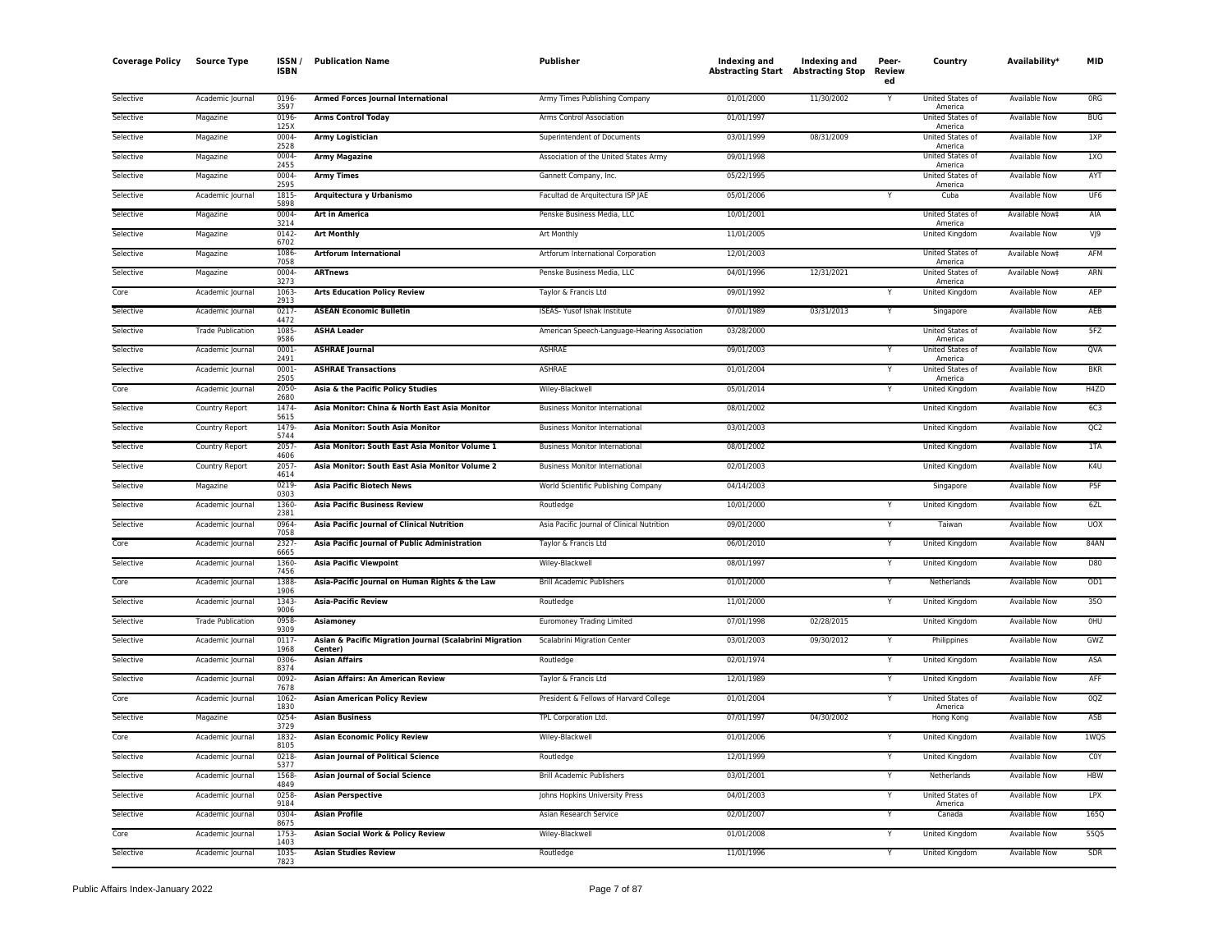| <b>Coverage Policy</b> | <b>Source Type</b>       | ISSN<br><b>ISBN</b> | <b>Publication Name</b>                                            | Publisher                                    | Indexing and | Indexing and<br><b>Abstracting Start</b> Abstracting Stop | Peer-<br><b>Review</b><br>ed | Country                     | Availability*        | MID             |
|------------------------|--------------------------|---------------------|--------------------------------------------------------------------|----------------------------------------------|--------------|-----------------------------------------------------------|------------------------------|-----------------------------|----------------------|-----------------|
| Selective              | Academic Journal         | 0196<br>3597        | Armed Forces Journal International                                 | Army Times Publishing Company                | 01/01/2000   | 11/30/2002                                                |                              | United States of<br>America | <b>Available Now</b> | ORG             |
| Selective              | Magazine                 | 0196<br>125)        | <b>Arms Control Today</b>                                          | Arms Control Association                     | 01/01/1997   |                                                           |                              | United States of<br>America | Available Now        | <b>BUG</b>      |
| Selective              | Magazine                 | 0004<br>2528        | Army Logistician                                                   | Superintendent of Documents                  | 03/01/1999   | 08/31/2009                                                |                              | United States of<br>America | Available Now        | 1XP             |
| Selective              | Magazine                 | 0004<br>2455        | <b>Army Magazine</b>                                               | Association of the United States Army        | 09/01/1998   |                                                           |                              | United States of<br>America | Available Now        | 1XO             |
| Selective              | Magazine                 | 0004<br>2595        | <b>Army Times</b>                                                  | Gannett Company, Inc.                        | 05/22/1995   |                                                           |                              | United States of<br>America | <b>Available Now</b> | AYT             |
| Selective              | Academic Journal         | 1815<br>5898        | Arquitectura y Urbanismo                                           | Facultad de Arquitectura ISP JAE             | 05/01/2006   |                                                           | Y                            | Cuba                        | <b>Available Now</b> | UF <sub>6</sub> |
| Selective              | Magazine                 | 0004<br>3214        | <b>Art in America</b>                                              | Penske Business Media, LLC                   | 10/01/2001   |                                                           |                              | United States of<br>America | Available Now‡       | AIA             |
| Selective              | Magazine                 | 0142<br>6702        | <b>Art Monthly</b>                                                 | Art Monthly                                  | 11/01/2005   |                                                           |                              | United Kingdom              | Available Now        | VJ9             |
| Selective              | Magazine                 | 1086<br>7058        | <b>Artforum International</b>                                      | Artforum International Corporation           | 12/01/2003   |                                                           |                              | United States of<br>America | Available Now‡       | AFM             |
| Selective              | Magazine                 | 0004<br>3273        | <b>ARTnews</b>                                                     | Penske Business Media, LLC                   | 04/01/1996   | 12/31/2021                                                |                              | United States of<br>America | Available Now‡       | ARN             |
| Core                   | Academic Journal         | 1063<br>2913        | <b>Arts Education Policy Review</b>                                | Taylor & Francis Ltd                         | 09/01/1992   |                                                           | Y                            | United Kingdom              | <b>Available Now</b> | AEP             |
| Selective              | Academic Journal         | 0217<br>4472        | <b>ASEAN Economic Bulletin</b>                                     | ISEAS- Yusof Ishak Institute                 | 07/01/1989   | 03/31/2013                                                | Y                            | Singapore                   | <b>Available Now</b> | AEB             |
| Selective              | <b>Trade Publication</b> | 1085<br>9586        | <b>ASHA Leader</b>                                                 | American Speech-Language-Hearing Association | 03/28/2000   |                                                           |                              | United States of<br>America | Available Now        | 5FZ             |
| Selective              | Academic Journal         | 0001<br>2491        | <b>ASHRAE Journal</b>                                              | ASHRAE                                       | 09/01/2003   |                                                           |                              | United States of<br>America | Available Now        | QVA             |
| Selective              | Academic Journal         | 0001<br>2505        | <b>ASHRAE Transactions</b>                                         | ASHRAE                                       | 01/01/2004   |                                                           | Y                            | United States of<br>America | <b>Available Now</b> | <b>BKR</b>      |
| Core                   | Academic Journal         | 2050<br>2680        | Asia & the Pacific Policy Studies                                  | Wiley-Blackwell                              | 05/01/2014   |                                                           | Y                            | United Kingdom              | Available Now        | H4ZD            |
| Selective              | <b>Country Report</b>    | 1474<br>5615        | Asia Monitor: China & North East Asia Monitor                      | <b>Business Monitor International</b>        | 08/01/2002   |                                                           |                              | <b>United Kingdom</b>       | <b>Available Now</b> | 6C3             |
| Selective              | Country Report           | 1479<br>5744        | Asia Monitor: South Asia Monitor                                   | <b>Business Monitor International</b>        | 03/01/2003   |                                                           |                              | United Kingdom              | <b>Available Now</b> | QC <sub>2</sub> |
| Selective              | Country Report           | 2057<br>4606        | Asia Monitor: South East Asia Monitor Volume 1                     | <b>Business Monitor International</b>        | 08/01/2002   |                                                           |                              | United Kingdom              | <b>Available Now</b> | 1TA             |
| Selective              | Country Report           | 2057<br>4614        | Asia Monitor: South East Asia Monitor Volume 2                     | <b>Business Monitor International</b>        | 02/01/2003   |                                                           |                              | United Kingdom              | Available Now        | K4U             |
| Selective              | Magazine                 | 0219<br>0303        | <b>Asia Pacific Biotech News</b>                                   | World Scientific Publishing Company          | 04/14/2003   |                                                           |                              | Singapore                   | <b>Available Now</b> | P <sub>5F</sub> |
| Selective              | Academic Journal         | 1360<br>2381        | <b>Asia Pacific Business Review</b>                                | Routledge                                    | 10/01/2000   |                                                           |                              | United Kingdom              | Available Now        | 6ZL             |
| Selective              | Academic Journal         | 0964<br>7058        | Asia Pacific Journal of Clinical Nutrition                         | Asia Pacific Journal of Clinical Nutrition   | 09/01/2000   |                                                           | Y                            | Taiwan                      | <b>Available Now</b> | <b>UOX</b>      |
| Core                   | Academic Journal         | 2327<br>6665        | Asia Pacific Journal of Public Administration                      | Taylor & Francis Ltd                         | 06/01/2010   |                                                           | Y                            | United Kingdom              | Available Now        | <b>84AN</b>     |
| Selective              | Academic Journal         | 1360<br>7456        | <b>Asia Pacific Viewpoint</b>                                      | Wiley-Blackwell                              | 08/01/1997   |                                                           | Y                            | United Kingdom              | Available Now        | D80             |
| Core                   | Academic Journal         | 1388<br>1906        | Asia-Pacific Journal on Human Rights & the Law                     | <b>Brill Academic Publishers</b>             | 01/01/2000   |                                                           | Υ                            | Netherlands                 | Available Now        | OD1             |
| Selective              | Academic Journal         | 1343<br>9006        | <b>Asia-Pacific Review</b>                                         | Routledge                                    | 11/01/2000   |                                                           | Y                            | <b>United Kingdom</b>       | <b>Available Now</b> | 350             |
| Selective              | <b>Trade Publication</b> | 0958<br>9309        | Asiamoney                                                          | <b>Euromoney Trading Limited</b>             | 07/01/1998   | 02/28/2015                                                |                              | United Kingdom              | Available Now        | OHU             |
| Selective              | Academic Journal         | 0117<br>1968        | Asian & Pacific Migration Journal (Scalabrini Migration<br>Center) | Scalabrini Migration Center                  | 03/01/2003   | 09/30/2012                                                | Υ                            | Philippines                 | <b>Available Now</b> | GWZ             |
| Selective              | Academic Journal         | 0306<br>8374        | <b>Asian Affairs</b>                                               | Routledge                                    | 02/01/1974   |                                                           | Υ                            | United Kingdom              | Available Now        | ASA             |
| Selective              | Academic Journal         | 0092<br>7678        | Asian Affairs: An American Review                                  | Taylor & Francis Ltd                         | 12/01/1989   |                                                           | Y                            | United Kingdom              | Available Now        | AFF             |
| Core                   | Academic Journal         | 1062<br>1830        | <b>Asian American Policy Review</b>                                | President & Fellows of Harvard College       | 01/01/2004   |                                                           | Y                            | United States of<br>America | Available Now        | 0QZ             |
| Selective              | Magazine                 | 0254<br>3729        | <b>Asian Business</b>                                              | TPL Corporation Ltd.                         | 07/01/1997   | 04/30/2002                                                |                              | Hong Kong                   | <b>Available Now</b> | ASB             |
| Core                   | Academic Journal         | 1832<br>8105        | <b>Asian Economic Policy Review</b>                                | Wiley-Blackwell                              | 01/01/2006   |                                                           |                              | United Kingdom              | Available Now        | 1WQS            |
| Selective              | Academic Journal         | 0218<br>5377        | <b>Asian Journal of Political Science</b>                          | Routledge                                    | 12/01/1999   |                                                           | Υ                            | United Kingdom              | <b>Available Now</b> | <b>COY</b>      |
| Selective              | Academic Journal         | 1568<br>4849        | Asian Journal of Social Science                                    | <b>Brill Academic Publishers</b>             | 03/01/2001   |                                                           | Y                            | Netherlands                 | Available Now        | <b>HBW</b>      |
| Selective              | Academic Journal         | 0258<br>9184        | <b>Asian Perspective</b>                                           | Johns Hopkins University Press               | 04/01/2003   |                                                           | Y                            | United States of<br>America | <b>Available Now</b> | LPX             |
| Selective              | Academic Journal         | 0304<br>8675        | <b>Asian Profile</b>                                               | Asian Research Service                       | 02/01/2007   |                                                           | Y                            | Canada                      | Available Now        | 165Q            |
| Core                   | Academic Journal         | 1753<br>1403        | Asian Social Work & Policy Review                                  | Wiley-Blackwell                              | 01/01/2008   |                                                           |                              | United Kingdom              | Available Now        | 55Q5            |
| Selective              | Academic Journal         | 1035<br>7823        | <b>Asian Studies Review</b>                                        | Routledge                                    | 11/01/1996   |                                                           | Y                            | United Kingdom              | <b>Available Now</b> | SDR             |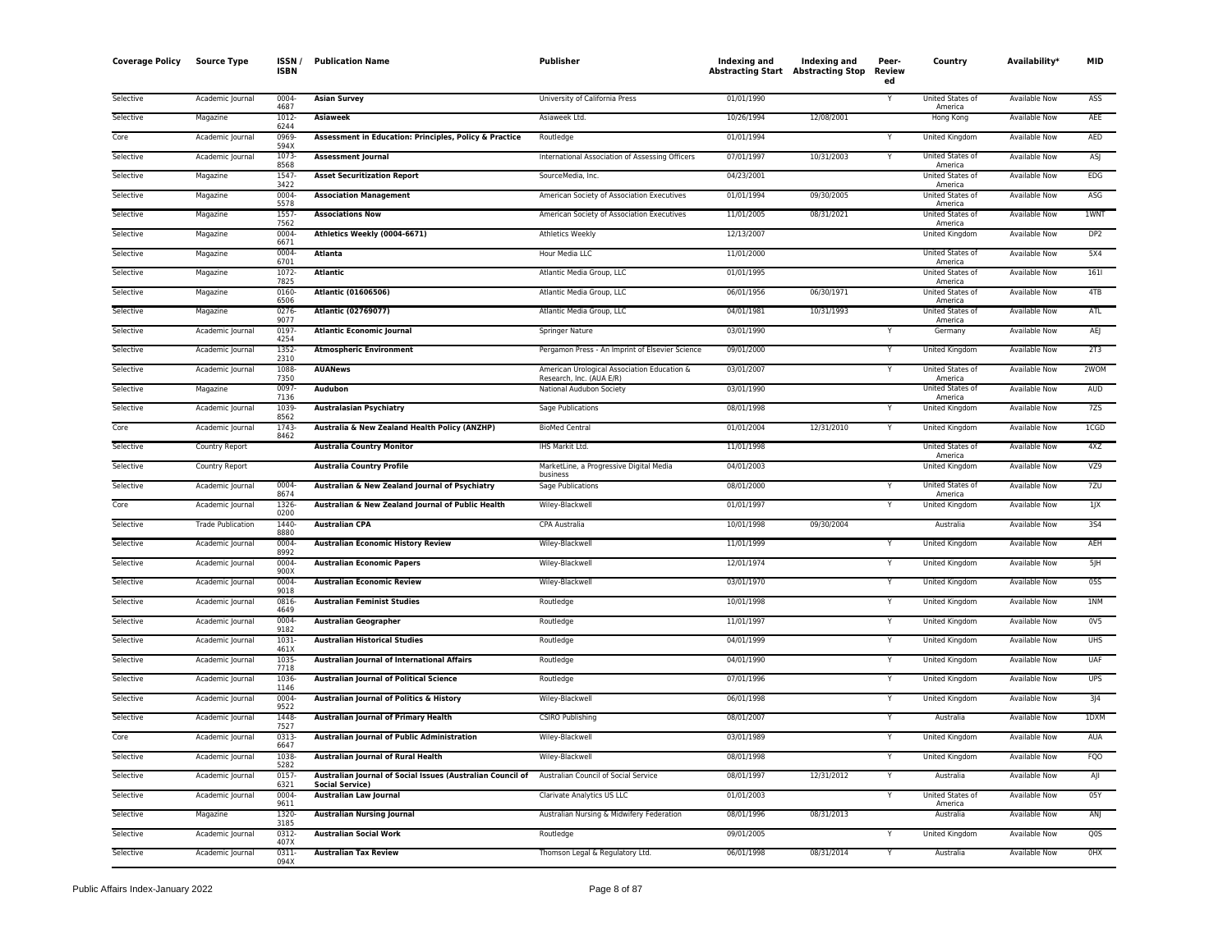| <b>Coverage Policy</b> | <b>Source Type</b>       | ISSN/<br><b>ISBN</b> | <b>Publication Name</b>                                                              | Publisher                                            | Indexing and<br><b>Abstracting Start Abstracting Stop</b> | Indexing and | Peer-<br>Review<br>ed | Country                            | Availability*        | <b>MID</b>       |
|------------------------|--------------------------|----------------------|--------------------------------------------------------------------------------------|------------------------------------------------------|-----------------------------------------------------------|--------------|-----------------------|------------------------------------|----------------------|------------------|
| Selective              | Academic Journal         | 0004-<br>4687        | <b>Asian Survey</b>                                                                  | University of California Press                       | 01/01/1990                                                |              |                       | United States of<br>America        | <b>Available Now</b> | <b>ASS</b>       |
| Selective              | Magazine                 | 1012<br>6244         | <b>Asiaweek</b>                                                                      | Asiaweek Ltd.                                        | 10/26/1994                                                | 12/08/2001   |                       | Hong Kong                          | <b>Available Now</b> | AEE              |
| Core                   | Academic Journal         | 0969<br>594X         | Assessment in Education: Principles, Policy & Practice                               | Routledge                                            | 01/01/1994                                                |              | Υ                     | <b>United Kingdom</b>              | Available Now        | AED              |
| Selective              | Academic Journal         | 1073                 | <b>Assessment lournal</b>                                                            | International Association of Assessing Officers      | 07/01/1997                                                | 10/31/2003   |                       | United States of                   | Available Now        | ASJ              |
| Selective              | Magazine                 | 8568<br>1547         | <b>Asset Securitization Report</b>                                                   | SourceMedia, Inc.                                    | 04/23/2001                                                |              |                       | America<br>United States of        | <b>Available Now</b> | EDG              |
| Selective              | Magazine                 | 3422<br>0004         | <b>Association Management</b>                                                        | American Society of Association Executives           | 01/01/1994                                                | 09/30/2005   |                       | America<br>United States of        | Available Now        | <b>ASG</b>       |
| Selective              | Magazine                 | 5578<br>1557         | <b>Associations Now</b>                                                              | American Society of Association Executives           | 11/01/2005                                                | 08/31/2021   |                       | America<br>United States of        | <b>Available Now</b> | 1WNT             |
| Selective              | Magazine                 | 7562<br>0004-        | Athletics Weekly (0004-6671)                                                         | <b>Athletics Weekly</b>                              | 12/13/2007                                                |              |                       | America<br>United Kingdom          | <b>Available Now</b> | DP <sub>2</sub>  |
| Selective              | Magazine                 | 6671<br>0004         | Atlanta                                                                              | Hour Media LLC                                       | 11/01/2000                                                |              |                       | United States of                   | Available Now        | 5X4              |
| Selective              | Magazine                 | 6701<br>1072         | <b>Atlantic</b>                                                                      | Atlantic Media Group, LLC                            | 01/01/1995                                                |              |                       | America<br>United States of        | <b>Available Now</b> | 1611             |
| Selective              | Magazine                 | 7825<br>0160         | Atlantic (01606506)                                                                  | Atlantic Media Group, LLC                            | 06/01/1956                                                | 06/30/1971   |                       | America<br>United States of        | Available Now        | 4TB              |
| Selective              | Magazine                 | 6506<br>$0276 -$     | <b>Atlantic (02769077)</b>                                                           | Atlantic Media Group, LLC                            | 04/01/1981                                                | 10/31/1993   |                       | America<br>United States of        | <b>Available Now</b> | ATL              |
| Selective              | Academic Journal         | 9077<br>0197         | <b>Atlantic Economic Journal</b>                                                     | Springer Nature                                      | 03/01/1990                                                |              |                       | America<br>Germany                 | Available Now        | AEJ              |
| Selective              | Academic Journal         | 4254<br>1352-        | <b>Atmospheric Environment</b>                                                       | Pergamon Press - An Imprint of Elsevier Science      | 09/01/2000                                                |              |                       | United Kingdom                     | <b>Available Now</b> | 2T3              |
| Selective              | Academic Journal         | 2310<br>1088         | <b>AUANews</b>                                                                       | American Urological Association Education &          | 03/01/2007                                                |              | Y                     | United States of                   | Available Now        | 2WOM             |
| Selective              | Magazine                 | 7350<br>0097         | Audubon                                                                              | Research, Inc. (AUA E/R)<br>National Audubon Society | 03/01/1990                                                |              |                       | America<br><b>United States of</b> | Available Now        | AUD              |
| Selective              | Academic Journal         | 7136<br>1039         | <b>Australasian Psychiatry</b>                                                       | Sage Publications                                    | 08/01/1998                                                |              | Y                     | America<br>United Kingdom          | Available Now        | 7ZS              |
| Core                   | Academic Journal         | 8562<br>1743-        | Australia & New Zealand Health Policy (ANZHP)                                        | <b>BioMed Central</b>                                | 01/01/2004                                                | 12/31/2010   | Υ                     | United Kingdom                     | Available Now        | 1CGD             |
| Selective              | Country Report           | 8462                 | <b>Australia Country Monitor</b>                                                     | IHS Markit Ltd.                                      | 11/01/1998                                                |              |                       | United States of                   | <b>Available Now</b> | 4XZ              |
| Selective              |                          |                      | <b>Australia Country Profile</b>                                                     | MarketLine, a Progressive Digital Media              | 04/01/2003                                                |              |                       | America<br><b>United Kingdom</b>   | <b>Available Now</b> | VZ9              |
| Selective              | Country Report           | 0004                 |                                                                                      | business                                             | 08/01/2000                                                |              |                       | <b>United States of</b>            | <b>Available Now</b> | 7ZU              |
|                        | Academic Journal         | 8674                 | Australian & New Zealand Journal of Psychiatry                                       | Sage Publications                                    |                                                           |              |                       | America                            |                      |                  |
| Core                   | Academic Journal         | 1326<br>0200         | Australian & New Zealand Journal of Public Health                                    | Wiley-Blackwell                                      | 01/01/1997                                                |              | Υ                     | United Kingdom                     | Available Now        | 1JX              |
| Selective              | <b>Trade Publication</b> | 1440<br>8880         | <b>Australian CPA</b>                                                                | CPA Australia                                        | 10/01/1998                                                | 09/30/2004   |                       | Australia                          | Available Now        | 354              |
| Selective              | Academic Journal         | 0004<br>8992         | <b>Australian Economic History Review</b>                                            | Wiley-Blackwell                                      | 11/01/1999                                                |              |                       | United Kingdom                     | Available Now        | AEH              |
| Selective              | Academic Journal         | 0004<br>900X         | <b>Australian Economic Papers</b>                                                    | Wiley-Blackwell                                      | 12/01/1974                                                |              |                       | United Kingdom                     | Available Now        | 5JH              |
| Selective              | Academic Journal         | 0004<br>9018         | <b>Australian Economic Review</b>                                                    | Wiley-Blackwell                                      | 03/01/1970                                                |              | Ÿ                     | <b>United Kingdom</b>              | <b>Available Now</b> | 055              |
| Selective              | Academic Journal         | 0816-<br>4649        | <b>Australian Feminist Studies</b>                                                   | Routledge                                            | 10/01/1998                                                |              | Y                     | United Kingdom                     | <b>Available Now</b> | 1NM              |
| Selective              | Academic Journal         | 0004<br>9182         | <b>Australian Geographer</b>                                                         | Routledge                                            | 11/01/1997                                                |              | Y                     | United Kingdom                     | Available Now        | 0 <sub>V</sub> 5 |
| Selective              | Academic Journal         | 1031<br>461X         | <b>Australian Historical Studies</b>                                                 | Routledge                                            | 04/01/1999                                                |              | Y                     | United Kingdom                     | <b>Available Now</b> | <b>UHS</b>       |
| Selective              | Academic Journal         | 1035<br>7718         | Australian Journal of International Affairs                                          | Routledge                                            | 04/01/1990                                                |              |                       | United Kingdom                     | Available Now        | UAF              |
| Selective              | Academic Journal         | 1036-<br>1146        | <b>Australian Journal of Political Science</b>                                       | Routledge                                            | 07/01/1996                                                |              | Y                     | <b>United Kingdom</b>              | <b>Available Now</b> | <b>UPS</b>       |
| Selective              | Academic Journal         | 0004<br>9522         | Australian Journal of Politics & History                                             | Wiley-Blackwell                                      | 06/01/1998                                                |              |                       | United Kingdom                     | Available Now        | 3J4              |
| Selective              | Academic Journal         | 1448<br>7527         | Australian Journal of Primary Health                                                 | <b>CSIRO Publishing</b>                              | 08/01/2007                                                |              |                       | Australia                          | Available Now        | 1DXM             |
| Core                   | Academic Journal         | 0313<br>6647         | Australian Journal of Public Administration                                          | Wiley-Blackwell                                      | 03/01/1989                                                |              |                       | United Kingdom                     | <b>Available Now</b> | <b>AUA</b>       |
| Selective              | Academic Journal         | 1038<br>5282         | <b>Australian Journal of Rural Health</b>                                            | Wiley-Blackwell                                      | 08/01/1998                                                |              | Y                     | United Kingdom                     | Available Now        | FQO              |
| Selective              | Academic Journal         | 0157<br>6321         | Australian Journal of Social Issues (Australian Council of<br><b>Social Service)</b> | Australian Council of Social Service                 | 08/01/1997                                                | 12/31/2012   | Y                     | Australia                          | Available Now        | AJI              |
| Selective              | Academic Journal         | 0004<br>9611         | <b>Australian Law Journal</b>                                                        | Clarivate Analytics US LLC                           | 01/01/2003                                                |              | Y                     | United States of<br>America        | Available Now        | 05Y              |
| Selective              | Magazine                 | 1320-<br>3185        | <b>Australian Nursing Journal</b>                                                    | Australian Nursing & Midwifery Federation            | 08/01/1996                                                | 08/31/2013   |                       | Australia                          | <b>Available Now</b> | ANJ              |
| Selective              | Academic Journal         | 0312<br>407X         | <b>Australian Social Work</b>                                                        | Routledge                                            | 09/01/2005                                                |              |                       | United Kingdom                     | Available Now        | Q <sub>0</sub> S |
| Selective              | Academic Journal         | 0311-<br>094X        | <b>Australian Tax Review</b>                                                         | Thomson Legal & Regulatory Ltd.                      | 06/01/1998                                                | 08/31/2014   | Y                     | Australia                          | <b>Available Now</b> | OHX              |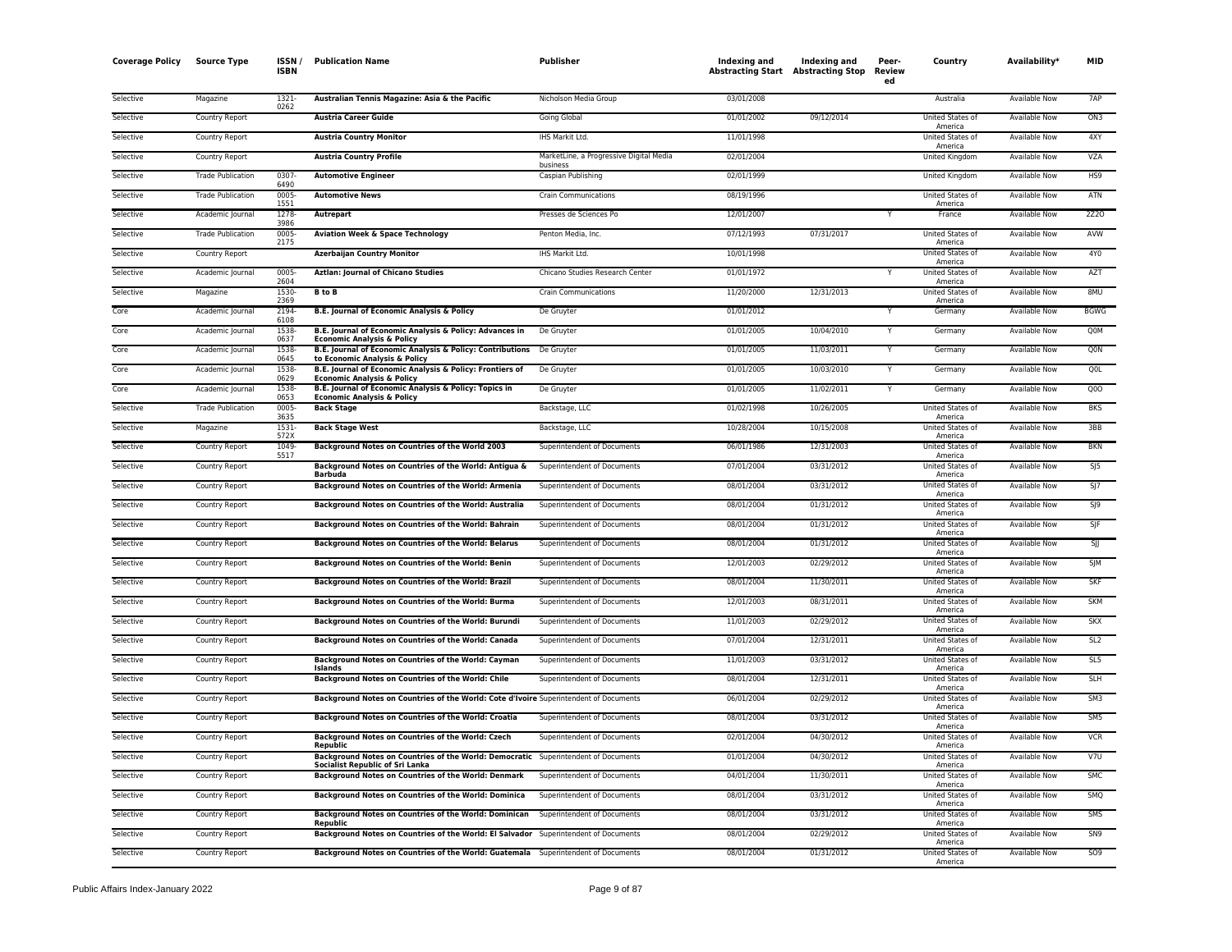| <b>Coverage Policy</b> | <b>Source Type</b>       | ISSN ,<br><b>ISBN</b> | <b>Publication Name</b>                                                                                                      | Publisher                                           | Indexing and | Indexing and<br><b>Abstracting Start</b> Abstracting Stop | Peer-<br>Review<br>ed | Country                            | Availability <sup>*</sup> | MID              |
|------------------------|--------------------------|-----------------------|------------------------------------------------------------------------------------------------------------------------------|-----------------------------------------------------|--------------|-----------------------------------------------------------|-----------------------|------------------------------------|---------------------------|------------------|
| Selective              | Magazine                 | 1321-<br>0262         | Australian Tennis Magazine: Asia & the Pacific                                                                               | Nicholson Media Group                               | 03/01/2008   |                                                           |                       | Australia                          | <b>Available Now</b>      | 7AP              |
| Selective              | Country Report           |                       | <b>Austria Career Guide</b>                                                                                                  | Going Global                                        | 01/01/2002   | 09/12/2014                                                |                       | United States of<br>America        | Available Now             | ON3              |
| Selective              | Country Report           |                       | <b>Austria Country Monitor</b>                                                                                               | IHS Markit Ltd.                                     | 11/01/1998   |                                                           |                       | United States of<br>America        | <b>Available Now</b>      | 4XY              |
| Selective              | Country Report           |                       | <b>Austria Country Profile</b>                                                                                               | MarketLine, a Progressive Digital Media<br>business | 02/01/2004   |                                                           |                       | United Kingdom                     | Available Now             | VZA              |
| Selective              | <b>Trade Publication</b> | 0307<br>6490          | <b>Automotive Engineer</b>                                                                                                   | Caspian Publishing                                  | 02/01/1999   |                                                           |                       | United Kingdom                     | <b>Available Now</b>      | HS9              |
| Selective              | <b>Trade Publication</b> | 0005-<br>1551         | <b>Automotive News</b>                                                                                                       | <b>Crain Communications</b>                         | 08/19/1996   |                                                           |                       | United States of<br>America        | <b>Available Now</b>      | ATN              |
| Selective              | Academic Journal         | 1278<br>3986          | Autrepart                                                                                                                    | Presses de Sciences Po                              | 12/01/2007   |                                                           |                       | France                             | Available Now             | 2Z20             |
| Selective              | <b>Trade Publication</b> | 0005<br>2175          | <b>Aviation Week &amp; Space Technology</b>                                                                                  | Penton Media, Inc.                                  | 07/12/1993   | 07/31/2017                                                |                       | United States of<br>America        | Available Now             | AVW              |
| Selective              | Country Report           |                       | <b>Azerbaijan Country Monitor</b>                                                                                            | IHS Markit Ltd.                                     | 10/01/1998   |                                                           |                       | United States of<br>America        | Available Now             | 4Y0              |
| Selective              | Academic Journal         | 0005<br>2604          | <b>Aztlan: Journal of Chicano Studies</b>                                                                                    | Chicano Studies Research Center                     | 01/01/1972   |                                                           |                       | United States of<br>America        | <b>Available Now</b>      | AZT              |
| Selective              | Magazine                 | 1530-<br>2369         | <b>B</b> to <b>B</b>                                                                                                         | <b>Crain Communications</b>                         | 11/20/2000   | 12/31/2013                                                |                       | United States of<br>America        | <b>Available Now</b>      | 8MU              |
| Core                   | Academic Journal         | 2194<br>6108          | <b>B.E. Journal of Economic Analysis &amp; Policy</b>                                                                        | De Gruyter                                          | 01/01/2012   |                                                           |                       | Germany                            | <b>Available Now</b>      | <b>BGWG</b>      |
| Core                   | Academic Journal         | 1538<br>0637          | B.E. Journal of Economic Analysis & Policy: Advances in<br><b>Economic Analysis &amp; Policy</b>                             | De Gruyter                                          | 01/01/2005   | 10/04/2010                                                | Y                     | Germany                            | Available Now             | Q0M              |
| Core                   | Academic Journal         | 1538<br>0645          | B.E. Journal of Economic Analysis & Policy: Contributions De Gruyter<br>to Economic Analysis & Policy                        |                                                     | 01/01/2005   | 11/03/2011                                                | ٧                     | Germany                            | Available Now             | Q <sub>0</sub> N |
| Core                   | Academic Journal         | 1538-<br>0629         | B.E. Journal of Economic Analysis & Policy: Frontiers of<br><b>Economic Analysis &amp; Policy</b>                            | De Gruyter                                          | 01/01/2005   | 10/03/2010                                                |                       | Germany                            | Available Now             | Q <sub>OL</sub>  |
| Core                   | Academic Journal         | 1538<br>0653          | B.E. Journal of Economic Analysis & Policy: Topics in<br><b>Economic Analysis &amp; Policy</b>                               | De Gruyter                                          | 01/01/2005   | 11/02/2011                                                |                       | Germany                            | <b>Available Now</b>      | QOO              |
| Selective              | <b>Trade Publication</b> | 0005-<br>3635         | <b>Back Stage</b>                                                                                                            | Backstage, LLC                                      | 01/02/1998   | 10/26/2005                                                |                       | <b>United States of</b><br>America | <b>Available Now</b>      | <b>BKS</b>       |
| Selective              | Magazine                 | 1531-<br>572X         | <b>Back Stage West</b>                                                                                                       | Backstage, LLC                                      | 10/28/2004   | 10/15/2008                                                |                       | United States of<br>America        | <b>Available Now</b>      | 3BB              |
| Selective              | Country Report           | 1049<br>5517          | Background Notes on Countries of the World 2003                                                                              | Superintendent of Documents                         | 06/01/1986   | 12/31/2003                                                |                       | United States of<br>America        | Available Now             | <b>BKN</b>       |
| Selective              | Country Report           |                       | Background Notes on Countries of the World: Antigua &<br><b>Barbuda</b>                                                      | Superintendent of Documents                         | 07/01/2004   | 03/31/2012                                                |                       | United States of<br>America        | <b>Available Now</b>      | SJ5              |
| Selective              | Country Report           |                       | Background Notes on Countries of the World: Armenia                                                                          | Superintendent of Documents                         | 08/01/2004   | 03/31/2012                                                |                       | United States of<br>America        | Available Now             | SJ               |
| Selective              | Country Report           |                       | Background Notes on Countries of the World: Australia                                                                        | Superintendent of Documents                         | 08/01/2004   | 01/31/2012                                                |                       | United States of<br>America        | <b>Available Now</b>      | SJ9              |
| Selective              | Country Report           |                       | Background Notes on Countries of the World: Bahrain                                                                          | Superintendent of Documents                         | 08/01/2004   | 01/31/2012                                                |                       | <b>United States of</b><br>America | <b>Available Now</b>      | SJF              |
| Selective              | Country Report           |                       | Background Notes on Countries of the World: Belarus                                                                          | Superintendent of Documents                         | 08/01/2004   | 01/31/2012                                                |                       | United States of<br>America        | <b>Available Now</b>      | SJJ              |
| Selective              | Country Report           |                       | Background Notes on Countries of the World: Benin                                                                            | Superintendent of Documents                         | 12/01/2003   | 02/29/2012                                                |                       | United States of<br>America        | Available Now             | SJM              |
| Selective              | Country Report           |                       | Background Notes on Countries of the World: Brazil                                                                           | Superintendent of Documents                         | 08/01/2004   | 11/30/2011                                                |                       | United States of<br>America        | <b>Available Now</b>      | SKF              |
| Selective              | Country Report           |                       | Background Notes on Countries of the World: Burma                                                                            | Superintendent of Documents                         | 12/01/2003   | 08/31/2011                                                |                       | United States of<br>America        | <b>Available Now</b>      | <b>SKM</b>       |
| Selective              | Country Report           |                       | Background Notes on Countries of the World: Burundi                                                                          | Superintendent of Documents                         | 11/01/2003   | 02/29/2012                                                |                       | United States of<br>America        | <b>Available Now</b>      | <b>SKX</b>       |
| Selective              | Country Report           |                       | Background Notes on Countries of the World: Canada                                                                           | <b>Superintendent of Documents</b>                  | 07/01/2004   | 12/31/2011                                                |                       | United States of<br>America        | <b>Available Now</b>      | SL <sub>2</sub>  |
| Selective              | Country Report           |                       | Background Notes on Countries of the World: Cayman<br><b>Islands</b>                                                         | Superintendent of Documents                         | 11/01/2003   | 03/31/2012                                                |                       | United States of<br>America        | Available Now             | SL5              |
| Selective              | Country Report           |                       | Background Notes on Countries of the World: Chile                                                                            | Superintendent of Documents                         | 08/01/2004   | 12/31/2011                                                |                       | United States of<br>America        | Available Now             | <b>SLH</b>       |
| Selective              | Country Report           |                       | Background Notes on Countries of the World: Cote d'Ivoire Superintendent of Documents                                        |                                                     | 06/01/2004   | 02/29/2012                                                |                       | United States of<br>America        | <b>Available Now</b>      | SM3              |
| Selective              | Country Report           |                       | Background Notes on Countries of the World: Croatia                                                                          | Superintendent of Documents                         | 08/01/2004   | 03/31/2012                                                |                       | United States of<br>America        | <b>Available Now</b>      | SM5              |
| Selective              | Country Report           |                       | Background Notes on Countries of the World: Czech<br>Republic                                                                | Superintendent of Documents                         | 02/01/2004   | 04/30/2012                                                |                       | United States of<br>America        | <b>Available Now</b>      | <b>VCR</b>       |
| Selective              | Country Report           |                       | Background Notes on Countries of the World: Democratic Superintendent of Documents<br><b>Socialist Republic of Sri Lanka</b> |                                                     | 01/01/2004   | 04/30/2012                                                |                       | United States of<br>America        | <b>Available Now</b>      | V7U              |
| Selective              | Country Report           |                       | Background Notes on Countries of the World: Denmark                                                                          | Superintendent of Documents                         | 04/01/2004   | 11/30/2011                                                |                       | United States of<br>America        | Available Now             | <b>SMC</b>       |
| Selective              | Country Report           |                       | Background Notes on Countries of the World: Dominica                                                                         | Superintendent of Documents                         | 08/01/2004   | 03/31/2012                                                |                       | United States of<br>America        | Available Now             | SMQ              |
| Selective              | Country Report           |                       | Background Notes on Countries of the World: Dominican<br>Republic                                                            | Superintendent of Documents                         | 08/01/2004   | 03/31/2012                                                |                       | United States of<br>America        | Available Now             | SMS              |
| Selective              | Country Report           |                       | Background Notes on Countries of the World: El Salvador Superintendent of Documents                                          |                                                     | 08/01/2004   | 02/29/2012                                                |                       | United States of<br>America        | <b>Available Now</b>      | SN <sub>9</sub>  |
| Selective              | Country Report           |                       | Background Notes on Countries of the World: Guatemala Superintendent of Documents                                            |                                                     | 08/01/2004   | 01/31/2012                                                |                       | United States of<br>America        | <b>Available Now</b>      | <b>SO9</b>       |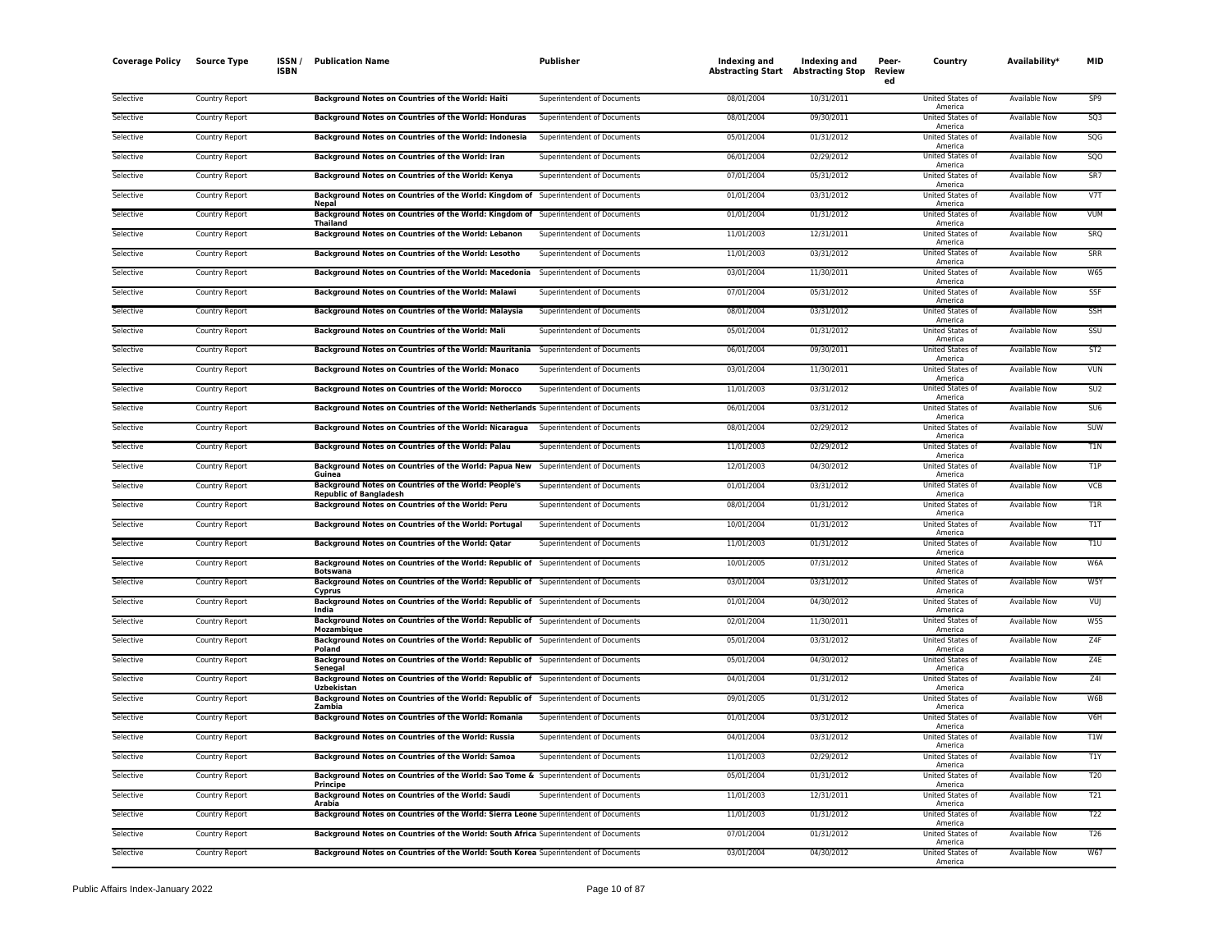| <b>Coverage Policy</b> | <b>Source Type</b> | ISSN/<br><b>ISBN</b> | <b>Publication Name</b>                                                                                | Publisher                   | Indexing and<br><b>Abstracting Start Abstracting Stop</b> | Indexing and | Peer-<br><b>Review</b><br>ed | Country                            | Availability*        | MID             |
|------------------------|--------------------|----------------------|--------------------------------------------------------------------------------------------------------|-----------------------------|-----------------------------------------------------------|--------------|------------------------------|------------------------------------|----------------------|-----------------|
| Selective              | Country Report     |                      | Background Notes on Countries of the World: Haiti                                                      | Superintendent of Documents | 08/01/2004                                                | 10/31/2011   |                              | United States of<br>America        | <b>Available Now</b> | SP9             |
| Selective              | Country Report     |                      | Background Notes on Countries of the World: Honduras                                                   | Superintendent of Documents | 08/01/2004                                                | 09/30/2011   |                              | United States of<br>America        | Available Now        | SQ3             |
| Selective              | Country Report     |                      | Background Notes on Countries of the World: Indonesia                                                  | Superintendent of Documents | 05/01/2004                                                | 01/31/2012   |                              | United States of<br>America        | Available Now        | SQG             |
| Selective              | Country Report     |                      | Background Notes on Countries of the World: Iran                                                       | Superintendent of Documents | 06/01/2004                                                | 02/29/2012   |                              | United States of<br>America        | Available Now        | SQO             |
| Selective              | Country Report     |                      | Background Notes on Countries of the World: Kenya                                                      | Superintendent of Documents | 07/01/2004                                                | 05/31/2012   |                              | United States of<br>America        | <b>Available Now</b> | SR7             |
| Selective              | Country Report     |                      | Background Notes on Countries of the World: Kingdom of Superintendent of Documents<br>Nepal            |                             | 01/01/2004                                                | 03/31/2012   |                              | United States of<br>America        | <b>Available Now</b> | V7T             |
| Selective              | Country Report     |                      | Background Notes on Countries of the World: Kingdom of Superintendent of Documents<br><b>Thailand</b>  |                             | 01/01/2004                                                | 01/31/2012   |                              | United States of<br>America        | <b>Available Now</b> | <b>VUM</b>      |
| Selective              | Country Report     |                      | Background Notes on Countries of the World: Lebanon                                                    | Superintendent of Documents | 11/01/2003                                                | 12/31/2011   |                              | United States of<br>America        | Available Now        | SRQ             |
| Selective              | Country Report     |                      | Background Notes on Countries of the World: Lesotho                                                    | Superintendent of Documents | 11/01/2003                                                | 03/31/2012   |                              | United States of<br>America        | Available Now        | SRR             |
| Selective              | Country Report     |                      | Background Notes on Countries of the World: Macedonia                                                  | Superintendent of Documents | 03/01/2004                                                | 11/30/2011   |                              | United States of<br>America        | Available Now        | <b>W65</b>      |
| Selective              | Country Report     |                      | Background Notes on Countries of the World: Malawi                                                     | Superintendent of Documents | 07/01/2004                                                | 05/31/2012   |                              | United States of<br>America        | <b>Available Now</b> | SSF             |
| Selective              | Country Report     |                      | Background Notes on Countries of the World: Malaysia                                                   | Superintendent of Documents | 08/01/2004                                                | 03/31/2012   |                              | <b>United States of</b><br>America | <b>Available Now</b> | SSH             |
| Selective              | Country Report     |                      | <b>Background Notes on Countries of the World: Mali</b>                                                | Superintendent of Documents | 05/01/2004                                                | 01/31/2012   |                              | United States of<br>America        | <b>Available Now</b> | SSU             |
| Selective              | Country Report     |                      | Background Notes on Countries of the World: Mauritania Superintendent of Documents                     |                             | 06/01/2004                                                | 09/30/2011   |                              | United States of<br>America        | Available Now        | ST <sub>2</sub> |
| Selective              | Country Report     |                      | Background Notes on Countries of the World: Monaco                                                     | Superintendent of Documents | 03/01/2004                                                | 11/30/2011   |                              | United States of<br>America        | Available Now        | VUN             |
| Selective              | Country Report     |                      | Background Notes on Countries of the World: Morocco                                                    | Superintendent of Documents | 11/01/2003                                                | 03/31/2012   |                              | United States of<br>America        | <b>Available Now</b> | SU <sub>2</sub> |
| Selective              | Country Report     |                      | Background Notes on Countries of the World: Netherlands Superintendent of Documents                    |                             | 06/01/2004                                                | 03/31/2012   |                              | United States of<br>America        | <b>Available Now</b> | SU <sub>6</sub> |
| Selective              | Country Report     |                      | Background Notes on Countries of the World: Nicaragua Superintendent of Documents                      |                             | 08/01/2004                                                | 02/29/2012   |                              | United States of<br>America        | <b>Available Now</b> | <b>SUW</b>      |
| Selective              | Country Report     |                      | Background Notes on Countries of the World: Palau                                                      | Superintendent of Documents | 11/01/2003                                                | 02/29/2012   |                              | United States of<br>America        | <b>Available Now</b> | T1N             |
| Selective              | Country Report     |                      | Background Notes on Countries of the World: Papua New Superintendent of Documents<br>Guinea            |                             | 12/01/2003                                                | 04/30/2012   |                              | United States of<br>America        | Available Now        | T1P             |
| Selective              | Country Report     |                      | Background Notes on Countries of the World: People's<br><b>Republic of Bangladesh</b>                  | Superintendent of Documents | 01/01/2004                                                | 03/31/2012   |                              | United States of<br>America        | <b>Available Now</b> | VCB             |
| Selective              | Country Report     |                      | Background Notes on Countries of the World: Peru                                                       | Superintendent of Documents | 08/01/2004                                                | 01/31/2012   |                              | United States of<br>America        | Available Now        | T1R             |
| Selective              | Country Report     |                      | Background Notes on Countries of the World: Portugal                                                   | Superintendent of Documents | 10/01/2004                                                | 01/31/2012   |                              | United States of<br>America        | <b>Available Now</b> | T1T             |
| Selective              | Country Report     |                      | Background Notes on Countries of the World: Qatar                                                      | Superintendent of Documents | 11/01/2003                                                | 01/31/2012   |                              | United States of<br>America        | <b>Available Now</b> | T1U             |
| Selective              | Country Report     |                      | Background Notes on Countries of the World: Republic of Superintendent of Documents<br><b>Botswana</b> |                             | 10/01/2005                                                | 07/31/2012   |                              | United States of<br>America        | Available Now        | W6A             |
| Selective              | Country Report     |                      | Background Notes on Countries of the World: Republic of Superintendent of Documents<br>Cyprus          |                             | 03/01/2004                                                | 03/31/2012   |                              | United States of<br>America        | Available Now        | W5Y             |
| Selective              | Country Report     |                      | Background Notes on Countries of the World: Republic of Superintendent of Documents<br>India           |                             | 01/01/2004                                                | 04/30/2012   |                              | United States of<br>America        | <b>Available Now</b> | VUJ             |
| Selective              | Country Report     |                      | Background Notes on Countries of the World: Republic of Superintendent of Documents<br>Mozambique      |                             | 02/01/2004                                                | 11/30/2011   |                              | United States of<br>America        | Available Now        | W5S             |
| Selective              | Country Report     |                      | Background Notes on Countries of the World: Republic of Superintendent of Documents<br>Poland          |                             | 05/01/2004                                                | 03/31/2012   |                              | United States of<br>America        | <b>Available Now</b> | Z4F             |
| Selective              | Country Report     |                      | Background Notes on Countries of the World: Republic of Superintendent of Documents<br>Senegal         |                             | 05/01/2004                                                | 04/30/2012   |                              | United States of<br>America        | Available Now        | Z4E             |
| Selective              | Country Report     |                      | Background Notes on Countries of the World: Republic of Superintendent of Documents<br>Uzbekistan      |                             | 04/01/2004                                                | 01/31/2012   |                              | United States of<br>America        | <b>Available Now</b> | Z41             |
| Selective              | Country Report     |                      | Background Notes on Countries of the World: Republic of Superintendent of Documents<br>Zambia          |                             | 09/01/2005                                                | 01/31/2012   |                              | United States of<br>America        | Available Now        | W6B             |
| Selective              | Country Report     |                      | Background Notes on Countries of the World: Romania                                                    | Superintendent of Documents | 01/01/2004                                                | 03/31/2012   |                              | United States of<br>America        | <b>Available Now</b> | V6H             |
| Selective              | Country Report     |                      | Background Notes on Countries of the World: Russia                                                     | Superintendent of Documents | 04/01/2004                                                | 03/31/2012   |                              | United States of<br>America        | Available Now        | T1W             |
| Selective              | Country Report     |                      | Background Notes on Countries of the World: Samoa                                                      | Superintendent of Documents | 11/01/2003                                                | 02/29/2012   |                              | United States of<br>America        | <b>Available Now</b> | T1Y             |
| Selective              | Country Report     |                      | Background Notes on Countries of the World: Sao Tome & Superintendent of Documents<br><b>Principe</b>  |                             | 05/01/2004                                                | 01/31/2012   |                              | United States of<br>America        | Available Now        | <b>T20</b>      |
| Selective              | Country Report     |                      | Background Notes on Countries of the World: Saudi<br>Arabia                                            | Superintendent of Documents | 11/01/2003                                                | 12/31/2011   |                              | United States of<br>America        | <b>Available Now</b> | T21             |
| Selective              | Country Report     |                      | Background Notes on Countries of the World: Sierra Leone Superintendent of Documents                   |                             | 11/01/2003                                                | 01/31/2012   |                              | United States of<br>America        | Available Now        | T <sub>22</sub> |
| Selective              | Country Report     |                      | Background Notes on Countries of the World: South Africa Superintendent of Documents                   |                             | 07/01/2004                                                | 01/31/2012   |                              | United States of<br>America        | <b>Available Now</b> | T <sub>26</sub> |
| Selective              | Country Report     |                      | Background Notes on Countries of the World: South Korea Superintendent of Documents                    |                             | 03/01/2004                                                | 04/30/2012   |                              | United States of<br>America        | <b>Available Now</b> | W67             |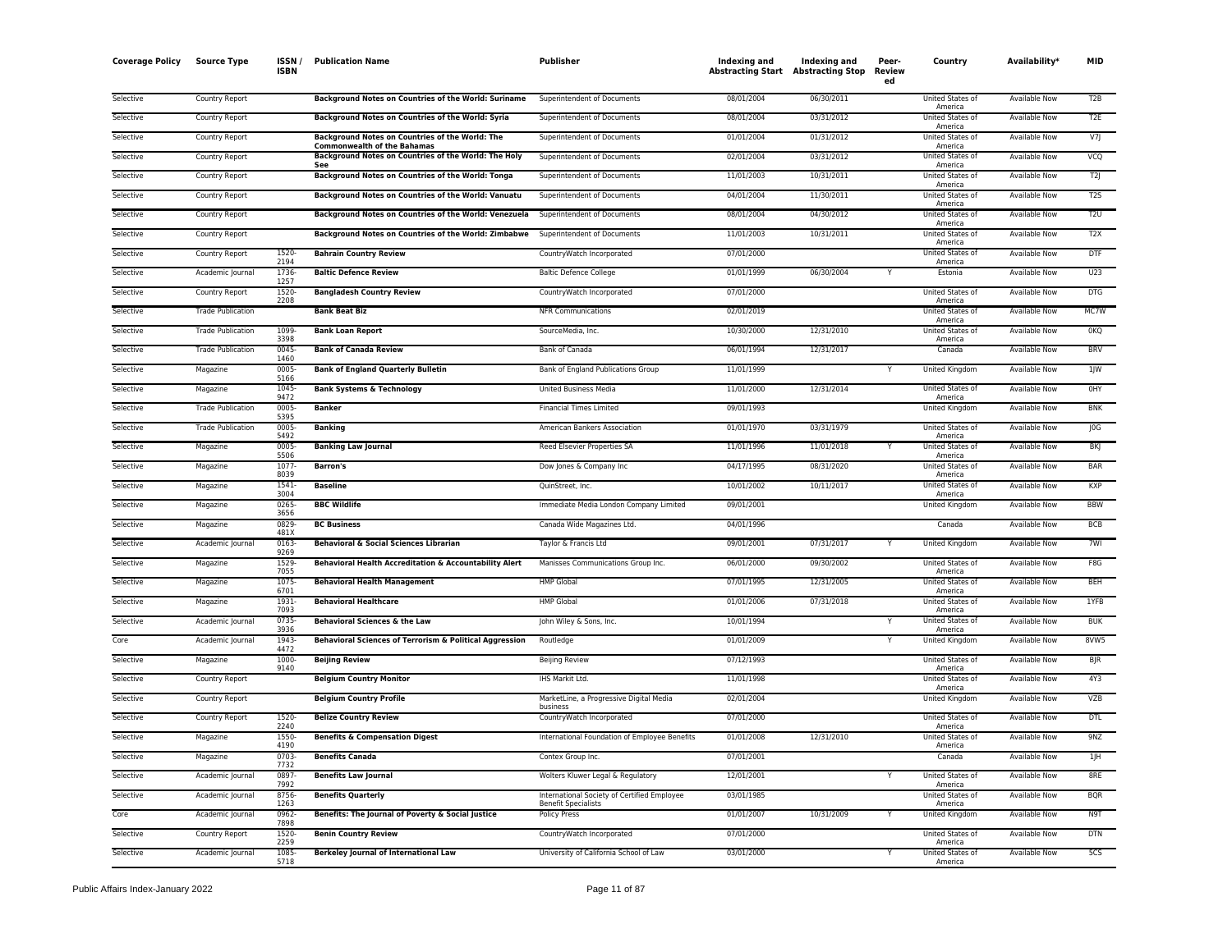| <b>Coverage Policy</b> | <b>Source Type</b>       | ISSN /<br><b>ISBN</b> | <b>Publication Name</b>                                                               | Publisher                                                                 | Indexing and<br><b>Abstracting Start Abstracting Stop</b> | Indexing and | Peer-<br>Review<br>ed | Country                            | Availability <sup>®</sup> | MID              |
|------------------------|--------------------------|-----------------------|---------------------------------------------------------------------------------------|---------------------------------------------------------------------------|-----------------------------------------------------------|--------------|-----------------------|------------------------------------|---------------------------|------------------|
| Selective              | Country Report           |                       | Background Notes on Countries of the World: Suriname                                  | Superintendent of Documents                                               | 08/01/2004                                                | 06/30/2011   |                       | United States of<br>America        | Available Now             | T <sub>2</sub> B |
| Selective              | Country Report           |                       | Background Notes on Countries of the World: Syria                                     | Superintendent of Documents                                               | 08/01/2004                                                | 03/31/2012   |                       | United States of<br>America        | Available Now             | T <sub>2E</sub>  |
| Selective              | Country Report           |                       | Background Notes on Countries of the World: The<br><b>Commonwealth of the Bahamas</b> | Superintendent of Documents                                               | 01/01/2004                                                | 01/31/2012   |                       | United States of<br>America        | Available Now             | V7               |
| Selective              | Country Report           |                       | Background Notes on Countries of the World: The Holy<br>See                           | Superintendent of Documents                                               | 02/01/2004                                                | 03/31/2012   |                       | United States of<br>America        | <b>Available Now</b>      | VCQ              |
| Selective              | Country Report           |                       | Background Notes on Countries of the World: Tonga                                     | Superintendent of Documents                                               | 11/01/2003                                                | 10/31/2011   |                       | United States of<br>America        | Available Now             | T2               |
| Selective              | Country Report           |                       | Background Notes on Countries of the World: Vanuatu                                   | Superintendent of Documents                                               | 04/01/2004                                                | 11/30/2011   |                       | <b>United States of</b><br>America | <b>Available Now</b>      | T2S              |
| Selective              | Country Report           |                       | Background Notes on Countries of the World: Venezuela                                 | Superintendent of Documents                                               | 08/01/2004                                                | 04/30/2012   |                       | United States of<br>America        | <b>Available Now</b>      | T2U              |
| Selective              | Country Report           |                       | Background Notes on Countries of the World: Zimbabwe                                  | Superintendent of Documents                                               | 11/01/2003                                                | 10/31/2011   |                       | United States of<br>America        | Available Now             | T <sub>2</sub> X |
| Selective              | Country Report           | 1520<br>2194          | <b>Bahrain Country Review</b>                                                         | CountryWatch Incorporated                                                 | 07/01/2000                                                |              |                       | United States of<br>America        | Available Now             | <b>DTF</b>       |
| Selective              | Academic Journal         | 1736<br>1257          | <b>Baltic Defence Review</b>                                                          | <b>Baltic Defence College</b>                                             | 01/01/1999                                                | 06/30/2004   |                       | Estonia                            | <b>Available Now</b>      | U23              |
| Selective              | Country Report           | 1520-<br>2208         | <b>Bangladesh Country Review</b>                                                      | CountryWatch Incorporated                                                 | 07/01/2000                                                |              |                       | United States of<br>America        | Available Now             | DTG              |
| Selective              | <b>Trade Publication</b> |                       | <b>Bank Beat Biz</b>                                                                  | <b>NFR Communications</b>                                                 | 02/01/2019                                                |              |                       | United States of<br>America        | <b>Available Now</b>      | MC7W             |
| Selective              | <b>Trade Publication</b> | 1099-<br>3398         | <b>Bank Loan Report</b>                                                               | SourceMedia, Inc.                                                         | 10/30/2000                                                | 12/31/2010   |                       | <b>United States of</b><br>America | <b>Available Now</b>      | 0 <sub>KO</sub>  |
| Selective              | <b>Trade Publication</b> | $0045 -$<br>1460      | <b>Bank of Canada Review</b>                                                          | <b>Bank of Canada</b>                                                     | 06/01/1994                                                | 12/31/2017   |                       | Canada                             | <b>Available Now</b>      | <b>BRV</b>       |
| Selective              | Magazine                 | 0005-<br>5166         | <b>Bank of England Quarterly Bulletin</b>                                             | Bank of England Publications Group                                        | 11/01/1999                                                |              |                       | United Kingdom                     | Available Now             | 1JW              |
| Selective              | Magazine                 | 1045<br>9472          | <b>Bank Systems &amp; Technology</b>                                                  | United Business Media                                                     | 11/01/2000                                                | 12/31/2014   |                       | United States of<br>America        | Available Now             | 0HY              |
| Selective              | <b>Trade Publication</b> | 0005-<br>5395         | <b>Banker</b>                                                                         | <b>Financial Times Limited</b>                                            | 09/01/1993                                                |              |                       | <b>United Kingdom</b>              | <b>Available Now</b>      | <b>BNK</b>       |
| Selective              | <b>Trade Publication</b> | 0005<br>5492          | <b>Banking</b>                                                                        | American Bankers Association                                              | 01/01/1970                                                | 03/31/1979   |                       | United States of<br>America        | Available Now             | J0G              |
| Selective              | Magazine                 | 0005-<br>5506         | <b>Banking Law Journal</b>                                                            | Reed Elsevier Properties SA                                               | 11/01/1996                                                | 11/01/2018   |                       | United States of<br>America        | <b>Available Now</b>      | <b>BKI</b>       |
| Selective              | Magazine                 | 1077<br>8039          | <b>Barron's</b>                                                                       | Dow Jones & Company Inc                                                   | 04/17/1995                                                | 08/31/2020   |                       | United States of<br>America        | <b>Available Now</b>      | <b>BAR</b>       |
| Selective              | Magazine                 | 1541-<br>3004         | <b>Baseline</b>                                                                       | QuinStreet, Inc.                                                          | 10/01/2002                                                | 10/11/2017   |                       | United States of<br>America        | Available Now             | <b>KXP</b>       |
| Selective              | Magazine                 | 0265<br>3656          | <b>BBC Wildlife</b>                                                                   | Immediate Media London Company Limited                                    | 09/01/2001                                                |              |                       | United Kingdom                     | Available Now             | <b>BBW</b>       |
| Selective              | Magazine                 | 0829<br>481X          | <b>BC Business</b>                                                                    | Canada Wide Magazines Ltd.                                                | 04/01/1996                                                |              |                       | Canada                             | Available Now             | BCB              |
| Selective              | Academic Journal         | 0163<br>9269          | Behavioral & Social Sciences Librarian                                                | Taylor & Francis Ltd                                                      | 09/01/2001                                                | 07/31/2017   |                       | <b>United Kingdom</b>              | <b>Available Now</b>      | 7WI              |
| Selective              | Magazine                 | 1529-<br>7055         | Behavioral Health Accreditation & Accountability Alert                                | Manisses Communications Group Inc.                                        | 06/01/2000                                                | 09/30/2002   |                       | United States of<br>America        | Available Now             | F8G              |
| Selective              | Magazine                 | 1075-<br>6701         | <b>Behavioral Health Management</b>                                                   | <b>HMP Global</b>                                                         | 07/01/1995                                                | 12/31/2005   |                       | <b>United States of</b><br>America | <b>Available Now</b>      | <b>BEH</b>       |
| Selective              | Magazine                 | 1931<br>7093          | <b>Behavioral Healthcare</b>                                                          | <b>HMP Global</b>                                                         | 01/01/2006                                                | 07/31/2018   |                       | United States of<br>America        | <b>Available Now</b>      | 1YFB             |
| Selective              | Academic Journal         | 0735-<br>3936         | Behavioral Sciences & the Law                                                         | John Wiley & Sons, Inc.                                                   | 10/01/1994                                                |              |                       | United States of<br>America        | Available Now             | <b>BUK</b>       |
| Core                   | Academic Journal         | 1943<br>4472          | Behavioral Sciences of Terrorism & Political Aggression                               | Routledge                                                                 | 01/01/2009                                                |              |                       | United Kingdom                     | Available Now             | 8VW5             |
| Selective              | Magazine                 | 1000<br>9140          | <b>Beijing Review</b>                                                                 | <b>Beijing Review</b>                                                     | 07/12/1993                                                |              |                       | United States of<br>America        | <b>Available Now</b>      | <b>BJR</b>       |
| Selective              | Country Report           |                       | <b>Belgium Country Monitor</b>                                                        | IHS Markit Ltd.                                                           | 11/01/1998                                                |              |                       | United States of<br>America        | Available Now             | 4Y3              |
| Selective              | <b>Country Report</b>    |                       | <b>Belgium Country Profile</b>                                                        | MarketLine, a Progressive Digital Media<br>business                       | 02/01/2004                                                |              |                       | <b>United Kingdom</b>              | <b>Available Now</b>      | <b>VZB</b>       |
| Selective              | Country Report           | $1520 -$<br>2240      | <b>Belize Country Review</b>                                                          | CountryWatch Incorporated                                                 | 07/01/2000                                                |              |                       | <b>United States of</b><br>America | <b>Available Now</b>      | <b>DTL</b>       |
| Selective              | Magazine                 | 1550<br>4190          | <b>Benefits &amp; Compensation Digest</b>                                             | International Foundation of Employee Benefits                             | 01/01/2008                                                | 12/31/2010   |                       | United States of<br>America        | <b>Available Now</b>      | 9NZ              |
| Selective              | Magazine                 | 0703<br>7732          | <b>Benefits Canada</b>                                                                | Contex Group Inc.                                                         | 07/01/2001                                                |              |                       | Canada                             | Available Now             | 1JH              |
| Selective              | Academic Journal         | 0897-<br>7992         | <b>Benefits Law Journal</b>                                                           | Wolters Kluwer Legal & Regulatory                                         | 12/01/2001                                                |              |                       | <b>United States of</b><br>America | Available Now             | 8RE              |
| Selective              | Academic Journal         | 8756-<br>1263         | <b>Benefits Quarterly</b>                                                             | International Society of Certified Employee<br><b>Benefit Specialists</b> | 03/01/1985                                                |              |                       | United States of<br>America        | <b>Available Now</b>      | <b>BQR</b>       |
| Core                   | Academic Journal         | 0962-<br>7898         | Benefits: The Journal of Poverty & Social Justice                                     | <b>Policy Press</b>                                                       | 01/01/2007                                                | 10/31/2009   |                       | United Kingdom                     | Available Now             | N9T              |
| Selective              | Country Report           | 1520-<br>2259         | <b>Benin Country Review</b>                                                           | CountryWatch Incorporated                                                 | 07/01/2000                                                |              |                       | United States of<br>America        | <b>Available Now</b>      | <b>DTN</b>       |
| Selective              | Academic Journal         | 1085-<br>5718         | <b>Berkeley Journal of International Law</b>                                          | University of California School of Law                                    | 03/01/2000                                                |              |                       | United States of<br>America        | Available Now             | 5 <sub>CS</sub>  |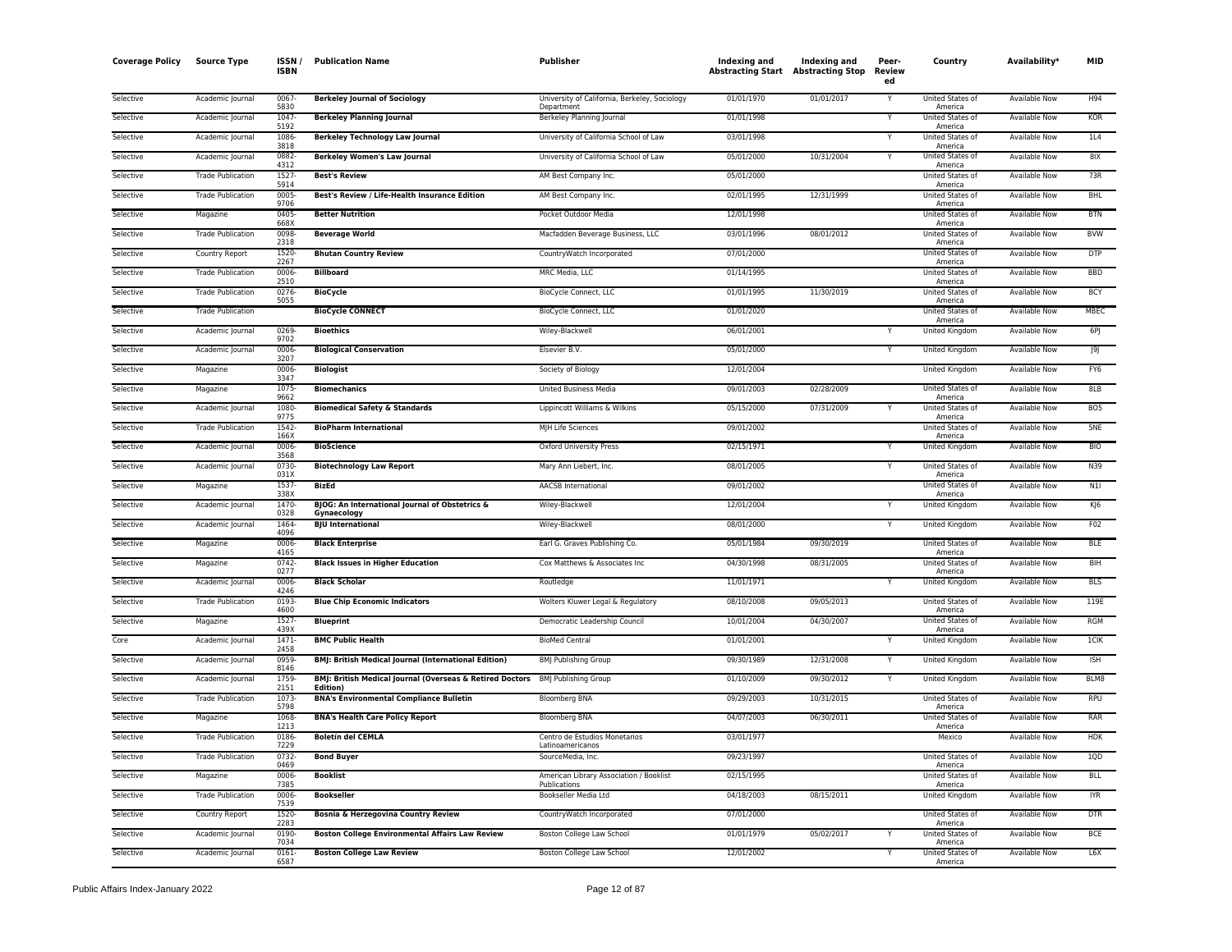| <b>Coverage Policy</b> | <b>Source Type</b>       | ISSN<br><b>ISBN</b> | <b>Publication Name</b>                                                                   | Publisher                                                   | Indexing and<br><b>Abstracting Start</b> Abstracting Stop | Indexing and | Peer-<br><b>Review</b><br>ed | Country                     | Availability*        | MID             |
|------------------------|--------------------------|---------------------|-------------------------------------------------------------------------------------------|-------------------------------------------------------------|-----------------------------------------------------------|--------------|------------------------------|-----------------------------|----------------------|-----------------|
| Selective              | Academic Journal         | 0067<br>5830        | <b>Berkeley Journal of Sociology</b>                                                      | University of California, Berkeley, Sociology<br>Department | 01/01/1970                                                | 01/01/2017   | Y                            | United States of<br>America | <b>Available Now</b> | H94             |
| Selective              | Academic Journal         | 1047<br>5192        | <b>Berkeley Planning Journal</b>                                                          | Berkeley Planning Journal                                   | 01/01/1998                                                |              | Y                            | United States of<br>America | Available Now        | <b>KOR</b>      |
| Selective              | Academic Journal         | 1086<br>3818        | <b>Berkeley Technology Law Journal</b>                                                    | University of California School of Law                      | 03/01/1998                                                |              | Y                            | United States of<br>America | Available Now        | 1L4             |
| Selective              | Academic Journal         | 0882<br>4312        | <b>Berkeley Women's Law Journal</b>                                                       | University of California School of Law                      | 05/01/2000                                                | 10/31/2004   | Y                            | United States of<br>America | Available Now        | 81X             |
| Selective              | <b>Trade Publication</b> | 1527<br>5914        | <b>Best's Review</b>                                                                      | AM Best Company Inc.                                        | 05/01/2000                                                |              |                              | United States of<br>America | Available Now        | 73R             |
| Selective              | <b>Trade Publication</b> | 0005<br>9706        | Best's Review / Life-Health Insurance Edition                                             | AM Best Company Inc.                                        | 02/01/1995                                                | 12/31/1999   |                              | United States of<br>America | <b>Available Now</b> | <b>BHL</b>      |
| Selective              | Magazine                 | 0405<br>668X        | <b>Better Nutrition</b>                                                                   | Pocket Outdoor Media                                        | 12/01/1998                                                |              |                              | United States of<br>America | <b>Available Now</b> | <b>BTN</b>      |
| Selective              | <b>Trade Publication</b> | 0098<br>2318        | <b>Beverage World</b>                                                                     | Macfadden Beverage Business, LLC                            | 03/01/1996                                                | 08/01/2012   |                              | United States of<br>America | Available Now        | <b>BVW</b>      |
| Selective              | Country Report           | 1520<br>2267        | <b>Bhutan Country Review</b>                                                              | CountryWatch Incorporated                                   | 07/01/2000                                                |              |                              | United States of<br>America | Available Now        | <b>DTP</b>      |
| Selective              | <b>Trade Publication</b> | 0006<br>2510        | <b>Billboard</b>                                                                          | MRC Media, LLC                                              | 01/14/1995                                                |              |                              | United States of<br>America | <b>Available Now</b> | <b>BBD</b>      |
| Selective              | <b>Trade Publication</b> | 0276<br>5055        | <b>BioCycle</b>                                                                           | BioCycle Connect, LLC                                       | 01/01/1995                                                | 11/30/2019   |                              | United States of<br>America | Available Now        | <b>BCY</b>      |
| Selective              | <b>Trade Publication</b> |                     | <b>BioCycle CONNECT</b>                                                                   | <b>BioCycle Connect, LLC</b>                                | 01/01/2020                                                |              |                              | United States of<br>America | <b>Available Now</b> | <b>MBEC</b>     |
| Selective              | Academic Journal         | 0269<br>9702        | <b>Bioethics</b>                                                                          | Wiley-Blackwell                                             | 06/01/2001                                                |              | Υ                            | United Kingdom              | Available Now        | 6PJ             |
| Selective              | Academic Journal         | 0006<br>3207        | <b>Biological Conservation</b>                                                            | Elsevier B.V.                                               | 05/01/2000                                                |              | Y                            | United Kingdom              | <b>Available Now</b> | J9J             |
| Selective              | Magazine                 | 0006<br>3347        | <b>Biologist</b>                                                                          | Society of Biology                                          | 12/01/2004                                                |              |                              | United Kingdom              | Available Now        | FY6             |
| Selective              | Magazine                 | 1075<br>9662        | <b>Biomechanics</b>                                                                       | <b>United Business Media</b>                                | 09/01/2003                                                | 02/28/2009   |                              | United States of<br>America | <b>Available Now</b> | 8LB             |
| Selective              | Academic Journal         | 1080<br>9775        | <b>Biomedical Safety &amp; Standards</b>                                                  | Lippincott Williams & Wilkins                               | 05/15/2000                                                | 07/31/2009   |                              | United States of<br>America | Available Now        | BO <sub>5</sub> |
| Selective              | <b>Trade Publication</b> | 1542<br>166X        | <b>BioPharm International</b>                                                             | MJH Life Sciences                                           | 09/01/2002                                                |              |                              | United States of<br>America | <b>Available Now</b> | 5NE             |
| Selective              | Academic Journal         | 0006<br>3568        | <b>BioScience</b>                                                                         | Oxford University Press                                     | 02/15/1971                                                |              | Υ                            | United Kingdom              | Available Now        | <b>BIO</b>      |
| Selective              | Academic Journal         | 0730<br>031X        | <b>Biotechnology Law Report</b>                                                           | Mary Ann Liebert, Inc.                                      | 08/01/2005                                                |              | v                            | United States of<br>America | Available Now        | N39             |
| Selective              | Magazine                 | 1537<br>338X        | <b>BizEd</b>                                                                              | <b>AACSB</b> International                                  | 09/01/2002                                                |              |                              | United States of<br>America | Available Now        | N11             |
| Selective              | Academic Journal         | 1470<br>0328        | BJOG: An International Journal of Obstetrics &<br>Gynaecology                             | Wiley-Blackwell                                             | 12/01/2004                                                |              | Y                            | United Kingdom              | <b>Available Now</b> | KJ6             |
| Selective              | Academic Journal         | 1464<br>4096        | <b>BJU</b> International                                                                  | Wiley-Blackwell                                             | 08/01/2000                                                |              | Y                            | United Kingdom              | Available Now        | F02             |
| Selective              | Magazine                 | 0006<br>4165        | <b>Black Enterprise</b>                                                                   | Earl G. Graves Publishing Co.                               | 05/01/1984                                                | 09/30/2019   |                              | United States of<br>America | <b>Available Now</b> | <b>BLE</b>      |
| Selective              | Magazine                 | $0742 -$<br>0277    | <b>Black Issues in Higher Education</b>                                                   | Cox Matthews & Associates Inc                               | 04/30/1998                                                | 08/31/2005   |                              | United States of<br>America | Available Now        | BIH             |
| Selective              | Academic Journal         | 0006<br>4246        | <b>Black Scholar</b>                                                                      | Routledge                                                   | 11/01/1971                                                |              | Y                            | United Kingdom              | Available Now        | <b>BLS</b>      |
| Selective              | <b>Trade Publication</b> | 0193<br>4600        | <b>Blue Chip Economic Indicators</b>                                                      | Wolters Kluwer Legal & Regulatory                           | 08/10/2008                                                | 09/05/2013   |                              | United States of<br>America | Available Now        | 119E            |
| Selective              | Magazine                 | 1527<br>439X        | <b>Blueprint</b>                                                                          | Democratic Leadership Council                               | 10/01/2004                                                | 04/30/2007   |                              | United States of<br>America | <b>Available Now</b> | <b>RGM</b>      |
| Core                   | Academic Journal         | 1471<br>2458        | <b>BMC Public Health</b>                                                                  | <b>BioMed Central</b>                                       | 01/01/2001                                                |              |                              | United Kingdom              | Available Now        | <b>ICIK</b>     |
| Selective              | Academic Iournal         | 0959<br>8146        | <b>BMJ: British Medical Journal (International Edition)</b>                               | <b>BMJ Publishing Group</b>                                 | 09/30/1989                                                | 12/31/2008   | Y                            | United Kingdom              | <b>Available Now</b> | <b>ISH</b>      |
| Selective              | Academic Journal         | 1759<br>2151        | BMJ: British Medical Journal (Overseas & Retired Doctors BMJ Publishing Group<br>Edition) |                                                             | 01/10/2009                                                | 09/30/2012   | Υ                            | United Kingdom              | Available Now        | BLM8            |
| Selective              | <b>Trade Publication</b> | 1073<br>5798        | <b>BNA's Environmental Compliance Bulletin</b>                                            | <b>Bloomberg BNA</b>                                        | 09/29/2003                                                | 10/31/2015   |                              | United States of<br>America | Available Now        | <b>RPU</b>      |
| Selective              | Magazine                 | 1068<br>1213        | <b>BNA's Health Care Policy Report</b>                                                    | Bloomberg BNA                                               | 04/07/2003                                                | 06/30/2011   |                              | United States of<br>America | Available Now        | RAR             |
| Selective              | <b>Trade Publication</b> | 0186<br>7229        | <b>Boletín del CEMLA</b>                                                                  | Centro de Estudios Monetarios<br>Latinoamericanos           | 03/01/1977                                                |              |                              | Mexico                      | <b>Available Now</b> | <b>HDK</b>      |
| Selective              | <b>Trade Publication</b> | 0732<br>0469        | <b>Bond Buyer</b>                                                                         | SourceMedia, Inc.                                           | 09/23/1997                                                |              |                              | United States of<br>America | Available Now        | 1QD             |
| Selective              | Magazine                 | 0006<br>7385        | <b>Booklist</b>                                                                           | American Library Association / Booklist<br>Publications     | 02/15/1995                                                |              |                              | United States of<br>America | <b>Available Now</b> | <b>BLL</b>      |
| Selective              | <b>Trade Publication</b> | 0006<br>7539        | <b>Bookseller</b>                                                                         | Bookseller Media Ltd                                        | 04/18/2003                                                | 08/15/2011   |                              | United Kingdom              | Available Now        | IYR             |
| Selective              | Country Report           | 1520<br>2283        | Bosnia & Herzegovina Country Review                                                       | CountryWatch Incorporated                                   | 07/01/2000                                                |              |                              | United States of<br>America | Available Now        | <b>DTR</b>      |
| Selective              | Academic Journal         | 0190<br>7034        | <b>Boston College Environmental Affairs Law Review</b>                                    | Boston College Law School                                   | 01/01/1979                                                | 05/02/2017   |                              | United States of<br>America | Available Now        | <b>BCE</b>      |
| Selective              | Academic Journal         | 0161<br>6587        | <b>Boston College Law Review</b>                                                          | Boston College Law School                                   | 12/01/2002                                                |              | Y                            | United States of<br>America | <b>Available Now</b> | L6X             |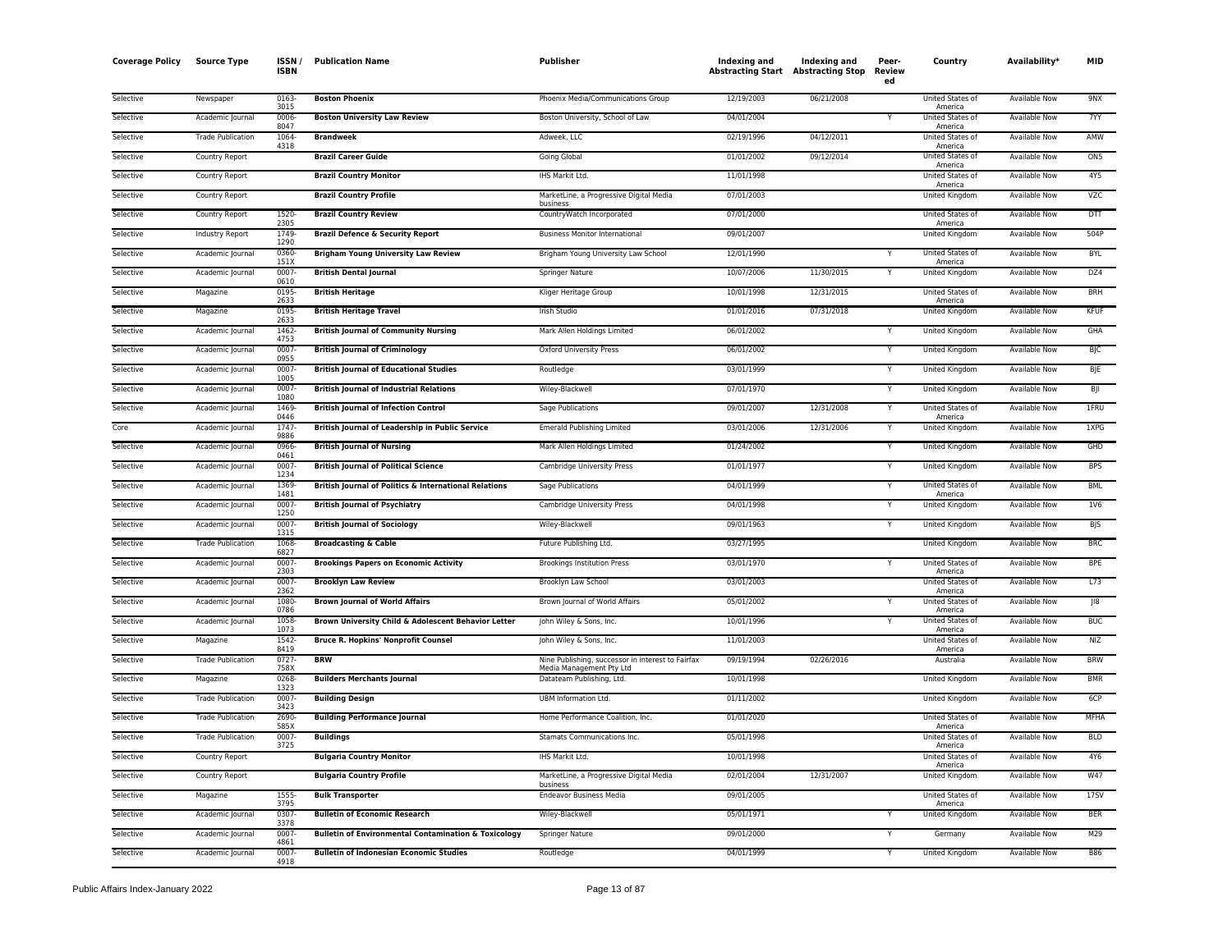| <b>Coverage Policy</b> | <b>Source Type</b>       | ISSN.<br>ISBN        | <b>Publication Name</b>                                         | Publisher                                                                     | Indexing and<br><b>Abstracting Start Abstracting Stop</b> | <b>Indexing and</b> | Peer-<br>Review<br>ed | Country                            | Availability <sup>*</sup> | <b>MID</b>              |
|------------------------|--------------------------|----------------------|-----------------------------------------------------------------|-------------------------------------------------------------------------------|-----------------------------------------------------------|---------------------|-----------------------|------------------------------------|---------------------------|-------------------------|
| Selective              | Newspaper                | 0163<br>3015         | <b>Boston Phoenix</b>                                           | Phoenix Media/Communications Group                                            | 12/19/2003                                                | 06/21/2008          |                       | United States of                   | Available Now             | 9NX                     |
| Selective              | Academic Journal         | 0006<br>8047         | <b>Boston University Law Review</b>                             | Boston University, School of Law                                              | 04/01/2004                                                |                     |                       | America<br>United States of        | <b>Available Now</b>      | 7YY                     |
| Selective              | <b>Trade Publication</b> | 1064                 | <b>Brandweek</b>                                                | Adweek, LLC                                                                   | 02/19/1996                                                | 04/12/2011          |                       | America<br>United States of        | Available Now             | <b>AMW</b>              |
| Selective              | <b>Country Report</b>    | 4318                 | <b>Brazil Career Guide</b>                                      | Going Global                                                                  | 01/01/2002                                                | 09/12/2014          |                       | America<br>United States of        | <b>Available Now</b>      | ON <sub>5</sub>         |
| Selective              | Country Report           |                      | <b>Brazil Country Monitor</b>                                   | IHS Markit Ltd.                                                               | 11/01/1998                                                |                     |                       | America<br><b>United States of</b> | Available Now             | 4Y5                     |
| Selective              | Country Report           |                      | <b>Brazil Country Profile</b>                                   | MarketLine, a Progressive Digital Media                                       | 07/01/2003                                                |                     |                       | America<br>United Kingdom          | Available Now             | <b>VZC</b>              |
| Selective              | Country Report           | 1520                 | <b>Brazil Country Review</b>                                    | business<br>CountryWatch Incorporated                                         | 07/01/2000                                                |                     |                       | United States of                   | Available Now             | <b>DTT</b>              |
| Selective              | Industry Report          | 2305<br>1749<br>1290 | <b>Brazil Defence &amp; Security Report</b>                     | <b>Business Monitor International</b>                                         | 09/01/2007                                                |                     |                       | America<br>United Kingdom          | Available Now             | 504P                    |
| Selective              | Academic Journal         | 0360                 | <b>Brigham Young University Law Review</b>                      | Brigham Young University Law School                                           | 12/01/1990                                                |                     |                       | United States of                   | <b>Available Now</b>      | <b>BYL</b>              |
| Selective              | Academic Journal         | 151X<br>0007<br>0610 | <b>British Dental Journal</b>                                   | Springer Nature                                                               | 10/07/2006                                                | 11/30/2015          | Y                     | America<br>United Kingdom          | <b>Available Now</b>      | DZ4                     |
| Selective              | Magazine                 | 0195<br>2633         | <b>British Heritage</b>                                         | Kliger Heritage Group                                                         | 10/01/1998                                                | 12/31/2015          |                       | United States of                   | <b>Available Now</b>      | <b>BRH</b>              |
| Selective              | Magazine                 | 0195<br>2633         | <b>British Heritage Travel</b>                                  | Irish Studio                                                                  | 01/01/2016                                                | 07/31/2018          |                       | America<br>United Kingdom          | Available Now             | <b>KFUF</b>             |
| Selective              | Academic Journal         | 1462<br>4753         | <b>British Journal of Community Nursing</b>                     | Mark Allen Holdings Limited                                                   | 06/01/2002                                                |                     |                       | United Kingdom                     | Available Now             | GHA                     |
| Selective              | Academic Journal         | 0007<br>0955         | <b>British Journal of Criminology</b>                           | Oxford University Press                                                       | 06/01/2002                                                |                     | Y                     | United Kingdom                     | Available Now             | BJC                     |
| Selective              | Academic Journal         | 0007<br>1005         | <b>British Journal of Educational Studies</b>                   | Routledge                                                                     | 03/01/1999                                                |                     |                       | United Kingdom                     | Available Now             | BJE                     |
| Selective              | Academic Journal         | 0007<br>1080         | <b>British Journal of Industrial Relations</b>                  | Wiley-Blackwell                                                               | 07/01/1970                                                |                     | Y                     | <b>United Kingdom</b>              | <b>Available Now</b>      | BJI                     |
| Selective              | Academic Journal         | 1469<br>0446         | <b>British Journal of Infection Control</b>                     | Sage Publications                                                             | 09/01/2007                                                | 12/31/2008          | Y                     | United States of<br>America        | <b>Available Now</b>      | 1FRU                    |
| Core                   | Academic Journal         | 1747<br>9886         | <b>British Journal of Leadership in Public Service</b>          | <b>Emerald Publishing Limited</b>                                             | 03/01/2006                                                | 12/31/2006          | Y                     | United Kingdom                     | <b>Available Now</b>      | 1XPG                    |
| Selective              | Academic Journal         | 0966<br>0461         | <b>British Journal of Nursing</b>                               | Mark Allen Holdings Limited                                                   | 01/24/2002                                                |                     |                       | United Kingdom                     | Available Now             | GHD                     |
| Selective              | Academic Journal         | 0007<br>1234         | <b>British Journal of Political Science</b>                     | Cambridge University Press                                                    | 01/01/1977                                                |                     |                       | United Kingdom                     | <b>Available Now</b>      | <b>BPS</b>              |
| Selective              | Academic Journal         | 1369<br>1481         | British Journal of Politics & International Relations           | Sage Publications                                                             | 04/01/1999                                                |                     | Y                     | United States of<br>America        | <b>Available Now</b>      | <b>BML</b>              |
| Selective              | Academic Journal         | 0007<br>1250         | <b>British Journal of Psychiatry</b>                            | Cambridge University Press                                                    | 04/01/1998                                                |                     |                       | <b>United Kingdom</b>              | <b>Available Now</b>      | 1V6                     |
| Selective              | Academic Journal         | 0007<br>1315         | <b>British Journal of Sociology</b>                             | Wiley-Blackwell                                                               | 09/01/1963                                                |                     | Y                     | <b>United Kingdom</b>              | <b>Available Now</b>      | <b>BJS</b>              |
| Selective              | <b>Trade Publication</b> | 1068<br>6827         | <b>Broadcasting &amp; Cable</b>                                 | Future Publishing Ltd.                                                        | 03/27/1995                                                |                     |                       | <b>United Kingdom</b>              | <b>Available Now</b>      | <b>BRC</b>              |
| Selective              | Academic Journal         | 0007<br>2303         | <b>Brookings Papers on Economic Activity</b>                    | <b>Brookings Institution Press</b>                                            | 03/01/1970                                                |                     | Y                     | United States of<br>America        | Available Now             | <b>BPE</b>              |
| Selective              | Academic Journal         | 0007<br>2362         | <b>Brooklyn Law Review</b>                                      | Brooklyn Law School                                                           | 03/01/2003                                                |                     |                       | United States of<br>America        | Available Now             | L73                     |
| Selective              | Academic Journal         | 1080<br>0786         | <b>Brown Journal of World Affairs</b>                           | Brown Journal of World Affairs                                                | 05/01/2002                                                |                     |                       | United States of<br>America        | <b>Available Now</b>      | $\overline{\text{II8}}$ |
| Selective              | Academic Journal         | 1058<br>1073         | Brown University Child & Adolescent Behavior Letter             | John Wiley & Sons, Inc.                                                       | 10/01/1996                                                |                     |                       | United States of<br>America        | Available Now             | <b>BUC</b>              |
| Selective              | Magazine                 | 1542<br>8419         | <b>Bruce R. Hopkins' Nonprofit Counsel</b>                      | John Wiley & Sons, Inc.                                                       | 11/01/2003                                                |                     |                       | United States of<br>America        | <b>Available Now</b>      | NIZ                     |
| Selective              | <b>Trade Publication</b> | 0727<br>758X         | <b>RRW</b>                                                      | Nine Publishing, successor in interest to Fairfax<br>Media Management Pty Ltd | 09/19/1994                                                | 02/26/2016          |                       | Australia                          | Available Now             | <b>BRW</b>              |
| Selective              | Magazine                 | 0268<br>1323         | <b>Builders Merchants Journal</b>                               | Datateam Publishing, Ltd.                                                     | 10/01/1998                                                |                     |                       | <b>United Kingdom</b>              | Available Now             | <b>BMR</b>              |
| Selective              | <b>Trade Publication</b> | 0007<br>3423         | <b>Building Design</b>                                          | UBM Information Ltd.                                                          | 01/11/2002                                                |                     |                       | United Kingdom                     | Available Now             | 6CP                     |
| Selective              | <b>Trade Publication</b> | 2690<br>585X         | <b>Building Performance Journal</b>                             | Home Performance Coalition, Inc.                                              | 01/01/2020                                                |                     |                       | United States of<br>America        | Available Now             | MFHA                    |
| Selective              | <b>Trade Publication</b> | 0007<br>3725         | <b>Buildings</b>                                                | Stamats Communications Inc.                                                   | 05/01/1998                                                |                     |                       | United States of<br>America        | Available Now             | <b>BLD</b>              |
| Selective              | Country Report           |                      | <b>Bulgaria Country Monitor</b>                                 | IHS Markit Ltd.                                                               | 10/01/1998                                                |                     |                       | United States of<br>America        | Available Now             | 4Y6                     |
| Selective              | Country Report           |                      | <b>Bulgaria Country Profile</b>                                 | MarketLine, a Progressive Digital Media<br>business                           | 02/01/2004                                                | 12/31/2007          |                       | <b>United Kingdom</b>              | <b>Available Now</b>      | <b>W47</b>              |
| Selective              | Magazine                 | 1555<br>3795         | <b>Bulk Transporter</b>                                         | <b>Endeavor Business Media</b>                                                | 09/01/2005                                                |                     |                       | United States of<br>America        | Available Now             | 17SV                    |
| Selective              | Academic Journal         | 0307<br>3378         | <b>Bulletin of Economic Research</b>                            | Wiley-Blackwell                                                               | 05/01/1971                                                |                     |                       | United Kingdom                     | Available Now             | <b>BER</b>              |
| Selective              | Academic Journal         | 0007<br>4861         | <b>Bulletin of Environmental Contamination &amp; Toxicology</b> | Springer Nature                                                               | 09/01/2000                                                |                     |                       | Germany                            | Available Now             | M29                     |
| Selective              | Academic Journal         | 0007<br>4918         | <b>Bulletin of Indonesian Economic Studies</b>                  | Routledge                                                                     | 04/01/1999                                                |                     | Y                     | United Kingdom                     | <b>Available Now</b>      | <b>B86</b>              |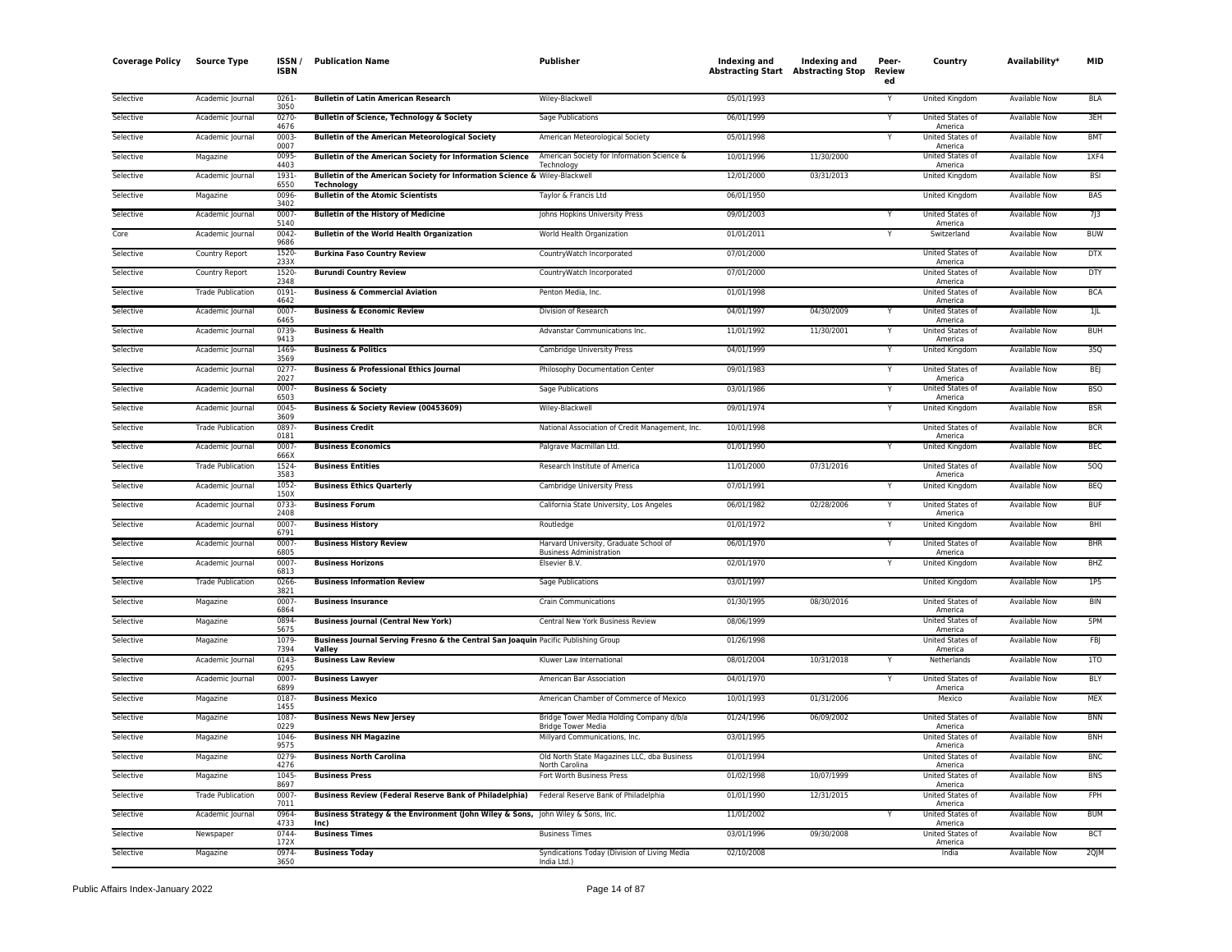| <b>Coverage Policy</b> | <b>Source Type</b>       | ISSN<br><b>ISBN</b> | <b>Publication Name</b>                                                                      | Publisher                                                                | Indexing and<br><b>Abstracting Start Abstracting Stop</b> | Indexing and | Peer-<br><b>Review</b><br>ed | Country                            | Availability*        | MID        |
|------------------------|--------------------------|---------------------|----------------------------------------------------------------------------------------------|--------------------------------------------------------------------------|-----------------------------------------------------------|--------------|------------------------------|------------------------------------|----------------------|------------|
| Selective              | Academic Journal         | 0261<br>3050        | <b>Bulletin of Latin American Research</b>                                                   | Wiley-Blackwell                                                          | 05/01/1993                                                |              |                              | United Kingdom                     | Available Now        | <b>BLA</b> |
| Selective              | Academic Journal         | 0270<br>4676        | <b>Bulletin of Science, Technology &amp; Society</b>                                         | Sage Publications                                                        | 06/01/1999                                                |              |                              | United States of<br>America        | Available Now        | 3EH        |
| Selective              | Academic Journal         | 0003<br>0007        | <b>Bulletin of the American Meteorological Society</b>                                       | American Meteorological Society                                          | 05/01/1998                                                |              |                              | United States of<br>America        | Available Now        | <b>BMT</b> |
| Selective              | Magazine                 | 0095<br>4403        | <b>Bulletin of the American Society for Information Science</b>                              | American Society for Information Science &<br>Technology                 | 10/01/1996                                                | 11/30/2000   |                              | United States of<br>America        | <b>Available Now</b> | 1XF4       |
| Selective              | Academic Journal         | 1931<br>6550        | Bulletin of the American Society for Information Science & Wiley-Blackwell<br>Technology     |                                                                          | 12/01/2000                                                | 03/31/2013   |                              | United Kingdom                     | Available Now        | <b>BSI</b> |
| Selective              | Magazine                 | 0096<br>3402        | <b>Bulletin of the Atomic Scientists</b>                                                     | Taylor & Francis Ltd                                                     | 06/01/1950                                                |              |                              | <b>United Kingdom</b>              | <b>Available Now</b> | <b>BAS</b> |
| Selective              | Academic Journal         | 0007<br>5140        | <b>Bulletin of the History of Medicine</b>                                                   | Johns Hopkins University Press                                           | 09/01/2003                                                |              |                              | United States of<br>America        | <b>Available Now</b> | 7j3        |
| Core                   | Academic Journal         | 0042<br>9686        | <b>Bulletin of the World Health Organization</b>                                             | World Health Organization                                                | 01/01/2011                                                |              |                              | Switzerland                        | <b>Available Now</b> | <b>BUW</b> |
| Selective              | Country Report           | 1520<br>233X        | <b>Burkina Faso Country Review</b>                                                           | CountryWatch Incorporated                                                | 07/01/2000                                                |              |                              | United States of<br>America        | Available Now        | <b>DTX</b> |
| Selective              | Country Report           | 1520<br>2348        | <b>Burundi Country Review</b>                                                                | CountryWatch Incorporated                                                | 07/01/2000                                                |              |                              | United States of<br>America        | <b>Available Now</b> | DTY        |
| Selective              | <b>Trade Publication</b> | 0191<br>4642        | <b>Business &amp; Commercial Aviation</b>                                                    | Penton Media, Inc.                                                       | 01/01/1998                                                |              |                              | United States of<br>America        | <b>Available Now</b> | <b>BCA</b> |
| Selective              | Academic Journal         | 0007<br>6465        | <b>Business &amp; Economic Review</b>                                                        | Division of Research                                                     | 04/01/1997                                                | 04/30/2009   |                              | <b>United States of</b><br>America | <b>Available Now</b> | 1/L        |
| Selective              | Academic Journal         | 0739<br>9413        | <b>Business &amp; Health</b>                                                                 | Advanstar Communications Inc.                                            | 11/01/1992                                                | 11/30/2001   | Y                            | <b>United States of</b><br>America | <b>Available Now</b> | <b>BUH</b> |
| Selective              | Academic Journal         | 1469<br>3569        | <b>Business &amp; Politics</b>                                                               | Cambridge University Press                                               | 04/01/1999                                                |              |                              | United Kingdom                     | Available Now        | 350        |
| Selective              | Academic Journal         | 0277<br>2027        | <b>Business &amp; Professional Ethics Journal</b>                                            | Philosophy Documentation Center                                          | 09/01/1983                                                |              | Y                            | United States of<br>America        | Available Now        | <b>BEJ</b> |
| Selective              | Academic Journal         | 0007-<br>6503       | <b>Business &amp; Society</b>                                                                | Sage Publications                                                        | 03/01/1986                                                |              | Y                            | United States of<br>America        | Available Now        | <b>BSO</b> |
| Selective              | Academic Journal         | 0045<br>3609        | Business & Society Review (00453609)                                                         | Wiley-Blackwell                                                          | 09/01/1974                                                |              |                              | United Kingdom                     | Available Now        | <b>BSR</b> |
| Selective              | <b>Trade Publication</b> | 0897<br>0181        | <b>Business Credit</b>                                                                       | National Association of Credit Management, Inc.                          | 10/01/1998                                                |              |                              | United States of<br>America        | <b>Available Now</b> | <b>BCR</b> |
| Selective              | Academic Journal         | 0007<br>666X        | <b>Business Economics</b>                                                                    | Palgrave Macmillan Ltd.                                                  | 01/01/1990                                                |              |                              | United Kingdom                     | Available Now        | <b>BEC</b> |
| Selective              | <b>Trade Publication</b> | 1524<br>3583        | <b>Business Entities</b>                                                                     | Research Institute of America                                            | 11/01/2000                                                | 07/31/2016   |                              | <b>United States of</b><br>America | <b>Available Now</b> | 500        |
| Selective              | Academic Journal         | 1052<br>150X        | <b>Business Ethics Quarterly</b>                                                             | Cambridge University Press                                               | 07/01/1991                                                |              | Y                            | United Kingdom                     | <b>Available Now</b> | <b>BEQ</b> |
| Selective              | Academic Journal         | 0733<br>2408        | <b>Business Forum</b>                                                                        | California State University, Los Angeles                                 | 06/01/1982                                                | 02/28/2006   | Y                            | United States of<br>America        | Available Now        | <b>BUF</b> |
| Selective              | Academic Journal         | 0007<br>6791        | <b>Business History</b>                                                                      | Routledge                                                                | 01/01/1972                                                |              |                              | United Kingdom                     | Available Now        | BHI        |
| Selective              | Academic Journal         | 0007<br>6805        | <b>Business History Review</b>                                                               | Harvard University, Graduate School of<br><b>Business Administration</b> | 06/01/1970                                                |              |                              | United States of<br>America        | Available Now        | <b>BHR</b> |
| Selective              | Academic Journal         | 0007-<br>6813       | <b>Business Horizons</b>                                                                     | Elsevier B.V                                                             | 02/01/1970                                                |              | Y                            | United Kingdom                     | Available Now        | <b>BHZ</b> |
| Selective              | <b>Trade Publication</b> | 0266<br>3821        | <b>Business Information Review</b>                                                           | Sage Publications                                                        | 03/01/1997                                                |              |                              | United Kingdom                     | <b>Available Now</b> | 1P5        |
| Selective              | Magazine                 | 0007<br>6864        | <b>Business Insurance</b>                                                                    | <b>Crain Communications</b>                                              | 01/30/1995                                                | 08/30/2016   |                              | <b>United States of</b><br>America | <b>Available Now</b> | <b>BIN</b> |
| Selective              | Magazine                 | 0894<br>5675        | <b>Business Journal (Central New York)</b>                                                   | Central New York Business Review                                         | 08/06/1999                                                |              |                              | United States of<br>America        | <b>Available Now</b> | 5PM        |
| Selective              | Magazine                 | 1079<br>7394        | Business Journal Serving Fresno & the Central San Joaquin Pacific Publishing Group<br>Valley |                                                                          | 01/26/1998                                                |              |                              | United States of<br>America        | Available Now        | <b>FBJ</b> |
| Selective              | Academic Journal         | 0143<br>6295        | <b>Business Law Review</b>                                                                   | Kluwer Law International                                                 | 08/01/2004                                                | 10/31/2018   | Y                            | Netherlands                        | Available Now        | 1TO        |
| Selective              | Academic Journal         | 0007<br>6899        | <b>Business Lawyer</b>                                                                       | American Bar Association                                                 | 04/01/1970                                                |              |                              | <b>United States of</b><br>America | <b>Available Now</b> | BLY        |
| Selective              | Magazine                 | 0187<br>1455        | <b>Business Mexico</b>                                                                       | American Chamber of Commerce of Mexico                                   | 10/01/1993                                                | 01/31/2006   |                              | Mexico                             | Available Now        | <b>MEX</b> |
| Selective              | Magazine                 | 1087<br>0229        | <b>Business News New Jersey</b>                                                              | Bridge Tower Media Holding Company d/b/a<br><b>Bridge Tower Media</b>    | 01/24/1996                                                | 06/09/2002   |                              | <b>United States of</b><br>America | <b>Available Now</b> | <b>BNN</b> |
| Selective              | Magazine                 | 1046<br>9575        | <b>Business NH Magazine</b>                                                                  | Millyard Communications, Inc.                                            | 03/01/1995                                                |              |                              | <b>United States of</b><br>America | <b>Available Now</b> | <b>BNH</b> |
| Selective              | Magazine                 | 0279<br>4276        | <b>Business North Carolina</b>                                                               | Old North State Magazines LLC, dba Business<br>North Carolina            | 01/01/1994                                                |              |                              | United States of<br>America        | Available Now        | <b>BNC</b> |
| Selective              | Magazine                 | 1045<br>8697        | <b>Business Press</b>                                                                        | Fort Worth Business Press                                                | 01/02/1998                                                | 10/07/1999   |                              | United States of<br>America        | Available Now        | <b>BNS</b> |
| Selective              | <b>Trade Publication</b> | 0007<br>7011        | <b>Business Review (Federal Reserve Bank of Philadelphia)</b>                                | Federal Reserve Bank of Philadelphia                                     | 01/01/1990                                                | 12/31/2015   |                              | United States of<br>America        | Available Now        | FPH        |
| Selective              | Academic Journal         | 0964<br>4733        | Business Strategy & the Environment (John Wiley & Sons, John Wiley & Sons, Inc.<br>Inc)      |                                                                          | 11/01/2002                                                |              |                              | United States of<br>America        | <b>Available Now</b> | <b>BUM</b> |
| Selective              | Newspaper                | 0744-<br>172X       | <b>Business Times</b>                                                                        | <b>Business Times</b>                                                    | 03/01/1996                                                | 09/30/2008   |                              | United States of<br>America        | <b>Available Now</b> | <b>BCT</b> |
| Selective              | Magazine                 | 0974<br>3650        | <b>Business Today</b>                                                                        | Syndications Today (Division of Living Media<br>India Ltd.)              | 02/10/2008                                                |              |                              | India                              | <b>Available Now</b> | 2QJM       |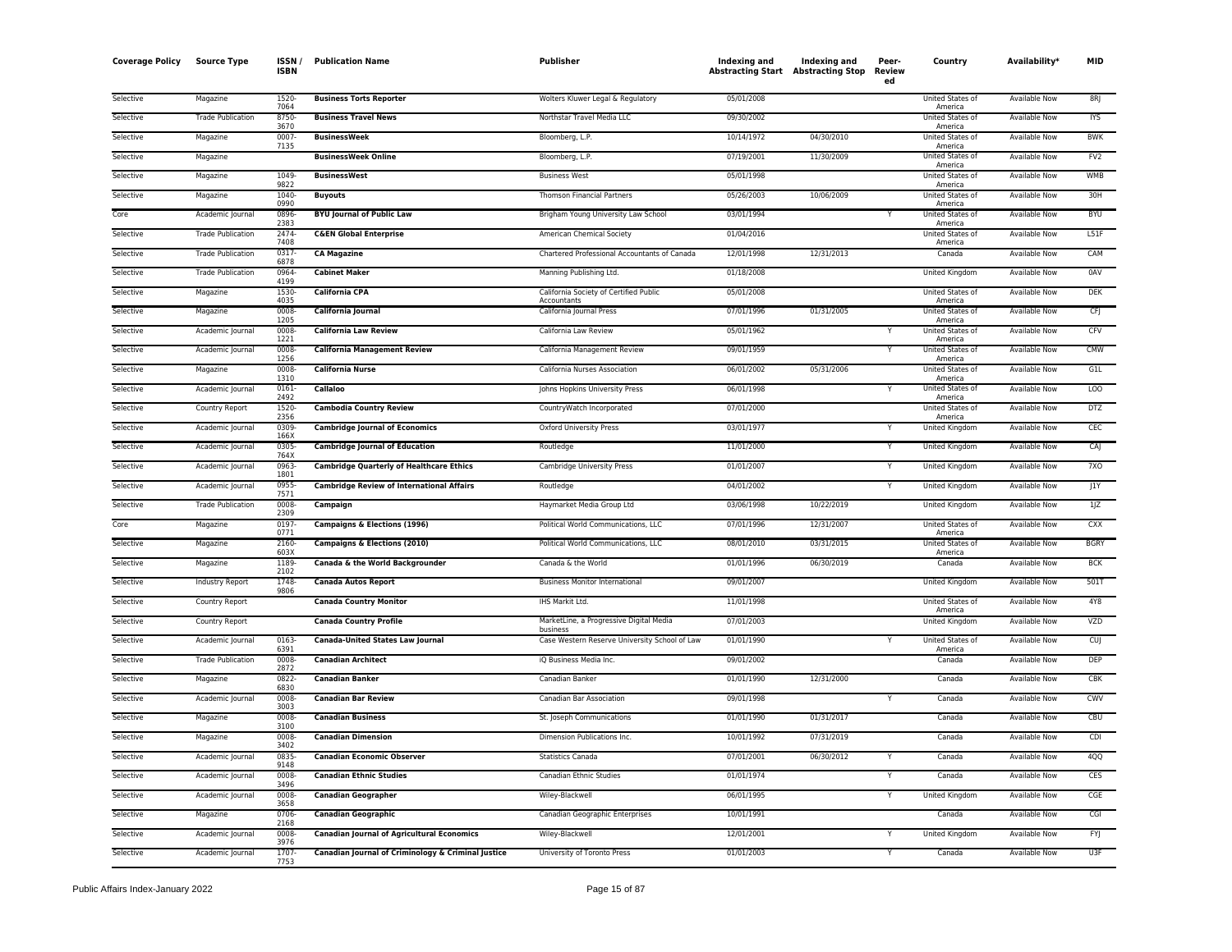| <b>Coverage Policy</b> | <b>Source Type</b>       | ISSN<br><b>ISBN</b> | <b>Publication Name</b>                            | Publisher                                             | Indexing and<br><b>Abstracting Start Abstracting Stop</b> | Indexing and | Peer-<br><b>Review</b><br>ed | Country                            | Availability*        | MID              |
|------------------------|--------------------------|---------------------|----------------------------------------------------|-------------------------------------------------------|-----------------------------------------------------------|--------------|------------------------------|------------------------------------|----------------------|------------------|
| Selective              | Magazine                 | 1520<br>7064        | <b>Business Torts Reporter</b>                     | Wolters Kluwer Legal & Regulatory                     | 05/01/2008                                                |              |                              | United States of<br>America        | <b>Available Now</b> | 8R               |
| Selective              | <b>Trade Publication</b> | 8750<br>3670        | <b>Business Travel News</b>                        | Northstar Travel Media LLC                            | 09/30/2002                                                |              |                              | United States of<br>America        | Available Now        | <b>IYS</b>       |
| Selective              | Magazine                 | 0007<br>7135        | <b>BusinessWeek</b>                                | Bloomberg, L.P.                                       | 10/14/1972                                                | 04/30/2010   |                              | United States of<br>America        | Available Now        | <b>BWK</b>       |
| Selective              | Magazine                 |                     | <b>BusinessWeek Online</b>                         | Bloomberg, L.P.                                       | 07/19/2001                                                | 11/30/2009   |                              | United States of<br>America        | Available Now        | FV <sub>2</sub>  |
| Selective              | Magazine                 | 1049<br>9822        | <b>BusinessWest</b>                                | <b>Business West</b>                                  | 05/01/1998                                                |              |                              | <b>United States of</b><br>America | Available Now        | <b>WMB</b>       |
| Selective              | Magazine                 | 1040<br>0990        | <b>Buyouts</b>                                     | <b>Thomson Financial Partners</b>                     | 05/26/2003                                                | 10/06/2009   |                              | United States of<br>America        | <b>Available Now</b> | 30H              |
| Core                   | Academic Journal         | 0896<br>2383        | <b>BYU Journal of Public Law</b>                   | Brigham Young University Law School                   | 03/01/1994                                                |              | Y                            | United States of<br>America        | <b>Available Now</b> | <b>BYU</b>       |
| Selective              | <b>Trade Publication</b> | 2474<br>7408        | <b>C&amp;EN Global Enterprise</b>                  | American Chemical Society                             | 01/04/2016                                                |              |                              | United States of<br>America        | Available Now        | L51F             |
| Selective              | <b>Trade Publication</b> | 0317<br>6878        | <b>CA Magazine</b>                                 | Chartered Professional Accountants of Canada          | 12/01/1998                                                | 12/31/2013   |                              | Canada                             | Available Now        | CAM              |
| Selective              | <b>Trade Publication</b> | 0964<br>4199        | <b>Cabinet Maker</b>                               | Manning Publishing Ltd.                               | 01/18/2008                                                |              |                              | United Kingdom                     | Available Now        | 0AV              |
| Selective              | Magazine                 | 1530<br>4035        | <b>California CPA</b>                              | California Society of Certified Public<br>Accountants | 05/01/2008                                                |              |                              | United States of<br>America        | <b>Available Now</b> | <b>DEK</b>       |
| Selective              | Magazine                 | 0008<br>1205        | California Journal                                 | California Journal Press                              | 07/01/1996                                                | 01/31/2005   |                              | <b>United States of</b><br>America | <b>Available Now</b> | <b>CFJ</b>       |
| Selective              | Academic Journal         | 0008<br>1221        | <b>California Law Review</b>                       | California Law Review                                 | 05/01/1962                                                |              | v                            | United States of<br>America        | <b>Available Now</b> | CFV              |
| Selective              | Academic Journal         | 0008<br>1256        | <b>California Management Review</b>                | California Management Review                          | 09/01/1959                                                |              |                              | United States of<br>America        | Available Now        | <b>CMW</b>       |
| Selective              | Magazine                 | 0008<br>1310        | <b>California Nurse</b>                            | California Nurses Association                         | 06/01/2002                                                | 05/31/2006   |                              | United States of<br>America        | <b>Available Now</b> | G1L              |
| Selective              | Academic Journal         | 0161<br>2492        | <b>Callaloo</b>                                    | Johns Hopkins University Press                        | 06/01/1998                                                |              | Y                            | United States of<br>America        | <b>Available Now</b> | LOO <sup>T</sup> |
| Selective              | <b>Country Report</b>    | 1520-<br>2356       | <b>Cambodia Country Review</b>                     | CountryWatch Incorporated                             | 07/01/2000                                                |              |                              | United States of<br>America        | <b>Available Now</b> | <b>DTZ</b>       |
| Selective              | Academic Journal         | 0309<br>166X        | <b>Cambridge Journal of Economics</b>              | <b>Oxford University Press</b>                        | 03/01/1977                                                |              |                              | United Kingdom                     | <b>Available Now</b> | CEC              |
| Selective              | Academic Journal         | 0305<br>764X        | <b>Cambridge Journal of Education</b>              | Routledge                                             | 11/01/2000                                                |              | Y                            | United Kingdom                     | Available Now        | CAJ              |
| Selective              | Academic Journal         | 0963<br>1801        | <b>Cambridge Quarterly of Healthcare Ethics</b>    | Cambridge University Press                            | 01/01/2007                                                |              | Υ                            | United Kingdom                     | Available Now        | 7XO              |
| Selective              | Academic Journal         | 0955<br>7571        | <b>Cambridge Review of International Affairs</b>   | Routledge                                             | 04/01/2002                                                |              | Y                            | <b>United Kingdom</b>              | <b>Available Now</b> | J1Y              |
| Selective              | <b>Trade Publication</b> | 0008<br>2309        | Campaign                                           | Haymarket Media Group Ltd                             | 03/06/1998                                                | 10/22/2019   |                              | United Kingdom                     | Available Now        | 1 Z              |
| Core                   | Magazine                 | 0197<br>0771        | <b>Campaigns &amp; Elections (1996)</b>            | Political World Communications, LLC                   | 07/01/1996                                                | 12/31/2007   |                              | United States of<br>America        | <b>Available Now</b> | CXX              |
| Selective              | Magazine                 | 2160<br>603X        | Campaigns & Elections (2010)                       | Political World Communications, LLC                   | 08/01/2010                                                | 03/31/2015   |                              | <b>United States of</b><br>America | Available Now        | <b>BGRY</b>      |
| Selective              | Magazine                 | 1189<br>2102        | Canada & the World Backgrounder                    | Canada & the World                                    | 01/01/1996                                                | 06/30/2019   |                              | Canada                             | Available Now        | <b>BCK</b>       |
| Selective              | Industry Report          | 1748-<br>9806       | <b>Canada Autos Report</b>                         | <b>Business Monitor International</b>                 | 09/01/2007                                                |              |                              | United Kingdom                     | Available Now        | 501T             |
| Selective              | Country Report           |                     | <b>Canada Country Monitor</b>                      | IHS Markit Ltd.                                       | 11/01/1998                                                |              |                              | United States of<br>America        | <b>Available Now</b> | 4Y8              |
| Selective              | Country Report           |                     | <b>Canada Country Profile</b>                      | MarketLine, a Progressive Digital Media<br>business   | 07/01/2003                                                |              |                              | United Kingdom                     | Available Now        | VZD              |
| Selective              | Academic Journal         | 0163<br>6391        | <b>Canada-United States Law Journal</b>            | Case Western Reserve University School of Law         | 01/01/1990                                                |              |                              | United States of<br>America        | <b>Available Now</b> | CUJ              |
| Selective              | <b>Trade Publication</b> | 0008<br>2872        | <b>Canadian Architect</b>                          | iQ Business Media Inc.                                | 09/01/2002                                                |              |                              | Canada                             | Available Now        | <b>DEP</b>       |
| Selective              | Magazine                 | 0822<br>6830        | <b>Canadian Banker</b>                             | Canadian Banker                                       | 01/01/1990                                                | 12/31/2000   |                              | Canada                             | Available Now        | CBK              |
| Selective              | Academic Journal         | 0008<br>3003        | <b>Canadian Bar Review</b>                         | Canadian Bar Association                              | 09/01/1998                                                |              | Y                            | Canada                             | Available Now        | CWV              |
| Selective              | Magazine                 | 0008<br>3100        | <b>Canadian Business</b>                           | St. Joseph Communications                             | 01/01/1990                                                | 01/31/2017   |                              | Canada                             | <b>Available Now</b> | <b>CBU</b>       |
| Selective              | Magazine                 | 0008<br>3402        | <b>Canadian Dimension</b>                          | Dimension Publications Inc.                           | 10/01/1992                                                | 07/31/2019   |                              | Canada                             | Available Now        | CDI              |
| Selective              | Academic Journal         | 0835<br>9148        | <b>Canadian Economic Observer</b>                  | <b>Statistics Canada</b>                              | 07/01/2001                                                | 06/30/2012   |                              | Canada                             | <b>Available Now</b> | 4QQ              |
| Selective              | Academic Journal         | 0008<br>3496        | <b>Canadian Ethnic Studies</b>                     | Canadian Ethnic Studies                               | 01/01/1974                                                |              |                              | Canada                             | Available Now        | <b>CES</b>       |
| Selective              | Academic Journal         | 0008<br>3658        | <b>Canadian Geographer</b>                         | Wiley-Blackwell                                       | 06/01/1995                                                |              | Y                            | <b>United Kingdom</b>              | Available Now        | CGE              |
| Selective              | Magazine                 | 0706-<br>2168       | <b>Canadian Geographic</b>                         | Canadian Geographic Enterprises                       | 10/01/1991                                                |              |                              | Canada                             | Available Now        | CGI              |
| Selective              | Academic Journal         | 0008<br>3976        | <b>Canadian Journal of Agricultural Economics</b>  | Wiley-Blackwell                                       | 12/01/2001                                                |              |                              | United Kingdom                     | Available Now        | <b>FYJ</b>       |
| Selective              | Academic Journal         | 1707<br>7753        | Canadian Journal of Criminology & Criminal Justice | University of Toronto Press                           | 01/01/2003                                                |              | Y                            | Canada                             | <b>Available Now</b> | U3F              |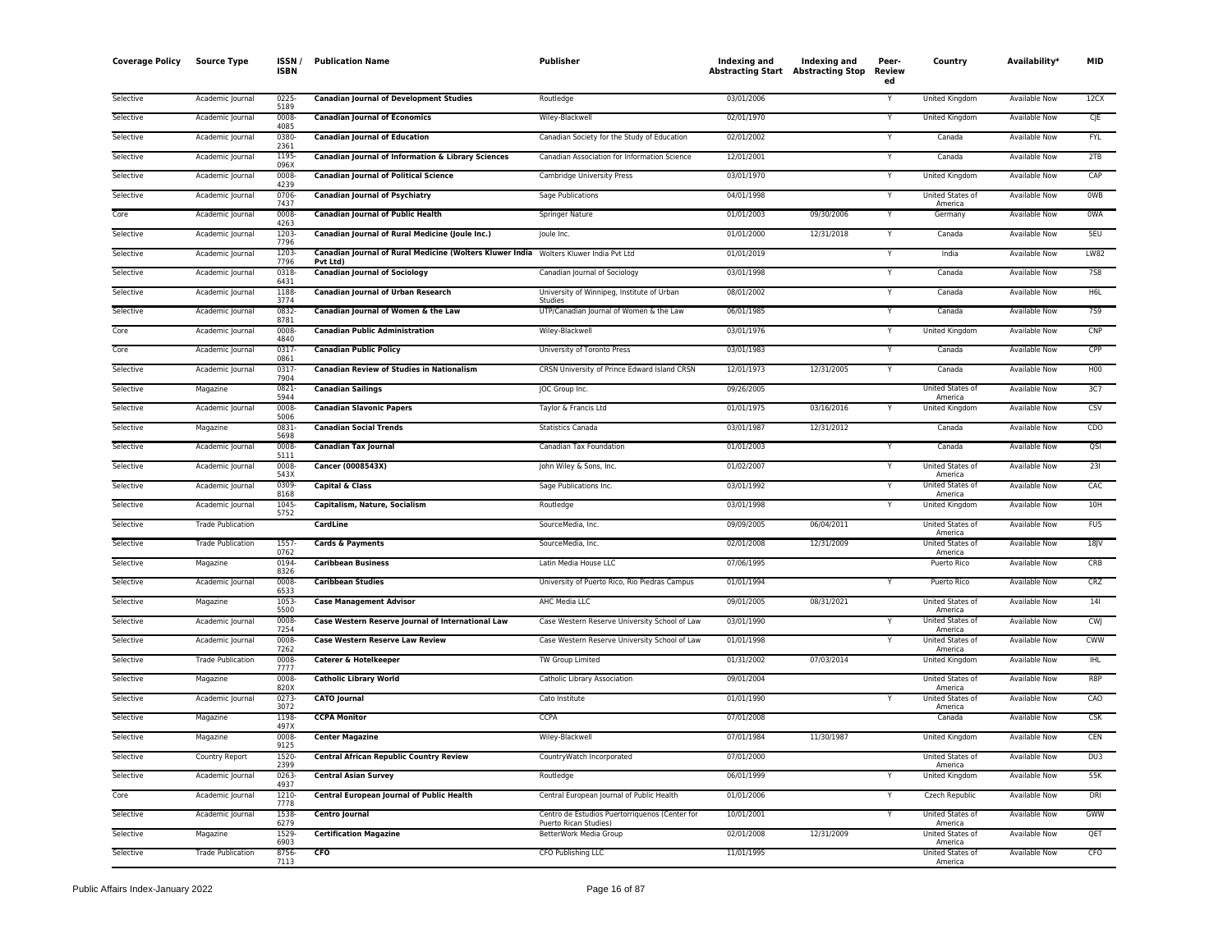| <b>Coverage Policy</b> | Source Type              | ISSN/<br><b>ISBN</b> | <b>Publication Name</b>                                                                           | <b>Publisher</b>                                                        | Indexing and<br><b>Abstracting Start Abstracting Stop</b> | Indexing and | Peer-<br>Review<br>ed | Country                            | Availability*        | <b>MID</b>       |
|------------------------|--------------------------|----------------------|---------------------------------------------------------------------------------------------------|-------------------------------------------------------------------------|-----------------------------------------------------------|--------------|-----------------------|------------------------------------|----------------------|------------------|
| Selective              | Academic Journal         | 0225<br>5189         | <b>Canadian Journal of Development Studies</b>                                                    | Routledge                                                               | 03/01/2006                                                |              | Y                     | United Kingdom                     | Available Now        | 12CX             |
| Selective              | Academic Journal         | 0008<br>4085         | <b>Canadian Journal of Economics</b>                                                              | Wiley-Blackwell                                                         | 02/01/1970                                                |              |                       | <b>United Kingdom</b>              | <b>Available Now</b> | CJE              |
| Selective              | Academic Journal         | 0380<br>2361         | <b>Canadian Journal of Education</b>                                                              | Canadian Society for the Study of Education                             | 02/01/2002                                                |              | Y                     | Canada                             | <b>Available Now</b> | <b>FYL</b>       |
| Selective              | Academic Journal         | 1195<br>096X         | Canadian Journal of Information & Library Sciences                                                | Canadian Association for Information Science                            | 12/01/2001                                                |              |                       | Canada                             | Available Now        | 2TB              |
| Selective              | Academic Journal         | 0008<br>4239         | <b>Canadian Journal of Political Science</b>                                                      | Cambridge University Press                                              | 03/01/1970                                                |              | Y                     | United Kingdom                     | <b>Available Now</b> | CAP              |
| Selective              | Academic Journal         | 0706<br>7437         | <b>Canadian Journal of Psychiatry</b>                                                             | Sage Publications                                                       | 04/01/1998                                                |              |                       | United States of<br>America        | <b>Available Now</b> | <b>OWB</b>       |
| Core                   | Academic Journal         | 0008<br>4263         | <b>Canadian Journal of Public Health</b>                                                          | Springer Nature                                                         | 01/01/2003                                                | 09/30/2006   | $\checkmark$          | Germany                            | <b>Available Now</b> | 0WA              |
| Selective              | Academic Journal         | 1203<br>7796         | Canadian Journal of Rural Medicine (Joule Inc.)                                                   | Joule Inc.                                                              | 01/01/2000                                                | 12/31/2018   | Y                     | Canada                             | Available Now        | 5EU              |
| Selective              | Academic Journal         | 1203<br>7796         | Canadian Journal of Rural Medicine (Wolters Kluwer India Wolters Kluwer India Pvt Ltd<br>Pvt Ltd) |                                                                         | 01/01/2019                                                |              |                       | India                              | Available Now        | <b>LW82</b>      |
| Selective              | Academic Journal         | 0318<br>6431         | <b>Canadian Journal of Sociology</b>                                                              | Canadian Journal of Sociology                                           | 03/01/1998                                                |              | Y                     | Canada                             | Available Now        | <b>7S8</b>       |
| Selective              | Academic Journal         | 1188<br>3774         | <b>Canadian Journal of Urban Research</b>                                                         | University of Winnipeg, Institute of Urban<br>Studies                   | 08/01/2002                                                |              |                       | Canada                             | Available Now        | H6L              |
| Selective              | Academic Journal         | 0832<br>8781         | Canadian Journal of Women & the Law                                                               | UTP/Canadian Journal of Women & the Law                                 | 06/01/1985                                                |              | Y                     | Canada                             | <b>Available Now</b> | <b>7S9</b>       |
| Core                   | Academic Journal         | 0008<br>4840         | <b>Canadian Public Administration</b>                                                             | Wiley-Blackwell                                                         | 03/01/1976                                                |              | Y                     | United Kingdom                     | <b>Available Now</b> | CNP              |
| Core                   | Academic Journal         | 0317<br>0861         | <b>Canadian Public Policy</b>                                                                     | University of Toronto Press                                             | 03/01/1983                                                |              | Y                     | Canada                             | <b>Available Now</b> | CPP              |
| Selective              | Academic Journal         | 0317<br>7904         | <b>Canadian Review of Studies in Nationalism</b>                                                  | CRSN University of Prince Edward Island CRSN                            | 12/01/1973                                                | 12/31/2005   | Y                     | Canada                             | Available Now        | <b>H00</b>       |
| Selective              | Magazine                 | 0821<br>5944         | <b>Canadian Sailings</b>                                                                          | JOC Group Inc.                                                          | 09/26/2005                                                |              |                       | United States of<br>America        | <b>Available Now</b> | 3C7              |
| Selective              | Academic Journal         | 0008<br>5006         | <b>Canadian Slavonic Papers</b>                                                                   | Taylor & Francis Ltd                                                    | 01/01/1975                                                | 03/16/2016   | Y                     | United Kingdom                     | Available Now        | CSV              |
| Selective              | Magazine                 | 0831<br>5698         | <b>Canadian Social Trends</b>                                                                     | <b>Statistics Canada</b>                                                | 03/01/1987                                                | 12/31/2012   |                       | Canada                             | Available Now        | C <sub>D</sub> O |
| Selective              | Academic Journal         | 0008<br>5111         | <b>Canadian Tax Journal</b>                                                                       | Canadian Tax Foundation                                                 | 01/01/2003                                                |              | Y                     | Canada                             | <b>Available Now</b> | QSI              |
| Selective              | Academic Journal         | 0008<br>543X         | <b>Cancer (0008543X)</b>                                                                          | John Wiley & Sons, Inc.                                                 | 01/02/2007                                                |              |                       | United States of<br>America        | <b>Available Now</b> | 231              |
| Selective              | Academic Journal         | 0309<br>8168         | <b>Capital &amp; Class</b>                                                                        | Sage Publications Inc.                                                  | 03/01/1992                                                |              | Y                     | <b>United States of</b><br>America | <b>Available Now</b> | CAC              |
| Selective              | Academic Journal         | 1045<br>5752         | Capitalism, Nature, Socialism                                                                     | Routledge                                                               | 03/01/1998                                                |              | Y                     | <b>United Kingdom</b>              | <b>Available Now</b> | 10H              |
| Selective              | <b>Trade Publication</b> |                      | CardLine                                                                                          | SourceMedia, Inc.                                                       | 09/09/2005                                                | 06/04/2011   |                       | United States of<br>America        | <b>Available Now</b> | FU <sub>5</sub>  |
| Selective              | <b>Trade Publication</b> | 1557<br>0762         | <b>Cards &amp; Payments</b>                                                                       | SourceMedia, Inc.                                                       | 02/01/2008                                                | 12/31/2009   |                       | United States of<br>America        | Available Now        | 18 <sub>l</sub>  |
| Selective              | Magazine                 | 0194<br>8326         | <b>Caribbean Business</b>                                                                         | Latin Media House LLC                                                   | 07/06/1995                                                |              |                       | Puerto Rico                        | Available Now        | CRB              |
| Selective              | Academic Journal         | 0008<br>6533         | <b>Caribbean Studies</b>                                                                          | University of Puerto Rico, Rio Piedras Campus                           | 01/01/1994                                                |              | Y                     | Puerto Rico                        | <b>Available Now</b> | CRZ              |
| Selective              | Magazine                 | 1053<br>5500         | <b>Case Management Advisor</b>                                                                    | AHC Media LLC                                                           | 09/01/2005                                                | 08/31/2021   |                       | United States of<br>America        | <b>Available Now</b> | 141              |
| Selective              | Academic Journal         | 0008<br>7254         | Case Western Reserve Journal of International Law                                                 | Case Western Reserve University School of Law                           | 03/01/1990                                                |              |                       | United States of<br>America        | Available Now        | <b>CWI</b>       |
| Selective              | Academic Journal         | 0008-<br>7262        | <b>Case Western Reserve Law Review</b>                                                            | Case Western Reserve University School of Law                           | 01/01/1998                                                |              |                       | <b>United States of</b><br>America | <b>Available Now</b> | <b>CWW</b>       |
| Selective              | <b>Trade Publication</b> | 0008<br>7777         | Caterer & Hotelkeeper                                                                             | TW Group Limited                                                        | 01/31/2002                                                | 07/03/2014   |                       | United Kingdom                     | <b>Available Now</b> | <b>IHL</b>       |
| Selective              | Magazine                 | 0008<br>820X         | <b>Catholic Library World</b>                                                                     | Catholic Library Association                                            | 09/01/2004                                                |              |                       | United States of<br>America        | Available Now        | R <sub>8P</sub>  |
| Selective              | Academic Journal         | 0273<br>3072         | <b>CATO Journal</b>                                                                               | Cato Institute                                                          | 01/01/1990                                                |              |                       | United States of<br>America        | <b>Available Now</b> | CAO              |
| Selective              | Magazine                 | 1198<br>497X         | <b>CCPA Monitor</b>                                                                               | <b>CCPA</b>                                                             | 07/01/2008                                                |              |                       | Canada                             | Available Now        | CSK              |
| Selective              | Magazine                 | 0008<br>9125         | <b>Center Magazine</b>                                                                            | Wiley-Blackwell                                                         | 07/01/1984                                                | 11/30/1987   |                       | United Kingdom                     | Available Now        | CEN              |
| Selective              | Country Report           | 1520<br>2399         | <b>Central African Republic Country Review</b>                                                    | CountryWatch Incorporated                                               | 07/01/2000                                                |              |                       | United States of<br>America        | <b>Available Now</b> | DU3              |
| Selective              | Academic Journal         | 0263<br>4937         | <b>Central Asian Survey</b>                                                                       | Routledge                                                               | 06/01/1999                                                |              | Y                     | <b>United Kingdom</b>              | <b>Available Now</b> | 55K              |
| Core                   | Academic Journal         | 1210<br>7778         | Central European Journal of Public Health                                                         | Central European Journal of Public Health                               | 01/01/2006                                                |              | Y                     | Czech Republic                     | <b>Available Now</b> | <b>DRI</b>       |
| Selective              | Academic Journal         | 1538<br>6279         | Centro Journal                                                                                    | Centro de Estudios Puertorriquenos (Center for<br>Puerto Rican Studies) | 10/01/2001                                                |              |                       | United States of<br>America        | Available Now        | GWW              |
| Selective              | Magazine                 | 1529<br>6903         | <b>Certification Magazine</b>                                                                     | BetterWork Media Group                                                  | 02/01/2008                                                | 12/31/2009   |                       | United States of<br>America        | <b>Available Now</b> | QET              |
| Selective              | <b>Trade Publication</b> | 8756-<br>7113        | CFO                                                                                               | CFO Publishing LLC                                                      | 11/01/1995                                                |              |                       | United States of<br>America        | <b>Available Now</b> | CFO              |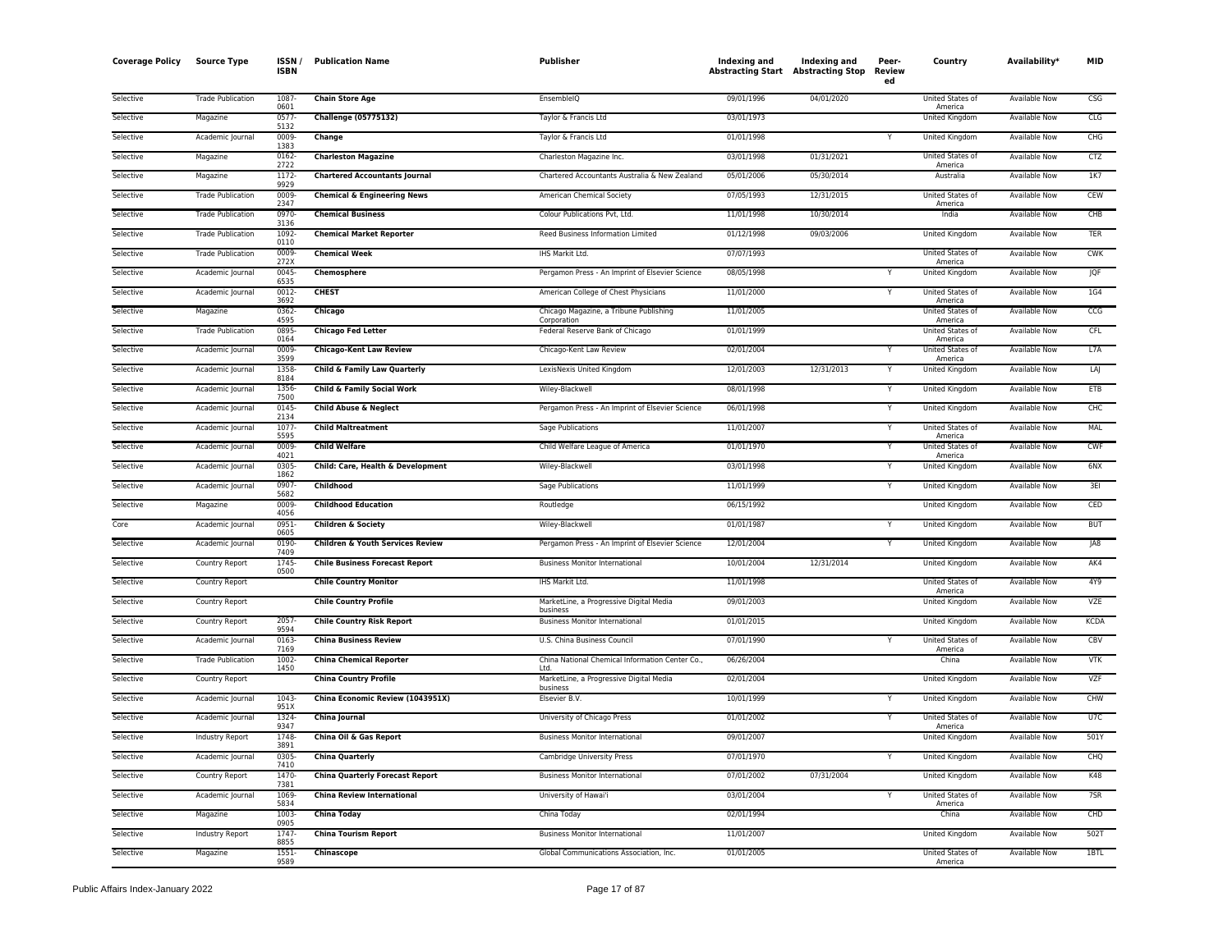| <b>Coverage Policy</b> | <b>Source Type</b>       | ISSN/<br><b>ISBN</b>  | <b>Publication Name</b>                     | <b>Publisher</b>                                  | Indexing and<br><b>Abstracting Start Abstracting Stop</b> | Indexing and | Peer-<br>Review<br>ed | Country                     | Availability*        | <b>MID</b>      |
|------------------------|--------------------------|-----------------------|---------------------------------------------|---------------------------------------------------|-----------------------------------------------------------|--------------|-----------------------|-----------------------------|----------------------|-----------------|
| Selective              | <b>Trade Publication</b> | 1087<br>0601          | <b>Chain Store Age</b>                      | EnsembleIQ                                        | 09/01/1996                                                | 04/01/2020   |                       | United States of<br>America | <b>Available Now</b> | <b>CSG</b>      |
| Selective              | Magazine                 | 0577<br>5132          | <b>Challenge (05775132)</b>                 | Taylor & Francis Ltd                              | 03/01/1973                                                |              |                       | <b>United Kingdom</b>       | <b>Available Now</b> | CLG             |
| Selective              | Academic Journal         | 0009-<br>1383         | Change                                      | Taylor & Francis Ltd                              | 01/01/1998                                                |              | Y                     | United Kingdom              | <b>Available Now</b> | CHG             |
| Selective              | Magazine                 | 0162-                 | <b>Charleston Magazine</b>                  | Charleston Magazine Inc.                          | 03/01/1998                                                | 01/31/2021   |                       | United States of            | Available Now        | <b>CTZ</b>      |
| Selective              | Magazine                 | 2722<br>1172          | <b>Chartered Accountants Journal</b>        | Chartered Accountants Australia & New Zealand     | 05/01/2006                                                | 05/30/2014   |                       | America<br>Australia        | <b>Available Now</b> | 1K7             |
| Selective              | <b>Trade Publication</b> | 9929<br>0009          | <b>Chemical &amp; Engineering News</b>      | American Chemical Society                         | 07/05/1993                                                | 12/31/2015   |                       | United States of            | Available Now        | CEW             |
| Selective              | <b>Trade Publication</b> | 2347<br>0970-<br>3136 | <b>Chemical Business</b>                    | Colour Publications Pvt, Ltd                      | 11/01/1998                                                | 10/30/2014   |                       | America<br>India            | <b>Available Now</b> | CHB             |
| Selective              | <b>Trade Publication</b> | 1092<br>0110          | <b>Chemical Market Reporter</b>             | Reed Business Information Limited                 | 01/12/1998                                                | 09/03/2006   |                       | United Kingdom              | Available Now        | <b>TER</b>      |
| Selective              | <b>Trade Publication</b> | 0009                  | <b>Chemical Week</b>                        | IHS Markit Ltd.                                   | 07/07/1993                                                |              |                       | United States of            | <b>Available Now</b> | <b>CWK</b>      |
| Selective              | Academic Journal         | 272X<br>0045-         | Chemosphere                                 | Pergamon Press - An Imprint of Elsevier Science   | 08/05/1998                                                |              |                       | America<br>United Kingdom   | Available Now        | <b>JQF</b>      |
| Selective              | Academic Journal         | 6535<br>0012          | <b>CHEST</b>                                | American College of Chest Physicians              | 11/01/2000                                                |              |                       | United States of            | <b>Available Now</b> | 1G4             |
| Selective              | Magazine                 | 3692<br>0362-         | Chicago                                     | Chicago Magazine, a Tribune Publishing            | 11/01/2005                                                |              |                       | America<br>United States of | Available Now        | CCG             |
| Selective              | <b>Trade Publication</b> | 4595<br>0895          | <b>Chicago Fed Letter</b>                   | Corporation<br>Federal Reserve Bank of Chicago    | 01/01/1999                                                |              |                       | America<br>United States of | Available Now        | CFL.            |
| Selective              | Academic Journal         | 0164<br>0009          | <b>Chicago-Kent Law Review</b>              | Chicago-Kent Law Review                           | 02/01/2004                                                |              |                       | America<br>United States of | <b>Available Now</b> | L7A             |
| Selective              | Academic Journal         | 3599<br>1358          | Child & Family Law Quarterly                | LexisNexis United Kingdom                         | 12/01/2003                                                | 12/31/2013   | Y                     | America<br>United Kingdom   | Available Now        | LAJ             |
| Selective              | Academic Journal         | 8184<br>1356          | <b>Child &amp; Family Social Work</b>       | Wiley-Blackwell                                   | 08/01/1998                                                |              | Y                     | <b>United Kingdom</b>       | <b>Available Now</b> | <b>ETB</b>      |
| Selective              | Academic Journal         | 7500<br>0145          | <b>Child Abuse &amp; Neglect</b>            | Pergamon Press - An Imprint of Elsevier Science   | 06/01/1998                                                |              | Y                     | United Kingdom              | <b>Available Now</b> | CHC             |
| Selective              | Academic Journal         | 2134<br>1077          | <b>Child Maltreatment</b>                   | Sage Publications                                 | 11/01/2007                                                |              | Y                     | United States of            | Available Now        | MAL             |
| Selective              | Academic Journal         | 5595<br>0009          | <b>Child Welfare</b>                        | Child Welfare League of America                   | 01/01/1970                                                |              |                       | America<br>United States of | Available Now        | <b>CWF</b>      |
| Selective              | Academic Journal         | 4021<br>0305          | Child: Care, Health & Development           | Wiley-Blackwell                                   | 03/01/1998                                                |              |                       | America<br>United Kingdom   | Available Now        | 6NX             |
| Selective              | Academic Journal         | 1862<br>0907          | Childhood                                   | Sage Publications                                 | 11/01/1999                                                |              | Y                     | United Kingdom              | <b>Available Now</b> | 3EI             |
| Selective              | Magazine                 | 5682<br>0009-         | <b>Childhood Education</b>                  | Routledge                                         | 06/15/1992                                                |              |                       | United Kingdom              | <b>Available Now</b> | CED             |
| Core                   | Academic Journal         | 4056<br>0951          | <b>Children &amp; Society</b>               | Wiley-Blackwell                                   | 01/01/1987                                                |              | Υ                     | United Kingdom              | <b>Available Now</b> | <b>BUT</b>      |
| Selective              | Academic Journal         | 0605<br>0190          | <b>Children &amp; Youth Services Review</b> | Pergamon Press - An Imprint of Elsevier Science   | 12/01/2004                                                |              | Υ                     | United Kingdom              | <b>Available Now</b> | JA8             |
| Selective              | Country Report           | 7409<br>1745          | <b>Chile Business Forecast Report</b>       | <b>Business Monitor International</b>             | 10/01/2004                                                | 12/31/2014   |                       | United Kingdom              | Available Now        | AK4             |
| Selective              | <b>Country Report</b>    | 0500                  | <b>Chile Country Monitor</b>                | IHS Markit Ltd.                                   | 11/01/1998                                                |              |                       | United States of            | <b>Available Now</b> | 4Y9             |
| Selective              | Country Report           |                       | <b>Chile Country Profile</b>                | MarketLine, a Progressive Digital Media           | 09/01/2003                                                |              |                       | America<br>United Kingdom   | <b>Available Now</b> | <b>VZE</b>      |
| Selective              | <b>Country Report</b>    | 2057                  | <b>Chile Country Risk Report</b>            | business<br><b>Business Monitor International</b> | 01/01/2015                                                |              |                       | United Kingdom              | <b>Available Now</b> | <b>KCDA</b>     |
| Selective              | Academic Journal         | 9594<br>0163          | <b>China Business Review</b>                | U.S. China Business Council                       | 07/01/1990                                                |              | Υ                     | United States of            | <b>Available Now</b> | CBV             |
| Selective              | <b>Trade Publication</b> | 7169<br>1002          | <b>China Chemical Reporter</b>              | China National Chemical Information Center Co.,   | 06/26/2004                                                |              |                       | America<br>China            | Available Now        | <b>VTK</b>      |
| Selective              | Country Report           | 1450                  | <b>China Country Profile</b>                | Ltd.<br>MarketLine, a Progressive Digital Media   | 02/01/2004                                                |              |                       | United Kingdom              | Available Now        | VZF             |
| Selective              | Academic Journal         | 1043                  | China Economic Review (1043951X)            | business<br>Elsevier B.V.                         | 10/01/1999                                                |              |                       | United Kingdom              | Available Now        | CHW             |
| Selective              | Academic Journal         | 951X<br>1324          | <b>China Journal</b>                        | University of Chicago Press                       | 01/01/2002                                                |              | Y                     | United States of            | <b>Available Now</b> | U7C             |
| Selective              | Industry Report          | 9347<br>1748          | China Oil & Gas Report                      | <b>Business Monitor International</b>             | 09/01/2007                                                |              |                       | America<br>United Kingdom   | <b>Available Now</b> | 501Y            |
| Selective              | Academic Journal         | 3891<br>0305          | <b>China Quarterly</b>                      | Cambridge University Press                        | 07/01/1970                                                |              |                       | United Kingdom              | <b>Available Now</b> | CHQ             |
| Selective              | Country Report           | 7410<br>1470-<br>7381 | <b>China Quarterly Forecast Report</b>      | <b>Business Monitor International</b>             | 07/01/2002                                                | 07/31/2004   |                       | United Kingdom              | <b>Available Now</b> | K48             |
| Selective              | Academic Journal         | 1069                  | <b>China Review International</b>           | University of Hawai'i                             | 03/01/2004                                                |              | Υ                     | United States of            | Available Now        | 7S <sub>R</sub> |
| Selective              | Magazine                 | 5834<br>1003          | <b>China Today</b>                          | China Today                                       | 02/01/1994                                                |              |                       | America<br>China            | <b>Available Now</b> | CHD             |
| Selective              | Industry Report          | 0905<br>1747<br>8855  | <b>China Tourism Report</b>                 | <b>Business Monitor International</b>             | 11/01/2007                                                |              |                       | United Kingdom              | Available Now        | 502T            |
| Selective              | Magazine                 | 1551<br>9589          | Chinascope                                  | Global Communications Association, Inc.           | 01/01/2005                                                |              |                       | United States of<br>America | <b>Available Now</b> | 1BTL            |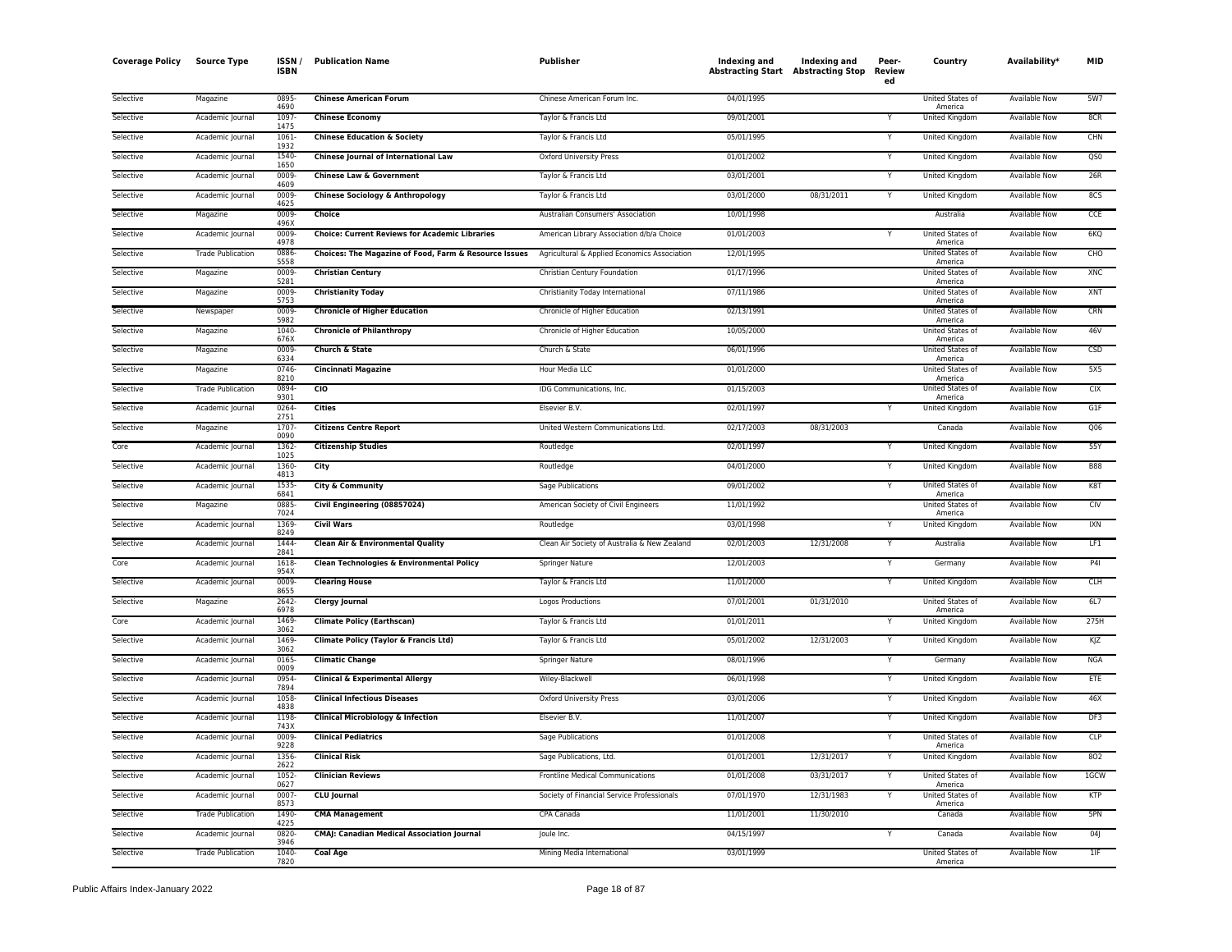| <b>Coverage Policy</b> | <b>Source Type</b>       | <b>ISSN</b><br>ISBN | <b>Publication Name</b>                               | Publisher                                    | Indexing and<br><b>Abstracting Start Abstracting Stop</b> | <b>Indexing and</b> | Peer-<br>Review<br>ed | Country                                | Availability <sup>*</sup> | <b>MID</b>      |
|------------------------|--------------------------|---------------------|-------------------------------------------------------|----------------------------------------------|-----------------------------------------------------------|---------------------|-----------------------|----------------------------------------|---------------------------|-----------------|
| Selective              | Magazine                 | 0895<br>4690        | <b>Chinese American Forum</b>                         | Chinese American Forum Inc.                  | 04/01/1995                                                |                     |                       | United States of<br>America            | Available Now             | 5W7             |
| Selective              | Academic Journal         | 1097<br>1475        | <b>Chinese Economy</b>                                | Taylor & Francis Ltd                         | 09/01/2001                                                |                     | Y                     | <b>United Kingdom</b>                  | <b>Available Now</b>      | 8CR             |
| Selective              | Academic Journal         | 1061<br>1932        | <b>Chinese Education &amp; Society</b>                | Taylor & Francis Ltd                         | 05/01/1995                                                |                     |                       | United Kingdom                         | Available Now             | CHN             |
| Selective              | Academic Journal         | 1540<br>1650        | Chinese Journal of International Law                  | <b>Oxford University Press</b>               | 01/01/2002                                                |                     |                       | <b>United Kingdom</b>                  | <b>Available Now</b>      | QS0             |
| Selective              | Academic Journal         | 0009-<br>4609       | <b>Chinese Law &amp; Government</b>                   | Taylor & Francis Ltd                         | 03/01/2001                                                |                     | Y                     | United Kingdom                         | Available Now             | 26R             |
| Selective              | Academic Journal         | 0009<br>4625        | <b>Chinese Sociology &amp; Anthropology</b>           | Taylor & Francis Ltd                         | 03/01/2000                                                | 08/31/2011          | Y                     | United Kingdom                         | Available Now             | 8CS             |
| Selective              | Magazine                 | 0009<br>496X        | Choice                                                | Australian Consumers' Association            | 10/01/1998                                                |                     |                       | Australia                              | Available Now             | CCE             |
| Selective              | Academic Journal         | 0009<br>4978        | <b>Choice: Current Reviews for Academic Libraries</b> | American Library Association d/b/a Choice    | 01/01/2003                                                |                     |                       | United States of<br>America            | Available Now             | 6KQ             |
| Selective              | <b>Trade Publication</b> | 0886<br>5558        | Choices: The Magazine of Food, Farm & Resource Issues | Agricultural & Applied Economics Association | 12/01/1995                                                |                     |                       | <b>United States of</b><br>America     | <b>Available Now</b>      | CHO             |
| Selective              | Magazine                 | 0009<br>5281        | <b>Christian Century</b>                              | Christian Century Foundation                 | 01/17/1996                                                |                     |                       | United States of<br>America            | <b>Available Now</b>      | XNC             |
| Selective              | Magazine                 | 0009<br>5753        | <b>Christianity Today</b>                             | Christianity Today International             | 07/11/1986                                                |                     |                       | United States of                       | <b>Available Now</b>      | XNT             |
| Selective              | Newspaper                | 0009<br>5982        | <b>Chronicle of Higher Education</b>                  | Chronicle of Higher Education                | 02/13/1991                                                |                     |                       | America<br>United States of<br>America | Available Now             | CRN             |
| Selective              | Magazine                 | 1040-<br>676X       | <b>Chronicle of Philanthropy</b>                      | Chronicle of Higher Education                | 10/05/2000                                                |                     |                       | United States of<br>America            | Available Now             | 46V             |
| Selective              | Magazine                 | 0009-<br>6334       | Church & State                                        | Church & State                               | 06/01/1996                                                |                     |                       | United States of<br>America            | Available Now             | CSD             |
| Selective              | Magazine                 | 0746<br>8210        | Cincinnati Magazine                                   | Hour Media LLC                               | 01/01/2000                                                |                     |                       | United States of<br>America            | Available Now             | 5X5             |
| Selective              | <b>Trade Publication</b> | 0894-<br>9301       | $\overline{c}$                                        | IDG Communications, Inc.                     | 01/15/2003                                                |                     |                       | United States of<br>America            | <b>Available Now</b>      | CIX             |
| Selective              | Academic Journal         | 0264<br>2751        | <b>Cities</b>                                         | Elsevier B.V.                                | 02/01/1997                                                |                     | Y                     | <b>United Kingdom</b>                  | <b>Available Now</b>      | G1F             |
| Selective              | Magazine                 | 1707<br>0090        | <b>Citizens Centre Report</b>                         | United Western Communications Ltd.           | 02/17/2003                                                | 08/31/2003          |                       | Canada                                 | Available Now             | Q <sub>06</sub> |
| Core                   | Academic Journal         | 1362<br>1025        | <b>Citizenship Studies</b>                            | Routledge                                    | 02/01/1997                                                |                     |                       | United Kingdom                         | <b>Available Now</b>      | 55Y             |
| Selective              | Academic Journal         | 1360<br>4813        | City                                                  | Routledge                                    | 04/01/2000                                                |                     |                       | United Kingdom                         | Available Now             | <b>B88</b>      |
| Selective              | Academic Journal         | 1535<br>6841        | <b>City &amp; Community</b>                           | Sage Publications                            | 09/01/2002                                                |                     | Y                     | United States of<br>America            | <b>Available Now</b>      | K8T             |
| Selective              | Magazine                 | 0885<br>7024        | Civil Engineering (08857024)                          | American Society of Civil Engineers          | 11/01/1992                                                |                     |                       | <b>United States of</b><br>America     | <b>Available Now</b>      | CIV             |
| Selective              | Academic Journal         | 1369<br>8249        | <b>Civil Wars</b>                                     | Routledge                                    | 03/01/1998                                                |                     |                       | <b>United Kingdom</b>                  | <b>Available Now</b>      | IXN             |
| Selective              | Academic Journal         | 1444<br>2841        | Clean Air & Environmental Quality                     | Clean Air Society of Australia & New Zealand | 02/01/2003                                                | 12/31/2008          |                       | Australia                              | <b>Available Now</b>      | LF1             |
| Core                   | Academic Journal         | 1618<br>954X        | Clean Technologies & Environmental Policy             | Springer Nature                              | 12/01/2003                                                |                     | v                     | Germany                                | Available Now             | <b>P41</b>      |
| Selective              | Academic Journal         | 0009<br>8655        | <b>Clearing House</b>                                 | Taylor & Francis Ltd                         | 11/01/2000                                                |                     | Υ                     | United Kingdom                         | Available Now             | <b>CLH</b>      |
| Selective              | Magazine                 | 2642<br>6978        | <b>Clergy Journal</b>                                 | Logos Productions                            | 07/01/2001                                                | 01/31/2010          |                       | United States of<br>America            | Available Now             | 6L7             |
| Core                   | Academic Journal         | 1469<br>3062        | <b>Climate Policy (Earthscan)</b>                     | Taylor & Francis Ltd                         | 01/01/2011                                                |                     |                       | <b>United Kingdom</b>                  | <b>Available Now</b>      | 275H            |
| Selective              | Academic Journal         | 1469<br>3062        | Climate Policy (Taylor & Francis Ltd)                 | Taylor & Francis Ltd                         | 05/01/2002                                                | 12/31/2003          |                       | United Kingdom                         | Available Now             | KJZ             |
| Selective              | Academic Journal         | 0165<br>0009        | <b>Climatic Change</b>                                | Springer Nature                              | 08/01/1996                                                |                     | Υ                     | Germany                                | <b>Available Now</b>      | <b>NGA</b>      |
| Selective              | Academic Journal         | 0954<br>7894        | <b>Clinical &amp; Experimental Allergy</b>            | Wiley-Blackwell                              | 06/01/1998                                                |                     | Y                     | United Kingdom                         | <b>Available Now</b>      | ETE             |
| Selective              | Academic Journal         | 1058<br>4838        | <b>Clinical Infectious Diseases</b>                   | <b>Oxford University Press</b>               | 03/01/2006                                                |                     | Υ                     | United Kingdom                         | Available Now             | 46X             |
| Selective              | Academic Journal         | 1198<br>743X        | <b>Clinical Microbiology &amp; Infection</b>          | Elsevier B.V.                                | 11/01/2007                                                |                     | Y                     | United Kingdom                         | Available Now             | DF3             |
| Selective              | Academic Journal         | 0009<br>9228        | <b>Clinical Pediatrics</b>                            | Sage Publications                            | 01/01/2008                                                |                     |                       | United States of<br>America            | Available Now             | <b>CLP</b>      |
| Selective              | Academic Journal         | 1356<br>2622        | <b>Clinical Risk</b>                                  | Sage Publications, Ltd.                      | 01/01/2001                                                | 12/31/2017          | Y                     | <b>United Kingdom</b>                  | <b>Available Now</b>      | 802             |
| Selective              | Academic Journal         | 1052<br>0627        | <b>Clinician Reviews</b>                              | Frontline Medical Communications             | 01/01/2008                                                | 03/31/2017          | Y                     | United States of<br>America            | <b>Available Now</b>      | 1GCW            |
| Selective              | Academic Journal         | 0007<br>8573        | <b>CLU Journal</b>                                    | Society of Financial Service Professionals   | 07/01/1970                                                | 12/31/1983          | Y                     | United States of<br>America            | <b>Available Now</b>      | KTP             |
| Selective              | <b>Trade Publication</b> | 1490<br>4225        | <b>CMA Management</b>                                 | CPA Canada                                   | 11/01/2001                                                | 11/30/2010          |                       | Canada                                 | Available Now             | 5PN             |
| Selective              | Academic Journal         | 0820<br>3946        | CMAJ: Canadian Medical Association Journal            | Joule Inc.                                   | 04/15/1997                                                |                     |                       | Canada                                 | Available Now             | 04J             |
| Selective              | <b>Trade Publication</b> | 1040<br>7820        | <b>Coal Age</b>                                       | Mining Media International                   | 03/01/1999                                                |                     |                       | United States of<br>America            | <b>Available Now</b>      | 1IF             |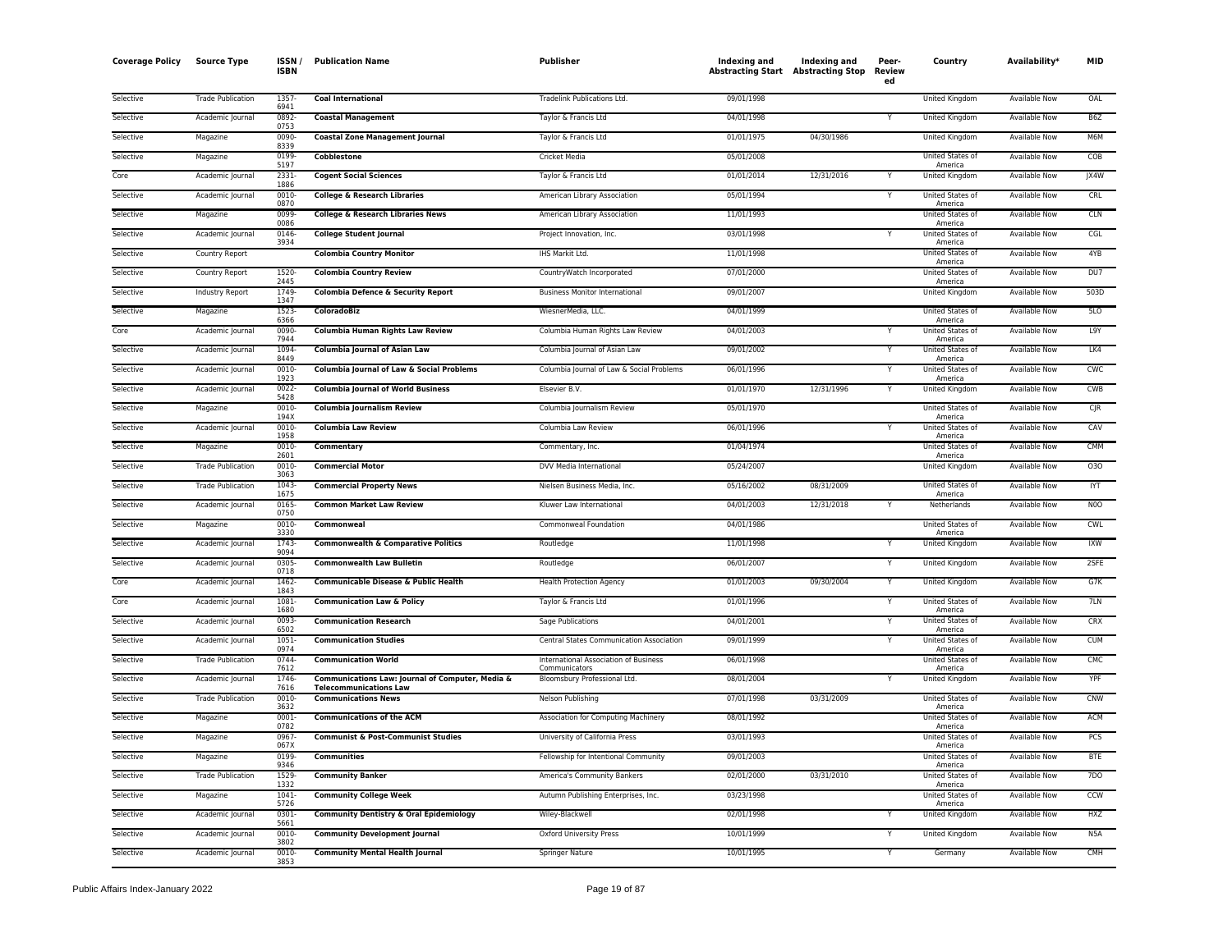| <b>Coverage Policy</b> | <b>Source Type</b>       | ISSN.<br><b>ISBN</b> | <b>Publication Name</b>                                                           | Publisher                                              | Indexing and<br><b>Abstracting Start Abstracting Stop</b> | <b>Indexing and</b> | Peer-<br>Review<br>ed | Country                            | Availability <sup>*</sup> | <b>MID</b>       |
|------------------------|--------------------------|----------------------|-----------------------------------------------------------------------------------|--------------------------------------------------------|-----------------------------------------------------------|---------------------|-----------------------|------------------------------------|---------------------------|------------------|
| Selective              | <b>Trade Publication</b> | 1357<br>6941         | <b>Coal International</b>                                                         | Tradelink Publications Ltd.                            | 09/01/1998                                                |                     |                       | United Kingdom                     | Available Now             | OAL              |
| Selective              | Academic Journal         | 0892<br>0753         | <b>Coastal Management</b>                                                         | Taylor & Francis Ltd                                   | 04/01/1998                                                |                     | Y                     | <b>United Kingdom</b>              | <b>Available Now</b>      | B <sub>6</sub> Z |
| Selective              | Magazine                 | 0090<br>8339         | <b>Coastal Zone Management Journal</b>                                            | Taylor & Francis Ltd                                   | 01/01/1975                                                | 04/30/1986          |                       | United Kingdom                     | Available Now             | M6M              |
| Selective              | Magazine                 | 0199<br>5197         | <b>Cobblestone</b>                                                                | <b>Cricket Media</b>                                   | 05/01/2008                                                |                     |                       | United States of<br>America        | <b>Available Now</b>      | COB              |
| Core                   | Academic Journal         | 2331-<br>1886        | <b>Cogent Social Sciences</b>                                                     | Taylor & Francis Ltd                                   | 01/01/2014                                                | 12/31/2016          |                       | United Kingdom                     | Available Now             | JX4W             |
| Selective              | Academic Journal         | $0010 -$<br>0870     | <b>College &amp; Research Libraries</b>                                           | American Library Association                           | 05/01/1994                                                |                     |                       | United States of<br>America        | Available Now             | CRL              |
| Selective              | Magazine                 | 0099<br>0086         | <b>College &amp; Research Libraries News</b>                                      | American Library Association                           | 11/01/1993                                                |                     |                       | United States of<br>America        | Available Now             | <b>CLN</b>       |
| Selective              | Academic Journal         | 0146<br>3934         | <b>College Student Journal</b>                                                    | Project Innovation, Inc.                               | 03/01/1998                                                |                     |                       | United States of<br>America        | <b>Available Now</b>      | CGL              |
| Selective              | Country Report           |                      | <b>Colombia Country Monitor</b>                                                   | IHS Markit Ltd.                                        | 11/01/1998                                                |                     |                       | United States of<br>America        | Available Now             | 4YB              |
| Selective              | Country Report           | 1520-<br>2445        | <b>Colombia Country Review</b>                                                    | CountryWatch Incorporated                              | 07/01/2000                                                |                     |                       | United States of<br>America        | Available Now             | DU7              |
| Selective              | Industry Report          | 1749<br>1347         | Colombia Defence & Security Report                                                | <b>Business Monitor International</b>                  | 09/01/2007                                                |                     |                       | United Kingdom                     | <b>Available Now</b>      | 503D             |
| Selective              | Magazine                 | 1523-<br>6366        | <b>ColoradoBiz</b>                                                                | WiesnerMedia, LLC.                                     | 04/01/1999                                                |                     |                       | United States of<br>America        | Available Now             | 5LO              |
| Core                   | Academic Journal         | 0090<br>7944         | Columbia Human Rights Law Review                                                  | Columbia Human Rights Law Review                       | 04/01/2003                                                |                     |                       | United States of<br>America        | Available Now             | L9Y              |
| Selective              | Academic Journal         | 1094<br>8449         | <b>Columbia Journal of Asian Law</b>                                              | Columbia Journal of Asian Law                          | 09/01/2002                                                |                     |                       | United States of<br>America        | Available Now             | LK4              |
| Selective              | Academic Journal         | 0010<br>1923         | Columbia Journal of Law & Social Problems                                         | Columbia Journal of Law & Social Problems              | 06/01/1996                                                |                     |                       | United States of<br>America        | <b>Available Now</b>      | CWC              |
| Selective              | Academic Journal         | 0022<br>5428         | <b>Columbia Journal of World Business</b>                                         | Elsevier B.V.                                          | 01/01/1970                                                | 12/31/1996          | Υ                     | <b>United Kingdom</b>              | <b>Available Now</b>      | CWB              |
| Selective              | Magazine                 | 0010-<br>194X        | <b>Columbia Journalism Review</b>                                                 | Columbia Journalism Review                             | 05/01/1970                                                |                     |                       | United States of<br>America        | <b>Available Now</b>      | $C$ JR           |
| Selective              | Academic Journal         | 0010<br>1958         | <b>Columbia Law Review</b>                                                        | Columbia Law Review                                    | 06/01/1996                                                |                     |                       | United States of<br>America        | Available Now             | CAV              |
| Selective              | Magazine                 | 0010-<br>2601        | Commentary                                                                        | Commentary, Inc.                                       | 01/04/1974                                                |                     |                       | United States of<br>America        | Available Now             | CMM              |
| Selective              | <b>Trade Publication</b> | 0010<br>3063         | <b>Commercial Motor</b>                                                           | DVV Media International                                | 05/24/2007                                                |                     |                       | United Kingdom                     | Available Now             | 030              |
| Selective              | <b>Trade Publication</b> | 1043<br>1675         | <b>Commercial Property News</b>                                                   | Nielsen Business Media, Inc.                           | 05/16/2002                                                | 08/31/2009          |                       | United States of<br>America        | <b>Available Now</b>      | <b>IYT</b>       |
| Selective              | Academic Journal         | 0165-<br>0750        | <b>Common Market Law Review</b>                                                   | Kluwer Law International                               | 04/01/2003                                                | 12/31/2018          | Y                     | Netherlands                        | <b>Available Now</b>      | N <sub>0</sub>   |
| Selective              | Magazine                 | 0010-<br>3330        | Commonweal                                                                        | Commonweal Foundation                                  | 04/01/1986                                                |                     |                       | United States of<br>America        | <b>Available Now</b>      | <b>CWL</b>       |
| Selective              | Academic Journal         | 1743<br>9094         | <b>Commonwealth &amp; Comparative Politics</b>                                    | Routledge                                              | 11/01/1998                                                |                     |                       | United Kingdom                     | Available Now             | <b>IXW</b>       |
| Selective              | Academic Journal         | 0305<br>0718         | <b>Commonwealth Law Bulletin</b>                                                  | Routledge                                              | 06/01/2007                                                |                     | Υ                     | United Kingdom                     | Available Now             | 2SFE             |
| Core                   | Academic Journal         | 1462<br>1843         | Communicable Disease & Public Health                                              | <b>Health Protection Agency</b>                        | 01/01/2003                                                | 09/30/2004          | Y                     | <b>United Kingdom</b>              | <b>Available Now</b>      | G7K              |
| Core                   | Academic Journal         | 1081<br>1680         | <b>Communication Law &amp; Policy</b>                                             | Taylor & Francis Ltd                                   | 01/01/1996                                                |                     | Y                     | United States of<br>America        | Available Now             | 7LN              |
| Selective              | Academic Journal         | 0093<br>6502         | <b>Communication Research</b>                                                     | Sage Publications                                      | 04/01/2001                                                |                     |                       | United States of<br>America        | <b>Available Now</b>      | <b>CRX</b>       |
| Selective              | Academic Journal         | $1051 -$<br>0974     | <b>Communication Studies</b>                                                      | Central States Communication Association               | 09/01/1999                                                |                     | Y                     | <b>United States of</b><br>America | Available Now             | <b>CUM</b>       |
| Selective              | <b>Trade Publication</b> | 0744<br>7612         | <b>Communication World</b>                                                        | International Association of Business<br>Communicators | 06/01/1998                                                |                     |                       | United States of<br>America        | Available Now             | CMC              |
| Selective              | Academic Journal         | 1746<br>7616         | Communications Law: Journal of Computer, Media &<br><b>Telecommunications Law</b> | Bloomsbury Professional Ltd.                           | 08/01/2004                                                |                     | Υ                     | United Kingdom                     | Available Now             | YPF              |
| Selective              | <b>Trade Publication</b> | 0010<br>3632         | <b>Communications News</b>                                                        | Nelson Publishing                                      | 07/01/1998                                                | 03/31/2009          |                       | United States of<br>America        | <b>Available Now</b>      | <b>CNW</b>       |
| Selective              | Magazine                 | 0001<br>0782         | <b>Communications of the ACM</b>                                                  | Association for Computing Machinery                    | 08/01/1992                                                |                     |                       | United States of<br>America        | Available Now             | ACM              |
| Selective              | Magazine                 | 0967<br>067X         | <b>Communist &amp; Post-Communist Studies</b>                                     | University of California Press                         | 03/01/1993                                                |                     |                       | United States of<br>America        | <b>Available Now</b>      | PCS              |
| Selective              | Magazine                 | 0199<br>9346         | <b>Communities</b>                                                                | Fellowship for Intentional Community                   | 09/01/2003                                                |                     |                       | <b>United States of</b><br>America | <b>Available Now</b>      | <b>BTE</b>       |
| Selective              | <b>Trade Publication</b> | 1529<br>1332         | <b>Community Banker</b>                                                           | America's Community Bankers                            | 02/01/2000                                                | 03/31/2010          |                       | United States of<br>America        | Available Now             | <b>7DO</b>       |
| Selective              | Magazine                 | 1041<br>5726         | <b>Community College Week</b>                                                     | Autumn Publishing Enterprises, Inc.                    | 03/23/1998                                                |                     |                       | United States of<br>America        | Available Now             | <b>CCW</b>       |
| Selective              | Academic Journal         | 0301<br>5661         | <b>Community Dentistry &amp; Oral Epidemiology</b>                                | Wiley-Blackwell                                        | 02/01/1998                                                |                     |                       | <b>United Kingdom</b>              | Available Now             | HXZ              |
| Selective              | Academic Journal         | 0010<br>3802         | <b>Community Development Journal</b>                                              | <b>Oxford University Press</b>                         | 10/01/1999                                                |                     |                       | United Kingdom                     | Available Now             | N <sub>5</sub> A |
| Selective              | Academic Journal         | 0010-<br>3853        | <b>Community Mental Health Journal</b>                                            | Springer Nature                                        | 10/01/1995                                                |                     | Y                     | Germany                            | <b>Available Now</b>      | CMH              |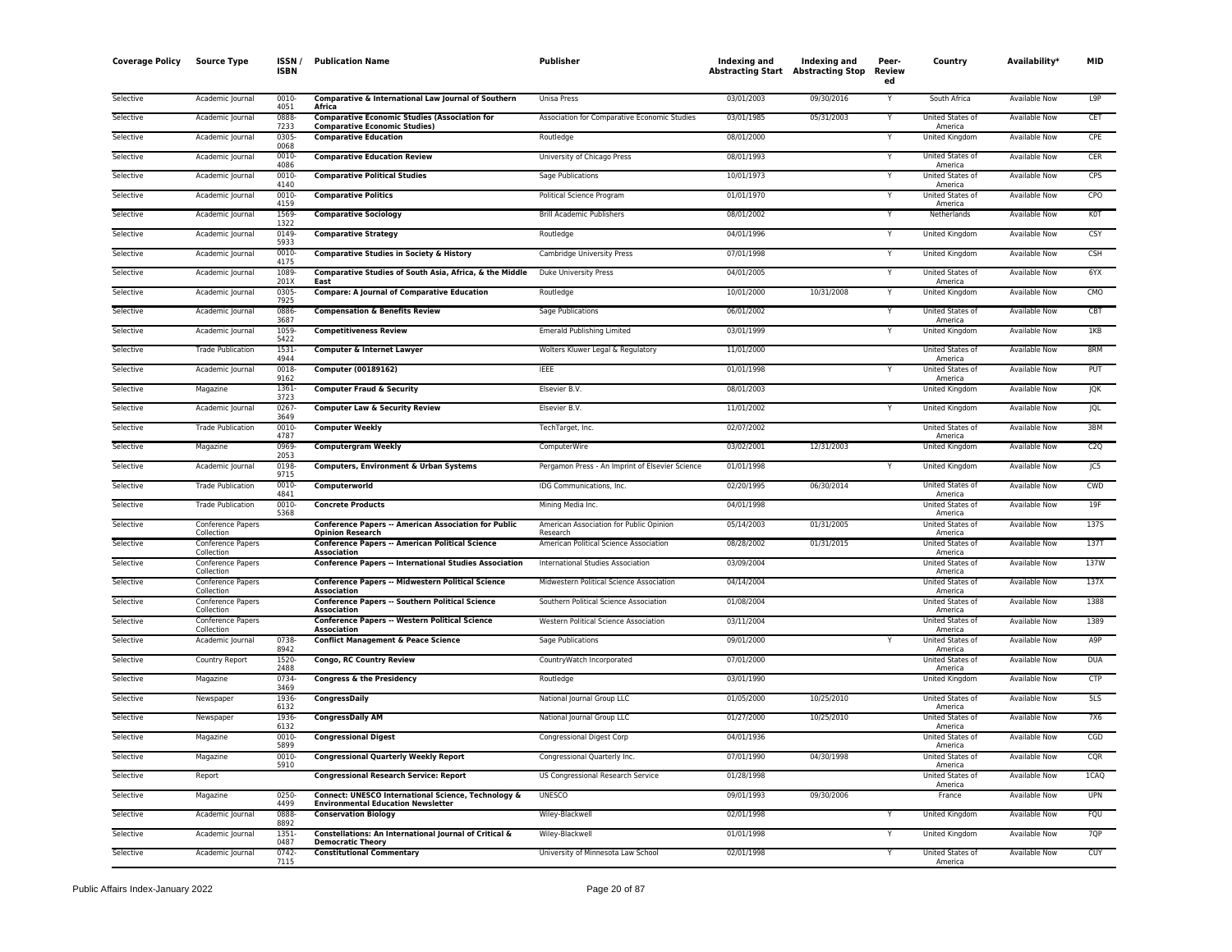| <b>Coverage Policy</b> | <b>Source Type</b>              | ISSN /<br><b>ISBN</b> | <b>Publication Name</b>                                                                          | <b>Publisher</b>                                    | Indexing and<br><b>Abstracting Start Abstracting Stop</b> | Indexing and | Peer-<br>Review<br>ed | Country                                | Availability*        | <b>MID</b>       |
|------------------------|---------------------------------|-----------------------|--------------------------------------------------------------------------------------------------|-----------------------------------------------------|-----------------------------------------------------------|--------------|-----------------------|----------------------------------------|----------------------|------------------|
| Selective              | Academic Journal                | 0010-<br>4051         | Comparative & International Law Journal of Southern<br>Africa                                    | <b>Unisa Press</b>                                  | 03/01/2003                                                | 09/30/2016   | Y                     | South Africa                           | <b>Available Now</b> | L <sub>9</sub> P |
| Selective              | Academic Journal                | 0888<br>7233          | <b>Comparative Economic Studies (Association for</b>                                             | Association for Comparative Economic Studies        | 03/01/1985                                                | 05/31/2003   | Υ                     | <b>United States of</b><br>America     | <b>Available Now</b> | <b>CET</b>       |
| Selective              | Academic Journal                | 0305<br>0068          | <b>Comparative Economic Studies)</b><br><b>Comparative Education</b>                             | Routledge                                           | 08/01/2000                                                |              | Υ                     | United Kingdom                         | <b>Available Now</b> | CPF              |
| Selective              | Academic Journal                | 0010-<br>4086         | <b>Comparative Education Review</b>                                                              | University of Chicago Press                         | 08/01/1993                                                |              | Υ                     | United States of                       | Available Now        | CER              |
| Selective              | Academic Journal                | 0010<br>4140          | <b>Comparative Political Studies</b>                                                             | Sage Publications                                   | 10/01/1973                                                |              |                       | America<br>United States of<br>America | Available Now        | CPS              |
| Selective              | Academic Journal                | 0010<br>4159          | <b>Comparative Politics</b>                                                                      | Political Science Program                           | 01/01/1970                                                |              |                       | United States of<br>America            | <b>Available Now</b> | CPO              |
| Selective              | Academic Journal                | 1569<br>1322          | <b>Comparative Sociology</b>                                                                     | <b>Brill Academic Publishers</b>                    | 08/01/2002                                                |              | Y                     | Netherlands                            | <b>Available Now</b> | <b>KOT</b>       |
| Selective              | Academic Journal                | 0149<br>5933          | <b>Comparative Strategy</b>                                                                      | Routledge                                           | 04/01/1996                                                |              | Υ                     | United Kingdom                         | <b>Available Now</b> | CSY              |
| Selective              | Academic Journal                | 0010<br>4175          | <b>Comparative Studies in Society &amp; History</b>                                              | Cambridge University Press                          | 07/01/1998                                                |              | Y                     | United Kingdom                         | <b>Available Now</b> | <b>CSH</b>       |
| Selective              | Academic Journal                | 1089<br>201X          | Comparative Studies of South Asia, Africa, & the Middle<br>East                                  | Duke University Press                               | 04/01/2005                                                |              |                       | <b>United States of</b><br>America     | Available Now        | 6YX              |
| Selective              | Academic Journal                | 0305<br>7925          | <b>Compare: A Journal of Comparative Education</b>                                               | Routledge                                           | 10/01/2000                                                | 10/31/2008   |                       | United Kingdom                         | Available Now        | CMO              |
| Selective              | Academic Journal                | 0886<br>3687          | <b>Compensation &amp; Benefits Review</b>                                                        | Sage Publications                                   | 06/01/2002                                                |              |                       | United States of<br>America            | Available Now        | CBT              |
| Selective              | Academic Journal                | 1059<br>5422          | <b>Competitiveness Review</b>                                                                    | <b>Emerald Publishing Limited</b>                   | 03/01/1999                                                |              |                       | <b>United Kingdom</b>                  | <b>Available Now</b> | 1KB              |
| Selective              | <b>Trade Publication</b>        | 1531<br>4944          | <b>Computer &amp; Internet Lawyer</b>                                                            | Wolters Kluwer Legal & Regulatory                   | 11/01/2000                                                |              |                       | United States of<br>America            | <b>Available Now</b> | 8RM              |
| Selective              | Academic Journal                | 0018<br>9162          | Computer (00189162)                                                                              | <b>IEEE</b>                                         | 01/01/1998                                                |              |                       | United States of<br>America            | Available Now        | PUT              |
| Selective              | Magazine                        | 1361<br>3723          | <b>Computer Fraud &amp; Security</b>                                                             | Elsevier B.V.                                       | 08/01/2003                                                |              |                       | <b>United Kingdom</b>                  | <b>Available Now</b> | <b>JQK</b>       |
| Selective              | Academic Journal                | 0267<br>3649          | <b>Computer Law &amp; Security Review</b>                                                        | Elsevier B.V.                                       | 11/01/2002                                                |              | Υ                     | United Kingdom                         | Available Now        | JQL              |
| Selective              | <b>Trade Publication</b>        | 0010<br>4787          | <b>Computer Weekly</b>                                                                           | TechTarget, Inc.                                    | 02/07/2002                                                |              |                       | United States of<br>America            | Available Now        | 3BM              |
| Selective              | Magazine                        | 0969<br>2053          | <b>Computergram Weekly</b>                                                                       | ComputerWire                                        | 03/02/2001                                                | 12/31/2003   |                       | United Kingdom                         | <b>Available Now</b> | C2Q              |
| Selective              | Academic Journal                | 0198<br>9715          | Computers, Environment & Urban Systems                                                           | Pergamon Press - An Imprint of Elsevier Science     | 01/01/1998                                                |              |                       | United Kingdom                         | Available Now        | JC5              |
| Selective              | <b>Trade Publication</b>        | 0010<br>4841          | Computerworld                                                                                    | IDG Communications, Inc.                            | 02/20/1995                                                | 06/30/2014   |                       | United States of<br>America            | <b>Available Now</b> | CWD              |
| Selective              | <b>Trade Publication</b>        | 0010-<br>5368         | <b>Concrete Products</b>                                                                         | Mining Media Inc.                                   | 04/01/1998                                                |              |                       | United States of<br>America            | <b>Available Now</b> | 19F              |
| Selective              | Conference Papers<br>Collection |                       | <b>Conference Papers -- American Association for Public</b><br><b>Opinion Research</b>           | American Association for Public Opinion<br>Research | 05/14/2003                                                | 01/31/2005   |                       | <b>United States of</b><br>America     | <b>Available Now</b> | <b>1375</b>      |
| Selective              | Conference Papers<br>Collection |                       | <b>Conference Papers -- American Political Science</b><br>Association                            | American Political Science Association              | 08/28/2002                                                | 01/31/2015   |                       | United States of<br>America            | <b>Available Now</b> | 137T             |
| Selective              | Conference Papers<br>Collection |                       | <b>Conference Papers -- International Studies Association</b>                                    | International Studies Association                   | 03/09/2004                                                |              |                       | United States of<br>America            | Available Now        | 137W             |
| Selective              | Conference Papers<br>Collection |                       | <b>Conference Papers -- Midwestern Political Science</b><br>Association                          | Midwestern Political Science Association            | 04/14/2004                                                |              |                       | United States of<br>America            | <b>Available Now</b> | 137X             |
| Selective              | Conference Papers<br>Collection |                       | <b>Conference Papers -- Southern Political Science</b><br>Association                            | Southern Political Science Association              | 01/08/2004                                                |              |                       | United States of<br>America            | <b>Available Now</b> | 1388             |
| Selective              | Conference Papers<br>Collection |                       | <b>Conference Papers -- Western Political Science</b><br>Association                             | Western Political Science Association               | 03/11/2004                                                |              |                       | United States of<br>America            | Available Now        | 1389             |
| Selective              | Academic Journal                | 0738<br>8942          | <b>Conflict Management &amp; Peace Science</b>                                                   | Sage Publications                                   | 09/01/2000                                                |              |                       | <b>United States of</b><br>America     | <b>Available Now</b> | A <sub>9</sub> P |
| Selective              | Country Report                  | 1520<br>2488          | Congo, RC Country Review                                                                         | CountryWatch Incorporated                           | 07/01/2000                                                |              |                       | United States of<br>America            | <b>Available Now</b> | <b>DUA</b>       |
| Selective              | Magazine                        | 0734<br>3469          | <b>Congress &amp; the Presidency</b>                                                             | Routledge                                           | 03/01/1990                                                |              |                       | United Kingdom                         | Available Now        | <b>CTP</b>       |
| Selective              | Newspaper                       | 1936<br>6132          | <b>CongressDaily</b>                                                                             | National Journal Group LLC                          | 01/05/2000                                                | 10/25/2010   |                       | United States of<br>America            | Available Now        | 5LS              |
| Selective              | Newspaper                       | 1936-<br>6132         | <b>CongressDaily AM</b>                                                                          | National Journal Group LLC                          | 01/27/2000                                                | 10/25/2010   |                       | United States of<br>America            | Available Now        | 7X6              |
| Selective              | Magazine                        | 0010<br>5899          | <b>Congressional Digest</b>                                                                      | <b>Congressional Digest Corp</b>                    | 04/01/1936                                                |              |                       | United States of<br>America            | <b>Available Now</b> | CGD              |
| Selective              | Magazine                        | 0010<br>5910          | <b>Congressional Quarterly Weekly Report</b>                                                     | Congressional Quarterly Inc.                        | 07/01/1990                                                | 04/30/1998   |                       | United States of<br>America            | <b>Available Now</b> | CQR              |
| Selective              | Report                          |                       | <b>Congressional Research Service: Report</b>                                                    | US Congressional Research Service                   | 01/28/1998                                                |              |                       | United States of<br>America            | <b>Available Now</b> | 1CAO             |
| Selective              | Magazine                        | 0250<br>4499          | Connect: UNESCO International Science, Technology &<br><b>Environmental Education Newsletter</b> | <b>UNESCO</b>                                       | 09/01/1993                                                | 09/30/2006   |                       | France                                 | <b>Available Now</b> | <b>UPN</b>       |
| Selective              | Academic Journal                | 0888<br>8892          | <b>Conservation Biology</b>                                                                      | Wiley-Blackwell                                     | 02/01/1998                                                |              |                       | United Kingdom                         | Available Now        | FQU              |
| Selective              | Academic Journal                | 1351<br>0487          | Constellations: An International Journal of Critical &<br><b>Democratic Theory</b>               | Wiley-Blackwell                                     | 01/01/1998                                                |              |                       | United Kingdom                         | Available Now        | 7QP              |
| Selective              | Academic Journal                | 0742<br>7115          | <b>Constitutional Commentary</b>                                                                 | University of Minnesota Law School                  | 02/01/1998                                                |              | Y                     | United States of<br>America            | Available Now        | CUY              |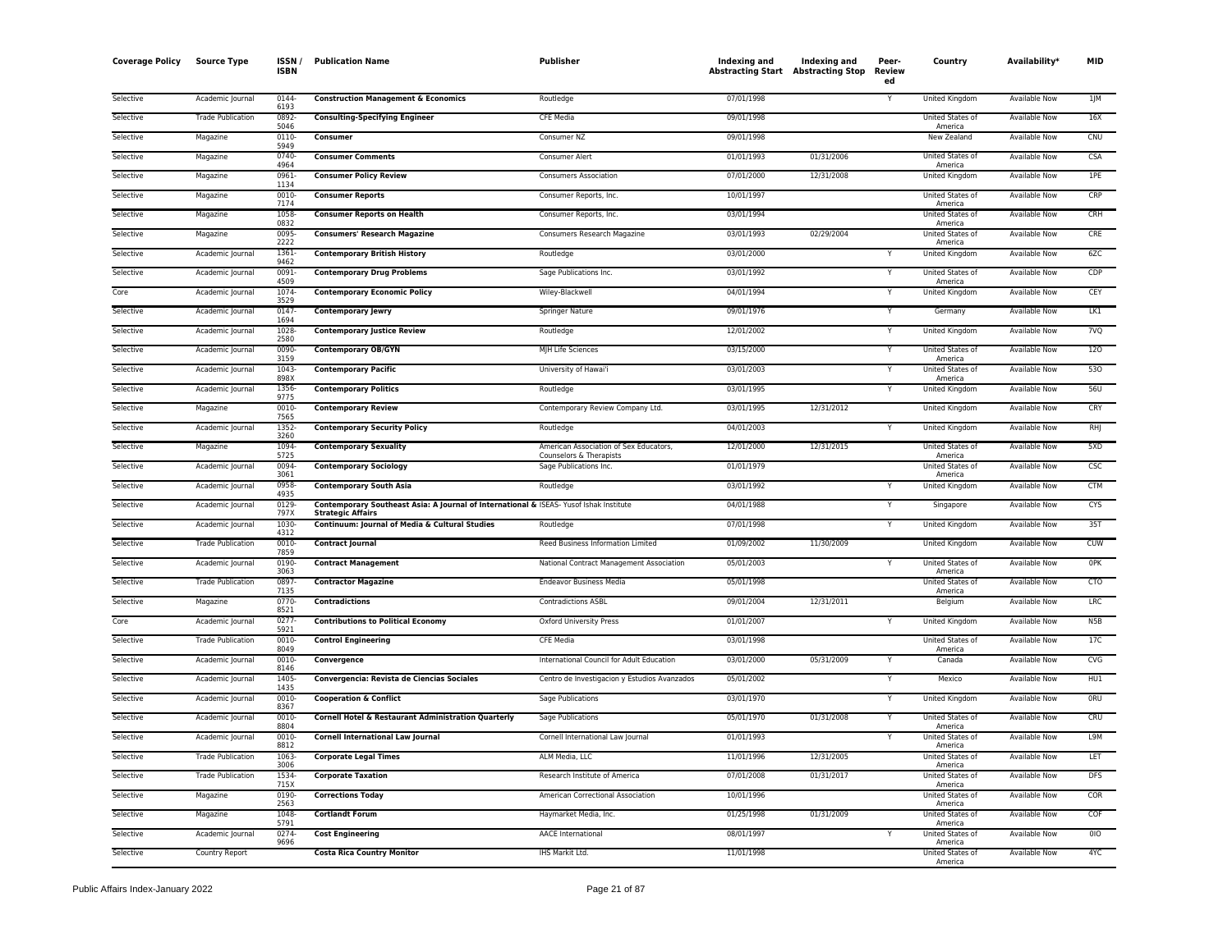| <b>Coverage Policy</b> | <b>Source Type</b>       | <b>ISSN</b><br><b>ISBN</b> | <b>Publication Name</b>                                                                                            | Publisher                                                         | Indexing and<br><b>Abstracting Start Abstracting Stop</b> | <b>Indexing and</b> | Peer-<br>Review<br>ed   | Country                            | Availability <sup>*</sup> | <b>MID</b>       |
|------------------------|--------------------------|----------------------------|--------------------------------------------------------------------------------------------------------------------|-------------------------------------------------------------------|-----------------------------------------------------------|---------------------|-------------------------|------------------------------------|---------------------------|------------------|
| Selective              | Academic Journal         | 0144<br>6193               | <b>Construction Management &amp; Economics</b>                                                                     | Routledge                                                         | 07/01/1998                                                |                     |                         | United Kingdom                     | Available Now             | 1 M              |
| Selective              | <b>Trade Publication</b> | 0892<br>5046               | <b>Consulting-Specifying Engineer</b>                                                                              | <b>CFE Media</b>                                                  | 09/01/1998                                                |                     |                         | United States of<br>America        | <b>Available Now</b>      | 16X              |
| Selective              | Magazine                 | 0110-<br>5949              | Consumer                                                                                                           | Consumer NZ                                                       | 09/01/1998                                                |                     |                         | New Zealand                        | Available Now             | CNU              |
| Selective              | Magazine                 | 0740<br>4964               | <b>Consumer Comments</b>                                                                                           | Consumer Alert                                                    | 01/01/1993                                                | 01/31/2006          |                         | United States of<br>America        | <b>Available Now</b>      | <b>CSA</b>       |
| Selective              | Magazine                 | 0961-<br>1134              | <b>Consumer Policy Review</b>                                                                                      | <b>Consumers Association</b>                                      | 07/01/2000                                                | 12/31/2008          |                         | United Kingdom                     | Available Now             | 1PE              |
| Selective              | Magazine                 | $0010 -$<br>7174           | <b>Consumer Reports</b>                                                                                            | Consumer Reports, Inc.                                            | 10/01/1997                                                |                     |                         | United States of<br>America        | Available Now             | CRP              |
| Selective              | Magazine                 | 1058<br>0832               | <b>Consumer Reports on Health</b>                                                                                  | Consumer Reports, Inc.                                            | 03/01/1994                                                |                     |                         | United States of<br>America        | Available Now             | CRH              |
| Selective              | Magazine                 | 0095<br>2222               | <b>Consumers' Research Magazine</b>                                                                                | Consumers Research Magazine                                       | 03/01/1993                                                | 02/29/2004          |                         | United States of<br>America        | <b>Available Now</b>      | CRE              |
| Selective              | Academic Journal         | 1361<br>9462               | <b>Contemporary British History</b>                                                                                | Routledge                                                         | 03/01/2000                                                |                     |                         | United Kingdom                     | Available Now             | 6ZC              |
| Selective              | Academic Journal         | 0091<br>4509               | <b>Contemporary Drug Problems</b>                                                                                  | Sage Publications Inc.                                            | 03/01/1992                                                |                     | Y                       | United States of<br>America        | <b>Available Now</b>      | CDP              |
| Core                   | Academic Journal         | 1074<br>3529               | <b>Contemporary Economic Policy</b>                                                                                | Wiley-Blackwell                                                   | 04/01/1994                                                |                     |                         | <b>United Kingdom</b>              | <b>Available Now</b>      | CEY              |
| Selective              | Academic Journal         | 0147<br>1694               | <b>Contemporary Jewry</b>                                                                                          | Springer Nature                                                   | 09/01/1976                                                |                     | Υ                       | Germany                            | Available Now             | LK1              |
| Selective              | Academic Journal         | 1028<br>2580               | <b>Contemporary Justice Review</b>                                                                                 | Routledge                                                         | 12/01/2002                                                |                     | Y                       | United Kingdom                     | Available Now             | 7VQ              |
| Selective              | Academic Journal         | 0090<br>3159               | <b>Contemporary OB/GYN</b>                                                                                         | MJH Life Sciences                                                 | 03/15/2000                                                |                     | Y                       | United States of<br>America        | Available Now             | 120              |
| Selective              | Academic Journal         | 1043<br>898X               | <b>Contemporary Pacific</b>                                                                                        | University of Hawai'i                                             | 03/01/2003                                                |                     |                         | United States of<br>America        | <b>Available Now</b>      | 530              |
| Selective              | Academic Journal         | 1356<br>9775               | <b>Contemporary Politics</b>                                                                                       | Routledge                                                         | 03/01/1995                                                |                     | Y                       | <b>United Kingdom</b>              | <b>Available Now</b>      | 56U              |
| Selective              | Magazine                 | 0010-<br>7565              | <b>Contemporary Review</b>                                                                                         | Contemporary Review Company Ltd.                                  | 03/01/1995                                                | 12/31/2012          |                         | <b>United Kingdom</b>              | <b>Available Now</b>      | CRY              |
| Selective              | Academic Journal         | 1352<br>3260               | <b>Contemporary Security Policy</b>                                                                                | Routledge                                                         | 04/01/2003                                                |                     | Υ                       | United Kingdom                     | Available Now             | RHJ              |
| Selective              | Magazine                 | 1094<br>5725               | <b>Contemporary Sexuality</b>                                                                                      | American Association of Sex Educators,<br>Counselors & Therapists | 12/01/2000                                                | 12/31/2015          |                         | United States of<br>America        | Available Now             | 5XD              |
| Selective              | Academic Journal         | 0094<br>3061               | <b>Contemporary Sociology</b>                                                                                      | Sage Publications Inc.                                            | 01/01/1979                                                |                     |                         | United States of<br>America        | Available Now             | CSC              |
| Selective              | Academic Journal         | 0958<br>4935               | <b>Contemporary South Asia</b>                                                                                     | Routledge                                                         | 03/01/1992                                                |                     | $\overline{\mathsf{Y}}$ | <b>United Kingdom</b>              | <b>Available Now</b>      | <b>CTM</b>       |
| Selective              | Academic Journal         | 0129-<br>797X              | Contemporary Southeast Asia: A Journal of International & ISEAS- Yusof Ishak Institute<br><b>Strategic Affairs</b> |                                                                   | 04/01/1988                                                |                     | Y                       | Singapore                          | <b>Available Now</b>      | <b>CYS</b>       |
| Selective              | Academic Journal         | 1030<br>4312               | Continuum: Journal of Media & Cultural Studies                                                                     | Routledge                                                         | 07/01/1998                                                |                     | Y                       | United Kingdom                     | <b>Available Now</b>      | 35T              |
| Selective              | <b>Trade Publication</b> | 0010<br>7859               | <b>Contract Journal</b>                                                                                            | Reed Business Information Limited                                 | 01/09/2002                                                | 11/30/2009          |                         | United Kingdom                     | Available Now             | <b>CUW</b>       |
| Selective              | Academic Journal         | 0190<br>3063               | <b>Contract Management</b>                                                                                         | National Contract Management Association                          | 05/01/2003                                                |                     |                         | United States of<br>America        | Available Now             | 0PK              |
| Selective              | <b>Trade Publication</b> | 0897<br>7135               | <b>Contractor Magazine</b>                                                                                         | <b>Endeavor Business Media</b>                                    | 05/01/1998                                                |                     |                         | United States of<br>America        | <b>Available Now</b>      | <b>CTO</b>       |
| Selective              | Magazine                 | 0770-<br>8521              | <b>Contradictions</b>                                                                                              | <b>Contradictions ASBL</b>                                        | 09/01/2004                                                | 12/31/2011          |                         | Belgium                            | Available Now             | LRC              |
| Core                   | Academic Journal         | 0277<br>5921               | <b>Contributions to Political Economy</b>                                                                          | <b>Oxford University Press</b>                                    | 01/01/2007                                                |                     |                         | United Kingdom                     | <b>Available Now</b>      | N <sub>5</sub> B |
| Selective              | <b>Trade Publication</b> | 0010-<br>8049              | <b>Control Engineering</b>                                                                                         | <b>CFE Media</b>                                                  | 03/01/1998                                                |                     |                         | United States of<br>America        | <b>Available Now</b>      | 17C              |
| Selective              | Academic Journal         | $0010 -$<br>8146           | Convergence                                                                                                        | International Council for Adult Education                         | 03/01/2000                                                | 05/31/2009          |                         | Canada                             | Available Now             | CVG              |
| Selective              | Academic Journal         | 1405<br>1435               | Convergencia: Revista de Ciencias Sociales                                                                         | Centro de Investigacion y Estudios Avanzados                      | 05/01/2002                                                |                     | Y                       | Mexico                             | Available Now             | HU1              |
| Selective              | Academic Journal         | 0010<br>8367               | <b>Cooperation &amp; Conflict</b>                                                                                  | <b>Sage Publications</b>                                          | 03/01/1970                                                |                     |                         | <b>United Kingdom</b>              | <b>Available Now</b>      | ORU              |
| Selective              | Academic Journal         | 0010<br>8804               | Cornell Hotel & Restaurant Administration Quarterly                                                                | Sage Publications                                                 | 05/01/1970                                                | 01/31/2008          | Y                       | United States of<br>America        | Available Now             | CRU              |
| Selective              | Academic Journal         | 0010-<br>8812              | <b>Cornell International Law Journal</b>                                                                           | Cornell International Law Journal                                 | 01/01/1993                                                |                     |                         | United States of<br>America        | <b>Available Now</b>      | L9M              |
| Selective              | <b>Trade Publication</b> | 1063<br>3006               | <b>Corporate Legal Times</b>                                                                                       | ALM Media, LLC                                                    | 11/01/1996                                                | 12/31/2005          |                         | <b>United States of</b><br>America | <b>Available Now</b>      | LET              |
| Selective              | <b>Trade Publication</b> | 1534<br>715X               | <b>Corporate Taxation</b>                                                                                          | Research Institute of America                                     | 07/01/2008                                                | 01/31/2017          |                         | United States of<br>America        | Available Now             | <b>DFS</b>       |
| Selective              | Magazine                 | 0190-<br>2563              | <b>Corrections Today</b>                                                                                           | American Correctional Association                                 | 10/01/1996                                                |                     |                         | United States of<br>America        | Available Now             | COR              |
| Selective              | Magazine                 | 1048-<br>5791              | <b>Cortlandt Forum</b>                                                                                             | Haymarket Media, Inc.                                             | 01/25/1998                                                | 01/31/2009          |                         | United States of<br>America        | Available Now             | COF              |
| Selective              | Academic Journal         | 0274<br>9696               | <b>Cost Engineering</b>                                                                                            | <b>AACE</b> International                                         | 08/01/1997                                                |                     |                         | United States of<br>America        | Available Now             | 0I               |
| Selective              | Country Report           |                            | <b>Costa Rica Country Monitor</b>                                                                                  | IHS Markit Ltd.                                                   | 11/01/1998                                                |                     |                         | United States of<br>America        | <b>Available Now</b>      | 4YC              |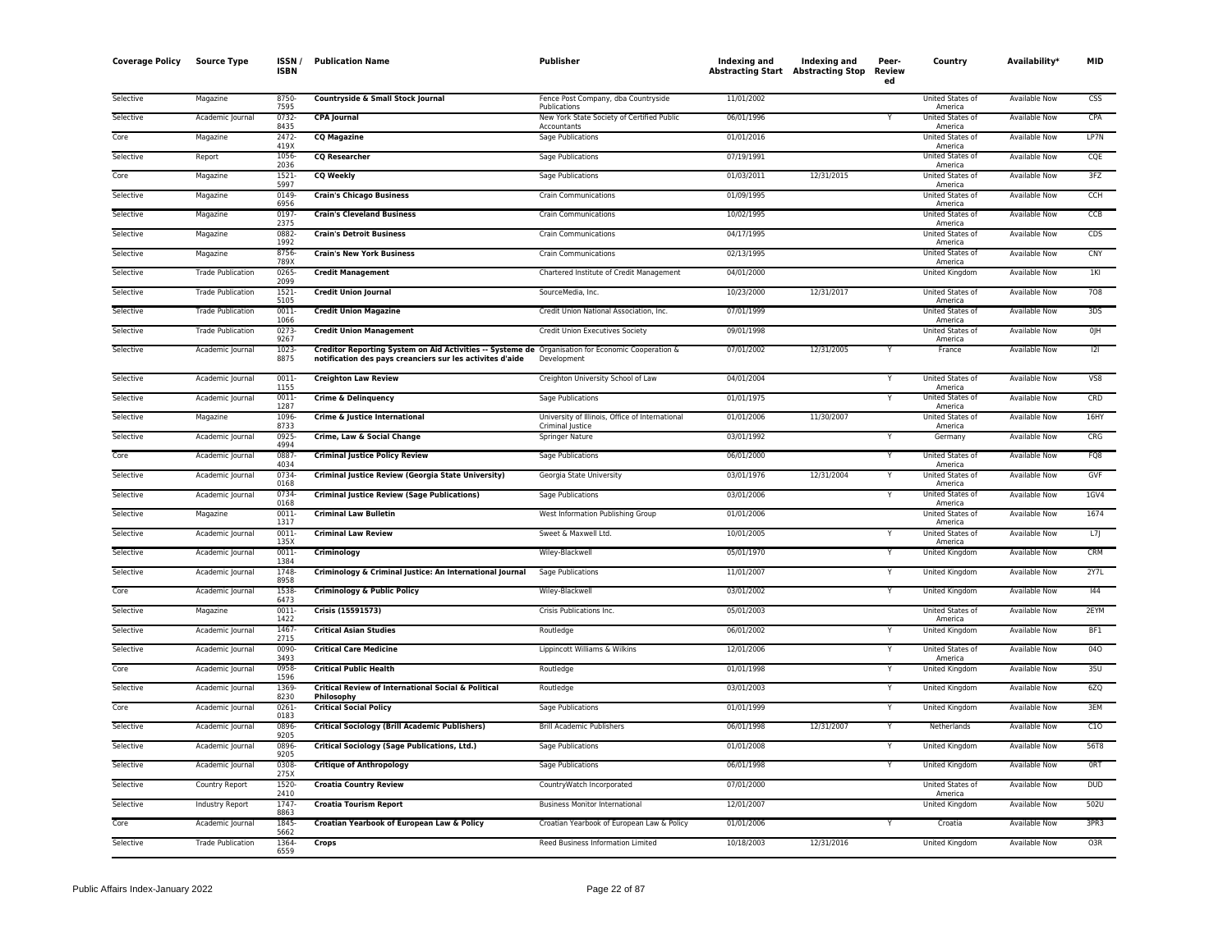| <b>Coverage Policy</b> | <b>Source Type</b>       | <b>ISSN</b><br><b>ISBN</b> | <b>Publication Name</b>                                                                                                                                        | Publisher                                                           | Indexing and<br><b>Abstracting Start Abstracting Stop</b> | Indexing and | Peer-<br>Review<br>ed | Country                            | Availability*        | MID             |
|------------------------|--------------------------|----------------------------|----------------------------------------------------------------------------------------------------------------------------------------------------------------|---------------------------------------------------------------------|-----------------------------------------------------------|--------------|-----------------------|------------------------------------|----------------------|-----------------|
| Selective              | Magazine                 | 8750-<br>7595              | Countryside & Small Stock Journal                                                                                                                              | Fence Post Company, dba Countryside<br>Publications                 | 11/01/2002                                                |              |                       | United States of<br>America        | Available Now        | <b>CSS</b>      |
| Selective              | Academic Journal         | 0732-<br>8435              | <b>CPA Journal</b>                                                                                                                                             | New York State Society of Certified Public<br>Accountants           | 06/01/1996                                                |              | Y                     | United States of<br>America        | Available Now        | CPA             |
| Core                   | Magazine                 | 2472-<br>419X              | <b>CQ Magazine</b>                                                                                                                                             | Sage Publications                                                   | 01/01/2016                                                |              |                       | United States of<br>America        | Available Now        | LP7N            |
| Selective              | Report                   | 1056<br>2036               | <b>CQ Researcher</b>                                                                                                                                           | <b>Sage Publications</b>                                            | 07/19/1991                                                |              |                       | United States of<br>America        | <b>Available Now</b> | CQE             |
| Core                   | Magazine                 | $1521 -$<br>5997           | <b>CQ Weekly</b>                                                                                                                                               | Sage Publications                                                   | 01/03/2011                                                | 12/31/2015   |                       | United States of<br>America        | Available Now        | 3FZ             |
| Selective              | Magazine                 | 0149<br>6956               | <b>Crain's Chicago Business</b>                                                                                                                                | <b>Crain Communications</b>                                         | 01/09/1995                                                |              |                       | United States of<br>America        | Available Now        | CCH             |
| Selective              | Magazine                 | 0197<br>2375               | <b>Crain's Cleveland Business</b>                                                                                                                              | <b>Crain Communications</b>                                         | 10/02/1995                                                |              |                       | United States of<br>America        | Available Now        | CCB             |
| Selective              | Magazine                 | 0882-<br>1992              | <b>Crain's Detroit Business</b>                                                                                                                                | <b>Crain Communications</b>                                         | 04/17/1995                                                |              |                       | United States of<br>America        | <b>Available Now</b> | CDS             |
| Selective              | Magazine                 | 8756-<br>789X              | <b>Crain's New York Business</b>                                                                                                                               | <b>Crain Communications</b>                                         | 02/13/1995                                                |              |                       | United States of<br>America        | Available Now        | CNY             |
| Selective              | <b>Trade Publication</b> | 0265<br>2099               | <b>Credit Management</b>                                                                                                                                       | Chartered Institute of Credit Management                            | 04/01/2000                                                |              |                       | United Kingdom                     | <b>Available Now</b> | 1KI             |
| Selective              | <b>Trade Publication</b> | 1521-<br>5105              | <b>Credit Union Journal</b>                                                                                                                                    | SourceMedia, Inc.                                                   | 10/23/2000                                                | 12/31/2017   |                       | United States of<br>America        | Available Now        | 708             |
| Selective              | <b>Trade Publication</b> | $0011 -$<br>1066           | <b>Credit Union Magazine</b>                                                                                                                                   | Credit Union National Association, Inc.                             | 07/01/1999                                                |              |                       | <b>United States of</b><br>America | <b>Available Now</b> | 3DS             |
| Selective              | <b>Trade Publication</b> | 0273<br>9267               | <b>Credit Union Management</b>                                                                                                                                 | Credit Union Executives Society                                     | 09/01/1998                                                |              |                       | United States of<br>America        | Available Now        | 0JH             |
| Selective              | Academic Journal         | 1023-<br>8875              | Creditor Reporting System on Aid Activities -- Systeme de Organisation for Economic Cooperation &<br>notification des pays creanciers sur les activites d'aide | Development                                                         | 07/01/2002                                                | 12/31/2005   |                       | France                             | Available Now        | 2               |
| Selective              | Academic Journal         | $0011 -$<br>1155           | <b>Creighton Law Review</b>                                                                                                                                    | Creighton University School of Law                                  | 04/01/2004                                                |              |                       | United States of<br>America        | <b>Available Now</b> | V <sub>S8</sub> |
| Selective              | Academic Journal         | 0011-<br>1287              | <b>Crime &amp; Delinquency</b>                                                                                                                                 | Sage Publications                                                   | 01/01/1975                                                |              |                       | United States of<br>America        | Available Now        | CRD             |
| Selective              | Magazine                 | 1096-<br>8733              | Crime & Justice International                                                                                                                                  | University of Illinois, Office of International<br>Criminal Iustice | 01/01/2006                                                | 11/30/2007   |                       | United States of<br>America        | Available Now        | 16HY            |
| Selective              | Academic Journal         | 0925-<br>4994              | Crime, Law & Social Change                                                                                                                                     | Springer Nature                                                     | 03/01/1992                                                |              | Y                     | Germany                            | <b>Available Now</b> | CRG             |
| Core                   | Academic Journal         | 0887<br>4034               | <b>Criminal Justice Policy Review</b>                                                                                                                          | Sage Publications                                                   | 06/01/2000                                                |              | Y                     | United States of<br>America        | Available Now        | FQ8             |
| Selective              | Academic Journal         | 0734<br>0168               | Criminal Justice Review (Georgia State University)                                                                                                             | Georgia State University                                            | 03/01/1976                                                | 12/31/2004   | Υ                     | United States of<br>America        | Available Now        | GVF             |
| Selective              | Academic Journal         | 0734<br>0168               | <b>Criminal Justice Review (Sage Publications)</b>                                                                                                             | Sage Publications                                                   | 03/01/2006                                                |              |                       | United States of<br>America        | Available Now        | $1$ GV4         |
| Selective              | Magazine                 | 0011-<br>1317              | <b>Criminal Law Bulletin</b>                                                                                                                                   | West Information Publishing Group                                   | 01/01/2006                                                |              |                       | United States of<br>America        | <b>Available Now</b> | 1674            |
| Selective              | Academic Journal         | 0011<br>135                | <b>Criminal Law Review</b>                                                                                                                                     | Sweet & Maxwell Ltd.                                                | 10/01/2005                                                |              | Υ                     | United States of<br>America        | Available Now        | L7              |
| Selective              | Academic Journal         | 0011<br>1384               | Criminology                                                                                                                                                    | Wiley-Blackwell                                                     | 05/01/1970                                                |              |                       | United Kingdom                     | Available Now        | <b>CRM</b>      |
| Selective              | Academic Journal         | 1748<br>8958               | Criminology & Criminal Justice: An International Journal                                                                                                       | Sage Publications                                                   | 11/01/2007                                                |              | Y                     | United Kingdom                     | <b>Available Now</b> | 2Y7L            |
| Core                   | Academic Journal         | 1538<br>6473               | <b>Criminology &amp; Public Policy</b>                                                                                                                         | Wiley-Blackwell                                                     | 03/01/2002                                                |              | Υ                     | United Kingdom                     | <b>Available Now</b> | 144             |
| Selective              | Magazine                 | 0011<br>1422               | Crisis (15591573)                                                                                                                                              | Crisis Publications Inc.                                            | 05/01/2003                                                |              |                       | United States of<br>America        | Available Now        | 2EYM            |
| Selective              | Academic Journal         | 1467<br>2715               | <b>Critical Asian Studies</b>                                                                                                                                  | Routledge                                                           | 06/01/2002                                                |              | Y                     | United Kingdom                     | Available Now        | BF1             |
| Selective              | Academic Journal         | 0090-<br>3493              | <b>Critical Care Medicine</b>                                                                                                                                  | Lippincott Williams & Wilkins                                       | 12/01/2006                                                |              |                       | United States of<br>America        | Available Now        | 040             |
| Core                   | Academic Journal         | 0958-<br>1596              | <b>Critical Public Health</b>                                                                                                                                  | Routledge                                                           | 01/01/1998                                                |              |                       | United Kingdom                     | <b>Available Now</b> | 35U             |
| Selective              | Academic Journal         | 1369<br>8230               | Critical Review of International Social & Political<br>Philosophy                                                                                              | Routledge                                                           | 03/01/2003                                                |              | Y                     | United Kingdom                     | Available Now        | 6ZQ             |
| Core                   | Academic Journal         | 0261<br>0183               | <b>Critical Social Policy</b>                                                                                                                                  | Sage Publications                                                   | 01/01/1999                                                |              |                       | United Kingdom                     | Available Now        | 3EM             |
| Selective              | Academic Journal         | 0896<br>9205               | <b>Critical Sociology (Brill Academic Publishers)</b>                                                                                                          | <b>Brill Academic Publishers</b>                                    | 06/01/1998                                                | 12/31/2007   | Y                     | Netherlands                        | <b>Available Now</b> | C10             |
| Selective              | Academic Journal         | 0896<br>9205               | <b>Critical Sociology (Sage Publications, Ltd.)</b>                                                                                                            | Sage Publications                                                   | 01/01/2008                                                |              | Y                     | United Kingdom                     | <b>Available Now</b> | <b>56T8</b>     |
| Selective              | Academic Journal         | 0308<br>275X               | <b>Critique of Anthropology</b>                                                                                                                                | Sage Publications                                                   | 06/01/1998                                                |              | Y                     | United Kingdom                     | Available Now        | ORT             |
| Selective              | Country Report           | 1520-<br>2410              | <b>Croatia Country Review</b>                                                                                                                                  | CountryWatch Incorporated                                           | 07/01/2000                                                |              |                       | United States of<br>America        | Available Now        | <b>DUD</b>      |
| Selective              | Industry Report          | 1747<br>8863               | <b>Croatia Tourism Report</b>                                                                                                                                  | <b>Business Monitor International</b>                               | 12/01/2007                                                |              |                       | United Kingdom                     | Available Now        | 502U            |
| Core                   | Academic Journal         | 1845<br>5662               | Croatian Yearbook of European Law & Policy                                                                                                                     | Croatian Yearbook of European Law & Policy                          | 01/01/2006                                                |              |                       | Croatia                            | <b>Available Now</b> | 3PR3            |
| Selective              | <b>Trade Publication</b> | 1364<br>6559               | Crops                                                                                                                                                          | Reed Business Information Limited                                   | 10/18/2003                                                | 12/31/2016   |                       | United Kingdom                     | Available Now        | O3R             |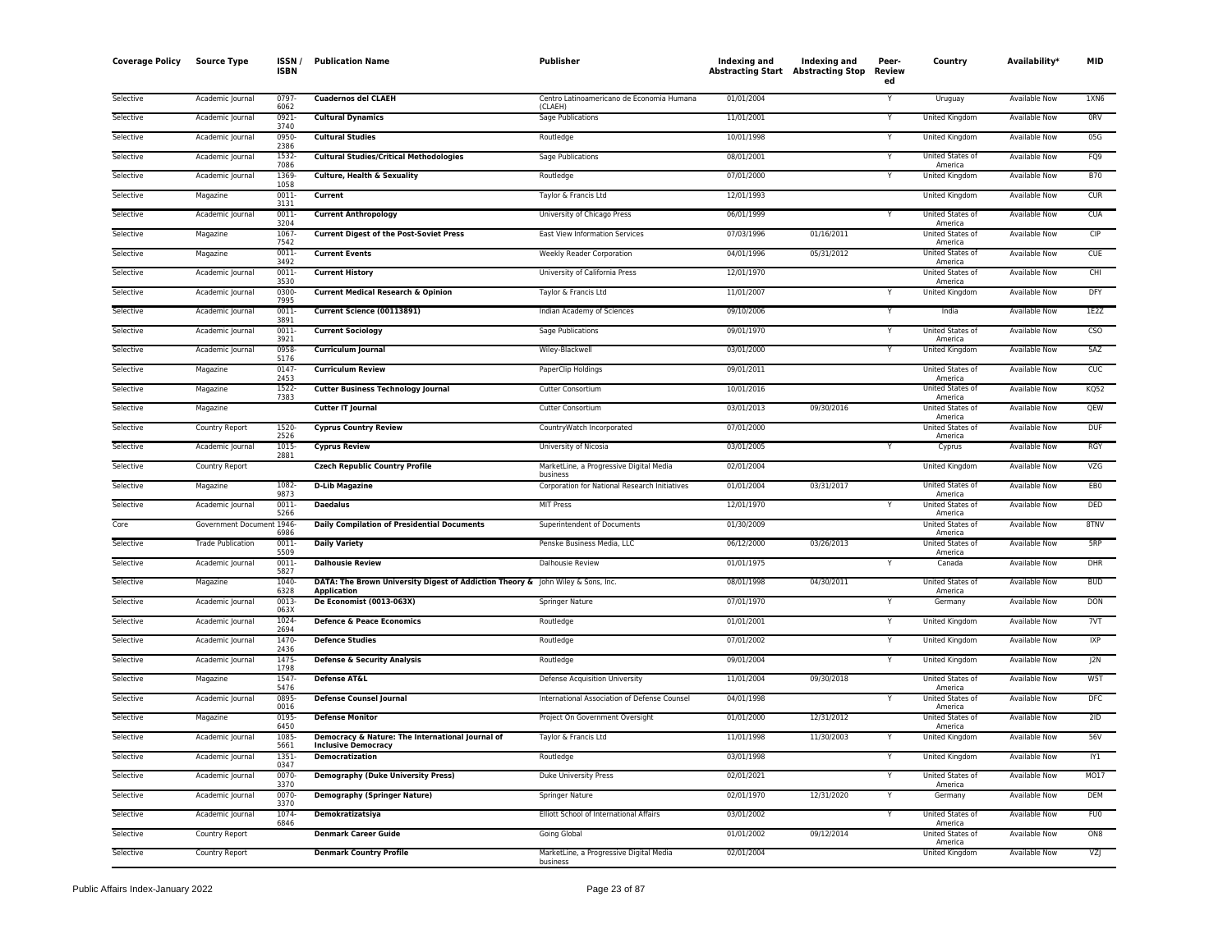| <b>Coverage Policy</b> | <b>Source Type</b>        | ISSN/<br><b>ISBN</b> | <b>Publication Name</b>                                                                        | Publisher                                            | Indexing and<br><b>Abstracting Start Abstracting Stop</b> | Indexing and | Peer-<br>Review<br>ed | Country                            | Availability*        | <b>MID</b>      |
|------------------------|---------------------------|----------------------|------------------------------------------------------------------------------------------------|------------------------------------------------------|-----------------------------------------------------------|--------------|-----------------------|------------------------------------|----------------------|-----------------|
| Selective              | Academic Journal          | 0797<br>6062         | <b>Cuadernos del CLAEH</b>                                                                     | Centro Latinoamericano de Economia Humana<br>(CIAFH) | 01/01/2004                                                |              |                       | Uruguay                            | <b>Available Now</b> | 1XN6            |
| Selective              | Academic Journal          | 0921<br>3740         | <b>Cultural Dynamics</b>                                                                       | <b>Sage Publications</b>                             | 11/01/2001                                                |              |                       | <b>United Kingdom</b>              | <b>Available Now</b> | ORV             |
| Selective              | Academic Journal          | 0950<br>2386         | <b>Cultural Studies</b>                                                                        | Routledge                                            | 10/01/1998                                                |              | Y                     | <b>United Kingdom</b>              | <b>Available Now</b> | 05G             |
| Selective              | Academic Journal          | 1532<br>7086         | <b>Cultural Studies/Critical Methodologies</b>                                                 | Sage Publications                                    | 08/01/2001                                                |              | Y                     | United States of<br>America        | Available Now        | FQ9             |
| Selective              | Academic Journal          | 1369<br>1058         | <b>Culture, Health &amp; Sexuality</b>                                                         | Routledge                                            | 07/01/2000                                                |              | Y                     | United Kingdom                     | Available Now        | <b>B70</b>      |
| Selective              | Magazine                  | 0011<br>3131         | Current                                                                                        | Taylor & Francis Ltd                                 | 12/01/1993                                                |              |                       | <b>United Kingdom</b>              | <b>Available Now</b> | CUR             |
| Selective              | Academic Journal          | 0011<br>3204         | <b>Current Anthropology</b>                                                                    | University of Chicago Press                          | 06/01/1999                                                |              | Y                     | United States of<br>America        | <b>Available Now</b> | CUA             |
| Selective              | Magazine                  | 1067<br>7542         | <b>Current Digest of the Post-Soviet Press</b>                                                 | East View Information Services                       | 07/03/1996                                                | 01/16/2011   |                       | United States of<br>America        | Available Now        | CIP             |
| Selective              | Magazine                  | 0011<br>3492         | <b>Current Events</b>                                                                          | <b>Weekly Reader Corporation</b>                     | 04/01/1996                                                | 05/31/2012   |                       | United States of<br>America        | <b>Available Now</b> | <b>CUE</b>      |
| Selective              | Academic Journal          | 0011-<br>3530        | <b>Current History</b>                                                                         | University of California Press                       | 12/01/1970                                                |              |                       | United States of<br>America        | <b>Available Now</b> | CHI             |
| Selective              | Academic Journal          | 0300<br>7995         | <b>Current Medical Research &amp; Opinion</b>                                                  | Taylor & Francis Ltd                                 | 11/01/2007                                                |              |                       | United Kingdom                     | Available Now        | DFY             |
| Selective              | Academic Journal          | 0011<br>389          | Current Science (00113891)                                                                     | Indian Academy of Sciences                           | 09/10/2006                                                |              | Y                     | India                              | Available Now        | 1F27            |
| Selective              | Academic Journal          | 0011<br>3921         | <b>Current Sociology</b>                                                                       | Sage Publications                                    | 09/01/1970                                                |              |                       | United States of<br>America        | Available Now        | CSO             |
| Selective              | Academic Journal          | 0958<br>5176         | <b>Curriculum Journal</b>                                                                      | Wiley-Blackwell                                      | 03/01/2000                                                |              | Y                     | United Kingdom                     | Available Now        | 5AZ             |
| Selective              | Magazine                  | 0147<br>2453         | <b>Curriculum Review</b>                                                                       | PaperClip Holdings                                   | 09/01/2011                                                |              |                       | United States of<br>America        | Available Now        | CUC             |
| Selective              | Magazine                  | $1522 -$<br>7383     | <b>Cutter Business Technology Journal</b>                                                      | <b>Cutter Consortium</b>                             | 10/01/2016                                                |              |                       | United States of<br>America        | <b>Available Now</b> | <b>KQ52</b>     |
| Selective              | Magazine                  |                      | <b>Cutter IT Journal</b>                                                                       | <b>Cutter Consortium</b>                             | 03/01/2013                                                | 09/30/2016   |                       | <b>United States of</b><br>America | <b>Available Now</b> | <b>OEW</b>      |
| Selective              | Country Report            | 1520<br>2526         | <b>Cyprus Country Review</b>                                                                   | CountryWatch Incorporated                            | 07/01/2000                                                |              |                       | United States of<br>America        | <b>Available Now</b> | <b>DUF</b>      |
| Selective              | Academic Journal          | 1015<br>2881         | <b>Cyprus Review</b>                                                                           | University of Nicosia                                | 03/01/2005                                                |              |                       | Cyprus                             | Available Now        | <b>RGY</b>      |
| Selective              | Country Report            |                      | <b>Czech Republic Country Profile</b>                                                          | MarketLine, a Progressive Digital Media<br>business  | 02/01/2004                                                |              |                       | United Kingdom                     | Available Now        | VZG             |
| Selective              | Magazine                  | 1082-<br>9873        | <b>D-Lib Magazine</b>                                                                          | Corporation for National Research Initiatives        | 01/01/2004                                                | 03/31/2017   |                       | United States of<br>America        | <b>Available Now</b> | EB <sub>0</sub> |
| Selective              | Academic Journal          | 0011<br>5266         | <b>Daedalus</b>                                                                                | <b>MIT Press</b>                                     | 12/01/1970                                                |              |                       | United States of<br>America        | Available Now        | <b>DED</b>      |
| Core                   | Government Document 1946- | 6986                 | <b>Daily Compilation of Presidential Documents</b>                                             | Superintendent of Documents                          | 01/30/2009                                                |              |                       | United States of<br>America        | Available Now        | 8TNV            |
| Selective              | <b>Trade Publication</b>  | 0011-<br>5509        | <b>Daily Variety</b>                                                                           | Penske Business Media, LLC                           | 06/12/2000                                                | 03/26/2013   |                       | United States of<br>America        | <b>Available Now</b> | 5RP             |
| Selective              | Academic Journal          | 0011<br>5827         | <b>Dalhousie Review</b>                                                                        | Dalhousie Review                                     | 01/01/1975                                                |              | Y                     | Canada                             | Available Now        | <b>DHR</b>      |
| Selective              | Magazine                  | 1040<br>6328         | DATA: The Brown University Digest of Addiction Theory & John Wiley & Sons, Inc.<br>Application |                                                      | 08/01/1998                                                | 04/30/2011   |                       | <b>United States of</b><br>America | Available Now        | <b>BUD</b>      |
| Selective              | Academic Journal          | 0013<br>063X         | De Economist (0013-063X)                                                                       | Springer Nature                                      | 07/01/1970                                                |              | Y                     | Germany                            | Available Now        | <b>DON</b>      |
| Selective              | Academic Journal          | 1024<br>2694         | Defence & Peace Economics                                                                      | Routledge                                            | 01/01/2001                                                |              | Y                     | United Kingdom                     | Available Now        | 7VT             |
| Selective              | Academic Journal          | 1470-<br>2436        | <b>Defence Studies</b>                                                                         | Routledge                                            | 07/01/2002                                                |              | v                     | United Kingdom                     | Available Now        | IXP             |
| Selective              | Academic Journal          | 1475<br>1798         | Defense & Security Analysis                                                                    | Routledge                                            | 09/01/2004                                                |              | Ÿ                     | United Kingdom                     | <b>Available Now</b> | J2N             |
| Selective              | Magazine                  | 1547<br>5476         | Defense AT&L                                                                                   | Defense Acquisition University                       | 11/01/2004                                                | 09/30/2018   |                       | United States of<br>America        | <b>Available Now</b> | W5T             |
| Selective              | Academic Journal          | 0895<br>0016         | <b>Defense Counsel Journal</b>                                                                 | International Association of Defense Counsel         | 04/01/1998                                                |              | Υ                     | United States of<br>America        | Available Now        | <b>DFC</b>      |
| Selective              | Magazine                  | 0195<br>6450         | <b>Defense Monitor</b>                                                                         | Project On Government Oversight                      | 01/01/2000                                                | 12/31/2012   |                       | United States of<br>America        | <b>Available Now</b> | 2ID             |
| Selective              | Academic Journal          | 1085<br>5661         | Democracy & Nature: The International Journal of<br><b>Inclusive Democracy</b>                 | Taylor & Francis Ltd                                 | 11/01/1998                                                | 11/30/2003   |                       | United Kingdom                     | Available Now        | 56V             |
| Selective              | Academic Journal          | 1351<br>0347         | <b>Democratization</b>                                                                         | Routledge                                            | 03/01/1998                                                |              |                       | United Kingdom                     | Available Now        | IY1             |
| Selective              | Academic Journal          | 0070<br>3370         | <b>Demography (Duke University Press)</b>                                                      | <b>Duke University Press</b>                         | 02/01/2021                                                |              | Y                     | United States of<br>America        | <b>Available Now</b> | <b>MO17</b>     |
| Selective              | Academic Journal          | 0070<br>3370         | <b>Demography (Springer Nature)</b>                                                            | Springer Nature                                      | 02/01/1970                                                | 12/31/2020   | Y                     | Germany                            | <b>Available Now</b> | <b>DEM</b>      |
| Selective              | Academic Journal          | 1074<br>6846         | Demokratizatsiya                                                                               | Elliott School of International Affairs              | 03/01/2002                                                |              |                       | United States of<br>America        | Available Now        | <b>FU0</b>      |
| Selective              | Country Report            |                      | <b>Denmark Career Guide</b>                                                                    | Going Global                                         | 01/01/2002                                                | 09/12/2014   |                       | United States of<br>America        | <b>Available Now</b> | ON <sub>8</sub> |
| Selective              | Country Report            |                      | <b>Denmark Country Profile</b>                                                                 | MarketLine, a Progressive Digital Media<br>business  | 02/01/2004                                                |              |                       | United Kingdom                     | <b>Available Now</b> | VZJ             |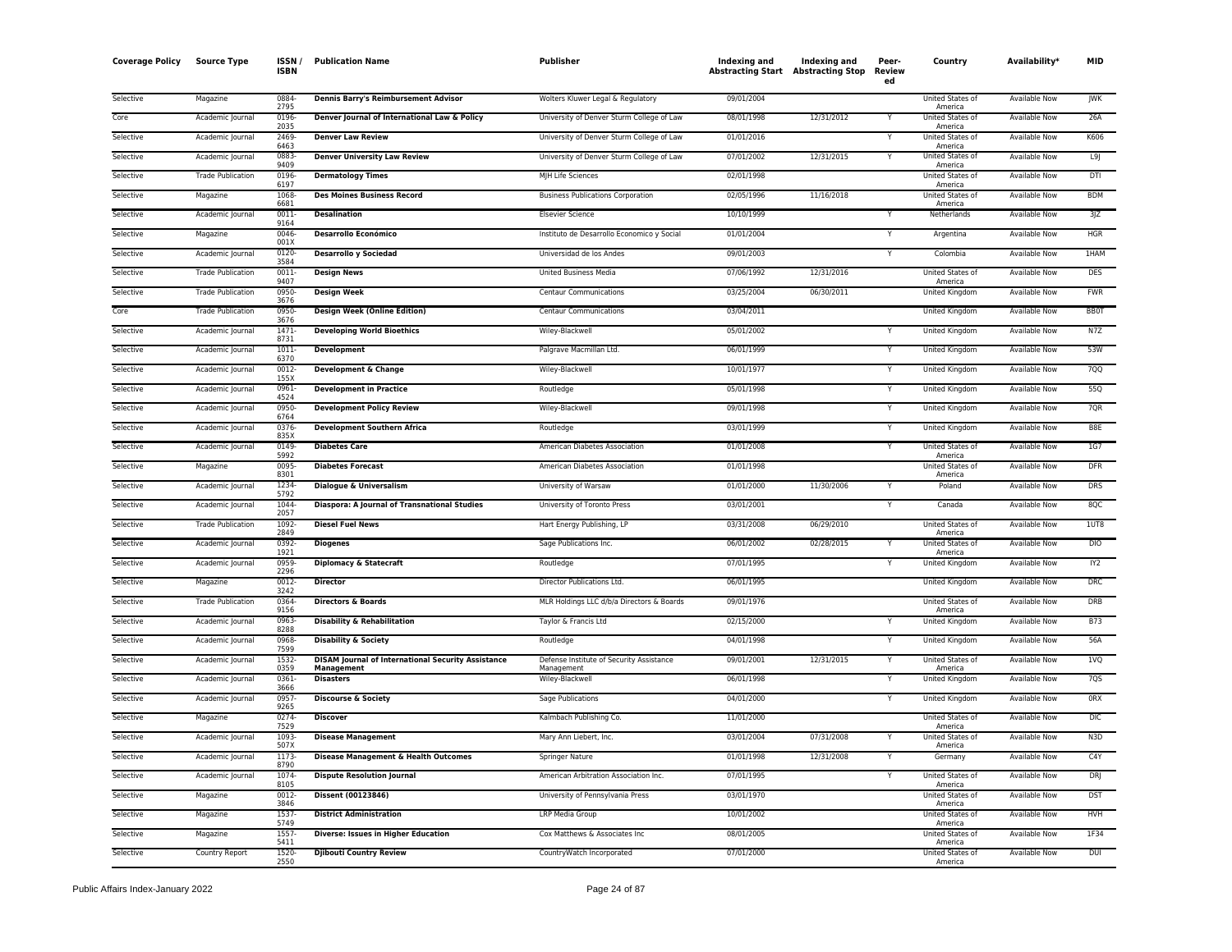| <b>Coverage Policy</b> | <b>Source Type</b>       | ISSN<br><b>ISBN</b> | <b>Publication Name</b>                                                 | Publisher                                              | Indexing and | Indexing and<br><b>Abstracting Start Abstracting Stop</b> | Peer-<br>Review<br>ed | Country                     | Availability*        | MID              |
|------------------------|--------------------------|---------------------|-------------------------------------------------------------------------|--------------------------------------------------------|--------------|-----------------------------------------------------------|-----------------------|-----------------------------|----------------------|------------------|
| Selective              | Magazine                 | 0884<br>2795        | Dennis Barry's Reimbursement Advisor                                    | Wolters Kluwer Legal & Regulatory                      | 09/01/2004   |                                                           |                       | United States of<br>America | <b>Available Now</b> | <b>JWK</b>       |
| Core                   | Academic Journal         | 0196<br>2035        | Denver Journal of International Law & Policy                            | University of Denver Sturm College of Law              | 08/01/1998   | 12/31/2012                                                | Υ                     | United States of<br>America | Available Now        | 26A              |
| Selective              | Academic Journal         | 2469<br>6463        | <b>Denver Law Review</b>                                                | University of Denver Sturm College of Law              | 01/01/2016   |                                                           | Y                     | United States of<br>America | Available Now        | K606             |
| Selective              | Academic Journal         | 0883<br>9409        | <b>Denver University Law Review</b>                                     | University of Denver Sturm College of Law              | 07/01/2002   | 12/31/2015                                                | Υ                     | United States of<br>America | Available Now        | L9               |
| Selective              | <b>Trade Publication</b> | 0196<br>6197        | <b>Dermatology Times</b>                                                | MJH Life Sciences                                      | 02/01/1998   |                                                           |                       | United States of<br>America | Available Now        | DTI              |
| Selective              | Magazine                 | 1068<br>6681        | <b>Des Moines Business Record</b>                                       | <b>Business Publications Corporation</b>               | 02/05/1996   | 11/16/2018                                                |                       | United States of<br>America | <b>Available Now</b> | <b>BDM</b>       |
| Selective              | Academic Journal         | 0011<br>9164        | <b>Desalination</b>                                                     | <b>Elsevier Science</b>                                | 10/10/1999   |                                                           | Y                     | Netherlands                 | <b>Available Now</b> | 3JZ              |
| Selective              | Magazine                 | 0046<br>001X        | <b>Desarrollo Económico</b>                                             | Instituto de Desarrollo Economico y Social             | 01/01/2004   |                                                           | Y                     | Argentina                   | Available Now        | <b>HGR</b>       |
| Selective              | Academic Journal         | 0120-<br>3584       | <b>Desarrollo y Sociedad</b>                                            | Universidad de los Andes                               | 09/01/2003   |                                                           | Y                     | Colombia                    | Available Now        | 1HAM             |
| Selective              | <b>Trade Publication</b> | 0011<br>9407        | <b>Design News</b>                                                      | <b>United Business Media</b>                           | 07/06/1992   | 12/31/2016                                                |                       | United States of<br>America | <b>Available Now</b> | <b>DES</b>       |
| Selective              | <b>Trade Publication</b> | 0950<br>3676        | <b>Design Week</b>                                                      | <b>Centaur Communications</b>                          | 03/25/2004   | 06/30/2011                                                |                       | United Kingdom              | <b>Available Now</b> | <b>FWR</b>       |
| Core                   | <b>Trade Publication</b> | 0950<br>3676        | <b>Design Week (Online Edition)</b>                                     | <b>Centaur Communications</b>                          | 03/04/2011   |                                                           |                       | United Kingdom              | <b>Available Now</b> | <b>BB0T</b>      |
| Selective              | Academic Journal         | 1471<br>8731        | <b>Developing World Bioethics</b>                                       | Wiley-Blackwell                                        | 05/01/2002   |                                                           | Y                     | United Kingdom              | <b>Available Now</b> | N7Z              |
| Selective              | Academic Journal         | 1011<br>6370        | Development                                                             | Palgrave Macmillan Ltd.                                | 06/01/1999   |                                                           | Y                     | United Kingdom              | Available Now        | 53W              |
| Selective              | Academic Journal         | 0012<br>155X        | Development & Change                                                    | Wiley-Blackwell                                        | 10/01/1977   |                                                           | Y                     | United Kingdom              | <b>Available Now</b> | 700              |
| Selective              | Academic Journal         | 0961<br>4524        | <b>Development in Practice</b>                                          | Routledge                                              | 05/01/1998   |                                                           | Y                     | <b>United Kingdom</b>       | <b>Available Now</b> | 55Q              |
| Selective              | Academic Journal         | 0950<br>6764        | <b>Development Policy Review</b>                                        | Wiley-Blackwell                                        | 09/01/1998   |                                                           | Y                     | United Kingdom              | Available Now        | 7QR              |
| Selective              | Academic Journal         | 0376<br>835X        | <b>Development Southern Africa</b>                                      | Routledge                                              | 03/01/1999   |                                                           | Y                     | United Kingdom              | <b>Available Now</b> | B8E              |
| Selective              | Academic Journal         | 0149<br>5992        | <b>Diabetes Care</b>                                                    | American Diabetes Association                          | 01/01/2008   |                                                           | Y                     | United States of<br>America | Available Now        | 1G7              |
| Selective              | Magazine                 | 0095<br>8301        | <b>Diabetes Forecast</b>                                                | American Diabetes Association                          | 01/01/1998   |                                                           |                       | United States of<br>America | Available Now        | <b>DFR</b>       |
| Selective              | Academic Journal         | 1234<br>5792        | Dialogue & Universalism                                                 | University of Warsaw                                   | 01/01/2000   | 11/30/2006                                                | Y                     | Poland                      | Available Now        | DRS              |
| Selective              | Academic Journal         | 1044<br>2057        | Diaspora: A Journal of Transnational Studies                            | University of Toronto Press                            | 03/01/2001   |                                                           |                       | Canada                      | <b>Available Now</b> | 8QC              |
| Selective              | <b>Trade Publication</b> | 1092<br>2849        | <b>Diesel Fuel News</b>                                                 | Hart Energy Publishing, LP                             | 03/31/2008   | 06/29/2010                                                |                       | United States of<br>America | <b>Available Now</b> | 1UT8             |
| Selective              | Academic Journal         | 0392<br>1921        | <b>Diogenes</b>                                                         | Sage Publications Inc.                                 | 06/01/2002   | 02/28/2015                                                |                       | United States of<br>America | <b>Available Now</b> | <b>DIO</b>       |
| Selective              | Academic Journal         | 0959<br>2296        | <b>Diplomacy &amp; Statecraft</b>                                       | Routledge                                              | 07/01/1995   |                                                           | Y                     | United Kingdom              | Available Now        | IY <sub>2</sub>  |
| Selective              | Magazine                 | $0012 -$<br>3242    | <b>Director</b>                                                         | Director Publications Ltd.                             | 06/01/1995   |                                                           |                       | United Kingdom              | Available Now        | <b>DRC</b>       |
| Selective              | <b>Trade Publication</b> | 0364<br>9156        | <b>Directors &amp; Boards</b>                                           | MLR Holdings LLC d/b/a Directors & Boards              | 09/01/1976   |                                                           |                       | United States of<br>America | Available Now        | <b>DRB</b>       |
| Selective              | Academic Journal         | 0963<br>8288        | <b>Disability &amp; Rehabilitation</b>                                  | Taylor & Francis Ltd                                   | 02/15/2000   |                                                           |                       | United Kingdom              | <b>Available Now</b> | <b>B73</b>       |
| Selective              | Academic Journal         | 0968<br>7599        | <b>Disability &amp; Society</b>                                         | Routledge                                              | 04/01/1998   |                                                           | Y                     | United Kingdom              | Available Now        | 56A              |
| Selective              | Academic Iournal         | 1532<br>0359        | <b>DISAM Journal of International Security Assistance</b><br>Management | Defense Institute of Security Assistance<br>Management | 09/01/2001   | 12/31/2015                                                | Y                     | United States of<br>America | <b>Available Now</b> | 1 <sub>1</sub>   |
| Selective              | Academic Journal         | 0361<br>3666        | <b>Disasters</b>                                                        | Wiley-Blackwell                                        | 06/01/1998   |                                                           | Y                     | United Kingdom              | Available Now        | 7QS              |
| Selective              | Academic Journal         | 0957<br>9265        | <b>Discourse &amp; Society</b>                                          | Sage Publications                                      | 04/01/2000   |                                                           | Y                     | United Kingdom              | Available Now        | ORX              |
| Selective              | Magazine                 | 0274<br>7529        | <b>Discover</b>                                                         | Kalmbach Publishing Co.                                | 11/01/2000   |                                                           |                       | United States of<br>America | Available Now        | DIC.             |
| Selective              | Academic Journal         | 1093<br>507X        | <b>Disease Management</b>                                               | Mary Ann Liebert, Inc.                                 | 03/01/2004   | 07/31/2008                                                |                       | United States of<br>America | <b>Available Now</b> | N <sub>3</sub> D |
| Selective              | Academic Journal         | 1173<br>8790        | Disease Management & Health Outcomes                                    | Springer Nature                                        | 01/01/1998   | 12/31/2008                                                | Y                     | Germany                     | Available Now        | CAY              |
| Selective              | Academic Journal         | 1074<br>8105        | <b>Dispute Resolution Journal</b>                                       | American Arbitration Association Inc.                  | 07/01/1995   |                                                           | Y                     | United States of<br>America | <b>Available Now</b> | DRI              |
| Selective              | Magazine                 | 0012<br>3846        | Dissent (00123846)                                                      | University of Pennsylvania Press                       | 03/01/1970   |                                                           |                       | United States of<br>America | <b>Available Now</b> | <b>DST</b>       |
| Selective              | Magazine                 | 1537<br>5749        | <b>District Administration</b>                                          | LRP Media Group                                        | 10/01/2002   |                                                           |                       | United States of<br>America | Available Now        | <b>HVH</b>       |
| Selective              | Magazine                 | 1557<br>5411        | Diverse: Issues in Higher Education                                     | Cox Matthews & Associates Inc                          | 08/01/2005   |                                                           |                       | United States of<br>America | Available Now        | 1F34             |
| Selective              | Country Report           | 1520<br>2550        | <b>Djibouti Country Review</b>                                          | CountryWatch Incorporated                              | 07/01/2000   |                                                           |                       | United States of<br>America | <b>Available Now</b> | <b>DUI</b>       |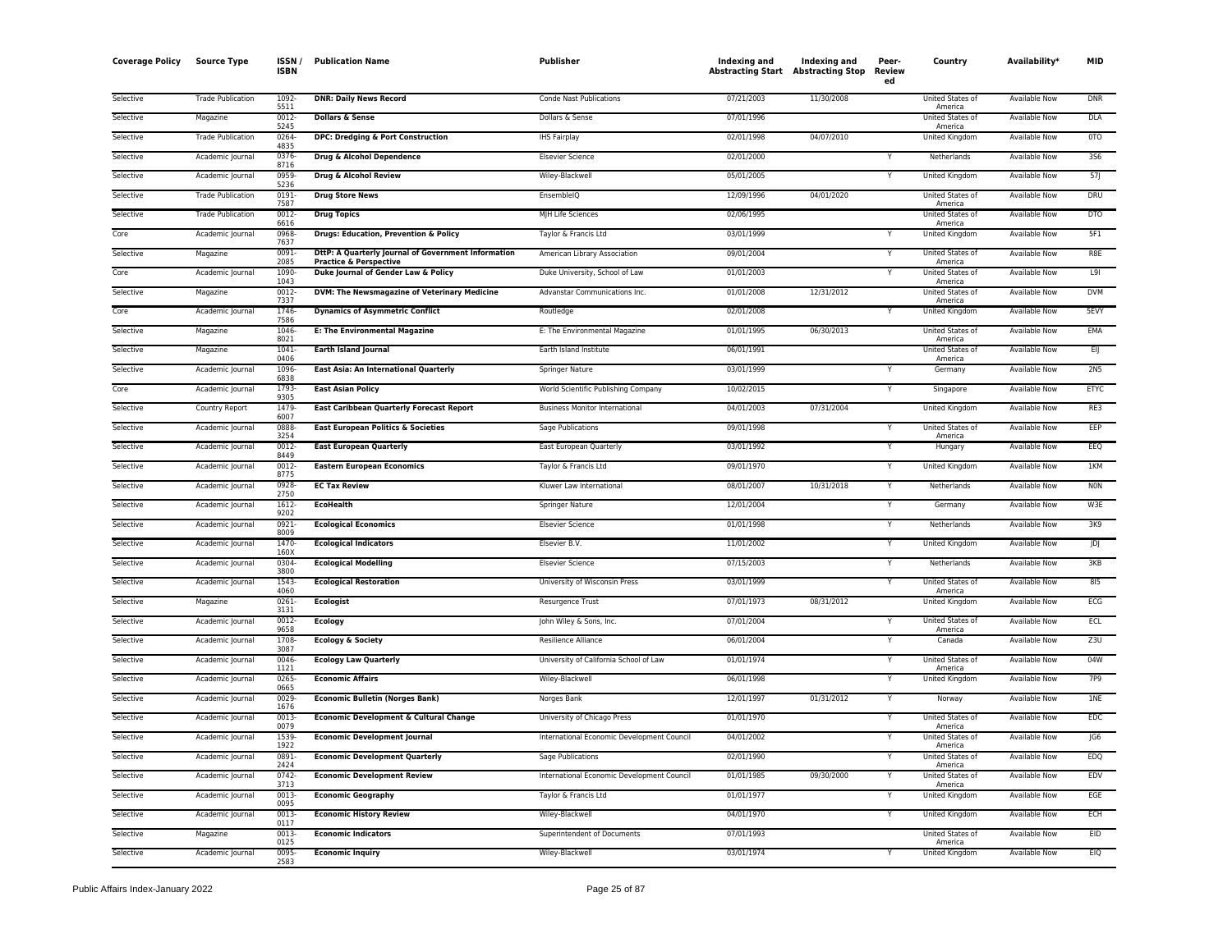| <b>Coverage Policy</b> | <b>Source Type</b>       | ISSN/<br><b>ISBN</b>  | <b>Publication Name</b>                                                  | <b>Publisher</b>                           | Indexing and<br><b>Abstracting Start Abstracting Stop</b> | <b>Indexing and</b> | Peer-<br>Review<br>ed | Country                                | Availability*        | <b>MID</b>      |
|------------------------|--------------------------|-----------------------|--------------------------------------------------------------------------|--------------------------------------------|-----------------------------------------------------------|---------------------|-----------------------|----------------------------------------|----------------------|-----------------|
| Selective              | <b>Trade Publication</b> | 1092<br>5511          | <b>DNR: Daily News Record</b>                                            | Conde Nast Publications                    | 07/21/2003                                                | 11/30/2008          |                       | United States of<br>America            | Available Now        | <b>DNR</b>      |
| Selective              | Magazine                 | $0012 -$<br>5245      | <b>Dollars &amp; Sense</b>                                               | Dollars & Sense                            | 07/01/1996                                                |                     |                       | United States of<br>America            | <b>Available Now</b> | <b>DLA</b>      |
| Selective              | <b>Trade Publication</b> | 0264<br>4835          | DPC: Dredging & Port Construction                                        | <b>IHS Fairplay</b>                        | 02/01/1998                                                | 04/07/2010          |                       | <b>United Kingdom</b>                  | <b>Available Now</b> | <b>OTO</b>      |
| Selective              | Academic Journal         | 0376<br>8716          | Drug & Alcohol Dependence                                                | <b>Elsevier Science</b>                    | 02/01/2000                                                |                     | Υ                     | Netherlands                            | Available Now        | <b>3S6</b>      |
| Selective              | Academic Journal         | 0959<br>5236          | Drug & Alcohol Review                                                    | Wiley-Blackwell                            | 05/01/2005                                                |                     | Y                     | United Kingdom                         | Available Now        | 57J             |
| Selective              | <b>Trade Publication</b> | 0191<br>7587          | <b>Drug Store News</b>                                                   | EnsembleIQ                                 | 12/09/1996                                                | 04/01/2020          |                       | United States of<br>America            | Available Now        | DRU             |
| Selective              | <b>Trade Publication</b> | $0012 -$<br>6616      | <b>Drug Topics</b>                                                       | MJH Life Sciences                          | 02/06/1995                                                |                     |                       | United States of<br>America            | <b>Available Now</b> | <b>DTO</b>      |
| Core                   | Academic Journal         | 0968<br>7637          | <b>Drugs: Education, Prevention &amp; Policy</b>                         | Taylor & Francis Ltd                       | 03/01/1999                                                |                     | Y                     | United Kingdom                         | Available Now        | 5F1             |
| Selective              | Magazine                 | 0091<br>2085          | DttP: A Quarterly Journal of Government Information                      | American Library Association               | 09/01/2004                                                |                     |                       | United States of<br>America            | <b>Available Now</b> | R8E             |
| Core                   | Academic Journal         | 1090-<br>1043         | <b>Practice &amp; Perspective</b><br>Duke Journal of Gender Law & Policy | Duke University, School of Law             | 01/01/2003                                                |                     | Υ                     | United States of<br>America            | Available Now        | L9I             |
| Selective              | Magazine                 | 0012                  | DVM: The Newsmagazine of Veterinary Medicine                             | Advanstar Communications Inc.              | 01/01/2008                                                | 12/31/2012          |                       | United States of<br>America            | <b>Available Now</b> | <b>DVM</b>      |
| Core                   | Academic Journal         | 7337<br>1746<br>7586  | <b>Dynamics of Asymmetric Conflict</b>                                   | Routledge                                  | 02/01/2008                                                |                     |                       | United Kingdom                         | Available Now        | 5EVY            |
| Selective              | Magazine                 | 1046<br>8021          | <b>E: The Environmental Magazine</b>                                     | E: The Environmental Magazine              | 01/01/1995                                                | 06/30/2013          |                       | United States of                       | Available Now        | EMA             |
| Selective              | Magazine                 | 1041<br>0406          | <b>Earth Island Journal</b>                                              | Earth Island Institute                     | 06/01/1991                                                |                     |                       | America<br>United States of<br>America | <b>Available Now</b> | EIJ             |
| Selective              | Academic Journal         | 1096<br>6838          | East Asia: An International Quarterly                                    | Springer Nature                            | 03/01/1999                                                |                     |                       | Germany                                | Available Now        | 2N <sub>5</sub> |
| Core                   | Academic Journal         | 1793<br>9305          | <b>East Asian Policy</b>                                                 | World Scientific Publishing Company        | 10/02/2015                                                |                     | Y                     | Singapore                              | <b>Available Now</b> | <b>ETYC</b>     |
| Selective              | Country Report           | 1479<br>6007          | <b>East Caribbean Quarterly Forecast Report</b>                          | <b>Business Monitor International</b>      | 04/01/2003                                                | 07/31/2004          |                       | <b>United Kingdom</b>                  | <b>Available Now</b> | RE3             |
| Selective              | Academic Journal         | 0888                  | East European Politics & Societies                                       | Sage Publications                          | 09/01/1998                                                |                     | Υ                     | United States of<br>America            | Available Now        | EEP             |
| Selective              | Academic Journal         | 3254<br>0012-<br>8449 | <b>East European Quarterly</b>                                           | East European Quarterly                    | 03/01/1992                                                |                     | Y                     | Hungary                                | Available Now        | EEQ             |
| Selective              | Academic Journal         | 0012<br>8775          | <b>Eastern European Economics</b>                                        | Taylor & Francis Ltd                       | 09/01/1970                                                |                     |                       | United Kingdom                         | <b>Available Now</b> | 1KM             |
| Selective              | Academic Journal         | 0928<br>2750          | <b>EC Tax Review</b>                                                     | Kluwer Law International                   | 08/01/2007                                                | 10/31/2018          | Y                     | Netherlands                            | <b>Available Now</b> | <b>NON</b>      |
| Selective              | Academic Journal         | $1612 -$<br>9202      | <b>EcoHealth</b>                                                         | <b>Springer Nature</b>                     | 12/01/2004                                                |                     | Y                     | Germany                                | <b>Available Now</b> | W3E             |
| Selective              | Academic Journal         | 0921<br>8009          | <b>Ecological Economics</b>                                              | <b>Elsevier Science</b>                    | 01/01/1998                                                |                     | Y                     | Netherlands                            | Available Now        | 3K9             |
| Selective              | Academic Journal         | 1470<br>160X          | <b>Ecological Indicators</b>                                             | Elsevier B.V.                              | 11/01/2002                                                |                     | Y                     | United Kingdom                         | <b>Available Now</b> | JDJ             |
| Selective              | Academic Journal         | 0304<br>3800          | <b>Ecological Modelling</b>                                              | <b>Elsevier Science</b>                    | 07/15/2003                                                |                     |                       | Netherlands                            | Available Now        | 3KB             |
| Selective              | Academic Journal         | 1543<br>4060          | <b>Ecological Restoration</b>                                            | University of Wisconsin Press              | 03/01/1999                                                |                     | Y                     | United States of<br>America            | <b>Available Now</b> | 815             |
| Selective              | Magazine                 | $0261 -$<br>3131      | <b>Ecologist</b>                                                         | Resurgence Trust                           | 07/01/1973                                                | 08/31/2012          |                       | <b>United Kingdom</b>                  | <b>Available Now</b> | ECG             |
| Selective              | Academic Journal         | 0012<br>9658          | <b>Ecology</b>                                                           | John Wiley & Sons, Inc.                    | 07/01/2004                                                |                     |                       | United States of<br>America            | <b>Available Now</b> | ECL             |
| Selective              | Academic Journal         | 1708<br>3087          | <b>Ecology &amp; Society</b>                                             | Resilience Alliance                        | 06/01/2004                                                |                     | Y                     | Canada                                 | <b>Available Now</b> | Z3U             |
| Selective              | Academic Journal         | 0046<br>1121          | <b>Ecology Law Quarterly</b>                                             | University of California School of Law     | 01/01/1974                                                |                     |                       | United States of<br>America            | Available Now        | 04W             |
| Selective              | Academic Journal         | 0265<br>0665          | <b>Economic Affairs</b>                                                  | Wiley-Blackwell                            | 06/01/1998                                                |                     | Υ                     | United Kingdom                         | Available Now        | 7P9             |
| Selective              | Academic Journal         | 0029<br>1676          | <b>Economic Bulletin (Norges Bank)</b>                                   | Norges Bank                                | 12/01/1997                                                | 01/31/2012          | Y                     | Norway                                 | Available Now        | 1NE             |
| Selective              | Academic Journal         | 0013<br>0079          | Economic Development & Cultural Change                                   | University of Chicago Press                | 01/01/1970                                                |                     | Υ                     | United States of<br>America            | <b>Available Now</b> | <b>EDC</b>      |
| Selective              | Academic Journal         | 1539<br>1922          | <b>Economic Development Journal</b>                                      | International Economic Development Council | 04/01/2002                                                |                     |                       | United States of<br>America            | <b>Available Now</b> | JG6             |
| Selective              | Academic Journal         | 0891<br>2424          | <b>Economic Development Quarterly</b>                                    | Sage Publications                          | 02/01/1990                                                |                     |                       | United States of<br>America            | <b>Available Now</b> | <b>EDQ</b>      |
| Selective              | Academic Journal         | 0742-<br>3713         | <b>Economic Development Review</b>                                       | International Economic Development Council | 01/01/1985                                                | 09/30/2000          | Υ                     | United States of<br>America            | <b>Available Now</b> | EDV             |
| Selective              | Academic Journal         | 0013<br>0095          | <b>Economic Geography</b>                                                | Taylor & Francis Ltd                       | 01/01/1977                                                |                     | Y                     | United Kingdom                         | Available Now        | EGE             |
| Selective              | Academic Journal         | 0013-<br>0117         | <b>Economic History Review</b>                                           | Wiley-Blackwell                            | 04/01/1970                                                |                     | Υ                     | United Kingdom                         | Available Now        | ECH             |
| Selective              | Magazine                 | 0013<br>0125          | <b>Economic Indicators</b>                                               | Superintendent of Documents                | 07/01/1993                                                |                     |                       | United States of<br>America            | Available Now        | <b>FID</b>      |
| Selective              | Academic Journal         | 0095-<br>2583         | <b>Economic Inquiry</b>                                                  | Wiley-Blackwell                            | 03/01/1974                                                |                     | Y                     | United Kingdom                         | <b>Available Now</b> | EIQ             |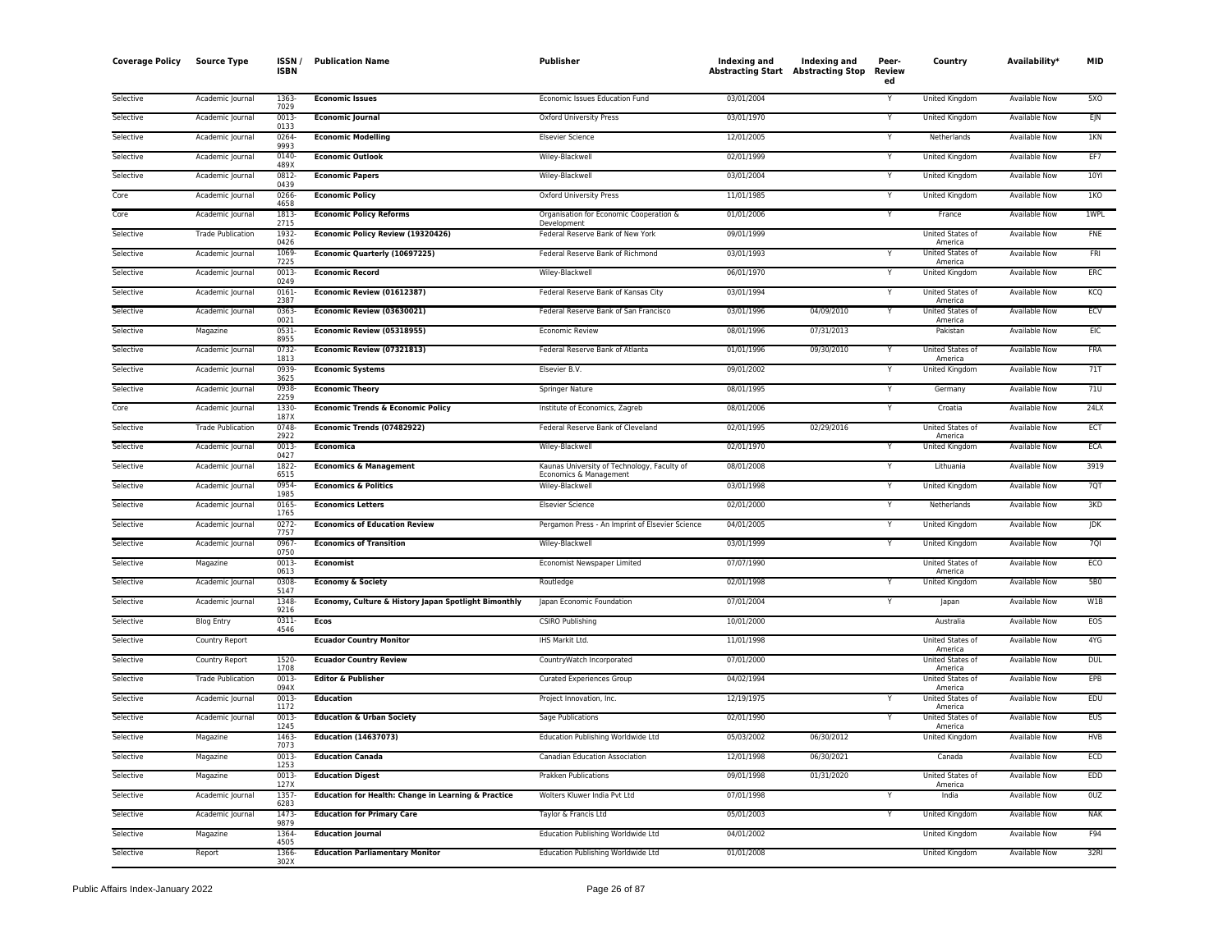| <b>Coverage Policy</b> | <b>Source Type</b>       | ISSN/<br><b>ISBN</b> | <b>Publication Name</b>                              | Publisher                                                             | Indexing and<br><b>Abstracting Start Abstracting Stop</b> | Indexing and | Peer-<br>Review<br>ed | Country                     | Availability*        | <b>MID</b> |
|------------------------|--------------------------|----------------------|------------------------------------------------------|-----------------------------------------------------------------------|-----------------------------------------------------------|--------------|-----------------------|-----------------------------|----------------------|------------|
| Selective              | Academic Journal         | 1363<br>7029         | <b>Economic Issues</b>                               | Economic Issues Education Fund                                        | 03/01/2004                                                |              | Y                     | United Kingdom              | Available Now        | 5XO        |
| Selective              | Academic Journal         | 0013<br>0133         | <b>Economic Journal</b>                              | Oxford University Press                                               | 03/01/1970                                                |              |                       | United Kingdom              | Available Now        | EJN        |
| Selective              | Academic Journal         | 0264-<br>9993        | <b>Economic Modelling</b>                            | <b>Elsevier Science</b>                                               | 12/01/2005                                                |              | Y                     | Netherlands                 | Available Now        | 1KN        |
| Selective              | Academic Journal         | 0140<br>489X         | <b>Economic Outlook</b>                              | Wiley-Blackwell                                                       | 02/01/1999                                                |              | Ÿ                     | United Kingdom              | <b>Available Now</b> | EF7        |
| Selective              | Academic Journal         | 0812-<br>0439        | <b>Economic Papers</b>                               | Wiley-Blackwell                                                       | 03/01/2004                                                |              | Y                     | United Kingdom              | Available Now        | 10YI       |
| Core                   | Academic Journal         | 0266-<br>4658        | <b>Economic Policy</b>                               | <b>Oxford University Press</b>                                        | 11/01/1985                                                |              | Υ                     | <b>United Kingdom</b>       | <b>Available Now</b> | 1KO        |
| Core                   | Academic Journal         | 1813-<br>2715        | <b>Economic Policy Reforms</b>                       | Organisation for Economic Cooperation &<br>Development                | 01/01/2006                                                |              |                       | France                      | <b>Available Now</b> | 1WPL       |
| Selective              | <b>Trade Publication</b> | 1932-<br>0426        | Economic Policy Review (19320426)                    | Federal Reserve Bank of New York                                      | 09/01/1999                                                |              |                       | United States of<br>America | Available Now        | <b>FNF</b> |
| Selective              | Academic Journal         | 1069<br>7225         | Economic Quarterly (10697225)                        | Federal Reserve Bank of Richmond                                      | 03/01/1993                                                |              |                       | United States of<br>America | Available Now        | <b>FRI</b> |
| Selective              | Academic Journal         | 0013-<br>0249        | <b>Economic Record</b>                               | Wiley-Blackwell                                                       | 06/01/1970                                                |              | Y                     | United Kingdom              | <b>Available Now</b> | ERC        |
| Selective              | Academic Journal         | 0161<br>2387         | Economic Review (01612387)                           | Federal Reserve Bank of Kansas City                                   | 03/01/1994                                                |              |                       | United States of<br>America | Available Now        | KCQ        |
| Selective              | Academic Journal         | 0363-<br>0021        | Economic Review (03630021)                           | Federal Reserve Bank of San Francisco                                 | 03/01/1996                                                | 04/09/2010   |                       | United States of<br>America | <b>Available Now</b> | ECV        |
| Selective              | Magazine                 | 0531<br>8955         | Economic Review (05318955)                           | Economic Review                                                       | 08/01/1996                                                | 07/31/2013   |                       | Pakistan                    | <b>Available Now</b> | <b>EIC</b> |
| Selective              | Academic Journal         | 0732-<br>1813        | Economic Review (07321813)                           | Federal Reserve Bank of Atlanta                                       | 01/01/1996                                                | 09/30/2010   | Y                     | United States of<br>America | <b>Available Now</b> | <b>FRA</b> |
| Selective              | Academic Journal         | 0939-<br>3625        | <b>Economic Systems</b>                              | Elsevier B.V.                                                         | 09/01/2002                                                |              |                       | United Kingdom              | Available Now        | 71T        |
| Selective              | Academic Journal         | 0938-<br>2259        | <b>Economic Theory</b>                               | Springer Nature                                                       | 08/01/1995                                                |              |                       | Germany                     | Available Now        | 71U        |
| Core                   | Academic Journal         | 1330-<br>187X        | <b>Economic Trends &amp; Economic Policy</b>         | Institute of Economics, Zagreb                                        | 08/01/2006                                                |              | Y                     | Croatia                     | <b>Available Now</b> | 24LX       |
| Selective              | <b>Trade Publication</b> | 0748<br>2922         | Economic Trends (07482922)                           | Federal Reserve Bank of Cleveland                                     | 02/01/1995                                                | 02/29/2016   |                       | United States of<br>America | Available Now        | ECT        |
| Selective              | Academic Journal         | 0013-<br>0427        | <b>Economica</b>                                     | Wiley-Blackwell                                                       | 02/01/1970                                                |              |                       | <b>United Kingdom</b>       | <b>Available Now</b> | <b>ECA</b> |
| Selective              | Academic Journal         | 1822-<br>6515        | <b>Economics &amp; Management</b>                    | Kaunas University of Technology, Faculty of<br>Economics & Management | 08/01/2008                                                |              |                       | Lithuania                   | <b>Available Now</b> | 3919       |
| Selective              | Academic Journal         | 0954<br>1985         | <b>Economics &amp; Politics</b>                      | Wiley-Blackwell                                                       | 03/01/1998                                                |              |                       | United Kingdom              | Available Now        | 7QT        |
| Selective              | Academic Journal         | 0165-<br>1765        | <b>Economics Letters</b>                             | <b>Elsevier Science</b>                                               | 02/01/2000                                                |              | Υ                     | Netherlands                 | Available Now        | 3KD        |
| Selective              | Academic Journal         | 0272-<br>7757        | <b>Economics of Education Review</b>                 | Pergamon Press - An Imprint of Elsevier Science                       | 04/01/2005                                                |              | Υ                     | United Kingdom              | Available Now        | JDK        |
| Selective              | Academic Journal         | 0967-<br>0750        | <b>Economics of Transition</b>                       | Wiley-Blackwell                                                       | 03/01/1999                                                |              | Y                     | United Kingdom              | Available Now        | 7QI        |
| Selective              | Magazine                 | 0013<br>0613         | <b>Economist</b>                                     | Economist Newspaper Limited                                           | 07/07/1990                                                |              |                       | United States of<br>America | Available Now        | ECO        |
| Selective              | Academic Journal         | 0308<br>5147         | <b>Economy &amp; Society</b>                         | Routledge                                                             | 02/01/1998                                                |              |                       | <b>United Kingdom</b>       | <b>Available Now</b> | <b>5B0</b> |
| Selective              | Academic Journal         | 1348<br>9216         | Economy, Culture & History Japan Spotlight Bimonthly | Japan Economic Foundation                                             | 07/01/2004                                                |              | Y                     | Japan                       | <b>Available Now</b> | W1B        |
| Selective              | <b>Blog Entry</b>        | $0311 -$<br>4546     | <b>Ecos</b>                                          | <b>CSIRO Publishing</b>                                               | 10/01/2000                                                |              |                       | Australia                   | <b>Available Now</b> | EOS        |
| Selective              | Country Report           |                      | <b>Ecuador Country Monitor</b>                       | IHS Markit Ltd.                                                       | 11/01/1998                                                |              |                       | United States of<br>America | Available Now        | 4YG        |
| Selective              | Country Report           | 1520<br>1708         | <b>Ecuador Country Review</b>                        | CountryWatch Incorporated                                             | 07/01/2000                                                |              |                       | United States of<br>America | <b>Available Now</b> | <b>DUL</b> |
| Selective              | <b>Trade Publication</b> | 0013-<br>094X        | <b>Editor &amp; Publisher</b>                        | <b>Curated Experiences Group</b>                                      | 04/02/1994                                                |              |                       | United States of<br>America | <b>Available Now</b> | EPB        |
| Selective              | Academic Journal         | 0013<br>1172         | <b>Education</b>                                     | Project Innovation, Inc.                                              | 12/19/1975                                                |              |                       | United States of<br>America | Available Now        | EDU        |
| Selective              | Academic Journal         | $0013-$<br>1245      | <b>Education &amp; Urban Society</b>                 | Sage Publications                                                     | 02/01/1990                                                |              |                       | United States of<br>America | <b>Available Now</b> | <b>EUS</b> |
| Selective              | Magazine                 | 1463<br>7073         | <b>Education (14637073)</b>                          | Education Publishing Worldwide Ltd                                    | 05/03/2002                                                | 06/30/2012   |                       | <b>United Kingdom</b>       | <b>Available Now</b> | <b>HVB</b> |
| Selective              | Magazine                 | 0013<br>1253         | <b>Education Canada</b>                              | Canadian Education Association                                        | 12/01/1998                                                | 06/30/2021   |                       | Canada                      | <b>Available Now</b> | <b>ECD</b> |
| Selective              | Magazine                 | 0013<br>127X         | <b>Education Digest</b>                              | Prakken Publications                                                  | 09/01/1998                                                | 01/31/2020   |                       | United States of<br>America | Available Now        | <b>EDD</b> |
| Selective              | Academic Journal         | 1357<br>6283         | Education for Health: Change in Learning & Practice  | Wolters Kluwer India Pvt Ltd                                          | 07/01/1998                                                |              |                       | India                       | Available Now        | 0UZ        |
| Selective              | Academic Journal         | 1473<br>9879         | <b>Education for Primary Care</b>                    | Taylor & Francis Ltd                                                  | 05/01/2003                                                |              |                       | United Kingdom              | <b>Available Now</b> | <b>NAK</b> |
| Selective              | Magazine                 | 1364<br>4505         | <b>Education Journal</b>                             | Education Publishing Worldwide Ltd                                    | 04/01/2002                                                |              |                       | United Kingdom              | Available Now        | F94        |
| Selective              | Report                   | 1366-<br>302X        | <b>Education Parliamentary Monitor</b>               | Education Publishing Worldwide Ltd                                    | 01/01/2008                                                |              |                       | <b>United Kingdom</b>       | <b>Available Now</b> | 32RI       |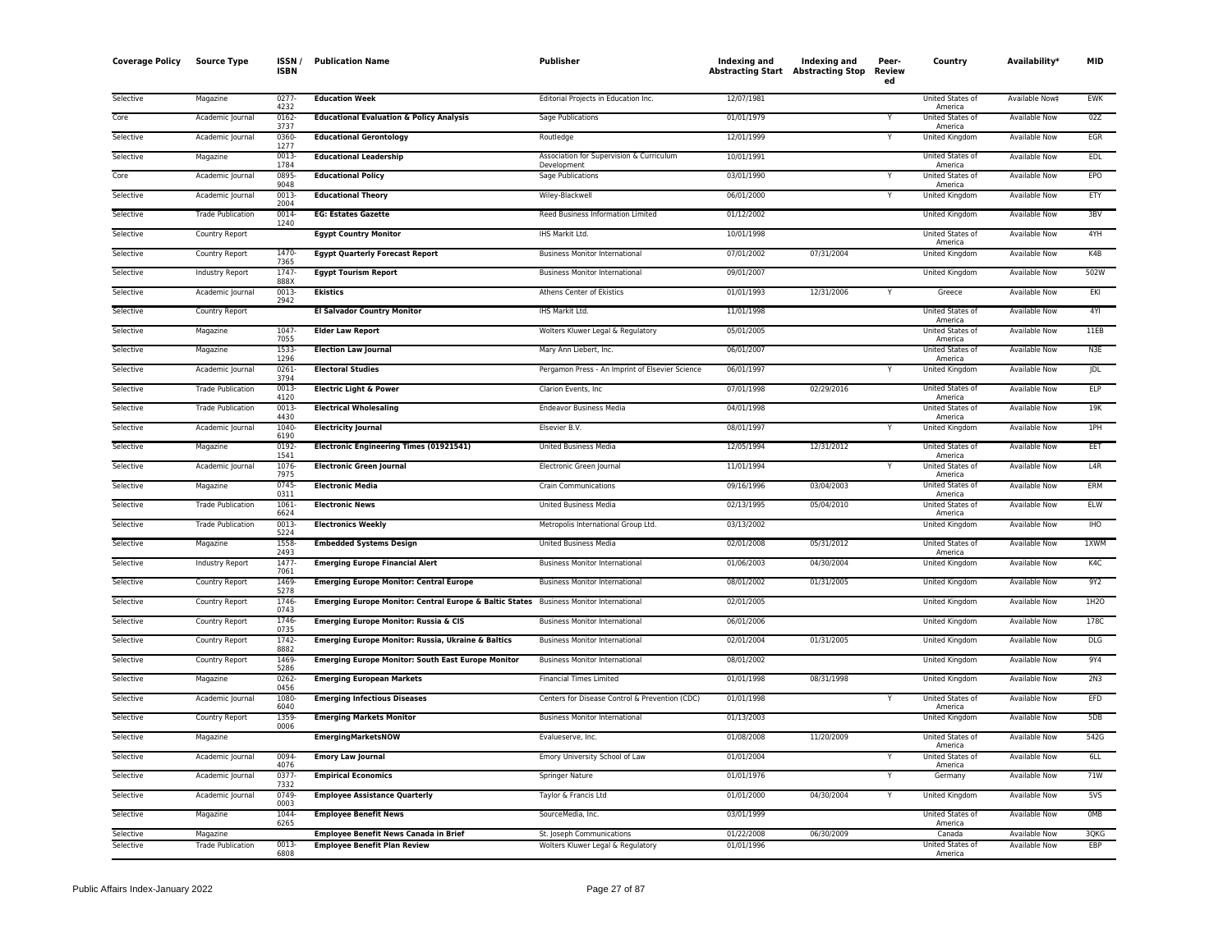| <b>Coverage Policy</b> | <b>Source Type</b>                   | <b>ISSN</b><br><b>ISBN</b> | <b>Publication Name</b>                                                                | <b>Publisher</b>                                               | Indexing and<br><b>Abstracting Start</b> Abstracting Stop | Indexing and | Peer-<br>Review<br>ed | Country                     | Availability <sup>*</sup>             | MID                  |
|------------------------|--------------------------------------|----------------------------|----------------------------------------------------------------------------------------|----------------------------------------------------------------|-----------------------------------------------------------|--------------|-----------------------|-----------------------------|---------------------------------------|----------------------|
| Selective              | Magazine                             | 0277-<br>4232              | <b>Education Week</b>                                                                  | Editorial Projects in Education Inc.                           | 12/07/1981                                                |              |                       | United States of<br>America | Available Now‡                        | <b>EWK</b>           |
| Core                   | Academic Journal                     | $0162 -$<br>3737           | <b>Educational Evaluation &amp; Policy Analysis</b>                                    | <b>Sage Publications</b>                                       | 01/01/1979                                                |              |                       | United States of<br>America | <b>Available Now</b>                  | 02Z                  |
| Selective              | Academic Journal                     | 0360<br>1277               | <b>Educational Gerontology</b>                                                         | Routledge                                                      | 12/01/1999                                                |              | Y                     | United Kingdom              | <b>Available Now</b>                  | EGR                  |
| Selective              | Magazine                             | 0013<br>1784               | <b>Educational Leadership</b>                                                          | Association for Supervision & Curriculum<br>Development        | 10/01/1991                                                |              |                       | United States of<br>America | Available Now                         | <b>EDL</b>           |
| Core                   | Academic Journal                     | 0895-<br>9048              | <b>Educational Policy</b>                                                              | Sage Publications                                              | 03/01/1990                                                |              | Y                     | United States of<br>America | <b>Available Now</b>                  | EPO                  |
| Selective              | Academic Journal                     | 0013-<br>2004              | <b>Educational Theory</b>                                                              | Wiley-Blackwell                                                | 06/01/2000                                                |              |                       | <b>United Kingdom</b>       | <b>Available Now</b>                  | ETY                  |
| Selective              | <b>Trade Publication</b>             | 0014<br>1240               | <b>EG: Estates Gazette</b>                                                             | Reed Business Information Limited                              | 01/12/2002                                                |              |                       | United Kingdom              | Available Now                         | 3BV                  |
| Selective              | Country Report                       |                            | <b>Egypt Country Monitor</b>                                                           | IHS Markit Ltd.                                                | 10/01/1998                                                |              |                       | United States of<br>America | Available Now                         | 4YH                  |
| Selective              | Country Report                       | 1470-<br>7365              | <b>Egypt Quarterly Forecast Report</b>                                                 | <b>Business Monitor International</b>                          | 07/01/2002                                                | 07/31/2004   |                       | United Kingdom              | Available Now                         | K4B                  |
| Selective              | Industry Report                      | 1747-<br>888X              | <b>Egypt Tourism Report</b>                                                            | <b>Business Monitor International</b>                          | 09/01/2007                                                |              |                       | United Kingdom              | Available Now                         | 502W                 |
| Selective              | Academic Journal                     | $0013 -$<br>2942           | <b>Ekistics</b>                                                                        | Athens Center of Ekistics                                      | 01/01/1993                                                | 12/31/2006   |                       | Greece                      | <b>Available Now</b>                  | EKI                  |
| Selective              | Country Report                       |                            | <b>El Salvador Country Monitor</b>                                                     | IHS Markit Ltd.                                                | 11/01/1998                                                |              |                       | United States of<br>America | Available Now                         | 4YI                  |
| Selective              | Magazine                             | 1047<br>7055               | <b>Elder Law Report</b>                                                                | Wolters Kluwer Legal & Regulatory                              | 05/01/2005                                                |              |                       | United States of<br>America | Available Now                         | 11EB                 |
| Selective              | Magazine                             | 1533-<br>1296              | <b>Election Law Journal</b>                                                            | Mary Ann Liebert, Inc.                                         | 06/01/2007                                                |              |                       | United States of<br>America | Available Now                         | N3E                  |
| Selective              | Academic Journal                     | 0261-<br>3794              | <b>Electoral Studies</b>                                                               | Pergamon Press - An Imprint of Elsevier Science                | 06/01/1997                                                |              | Y                     | <b>United Kingdom</b>       | Available Now                         | <b>JDL</b>           |
| Selective              | <b>Trade Publication</b>             | 0013<br>4120               | <b>Electric Light &amp; Power</b>                                                      | Clarion Events, Inc.                                           | 07/01/1998                                                | 02/29/2016   |                       | United States of<br>America | Available Now                         | <b>ELP</b>           |
| Selective              | <b>Trade Publication</b>             | $0013 -$<br>4430           | <b>Electrical Wholesaling</b>                                                          | <b>Endeavor Business Media</b>                                 | 04/01/1998                                                |              |                       | United States of<br>America | Available Now                         | 19K                  |
| Selective              | Academic Journal                     | 1040-<br>6190              | <b>Electricity Journal</b>                                                             | Elsevier B.V.                                                  | 08/01/1997                                                |              | Y                     | United Kingdom              | Available Now                         | 1PH                  |
| Selective              | Magazine                             | 0192-<br>1541              | Electronic Engineering Times (01921541)                                                | <b>United Business Media</b>                                   | 12/05/1994                                                | 12/31/2012   |                       | United States of<br>America | Available Now                         | EET                  |
| Selective              | Academic Journal                     | 1076<br>7975               | <b>Electronic Green Journal</b>                                                        | Electronic Green Journal                                       | 11/01/1994                                                |              |                       | United States of<br>America | <b>Available Now</b>                  | L4R                  |
| Selective              | Magazine                             | 0745<br>0311               | <b>Electronic Media</b>                                                                | <b>Crain Communications</b>                                    | 09/16/1996                                                | 03/04/2003   |                       | United States of<br>America | Available Now                         | ERM                  |
| Selective              | <b>Trade Publication</b>             | 1061<br>6624               | <b>Electronic News</b>                                                                 | United Business Media                                          | 02/13/1995                                                | 05/04/2010   |                       | United States of<br>America | <b>Available Now</b>                  | ELW                  |
| Selective              | <b>Trade Publication</b>             | 0013<br>5224               | <b>Electronics Weekly</b>                                                              | Metropolis International Group Ltd.                            | 03/13/2002                                                |              |                       | United Kingdom              | <b>Available Now</b>                  | <b>IHO</b>           |
| Selective              | Magazine                             | 1558<br>2493               | <b>Embedded Systems Design</b>                                                         | <b>United Business Media</b>                                   | 02/01/2008                                                | 05/31/2012   |                       | United States of<br>America | <b>Available Now</b>                  | 1XWM                 |
| Selective              | Industry Report                      | 1477<br>7061               | <b>Emerging Europe Financial Alert</b>                                                 | <b>Business Monitor International</b>                          | 01/06/2003                                                | 04/30/2004   |                       | United Kingdom              | Available Now                         | K4C                  |
| Selective              | Country Report                       | 1469<br>5278               | <b>Emerging Europe Monitor: Central Europe</b>                                         | <b>Business Monitor International</b>                          | 08/01/2002                                                | 01/31/2005   |                       | United Kingdom              | Available Now                         | 9Y2                  |
| Selective              | Country Report                       | 1746-<br>0743              | Emerging Europe Monitor: Central Europe & Baltic States Business Monitor International |                                                                | 02/01/2005                                                |              |                       | United Kingdom              | Available Now                         | $I$ H <sub>2</sub> O |
| Selective              | <b>Country Report</b>                | 1746-<br>0735              | Emerging Europe Monitor: Russia & CIS                                                  | <b>Business Monitor International</b>                          | 06/01/2006                                                |              |                       | United Kingdom              | <b>Available Now</b>                  | 178C                 |
| Selective              | Country Report                       | 1742<br>8882               | Emerging Europe Monitor: Russia, Ukraine & Baltics                                     | <b>Business Monitor International</b>                          | 02/01/2004                                                | 01/31/2005   |                       | United Kingdom              | Available Now                         | <b>DLG</b>           |
| Selective              | Country Report                       | 1469-<br>5286              | <b>Emerging Europe Monitor: South East Europe Monitor</b>                              | <b>Business Monitor International</b>                          | 08/01/2002                                                |              |                       | United Kingdom              | Available Now                         | 9Y4                  |
| Selective              | Magazine                             | 0262-<br>0456              | <b>Emerging European Markets</b>                                                       | <b>Financial Times Limited</b>                                 | 01/01/1998                                                | 08/31/1998   |                       | United Kingdom              | <b>Available Now</b>                  | 2N3                  |
| Selective              | Academic Journal                     | 1080-<br>6040              | <b>Emerging Infectious Diseases</b>                                                    | Centers for Disease Control & Prevention (CDC)                 | 01/01/1998                                                |              |                       | United States of<br>America | <b>Available Now</b>                  | EFD                  |
| Selective              | Country Report                       | 1359<br>0006               | <b>Emerging Markets Monitor</b>                                                        | <b>Business Monitor International</b>                          | 01/13/2003                                                |              |                       | United Kingdom              | Available Now                         | 5 <sub>DB</sub>      |
| Selective              | Magazine                             |                            | EmergingMarketsNOW                                                                     | Evalueserve, Inc.                                              | 01/08/2008                                                | 11/20/2009   |                       | United States of<br>America | Available Now                         | 542G                 |
| Selective              | Academic Journal                     | 0094<br>4076               | <b>Emory Law Journal</b>                                                               | Emory University School of Law                                 | 01/01/2004                                                |              |                       | United States of<br>America | Available Now                         | 6LL                  |
| Selective              | Academic Journal                     | 0377<br>7332               | <b>Empirical Economics</b>                                                             | <b>Springer Nature</b>                                         | 01/01/1976                                                |              |                       | Germany                     | <b>Available Now</b>                  | 71W                  |
| Selective              | Academic Journal                     | 0749<br>0003               | <b>Employee Assistance Quarterly</b>                                                   | Taylor & Francis Ltd                                           | 01/01/2000                                                | 04/30/2004   | Y                     | <b>United Kingdom</b>       | <b>Available Now</b>                  | 5VS                  |
| Selective              | Magazine                             | 1044<br>6265               | <b>Employee Benefit News</b>                                                           | SourceMedia, Inc.                                              | 03/01/1999                                                |              |                       | United States of<br>America | Available Now                         | 0MB                  |
| Selective<br>Selective | Magazine<br><b>Trade Publication</b> | 0013-                      | <b>Employee Benefit News Canada in Brief</b><br><b>Employee Benefit Plan Review</b>    | St. Joseph Communications<br>Wolters Kluwer Legal & Regulatory | 01/22/2008<br>01/01/1996                                  | 06/30/2009   |                       | Canada<br>United States of  | Available Now<br><b>Available Now</b> | 3QKG<br>EBP          |
|                        |                                      | 6808                       |                                                                                        |                                                                |                                                           |              |                       | America                     |                                       |                      |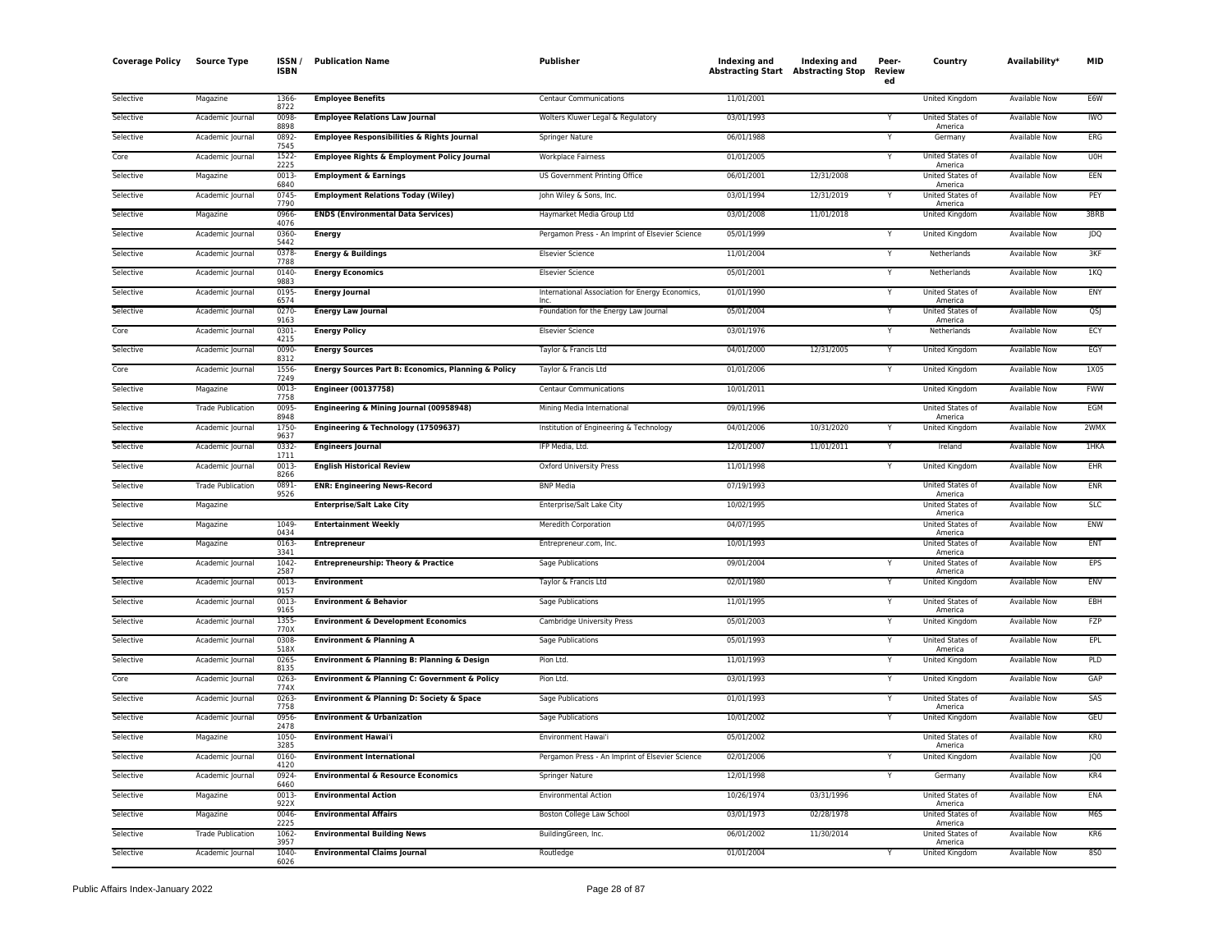| <b>Coverage Policy</b> | <b>Source Type</b>       | ISSN /<br>ISBN | <b>Publication Name</b>                             | Publisher                                       | Indexing and<br><b>Abstracting Start Abstracting Stop</b> | <b>Indexing and</b> | Peer-<br>Review<br>ed | Country                            | Availability <sup>*</sup> | <b>MID</b>      |
|------------------------|--------------------------|----------------|-----------------------------------------------------|-------------------------------------------------|-----------------------------------------------------------|---------------------|-----------------------|------------------------------------|---------------------------|-----------------|
| Selective              | Magazine                 | 1366<br>8722   | <b>Employee Benefits</b>                            | <b>Centaur Communications</b>                   | 11/01/2001                                                |                     |                       | United Kingdom                     | Available Now             | E6W             |
| Selective              | Academic Journal         | 0098<br>8898   | <b>Employee Relations Law Journal</b>               | Wolters Kluwer Legal & Regulatory               | 03/01/1993                                                |                     | Y                     | United States of<br>America        | <b>Available Now</b>      | <b>IWO</b>      |
| Selective              | Academic Journal         | 0892<br>7545   | Employee Responsibilities & Rights Journal          | Springer Nature                                 | 06/01/1988                                                |                     |                       | Germany                            | Available Now             | ERG             |
| Core                   | Academic Journal         | 1522<br>2225   | Employee Rights & Employment Policy Journal         | <b>Workplace Fairness</b>                       | 01/01/2005                                                |                     |                       | United States of<br>America        | <b>Available Now</b>      | U0H             |
| Selective              | Magazine                 | 0013<br>6840   | <b>Employment &amp; Earnings</b>                    | US Government Printing Office                   | 06/01/2001                                                | 12/31/2008          |                       | <b>United States of</b><br>America | Available Now             | EEN             |
| Selective              | Academic Journal         | 0745<br>7790   | <b>Employment Relations Today (Wiley)</b>           | John Wiley & Sons, Inc.                         | 03/01/1994                                                | 12/31/2019          |                       | United States of<br>America        | Available Now             | PEY             |
| Selective              | Magazine                 | 0966<br>4076   | <b>ENDS (Environmental Data Services)</b>           | Haymarket Media Group Ltd                       | 03/01/2008                                                | 11/01/2018          |                       | United Kingdom                     | Available Now             | 3BRB            |
| Selective              | Academic Journal         | 0360<br>5442   | <b>Energy</b>                                       | Pergamon Press - An Imprint of Elsevier Science | 05/01/1999                                                |                     |                       | <b>United Kingdom</b>              | <b>Available Now</b>      | <b>JDQ</b>      |
| Selective              | Academic Journal         | 0378<br>7788   | <b>Energy &amp; Buildings</b>                       | <b>Elsevier Science</b>                         | 11/01/2004                                                |                     | Y                     | Netherlands                        | Available Now             | 3KF             |
| Selective              | Academic Journal         | 0140-<br>9883  | <b>Energy Economics</b>                             | <b>Elsevier Science</b>                         | 05/01/2001                                                |                     | Y                     | Netherlands                        | <b>Available Now</b>      | 1KO             |
| Selective              | Academic Journal         | 0195<br>6574   | <b>Energy Journal</b>                               | International Association for Energy Economics  | 01/01/1990                                                |                     |                       | United States of<br>America        | <b>Available Now</b>      | ENY             |
| Selective              | Academic Journal         | 0270-<br>9163  | <b>Energy Law Journal</b>                           | Foundation for the Energy Law Journal           | 05/01/2004                                                |                     | Y                     | United States of<br>America        | Available Now             | QSJ             |
| Core                   | Academic Journal         | 0301<br>4215   | <b>Energy Policy</b>                                | <b>Elsevier Science</b>                         | 03/01/1976                                                |                     |                       | Netherlands                        | Available Now             | ECY             |
| Selective              | Academic Journal         | 0090<br>8312   | <b>Energy Sources</b>                               | Taylor & Francis Ltd                            | 04/01/2000                                                | 12/31/2005          | Y                     | United Kingdom                     | Available Now             | EGY             |
| Core                   | Academic Journal         | 1556<br>7249   | Energy Sources Part B: Economics, Planning & Policy | Taylor & Francis Ltd                            | 01/01/2006                                                |                     |                       | United Kingdom                     | <b>Available Now</b>      | 1X05            |
| Selective              | Magazine                 | 0013<br>7758   | <b>Engineer (00137758)</b>                          | Centaur Communications                          | 10/01/2011                                                |                     |                       | <b>United Kingdom</b>              | <b>Available Now</b>      | <b>FWW</b>      |
| Selective              | <b>Trade Publication</b> | 0095<br>8948   | Engineering & Mining Journal (00958948)             | Mining Media International                      | 09/01/1996                                                |                     |                       | United States of<br>America        | <b>Available Now</b>      | <b>EGM</b>      |
| Selective              | Academic Journal         | 1750<br>9637   | Engineering & Technology (17509637)                 | Institution of Engineering & Technology         | 04/01/2006                                                | 10/31/2020          |                       | United Kingdom                     | Available Now             | 2WMX            |
| Selective              | Academic Journal         | 0332<br>1711   | <b>Engineers Journal</b>                            | IFP Media, Ltd.                                 | 12/01/2007                                                | 11/01/2011          | Y                     | Ireland                            | Available Now             | 1HKA            |
| Selective              | Academic Journal         | 0013<br>8266   | <b>English Historical Review</b>                    | <b>Oxford University Press</b>                  | 11/01/1998                                                |                     |                       | United Kingdom                     | Available Now             | EHR             |
| Selective              | <b>Trade Publication</b> | 0891<br>9526   | <b>ENR: Engineering News-Record</b>                 | <b>BNP Media</b>                                | 07/19/1993                                                |                     |                       | United States of<br>America        | <b>Available Now</b>      | <b>ENR</b>      |
| Selective              | Magazine                 |                | <b>Enterprise/Salt Lake City</b>                    | Enterprise/Salt Lake City                       | 10/02/1995                                                |                     |                       | United States of<br>America        | <b>Available Now</b>      | SLC             |
| Selective              | Magazine                 | 1049<br>0434   | <b>Entertainment Weekly</b>                         | <b>Meredith Corporation</b>                     | 04/07/1995                                                |                     |                       | United States of<br>America        | <b>Available Now</b>      | ENW             |
| Selective              | Magazine                 | 0163<br>3341   | <b>Entrepreneur</b>                                 | Entrepreneur.com, Inc.                          | 10/01/1993                                                |                     |                       | United States of<br>America        | Available Now             | <b>ENT</b>      |
| Selective              | Academic Journal         | 1042<br>2587   | <b>Entrepreneurship: Theory &amp; Practice</b>      | Sage Publications                               | 09/01/2004                                                |                     |                       | United States of<br>America        | Available Now             | EPS             |
| Selective              | Academic Journal         | 0013-<br>9157  | <b>Environment</b>                                  | Taylor & Francis Ltd                            | 02/01/1980                                                |                     | Y                     | <b>United Kingdom</b>              | <b>Available Now</b>      | <b>ENV</b>      |
| Selective              | Academic Journal         | 0013<br>9165   | <b>Environment &amp; Behavior</b>                   | Sage Publications                               | 11/01/1995                                                |                     |                       | United States of<br>America        | Available Now             | EBH             |
| Selective              | Academic Journal         | 1355<br>770X   | <b>Environment &amp; Development Economics</b>      | Cambridge University Press                      | 05/01/2003                                                |                     |                       | United Kingdom                     | <b>Available Now</b>      | FZP             |
| Selective              | Academic Journal         | 0308<br>518X   | <b>Environment &amp; Planning A</b>                 | Sage Publications                               | 05/01/1993                                                |                     | Υ                     | United States of<br>America        | <b>Available Now</b>      | EPL             |
| Selective              | Academic Journal         | 0265<br>8135   | Environment & Planning B: Planning & Design         | Pion Ltd.                                       | 11/01/1993                                                |                     | Y                     | United Kingdom                     | Available Now             | PLD             |
| Core                   | Academic Journal         | 0263<br>774X   | Environment & Planning C: Government & Policy       | Pion Ltd.                                       | 03/01/1993                                                |                     | Y                     | United Kingdom                     | Available Now             | GAP             |
| Selective              | Academic Journal         | 0263<br>7758   | Environment & Planning D: Society & Space           | <b>Sage Publications</b>                        | 01/01/1993                                                |                     |                       | United States of<br>America        | <b>Available Now</b>      | SAS             |
| Selective              | Academic Journal         | 0956<br>2478   | <b>Environment &amp; Urbanization</b>               | Sage Publications                               | 10/01/2002                                                |                     | Y                     | United Kingdom                     | Available Now             | GEU             |
| Selective              | Magazine                 | 1050-<br>3285  | <b>Environment Hawai'i</b>                          | Environment Hawai'i                             | 05/01/2002                                                |                     |                       | United States of<br>America        | <b>Available Now</b>      | KR <sub>0</sub> |
| Selective              | Academic Journal         | 0160<br>4120   | <b>Environment International</b>                    | Pergamon Press - An Imprint of Elsevier Science | 02/01/2006                                                |                     |                       | <b>United Kingdom</b>              | <b>Available Now</b>      | JQ <sub>0</sub> |
| Selective              | Academic Journal         | 0924<br>6460   | <b>Environmental &amp; Resource Economics</b>       | Springer Nature                                 | 12/01/1998                                                |                     | Υ                     | Germany                            | Available Now             | KR4             |
| Selective              | Magazine                 | 0013-<br>922X  | <b>Environmental Action</b>                         | <b>Environmental Action</b>                     | 10/26/1974                                                | 03/31/1996          |                       | United States of<br>America        | Available Now             | ENA             |
| Selective              | Magazine                 | 0046-<br>2225  | <b>Environmental Affairs</b>                        | Boston College Law School                       | 03/01/1973                                                | 02/28/1978          |                       | United States of<br>America        | Available Now             | M6S             |
| Selective              | <b>Trade Publication</b> | 1062<br>3957   | <b>Environmental Building News</b>                  | BuildingGreen, Inc.                             | 06/01/2002                                                | 11/30/2014          |                       | United States of<br>America        | Available Now             | KR6             |
| Selective              | Academic Journal         | 1040<br>6026   | <b>Environmental Claims Journal</b>                 | Routledge                                       | 01/01/2004                                                |                     |                       | <b>United Kingdom</b>              | <b>Available Now</b>      | <b>850</b>      |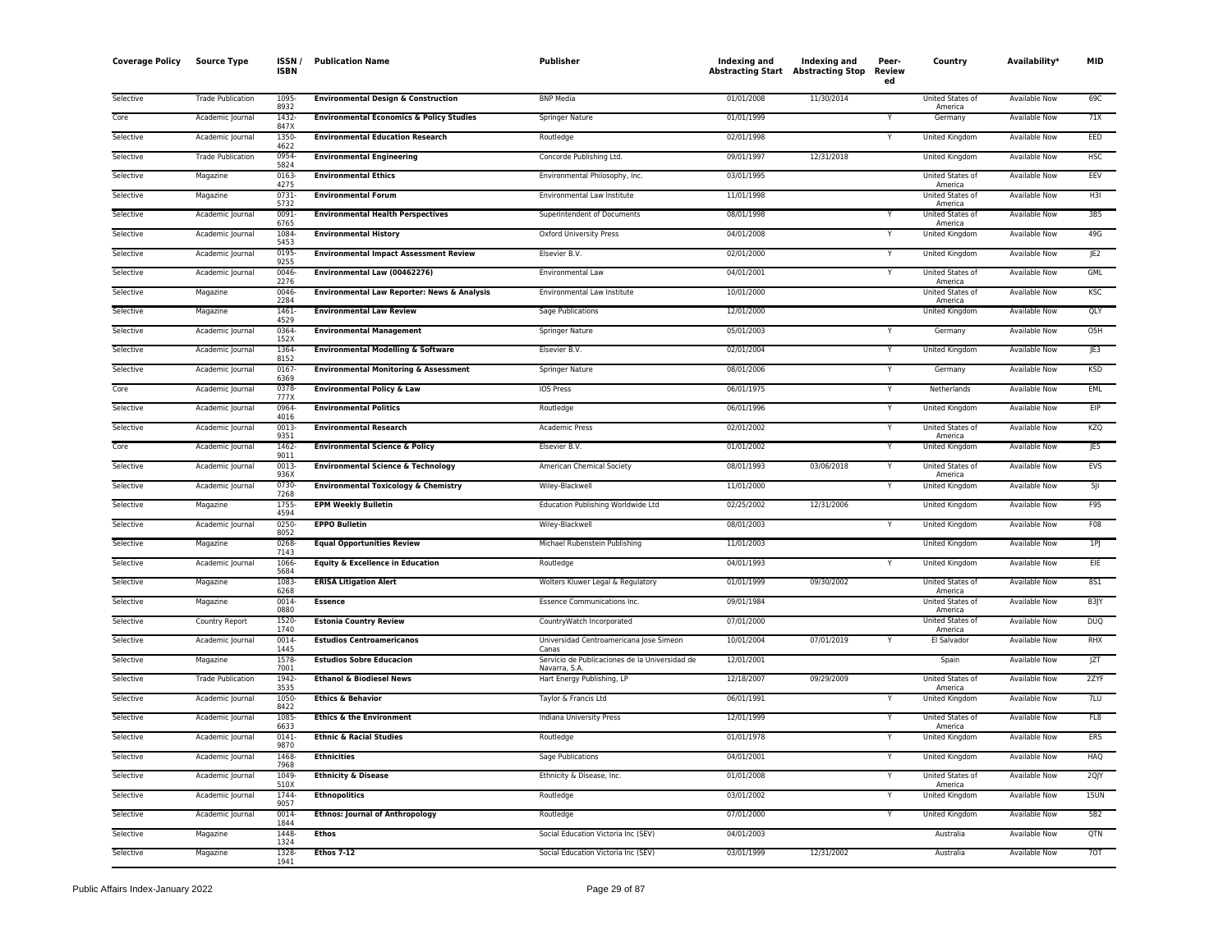| <b>Coverage Policy</b> | <b>Source Type</b>       | <b>ISSN</b><br><b>ISBN</b> | <b>Publication Name</b>                             | Publisher                                                      | Indexing and<br><b>Abstracting Start Abstracting Stop</b> | Indexing and | Peer-<br><b>Review</b><br>ed | Country                     | Availability*        | <b>MID</b>      |
|------------------------|--------------------------|----------------------------|-----------------------------------------------------|----------------------------------------------------------------|-----------------------------------------------------------|--------------|------------------------------|-----------------------------|----------------------|-----------------|
| Selective              | <b>Trade Publication</b> | 1095<br>8932               | <b>Environmental Design &amp; Construction</b>      | <b>BNP Media</b>                                               | 01/01/2008                                                | 11/30/2014   |                              | United States of<br>America | <b>Available Now</b> | 69C             |
| Core                   | Academic Journal         | 1432<br>847X               | <b>Environmental Economics &amp; Policy Studies</b> | <b>Springer Nature</b>                                         | 01/01/1999                                                |              |                              | Germany                     | <b>Available Now</b> | 71X             |
| Selective              | Academic Journal         | 1350<br>4622               | <b>Environmental Education Research</b>             | Routledge                                                      | 02/01/1998                                                |              |                              | United Kingdom              | Available Now        | EED             |
| Selective              | <b>Trade Publication</b> | 0954<br>5824               | <b>Environmental Engineering</b>                    | Concorde Publishing Ltd.                                       | 09/01/1997                                                | 12/31/2018   |                              | United Kingdom              | <b>Available Now</b> | <b>HSC</b>      |
| Selective              | Magazine                 | 0163<br>4275               | <b>Environmental Ethics</b>                         | Environmental Philosophy, Inc.                                 | 03/01/1995                                                |              |                              | United States of<br>America | Available Now        | EEV             |
| Selective              | Magazine                 | 0731<br>5732               | <b>Environmental Forum</b>                          | Environmental Law Institute                                    | 11/01/1998                                                |              |                              | United States of<br>America | <b>Available Now</b> | H3I             |
| Selective              | Academic Journal         | 0091<br>6765               | <b>Environmental Health Perspectives</b>            | Superintendent of Documents                                    | 08/01/1998                                                |              | Υ                            | United States of<br>America | Available Now        | 3B5             |
| Selective              | Academic Journal         | 1084<br>5453               | <b>Environmental History</b>                        | Oxford University Press                                        | 04/01/2008                                                |              |                              | United Kingdom              | Available Now        | 49G             |
| Selective              | Academic Journal         | 0195<br>9255               | <b>Environmental Impact Assessment Review</b>       | Elsevier B.V.                                                  | 02/01/2000                                                |              |                              | <b>United Kingdom</b>       | <b>Available Now</b> | JE <sub>2</sub> |
| Selective              | Academic Journal         | 0046<br>2276               | Environmental Law (00462276)                        | Environmental Law                                              | 04/01/2001                                                |              | Y                            | United States of<br>America | Available Now        | <b>GML</b>      |
| Selective              | Magazine                 | 0046<br>2284               | Environmental Law Reporter: News & Analysis         | Environmental Law Institute                                    | 10/01/2000                                                |              |                              | United States of<br>America | <b>Available Now</b> | <b>KSC</b>      |
| Selective              | Magazine                 | 1461<br>4529               | <b>Environmental Law Review</b>                     | Sage Publications                                              | 12/01/2000                                                |              |                              | United Kingdom              | Available Now        | QLY             |
| Selective              | Academic Journal         | 0364<br>152X               | <b>Environmental Management</b>                     | Springer Nature                                                | 05/01/2003                                                |              | Υ                            | Germany                     | <b>Available Now</b> | O <sub>5H</sub> |
| Selective              | Academic Journal         | 1364<br>8152               | <b>Environmental Modelling &amp; Software</b>       | Elsevier B.V.                                                  | 02/01/2004                                                |              |                              | United Kingdom              | Available Now        | JE3             |
| Selective              | Academic Journal         | 0167<br>6369               | <b>Environmental Monitoring &amp; Assessment</b>    | Springer Nature                                                | 08/01/2006                                                |              |                              | Germany                     | <b>Available Now</b> | <b>KSD</b>      |
| Core                   | Academic Journal         | 0378<br>777X               | <b>Environmental Policy &amp; Law</b>               | <b>IOS Press</b>                                               | 06/01/1975                                                |              | $\overline{\mathsf{Y}}$      | Netherlands                 | <b>Available Now</b> | EML             |
| Selective              | Academic Journal         | 0964<br>4016               | <b>Environmental Politics</b>                       | Routledge                                                      | 06/01/1996                                                |              | Y                            | <b>United Kingdom</b>       | <b>Available Now</b> | EIP             |
| Selective              | Academic Journal         | 0013<br>9351               | <b>Environmental Research</b>                       | <b>Academic Press</b>                                          | 02/01/2002                                                |              | Υ                            | United States of<br>America | <b>Available Now</b> | KZQ             |
| Core                   | Academic Journal         | 1462<br>9011               | <b>Environmental Science &amp; Policy</b>           | Elsevier B.V.                                                  | 01/01/2002                                                |              | Y                            | United Kingdom              | Available Now        | JE5             |
| Selective              | Academic Journal         | 0013<br>936X               | <b>Environmental Science &amp; Technology</b>       | American Chemical Society                                      | 08/01/1993                                                | 03/06/2018   |                              | United States of<br>America | <b>Available Now</b> | EVS             |
| Selective              | Academic Journal         | 0730<br>7268               | <b>Environmental Toxicology &amp; Chemistry</b>     | Wiley-Blackwell                                                | 11/01/2000                                                |              |                              | <b>United Kingdom</b>       | <b>Available Now</b> | 5               |
| Selective              | Magazine                 | 1755<br>4594               | <b>EPM Weekly Bulletin</b>                          | Education Publishing Worldwide Ltd                             | 02/25/2002                                                | 12/31/2006   |                              | <b>United Kingdom</b>       | <b>Available Now</b> | F95             |
| Selective              | Academic Journal         | 0250<br>8052               | <b>EPPO Bulletin</b>                                | Wiley-Blackwell                                                | 08/01/2003                                                |              | Υ                            | United Kingdom              | <b>Available Now</b> | F08             |
| Selective              | Magazine                 | 0268<br>7143               | <b>Equal Opportunities Review</b>                   | Michael Rubenstein Publishing                                  | 11/01/2003                                                |              |                              | <b>United Kingdom</b>       | <b>Available Now</b> | 1P              |
| Selective              | Academic Journal         | 1066<br>5684               | <b>Equity &amp; Excellence in Education</b>         | Routledge                                                      | 04/01/1993                                                |              |                              | United Kingdom              | Available Now        | EIE             |
| Selective              | Magazine                 | 1083<br>6268               | <b>ERISA Litigation Alert</b>                       | Wolters Kluwer Legal & Regulatory                              | 01/01/1999                                                | 09/30/2002   |                              | United States of<br>America | Available Now        | <b>8S1</b>      |
| Selective              | Magazine                 | $0014 -$<br>0880           | <b>Essence</b>                                      | <b>Essence Communications Inc.</b>                             | 09/01/1984                                                |              |                              | United States of<br>America | <b>Available Now</b> | B3JY            |
| Selective              | Country Report           | 1520<br>1740               | <b>Estonia Country Review</b>                       | CountryWatch Incorporated                                      | 07/01/2000                                                |              |                              | United States of<br>America | Available Now        | <b>DUQ</b>      |
| Selective              | Academic Journal         | 0014<br>1445               | <b>Estudios Centroamericanos</b>                    | Universidad Centroamericana Jose Simeon<br>Canas               | 10/01/2004                                                | 07/01/2019   | Υ                            | El Salvador                 | <b>Available Now</b> | <b>RHX</b>      |
| Selective              | Magazine                 | 1578<br>7001               | <b>Estudios Sobre Educacion</b>                     | Servicio de Publicaciones de la Universidad de<br>Navarra, S.A | 12/01/2001                                                |              |                              | Spain                       | <b>Available Now</b> | <b>JZT</b>      |
| Selective              | <b>Trade Publication</b> | 1942<br>3535               | <b>Ethanol &amp; Biodiesel News</b>                 | Hart Energy Publishing, LP                                     | 12/18/2007                                                | 09/29/2009   |                              | United States of<br>America | <b>Available Now</b> | 2ZYF            |
| Selective              | Academic Journal         | 1050<br>8422               | <b>Ethics &amp; Behavior</b>                        | Taylor & Francis Ltd                                           | 06/01/1991                                                |              |                              | United Kingdom              | Available Now        | 7LU             |
| Selective              | Academic Journal         | 1085<br>6633               | <b>Ethics &amp; the Environment</b>                 | Indiana University Press                                       | 12/01/1999                                                |              | Υ                            | United States of<br>America | Available Now        | FL8             |
| Selective              | Academic Journal         | 0141<br>9870               | <b>Ethnic &amp; Racial Studies</b>                  | Routledge                                                      | 01/01/1978                                                |              |                              | United Kingdom              | <b>Available Now</b> | <b>ERS</b>      |
| Selective              | Academic Journal         | 1468<br>7968               | <b>Ethnicities</b>                                  | Sage Publications                                              | 04/01/2001                                                |              |                              | United Kingdom              | <b>Available Now</b> | HAQ             |
| Selective              | Academic Journal         | 1049<br>510X               | <b>Ethnicity &amp; Disease</b>                      | Ethnicity & Disease, Inc.                                      | 01/01/2008                                                |              | Y                            | United States of<br>America | <b>Available Now</b> | 2QJY            |
| Selective              | Academic Journal         | 1744<br>9057               | <b>Ethnopolitics</b>                                | Routledge                                                      | 03/01/2002                                                |              |                              | United Kingdom              | Available Now        | <b>15UN</b>     |
| Selective              | Academic Journal         | 0014<br>1844               | <b>Ethnos: Journal of Anthropology</b>              | Routledge                                                      | 07/01/2000                                                |              |                              | United Kingdom              | <b>Available Now</b> | 5B <sub>2</sub> |
| Selective              | Magazine                 | 1448<br>1324               | Ethos                                               | Social Education Victoria Inc (SEV)                            | 04/01/2003                                                |              |                              | Australia                   | Available Now        | QTN             |
| Selective              | Magazine                 | 1328<br>1941               | <b>Ethos 7-12</b>                                   | Social Education Victoria Inc (SEV)                            | 03/01/1999                                                | 12/31/2002   |                              | Australia                   | <b>Available Now</b> | 70T             |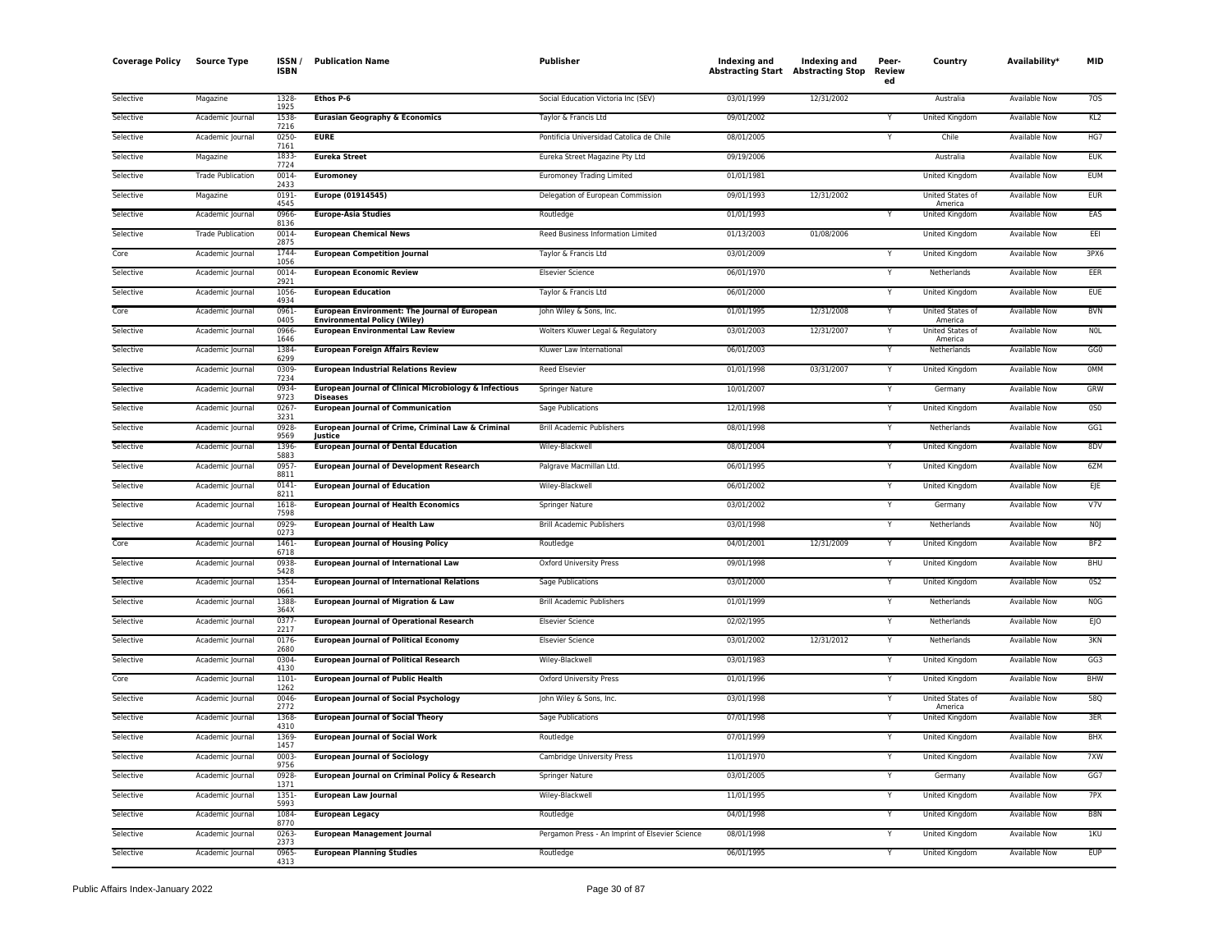| <b>Coverage Policy</b> | <b>Source Type</b>       | ISSN/<br><b>ISBN</b> | <b>Publication Name</b>                                                              | Publisher                                       | Indexing and<br><b>Abstracting Start Abstracting Stop</b> | Indexing and | Peer-<br>Review<br>ed | Country                            | Availability*        | <b>MID</b>       |
|------------------------|--------------------------|----------------------|--------------------------------------------------------------------------------------|-------------------------------------------------|-----------------------------------------------------------|--------------|-----------------------|------------------------------------|----------------------|------------------|
| Selective              | Magazine                 | 1328<br>1925         | Ethos P-6                                                                            | Social Education Victoria Inc (SEV)             | 03/01/1999                                                | 12/31/2002   |                       | Australia                          | Available Now        | 705              |
| Selective              | Academic Journal         | 1538<br>7216         | <b>Eurasian Geography &amp; Economics</b>                                            | Taylor & Francis Ltd                            | 09/01/2002                                                |              |                       | United Kingdom                     | Available Now        | KL2              |
| Selective              | Academic Journal         | 0250<br>7161         | <b>EURE</b>                                                                          | Pontificia Universidad Catolica de Chile        | 08/01/2005                                                |              | Y                     | Chile                              | Available Now        | HG7              |
| Selective              | Magazine                 | 1833<br>7724         | <b>Eureka Street</b>                                                                 | Eureka Street Magazine Pty Ltd                  | 09/19/2006                                                |              |                       | Australia                          | <b>Available Now</b> | <b>EUK</b>       |
| Selective              | <b>Trade Publication</b> | 0014<br>2433         | <b>Euromoney</b>                                                                     | <b>Euromoney Trading Limited</b>                | 01/01/1981                                                |              |                       | United Kingdom                     | Available Now        | <b>EUM</b>       |
| Selective              | Magazine                 | 0191<br>4545         | Europe (01914545)                                                                    | Delegation of European Commission               | 09/01/1993                                                | 12/31/2002   |                       | United States of<br>America        | <b>Available Now</b> | <b>EUR</b>       |
| Selective              | Academic Journal         | 0966<br>8136         | <b>Europe-Asia Studies</b>                                                           | Routledge                                       | 01/01/1993                                                |              |                       | United Kingdom                     | <b>Available Now</b> | EAS              |
| Selective              | <b>Trade Publication</b> | 0014<br>2875         | <b>European Chemical News</b>                                                        | Reed Business Information Limited               | 01/13/2003                                                | 01/08/2006   |                       | United Kingdom                     | Available Now        | EEI              |
| Core                   | Academic Journal         | 1744<br>1056         | <b>European Competition Journal</b>                                                  | Taylor & Francis Ltd                            | 03/01/2009                                                |              | Y                     | United Kingdom                     | Available Now        | 3PX6             |
| Selective              | Academic Journal         | 0014<br>2921         | <b>European Economic Review</b>                                                      | <b>Elsevier Science</b>                         | 06/01/1970                                                |              | Y                     | Netherlands                        | <b>Available Now</b> | EER              |
| Selective              | Academic Journal         | 1056<br>4934         | <b>European Education</b>                                                            | Taylor & Francis Ltd                            | 06/01/2000                                                |              |                       | United Kingdom                     | Available Now        | <b>EUE</b>       |
| Core                   | Academic Journal         | 0961<br>0405         | European Environment: The Journal of European<br><b>Environmental Policy (Wiley)</b> | John Wiley & Sons, Inc.                         | 01/01/1995                                                | 12/31/2008   | Y                     | United States of<br>America        | <b>Available Now</b> | <b>BVN</b>       |
| Selective              | Academic Journal         | 0966<br>1646         | <b>European Environmental Law Review</b>                                             | Wolters Kluwer Legal & Regulatory               | 03/01/2003                                                | 12/31/2007   | Y                     | <b>United States of</b><br>America | <b>Available Now</b> | <b>NOL</b>       |
| Selective              | Academic Journal         | 1384<br>6299         | <b>European Foreign Affairs Review</b>                                               | Kluwer Law International                        | 06/01/2003                                                |              | Υ                     | Netherlands                        | <b>Available Now</b> | GG0              |
| Selective              | Academic Journal         | 0309<br>7234         | <b>European Industrial Relations Review</b>                                          | Reed Elsevier                                   | 01/01/1998                                                | 03/31/2007   | Y                     | United Kingdom                     | Available Now        | 0MM              |
| Selective              | Academic Journal         | 0934<br>9723         | European Journal of Clinical Microbiology & Infectious<br><b>Diseases</b>            | Springer Nature                                 | 10/01/2007                                                |              | v                     | Germany                            | Available Now        | <b>GRW</b>       |
| Selective              | Academic Journal         | 0267<br>3231         | <b>European Journal of Communication</b>                                             | <b>Sage Publications</b>                        | 12/01/1998                                                |              | Y                     | <b>United Kingdom</b>              | <b>Available Now</b> | 0S0              |
| Selective              | Academic Journal         | 0928<br>9569         | European Journal of Crime, Criminal Law & Criminal<br>lustice                        | <b>Brill Academic Publishers</b>                | 08/01/1998                                                |              |                       | Netherlands                        | Available Now        | GG1              |
| Selective              | Academic Journal         | 1396<br>5883         | <b>European Journal of Dental Education</b>                                          | Wiley-Blackwell                                 | 08/01/2004                                                |              |                       | United Kingdom                     | <b>Available Now</b> | 8DV              |
| Selective              | Academic Journal         | 0957<br>8811         | <b>European Journal of Development Research</b>                                      | Palgrave Macmillan Ltd.                         | 06/01/1995                                                |              | Y                     | <b>United Kingdom</b>              | <b>Available Now</b> | 6ZM              |
| Selective              | Academic Journal         | 0141<br>8211         | <b>European Journal of Education</b>                                                 | Wiley-Blackwell                                 | 06/01/2002                                                |              | Υ                     | United Kingdom                     | Available Now        | EJE              |
| Selective              | Academic Journal         | 1618<br>7598         | <b>European Journal of Health Economics</b>                                          | Springer Nature                                 | 03/01/2002                                                |              | Y                     | Germany                            | Available Now        | V7V              |
| Selective              | Academic Journal         | 0929<br>0273         | <b>European Journal of Health Law</b>                                                | <b>Brill Academic Publishers</b>                | 03/01/1998                                                |              | Υ                     | Netherlands                        | Available Now        | N <sub>0</sub>   |
| Core                   | Academic Journal         | 1461<br>6718         | <b>European Journal of Housing Policy</b>                                            | Routledge                                       | 04/01/2001                                                | 12/31/2009   | Y                     | United Kingdom                     | Available Now        | BF <sub>2</sub>  |
| Selective              | Academic Journal         | 0938<br>5428         | <b>European Journal of International Law</b>                                         | <b>Oxford University Press</b>                  | 09/01/1998                                                |              |                       | United Kingdom                     | Available Now        | <b>BHU</b>       |
| Selective              | Academic Journal         | 1354<br>0661         | <b>European Journal of International Relations</b>                                   | <b>Sage Publications</b>                        | 03/01/2000                                                |              | Y                     | <b>United Kingdom</b>              | <b>Available Now</b> | 0S2              |
| Selective              | Academic Iournal         | 1388<br>364X         | European Journal of Migration & Law                                                  | <b>Brill Academic Publishers</b>                | 01/01/1999                                                |              | Υ                     | Netherlands                        | <b>Available Now</b> | N <sub>O</sub> G |
| Selective              | Academic Journal         | 0377<br>2217         | <b>European Journal of Operational Research</b>                                      | <b>Elsevier Science</b>                         | 02/02/1995                                                |              | Y                     | Netherlands                        | Available Now        | EJO              |
| Selective              | Academic Journal         | 0176<br>2680         | <b>European Journal of Political Economy</b>                                         | <b>Elsevier Science</b>                         | 03/01/2002                                                | 12/31/2012   | Υ                     | Netherlands                        | Available Now        | 3KN              |
| Selective              | Academic Journal         | 0304<br>4130         | <b>European Journal of Political Research</b>                                        | Wiley-Blackwell                                 | 03/01/1983                                                |              | Y                     | United Kingdom                     | <b>Available Now</b> | GG3              |
| Core                   | Academic Journal         | 1101<br>1262         | <b>European Journal of Public Health</b>                                             | <b>Oxford University Press</b>                  | 01/01/1996                                                |              | Y                     | United Kingdom                     | <b>Available Now</b> | <b>BHW</b>       |
| Selective              | Academic Journal         | 0046<br>2772         | <b>European Journal of Social Psychology</b>                                         | John Wiley & Sons, Inc.                         | 03/01/1998                                                |              |                       | United States of<br>America        | Available Now        | 58Q              |
| Selective              | Academic Journal         | 1368<br>4310         | <b>European Journal of Social Theory</b>                                             | <b>Sage Publications</b>                        | 07/01/1998                                                |              |                       | <b>United Kingdom</b>              | <b>Available Now</b> | 3ER              |
| Selective              | Academic Journal         | 1369<br>1457         | <b>European Journal of Social Work</b>                                               | Routledge                                       | 07/01/1999                                                |              | Υ                     | United Kingdom                     | <b>Available Now</b> | <b>BHX</b>       |
| Selective              | Academic Journal         | 0003<br>9756         | <b>European Journal of Sociology</b>                                                 | Cambridge University Press                      | 11/01/1970                                                |              | Υ                     | United Kingdom                     | <b>Available Now</b> | 7XW              |
| Selective              | Academic Journal         | 0928<br>1371         | European Journal on Criminal Policy & Research                                       | Springer Nature                                 | 03/01/2005                                                |              | Y                     | Germany                            | Available Now        | GG7              |
| Selective              | Academic Journal         | 1351<br>5993         | <b>European Law Journal</b>                                                          | Wiley-Blackwell                                 | 11/01/1995                                                |              | Y                     | United Kingdom                     | Available Now        | 7PX              |
| Selective              | Academic Journal         | 1084<br>8770         | <b>European Legacy</b>                                                               | Routledge                                       | 04/01/1998                                                |              | Y                     | United Kingdom                     | <b>Available Now</b> | B <sub>8</sub> N |
| Selective              | Academic Journal         | 0263<br>2373         | <b>European Management Journal</b>                                                   | Pergamon Press - An Imprint of Elsevier Science | 08/01/1998                                                |              |                       | United Kingdom                     | Available Now        | 1KU              |
| Selective              | Academic Journal         | 0965<br>4313         | <b>European Planning Studies</b>                                                     | Routledge                                       | 06/01/1995                                                |              | Y                     | <b>United Kingdom</b>              | <b>Available Now</b> | <b>EUP</b>       |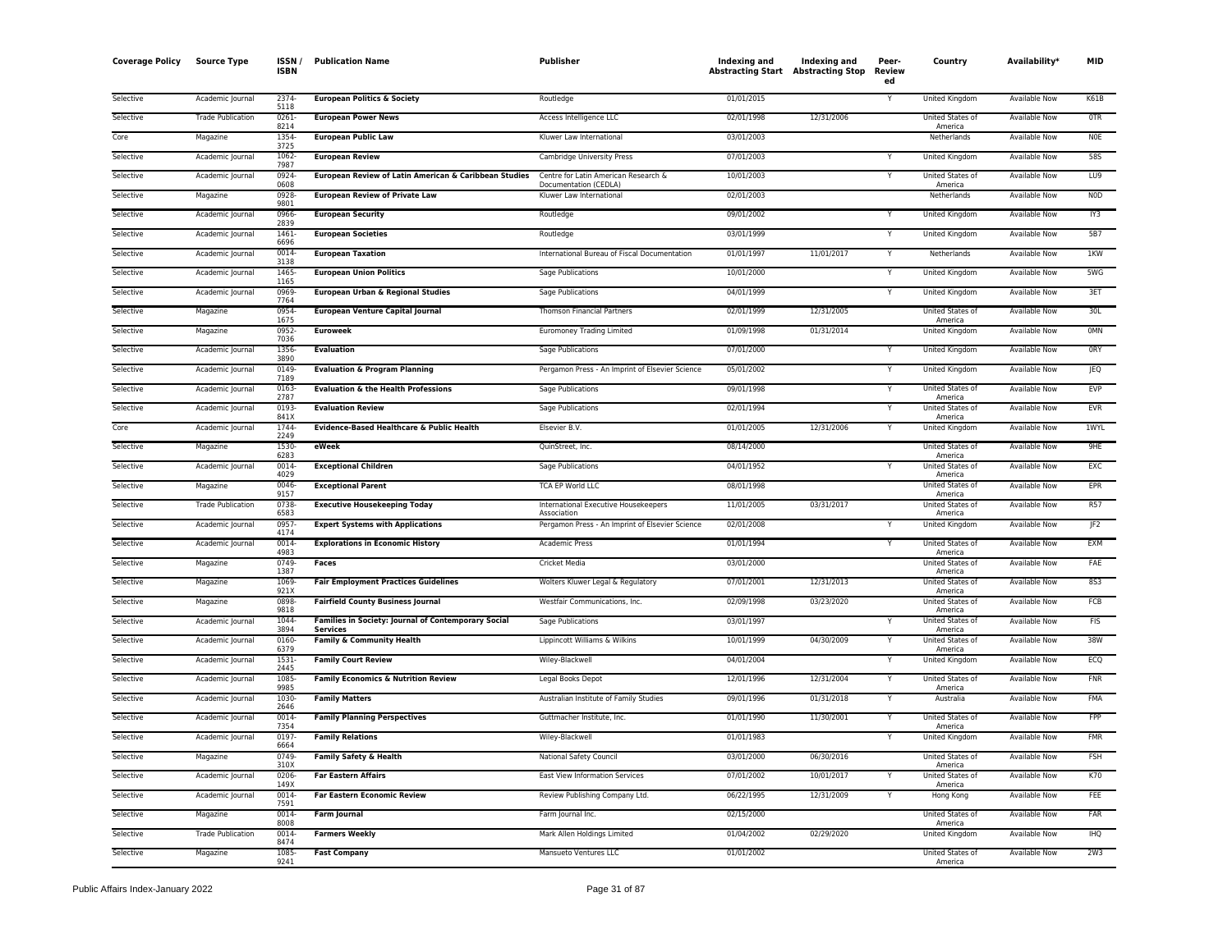| <b>Coverage Policy</b> | <b>Source Type</b>       | ISSN /<br><b>ISBN</b> | <b>Publication Name</b>                                                | <b>Publisher</b>                                              | Indexing and<br><b>Abstracting Start Abstracting Stop</b> | Indexing and | Peer-<br>Review<br>ed | Country                            | Availability*        | <b>MID</b>      |
|------------------------|--------------------------|-----------------------|------------------------------------------------------------------------|---------------------------------------------------------------|-----------------------------------------------------------|--------------|-----------------------|------------------------------------|----------------------|-----------------|
| Selective              | Academic Journal         | 2374-<br>5118         | <b>European Politics &amp; Society</b>                                 | Routledge                                                     | 01/01/2015                                                |              |                       | United Kingdom                     | <b>Available Now</b> | K61B            |
| Selective              | <b>Trade Publication</b> | $0261 -$<br>8214      | <b>European Power News</b>                                             | Access Intelligence LLC                                       | 02/01/1998                                                | 12/31/2006   |                       | <b>United States of</b><br>America | <b>Available Now</b> | <b>OTR</b>      |
| Core                   | Magazine                 | 1354<br>3725          | <b>European Public Law</b>                                             | Kluwer Law International                                      | 03/01/2003                                                |              |                       | Netherlands                        | <b>Available Now</b> | N <sub>OE</sub> |
| Selective              | Academic Journal         | 1062-<br>7987         | <b>European Review</b>                                                 | Cambridge University Press                                    | 07/01/2003                                                |              | Y                     | United Kingdom                     | <b>Available Now</b> | <b>58S</b>      |
| Selective              | Academic Journal         | 0924<br>0608          | European Review of Latin American & Caribbean Studies                  | Centre for Latin American Research &<br>Documentation (CEDLA) | 10/01/2003                                                |              | Y                     | United States of<br>America        | Available Now        | LU9             |
| Selective              | Magazine                 | 0928<br>9801          | <b>European Review of Private Law</b>                                  | Kluwer Law International                                      | 02/01/2003                                                |              |                       | Netherlands                        | <b>Available Now</b> | <b>NOD</b>      |
| Selective              | Academic Journal         | 0966<br>2839          | <b>European Security</b>                                               | Routledge                                                     | 09/01/2002                                                |              | Y                     | <b>United Kingdom</b>              | <b>Available Now</b> | IY3             |
| Selective              | Academic Journal         | 1461<br>6696          | <b>European Societies</b>                                              | Routledge                                                     | 03/01/1999                                                |              | Υ                     | United Kingdom                     | Available Now        | <b>5B7</b>      |
| Selective              | Academic Journal         | 0014<br>3138          | <b>European Taxation</b>                                               | International Bureau of Fiscal Documentation                  | 01/01/1997                                                | 11/01/2017   | Y                     | Netherlands                        | <b>Available Now</b> | 1KW             |
| Selective              | Academic Journal         | 1465<br>1165          | <b>European Union Politics</b>                                         | Sage Publications                                             | 10/01/2000                                                |              | Υ                     | United Kingdom                     | Available Now        | 5WG             |
| Selective              | Academic Journal         | 0969<br>7764          | European Urban & Regional Studies                                      | Sage Publications                                             | 04/01/1999                                                |              |                       | United Kingdom                     | <b>Available Now</b> | 3ET             |
| Selective              | Magazine                 | 0954-<br>1675         | <b>European Venture Capital Journal</b>                                | <b>Thomson Financial Partners</b>                             | 02/01/1999                                                | 12/31/2005   |                       | United States of<br>America        | Available Now        | 30L             |
| Selective              | Magazine                 | 0952-<br>7036         | <b>Euroweek</b>                                                        | <b>Euromoney Trading Limited</b>                              | 01/09/1998                                                | 01/31/2014   |                       | United Kingdom                     | Available Now        | <b>OMN</b>      |
| Selective              | Academic Journal         | 1356<br>3890          | <b>Evaluation</b>                                                      | <b>Sage Publications</b>                                      | 07/01/2000                                                |              | Y                     | United Kingdom                     | <b>Available Now</b> | <b>ORY</b>      |
| Selective              | Academic Journal         | 0149<br>7189          | <b>Evaluation &amp; Program Planning</b>                               | Pergamon Press - An Imprint of Elsevier Science               | 05/01/2002                                                |              |                       | United Kingdom                     | Available Now        | JEQ             |
| Selective              | Academic Journal         | 0163<br>2787          | <b>Evaluation &amp; the Health Professions</b>                         | Sage Publications                                             | 09/01/1998                                                |              | Y                     | <b>United States of</b><br>America | <b>Available Now</b> | <b>EVP</b>      |
| Selective              | Academic Journal         | 0193<br>841X          | <b>Evaluation Review</b>                                               | <b>Sage Publications</b>                                      | 02/01/1994                                                |              | Υ                     | United States of<br>America        | <b>Available Now</b> | <b>EVR</b>      |
| Core                   | Academic Journal         | 1744<br>2249          | Evidence-Based Healthcare & Public Health                              | Elsevier B.V.                                                 | 01/01/2005                                                | 12/31/2006   | Υ                     | United Kingdom                     | <b>Available Now</b> | 1WYL            |
| Selective              | Magazine                 | 1530-<br>6283         | eWeek                                                                  | OuinStreet, Inc.                                              | 08/14/2000                                                |              |                       | United States of<br>America        | Available Now        | 9HF             |
| Selective              | Academic Journal         | 0014<br>4029          | <b>Exceptional Children</b>                                            | Sage Publications                                             | 04/01/1952                                                |              |                       | United States of<br>America        | <b>Available Now</b> | EXC             |
| Selective              | Magazine                 | 0046-<br>9157         | <b>Exceptional Parent</b>                                              | <b>TCA EP World LLC</b>                                       | 08/01/1998                                                |              |                       | United States of<br>America        | <b>Available Now</b> | EPR             |
| Selective              | <b>Trade Publication</b> | 0738<br>6583          | <b>Executive Housekeeping Today</b>                                    | International Executive Housekeepers<br>Association           | 11/01/2005                                                | 03/31/2017   |                       | United States of<br>America        | Available Now        | R57             |
| Selective              | Academic Journal         | 0957<br>4174          | <b>Expert Systems with Applications</b>                                | Pergamon Press - An Imprint of Elsevier Science               | 02/01/2008                                                |              |                       | <b>United Kingdom</b>              | <b>Available Now</b> | IF2             |
| Selective              | Academic Journal         | 0014<br>4983          | <b>Explorations in Economic History</b>                                | Academic Press                                                | 01/01/1994                                                |              | Y                     | United States of<br>America        | <b>Available Now</b> | EXM             |
| Selective              | Magazine                 | 0749<br>1387          | Faces                                                                  | Cricket Media                                                 | 03/01/2000                                                |              |                       | United States of<br>America        | <b>Available Now</b> | FAE             |
| Selective              | Magazine                 | 1069-<br>921X         | <b>Fair Employment Practices Guidelines</b>                            | Wolters Kluwer Legal & Regulatory                             | 07/01/2001                                                | 12/31/2013   |                       | United States of<br>America        | Available Now        | <b>8S3</b>      |
| Selective              | Magazine                 | 0898<br>9818          | <b>Fairfield County Business Journal</b>                               | Westfair Communications, Inc.                                 | 02/09/1998                                                | 03/23/2020   |                       | United States of<br>America        | Available Now        | FCB             |
| Selective              | Academic Journal         | 1044<br>3894          | Families in Society: Journal of Contemporary Social<br><b>Services</b> | Sage Publications                                             | 03/01/1997                                                |              |                       | United States of<br>America        | <b>Available Now</b> | <b>FIS</b>      |
| Selective              | Academic Journal         | 0160<br>6379          | <b>Family &amp; Community Health</b>                                   | Lippincott Williams & Wilkins                                 | 10/01/1999                                                | 04/30/2009   |                       | United States of<br>America        | <b>Available Now</b> | 38W             |
| Selective              | Academic Journal         | 1531<br>2445          | <b>Family Court Review</b>                                             | Wiley-Blackwell                                               | 04/01/2004                                                |              | Ÿ                     | United Kingdom                     | Available Now        | ECO             |
| Selective              | Academic Journal         | 1085<br>9985          | <b>Family Economics &amp; Nutrition Review</b>                         | Legal Books Depot                                             | 12/01/1996                                                | 12/31/2004   | Y                     | United States of<br>America        | <b>Available Now</b> | <b>FNR</b>      |
| Selective              | Academic Journal         | 1030-<br>2646         | <b>Family Matters</b>                                                  | Australian Institute of Family Studies                        | 09/01/1996                                                | 01/31/2018   | Y                     | Australia                          | <b>Available Now</b> | FMA             |
| Selective              | Academic Journal         | 0014<br>7354          | <b>Family Planning Perspectives</b>                                    | Guttmacher Institute, Inc.                                    | 01/01/1990                                                | 11/30/2001   | Υ                     | United States of<br>America        | Available Now        | <b>FPP</b>      |
| Selective              | Academic Journal         | 0197<br>6664          | <b>Family Relations</b>                                                | Wiley-Blackwell                                               | 01/01/1983                                                |              |                       | United Kingdom                     | Available Now        | <b>FMR</b>      |
| Selective              | Magazine                 | 0749<br>310X          | <b>Family Safety &amp; Health</b>                                      | National Safety Council                                       | 03/01/2000                                                | 06/30/2016   |                       | United States of<br>America        | Available Now        | FSH             |
| Selective              | Academic Journal         | 0206<br>149X          | <b>Far Eastern Affairs</b>                                             | East View Information Services                                | 07/01/2002                                                | 10/01/2017   |                       | United States of<br>America        | Available Now        | K70             |
| Selective              | Academic Journal         | 0014<br>7591          | <b>Far Eastern Economic Review</b>                                     | Review Publishing Company Ltd.                                | 06/22/1995                                                | 12/31/2009   | Y                     | Hong Kong                          | <b>Available Now</b> | FEE             |
| Selective              | Magazine                 | 0014<br>8008          | <b>Farm Journal</b>                                                    | Farm Journal Inc.                                             | 02/15/2000                                                |              |                       | United States of<br>America        | <b>Available Now</b> | FAR             |
| Selective              | <b>Trade Publication</b> | 0014<br>8474          | <b>Farmers Weekly</b>                                                  | Mark Allen Holdings Limited                                   | 01/04/2002                                                | 02/29/2020   |                       | <b>United Kingdom</b>              | <b>Available Now</b> | <b>IHQ</b>      |
| Selective              | Magazine                 | 1085<br>9241          | <b>Fast Company</b>                                                    | Mansueto Ventures LLC                                         | 01/01/2002                                                |              |                       | United States of<br>America        | Available Now        | 2W3             |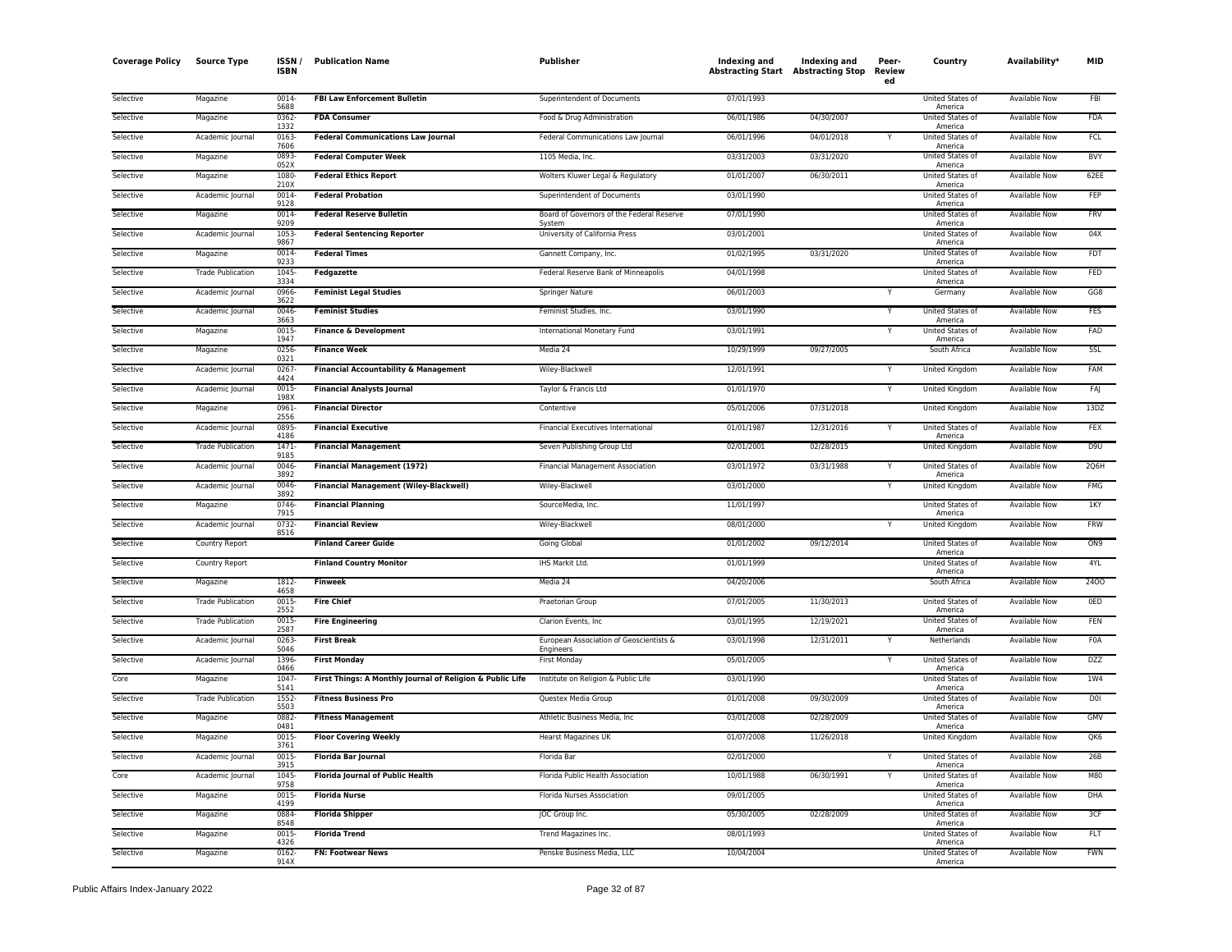| <b>Coverage Policy</b> | <b>Source Type</b>       | ISSN<br><b>ISBN</b> | <b>Publication Name</b>                                   | Publisher                                            | Indexing and<br><b>Abstracting Start Abstracting Stop</b> | Indexing and | Peer-<br><b>Review</b><br>ed | Country                     | Availability*        | MID             |
|------------------------|--------------------------|---------------------|-----------------------------------------------------------|------------------------------------------------------|-----------------------------------------------------------|--------------|------------------------------|-----------------------------|----------------------|-----------------|
| Selective              | Magazine                 | 0014<br>5688        | <b>FBI Law Enforcement Bulletin</b>                       | Superintendent of Documents                          | 07/01/1993                                                |              |                              | United States of<br>America | <b>Available Now</b> | <b>FBI</b>      |
| Selective              | Magazine                 | 0362<br>1332        | <b>FDA Consumer</b>                                       | Food & Drug Administration                           | 06/01/1986                                                | 04/30/2007   |                              | United States of<br>America | Available Now        | FDA             |
| Selective              | Academic Journal         | 0163<br>7606        | <b>Federal Communications Law Journal</b>                 | Federal Communications Law Journal                   | 06/01/1996                                                | 04/01/2018   |                              | United States of<br>America | Available Now        | FCL             |
| Selective              | Magazine                 | 0893-<br>052X       | <b>Federal Computer Week</b>                              | 1105 Media, Inc.                                     | 03/31/2003                                                | 03/31/2020   |                              | United States of<br>America | Available Now        | <b>BVY</b>      |
| Selective              | Magazine                 | 1080<br>210X        | <b>Federal Ethics Report</b>                              | Wolters Kluwer Legal & Regulatory                    | 01/01/2007                                                | 06/30/2011   |                              | United States of<br>America | Available Now        | 62EE            |
| Selective              | Academic Journal         | 0014<br>9128        | <b>Federal Probation</b>                                  | Superintendent of Documents                          | 03/01/1990                                                |              |                              | United States of<br>America | <b>Available Now</b> | FEP             |
| Selective              | Magazine                 | 0014<br>9209        | <b>Federal Reserve Bulletin</b>                           | Board of Governors of the Federal Reserve<br>System  | 07/01/1990                                                |              |                              | United States of<br>America | <b>Available Now</b> | <b>FRV</b>      |
| Selective              | Academic Journal         | 1053<br>9867        | <b>Federal Sentencing Reporter</b>                        | University of California Press                       | 03/01/2001                                                |              |                              | United States of<br>America | Available Now        | 04X             |
| Selective              | Magazine                 | 0014<br>9233        | <b>Federal Times</b>                                      | Gannett Company, Inc.                                | 01/02/1995                                                | 03/31/2020   |                              | United States of<br>America | Available Now        | <b>FDT</b>      |
| Selective              | <b>Trade Publication</b> | 1045<br>3334        | Fedgazette                                                | Federal Reserve Bank of Minneapolis                  | 04/01/1998                                                |              |                              | United States of<br>America | Available Now        | FED             |
| Selective              | Academic Journal         | 0966<br>3622        | <b>Feminist Legal Studies</b>                             | <b>Springer Nature</b>                               | 06/01/2003                                                |              |                              | Germany                     | <b>Available Now</b> | GG8             |
| Selective              | Academic Journal         | 0046<br>3663        | <b>Feminist Studies</b>                                   | Feminist Studies, Inc.                               | 03/01/1990                                                |              |                              | United States of<br>America | Available Now        | <b>FES</b>      |
| Selective              | Magazine                 | 0015<br>1947        | <b>Finance &amp; Development</b>                          | International Monetary Fund                          | 03/01/1991                                                |              |                              | United States of<br>America | <b>Available Now</b> | FAD             |
| Selective              | Magazine                 | 0256-<br>0321       | <b>Finance Week</b>                                       | Media 24                                             | 10/29/1999                                                | 09/27/2005   |                              | South Africa                | Available Now        | 5SL             |
| Selective              | Academic Journal         | 0267<br>4424        | <b>Financial Accountability &amp; Management</b>          | Wiley-Blackwell                                      | 12/01/1991                                                |              |                              | United Kingdom              | Available Now        | FAM             |
| Selective              | Academic Journal         | 0015<br>198X        | <b>Financial Analysts Journal</b>                         | Taylor & Francis Ltd                                 | 01/01/1970                                                |              |                              | United Kingdom              | Available Now        | FAJ             |
| Selective              | Magazine                 | 0961<br>2556        | <b>Financial Director</b>                                 | Contentive                                           | 05/01/2006                                                | 07/31/2018   |                              | United Kingdom              | Available Now        | 13DZ            |
| Selective              | Academic Journal         | 0895<br>4186        | <b>Financial Executive</b>                                | Financial Executives International                   | 01/01/1987                                                | 12/31/2016   |                              | United States of<br>America | <b>Available Now</b> | <b>FEX</b>      |
| Selective              | <b>Trade Publication</b> | 1471<br>9185        | <b>Financial Management</b>                               | Seven Publishing Group Ltd                           | 02/01/2001                                                | 02/28/2015   |                              | United Kingdom              | Available Now        | D <sub>9U</sub> |
| Selective              | Academic Journal         | 0046<br>3892        | <b>Financial Management (1972)</b>                        | <b>Financial Management Association</b>              | 03/01/1972                                                | 03/31/1988   |                              | United States of<br>America | <b>Available Now</b> | 2Q6H            |
| Selective              | Academic Journal         | 0046<br>3892        | <b>Financial Management (Wiley-Blackwell)</b>             | Wiley-Blackwell                                      | 03/01/2000                                                |              |                              | United Kingdom              | Available Now        | <b>FMG</b>      |
| Selective              | Magazine                 | 0746<br>7915        | <b>Financial Planning</b>                                 | SourceMedia, Inc.                                    | 11/01/1997                                                |              |                              | United States of<br>America | Available Now        | 1KY             |
| Selective              | Academic Journal         | 0732-<br>8516       | <b>Financial Review</b>                                   | Wiley-Blackwell                                      | 08/01/2000                                                |              |                              | United Kingdom              | Available Now        | <b>FRW</b>      |
| Selective              | Country Report           |                     | <b>Finland Career Guide</b>                               | Going Global                                         | 01/01/2002                                                | 09/12/2014   |                              | United States of<br>America | Available Now        | ON <sub>9</sub> |
| Selective              | Country Report           |                     | <b>Finland Country Monitor</b>                            | IHS Markit Ltd.                                      | 01/01/1999                                                |              |                              | United States of<br>America | Available Now        | 4YL             |
| Selective              | Magazine                 | 1812<br>4658        | <b>Finweek</b>                                            | Media 24                                             | 04/20/2006                                                |              |                              | South Africa                | <b>Available Now</b> | 2400            |
| Selective              | <b>Trade Publication</b> | 0015<br>2552        | <b>Fire Chief</b>                                         | Praetorian Group                                     | 07/01/2005                                                | 11/30/2013   |                              | United States of<br>America | Available Now        | 0ED             |
| Selective              | <b>Trade Publication</b> | 0015<br>2587        | <b>Fire Engineering</b>                                   | Clarion Events, Inc.                                 | 03/01/1995                                                | 12/19/2021   |                              | United States of<br>America | Available Now        | FEN             |
| Selective              | Academic Journal         | 0263<br>5046        | <b>First Break</b>                                        | European Association of Geoscientists &<br>Engineers | 03/01/1998                                                | 12/31/2011   |                              | Netherlands                 | Available Now        | F0A             |
| Selective              | Academic Journal         | 1396<br>0466        | <b>First Monday</b>                                       | <b>First Monday</b>                                  | 05/01/2005                                                |              |                              | United States of<br>America | <b>Available Now</b> | <b>DZZ</b>      |
| Core                   | Magazine                 | 1047<br>5141        | First Things: A Monthly Journal of Religion & Public Life | Institute on Religion & Public Life                  | 03/01/1990                                                |              |                              | United States of<br>America | Available Now        | 1W4             |
| Selective              | <b>Trade Publication</b> | 1552<br>5503        | <b>Fitness Business Pro</b>                               | Questex Media Group                                  | 01/01/2008                                                | 09/30/2009   |                              | United States of<br>America | <b>Available Now</b> | <b>DOI</b>      |
| Selective              | Magazine                 | 0882<br>0481        | <b>Fitness Management</b>                                 | Athletic Business Media, Inc.                        | 03/01/2008                                                | 02/28/2009   |                              | United States of<br>America | <b>Available Now</b> | <b>GMV</b>      |
| Selective              | Magazine                 | 0015<br>3761        | <b>Floor Covering Weekly</b>                              | Hearst Magazines UK                                  | 01/07/2008                                                | 11/26/2018   |                              | United Kingdom              | Available Now        | QK6             |
| Selective              | Academic Journal         | 0015<br>3915        | Florida Bar Journal                                       | Florida Bar                                          | 02/01/2000                                                |              | Y                            | United States of<br>America | Available Now        | 26B             |
| Core                   | Academic Journal         | 1045<br>9758        | Florida Journal of Public Health                          | Florida Public Health Association                    | 10/01/1988                                                | 06/30/1991   |                              | United States of<br>America | Available Now        | M80             |
| Selective              | Magazine                 | 0015<br>4199        | <b>Florida Nurse</b>                                      | Florida Nurses Association                           | 09/01/2005                                                |              |                              | United States of<br>America | <b>Available Now</b> | <b>DHA</b>      |
| Selective              | Magazine                 | 0884<br>8548        | <b>Florida Shipper</b>                                    | JOC Group Inc.                                       | 05/30/2005                                                | 02/28/2009   |                              | United States of<br>America | Available Now        | 3CF             |
| Selective              | Magazine                 | 0015<br>4326        | <b>Florida Trend</b>                                      | Trend Magazines Inc.                                 | 08/01/1993                                                |              |                              | United States of<br>America | <b>Available Now</b> | <b>FLT</b>      |
| Selective              | Magazine                 | 0162<br>914X        | <b>FN: Footwear News</b>                                  | Penske Business Media, LLC                           | 10/04/2004                                                |              |                              | United States of<br>America | <b>Available Now</b> | <b>FWN</b>      |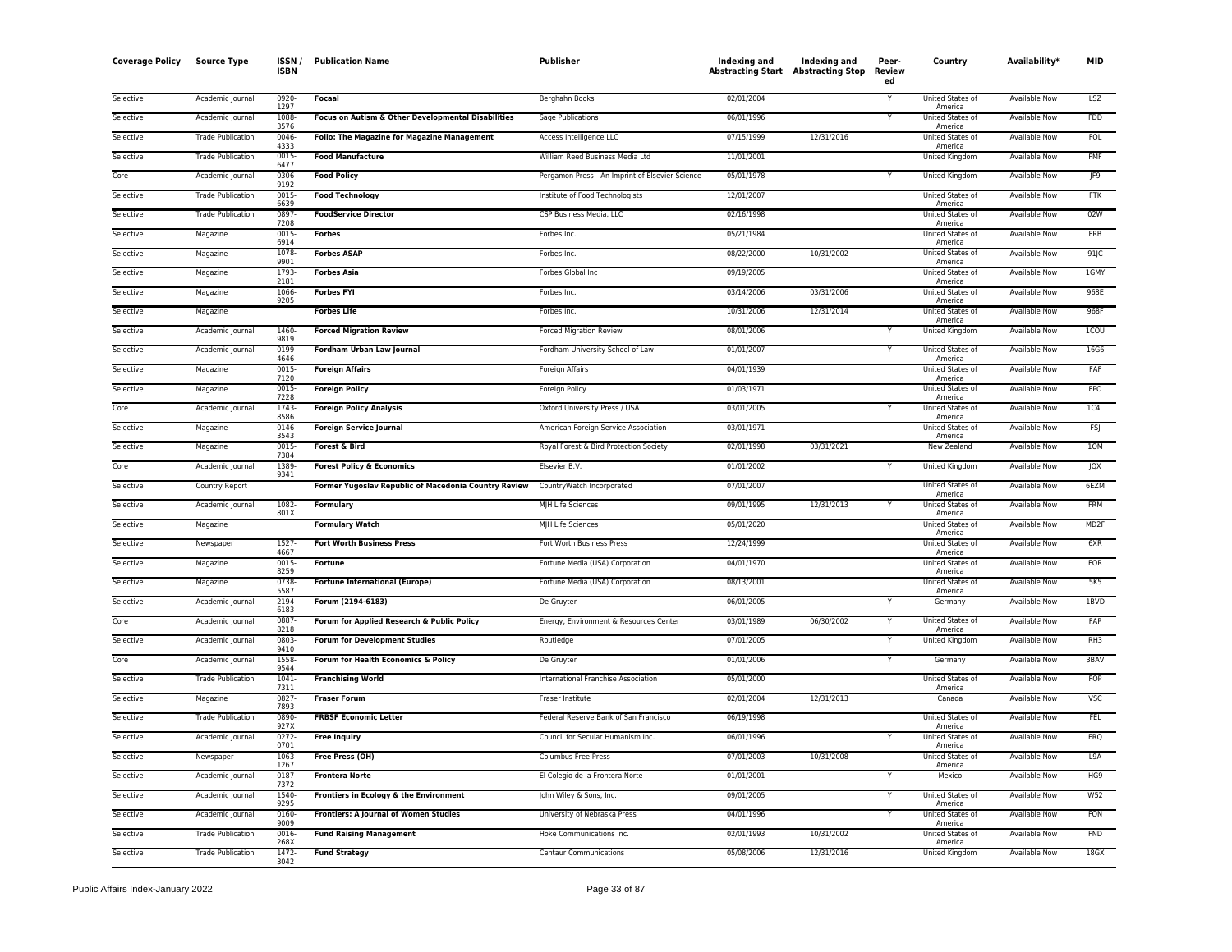| <b>Coverage Policy</b> | <b>Source Type</b>       | ISSN.<br><b>ISBN</b> | <b>Publication Name</b>                              | Publisher                                       | Indexing and | Indexing and<br><b>Abstracting Start Abstracting Stop</b> | Peer-<br>Review<br>ed | Country                            | Availability*        | MID              |
|------------------------|--------------------------|----------------------|------------------------------------------------------|-------------------------------------------------|--------------|-----------------------------------------------------------|-----------------------|------------------------------------|----------------------|------------------|
| Selective              | Academic Journal         | 0920-<br>1297        | Focaal                                               | Berghahn Books                                  | 02/01/2004   |                                                           |                       | United States of<br>America        | <b>Available Now</b> | LSZ              |
| Selective              | Academic Journal         | 1088-<br>3576        | Focus on Autism & Other Developmental Disabilities   | Sage Publications                               | 06/01/1996   |                                                           | Y                     | United States of<br>America        | Available Now        | <b>FDD</b>       |
| Selective              | <b>Trade Publication</b> | 0046<br>4333         | <b>Folio: The Magazine for Magazine Management</b>   | Access Intelligence LLC                         | 07/15/1999   | 12/31/2016                                                |                       | United States of<br>America        | Available Now        | FOL              |
| Selective              | <b>Trade Publication</b> | 0015<br>6477         | <b>Food Manufacture</b>                              | William Reed Business Media Ltd                 | 11/01/2001   |                                                           |                       | United Kingdom                     | <b>Available Now</b> | <b>FMF</b>       |
| Core                   | Academic Journal         | 0306<br>9192         | <b>Food Policy</b>                                   | Pergamon Press - An Imprint of Elsevier Science | 05/01/1978   |                                                           | Y                     | United Kingdom                     | Available Now        | JF9              |
| Selective              | <b>Trade Publication</b> | 0015<br>6639         | <b>Food Technology</b>                               | Institute of Food Technologists                 | 12/01/2007   |                                                           |                       | United States of<br>America        | <b>Available Now</b> | FTK              |
| Selective              | <b>Trade Publication</b> | 0897<br>7208         | <b>FoodService Director</b>                          | CSP Business Media, LLC                         | 02/16/1998   |                                                           |                       | United States of<br>America        | Available Now        | 02W              |
| Selective              | Magazine                 | 0015-<br>6914        | <b>Forbes</b>                                        | Forbes Inc.                                     | 05/21/1984   |                                                           |                       | United States of<br>America        | <b>Available Now</b> | FRB              |
| Selective              | Magazine                 | 1078<br>9901         | <b>Forbes ASAP</b>                                   | Forbes Inc.                                     | 08/22/2000   | 10/31/2002                                                |                       | United States of<br>America        | Available Now        | 91JC             |
| Selective              | Magazine                 | 1793<br>2181         | <b>Forbes Asia</b>                                   | Forbes Global Inc                               | 09/19/2005   |                                                           |                       | United States of<br>America        | <b>Available Now</b> | 1GMY             |
| Selective              | Magazine                 | 1066-<br>9205        | <b>Forbes FYI</b>                                    | Forbes Inc.                                     | 03/14/2006   | 03/31/2006                                                |                       | United States of<br>America        | <b>Available Now</b> | 968E             |
| Selective              | Magazine                 |                      | <b>Forbes Life</b>                                   | Forbes Inc.                                     | 10/31/2006   | 12/31/2014                                                |                       | <b>United States of</b><br>America | <b>Available Now</b> | 968F             |
| Selective              | Academic Journal         | 1460-<br>9819        | <b>Forced Migration Review</b>                       | <b>Forced Migration Review</b>                  | 08/01/2006   |                                                           |                       | United Kingdom                     | Available Now        | <b>ICOU</b>      |
| Selective              | Academic Journal         | 0199<br>4646         | Fordham Urban Law Journal                            | Fordham University School of Law                | 01/01/2007   |                                                           |                       | United States of<br>America        | Available Now        | 16G6             |
| Selective              | Magazine                 | 0015<br>7120         | <b>Foreign Affairs</b>                               | Foreign Affairs                                 | 04/01/1939   |                                                           |                       | United States of<br>America        | Available Now        | FAF              |
| Selective              | Magazine                 | 0015-<br>7228        | <b>Foreign Policy</b>                                | Foreign Policy                                  | 01/03/1971   |                                                           |                       | United States of<br>America        | <b>Available Now</b> | <b>FPO</b>       |
| Core                   | Academic Journal         | 1743-<br>8586        | <b>Foreign Policy Analysis</b>                       | Oxford University Press / USA                   | 03/01/2005   |                                                           | Y                     | United States of<br>America        | <b>Available Now</b> | 1C4L             |
| Selective              | Magazine                 | 0146<br>3543         | <b>Foreign Service Journal</b>                       | American Foreign Service Association            | 03/01/1971   |                                                           |                       | United States of<br>America        | Available Now        | <b>FSJ</b>       |
| Selective              | Magazine                 | 0015<br>7384         | Forest & Bird                                        | Royal Forest & Bird Protection Society          | 02/01/1998   | 03/31/2021                                                |                       | New Zealand                        | Available Now        | 10M              |
| Core                   | Academic Journal         | 1389<br>9341         | <b>Forest Policy &amp; Economics</b>                 | Elsevier B.V.                                   | 01/01/2002   |                                                           |                       | United Kingdom                     | Available Now        | JQX              |
| Selective              | Country Report           |                      | Former Yugoslav Republic of Macedonia Country Review | CountryWatch Incorporated                       | 07/01/2007   |                                                           |                       | United States of<br>America        | <b>Available Now</b> | 6EZM             |
| Selective              | Academic Journal         | 1082-<br>801X        | <b>Formulary</b>                                     | MJH Life Sciences                               | 09/01/1995   | 12/31/2013                                                |                       | United States of<br>America        | Available Now        | <b>FRM</b>       |
| Selective              | Magazine                 |                      | <b>Formulary Watch</b>                               | MJH Life Sciences                               | 05/01/2020   |                                                           |                       | United States of<br>America        | <b>Available Now</b> | MD <sub>2F</sub> |
| Selective              | Newspaper                | 1527<br>4667         | <b>Fort Worth Business Press</b>                     | Fort Worth Business Press                       | 12/24/1999   |                                                           |                       | <b>United States of</b><br>America | <b>Available Now</b> | 6XR              |
| Selective              | Magazine                 | 0015<br>8259         | Fortune                                              | Fortune Media (USA) Corporation                 | 04/01/1970   |                                                           |                       | United States of<br>America        | Available Now        | <b>FOR</b>       |
| Selective              | Magazine                 | 0738<br>5587         | <b>Fortune International (Europe)</b>                | Fortune Media (USA) Corporation                 | 08/13/2001   |                                                           |                       | United States of<br>America        | Available Now        | 5K5              |
| Selective              | Academic Journal         | 2194<br>6183         | Forum (2194-6183)                                    | De Gruyter                                      | 06/01/2005   |                                                           |                       | Germany                            | <b>Available Now</b> | 1BVD             |
| Core                   | Academic Journal         | 0887<br>8218         | Forum for Applied Research & Public Policy           | Energy, Environment & Resources Center          | 03/01/1989   | 06/30/2002                                                | Y                     | United States of<br>America        | <b>Available Now</b> | FAP              |
| Selective              | Academic Journal         | 0803<br>9410         | <b>Forum for Development Studies</b>                 | Routledge                                       | 07/01/2005   |                                                           |                       | United Kingdom                     | Available Now        | RH3              |
| Core                   | Academic Journal         | 1558<br>9544         | Forum for Health Economics & Policy                  | De Gruyter                                      | 01/01/2006   |                                                           | Y                     | Germany                            | <b>Available Now</b> | 3BAV             |
| Selective              | <b>Trade Publication</b> | 1041<br>7311         | <b>Franchising World</b>                             | International Franchise Association             | 05/01/2000   |                                                           |                       | United States of<br>America        | <b>Available Now</b> | FOP              |
| Selective              | Magazine                 | 0827<br>7893         | <b>Fraser Forum</b>                                  | Fraser Institute                                | 02/01/2004   | 12/31/2013                                                |                       | Canada                             | Available Now        | <b>VSC</b>       |
| Selective              | <b>Trade Publication</b> | 0890-<br>927X        | <b>FRBSF Economic Letter</b>                         | Federal Reserve Bank of San Francisco           | 06/19/1998   |                                                           |                       | United States of<br>America        | Available Now        | <b>FEL</b>       |
| Selective              | Academic Journal         | 0272<br>0701         | <b>Free Inquiry</b>                                  | Council for Secular Humanism Inc.               | 06/01/1996   |                                                           |                       | United States of<br>America        | <b>Available Now</b> | <b>FRQ</b>       |
| Selective              | Newspaper                | 1063<br>1267         | Free Press (OH)                                      | <b>Columbus Free Press</b>                      | 07/01/2003   | 10/31/2008                                                |                       | United States of<br>America        | Available Now        | L9A              |
| Selective              | Academic Journal         | 0187<br>7372         | <b>Frontera Norte</b>                                | El Colegio de la Frontera Norte                 | 01/01/2001   |                                                           | Y                     | Mexico                             | <b>Available Now</b> | HG9              |
| Selective              | Academic Journal         | 1540<br>9295         | Frontiers in Ecology & the Environment               | John Wiley & Sons, Inc.                         | 09/01/2005   |                                                           |                       | United States of<br>America        | <b>Available Now</b> | W52              |
| Selective              | Academic Journal         | 0160-<br>9009        | Frontiers: A Journal of Women Studies                | University of Nebraska Press                    | 04/01/1996   |                                                           |                       | United States of<br>America        | Available Now        | FON              |
| Selective              | <b>Trade Publication</b> | 0016<br>268X         | <b>Fund Raising Management</b>                       | Hoke Communications Inc.                        | 02/01/1993   | 10/31/2002                                                |                       | United States of<br>America        | Available Now        | <b>FND</b>       |
| Selective              | <b>Trade Publication</b> | 1472-<br>3042        | <b>Fund Strategy</b>                                 | <b>Centaur Communications</b>                   | 05/08/2006   | 12/31/2016                                                |                       | United Kingdom                     | <b>Available Now</b> | 18GX             |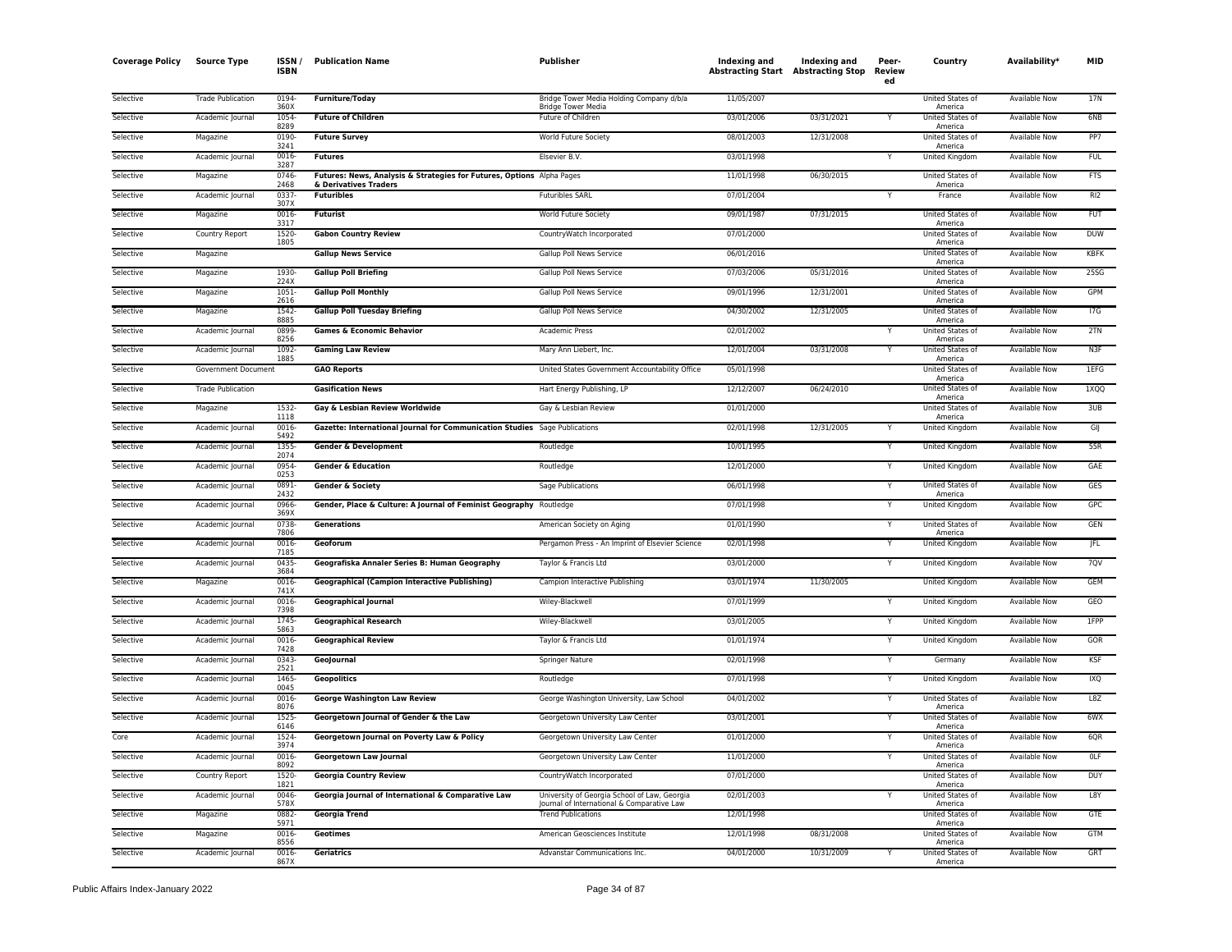| <b>Coverage Policy</b> | <b>Source Type</b>       | ISSN /<br><b>ISBN</b> | <b>Publication Name</b>                                                    | Publisher                                                                                  | Indexing and<br><b>Abstracting Start Abstracting Stop</b> | Indexing and | Peer-<br>Review<br>ed | Country                                | Availability*        | <b>MID</b>      |
|------------------------|--------------------------|-----------------------|----------------------------------------------------------------------------|--------------------------------------------------------------------------------------------|-----------------------------------------------------------|--------------|-----------------------|----------------------------------------|----------------------|-----------------|
| Selective              | <b>Trade Publication</b> | 0194<br>360X          | <b>Furniture/Today</b>                                                     | Bridge Tower Media Holding Company d/b/a<br><b>Bridge Tower Media</b>                      | 11/05/2007                                                |              |                       | United States of<br>America            | Available Now        | 17N             |
| Selective              | Academic Journal         | 1054<br>8289          | <b>Future of Children</b>                                                  | Future of Children                                                                         | 03/01/2006                                                | 03/31/2021   |                       | United States of                       | <b>Available Now</b> | 6NB             |
| Selective              | Magazine                 | 0190-                 | <b>Future Survey</b>                                                       | World Future Society                                                                       | 08/01/2003                                                | 12/31/2008   |                       | America<br>United States of            | <b>Available Now</b> | PP7             |
| Selective              | Academic Journal         | 3241<br>0016          | <b>Futures</b>                                                             | Elsevier B.V.                                                                              | 03/01/1998                                                |              |                       | America<br>United Kingdom              | Available Now        | <b>FUL</b>      |
| Selective              | Magazine                 | 3287<br>0746          | Futures: News, Analysis & Strategies for Futures, Options Alpha Pages      |                                                                                            | 11/01/1998                                                | 06/30/2015   |                       | United States of                       | Available Now        | <b>FTS</b>      |
| Selective              | Academic Journal         | 2468<br>0337          | & Derivatives Traders<br><b>Futuribles</b>                                 | <b>Futuribles SARL</b>                                                                     | 07/01/2004                                                |              |                       | America<br>France                      | Available Now        | RI <sub>2</sub> |
| Selective              | Magazine                 | 307X<br>0016-         | <b>Futurist</b>                                                            | World Future Society                                                                       | 09/01/1987                                                | 07/31/2015   |                       | United States of                       | <b>Available Now</b> | <b>FUT</b>      |
| Selective              | Country Report           | 3317<br>1520          | <b>Gabon Country Review</b>                                                | CountryWatch Incorporated                                                                  | 07/01/2000                                                |              |                       | America<br>United States of            | Available Now        | <b>DUW</b>      |
| Selective              | Magazine                 | 1805                  | <b>Gallup News Service</b>                                                 | Gallup Poll News Service                                                                   | 06/01/2016                                                |              |                       | America<br>United States of            | <b>Available Now</b> | <b>KBFK</b>     |
| Selective              | Magazine                 | 1930-                 | <b>Gallup Poll Briefing</b>                                                | Gallup Poll News Service                                                                   | 07/03/2006                                                | 05/31/2016   |                       | America<br>United States of            | <b>Available Now</b> | 25SG            |
| Selective              | Magazine                 | 224X<br>$1051 -$      | <b>Gallup Poll Monthly</b>                                                 | Gallup Poll News Service                                                                   | 09/01/1996                                                | 12/31/2001   |                       | America<br>United States of            | Available Now        | GPM             |
| Selective              | Magazine                 | 2616<br>1542-         | <b>Gallup Poll Tuesday Briefing</b>                                        | Gallup Poll News Service                                                                   | 04/30/2002                                                | 12/31/2005   |                       | America<br>United States of            | Available Now        | 17G             |
| Selective              | Academic Journal         | 8885<br>0899<br>8256  | <b>Games &amp; Economic Behavior</b>                                       | Academic Press                                                                             | 02/01/2002                                                |              |                       | America<br>United States of            | Available Now        | 2TN             |
| Selective              | Academic Journal         | 1092<br>1885          | <b>Gaming Law Review</b>                                                   | Mary Ann Liebert, Inc.                                                                     | 12/01/2004                                                | 03/31/2008   |                       | America<br>United States of            | <b>Available Now</b> | N3F             |
| Selective              | Government Document      |                       | <b>GAO Reports</b>                                                         | United States Government Accountability Office                                             | 05/01/1998                                                |              |                       | America<br>United States of<br>America | <b>Available Now</b> | 1EFG            |
| Selective              | <b>Trade Publication</b> |                       | <b>Gasification News</b>                                                   | Hart Energy Publishing, LP                                                                 | 12/12/2007                                                | 06/24/2010   |                       | United States of<br>America            | <b>Available Now</b> | 1XQQ            |
| Selective              | Magazine                 | 1532<br>1118          | Gay & Lesbian Review Worldwide                                             | Gay & Lesbian Review                                                                       | 01/01/2000                                                |              |                       | United States of                       | <b>Available Now</b> | 3UB             |
| Selective              | Academic Journal         | 0016<br>5492          | Gazette: International Journal for Communication Studies Sage Publications |                                                                                            | 02/01/1998                                                | 12/31/2005   |                       | America<br>United Kingdom              | Available Now        | GIJ             |
| Selective              | Academic Journal         | 1355<br>2074          | <b>Gender &amp; Development</b>                                            | Routledge                                                                                  | 10/01/1995                                                |              | Y                     | United Kingdom                         | Available Now        | 55R             |
| Selective              | Academic Journal         | 0954<br>0253          | <b>Gender &amp; Education</b>                                              | Routledge                                                                                  | 12/01/2000                                                |              |                       | United Kingdom                         | Available Now        | GAE             |
| Selective              | Academic Journal         | 0891<br>2432          | <b>Gender &amp; Society</b>                                                | Sage Publications                                                                          | 06/01/1998                                                |              | Ÿ                     | United States of<br>America            | <b>Available Now</b> | GES             |
| Selective              | Academic Journal         | 0966-<br>369X         | Gender, Place & Culture: A Journal of Feminist Geography Routledge         |                                                                                            | 07/01/1998                                                |              | Y                     | <b>United Kingdom</b>                  | <b>Available Now</b> | <b>GPC</b>      |
| Selective              | Academic Journal         | 0738<br>7806          | <b>Generations</b>                                                         | American Society on Aging                                                                  | 01/01/1990                                                |              | Y                     | United States of<br>America            | Available Now        | GEN             |
| Selective              | Academic Journal         | 0016<br>7185          | Geoforum                                                                   | Pergamon Press - An Imprint of Elsevier Science                                            | 02/01/1998                                                |              |                       | United Kingdom                         | Available Now        | JFL             |
| Selective              | Academic Journal         | 0435<br>3684          | Geografiska Annaler Series B: Human Geography                              | Taylor & Francis Ltd                                                                       | 03/01/2000                                                |              | Y                     | United Kingdom                         | Available Now        | 7QV             |
| Selective              | Magazine                 | 0016<br>741X          | <b>Geographical (Campion Interactive Publishing)</b>                       | Campion Interactive Publishing                                                             | 03/01/1974                                                | 11/30/2005   |                       | <b>United Kingdom</b>                  | <b>Available Now</b> | <b>GEM</b>      |
| Selective              | Academic Journal         | 0016<br>7398          | <b>Geographical Journal</b>                                                | Wiley-Blackwell                                                                            | 07/01/1999                                                |              |                       | United Kingdom                         | Available Now        | GEO             |
| Selective              | Academic Journal         | 1745<br>5863          | <b>Geographical Research</b>                                               | Wiley-Blackwell                                                                            | 03/01/2005                                                |              |                       | United Kingdom                         | <b>Available Now</b> | 1FPP            |
| Selective              | Academic Journal         | 0016-<br>7428         | <b>Geographical Review</b>                                                 | Taylor & Francis Ltd                                                                       | 01/01/1974                                                |              | Υ                     | United Kingdom                         | <b>Available Now</b> | GOR             |
| Selective              | Academic Journal         | 0343<br>2521          | GeoJournal                                                                 | Springer Nature                                                                            | 02/01/1998                                                |              | Y                     | Germany                                | Available Now        | KSF             |
| Selective              | Academic Journal         | 1465<br>0045          | <b>Geopolitics</b>                                                         | Routledge                                                                                  | 07/01/1998                                                |              | Y                     | United Kingdom                         | Available Now        | <b>IXQ</b>      |
| Selective              | Academic Journal         | 0016<br>8076          | <b>George Washington Law Review</b>                                        | George Washington University, Law School                                                   | 04/01/2002                                                |              | Υ                     | United States of<br>America            | Available Now        | L8Z             |
| Selective              | Academic Journal         | 1525<br>6146          | Georgetown Journal of Gender & the Law                                     | Georgetown University Law Center                                                           | 03/01/2001                                                |              | Y                     | United States of<br>America            | <b>Available Now</b> | $6$ W $X$       |
| Core                   | Academic Journal         | 1524<br>3974          | Georgetown Journal on Poverty Law & Policy                                 | Georgetown University Law Center                                                           | 01/01/2000                                                |              |                       | United States of<br>America            | Available Now        | 6QR             |
| Selective              | Academic Journal         | 0016<br>8092          | <b>Georgetown Law Journal</b>                                              | Georgetown University Law Center                                                           | 11/01/2000                                                |              |                       | United States of<br>America            | <b>Available Now</b> | OLF             |
| Selective              | Country Report           | 1520-<br>1821         | <b>Georgia Country Review</b>                                              | CountryWatch Incorporated                                                                  | 07/01/2000                                                |              |                       | United States of<br>America            | Available Now        | <b>DUY</b>      |
| Selective              | Academic Journal         | 0046<br>578X          | Georgia Journal of International & Comparative Law                         | University of Georgia School of Law, Georgia<br>Journal of International & Comparative Law | 02/01/2003                                                |              | Υ                     | United States of<br>America            | Available Now        | L8Y             |
| Selective              | Magazine                 | 0882<br>5971          | <b>Georgia Trend</b>                                                       | <b>Trend Publications</b>                                                                  | 12/01/1998                                                |              |                       | United States of<br>America            | Available Now        | GTE             |
| Selective              | Magazine                 | 0016<br>8556          | Geotimes                                                                   | American Geosciences Institute                                                             | 12/01/1998                                                | 08/31/2008   |                       | United States of<br>America            | Available Now        | GTM             |
| Selective              | Academic Journal         | 0016-<br>867X         | Geriatrics                                                                 | Advanstar Communications Inc.                                                              | 04/01/2000                                                | 10/31/2009   |                       | United States of<br>America            | <b>Available Now</b> | GRT             |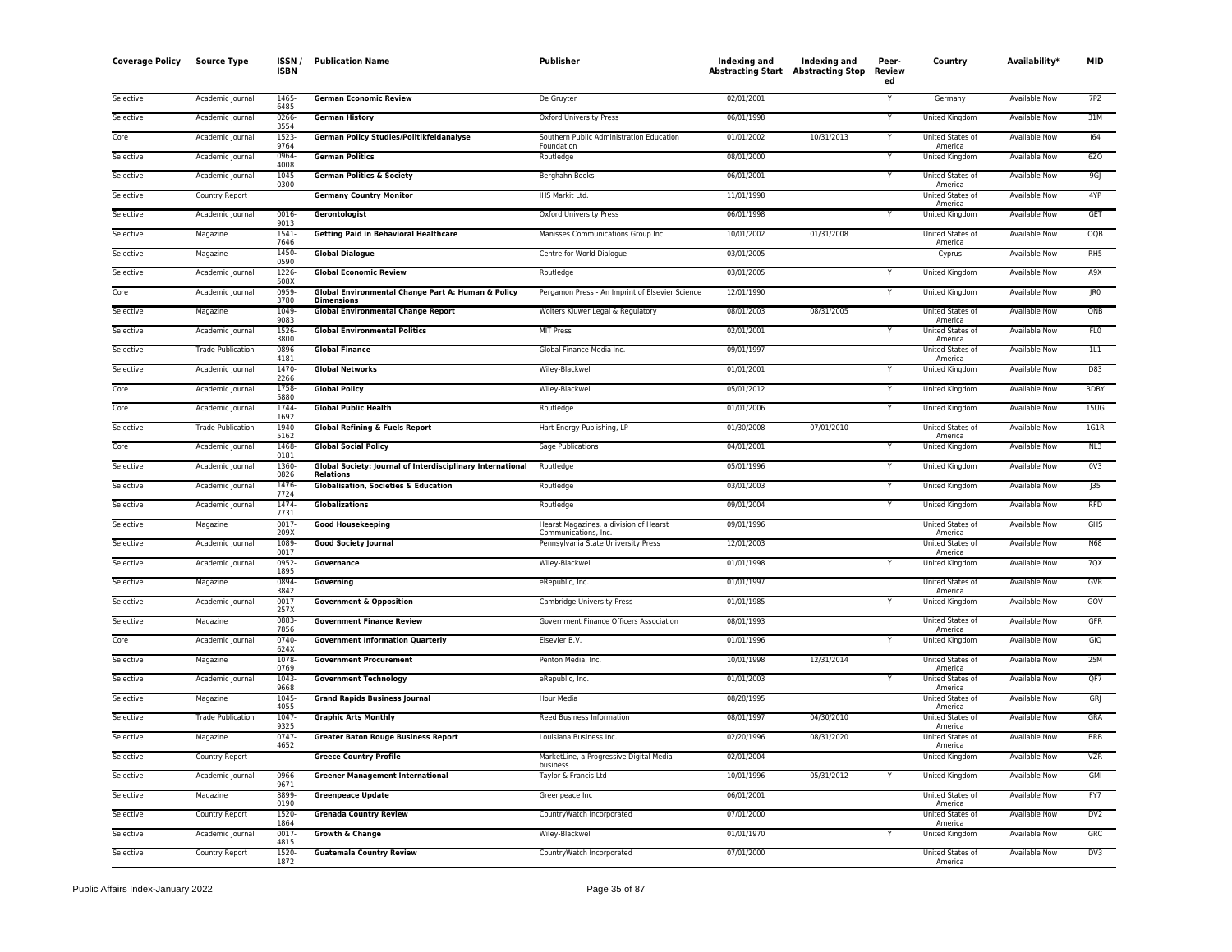| <b>Coverage Policy</b> | <b>Source Type</b>       | ISSN/<br><b>ISBN</b> | <b>Publication Name</b>                                                        | Publisher                                                      | Indexing and<br>Abstracting Start Abstracting Stop | Indexing and | Peer-<br><b>Review</b><br>ed | Country                            | Availability*        | <b>MID</b>       |
|------------------------|--------------------------|----------------------|--------------------------------------------------------------------------------|----------------------------------------------------------------|----------------------------------------------------|--------------|------------------------------|------------------------------------|----------------------|------------------|
| Selective              | Academic Journal         | 1465-<br>6485        | <b>German Economic Review</b>                                                  | De Gruyter                                                     | 02/01/2001                                         |              |                              | Germany                            | Available Now        | 7PZ              |
| Selective              | Academic Journal         | 0266<br>3554         | <b>German History</b>                                                          | Oxford University Press                                        | 06/01/1998                                         |              | Y                            | United Kingdom                     | Available Now        | 31M              |
| Core                   | Academic Journal         | 1523-<br>9764        | German Policy Studies/Politikfeldanalyse                                       | Southern Public Administration Education<br>Foundation         | 01/01/2002                                         | 10/31/2013   | Y                            | United States of<br>America        | <b>Available Now</b> | 164              |
| Selective              | Academic Journal         | 0964-<br>4008        | <b>German Politics</b>                                                         | Routledge                                                      | 08/01/2000                                         |              |                              | United Kingdom                     | <b>Available Now</b> | 6Z <sub>0</sub>  |
| Selective              | Academic Journal         | 1045<br>0300         | <b>German Politics &amp; Society</b>                                           | Berghahn Books                                                 | 06/01/2001                                         |              |                              | <b>United States of</b><br>America | Available Now        | 9GJ              |
| Selective              | Country Report           |                      | <b>Germany Country Monitor</b>                                                 | IHS Markit Ltd.                                                | 11/01/1998                                         |              |                              | United States of<br>America        | Available Now        | 4YP              |
| Selective              | Academic Journal         | 0016<br>9013         | Gerontologist                                                                  | Oxford University Press                                        | 06/01/1998                                         |              | Y                            | United Kingdom                     | Available Now        | GET              |
| Selective              | Magazine                 | 1541-<br>7646        | <b>Getting Paid in Behavioral Healthcare</b>                                   | Manisses Communications Group Inc.                             | 10/01/2002                                         | 01/31/2008   |                              | United States of<br>America        | <b>Available Now</b> | OQB              |
| Selective              | Magazine                 | 1450<br>0590         | <b>Global Dialogue</b>                                                         | Centre for World Dialogue                                      | 03/01/2005                                         |              |                              | Cyprus                             | <b>Available Now</b> | RH <sub>5</sub>  |
| Selective              | Academic Journal         | 1226-<br>508X        | <b>Global Economic Review</b>                                                  | Routledge                                                      | 03/01/2005                                         |              |                              | United Kingdom                     | <b>Available Now</b> | A9X              |
| Core                   | Academic Journal         | 0959<br>3780         | Global Environmental Change Part A: Human & Policy<br><b>Dimensions</b>        | Pergamon Press - An Imprint of Elsevier Science                | 12/01/1990                                         |              | Y                            | United Kingdom                     | <b>Available Now</b> | IR0              |
| Selective              | Magazine                 | 1049<br>9083         | <b>Global Environmental Change Report</b>                                      | Wolters Kluwer Legal & Regulatory                              | 08/01/2003                                         | 08/31/2005   |                              | United States of<br>America        | <b>Available Now</b> | QNB              |
| Selective              | Academic Journal         | 1526<br>3800         | <b>Global Environmental Politics</b>                                           | MIT Press                                                      | 02/01/2001                                         |              |                              | United States of<br>America        | Available Now        | FL <sub>0</sub>  |
| Selective              | <b>Trade Publication</b> | 0896<br>4181         | <b>Global Finance</b>                                                          | Global Finance Media Inc.                                      | 09/01/1997                                         |              |                              | United States of<br>America        | <b>Available Now</b> | 1L1              |
| Selective              | Academic Journal         | 1470<br>2266         | <b>Global Networks</b>                                                         | Wiley-Blackwell                                                | 01/01/2001                                         |              |                              | United Kingdom                     | Available Now        | D83              |
| Core                   | Academic Journal         | 1758<br>5880         | <b>Global Policy</b>                                                           | Wiley-Blackwell                                                | 05/01/2012                                         |              | Y                            | United Kingdom                     | Available Now        | <b>BDBY</b>      |
| Core                   | Academic Journal         | 1744<br>1692         | <b>Global Public Health</b>                                                    | Routledge                                                      | 01/01/2006                                         |              | Y                            | <b>United Kingdom</b>              | <b>Available Now</b> | 15 <sub>U</sub>  |
| Selective              | <b>Trade Publication</b> | 1940-<br>5162        | <b>Global Refining &amp; Fuels Report</b>                                      | Hart Energy Publishing, LP                                     | 01/30/2008                                         | 07/01/2010   |                              | United States of<br>America        | <b>Available Now</b> | 1G1R             |
| Core                   | Academic Journal         | 1468<br>0181         | <b>Global Social Policy</b>                                                    | <b>Sage Publications</b>                                       | 04/01/2001                                         |              |                              | <b>United Kingdom</b>              | <b>Available Now</b> | NL3              |
| Selective              | Academic Journal         | 1360-<br>0826        | Global Society: Journal of Interdisciplinary International<br><b>Relations</b> | Routledge                                                      | 05/01/1996                                         |              | Y                            | United Kingdom                     | Available Now        | 0 <sub>V</sub> 3 |
| Selective              | Academic Journal         | 1476<br>7724         | <b>Globalisation, Societies &amp; Education</b>                                | Routledge                                                      | 03/01/2003                                         |              | Y                            | United Kingdom                     | Available Now        | J35              |
| Selective              | Academic Journal         | 1474-<br>7731        | <b>Globalizations</b>                                                          | Routledge                                                      | 09/01/2004                                         |              |                              | <b>United Kingdom</b>              | <b>Available Now</b> | <b>RFD</b>       |
| Selective              | Magazine                 | 0017<br>209X         | <b>Good Housekeeping</b>                                                       | Hearst Magazines, a division of Hearst<br>Communications, Inc. | 09/01/1996                                         |              |                              | United States of<br>America        | <b>Available Now</b> | GHS              |
| Selective              | Academic Journal         | 1089-<br>0017        | <b>Good Society Journal</b>                                                    | Pennsylvania State University Press                            | 12/01/2003                                         |              |                              | United States of<br>America        | Available Now        | <b>N68</b>       |
| Selective              | Academic Journal         | 0952-<br>1895        | Governance                                                                     | Wiley-Blackwell                                                | 01/01/1998                                         |              | Y                            | United Kingdom                     | <b>Available Now</b> | 7QX              |
| Selective              | Magazine                 | 0894<br>3842         | Governing                                                                      | eRepublic, Inc.                                                | 01/01/1997                                         |              |                              | <b>United States of</b><br>America | Available Now        | <b>GVR</b>       |
| Selective              | Academic Journal         | $0017 -$<br>257X     | <b>Government &amp; Opposition</b>                                             | Cambridge University Press                                     | 01/01/1985                                         |              | Y                            | United Kingdom                     | Available Now        | GOV              |
| Selective              | Magazine                 | 0883<br>7856         | <b>Government Finance Review</b>                                               | Government Finance Officers Association                        | 08/01/1993                                         |              |                              | United States of<br>America        | Available Now        | GFR              |
| Core                   | Academic Journal         | 0740<br>624X         | <b>Government Information Quarterly</b>                                        | Elsevier B.V.                                                  | 01/01/1996                                         |              |                              | United Kingdom                     | Available Now        | GIQ              |
| Selective              | Magazine                 | 1078<br>0769         | <b>Government Procurement</b>                                                  | Penton Media, Inc.                                             | 10/01/1998                                         | 12/31/2014   |                              | United States of<br>America        | Available Now        | 25M              |
| Selective              | Academic Journal         | 1043-<br>9668        | <b>Government Technology</b>                                                   | eRepublic, Inc.                                                | 01/01/2003                                         |              | Y                            | United States of<br>America        | <b>Available Now</b> | QF7              |
| Selective              | Magazine                 | 1045-<br>4055        | <b>Grand Rapids Business Journal</b>                                           | <b>Hour Media</b>                                              | 08/28/1995                                         |              |                              | United States of<br>America        | <b>Available Now</b> | GRJ              |
| Selective              | <b>Trade Publication</b> | 1047<br>9325         | <b>Graphic Arts Monthly</b>                                                    | Reed Business Information                                      | 08/01/1997                                         | 04/30/2010   |                              | <b>United States of</b><br>America | <b>Available Now</b> | GRA              |
| Selective              | Magazine                 | 0747<br>4652         | <b>Greater Baton Rouge Business Report</b>                                     | Louisiana Business Inc.                                        | 02/20/1996                                         | 08/31/2020   |                              | United States of<br>America        | <b>Available Now</b> | <b>BRB</b>       |
| Selective              | Country Report           |                      | <b>Greece Country Profile</b>                                                  | MarketLine, a Progressive Digital Media<br>business            | 02/01/2004                                         |              |                              | United Kingdom                     | Available Now        | <b>VZR</b>       |
| Selective              | Academic Journal         | 0966-<br>9671        | <b>Greener Management International</b>                                        | Taylor & Francis Ltd                                           | 10/01/1996                                         | 05/31/2012   |                              | <b>United Kingdom</b>              | <b>Available Now</b> | GMI              |
| Selective              | Magazine                 | 8899<br>0190         | <b>Greenpeace Update</b>                                                       | Greenpeace Inc                                                 | 06/01/2001                                         |              |                              | United States of<br>America        | <b>Available Now</b> | FY7              |
| Selective              | Country Report           | 1520-<br>1864        | <b>Grenada Country Review</b>                                                  | CountryWatch Incorporated                                      | 07/01/2000                                         |              |                              | United States of<br>America        | Available Now        | DV2              |
| Selective              | Academic Journal         | 0017-<br>4815        | <b>Growth &amp; Change</b>                                                     | Wiley-Blackwell                                                | 01/01/1970                                         |              |                              | <b>United Kingdom</b>              | <b>Available Now</b> | <b>GRC</b>       |
| Selective              | Country Report           | 1520-<br>1872        | <b>Guatemala Country Review</b>                                                | CountryWatch Incorporated                                      | 07/01/2000                                         |              |                              | United States of<br>America        | <b>Available Now</b> | DV3              |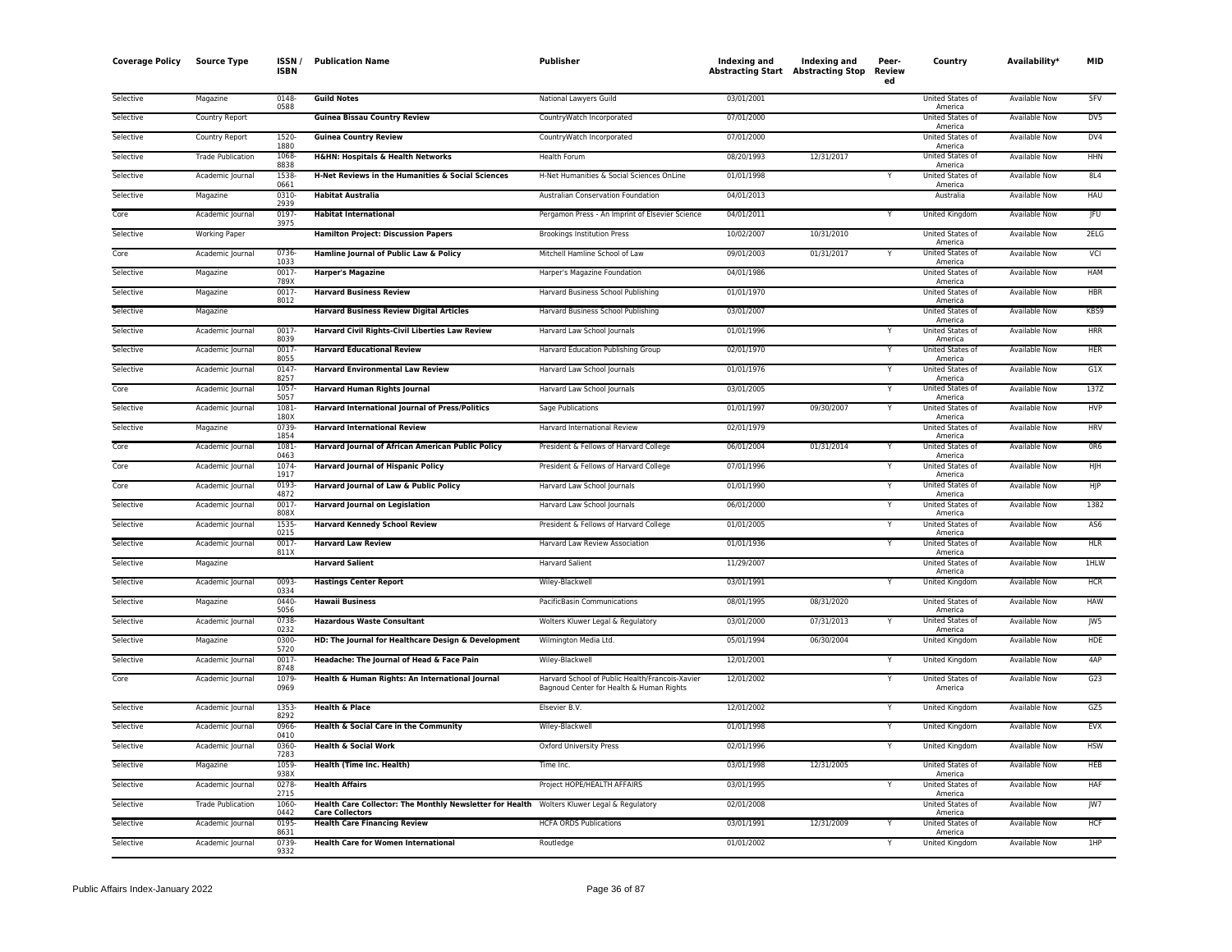| <b>Coverage Policy</b> | <b>Source Type</b>       | ISSN,<br><b>ISBN</b> | <b>Publication Name</b>                                                                                              | Publisher                                                                                   | Indexing and<br><b>Abstracting Start Abstracting Stop</b> | Indexing and | Peer-<br>Review<br>ed | Country                            | Availability*        | MID             |
|------------------------|--------------------------|----------------------|----------------------------------------------------------------------------------------------------------------------|---------------------------------------------------------------------------------------------|-----------------------------------------------------------|--------------|-----------------------|------------------------------------|----------------------|-----------------|
| Selective              | Magazine                 | 0148-<br>0588        | <b>Guild Notes</b>                                                                                                   | National Lawyers Guild                                                                      | 03/01/2001                                                |              |                       | United States of<br>America        | Available Now        | 5FV             |
| Selective              | Country Report           |                      | <b>Guinea Bissau Country Review</b>                                                                                  | CountryWatch Incorporated                                                                   | 07/01/2000                                                |              |                       | United States of<br>America        | <b>Available Now</b> | D <sub>V</sub>  |
| Selective              | Country Report           | 1520<br>1880         | <b>Guinea Country Review</b>                                                                                         | CountryWatch Incorporated                                                                   | 07/01/2000                                                |              |                       | United States of<br>America        | <b>Available Now</b> | DVA             |
| Selective              | <b>Trade Publication</b> | 1068<br>8838         | <b>H&amp;HN: Hospitals &amp; Health Networks</b>                                                                     | Health Forum                                                                                | 08/20/1993                                                | 12/31/2017   |                       | United States of<br>America        | Available Now        | <b>HHN</b>      |
| Selective              | Academic Journal         | 1538<br>0661         | H-Net Reviews in the Humanities & Social Sciences                                                                    | H-Net Humanities & Social Sciences OnLine                                                   | 01/01/1998                                                |              | Y                     | United States of<br>America        | Available Now        | 8L4             |
| Selective              | Magazine                 | 0310<br>2939         | <b>Habitat Australia</b>                                                                                             | Australian Conservation Foundation                                                          | 04/01/2013                                                |              |                       | Australia                          | <b>Available Now</b> | <b>HAU</b>      |
| Core                   | Academic Journal         | 0197<br>3975         | <b>Habitat International</b>                                                                                         | Pergamon Press - An Imprint of Elsevier Science                                             | 04/01/2011                                                |              | Y                     | United Kingdom                     | <b>Available Now</b> | <b>JFU</b>      |
| Selective              | <b>Working Paper</b>     |                      | <b>Hamilton Project: Discussion Papers</b>                                                                           | <b>Brookings Institution Press</b>                                                          | 10/02/2007                                                | 10/31/2010   |                       | United States of<br>America        | Available Now        | 2ELG            |
| Core                   | Academic Journal         | 0736<br>1033         | Hamline Journal of Public Law & Policy                                                                               | Mitchell Hamline School of Law                                                              | 09/01/2003                                                | 01/31/2017   |                       | United States of<br>America        | Available Now        | VCI             |
| Selective              | Magazine                 | 0017<br>789X         | <b>Harper's Magazine</b>                                                                                             | Harper's Magazine Foundation                                                                | 04/01/1986                                                |              |                       | United States of<br>America        | <b>Available Now</b> | HAM             |
| Selective              | Magazine                 | 0017<br>8012         | <b>Harvard Business Review</b>                                                                                       | Harvard Business School Publishing                                                          | 01/01/1970                                                |              |                       | United States of<br>America        | <b>Available Now</b> | <b>HBR</b>      |
| Selective              | Magazine                 |                      | <b>Harvard Business Review Digital Articles</b>                                                                      | Harvard Business School Publishing                                                          | 03/01/2007                                                |              |                       | United States of<br>America        | Available Now        | KBS9            |
| Selective              | Academic Journal         | 0017<br>8039         | <b>Harvard Civil Rights-Civil Liberties Law Review</b>                                                               | Harvard Law School Journals                                                                 | 01/01/1996                                                |              | Y                     | United States of<br>America        | <b>Available Now</b> | <b>HRR</b>      |
| Selective              | Academic Journal         | 0017<br>8055         | <b>Harvard Educational Review</b>                                                                                    | Harvard Education Publishing Group                                                          | 02/01/1970                                                |              |                       | United States of<br>America        | <b>Available Now</b> | <b>HER</b>      |
| Selective              | Academic Journal         | 0147<br>8257         | <b>Harvard Environmental Law Review</b>                                                                              | Harvard Law School Journals                                                                 | 01/01/1976                                                |              | Υ                     | <b>United States of</b><br>America | Available Now        | G1X             |
| Core                   | Academic Journal         | 1057<br>5057         | <b>Harvard Human Rights Journal</b>                                                                                  | Harvard Law School Journals                                                                 | 03/01/2005                                                |              | Y                     | United States of<br>America        | Available Now        | 137Z            |
| Selective              | Academic Journal         | 1081<br>180X         | <b>Harvard International Journal of Press/Politics</b>                                                               | Sage Publications                                                                           | 01/01/1997                                                | 09/30/2007   |                       | United States of<br>America        | Available Now        | <b>HVP</b>      |
| Selective              | Magazine                 | 0739<br>1854         | <b>Harvard International Review</b>                                                                                  | Harvard International Review                                                                | 02/01/1979                                                |              |                       | United States of<br>America        | <b>Available Now</b> | <b>HRV</b>      |
| Core                   | Academic Journal         | 1081<br>0463         | Harvard Journal of African American Public Policy                                                                    | President & Fellows of Harvard College                                                      | 06/01/2004                                                | 01/31/2014   | Y                     | United States of<br>America        | Available Now        | OR <sub>6</sub> |
| Core                   | Academic Journal         | 1074<br>1917         | <b>Harvard Journal of Hispanic Policy</b>                                                                            | President & Fellows of Harvard College                                                      | 07/01/1996                                                |              | Y                     | United States of<br>America        | <b>Available Now</b> | HJH             |
| Core                   | Academic Journal         | 0193<br>4872         | Harvard Journal of Law & Public Policy                                                                               | Harvard Law School Journals                                                                 | 01/01/1990                                                |              | Y                     | United States of<br>America        | Available Now        | H               |
| Selective              | Academic Journal         | $0017 -$<br>808X     | <b>Harvard Journal on Legislation</b>                                                                                | Harvard Law School Journals                                                                 | 06/01/2000                                                |              | Y                     | <b>United States of</b><br>America | <b>Available Now</b> | 1382            |
| Selective              | Academic Journal         | 1535<br>0215         | <b>Harvard Kennedy School Review</b>                                                                                 | President & Fellows of Harvard College                                                      | 01/01/2005                                                |              |                       | United States of<br>America        | Available Now        | AS <sub>6</sub> |
| Selective              | Academic Journal         | 0017<br>811X         | <b>Harvard Law Review</b>                                                                                            | Harvard Law Review Association                                                              | 01/01/1936                                                |              | Y                     | United States of<br>America        | Available Now        | <b>HLR</b>      |
| Selective              | Magazine                 |                      | <b>Harvard Salient</b>                                                                                               | <b>Harvard Salient</b>                                                                      | 11/29/2007                                                |              |                       | United States of<br>America        | Available Now        | 1HLW            |
| Selective              | Academic Journal         | 0093<br>0334         | <b>Hastings Center Report</b>                                                                                        | Wiley-Blackwell                                                                             | 03/01/1991                                                |              | Y                     | <b>United Kingdom</b>              | <b>Available Now</b> | HCR             |
| Selective              | Magazine                 | 0440<br>5056         | <b>Hawaii Business</b>                                                                                               | PacificBasin Communications                                                                 | 08/01/1995                                                | 08/31/2020   |                       | United States of<br>America        | Available Now        | <b>HAW</b>      |
| Selective              | Academic Journal         | 0738<br>0232         | <b>Hazardous Waste Consultant</b>                                                                                    | Wolters Kluwer Legal & Regulatory                                                           | 03/01/2000                                                | 07/31/2013   |                       | United States of<br>America        | <b>Available Now</b> | W5              |
| Selective              | Magazine                 | 0300<br>5720         | HD: The Journal for Healthcare Design & Development                                                                  | Wilmington Media Ltd.                                                                       | 05/01/1994                                                | 06/30/2004   |                       | United Kingdom                     | Available Now        | HDE             |
| Selective              | Academic Journal         | $0017 -$<br>8748     | Headache: The Journal of Head & Face Pain                                                                            | Wiley-Blackwell                                                                             | 12/01/2001                                                |              | Y                     | United Kingdom                     | Available Now        | 4AP             |
| Core                   | Academic Journal         | 1079<br>0969         | Health & Human Rights: An International Journal                                                                      | Harvard School of Public Health/Francois-Xavier<br>Bagnoud Center for Health & Human Rights | 12/01/2002                                                |              | Y                     | United States of<br>America        | <b>Available Now</b> | G23             |
| Selective              | Academic Journal         | 1353-<br>8292        | <b>Health &amp; Place</b>                                                                                            | Elsevier B.V.                                                                               | 12/01/2002                                                |              | Y                     | United Kingdom                     | <b>Available Now</b> | GZ5             |
| Selective              | Academic Journal         | 0966<br>0410         | Health & Social Care in the Community                                                                                | Wiley-Blackwell                                                                             | 01/01/1998                                                |              | Y                     | United Kingdom                     | Available Now        | <b>EVX</b>      |
| Selective              | Academic Journal         | 0360<br>7283         | <b>Health &amp; Social Work</b>                                                                                      | <b>Oxford University Press</b>                                                              | 02/01/1996                                                |              | Y                     | <b>United Kingdom</b>              | <b>Available Now</b> | <b>HSW</b>      |
| Selective              | Magazine                 | 1059<br>938X         | Health (Time Inc. Health)                                                                                            | Time Inc.                                                                                   | 03/01/1998                                                | 12/31/2005   |                       | United States of<br>America        | <b>Available Now</b> | <b>HEB</b>      |
| Selective              | Academic Journal         | 0278<br>2715         | <b>Health Affairs</b>                                                                                                | Project HOPE/HEALTH AFFAIRS                                                                 | 03/01/1995                                                |              |                       | United States of<br>America        | Available Now        | <b>HAF</b>      |
| Selective              | <b>Trade Publication</b> | 1060<br>0442         | Health Care Collector: The Monthly Newsletter for Health Wolters Kluwer Legal & Regulatory<br><b>Care Collectors</b> |                                                                                             | 02/01/2008                                                |              |                       | United States of<br>America        | Available Now        | JW7             |
| Selective              | Academic Journal         | 0195<br>8631         | <b>Health Care Financing Review</b>                                                                                  | <b>HCFA ORDS Publications</b>                                                               | 03/01/1991                                                | 12/31/2009   |                       | United States of<br>America        | Available Now        | <b>HCF</b>      |
| Selective              | Academic Journal         | 0739<br>9332         | <b>Health Care for Women International</b>                                                                           | Routledge                                                                                   | 01/01/2002                                                |              | Y                     | United Kingdom                     | <b>Available Now</b> | 1HP             |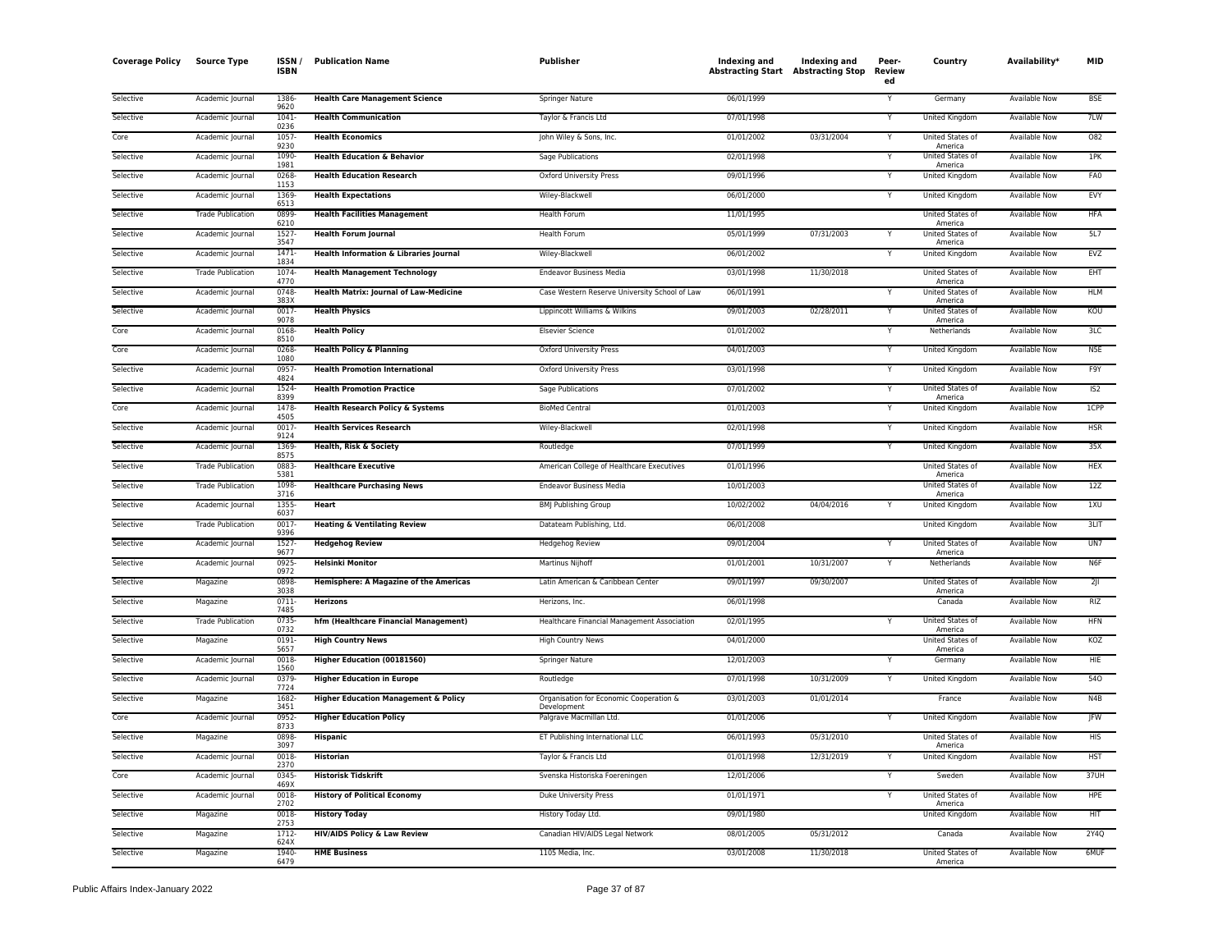| <b>Coverage Policy</b> | <b>Source Type</b>       | <b>ISSN</b><br><b>ISBN</b> | <b>Publication Name</b>                         | Publisher                                              | Indexing and<br><b>Abstracting Start Abstracting Stop</b> | Indexing and | Peer-<br><b>Review</b><br>ed | Country                     | Availability*        | <b>MID</b> |
|------------------------|--------------------------|----------------------------|-------------------------------------------------|--------------------------------------------------------|-----------------------------------------------------------|--------------|------------------------------|-----------------------------|----------------------|------------|
| Selective              | Academic Journal         | 1386<br>9620               | <b>Health Care Management Science</b>           | Springer Nature                                        | 06/01/1999                                                |              |                              | Germany                     | <b>Available Now</b> | <b>BSF</b> |
| Selective              | Academic Journal         | 1041<br>0236               | <b>Health Communication</b>                     | Taylor & Francis Ltd                                   | 07/01/1998                                                |              | Y                            | <b>United Kingdom</b>       | <b>Available Now</b> | 7LW        |
| Core                   | Academic Journal         | 1057<br>9230               | <b>Health Economics</b>                         | John Wiley & Sons, Inc.                                | 01/01/2002                                                | 03/31/2004   | Y                            | United States of<br>America | Available Now        | 082        |
| Selective              | Academic Journal         | 1090<br>1981               | <b>Health Education &amp; Behavior</b>          | Sage Publications                                      | 02/01/1998                                                |              | Ϋ                            | United States of<br>America | <b>Available Now</b> | 1PK        |
| Selective              | Academic Journal         | 0268<br>1153               | <b>Health Education Research</b>                | Oxford University Press                                | 09/01/1996                                                |              | Y                            | United Kingdom              | Available Now        | FA0        |
| Selective              | Academic Journal         | 1369<br>6513               | <b>Health Expectations</b>                      | Wiley-Blackwell                                        | 06/01/2000                                                |              | Y                            | <b>United Kingdom</b>       | <b>Available Now</b> | EVY        |
| Selective              | <b>Trade Publication</b> | 0899<br>6210               | <b>Health Facilities Management</b>             | Health Forum                                           | 11/01/1995                                                |              |                              | United States of<br>America | Available Now        | HFA        |
| Selective              | Academic Journal         | 1527<br>3547               | <b>Health Forum Journal</b>                     | Health Forum                                           | 05/01/1999                                                | 07/31/2003   |                              | United States of<br>America | <b>Available Now</b> | 5L7        |
| Selective              | Academic Journal         | 1471<br>1834               | Health Information & Libraries Journal          | Wiley-Blackwell                                        | 06/01/2002                                                |              | Y                            | United Kingdom              | <b>Available Now</b> | EVZ        |
| Selective              | <b>Trade Publication</b> | 1074<br>4770               | <b>Health Management Technology</b>             | <b>Endeavor Business Media</b>                         | 03/01/1998                                                | 11/30/2018   |                              | United States of<br>America | Available Now        | EHT        |
| Selective              | Academic Journal         | 0748<br>383X               | <b>Health Matrix: Journal of Law-Medicine</b>   | Case Western Reserve University School of Law          | 06/01/1991                                                |              | $\overline{\mathsf{Y}}$      | United States of<br>America | <b>Available Now</b> | <b>HLM</b> |
| Selective              | Academic Journal         | 0017-<br>9078              | <b>Health Physics</b>                           | Lippincott Williams & Wilkins                          | 09/01/2003                                                | 02/28/2011   | Y                            | United States of<br>America | Available Now        | KOU        |
| Core                   | Academic Journal         | 0168<br>8510               | <b>Health Policy</b>                            | <b>Elsevier Science</b>                                | 01/01/2002                                                |              | Y                            | Netherlands                 | Available Now        | 3LC        |
| Core                   | Academic Journal         | 0268<br>1080               | <b>Health Policy &amp; Planning</b>             | <b>Oxford University Press</b>                         | 04/01/2003                                                |              | Y                            | United Kingdom              | Available Now        | N5E        |
| Selective              | Academic Journal         | 0957<br>4824               | <b>Health Promotion International</b>           | Oxford University Press                                | 03/01/1998                                                |              | Y                            | United Kingdom              | <b>Available Now</b> | F9Y        |
| Selective              | Academic Journal         | 1524<br>8399               | <b>Health Promotion Practice</b>                | <b>Sage Publications</b>                               | 07/01/2002                                                |              | $\overline{\mathsf{Y}}$      | United States of<br>America | <b>Available Now</b> | IS2        |
| Core                   | Academic Journal         | 1478<br>4505               | Health Research Policy & Systems                | <b>BioMed Central</b>                                  | 01/01/2003                                                |              | Y                            | United Kingdom              | <b>Available Now</b> | 1CPP       |
| Selective              | Academic Journal         | 0017<br>9124               | <b>Health Services Research</b>                 | Wiley-Blackwell                                        | 02/01/1998                                                |              | Y                            | United Kingdom              | <b>Available Now</b> | <b>HSR</b> |
| Selective              | Academic Journal         | 1369<br>8575               | Health, Risk & Society                          | Routledge                                              | 07/01/1999                                                |              | Y                            | United Kingdom              | Available Now        | 35X        |
| Selective              | <b>Trade Publication</b> | 0883<br>5381               | <b>Healthcare Executive</b>                     | American College of Healthcare Executives              | 01/01/1996                                                |              |                              | United States of<br>America | <b>Available Now</b> | <b>HEX</b> |
| Selective              | <b>Trade Publication</b> | 1098<br>3716               | <b>Healthcare Purchasing News</b>               | <b>Endeavor Business Media</b>                         | 10/01/2003                                                |              |                              | United States of<br>America | <b>Available Now</b> | 12Z        |
| Selective              | Academic Journal         | 1355<br>6037               | <b>Heart</b>                                    | <b>BMJ Publishing Group</b>                            | 10/02/2002                                                | 04/04/2016   | Y                            | <b>United Kingdom</b>       | <b>Available Now</b> | 1XU        |
| Selective              | <b>Trade Publication</b> | 0017<br>9396               | <b>Heating &amp; Ventilating Review</b>         | Datateam Publishing, Ltd.                              | 06/01/2008                                                |              |                              | <b>United Kingdom</b>       | <b>Available Now</b> | 3LT        |
| Selective              | Academic Journal         | 1527<br>9677               | <b>Hedgehog Review</b>                          | <b>Hedgehog Review</b>                                 | 09/01/2004                                                |              | Y                            | United States of<br>America | <b>Available Now</b> | UN7        |
| Selective              | Academic Journal         | 0925<br>0972               | <b>Helsinki Monitor</b>                         | Martinus Nijhoff                                       | 01/01/2001                                                | 10/31/2007   | Y                            | Netherlands                 | Available Now        | N6F        |
| Selective              | Magazine                 | 0898<br>3038               | Hemisphere: A Magazine of the Americas          | Latin American & Caribbean Center                      | 09/01/1997                                                | 09/30/2007   |                              | United States of<br>America | <b>Available Now</b> | $2$ JI     |
| Selective              | Magazine                 | $0711 -$<br>7485           | <b>Herizons</b>                                 | Herizons, Inc.                                         | 06/01/1998                                                |              |                              | Canada                      | <b>Available Now</b> | RIZ        |
| Selective              | <b>Trade Publication</b> | 0735<br>0732               | hfm (Healthcare Financial Management)           | Healthcare Financial Management Association            | 02/01/1995                                                |              | Y                            | United States of<br>America | Available Now        | <b>HFN</b> |
| Selective              | Magazine                 | $0191 -$<br>5657           | <b>High Country News</b>                        | <b>High Country News</b>                               | 04/01/2000                                                |              |                              | United States of<br>America | <b>Available Now</b> | KOZ        |
| Selective              | Academic Journal         | 0018<br>1560               | Higher Education (00181560)                     | Springer Nature                                        | 12/01/2003                                                |              | Y                            | Germany                     | Available Now        | HIE        |
| Selective              | Academic Journal         | 0379<br>7724               | <b>Higher Education in Europe</b>               | Routledge                                              | 07/01/1998                                                | 10/31/2009   | Υ                            | <b>United Kingdom</b>       | Available Now        | 540        |
| Selective              | Magazine                 | 1682<br>3451               | <b>Higher Education Management &amp; Policy</b> | Organisation for Economic Cooperation &<br>Development | 03/01/2003                                                | 01/01/2014   |                              | France                      | Available Now        | N4B        |
| Core                   | Academic Journal         | 0952<br>8733               | <b>Higher Education Policy</b>                  | Palgrave Macmillan Ltd.                                | 01/01/2006                                                |              | Ÿ                            | United Kingdom              | Available Now        | <b>IFW</b> |
| Selective              | Magazine                 | 0898<br>3097               | <b>Hispanic</b>                                 | ET Publishing International LLC                        | 06/01/1993                                                | 05/31/2010   |                              | United States of<br>America | Available Now        | <b>HIS</b> |
| Selective              | Academic Journal         | 0018<br>2370               | <b>Historian</b>                                | Taylor & Francis Ltd                                   | 01/01/1998                                                | 12/31/2019   |                              | United Kingdom              | <b>Available Now</b> | <b>HST</b> |
| Core                   | Academic Journal         | 0345<br>469X               | <b>Historisk Tidskrift</b>                      | Svenska Historiska Foereningen                         | 12/01/2006                                                |              | Y                            | Sweden                      | <b>Available Now</b> | 37UH       |
| Selective              | Academic Journal         | 0018<br>2702               | <b>History of Political Economy</b>             | Duke University Press                                  | 01/01/1971                                                |              | Y                            | United States of<br>America | Available Now        | <b>HPE</b> |
| Selective              | Magazine                 | 0018<br>2753               | <b>History Today</b>                            | History Today Ltd.                                     | 09/01/1980                                                |              |                              | United Kingdom              | Available Now        | <b>HIT</b> |
| Selective              | Magazine                 | 1712<br>624X               | <b>HIV/AIDS Policy &amp; Law Review</b>         | Canadian HIV/AIDS Legal Network                        | 08/01/2005                                                | 05/31/2012   |                              | Canada                      | Available Now        | 2Y4Q       |
| Selective              | Magazine                 | 1940-<br>6479              | <b>HME Business</b>                             | 1105 Media, Inc.                                       | 03/01/2008                                                | 11/30/2018   |                              | United States of<br>America | <b>Available Now</b> | 6MUF       |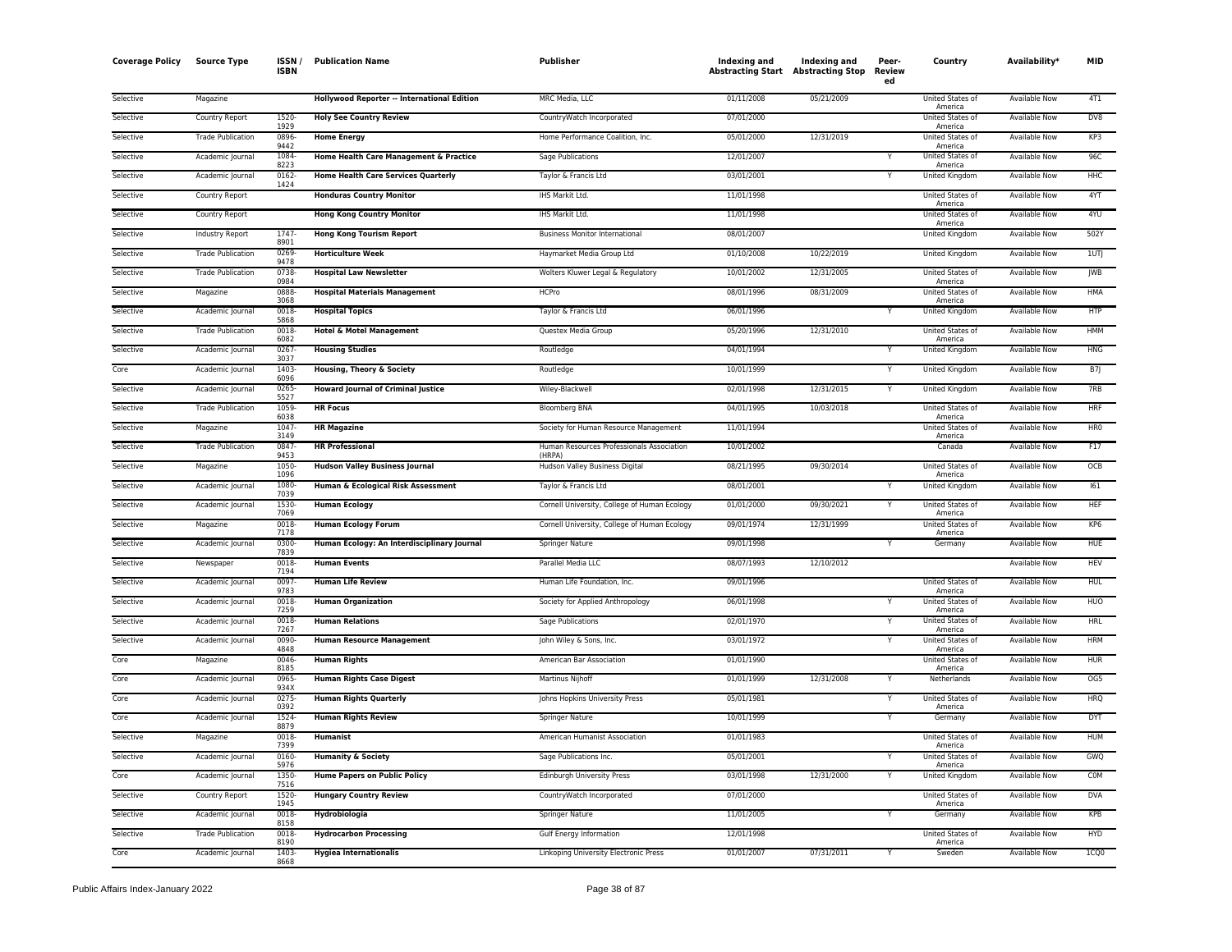| <b>Coverage Policy</b> | <b>Source Type</b>       | ISSN .<br><b>ISBN</b> | <b>Publication Name</b>                     | Publisher                                           | Indexing and<br><b>Abstracting Start Abstracting Stop</b> | Indexing and | Peer-<br>Review<br>ed | Country                            | Availability*        | MID             |
|------------------------|--------------------------|-----------------------|---------------------------------------------|-----------------------------------------------------|-----------------------------------------------------------|--------------|-----------------------|------------------------------------|----------------------|-----------------|
| Selective              | Magazine                 |                       | Hollywood Reporter -- International Edition | MRC Media, LLC                                      | 01/11/2008                                                | 05/21/2009   |                       | United States of<br>America        | <b>Available Now</b> | 4T1             |
| Selective              | Country Report           | 1520-<br>1929         | <b>Holy See Country Review</b>              | CountryWatch Incorporated                           | 07/01/2000                                                |              |                       | <b>United States of</b><br>America | <b>Available Now</b> | DV8             |
| Selective              | <b>Trade Publication</b> | 0896-<br>9442         | <b>Home Energy</b>                          | Home Performance Coalition, Inc.                    | 05/01/2000                                                | 12/31/2019   |                       | United States of<br>America        | Available Now        | KP3             |
| Selective              | Academic Journal         | 1084<br>8223          | Home Health Care Management & Practice      | Sage Publications                                   | 12/01/2007                                                |              |                       | United States of<br>America        | Available Now        | 96C             |
| Selective              | Academic Journal         | 0162-<br>1424         | <b>Home Health Care Services Quarterly</b>  | Taylor & Francis Ltd                                | 03/01/2001                                                |              |                       | United Kingdom                     | Available Now        | HHC             |
| Selective              | Country Report           |                       | <b>Honduras Country Monitor</b>             | IHS Markit Ltd.                                     | 11/01/1998                                                |              |                       | United States of<br>America        | Available Now        | 4YT             |
| Selective              | Country Report           |                       | <b>Hong Kong Country Monitor</b>            | IHS Markit Ltd.                                     | 11/01/1998                                                |              |                       | United States of                   | <b>Available Now</b> | 4YU             |
| Selective              | <b>Industry Report</b>   | 1747<br>8901          | <b>Hong Kong Tourism Report</b>             | <b>Business Monitor International</b>               | 08/01/2007                                                |              |                       | America<br><b>United Kingdom</b>   | <b>Available Now</b> | 502Y            |
| Selective              | <b>Trade Publication</b> | 0269<br>9478          | <b>Horticulture Week</b>                    | Haymarket Media Group Ltd                           | 01/10/2008                                                | 10/22/2019   |                       | United Kingdom                     | Available Now        | 1UTJ            |
| Selective              | <b>Trade Publication</b> | 0738<br>0984          | <b>Hospital Law Newsletter</b>              | Wolters Kluwer Legal & Regulatory                   | 10/01/2002                                                | 12/31/2005   |                       | United States of<br>America        | <b>Available Now</b> | <b>IWB</b>      |
| Selective              | Magazine                 | 0888-<br>3068         | <b>Hospital Materials Management</b>        | <b>HCPro</b>                                        | 08/01/1996                                                | 08/31/2009   |                       | United States of<br>America        | <b>Available Now</b> | <b>HMA</b>      |
| Selective              | Academic Journal         | 0018<br>5868          | <b>Hospital Topics</b>                      | Taylor & Francis Ltd                                | 06/01/1996                                                |              |                       | <b>United Kingdom</b>              | <b>Available Now</b> | <b>HTP</b>      |
| Selective              | <b>Trade Publication</b> | 0018<br>6082          | Hotel & Motel Management                    | Questex Media Group                                 | 05/20/1996                                                | 12/31/2010   |                       | United States of<br>America        | <b>Available Now</b> | <b>HMM</b>      |
| Selective              | Academic Journal         | 0267<br>3037          | <b>Housing Studies</b>                      | Routledge                                           | 04/01/1994                                                |              |                       | United Kingdom                     | <b>Available Now</b> | <b>HNG</b>      |
| Core                   | Academic Journal         | 1403<br>6096          | Housing, Theory & Society                   | Routledge                                           | 10/01/1999                                                |              | Υ                     | United Kingdom                     | Available Now        | <b>B7J</b>      |
| Selective              | Academic Journal         | 0265-<br>552          | <b>Howard Journal of Criminal Justice</b>   | Wiley-Blackwell                                     | 02/01/1998                                                | 12/31/2015   | Y                     | <b>United Kingdom</b>              | <b>Available Now</b> | 7RB             |
| Selective              | <b>Trade Publication</b> | 1059-<br>6038         | <b>HR Focus</b>                             | <b>Bloomberg BNA</b>                                | 04/01/1995                                                | 10/03/2018   |                       | United States of<br>America        | Available Now        | <b>HRF</b>      |
| Selective              | Magazine                 | 1047-<br>3149         | <b>HR Magazine</b>                          | Society for Human Resource Management               | 11/01/1994                                                |              |                       | United States of<br>America        | <b>Available Now</b> | HR <sub>0</sub> |
| Selective              | <b>Trade Publication</b> | 0847<br>9453          | <b>HR Professional</b>                      | Human Resources Professionals Association<br>(HRPA) | 10/01/2002                                                |              |                       | Canada                             | Available Now        | F17             |
| Selective              | Magazine                 | 1050-<br>1096         | <b>Hudson Valley Business Journal</b>       | Hudson Valley Business Digital                      | 08/21/1995                                                | 09/30/2014   |                       | United States of<br>America        | Available Now        | OCB             |
| Selective              | Academic Journal         | 1080-<br>7039         | Human & Ecological Risk Assessment          | Taylor & Francis Ltd                                | 08/01/2001                                                |              | Y                     | United Kingdom                     | Available Now        | 161             |
| Selective              | Academic Journal         | 1530-<br>7069         | <b>Human Ecology</b>                        | Cornell University, College of Human Ecology        | 01/01/2000                                                | 09/30/2021   |                       | United States of<br>America        | <b>Available Now</b> | <b>HEF</b>      |
| Selective              | Magazine                 | 0018<br>7178          | <b>Human Ecology Forum</b>                  | Cornell University, College of Human Ecology        | 09/01/1974                                                | 12/31/1999   |                       | United States of<br>America        | Available Now        | KP6             |
| Selective              | Academic Journal         | 0300-<br>7839         | Human Ecology: An Interdisciplinary Journal | Springer Nature                                     | 09/01/1998                                                |              |                       | Germany                            | <b>Available Now</b> | <b>HUE</b>      |
| Selective              | Newspaper                | 0018<br>7194          | <b>Human Events</b>                         | Parallel Media LLC                                  | 08/07/1993                                                | 12/10/2012   |                       |                                    | Available Now        | <b>HEV</b>      |
| Selective              | Academic Journal         | 0097<br>9783          | <b>Human Life Review</b>                    | Human Life Foundation, Inc.                         | 09/01/1996                                                |              |                       | United States of<br>America        | Available Now        | HUL             |
| Selective              | Academic Journal         | 0018<br>7259          | <b>Human Organization</b>                   | Society for Applied Anthropology                    | 06/01/1998                                                |              |                       | United States of<br>America        | <b>Available Now</b> | <b>HUO</b>      |
| Selective              | Academic Journal         | 0018<br>7267          | <b>Human Relations</b>                      | <b>Sage Publications</b>                            | 02/01/1970                                                |              |                       | United States of<br>America        | <b>Available Now</b> | <b>HRL</b>      |
| Selective              | Academic Journal         | 0090-<br>4848         | <b>Human Resource Management</b>            | John Wiley & Sons, Inc.                             | 03/01/1972                                                |              |                       | United States of<br>America        | <b>Available Now</b> | <b>HRM</b>      |
| Core                   | Magazine                 | 0046<br>8185          | <b>Human Rights</b>                         | American Bar Association                            | 01/01/1990                                                |              |                       | United States of<br>America        | Available Now        | <b>HUR</b>      |
| Core                   | Academic Journal         | 0965<br>934X          | <b>Human Rights Case Digest</b>             | Martinus Nijhoff                                    | 01/01/1999                                                | 12/31/2008   | Y                     | Netherlands                        | Available Now        | OG5             |
| Core                   | Academic Journal         | 0275<br>0392          | <b>Human Rights Quarterly</b>               | Johns Hopkins University Press                      | 05/01/1981                                                |              | Υ                     | United States of<br>America        | Available Now        | <b>HRQ</b>      |
| Core                   | Academic Journal         | 1524<br>8879          | <b>Human Rights Review</b>                  | <b>Springer Nature</b>                              | 10/01/1999                                                |              | Y                     | Germany                            | <b>Available Now</b> | <b>DYT</b>      |
| Selective              | Magazine                 | 0018<br>7399          | Humanist                                    | American Humanist Association                       | 01/01/1983                                                |              |                       | United States of<br>America        | Available Now        | <b>HUM</b>      |
| Selective              | Academic Journal         | 0160-<br>5976         | <b>Humanity &amp; Society</b>               | Sage Publications Inc.                              | 05/01/2001                                                |              |                       | United States of<br>America        | <b>Available Now</b> | GWQ             |
| Core                   | Academic Journal         | 1350-<br>7516         | <b>Hume Papers on Public Policy</b>         | Edinburgh University Press                          | 03/01/1998                                                | 12/31/2000   | Y                     | United Kingdom                     | Available Now        | <b>COM</b>      |
| Selective              | Country Report           | 1520-<br>1945         | <b>Hungary Country Review</b>               | CountryWatch Incorporated                           | 07/01/2000                                                |              |                       | United States of<br>America        | <b>Available Now</b> | <b>DVA</b>      |
| Selective              | Academic Journal         | 0018-<br>8158         | Hydrobiologia                               | Springer Nature                                     | 11/01/2005                                                |              |                       | Germany                            | Available Now        | KPB             |
| Selective              | <b>Trade Publication</b> | 0018<br>8190          | <b>Hydrocarbon Processing</b>               | Gulf Energy Information                             | 12/01/1998                                                |              |                       | United States of<br>America        | Available Now        | <b>HYD</b>      |
| Core                   | Academic Journal         | 1403<br>8668          | <b>Hygiea Internationalis</b>               | Linkoping University Electronic Press               | 01/01/2007                                                | 07/31/2011   | Y                     | Sweden                             | <b>Available Now</b> | 1CQ0            |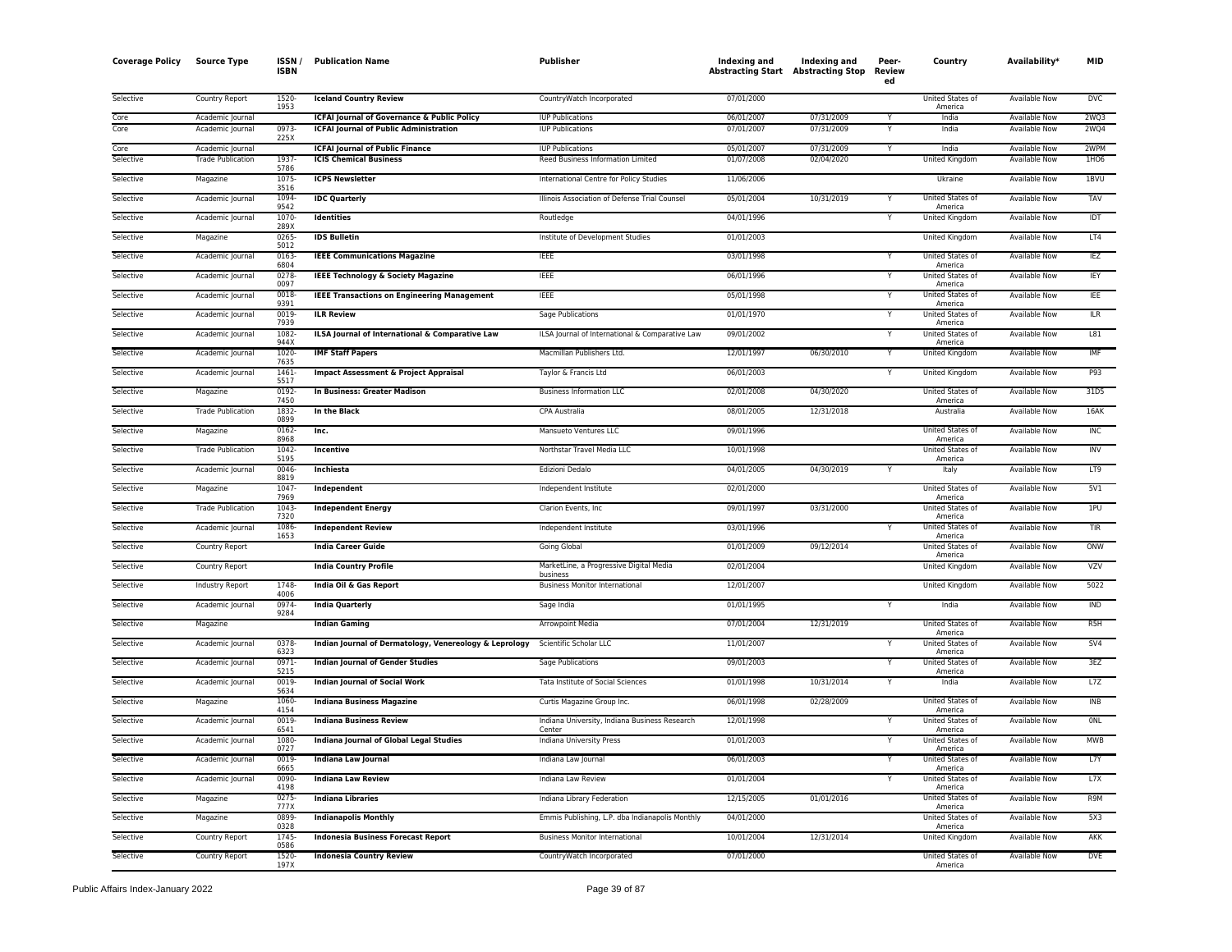| <b>Coverage Policy</b> | <b>Source Type</b>       | ISSN<br><b>ISBN</b> | <b>Publication Name</b>                                | Publisher                                               | Indexing and<br><b>Abstracting Start Abstracting Stop</b> | Indexing and | Peer-<br>Review<br>ed | Country                            | Availability <sup>*</sup> | MID              |
|------------------------|--------------------------|---------------------|--------------------------------------------------------|---------------------------------------------------------|-----------------------------------------------------------|--------------|-----------------------|------------------------------------|---------------------------|------------------|
| Selective              | Country Report           | 1520<br>1953        | <b>Iceland Country Review</b>                          | CountryWatch Incorporated                               | 07/01/2000                                                |              |                       | United States of<br>America        | Available Now             | DVC              |
| Core                   | Academic Journal         |                     | <b>ICFAI Journal of Governance &amp; Public Policy</b> | <b>IUP Publications</b>                                 | 06/01/2007                                                | 07/31/2009   |                       | India                              | Available Now             | 2WQ3             |
| Core                   | Academic Journal         | 0973-<br>225X       | <b>ICFAI Journal of Public Administration</b>          | <b>IUP Publications</b>                                 | 07/01/2007                                                | 07/31/2009   |                       | India                              | Available Now             | 2WQ4             |
| Core                   | Academic Journal         |                     | <b>ICFAI Journal of Public Finance</b>                 | <b>IUP Publications</b>                                 | 05/01/2007                                                | 07/31/2009   |                       | India                              | Available Now             | 2WPM             |
| Selective              | <b>Trade Publication</b> | 1937<br>5786        | <b>ICIS Chemical Business</b>                          | Reed Business Information Limited                       | 01/07/2008                                                | 02/04/2020   |                       | United Kingdom                     | Available Now             | 1H <sub>06</sub> |
| Selective              | Magazine                 | 1075<br>3516        | <b>ICPS Newsletter</b>                                 | International Centre for Policy Studies                 | 11/06/2006                                                |              |                       | Ukraine                            | Available Now             | 1BVU             |
| Selective              | Academic Journal         | 1094<br>9542        | <b>IDC Quarterly</b>                                   | Illinois Association of Defense Trial Counsel           | 05/01/2004                                                | 10/31/2019   |                       | United States of<br>America        | <b>Available Now</b>      | <b>TAV</b>       |
| Selective              | Academic Journal         | 1070<br>289X        | <b>Identities</b>                                      | Routledge                                               | 04/01/1996                                                |              |                       | <b>United Kingdom</b>              | <b>Available Now</b>      | IDT              |
| Selective              | Magazine                 | 0265<br>5012        | <b>IDS Bulletin</b>                                    | Institute of Development Studies                        | 01/01/2003                                                |              |                       | United Kingdom                     | Available Now             | LT4              |
| Selective              | Academic Journal         | 0163<br>6804        | <b>IEEE Communications Magazine</b>                    | <b>IEEE</b>                                             | 03/01/1998                                                |              | Y                     | United States of<br>America        | Available Now             | IEZ              |
| Selective              | Academic Journal         | 0278<br>0097        | <b>IEEE Technology &amp; Society Magazine</b>          | <b>IEEE</b>                                             | 06/01/1996                                                |              |                       | United States of<br>America        | Available Now             | IEY              |
| Selective              | Academic Journal         | 0018<br>9391        | <b>IEEE Transactions on Engineering Management</b>     | <b>IEEE</b>                                             | 05/01/1998                                                |              |                       | United States of<br>America        | Available Now             | IEE              |
| Selective              | Academic Journal         | 0019<br>7939        | <b>ILR Review</b>                                      | Sage Publications                                       | 01/01/1970                                                |              |                       | United States of<br>America        | Available Now             | <b>ILR</b>       |
| Selective              | Academic Journal         | 1082<br>944X        | ILSA Journal of International & Comparative Law        | ILSA Journal of International & Comparative Law         | 09/01/2002                                                |              |                       | United States of<br>America        | Available Now             | L81              |
| Selective              | Academic Journal         | 1020<br>7635        | <b>IMF Staff Papers</b>                                | Macmillan Publishers Ltd.                               | 12/01/1997                                                | 06/30/2010   |                       | United Kingdom                     | <b>Available Now</b>      | IMF              |
| Selective              | Academic Journal         | $1461 -$<br>5517    | <b>Impact Assessment &amp; Project Appraisal</b>       | Taylor & Francis Ltd                                    | 06/01/2003                                                |              |                       | <b>United Kingdom</b>              | <b>Available Now</b>      | P93              |
| Selective              | Magazine                 | 0192<br>7450        | In Business: Greater Madison                           | <b>Business Information LLC</b>                         | 02/01/2008                                                | 04/30/2020   |                       | United States of<br>America        | <b>Available Now</b>      | 31D <sub>5</sub> |
| Selective              | <b>Trade Publication</b> | 1832-<br>0899       | In the Black                                           | CPA Australia                                           | 08/01/2005                                                | 12/31/2018   |                       | Australia                          | Available Now             | 16AK             |
| Selective              | Magazine                 | 0162-<br>8968       | Inc.                                                   | Mansueto Ventures LLC                                   | 09/01/1996                                                |              |                       | United States of<br>America        | Available Now             | INC              |
| Selective              | <b>Trade Publication</b> | 1042<br>5195        | Incentive                                              | Northstar Travel Media LLC                              | 10/01/1998                                                |              |                       | United States of<br>America        | Available Now             | <b>INV</b>       |
| Selective              | Academic Journal         | 0046<br>8819        | Inchiesta                                              | <b>Edizioni Dedalo</b>                                  | 04/01/2005                                                | 04/30/2019   |                       | Italy                              | <b>Available Now</b>      | LT9              |
| Selective              | Magazine                 | 1047<br>7969        | Independent                                            | Independent Institute                                   | 02/01/2000                                                |              |                       | United States of<br>America        | <b>Available Now</b>      | 5V1              |
| Selective              | <b>Trade Publication</b> | 1043<br>7320        | <b>Independent Energy</b>                              | Clarion Events, Inc.                                    | 09/01/1997                                                | 03/31/2000   |                       | United States of<br>America        | Available Now             | 1PU              |
| Selective              | Academic Journal         | 1086<br>1653        | <b>Independent Review</b>                              | Independent Institute                                   | 03/01/1996                                                |              |                       | United States of<br>America        | Available Now             | TIR              |
| Selective              | Country Report           |                     | <b>India Career Guide</b>                              | Going Global                                            | 01/01/2009                                                | 09/12/2014   |                       | United States of<br>America        | <b>Available Now</b>      | ONW              |
| Selective              | Country Report           |                     | <b>India Country Profile</b>                           | MarketLine, a Progressive Digital Media<br>business     | 02/01/2004                                                |              |                       | United Kingdom                     | <b>Available Now</b>      | <b>VZV</b>       |
| Selective              | Industry Report          | 1748<br>4006        | India Oil & Gas Report                                 | <b>Business Monitor International</b>                   | 12/01/2007                                                |              |                       | United Kingdom                     | Available Now             | 5022             |
| Selective              | Academic Journal         | 0974<br>9284        | <b>India Quarterly</b>                                 | Sage India                                              | 01/01/1995                                                |              |                       | India                              | Available Now             | <b>IND</b>       |
| Selective              | Magazine                 |                     | <b>Indian Gaming</b>                                   | Arrowpoint Media                                        | 07/01/2004                                                | 12/31/2019   |                       | United States of<br>America        | Available Now             | R <sub>5</sub> H |
| Selective              | Academic Journal         | 0378<br>6323        | Indian Journal of Dermatology, Venereology & Leprology | Scientific Scholar LLC                                  | 11/01/2007                                                |              |                       | United States of<br>America        | Available Now             | SV4              |
| Selective              | Academic Journal         | 0971<br>5215        | <b>Indian Journal of Gender Studies</b>                | Sage Publications                                       | 09/01/2003                                                |              |                       | United States of<br>America        | Available Now             | 3EZ              |
| Selective              | Academic Journal         | 0019<br>5634        | <b>Indian Journal of Social Work</b>                   | Tata Institute of Social Sciences                       | 01/01/1998                                                | 10/31/2014   |                       | India                              | <b>Available Now</b>      | L7Z              |
| Selective              | Magazine                 | 1060-<br>4154       | <b>Indiana Business Magazine</b>                       | Curtis Magazine Group Inc.                              | 06/01/1998                                                | 02/28/2009   |                       | United States of<br>America        | <b>Available Now</b>      | <b>INB</b>       |
| Selective              | Academic Journal         | 0019<br>6541        | <b>Indiana Business Review</b>                         | Indiana University, Indiana Business Research<br>Center | 12/01/1998                                                |              |                       | <b>United States of</b><br>America | Available Now             | <b>ONL</b>       |
| Selective              | Academic Journal         | 1080<br>0727        | Indiana Journal of Global Legal Studies                | Indiana University Press                                | 01/01/2003                                                |              |                       | <b>United States of</b><br>America | Available Now             | <b>MWB</b>       |
| Selective              | Academic Journal         | 0019<br>6665        | Indiana Law Journal                                    | Indiana Law Journal                                     | 06/01/2003                                                |              |                       | United States of<br>America        | Available Now             | L7Y              |
| Selective              | Academic Journal         | 0090<br>4198        | <b>Indiana Law Review</b>                              | Indiana Law Review                                      | 01/01/2004                                                |              |                       | United States of<br>America        | Available Now             | L7X              |
| Selective              | Magazine                 | 0275-<br>777X       | <b>Indiana Libraries</b>                               | Indiana Library Federation                              | 12/15/2005                                                | 01/01/2016   |                       | United States of<br>America        | Available Now             | R9M              |
| Selective              | Magazine                 | 0899<br>0328        | <b>Indianapolis Monthly</b>                            | Emmis Publishing, L.P. dba Indianapolis Monthly         | 04/01/2000                                                |              |                       | United States of<br>America        | <b>Available Now</b>      | 5X3              |
| Selective              | Country Report           | 1745<br>0586        | <b>Indonesia Business Forecast Report</b>              | <b>Business Monitor International</b>                   | 10/01/2004                                                | 12/31/2014   |                       | United Kingdom                     | <b>Available Now</b>      | AKK              |
| Selective              | Country Report           | 1520-               | <b>Indonesia Country Review</b>                        | CountryWatch Incorporated                               | 07/01/2000                                                |              |                       | United States of                   | <b>Available Now</b>      | <b>DVE</b>       |
|                        |                          | 197X                |                                                        |                                                         |                                                           |              |                       | America                            |                           |                  |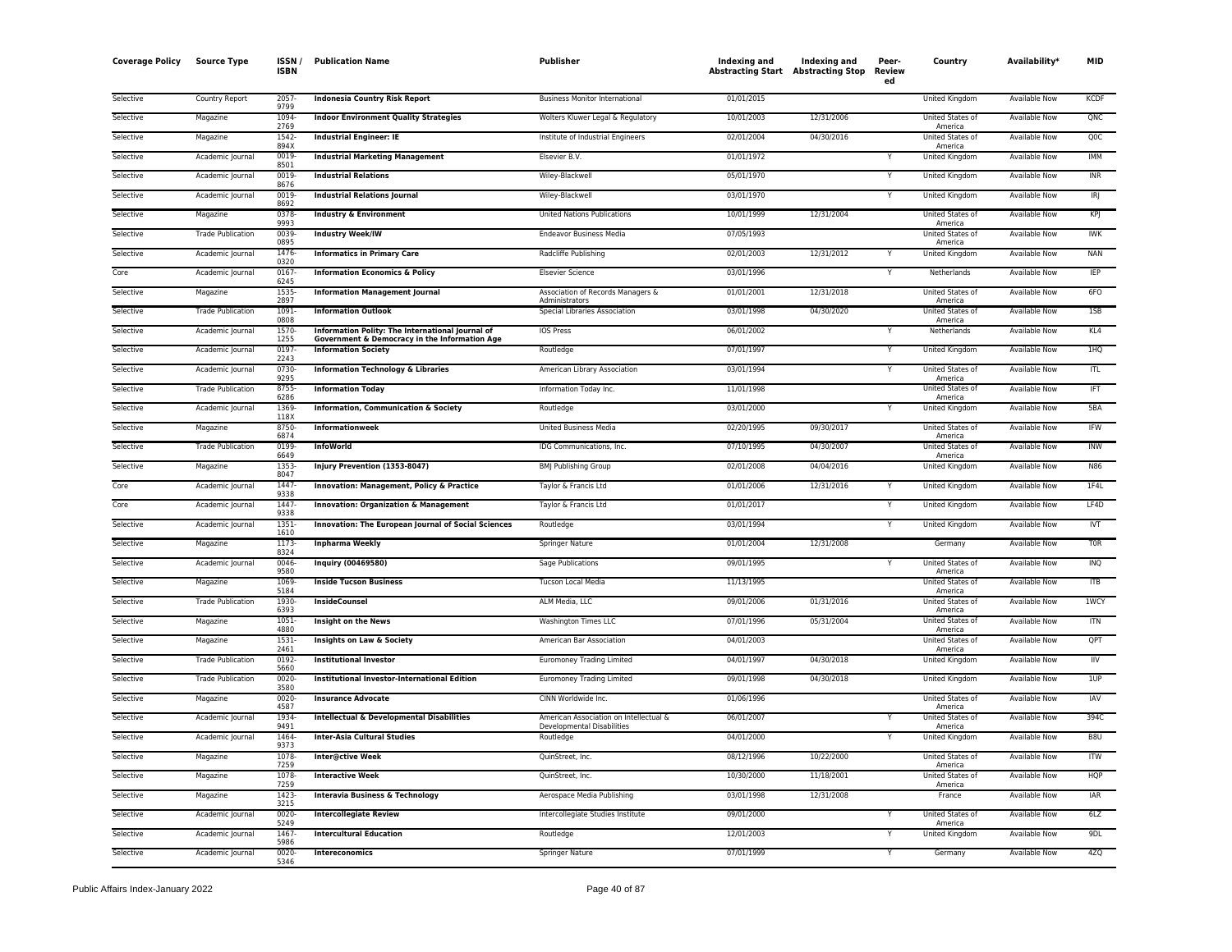| <b>Coverage Policy</b> | <b>Source Type</b>       | ISSN.<br><b>ISBN</b> | <b>Publication Name</b>                                                     | Publisher                                                            | Indexing and | Indexing and<br><b>Abstracting Start Abstracting Stop</b> | Peer-<br>Review<br>ed | Country                            | Availability*        | MID              |
|------------------------|--------------------------|----------------------|-----------------------------------------------------------------------------|----------------------------------------------------------------------|--------------|-----------------------------------------------------------|-----------------------|------------------------------------|----------------------|------------------|
| Selective              | Country Report           | 2057<br>9799         | <b>Indonesia Country Risk Report</b>                                        | <b>Business Monitor International</b>                                | 01/01/2015   |                                                           |                       | <b>United Kingdom</b>              | <b>Available Now</b> | <b>KCDF</b>      |
| Selective              | Magazine                 | 1094<br>2769         | <b>Indoor Environment Quality Strategies</b>                                | Wolters Kluwer Legal & Regulatory                                    | 10/01/2003   | 12/31/2006                                                |                       | United States of<br>America        | Available Now        | QNC              |
| Selective              | Magazine                 | 1542-<br>894X        | <b>Industrial Engineer: IE</b>                                              | Institute of Industrial Engineers                                    | 02/01/2004   | 04/30/2016                                                |                       | United States of<br>America        | <b>Available Now</b> | QOC              |
| Selective              | Academic Journal         | 0019<br>8501         | <b>Industrial Marketing Management</b>                                      | Elsevier B.V.                                                        | 01/01/1972   |                                                           |                       | United Kingdom                     | Available Now        | <b>IMM</b>       |
| Selective              | Academic Journal         | 0019-<br>8676        | <b>Industrial Relations</b>                                                 | Wiley-Blackwell                                                      | 05/01/1970   |                                                           | Y                     | <b>United Kingdom</b>              | <b>Available Now</b> | INR              |
| Selective              | Academic Journal         | 0019<br>8692         | <b>Industrial Relations Journal</b>                                         | Wiley-Blackwell                                                      | 03/01/1970   |                                                           | Y                     | <b>United Kingdom</b>              | <b>Available Now</b> | IR               |
| Selective              | Magazine                 | 0378<br>9993         | <b>Industry &amp; Environment</b>                                           | <b>United Nations Publications</b>                                   | 10/01/1999   | 12/31/2004                                                |                       | United States of<br>America        | Available Now        | <b>KPJ</b>       |
| Selective              | <b>Trade Publication</b> | 0039<br>0895         | <b>Industry Week/IW</b>                                                     | <b>Endeavor Business Media</b>                                       | 07/05/1993   |                                                           |                       | United States of<br>America        | Available Now        | IWK              |
| Selective              | Academic Journal         | 1476<br>0320         | <b>Informatics in Primary Care</b>                                          | Radcliffe Publishing                                                 | 02/01/2003   | 12/31/2012                                                |                       | <b>United Kingdom</b>              | Available Now        | <b>NAN</b>       |
| Core                   | Academic Journal         | 0167<br>6245         | <b>Information Economics &amp; Policy</b>                                   | <b>Elsevier Science</b>                                              | 03/01/1996   |                                                           |                       | Netherlands                        | <b>Available Now</b> | <b>IEP</b>       |
| Selective              | Magazine                 | 1535<br>2897         | <b>Information Management Journal</b>                                       | Association of Records Managers &<br>Administrators                  | 01/01/2001   | 12/31/2018                                                |                       | <b>United States of</b><br>America | <b>Available Now</b> | 6FO              |
| Selective              | <b>Trade Publication</b> | 1091<br>0808         | <b>Information Outlook</b>                                                  | Special Libraries Association                                        | 03/01/1998   | 04/30/2020                                                |                       | United States of<br>America        | Available Now        | 1SB              |
| Selective              | Academic Journal         | 1570-<br>1255        | Information Polity: The International Journal of                            | IOS Press                                                            | 06/01/2002   |                                                           | Y                     | Netherlands                        | Available Now        | KL4              |
| Selective              | Academic Journal         | 0197<br>2243         | Government & Democracy in the Information Age<br><b>Information Society</b> | Routledge                                                            | 07/01/1997   |                                                           | Y                     | United Kingdom                     | Available Now        | 1HQ              |
| Selective              | Academic Journal         | 0730<br>9295         | <b>Information Technology &amp; Libraries</b>                               | American Library Association                                         | 03/01/1994   |                                                           |                       | United States of<br>America        | Available Now        | <b>ITL</b>       |
| Selective              | <b>Trade Publication</b> | 8755<br>6286         | <b>Information Today</b>                                                    | Information Today Inc.                                               | 11/01/1998   |                                                           |                       | United States of<br>America        | <b>Available Now</b> | IFT              |
| Selective              | Academic Journal         | 1369-<br>118X        | Information, Communication & Society                                        | Routledge                                                            | 03/01/2000   |                                                           | Y                     | United Kingdom                     | <b>Available Now</b> | 5BA              |
| Selective              | Magazine                 | 8750-<br>6874        | Informationweek                                                             | <b>United Business Media</b>                                         | 02/20/1995   | 09/30/2017                                                |                       | United States of<br>America        | <b>Available Now</b> | IFW              |
| Selective              | <b>Trade Publication</b> | 0199<br>6649         | <b>InfoWorld</b>                                                            | IDG Communications, Inc.                                             | 07/10/1995   | 04/30/2007                                                |                       | United States of<br>America        | Available Now        | <b>INW</b>       |
| Selective              | Magazine                 | 1353<br>8047         | Injury Prevention (1353-8047)                                               | <b>BMJ Publishing Group</b>                                          | 02/01/2008   | 04/04/2016                                                |                       | United Kingdom                     | <b>Available Now</b> | N86              |
| Core                   | Academic Journal         | 1447<br>9338         | <b>Innovation: Management, Policy &amp; Practice</b>                        | Taylor & Francis Ltd                                                 | 01/01/2006   | 12/31/2016                                                |                       | United Kingdom                     | Available Now        | 1F4L             |
| Core                   | Academic Journal         | 1447<br>9338         | <b>Innovation: Organization &amp; Management</b>                            | Taylor & Francis Ltd                                                 | 01/01/2017   |                                                           |                       | <b>United Kingdom</b>              | <b>Available Now</b> | LF4D             |
| Selective              | Academic Journal         | $1351-$<br>1610      | Innovation: The European Journal of Social Sciences                         | Routledge                                                            | 03/01/1994   |                                                           | Y                     | United Kingdom                     | <b>Available Now</b> | <b>IVT</b>       |
| Selective              | Magazine                 | 1173<br>8324         | <b>Inpharma Weekly</b>                                                      | Springer Nature                                                      | 01/01/2004   | 12/31/2008                                                |                       | Germany                            | <b>Available Now</b> | T <sub>0</sub> R |
| Selective              | Academic Journal         | 0046<br>9580         | Inquiry (00469580)                                                          | Sage Publications                                                    | 09/01/1995   |                                                           |                       | United States of<br>America        | Available Now        | INQ              |
| Selective              | Magazine                 | 1069<br>5184         | <b>Inside Tucson Business</b>                                               | <b>Tucson Local Media</b>                                            | 11/13/1995   |                                                           |                       | United States of<br>America        | <b>Available Now</b> | <b>ITB</b>       |
| Selective              | <b>Trade Publication</b> | 1930<br>6393         | <b>InsideCounsel</b>                                                        | ALM Media, LLC                                                       | 09/01/2006   | 01/31/2016                                                |                       | United States of<br>America        | Available Now        | 1WCY             |
| Selective              | Magazine                 | $1051 -$<br>4880     | Insight on the News                                                         | Washington Times LLC                                                 | 07/01/1996   | 05/31/2004                                                |                       | <b>United States of</b><br>America | <b>Available Now</b> | <b>ITN</b>       |
| Selective              | Magazine                 | 1531-<br>2461        | Insights on Law & Society                                                   | American Bar Association                                             | 04/01/2003   |                                                           |                       | United States of<br>America        | <b>Available Now</b> | QPT              |
| Selective              | <b>Trade Publication</b> | 0192<br>5660         | <b>Institutional Investor</b>                                               | <b>Euromoney Trading Limited</b>                                     | 04/01/1997   | 04/30/2018                                                |                       | United Kingdom                     | Available Now        | IIV              |
| Selective              | <b>Trade Publication</b> | 0020-<br>3580        | <b>Institutional Investor-International Edition</b>                         | Euromoney Trading Limited                                            | 09/01/1998   | 04/30/2018                                                |                       | United Kingdom                     | Available Now        | 1UP              |
| Selective              | Magazine                 | 0020-<br>4587        | <b>Insurance Advocate</b>                                                   | CINN Worldwide Inc.                                                  | 01/06/1996   |                                                           |                       | United States of<br>America        | <b>Available Now</b> | <b>IAV</b>       |
| Selective              | Academic Journal         | 1934<br>9491         | <b>Intellectual &amp; Developmental Disabilities</b>                        | American Association on Intellectual &<br>Developmental Disabilities | 06/01/2007   |                                                           |                       | United States of<br>America        | <b>Available Now</b> | 394C             |
| Selective              | Academic Journal         | 1464<br>9373         | <b>Inter-Asia Cultural Studies</b>                                          | Routledge                                                            | 04/01/2000   |                                                           |                       | United Kingdom                     | <b>Available Now</b> | B8U              |
| Selective              | Magazine                 | 1078<br>7259         | Inter@ctive Week                                                            | QuinStreet, Inc.                                                     | 08/12/1996   | 10/22/2000                                                |                       | United States of<br>America        | <b>Available Now</b> | ITW              |
| Selective              | Magazine                 | 1078<br>7259         | <b>Interactive Week</b>                                                     | QuinStreet, Inc.                                                     | 10/30/2000   | 11/18/2001                                                |                       | United States of<br>America        | Available Now        | HQP              |
| Selective              | Magazine                 | 1423<br>3215         | <b>Interavia Business &amp; Technology</b>                                  | Aerospace Media Publishing                                           | 03/01/1998   | 12/31/2008                                                |                       | France                             | Available Now        | IAR              |
| Selective              | Academic Journal         | 0020<br>5249         | <b>Intercollegiate Review</b>                                               | Intercollegiate Studies Institute                                    | 09/01/2000   |                                                           |                       | United States of<br>America        | Available Now        | 6LZ              |
| Selective              | Academic Journal         | 1467<br>5986         | <b>Intercultural Education</b>                                              | Routledge                                                            | 12/01/2003   |                                                           |                       | United Kingdom                     | Available Now        | 9DL              |
| Selective              | Academic Journal         | 0020<br>5346         | <b>Intereconomics</b>                                                       | Springer Nature                                                      | 07/01/1999   |                                                           | Y                     | Germany                            | <b>Available Now</b> | 4ZQ              |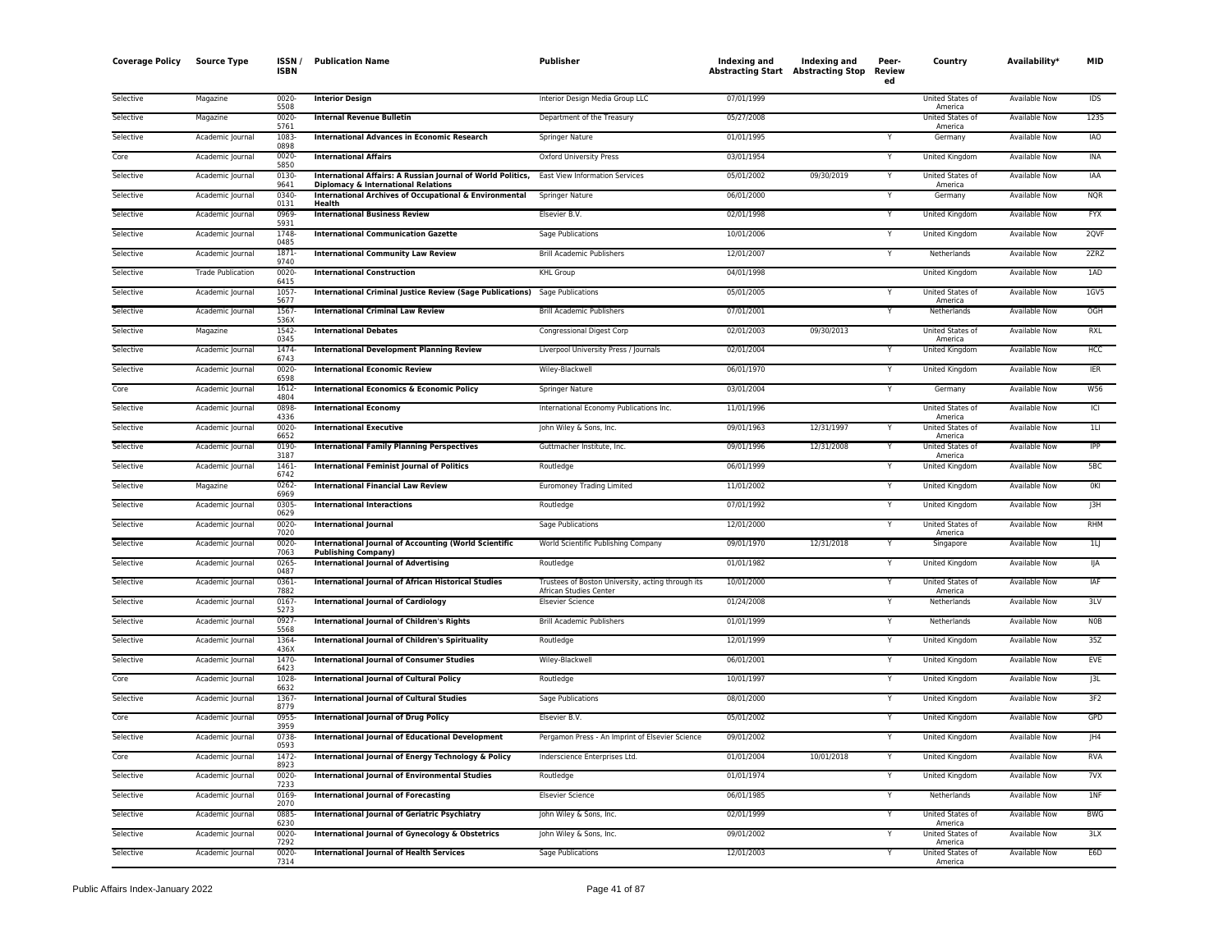| <b>Coverage Policy</b> | <b>Source Type</b>       | <b>ISSN</b><br><b>ISBN</b> | <b>Publication Name</b>                                                                                            | <b>Publisher</b>                                  | Indexing and<br><b>Abstracting Start</b> Abstracting Stop | Indexing and | Peer-<br>Review<br>ed | Country                     | Availability <sup>*</sup> | <b>MID</b>     |
|------------------------|--------------------------|----------------------------|--------------------------------------------------------------------------------------------------------------------|---------------------------------------------------|-----------------------------------------------------------|--------------|-----------------------|-----------------------------|---------------------------|----------------|
| Selective              | Magazine                 | 0020-<br>5508              | <b>Interior Design</b>                                                                                             | Interior Design Media Group LLC                   | 07/01/1999                                                |              |                       | United States of<br>America | Available Now             | IDS            |
| Selective              | Magazine                 | $0020 -$<br>5761           | <b>Internal Revenue Bulletin</b>                                                                                   | Department of the Treasury                        | 05/27/2008                                                |              |                       | United States of<br>America | <b>Available Now</b>      | <b>1235</b>    |
| Selective              | Academic Journal         | 1083<br>0898               | <b>International Advances in Economic Research</b>                                                                 | Springer Nature                                   | 01/01/1995                                                |              |                       | Germany                     | Available Now             | <b>IAO</b>     |
| Core                   | Academic Journal         | 0020-<br>5850              | <b>International Affairs</b>                                                                                       | <b>Oxford University Press</b>                    | 03/01/1954                                                |              |                       | United Kingdom              | <b>Available Now</b>      | INA            |
| Selective              | Academic Journal         | 0130<br>9641               | International Affairs: A Russian Journal of World Politics, East View Information Services                         |                                                   | 05/01/2002                                                | 09/30/2019   | Υ                     | United States of            | Available Now             | IAA            |
| Selective              | Academic Journal         | 0340                       | Diplomacy & International Relations<br><b>International Archives of Occupational &amp; Environmental</b><br>Health | <b>Springer Nature</b>                            | 06/01/2000                                                |              | Υ                     | America<br>Germany          | Available Now             | <b>NQR</b>     |
| Selective              | Academic Journal         | 0131<br>0969-              | <b>International Business Review</b>                                                                               | Elsevier B.V.                                     | 02/01/1998                                                |              | Y                     | United Kingdom              | Available Now             | <b>FYX</b>     |
| Selective              | Academic Journal         | 5931<br>1748               | <b>International Communication Gazette</b>                                                                         | Sage Publications                                 | 10/01/2006                                                |              |                       | United Kingdom              | <b>Available Now</b>      | 2QVF           |
| Selective              | Academic Journal         | 0485<br>1871               | <b>International Community Law Review</b>                                                                          | <b>Brill Academic Publishers</b>                  | 12/01/2007                                                |              | Y                     | Netherlands                 | Available Now             | 2ZRZ           |
| Selective              | <b>Trade Publication</b> | 9740<br>0020-              | <b>International Construction</b>                                                                                  | <b>KHL Group</b>                                  | 04/01/1998                                                |              |                       | United Kingdom              | Available Now             | 1AD            |
| Selective              | Academic Journal         | 6415<br>1057               | <b>International Criminal Justice Review (Sage Publications)</b>                                                   | Sage Publications                                 | 05/01/2005                                                |              |                       | United States of            | <b>Available Now</b>      | $1$ GV5        |
| Selective              | Academic Journal         | 5677<br>1567-              | <b>International Criminal Law Review</b>                                                                           | <b>Brill Academic Publishers</b>                  | 07/01/2001                                                |              | Υ                     | America<br>Netherlands      | Available Now             | OGH            |
| Selective              | Magazine                 | 536)<br>1542-              | <b>International Debates</b>                                                                                       | <b>Congressional Digest Corp</b>                  | 02/01/2003                                                | 09/30/2013   |                       | United States of            | Available Now             | RXL            |
| Selective              | Academic Journal         | 0345<br>1474-              | <b>International Development Planning Review</b>                                                                   | Liverpool University Press / Journals             | 02/01/2004                                                |              | Y                     | America<br>United Kingdom   | Available Now             | HCC            |
| Selective              | Academic Journal         | 6743<br>0020               | <b>International Economic Review</b>                                                                               | Wiley-Blackwell                                   | 06/01/1970                                                |              |                       | United Kingdom              | Available Now             | <b>IER</b>     |
| Core                   | Academic Journal         | 6598<br>1612-              | <b>International Economics &amp; Economic Policy</b>                                                               | Springer Nature                                   | 03/01/2004                                                |              |                       | Germany                     | <b>Available Now</b>      | <b>W56</b>     |
| Selective              | Academic Journal         | 4804<br>0898               | <b>International Economy</b>                                                                                       | International Economy Publications Inc.           | 11/01/1996                                                |              |                       | United States of            | <b>Available Now</b>      | C              |
| Selective              | Academic Journal         | 4336<br>0020               | <b>International Executive</b>                                                                                     | John Wiley & Sons, Inc.                           | 09/01/1963                                                | 12/31/1997   | Y                     | America<br>United States of | Available Now             | $1 \cup$       |
| Selective              | Academic Journal         | 6652<br>0190               | <b>International Family Planning Perspectives</b>                                                                  | Guttmacher Institute, Inc.                        | 09/01/1996                                                | 12/31/2008   |                       | America<br>United States of | <b>Available Now</b>      | <b>IPP</b>     |
| Selective              | Academic Journal         | 3187<br>1461               | <b>International Feminist Journal of Politics</b>                                                                  | Routledge                                         | 06/01/1999                                                |              |                       | America<br>United Kingdom   | Available Now             | 5BC            |
| Selective              | Magazine                 | 6742<br>0262-              | <b>International Financial Law Review</b>                                                                          | <b>Euromoney Trading Limited</b>                  | 11/01/2002                                                |              | Ÿ                     | <b>United Kingdom</b>       | <b>Available Now</b>      | OKI            |
| Selective              | Academic Journal         | 6969<br>0305-              | <b>International Interactions</b>                                                                                  | Routledge                                         | 07/01/1992                                                |              | Y                     | <b>United Kingdom</b>       | <b>Available Now</b>      | J3H            |
| Selective              | Academic Journal         | 0629<br>$0020 -$           | <b>International Journal</b>                                                                                       | <b>Sage Publications</b>                          | 12/01/2000                                                |              | Y                     | United States of            | <b>Available Now</b>      | <b>RHM</b>     |
| Selective              | Academic Journal         | 7020<br>0020-              | <b>International Journal of Accounting (World Scientific</b>                                                       | World Scientific Publishing Company               | 09/01/1970                                                | 12/31/2018   | Υ                     | America<br>Singapore        | Available Now             | 1 <sub>l</sub> |
| Selective              | Academic Journal         | 7063<br>0265               | <b>Publishing Company)</b><br><b>International Journal of Advertising</b>                                          | Routledge                                         | 01/01/1982                                                |              |                       | United Kingdom              | <b>Available Now</b>      | IJА            |
| Selective              | Academic Journal         | 0487<br>0361-              | <b>International Journal of African Historical Studies</b>                                                         | Trustees of Boston University, acting through its | 10/01/2000                                                |              |                       | United States of            | <b>Available Now</b>      | IAF            |
| Selective              | Academic Journal         | 7882<br>0167               | <b>International Journal of Cardiology</b>                                                                         | African Studies Center<br><b>Elsevier Science</b> | 01/24/2008                                                |              |                       | America<br>Netherlands      | Available Now             | 3LV            |
| Selective              | Academic Journal         | 5273<br>0927-              | <b>International Journal of Children's Rights</b>                                                                  | <b>Brill Academic Publishers</b>                  | 01/01/1999                                                |              |                       | Netherlands                 | <b>Available Now</b>      | <b>NOB</b>     |
| Selective              | Academic Journal         | 5568<br>1364               | International Journal of Children's Spirituality                                                                   | Routledge                                         | 12/01/1999                                                |              |                       | <b>United Kingdom</b>       | <b>Available Now</b>      | 35Z            |
| Selective              | Academic Journal         | 436X<br>1470               | <b>International Journal of Consumer Studies</b>                                                                   | Wiley-Blackwell                                   | 06/01/2001                                                |              |                       | United Kingdom              | Available Now             | EVE            |
| Core                   | Academic Journal         | 6423<br>1028               | <b>International Journal of Cultural Policy</b>                                                                    | Routledge                                         | 10/01/1997                                                |              | Y                     | United Kingdom              | Available Now             | J3L            |
| Selective              | Academic Journal         | 6632<br>1367-              | <b>International Journal of Cultural Studies</b>                                                                   | <b>Sage Publications</b>                          | 08/01/2000                                                |              |                       | <b>United Kingdom</b>       | <b>Available Now</b>      | 3F2            |
| Core                   | Academic Journal         | 8779<br>0955               | <b>International Journal of Drug Policy</b>                                                                        | Elsevier B.V.                                     | 05/01/2002                                                |              | Y                     | United Kingdom              | Available Now             | GPD            |
| Selective              | Academic Journal         | 3959<br>0738               | <b>International Journal of Educational Development</b>                                                            | Pergamon Press - An Imprint of Elsevier Science   | 09/01/2002                                                |              | Υ                     | United Kingdom              | <b>Available Now</b>      | HA             |
| Core                   | Academic Journal         | 0593<br>1472-              | International Journal of Energy Technology & Policy                                                                | Inderscience Enterprises Ltd.                     | 01/01/2004                                                | 10/01/2018   |                       | <b>United Kingdom</b>       | <b>Available Now</b>      | <b>RVA</b>     |
| Selective              | Academic Journal         | 8923<br>0020-              | <b>International Journal of Environmental Studies</b>                                                              | Routledge                                         | 01/01/1974                                                |              | Υ                     | United Kingdom              | Available Now             | 7VX            |
| Selective              | Academic Journal         | 7233<br>0169               | <b>International Journal of Forecasting</b>                                                                        | <b>Elsevier Science</b>                           | 06/01/1985                                                |              | Y                     | Netherlands                 | Available Now             | 1NF            |
| Selective              | Academic Journal         | 2070<br>0885-              | <b>International Journal of Geriatric Psychiatry</b>                                                               | John Wiley & Sons, Inc.                           | 02/01/1999                                                |              | Υ                     | United States of            | Available Now             | <b>BWG</b>     |
| Selective              | Academic Journal         | 6230<br>0020               | International Journal of Gynecology & Obstetrics                                                                   | John Wiley & Sons, Inc.                           | 09/01/2002                                                |              |                       | America<br>United States of | Available Now             | 3LX            |
|                        |                          | 7292                       |                                                                                                                    |                                                   |                                                           |              |                       | America                     |                           |                |
| Selective              | Academic Journal         | 0020-<br>7314              | <b>International Journal of Health Services</b>                                                                    | Sage Publications                                 | 12/01/2003                                                |              | Y                     | United States of<br>America | <b>Available Now</b>      | E6D            |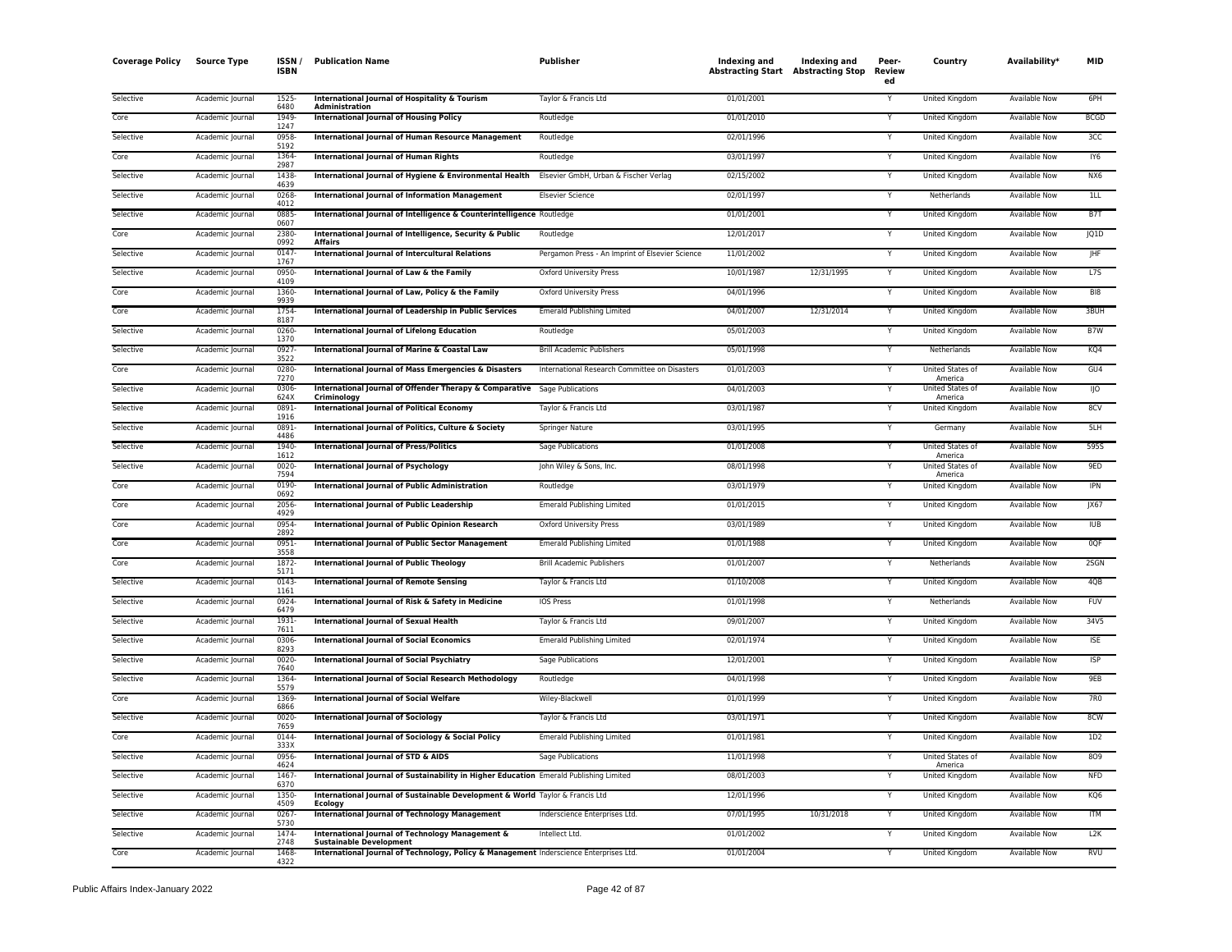| <b>Coverage Policy</b> | Source Type      | ISSN/<br><b>ISBN</b> | <b>Publication Name</b>                                                                       | <b>Publisher</b>                                | Indexing and<br><b>Abstracting Start Abstracting Stop</b> | Indexing and | Peer-<br>Review<br>ed | Country                            | Availability*        | <b>MID</b>      |
|------------------------|------------------|----------------------|-----------------------------------------------------------------------------------------------|-------------------------------------------------|-----------------------------------------------------------|--------------|-----------------------|------------------------------------|----------------------|-----------------|
| Selective              | Academic Journal | 1525<br>6480         | International Journal of Hospitality & Tourism<br>Administration                              | Taylor & Francis Ltd                            | 01/01/2001                                                |              | Y                     | United Kingdom                     | Available Now        | 6PH             |
| Core                   | Academic Journal | 1949<br>1247         | <b>International Journal of Housing Policy</b>                                                | Routledge                                       | 01/01/2010                                                |              |                       | United Kingdom                     | <b>Available Now</b> | <b>BCGD</b>     |
| Selective              | Academic Journal | 0958<br>5192         | <b>International Journal of Human Resource Management</b>                                     | Routledge                                       | 02/01/1996                                                |              | Y                     | United Kingdom                     | Available Now        | 3CC             |
| Core                   | Academic Journal | 1364<br>2987         | <b>International Journal of Human Rights</b>                                                  | Routledge                                       | 03/01/1997                                                |              | Y                     | United Kingdom                     | <b>Available Now</b> | IY <sub>6</sub> |
| Selective              | Academic Journal | 1438<br>4639         | International Journal of Hygiene & Environmental Health Elsevier GmbH, Urban & Fischer Verlag |                                                 | 02/15/2002                                                |              | Y                     | United Kingdom                     | Available Now        | NX6             |
| Selective              | Academic Journal | 0268<br>4012         | <b>International Journal of Information Management</b>                                        | Elsevier Science                                | 02/01/1997                                                |              | Y                     | Netherlands                        | Available Now        | 11L             |
| Selective              | Academic Journal | 0885<br>0607         | International Journal of Intelligence & Counterintelligence Routledge                         |                                                 | 01/01/2001                                                |              | Y                     | United Kingdom                     | <b>Available Now</b> | BT              |
| Core                   | Academic Journal | 2380-<br>0992        | International Journal of Intelligence, Security & Public<br><b>Affairs</b>                    | Routledge                                       | 12/01/2017                                                |              | Y                     | United Kingdom                     | Available Now        | JQ1D            |
| Selective              | Academic Journal | 0147<br>1767         | <b>International Journal of Intercultural Relations</b>                                       | Pergamon Press - An Imprint of Elsevier Science | 11/01/2002                                                |              |                       | United Kingdom                     | Available Now        | <b>IHF</b>      |
| Selective              | Academic Journal | 0950<br>4109         | International Journal of Law & the Family                                                     | <b>Oxford University Press</b>                  | 10/01/1987                                                | 12/31/1995   |                       | United Kingdom                     | <b>Available Now</b> | L7S             |
| Core                   | Academic Journal | 1360-<br>9939        | International Journal of Law, Policy & the Family                                             | <b>Oxford University Press</b>                  | 04/01/1996                                                |              | Y                     | United Kingdom                     | <b>Available Now</b> | B <sub>18</sub> |
| Core                   | Academic Journal | 1754<br>8187         | International Journal of Leadership in Public Services                                        | <b>Emerald Publishing Limited</b>               | 04/01/2007                                                | 12/31/2014   | Υ                     | United Kingdom                     | <b>Available Now</b> | 3BUH            |
| Selective              | Academic Journal | 0260<br>1370         | <b>International Journal of Lifelong Education</b>                                            | Routledge                                       | 05/01/2003                                                |              | Y                     | United Kingdom                     | <b>Available Now</b> | B7W             |
| Selective              | Academic Journal | 0927<br>3522         | International Journal of Marine & Coastal Law                                                 | <b>Brill Academic Publishers</b>                | 05/01/1998                                                |              | Y                     | Netherlands                        | Available Now        | KQ4             |
| Core                   | Academic Journal | 0280-<br>7270        | <b>International Journal of Mass Emergencies &amp; Disasters</b>                              | International Research Committee on Disasters   | 01/01/2003                                                |              | Y                     | United States of<br>America        | Available Now        | GU4             |
| Selective              | Academic Journal | 0306<br>624X         | International Journal of Offender Therapy & Comparative<br>Criminology                        | Sage Publications                               | 04/01/2003                                                |              |                       | United States of<br>America        | <b>Available Now</b> | 110             |
| Selective              | Academic Journal | 0891<br>1916         | <b>International Journal of Political Economy</b>                                             | Taylor & Francis Ltd                            | 03/01/1987                                                |              | Y                     | United Kingdom                     | Available Now        | 8CV             |
| Selective              | Academic Journal | 0891<br>4486         | International Journal of Politics, Culture & Society                                          | <b>Springer Nature</b>                          | 03/01/1995                                                |              | Y                     | Germany                            | <b>Available Now</b> | 5LH             |
| Selective              | Academic Journal | 1940-<br>1612        | <b>International Journal of Press/Politics</b>                                                | <b>Sage Publications</b>                        | 01/01/2008                                                |              |                       | United States of<br>America        | <b>Available Now</b> | 595S            |
| Selective              | Academic Journal | 0020<br>7594         | <b>International Journal of Psychology</b>                                                    | John Wiley & Sons, Inc.                         | 08/01/1998                                                |              |                       | <b>United States of</b><br>America | Available Now        | 9ED             |
| Core                   | Academic Journal | 0190<br>0692         | <b>International Journal of Public Administration</b>                                         | Routledge                                       | 03/01/1979                                                |              | Y                     | United Kingdom                     | Available Now        | IPN             |
| Core                   | Academic Journal | 2056<br>4929         | <b>International Journal of Public Leadership</b>                                             | <b>Emerald Publishing Limited</b>               | 01/01/2015                                                |              | Y                     | United Kingdom                     | Available Now        | JX67            |
| Core                   | Academic Journal | 0954<br>2892         | <b>International Journal of Public Opinion Research</b>                                       | Oxford University Press                         | 03/01/1989                                                |              | Y                     | United Kingdom                     | Available Now        | <b>IUB</b>      |
| Core                   | Academic Journal | 0951<br>3558         | <b>International Journal of Public Sector Management</b>                                      | <b>Emerald Publishing Limited</b>               | 01/01/1988                                                |              | Y                     | United Kingdom                     | <b>Available Now</b> | 0QF             |
| Core                   | Academic Journal | 1872<br>5171         | <b>International Journal of Public Theology</b>                                               | <b>Brill Academic Publishers</b>                | 01/01/2007                                                |              | Ý                     | Netherlands                        | Available Now        | 2SGN            |
| Selective              | Academic Journal | 0143<br>1161         | <b>International Journal of Remote Sensing</b>                                                | Taylor & Francis Ltd                            | 01/10/2008                                                |              | Υ                     | United Kingdom                     | <b>Available Now</b> | 4QB             |
| Selective              | Academic Journal | 0924<br>6479         | International Journal of Risk & Safety in Medicine                                            | <b>IOS Press</b>                                | 01/01/1998                                                |              | Y                     | Netherlands                        | <b>Available Now</b> | <b>FUV</b>      |
| Selective              | Academic Journal | 1931<br>7611         | <b>International Journal of Sexual Health</b>                                                 | Taylor & Francis Ltd                            | 09/01/2007                                                |              | Y                     | United Kingdom                     | Available Now        | 34V5            |
| Selective              | Academic Journal | 0306<br>8293         | <b>International Journal of Social Economics</b>                                              | <b>Emerald Publishing Limited</b>               | 02/01/1974                                                |              |                       | United Kingdom                     | Available Now        | <b>ISE</b>      |
| Selective              | Academic Journal | 0020<br>7640         | <b>International Journal of Social Psychiatry</b>                                             | Sage Publications                               | 12/01/2001                                                |              |                       | United Kingdom                     | <b>Available Now</b> | <b>ISP</b>      |
| Selective              | Academic Journal | 1364<br>5579         | <b>International Journal of Social Research Methodology</b>                                   | Routledge                                       | 04/01/1998                                                |              | Y                     | United Kingdom                     | Available Now        | 9EB             |
| Core                   | Academic Journal | 1369<br>6866         | <b>International Journal of Social Welfare</b>                                                | Wiley-Blackwell                                 | 01/01/1999                                                |              | Y                     | <b>United Kingdom</b>              | <b>Available Now</b> | 7R <sub>0</sub> |
| Selective              | Academic Journal | 0020<br>7659         | <b>International Journal of Sociology</b>                                                     | Taylor & Francis Ltd                            | 03/01/1971                                                |              | Y                     | United Kingdom                     | <b>Available Now</b> | 8CW             |
| Core                   | Academic Journal | 0144<br>333X         | International Journal of Sociology & Social Policy                                            | <b>Emerald Publishing Limited</b>               | 01/01/1981                                                |              | Y                     | United Kingdom                     | Available Now        | 1D2             |
| Selective              | Academic Journal | 0956<br>4624         | International Journal of STD & AIDS                                                           | Sage Publications                               | 11/01/1998                                                |              |                       | United States of<br>America        | <b>Available Now</b> | 809             |
| Selective              | Academic Journal | 1467<br>6370         | International Journal of Sustainability in Higher Education Emerald Publishing Limited        |                                                 | 08/01/2003                                                |              | Y                     | United Kingdom                     | Available Now        | <b>NFD</b>      |
| Selective              | Academic Journal | 1350-<br>4509        | International Journal of Sustainable Development & World Taylor & Francis Ltd<br>Ecology      |                                                 | 12/01/1996                                                |              | Y                     | United Kingdom                     | Available Now        | KQ6             |
| Selective              | Academic Journal | 0267<br>5730         | <b>International Journal of Technology Management</b>                                         | Inderscience Enterprises Ltd.                   | 07/01/1995                                                | 10/31/2018   | Y                     | <b>United Kingdom</b>              | <b>Available Now</b> | <b>ITM</b>      |
| Selective              | Academic Journal | 1474<br>2748         | International Journal of Technology Management &<br><b>Sustainable Development</b>            | Intellect Ltd.                                  | 01/01/2002                                                |              |                       | United Kingdom                     | Available Now        | L2K             |
| Core                   | Academic Journal | 1468<br>4322         | International Journal of Technology, Policy & Management Inderscience Enterprises Ltd.        |                                                 | 01/01/2004                                                |              | Y                     | <b>United Kingdom</b>              | <b>Available Now</b> | <b>RVU</b>      |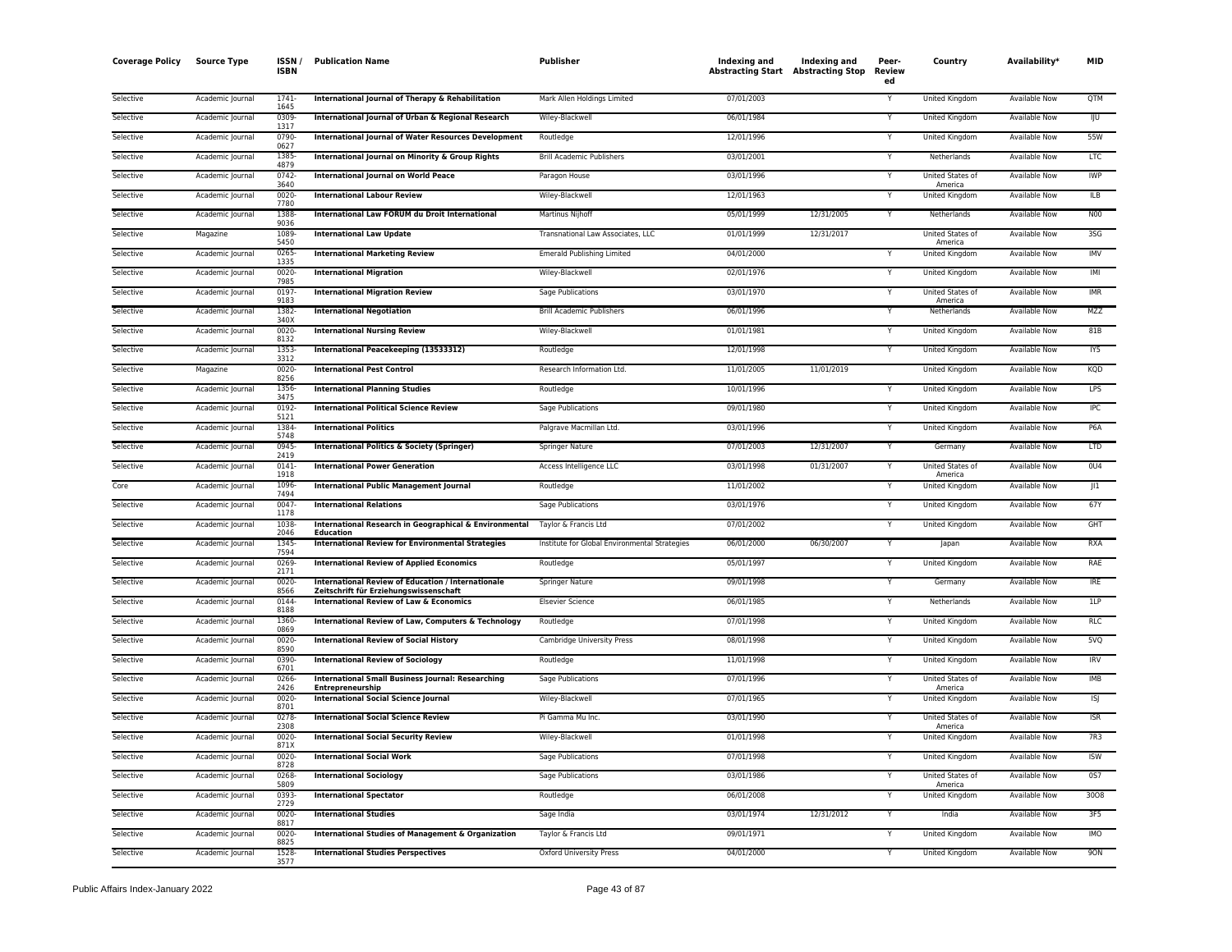| <b>Coverage Policy</b> | <b>Source Type</b> | ISSN /<br><b>ISBN</b> | <b>Publication Name</b>                                                                             | <b>Publisher</b>                              | Indexing and<br><b>Abstracting Start Abstracting Stop</b> | Indexing and | Peer-<br><b>Review</b><br>ed | Country                     | Availability*        | <b>MID</b>       |
|------------------------|--------------------|-----------------------|-----------------------------------------------------------------------------------------------------|-----------------------------------------------|-----------------------------------------------------------|--------------|------------------------------|-----------------------------|----------------------|------------------|
| Selective              | Academic Journal   | $1741 -$<br>1645      | International Journal of Therapy & Rehabilitation                                                   | Mark Allen Holdings Limited                   | 07/01/2003                                                |              | Υ                            | United Kingdom              | <b>Available Now</b> | <b>QTM</b>       |
| Selective              | Academic Journal   | 0309<br>1317          | International Journal of Urban & Regional Research                                                  | Wiley-Blackwell                               | 06/01/1984                                                |              | Y                            | United Kingdom              | Available Now        | IJυ              |
| Selective              | Academic Journal   | 0790<br>0627          | <b>International Journal of Water Resources Development</b>                                         | Routledge                                     | 12/01/1996                                                |              | Υ                            | United Kingdom              | Available Now        | 55W              |
| Selective              | Academic Journal   | 1385<br>4879          | International Journal on Minority & Group Rights                                                    | <b>Brill Academic Publishers</b>              | 03/01/2001                                                |              | Y                            | Netherlands                 | Available Now        | <b>LTC</b>       |
| Selective              | Academic Journal   | 0742<br>3640          | <b>International Journal on World Peace</b>                                                         | Paragon House                                 | 03/01/1996                                                |              | Υ                            | United States of<br>America | Available Now        | <b>IWP</b>       |
| Selective              | Academic Journal   | 0020<br>7780          | <b>International Labour Review</b>                                                                  | Wiley-Blackwell                               | 12/01/1963                                                |              |                              | United Kingdom              | Available Now        | <b>ILB</b>       |
| Selective              | Academic Journal   | 1388<br>9036          | International Law FORUM du Droit International                                                      | <b>Martinus Nijhoff</b>                       | 05/01/1999                                                | 12/31/2005   | Ÿ                            | Netherlands                 | <b>Available Now</b> | <b>N00</b>       |
| Selective              | Magazine           | 1089<br>5450          | <b>International Law Update</b>                                                                     | Transnational Law Associates, LLC             | 01/01/1999                                                | 12/31/2017   |                              | United States of<br>America | <b>Available Now</b> | 3SG              |
| Selective              | Academic Journal   | 0265<br>1335          | <b>International Marketing Review</b>                                                               | <b>Emerald Publishing Limited</b>             | 04/01/2000                                                |              |                              | United Kingdom              | Available Now        | <b>IMV</b>       |
| Selective              | Academic Journal   | 0020<br>7985          | <b>International Migration</b>                                                                      | Wiley-Blackwell                               | 02/01/1976                                                |              | Y                            | United Kingdom              | Available Now        | IMI              |
| Selective              | Academic Journal   | 0197<br>9183          | <b>International Migration Review</b>                                                               | Sage Publications                             | 03/01/1970                                                |              |                              | United States of<br>America | Available Now        | <b>IMR</b>       |
| Selective              | Academic Journal   | 1382<br>340X          | <b>International Negotiation</b>                                                                    | <b>Brill Academic Publishers</b>              | 06/01/1996                                                |              | Y                            | Netherlands                 | <b>Available Now</b> | <b>MZZ</b>       |
| Selective              | Academic Journal   | 0020<br>8132          | <b>International Nursing Review</b>                                                                 | Wiley-Blackwell                               | 01/01/1981                                                |              | Y                            | United Kingdom              | Available Now        | 81B              |
| Selective              | Academic Journal   | 1353<br>3312          | International Peacekeeping (13533312)                                                               | Routledge                                     | 12/01/1998                                                |              | Ϋ                            | United Kingdom              | <b>Available Now</b> | IY5              |
| Selective              | Magazine           | $0020 -$<br>8256      | <b>International Pest Control</b>                                                                   | Research Information Ltd.                     | 11/01/2005                                                | 11/01/2019   |                              | United Kingdom              | Available Now        | KQD              |
| Selective              | Academic Journal   | 1356<br>3475          | <b>International Planning Studies</b>                                                               | Routledge                                     | 10/01/1996                                                |              | Y                            | United Kingdom              | Available Now        | <b>LPS</b>       |
| Selective              | Academic Journal   | 0192<br>5121          | <b>International Political Science Review</b>                                                       | Sage Publications                             | 09/01/1980                                                |              | Υ                            | United Kingdom              | Available Now        | IPC              |
| Selective              | Academic Journal   | 1384-<br>5748         | <b>International Politics</b>                                                                       | Palgrave Macmillan Ltd.                       | 03/01/1996                                                |              | ٧                            | United Kingdom              | Available Now        | P6A              |
| Selective              | Academic Journal   | 0945<br>2419          | <b>International Politics &amp; Society (Springer)</b>                                              | Springer Nature                               | 07/01/2003                                                | 12/31/2007   | Υ                            | Germany                     | <b>Available Now</b> | LTD              |
| Selective              | Academic Journal   | 0141<br>1918          | <b>International Power Generation</b>                                                               | Access Intelligence LLC                       | 03/01/1998                                                | 01/31/2007   | Y                            | United States of<br>America | <b>Available Now</b> | 0 <sub>U</sub> 4 |
| Core                   | Academic Journal   | 1096<br>7494          | <b>International Public Management Journal</b>                                                      | Routledge                                     | 11/01/2002                                                |              | Y                            | United Kingdom              | <b>Available Now</b> | $\parallel$ 1    |
| Selective              | Academic Journal   | 0047<br>1178          | <b>International Relations</b>                                                                      | Sage Publications                             | 03/01/1976                                                |              | Y                            | United Kingdom              | Available Now        | 67Y              |
| Selective              | Academic Journal   | 1038<br>2046          | International Research in Geographical & Environmental<br><b>Education</b>                          | Taylor & Francis Ltd                          | 07/01/2002                                                |              | Y                            | United Kingdom              | Available Now        | GHT              |
| Selective              | Academic Journal   | 1345<br>7594          | <b>International Review for Environmental Strategies</b>                                            | Institute for Global Environmental Strategies | 06/01/2000                                                | 06/30/2007   | Υ                            | Japan                       | Available Now        | <b>RXA</b>       |
| Selective              | Academic Journal   | 0269<br>2171          | <b>International Review of Applied Economics</b>                                                    | Routledge                                     | 05/01/1997                                                |              |                              | United Kingdom              | Available Now        | RAE              |
| Selective              | Academic Journal   | 0020<br>8566          | <b>International Review of Education / Internationale</b><br>Zeitschrift für Erziehungswissenschaft | <b>Springer Nature</b>                        | 09/01/1998                                                |              | Y                            | Germany                     | <b>Available Now</b> | <b>IRE</b>       |
| Selective              | Academic Journal   | 0144<br>8188          | <b>International Review of Law &amp; Economics</b>                                                  | <b>Elsevier Science</b>                       | 06/01/1985                                                |              | Y                            | Netherlands                 | <b>Available Now</b> | 1LP              |
| Selective              | Academic Journal   | 1360<br>0869          | International Review of Law, Computers & Technology                                                 | Routledge                                     | 07/01/1998                                                |              | Y                            | United Kingdom              | Available Now        | <b>RLC</b>       |
| Selective              | Academic Journal   | 0020<br>8590          | <b>International Review of Social History</b>                                                       | Cambridge University Press                    | 08/01/1998                                                |              | Y                            | United Kingdom              | Available Now        | 5 <sub>VQ</sub>  |
| Selective              | Academic Journal   | 0390<br>6701          | <b>International Review of Sociology</b>                                                            | Routledge                                     | 11/01/1998                                                |              | Y                            | United Kingdom              | Available Now        | <b>IRV</b>       |
| Selective              | Academic Journal   | 0266-<br>2426         | <b>International Small Business Journal: Researching</b><br><b>Entrepreneurship</b>                 | <b>Sage Publications</b>                      | 07/01/1996                                                |              | Υ                            | United States of<br>America | <b>Available Now</b> | <b>IMB</b>       |
| Selective              | Academic Journal   | 0020<br>8701          | <b>International Social Science Journal</b>                                                         | Wiley-Blackwell                               | 07/01/1965                                                |              |                              | United Kingdom              | Available Now        | <b>ISJ</b>       |
| Selective              | Academic Journal   | 0278<br>2308          | <b>International Social Science Review</b>                                                          | Pi Gamma Mu Inc.                              | 03/01/1990                                                |              | Y                            | United States of<br>America | Available Now        | <b>ISR</b>       |
| Selective              | Academic Journal   | $0020 -$<br>871X      | <b>International Social Security Review</b>                                                         | Wiley-Blackwell                               | 01/01/1998                                                |              | Y                            | United Kingdom              | <b>Available Now</b> | 7R3              |
| Selective              | Academic Journal   | 0020<br>8728          | <b>International Social Work</b>                                                                    | Sage Publications                             | 07/01/1998                                                |              | Y                            | United Kingdom              | Available Now        | <b>ISW</b>       |
| Selective              | Academic Journal   | 0268<br>5809          | <b>International Sociology</b>                                                                      | Sage Publications                             | 03/01/1986                                                |              | Υ                            | United States of<br>America | Available Now        | 0S7              |
| Selective              | Academic Journal   | 0393<br>2729          | <b>International Spectator</b>                                                                      | Routledge                                     | 06/01/2008                                                |              | Y                            | United Kingdom              | Available Now        | 3008             |
| Selective              | Academic Journal   | 0020<br>8817          | <b>International Studies</b>                                                                        | Sage India                                    | 03/01/1974                                                | 12/31/2012   | Υ                            | India                       | <b>Available Now</b> | 3F5              |
| Selective              | Academic Journal   | 0020<br>8825          | <b>International Studies of Management &amp; Organization</b>                                       | Taylor & Francis Ltd                          | 09/01/1971                                                |              |                              | United Kingdom              | Available Now        | <b>IMO</b>       |
| Selective              | Academic Journal   | 1528<br>3577          | <b>International Studies Perspectives</b>                                                           | Oxford University Press                       | 04/01/2000                                                |              | Y                            | <b>United Kingdom</b>       | <b>Available Now</b> | <b>90N</b>       |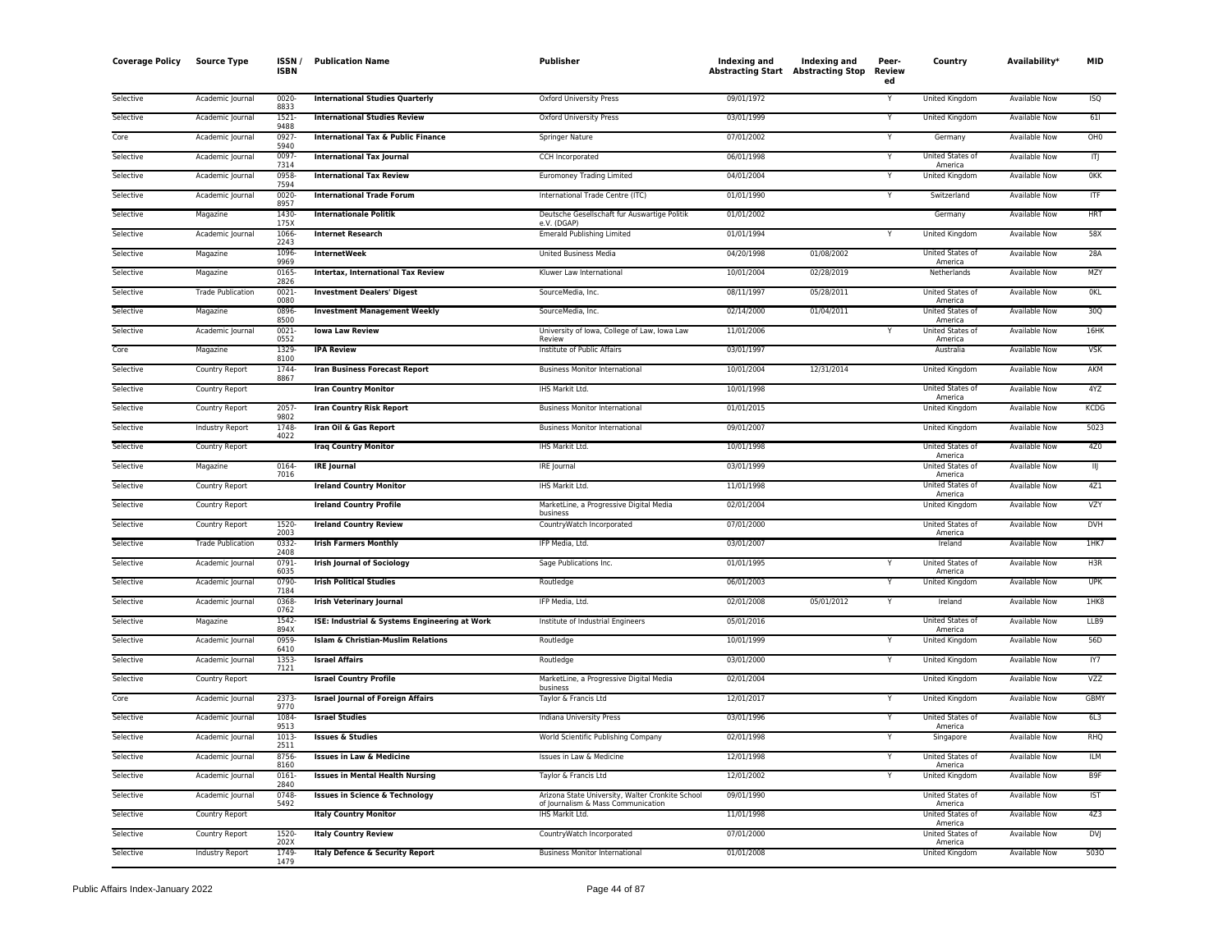| <b>Coverage Policy</b> | <b>Source Type</b>       | <b>ISSN</b><br><b>ISBN</b> | <b>Publication Name</b>                       | Publisher                                                                              | Indexing and<br><b>Abstracting Start Abstracting Stop</b> | Indexing and | Peer-<br>Review<br>ed | Country                            | <b>Availability</b>  | <b>MID</b>      |
|------------------------|--------------------------|----------------------------|-----------------------------------------------|----------------------------------------------------------------------------------------|-----------------------------------------------------------|--------------|-----------------------|------------------------------------|----------------------|-----------------|
| Selective              | Academic Journal         | $0020 -$<br>8833           | <b>International Studies Quarterly</b>        | Oxford University Press                                                                | 09/01/1972                                                |              | Y                     | United Kingdom                     | Available Now        | <b>ISQ</b>      |
| Selective              | Academic Journal         | 1521<br>9488               | <b>International Studies Review</b>           | Oxford University Press                                                                | 03/01/1999                                                |              |                       | United Kingdom                     | Available Now        | 611             |
| Core                   | Academic Journal         | 0927<br>5940               | <b>International Tax &amp; Public Finance</b> | Springer Nature                                                                        | 07/01/2002                                                |              | Y                     | Germany                            | Available Now        | OH <sub>0</sub> |
| Selective              | Academic Journal         | 0097<br>7314               | <b>International Tax Journal</b>              | CCH Incorporated                                                                       | 06/01/1998                                                |              | Ÿ                     | United States of<br>America        | <b>Available Now</b> | 帀               |
| Selective              | Academic Journal         | 0958-<br>7594              | <b>International Tax Review</b>               | <b>Euromoney Trading Limited</b>                                                       | 04/01/2004                                                |              |                       | United Kingdom                     | Available Now        | <b>OKK</b>      |
| Selective              | Academic Journal         | 0020-<br>8957              | <b>International Trade Forum</b>              | International Trade Centre (ITC)                                                       | 01/01/1990                                                |              | Υ                     | Switzerland                        | <b>Available Now</b> | $\overline{IF}$ |
| Selective              | Magazine                 | 1430<br>175X               | <b>Internationale Politik</b>                 | Deutsche Gesellschaft fur Auswartige Politik<br>e.V. (DGAP)                            | 01/01/2002                                                |              |                       | Germany                            | <b>Available Now</b> | <b>HRT</b>      |
| Selective              | Academic Journal         | 1066<br>2243               | <b>Internet Research</b>                      | <b>Emerald Publishing Limited</b>                                                      | 01/01/1994                                                |              | Y                     | United Kingdom                     | Available Now        | 58X             |
| Selective              | Magazine                 | 1096<br>9969               | <b>InternetWeek</b>                           | <b>United Business Media</b>                                                           | 04/20/1998                                                | 01/08/2002   |                       | United States of<br>America        | Available Now        | 28A             |
| Selective              | Magazine                 | 0165<br>2826               | <b>Intertax, International Tax Review</b>     | Kluwer Law International                                                               | 10/01/2004                                                | 02/28/2019   |                       | Netherlands                        | <b>Available Now</b> | MZY             |
| Selective              | <b>Trade Publication</b> | 0021<br>0080               | <b>Investment Dealers' Digest</b>             | SourceMedia, Inc.                                                                      | 08/11/1997                                                | 05/28/2011   |                       | United States of<br>America        | Available Now        | <b>OKL</b>      |
| Selective              | Magazine                 | 0896-<br>8500              | <b>Investment Management Weekly</b>           | SourceMedia, Inc.                                                                      | 02/14/2000                                                | 01/04/2011   |                       | United States of<br>America        | <b>Available Now</b> | 30Q             |
| Selective              | Academic Journal         | $0021 -$<br>0552           | <b>Iowa Law Review</b>                        | University of Iowa, College of Law, Iowa Law<br>Review                                 | 11/01/2006                                                |              | Y                     | <b>United States of</b><br>America | <b>Available Now</b> | 16HK            |
| Core                   | Magazine                 | 1329<br>8100               | <b>IPA Review</b>                             | Institute of Public Affairs                                                            | 03/01/1997                                                |              |                       | Australia                          | <b>Available Now</b> | <b>VSK</b>      |
| Selective              | Country Report           | 1744<br>8867               | <b>Iran Business Forecast Report</b>          | <b>Business Monitor International</b>                                                  | 10/01/2004                                                | 12/31/2014   |                       | United Kingdom                     | Available Now        | AKM             |
| Selective              | Country Report           |                            | <b>Iran Country Monitor</b>                   | IHS Markit Ltd.                                                                        | 10/01/1998                                                |              |                       | United States of<br>America        | <b>Available Now</b> | 4YZ             |
| Selective              | Country Report           | 2057<br>9802               | <b>Iran Country Risk Report</b>               | <b>Business Monitor International</b>                                                  | 01/01/2015                                                |              |                       | <b>United Kingdom</b>              | <b>Available Now</b> | <b>KCDG</b>     |
| Selective              | Industry Report          | 1748<br>4022               | Iran Oil & Gas Report                         | <b>Business Monitor International</b>                                                  | 09/01/2007                                                |              |                       | United Kingdom                     | Available Now        | 5023            |
| Selective              | Country Report           |                            | <b>Iraq Country Monitor</b>                   | IHS Markit Ltd.                                                                        | 10/01/1998                                                |              |                       | United States of<br>America        | <b>Available Now</b> | 4Z <sub>0</sub> |
| Selective              | Magazine                 | 0164-<br>7016              | <b>IRE Journal</b>                            | IRE Journal                                                                            | 03/01/1999                                                |              |                       | United States of<br>America        | <b>Available Now</b> | IJ              |
| Selective              | Country Report           |                            | <b>Ireland Country Monitor</b>                | IHS Markit Ltd.                                                                        | 11/01/1998                                                |              |                       | United States of<br>America        | Available Now        | 4Z1             |
| Selective              | Country Report           |                            | <b>Ireland Country Profile</b>                | MarketLine, a Progressive Digital Media<br>business                                    | 02/01/2004                                                |              |                       | United Kingdom                     | Available Now        | VZY             |
| Selective              | Country Report           | 1520-<br>2003              | <b>Ireland Country Review</b>                 | CountryWatch Incorporated                                                              | 07/01/2000                                                |              |                       | United States of<br>America        | Available Now        | <b>DVH</b>      |
| Selective              | <b>Trade Publication</b> | 0332-<br>2408              | <b>Irish Farmers Monthly</b>                  | IFP Media, Ltd.                                                                        | 03/01/2007                                                |              |                       | Ireland                            | Available Now        | 1HK7            |
| Selective              | Academic Journal         | 0791<br>6035               | <b>Irish Journal of Sociology</b>             | Sage Publications Inc.                                                                 | 01/01/1995                                                |              |                       | United States of<br>America        | Available Now        | H3R             |
| Selective              | Academic Journal         | 0790-<br>7184              | <b>Irish Political Studies</b>                | Routledge                                                                              | 06/01/2003                                                |              |                       | <b>United Kingdom</b>              | <b>Available Now</b> | <b>UPK</b>      |
| Selective              | Academic Journal         | 0368<br>0762               | <b>Irish Veterinary Journal</b>               | IFP Media, Ltd.                                                                        | 02/01/2008                                                | 05/01/2012   | Y                     | Ireland                            | <b>Available Now</b> | 1HK8            |
| Selective              | Magazine                 | 1542-<br>894X              | ISE: Industrial & Systems Engineering at Work | Institute of Industrial Engineers                                                      | 05/01/2016                                                |              |                       | United States of<br>America        | <b>Available Now</b> | LLB9            |
| Selective              | Academic Journal         | 0959-<br>6410              | <b>Islam &amp; Christian-Muslim Relations</b> | Routledge                                                                              | 10/01/1999                                                |              |                       | United Kingdom                     | Available Now        | 56D             |
| Selective              | Academic Journal         | 1353<br>7121               | <b>Israel Affairs</b>                         | Routledge                                                                              | 03/01/2000                                                |              |                       | United Kingdom                     | <b>Available Now</b> | IY7             |
| Selective              | Country Report           |                            | <b>Israel Country Profile</b>                 | MarketLine, a Progressive Digital Media<br>business                                    | 02/01/2004                                                |              |                       | <b>United Kingdom</b>              | <b>Available Now</b> | <b>VZZ</b>      |
| Core                   | Academic Journal         | 2373-<br>9770              | <b>Israel Journal of Foreign Affairs</b>      | Taylor & Francis Ltd                                                                   | 12/01/2017                                                |              |                       | United Kingdom                     | Available Now        | <b>GBMY</b>     |
| Selective              | Academic Journal         | 1084<br>9513               | <b>Israel Studies</b>                         | Indiana University Press                                                               | 03/01/1996                                                |              | Y                     | United States of<br>America        | <b>Available Now</b> | 6L3             |
| Selective              | Academic Journal         | 1013<br>2511               | <b>Issues &amp; Studies</b>                   | World Scientific Publishing Company                                                    | 02/01/1998                                                |              |                       | Singapore                          | <b>Available Now</b> | <b>RHO</b>      |
| Selective              | Academic Journal         | 8756<br>8160               | <b>Issues in Law &amp; Medicine</b>           | Issues in Law & Medicine                                                               | 12/01/1998                                                |              |                       | United States of<br>America        | <b>Available Now</b> | <b>ILM</b>      |
| Selective              | Academic Journal         | $0161 -$<br>2840           | <b>Issues in Mental Health Nursing</b>        | Taylor & Francis Ltd                                                                   | 12/01/2002                                                |              | Y                     | United Kingdom                     | Available Now        | B <sub>9F</sub> |
| Selective              | Academic Journal         | 0748-<br>5492              | <b>Issues in Science &amp; Technology</b>     | Arizona State University, Walter Cronkite School<br>of Journalism & Mass Communication | 09/01/1990                                                |              |                       | United States of<br>America        | Available Now        | <b>IST</b>      |
| Selective              | Country Report           |                            | <b>Italy Country Monitor</b>                  | IHS Markit Ltd.                                                                        | 11/01/1998                                                |              |                       | United States of<br>America        | <b>Available Now</b> | 4Z <sub>3</sub> |
| Selective              | Country Report           | 1520-<br>202X              | <b>Italy Country Review</b>                   | CountryWatch Incorporated                                                              | 07/01/2000                                                |              |                       | United States of<br>America        | Available Now        | <b>DVJ</b>      |
| Selective              | <b>Industry Report</b>   | 1749<br>1479               | Italy Defence & Security Report               | <b>Business Monitor International</b>                                                  | 01/01/2008                                                |              |                       | <b>United Kingdom</b>              | <b>Available Now</b> | 5030            |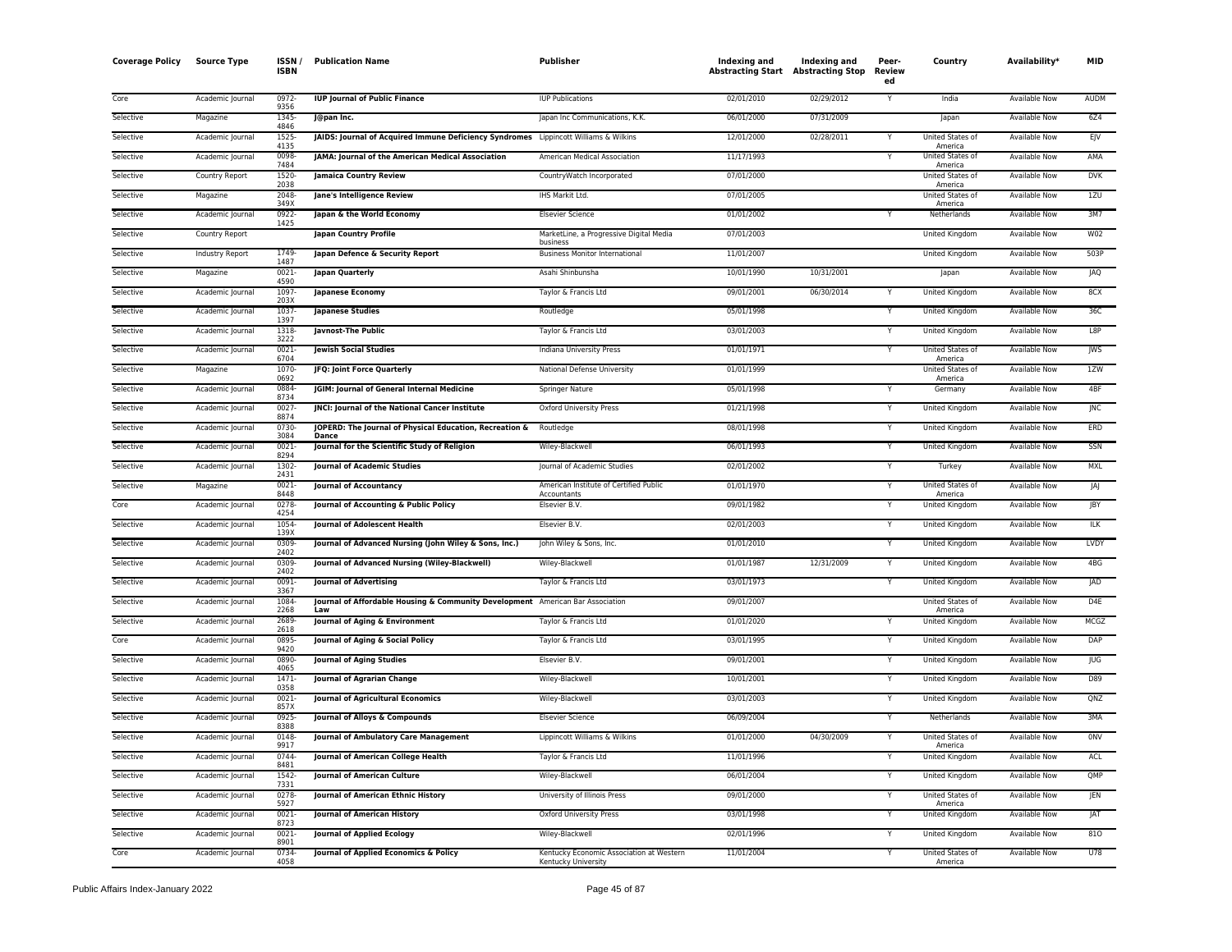| <b>Coverage Policy</b> | <b>Source Type</b> | <b>ISSN</b><br><b>ISBN</b> | <b>Publication Name</b>                                                               | <b>Publisher</b>                                                | Indexing and<br><b>Abstracting Start Abstracting Stop</b> | <b>Indexing and</b> | Peer-<br>Review<br>ed | Country                     | Availability <sup>*</sup> | <b>MID</b>      |
|------------------------|--------------------|----------------------------|---------------------------------------------------------------------------------------|-----------------------------------------------------------------|-----------------------------------------------------------|---------------------|-----------------------|-----------------------------|---------------------------|-----------------|
| Core                   | Academic Journal   | 0972<br>9356               | <b>IUP Journal of Public Finance</b>                                                  | <b>IUP Publications</b>                                         | 02/01/2010                                                | 02/29/2012          |                       | India                       | Available Now             | <b>AUDM</b>     |
| Selective              | Magazine           | 1345<br>4846               | J@pan Inc.                                                                            | Japan Inc Communications, K.K.                                  | 06/01/2000                                                | 07/31/2009          |                       | Japan                       | <b>Available Now</b>      | 6Z4             |
| Selective              | Academic Journal   | 1525<br>4135               | JAIDS: Journal of Acquired Immune Deficiency Syndromes Lippincott Williams & Wilkins  |                                                                 | 12/01/2000                                                | 02/28/2011          |                       | United States of<br>America | Available Now             | EJV             |
| Selective              | Academic Journal   | 0098<br>7484               | JAMA: Journal of the American Medical Association                                     | American Medical Association                                    | 11/17/1993                                                |                     |                       | United States of<br>America | Available Now             | AMA             |
| Selective              | Country Report     | 1520-<br>2038              | <b>Jamaica Country Review</b>                                                         | CountryWatch Incorporated                                       | 07/01/2000                                                |                     |                       | United States of<br>America | Available Now             | <b>DVK</b>      |
| Selective              | Magazine           | 2048<br>349X               | Jane's Intelligence Review                                                            | IHS Markit Ltd.                                                 | 07/01/2005                                                |                     |                       | United States of<br>America | Available Now             | 1ZU             |
| Selective              | Academic Journal   | 0922<br>1425               | Japan & the World Economy                                                             | <b>Elsevier Science</b>                                         | 01/01/2002                                                |                     | Y                     | Netherlands                 | Available Now             | 3M7             |
| Selective              | Country Report     |                            | <b>Japan Country Profile</b>                                                          | MarketLine, a Progressive Digital Media<br>business             | 07/01/2003                                                |                     |                       | United Kingdom              | Available Now             | W02             |
| Selective              | Industry Report    | 1749<br>1487               | Japan Defence & Security Report                                                       | <b>Business Monitor International</b>                           | 11/01/2007                                                |                     |                       | United Kingdom              | Available Now             | 503P            |
| Selective              | Magazine           | 0021<br>4590               | Japan Quarterly                                                                       | Asahi Shinbunsha                                                | 10/01/1990                                                | 10/31/2001          |                       | Japan                       | <b>Available Now</b>      | <b>JAQ</b>      |
| Selective              | Academic Journal   | 1097<br>203X               | Japanese Economy                                                                      | Taylor & Francis Ltd                                            | 09/01/2001                                                | 06/30/2014          |                       | <b>United Kingdom</b>       | <b>Available Now</b>      | 8CX             |
| Selective              | Academic Journal   | 1037<br>1397               | <b>Japanese Studies</b>                                                               | Routledge                                                       | 05/01/1998                                                |                     |                       | United Kingdom              | Available Now             | 36C             |
| Selective              | Academic Journal   | 1318<br>3222               | Javnost-The Public                                                                    | Taylor & Francis Ltd                                            | 03/01/2003                                                |                     |                       | United Kingdom              | <b>Available Now</b>      | L8P             |
| Selective              | Academic Journal   | 0021-<br>6704              | <b>Iewish Social Studies</b>                                                          | Indiana University Press                                        | 01/01/1971                                                |                     |                       | United States of<br>America | Available Now             | JWS             |
| Selective              | Magazine           | 1070<br>0692               | JFQ: Joint Force Quarterly                                                            | National Defense University                                     | 01/01/1999                                                |                     |                       | United States of<br>America | Available Now             | 1ZW             |
| Selective              | Academic Journal   | 0884<br>8734               | JGIM: Journal of General Internal Medicine                                            | <b>Springer Nature</b>                                          | 05/01/1998                                                |                     |                       | Germany                     | <b>Available Now</b>      | 4BF             |
| Selective              | Academic Journal   | 0027<br>8874               | JNCI: Journal of the National Cancer Institute                                        | Oxford University Press                                         | 01/21/1998                                                |                     |                       | United Kingdom              | Available Now             | <b>JNC</b>      |
| Selective              | Academic Journal   | 0730<br>3084               | JOPERD: The Journal of Physical Education, Recreation &<br>Dance                      | Routledge                                                       | 08/01/1998                                                |                     |                       | United Kingdom              | <b>Available Now</b>      | ERD             |
| Selective              | Academic Journal   | $0021 -$<br>8294           | Journal for the Scientific Study of Religion                                          | Wiley-Blackwell                                                 | 06/01/1993                                                |                     |                       | United Kingdom              | <b>Available Now</b>      | SSN             |
| Selective              | Academic Journal   | 1302<br>2431               | <b>Journal of Academic Studies</b>                                                    | Journal of Academic Studies                                     | 02/01/2002                                                |                     |                       | Turkey                      | Available Now             | <b>MXL</b>      |
| Selective              | Magazine           | 0021<br>8448               | <b>Journal of Accountancy</b>                                                         | American Institute of Certified Public<br>Accountants           | 01/01/1970                                                |                     |                       | United States of<br>America | Available Now             | JAJ             |
| Core                   | Academic Journal   | 0278<br>4254               | Journal of Accounting & Public Policy                                                 | Elsevier B.V.                                                   | 09/01/1982                                                |                     |                       | United Kingdom              | Available Now             | JBY             |
| Selective              | Academic Journal   | 1054<br>139X               | <b>Journal of Adolescent Health</b>                                                   | Elsevier B.V.                                                   | 02/01/2003                                                |                     |                       | United Kingdom              | <b>Available Now</b>      | ILK             |
| Selective              | Academic Journal   | 0309<br>2402               | Journal of Advanced Nursing (John Wiley & Sons, Inc.)                                 | John Wiley & Sons, Inc.                                         | 01/01/2010                                                |                     |                       | United Kingdom              | Available Now             | <b>LVDY</b>     |
| Selective              | Academic Journal   | 0309<br>2402               | Journal of Advanced Nursing (Wiley-Blackwell)                                         | Wiley-Blackwell                                                 | 01/01/1987                                                | 12/31/2009          |                       | United Kingdom              | Available Now             | 4BG             |
| Selective              | Academic Journal   | 0091<br>3367               | <b>Journal of Advertising</b>                                                         | Taylor & Francis Ltd                                            | 03/01/1973                                                |                     |                       | <b>United Kingdom</b>       | <b>Available Now</b>      | <b>JAD</b>      |
| Selective              | Academic Journal   | 1084<br>2268               | Journal of Affordable Housing & Community Development American Bar Association<br>Law |                                                                 | 09/01/2007                                                |                     |                       | United States of<br>America | <b>Available Now</b>      | D <sub>4E</sub> |
| Selective              | Academic Journal   | 2689<br>2618               | Journal of Aging & Environment                                                        | Taylor & Francis Ltd                                            | 01/01/2020                                                |                     |                       | United Kingdom              | Available Now             | MCGZ            |
| Core                   | Academic Journal   | 0895<br>9420               | Journal of Aging & Social Policy                                                      | Taylor & Francis Ltd                                            | 03/01/1995                                                |                     |                       | United Kingdom              | Available Now             | DAP             |
| Selective              | Academic Journal   | 0890<br>4065               | <b>Journal of Aging Studies</b>                                                       | Elsevier B.V.                                                   | 09/01/2001                                                |                     |                       | United Kingdom              | Available Now             | JUG             |
| Selective              | Academic Journal   | 1471<br>0358               | <b>Journal of Agrarian Change</b>                                                     | Wiley-Blackwell                                                 | 10/01/2001                                                |                     |                       | United Kingdom              | <b>Available Now</b>      | D89             |
| Selective              | Academic Journal   | $0021 -$<br>857X           | <b>Journal of Agricultural Economics</b>                                              | Wiley-Blackwell                                                 | 03/01/2003                                                |                     |                       | United Kingdom              | <b>Available Now</b>      | QNZ             |
| Selective              | Academic Journal   | 0925<br>8388               | Journal of Alloys & Compounds                                                         | <b>Elsevier Science</b>                                         | 06/09/2004                                                |                     |                       | Netherlands                 | <b>Available Now</b>      | 3MA             |
| Selective              | Academic Journal   | 0148<br>9917               | Journal of Ambulatory Care Management                                                 | Lippincott Williams & Wilkins                                   | 01/01/2000                                                | 04/30/2009          |                       | United States of<br>America | <b>Available Now</b>      | <b>ONV</b>      |
| Selective              | Academic Journal   | 0744-<br>8481              | Journal of American College Health                                                    | Taylor & Francis Ltd                                            | 11/01/1996                                                |                     |                       | United Kingdom              | Available Now             | ACL             |
| Selective              | Academic Journal   | 1542<br>7331               | <b>Journal of American Culture</b>                                                    | Wiley-Blackwell                                                 | 06/01/2004                                                |                     |                       | United Kingdom              | Available Now             | QMP             |
| Selective              | Academic Journal   | 0278<br>5927               | Journal of American Ethnic History                                                    | University of Illinois Press                                    | 09/01/2000                                                |                     |                       | United States of<br>America | <b>Available Now</b>      | <b>JEN</b>      |
| Selective              | Academic Journal   | 0021<br>8723               | Journal of American History                                                           | Oxford University Press                                         | 03/01/1998                                                |                     |                       | United Kingdom              | Available Now             | JAT             |
| Selective              | Academic Journal   | 0021<br>8901               | <b>Journal of Applied Ecology</b>                                                     | Wiley-Blackwell                                                 | 02/01/1996                                                |                     |                       | United Kingdom              | <b>Available Now</b>      | 810             |
| Core                   | Academic Journal   | 0734<br>4058               | Journal of Applied Economics & Policy                                                 | Kentucky Economic Association at Western<br>Kentucky University | 11/01/2004                                                |                     | Y                     | United States of<br>America | Available Now             | U78             |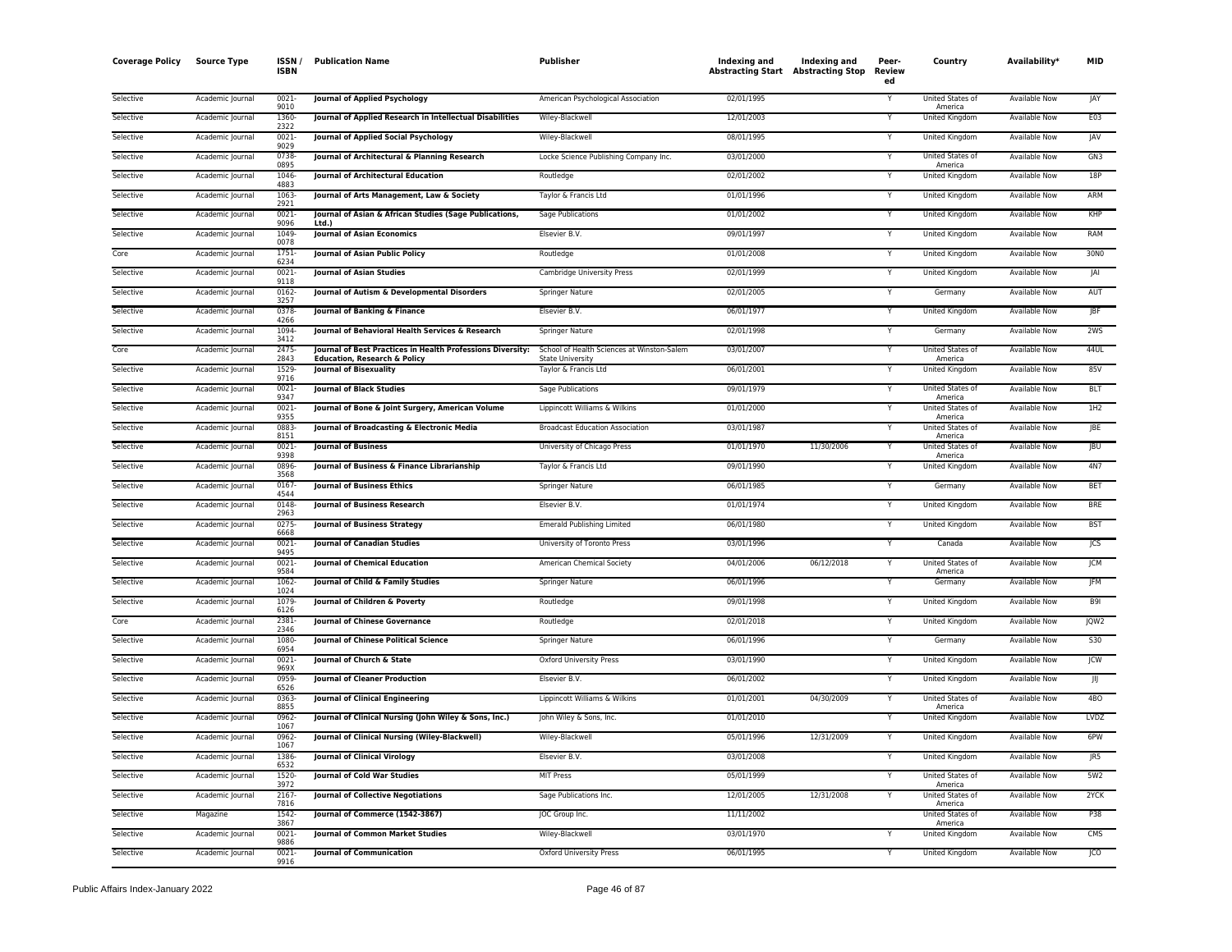| <b>Coverage Policy</b> | <b>Source Type</b> | ISSN.<br>ISBN        | <b>Publication Name</b>                                                  | Publisher                                       | Indexing and<br><b>Abstracting Start Abstracting Stop</b> | <b>Indexing and</b> | Peer-<br>Review<br>ed   | Country                     | Availability <sup>*</sup> | <b>MID</b>      |
|------------------------|--------------------|----------------------|--------------------------------------------------------------------------|-------------------------------------------------|-----------------------------------------------------------|---------------------|-------------------------|-----------------------------|---------------------------|-----------------|
| Selective              | Academic Journal   | 0021<br>9010         | Journal of Applied Psychology                                            | American Psychological Association              | 02/01/1995                                                |                     |                         | United States of<br>America | Available Now             | JAY             |
| Selective              | Academic Journal   | 1360<br>2322         | Journal of Applied Research in Intellectual Disabilities                 | Wiley-Blackwell                                 | 12/01/2003                                                |                     | Y                       | <b>United Kingdom</b>       | <b>Available Now</b>      | E03             |
| Selective              | Academic Journal   | 0021<br>9029         | Journal of Applied Social Psychology                                     | Wiley-Blackwell                                 | 08/01/1995                                                |                     | Y                       | United Kingdom              | Available Now             | <b>JAV</b>      |
| Selective              | Academic Journal   | 0738<br>0895         | Journal of Architectural & Planning Research                             | Locke Science Publishing Company Inc.           | 03/01/2000                                                |                     | Y                       | United States of            | <b>Available Now</b>      | GN3             |
| Selective              | Academic Journal   | 1046<br>4883         | Journal of Architectural Education                                       | Routledge                                       | 02/01/2002                                                |                     | Υ                       | America<br>United Kingdom   | Available Now             | 18P             |
| Selective              | Academic Journal   | 1063                 | Journal of Arts Management, Law & Society                                | Taylor & Francis Ltd                            | 01/01/1996                                                |                     | Y                       | United Kingdom              | Available Now             | ARM             |
| Selective              | Academic Journal   | 2921<br>0021         | Journal of Asian & African Studies (Sage Publications,<br>Ltd.           | Sage Publications                               | 01/01/2002                                                |                     | Y                       | United Kingdom              | Available Now             | KHP             |
| Selective              | Academic Journal   | 9096<br>1049<br>0078 | <b>Journal of Asian Economics</b>                                        | Elsevier B.V.                                   | 09/01/1997                                                |                     |                         | United Kingdom              | <b>Available Now</b>      | RAM             |
| Core                   | Academic Journal   | 1751<br>6234         | Journal of Asian Public Policy                                           | Routledge                                       | 01/01/2008                                                |                     | Y                       | United Kingdom              | Available Now             | 30NO            |
| Selective              | Academic Journal   | $0021 -$             | <b>Journal of Asian Studies</b>                                          | Cambridge University Press                      | 02/01/1999                                                |                     | Y                       | United Kingdom              | Available Now             | JAI             |
| Selective              | Academic Journal   | 9118<br>0162         | Journal of Autism & Developmental Disorders                              | Springer Nature                                 | 02/01/2005                                                |                     | v                       | Germany                     | <b>Available Now</b>      | AUT             |
| Selective              | Academic Journal   | 3257<br>0378         | Journal of Banking & Finance                                             | Elsevier B.V.                                   | 06/01/1977                                                |                     | Υ                       | United Kingdom              | Available Now             | JBF             |
| Selective              | Academic Journal   | 4266<br>1094         | Journal of Behavioral Health Services & Research                         | Springer Nature                                 | 02/01/1998                                                |                     | Υ                       | Germany                     | Available Now             | 2WS             |
| Core                   | Academic Journal   | 3412<br>2475         | Journal of Best Practices in Health Professions Diversity:               | School of Health Sciences at Winston-Salem      | 03/01/2007                                                |                     | Y                       | United States of            | Available Now             | 44UL            |
| Selective              | Academic Journal   | 2843<br>1529         | <b>Education, Research &amp; Policy</b><br><b>Journal of Bisexuality</b> | <b>State University</b><br>Taylor & Francis Ltd | 06/01/2001                                                |                     |                         | America<br>United Kingdom   | Available Now             | 85V             |
| Selective              | Academic Journal   | 9716<br>0021<br>9347 | <b>Iournal of Black Studies</b>                                          | Sage Publications                               | 09/01/1979                                                |                     | Y                       | United States of            | <b>Available Now</b>      | <b>BLT</b>      |
| Selective              | Academic Journal   | 0021                 | Journal of Bone & Joint Surgery, American Volume                         | Lippincott Williams & Wilkins                   | 01/01/2000                                                |                     | Y                       | America<br>United States of | <b>Available Now</b>      | 1H <sub>2</sub> |
| Selective              | Academic Journal   | 9355<br>0883         | Journal of Broadcasting & Electronic Media                               | <b>Broadcast Education Association</b>          | 03/01/1987                                                |                     |                         | America<br>United States of | Available Now             | <b>JBE</b>      |
| Selective              | Academic Journal   | 8151<br>0021         | <b>Journal of Business</b>                                               | University of Chicago Press                     | 01/01/1970                                                | 11/30/2006          | Y                       | America<br>United States of | Available Now             | <b>JBU</b>      |
| Selective              | Academic Journal   | 9398<br>0896<br>3568 | Journal of Business & Finance Librarianship                              | Taylor & Francis Ltd                            | 09/01/1990                                                |                     |                         | America<br>United Kingdom   | Available Now             | 4N7             |
| Selective              | Academic Journal   | 0167                 | <b>Journal of Business Ethics</b>                                        | Springer Nature                                 | 06/01/1985                                                |                     | $\overline{\mathsf{Y}}$ | Germany                     | <b>Available Now</b>      | <b>BET</b>      |
| Selective              | Academic Journal   | 4544<br>0148<br>2963 | Journal of Business Research                                             | Elsevier B.V.                                   | 01/01/1974                                                |                     | Y                       | <b>United Kingdom</b>       | <b>Available Now</b>      | <b>BRE</b>      |
| Selective              | Academic Journal   | 0275                 | <b>Journal of Business Strategy</b>                                      | <b>Emerald Publishing Limited</b>               | 06/01/1980                                                |                     | Y                       | <b>United Kingdom</b>       | <b>Available Now</b>      | <b>BST</b>      |
| Selective              | Academic Journal   | 6668<br>0021<br>9495 | Journal of Canadian Studies                                              | University of Toronto Press                     | 03/01/1996                                                |                     | Y                       | Canada                      | Available Now             | JCS             |
| Selective              | Academic Journal   | 0021<br>9584         | <b>Journal of Chemical Education</b>                                     | American Chemical Society                       | 04/01/2006                                                | 06/12/2018          |                         | United States of<br>America | Available Now             | <b>ICM</b>      |
| Selective              | Academic Journal   | 1062<br>1024         | Journal of Child & Family Studies                                        | Springer Nature                                 | 06/01/1996                                                |                     | Y                       | Germany                     | <b>Available Now</b>      | <b>IFM</b>      |
| Selective              | Academic Journal   | 1079-<br>6126        | Journal of Children & Poverty                                            | Routledge                                       | 09/01/1998                                                |                     |                         | United Kingdom              | Available Now             | <b>B91</b>      |
| Core                   | Academic Journal   | 2381<br>2346         | <b>Journal of Chinese Governance</b>                                     | Routledge                                       | 02/01/2018                                                |                     |                         | <b>United Kingdom</b>       | <b>Available Now</b>      | JQW2            |
| Selective              | Academic Journal   | 1080<br>6954         | Journal of Chinese Political Science                                     | Springer Nature                                 | 06/01/1996                                                |                     | Y                       | Germany                     | Available Now             | S30             |
| Selective              | Academic Journal   | 0021<br>969X         | Journal of Church & State                                                | Oxford University Press                         | 03/01/1990                                                |                     | Y                       | United Kingdom              | Available Now             | <b>JCW</b>      |
| Selective              | Academic Journal   | 0959<br>6526         | Journal of Cleaner Production                                            | Elsevier B.V.                                   | 06/01/2002                                                |                     | Y                       | United Kingdom              | Available Now             | JIJ             |
| Selective              | Academic Journal   | 0363<br>8855         | Journal of Clinical Engineering                                          | Lippincott Williams & Wilkins                   | 01/01/2001                                                | 04/30/2009          |                         | United States of<br>America | <b>Available Now</b>      | 4BO             |
| Selective              | Academic Journal   | 0962<br>1067         | Journal of Clinical Nursing (John Wiley & Sons, Inc.)                    | John Wiley & Sons, Inc.                         | 01/01/2010                                                |                     | Y                       | United Kingdom              | Available Now             | LVDZ            |
| Selective              | Academic Journal   | 0962<br>1067         | Journal of Clinical Nursing (Wiley-Blackwell)                            | Wiley-Blackwell                                 | 05/01/1996                                                | 12/31/2009          | Y                       | <b>United Kingdom</b>       | <b>Available Now</b>      | 6PW             |
| Selective              | Academic Journal   | 1386<br>6532         | <b>Journal of Clinical Virology</b>                                      | Elsevier B.V.                                   | 03/01/2008                                                |                     |                         | <b>United Kingdom</b>       | <b>Available Now</b>      | JR5             |
| Selective              | Academic Journal   | 1520<br>3972         | Journal of Cold War Studies                                              | <b>MIT Press</b>                                | 05/01/1999                                                |                     |                         | United States of<br>America | Available Now             | 5W2             |
| Selective              | Academic Journal   | 2167<br>7816         | <b>Journal of Collective Negotiations</b>                                | Sage Publications Inc.                          | 12/01/2005                                                | 12/31/2008          | Y                       | United States of<br>America | Available Now             | 2YCK            |
| Selective              | Magazine           | 1542<br>3867         | Journal of Commerce (1542-3867)                                          | JOC Group Inc.                                  | 11/11/2002                                                |                     |                         | United States of<br>America | Available Now             | <b>P38</b>      |
| Selective              | Academic Journal   | 0021<br>9886         | Journal of Common Market Studies                                         | Wiley-Blackwell                                 | 03/01/1970                                                |                     |                         | United Kingdom              | Available Now             | CMS             |
| Selective              | Academic Journal   | 0021-<br>9916        | <b>Journal of Communication</b>                                          | <b>Oxford University Press</b>                  | 06/01/1995                                                |                     | Y                       | <b>United Kingdom</b>       | <b>Available Now</b>      | ICO             |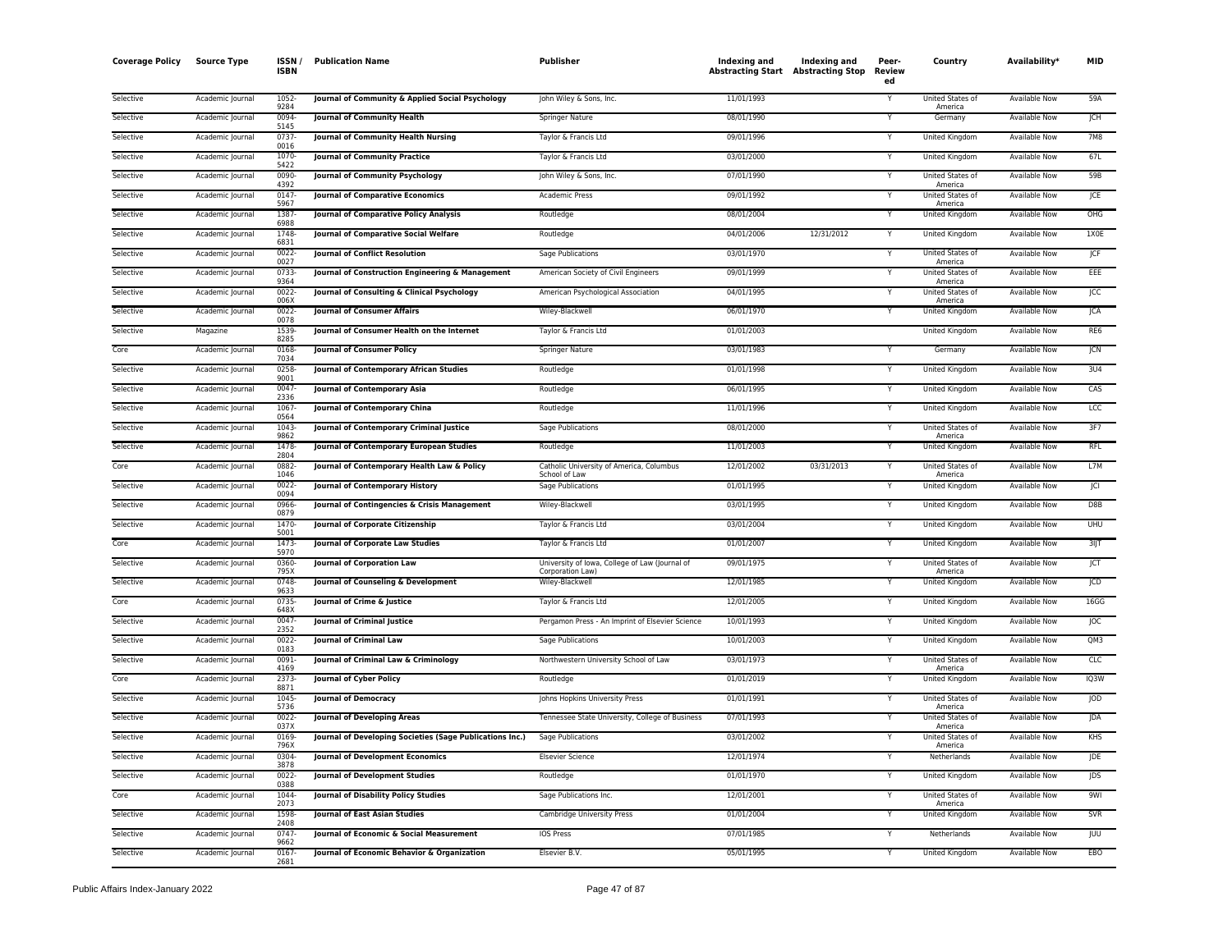| <b>Coverage Policy</b> | <b>Source Type</b> | ISSN<br>ISBN  | <b>Publication Name</b>                                  | Publisher                                                          | Indexing and<br><b>Abstracting Start Abstracting Stop</b> | Indexing and | Peer-<br>Review<br>ed | Country                     | Availability*        | MID              |
|------------------------|--------------------|---------------|----------------------------------------------------------|--------------------------------------------------------------------|-----------------------------------------------------------|--------------|-----------------------|-----------------------------|----------------------|------------------|
| Selective              | Academic Journal   | 1052<br>9284  | Journal of Community & Applied Social Psychology         | John Wiley & Sons, Inc.                                            | 11/01/1993                                                |              |                       | United States of<br>America | <b>Available Now</b> | 59A              |
| Selective              | Academic Journal   | 0094<br>5145  | Journal of Community Health                              | Springer Nature                                                    | 08/01/1990                                                |              | Y                     | Germany                     | Available Now        | JCH              |
| Selective              | Academic Journal   | 0737<br>0016  | <b>Journal of Community Health Nursing</b>               | Taylor & Francis Ltd                                               | 09/01/1996                                                |              | Υ                     | <b>United Kingdom</b>       | <b>Available Now</b> | <b>7M8</b>       |
| Selective              | Academic Journal   | 1070<br>5422  | <b>Journal of Community Practice</b>                     | Taylor & Francis Ltd                                               | 03/01/2000                                                |              | Y                     | United Kingdom              | Available Now        | 67L              |
| Selective              | Academic Journal   | 0090<br>4392  | <b>Journal of Community Psychology</b>                   | John Wiley & Sons, Inc.                                            | 07/01/1990                                                |              | Y                     | United States of<br>America | <b>Available Now</b> | 59B              |
| Selective              | Academic Journal   | 0147<br>5967  | <b>Journal of Comparative Economics</b>                  | Academic Press                                                     | 09/01/1992                                                |              | v                     | United States of<br>America | <b>Available Now</b> | <b>JCE</b>       |
| Selective              | Academic Journal   | 1387<br>6988  | Journal of Comparative Policy Analysis                   | Routledge                                                          | 08/01/2004                                                |              | Y                     | United Kingdom              | Available Now        | OHG              |
| Selective              | Academic Journal   | 1748<br>6831  | Journal of Comparative Social Welfare                    | Routledge                                                          | 04/01/2006                                                | 12/31/2012   | Y                     | United Kingdom              | Available Now        | 1X0E             |
| Selective              | Academic Journal   | 0022<br>0027  | <b>Journal of Conflict Resolution</b>                    | Sage Publications                                                  | 03/01/1970                                                |              | Y                     | United States of<br>America | Available Now        | JCF              |
| Selective              | Academic Journal   | 0733<br>9364  | Journal of Construction Engineering & Management         | American Society of Civil Engineers                                | 09/01/1999                                                |              |                       | United States of<br>America | <b>Available Now</b> | EEE              |
| Selective              | Academic Journal   | 0022<br>006X  | Journal of Consulting & Clinical Psychology              | American Psychological Association                                 | 04/01/1995                                                |              | Υ                     | <b>United States of</b>     | <b>Available Now</b> | CC               |
| Selective              | Academic Journal   | 0022<br>0078  | <b>Journal of Consumer Affairs</b>                       | Wiley-Blackwell                                                    | 06/01/1970                                                |              | Y                     | America<br>United Kingdom   | Available Now        | JCA              |
| Selective              | Magazine           | 1539<br>8285  | Journal of Consumer Health on the Internet               | Taylor & Francis Ltd                                               | 01/01/2003                                                |              |                       | United Kingdom              | Available Now        | RE <sub>6</sub>  |
| Core                   | Academic Journal   | 0168<br>7034  | <b>Journal of Consumer Policy</b>                        | Springer Nature                                                    | 03/01/1983                                                |              | Y                     | Germany                     | Available Now        | JCN              |
| Selective              | Academic Journal   | 0258<br>9001  | Journal of Contemporary African Studies                  | Routledge                                                          | 01/01/1998                                                |              |                       | United Kingdom              | Available Now        | 3U4              |
| Selective              | Academic Journal   | 0047<br>2336  | Journal of Contemporary Asia                             | Routledge                                                          | 06/01/1995                                                |              | Y                     | <b>United Kingdom</b>       | <b>Available Now</b> | CAS              |
| Selective              | Academic Journal   | 1067<br>0564  | Journal of Contemporary China                            | Routledge                                                          | 11/01/1996                                                |              | Y                     | United Kingdom              | <b>Available Now</b> | <b>LCC</b>       |
| Selective              | Academic Journal   | 1043<br>9862  | Journal of Contemporary Criminal Justice                 | Sage Publications                                                  | 08/01/2000                                                |              | Υ                     | United States of<br>America | <b>Available Now</b> | 3F7              |
| Selective              | Academic Journal   | 1478<br>2804  | Journal of Contemporary European Studies                 | Routledge                                                          | 11/01/2003                                                |              | Υ                     | United Kingdom              | Available Now        | <b>RFL</b>       |
| Core                   | Academic Journal   | 0882<br>1046  | Journal of Contemporary Health Law & Policy              | Catholic University of America, Columbus<br>School of Law          | 12/01/2002                                                | 03/31/2013   |                       | United States of<br>America | <b>Available Now</b> | L7M              |
| Selective              | Academic Journal   | 0022<br>0094  | Journal of Contemporary History                          | Sage Publications                                                  | 01/01/1995                                                |              |                       | United Kingdom              | Available Now        | JCI              |
| Selective              | Academic Journal   | 0966<br>0879  | Journal of Contingencies & Crisis Management             | Wiley-Blackwell                                                    | 03/01/1995                                                |              | Y                     | <b>United Kingdom</b>       | <b>Available Now</b> | D <sub>8</sub> B |
| Selective              | Academic Journal   | 1470<br>5001  | Journal of Corporate Citizenship                         | Taylor & Francis Ltd                                               | 03/01/2004                                                |              | Y                     | United Kingdom              | <b>Available Now</b> | <b>UHU</b>       |
| Core                   | Academic Journal   | 1473<br>5970  | Journal of Corporate Law Studies                         | Taylor & Francis Ltd                                               | 01/01/2007                                                |              | Y                     | <b>United Kingdom</b>       | <b>Available Now</b> | $3$ IJT          |
| Selective              | Academic Journal   | 0360<br>795X  | Journal of Corporation Law                               | University of Iowa, College of Law (Journal of<br>Corporation Law) | 09/01/1975                                                |              |                       | United States of<br>America | Available Now        | JCT              |
| Selective              | Academic Journal   | 0748<br>9633  | Journal of Counseling & Development                      | Wiley-Blackwell                                                    | 12/01/1985                                                |              | Y                     | <b>United Kingdom</b>       | <b>Available Now</b> | <b>JCD</b>       |
| Core                   | Academic Journal   | 0735<br>648X  | Journal of Crime & Justice                               | Taylor & Francis Ltd                                               | 12/01/2005                                                |              | Y                     | United Kingdom              | Available Now        | 16G              |
| Selective              | Academic Journal   | 0047<br>2352  | <b>Journal of Criminal Justice</b>                       | Pergamon Press - An Imprint of Elsevier Science                    | 10/01/1993                                                |              |                       | United Kingdom              | <b>Available Now</b> | JOC              |
| Selective              | Academic Journal   | 0022-<br>0183 | <b>Journal of Criminal Law</b>                           | Sage Publications                                                  | 10/01/2003                                                |              | Y                     | United Kingdom              | <b>Available Now</b> | QM3              |
| Selective              | Academic Journal   | 0091<br>4169  | Journal of Criminal Law & Criminology                    | Northwestern University School of Law                              | 03/01/1973                                                |              |                       | United States of<br>America | Available Now        | CLC              |
| Core                   | Academic Journal   | 2373<br>8871  | Journal of Cyber Policy                                  | Routledge                                                          | 01/01/2019                                                |              | Y                     | United Kingdom              | Available Now        | IQ3W             |
| Selective              | Academic Journal   | 1045<br>5736  | <b>Journal of Democracy</b>                              | Johns Hopkins University Press                                     | 01/01/1991                                                |              | Υ                     | United States of<br>America | <b>Available Now</b> | IOD              |
| Selective              | Academic Journal   | 0022<br>037X  | Journal of Developing Areas                              | Tennessee State University, College of Business                    | 07/01/1993                                                |              | Y                     | United States of<br>America | <b>Available Now</b> | JDA              |
| Selective              | Academic Journal   | 0169<br>796X  | Journal of Developing Societies (Sage Publications Inc.) | Sage Publications                                                  | 03/01/2002                                                |              |                       | United States of<br>America | <b>Available Now</b> | <b>KHS</b>       |
| Selective              | Academic Journal   | 0304<br>3878  | <b>Journal of Development Economics</b>                  | <b>Elsevier Science</b>                                            | 12/01/1974                                                |              |                       | Netherlands                 | <b>Available Now</b> | JDE              |
| Selective              | Academic Journal   | 0022<br>0388  | Journal of Development Studies                           | Routledge                                                          | 01/01/1970                                                |              | Y                     | United Kingdom              | Available Now        | JDS              |
| Core                   | Academic Journal   | 1044<br>2073  | Journal of Disability Policy Studies                     | Sage Publications Inc.                                             | 12/01/2001                                                |              | Y                     | United States of<br>America | Available Now        | 9 <sub>WI</sub>  |
| Selective              | Academic Journal   | 1598<br>2408  | <b>Journal of East Asian Studies</b>                     | Cambridge University Press                                         | 01/01/2004                                                |              |                       | <b>United Kingdom</b>       | Available Now        | SVR              |
| Selective              | Academic Journal   | 0747<br>9662  | Journal of Economic & Social Measurement                 | IOS Press                                                          | 07/01/1985                                                |              |                       | Netherlands                 | Available Now        | <b>JUU</b>       |
| Selective              | Academic Journal   | 0167<br>2681  | Journal of Economic Behavior & Organization              | Elsevier B.V.                                                      | 05/01/1995                                                |              | Y                     | United Kingdom              | <b>Available Now</b> | EBO              |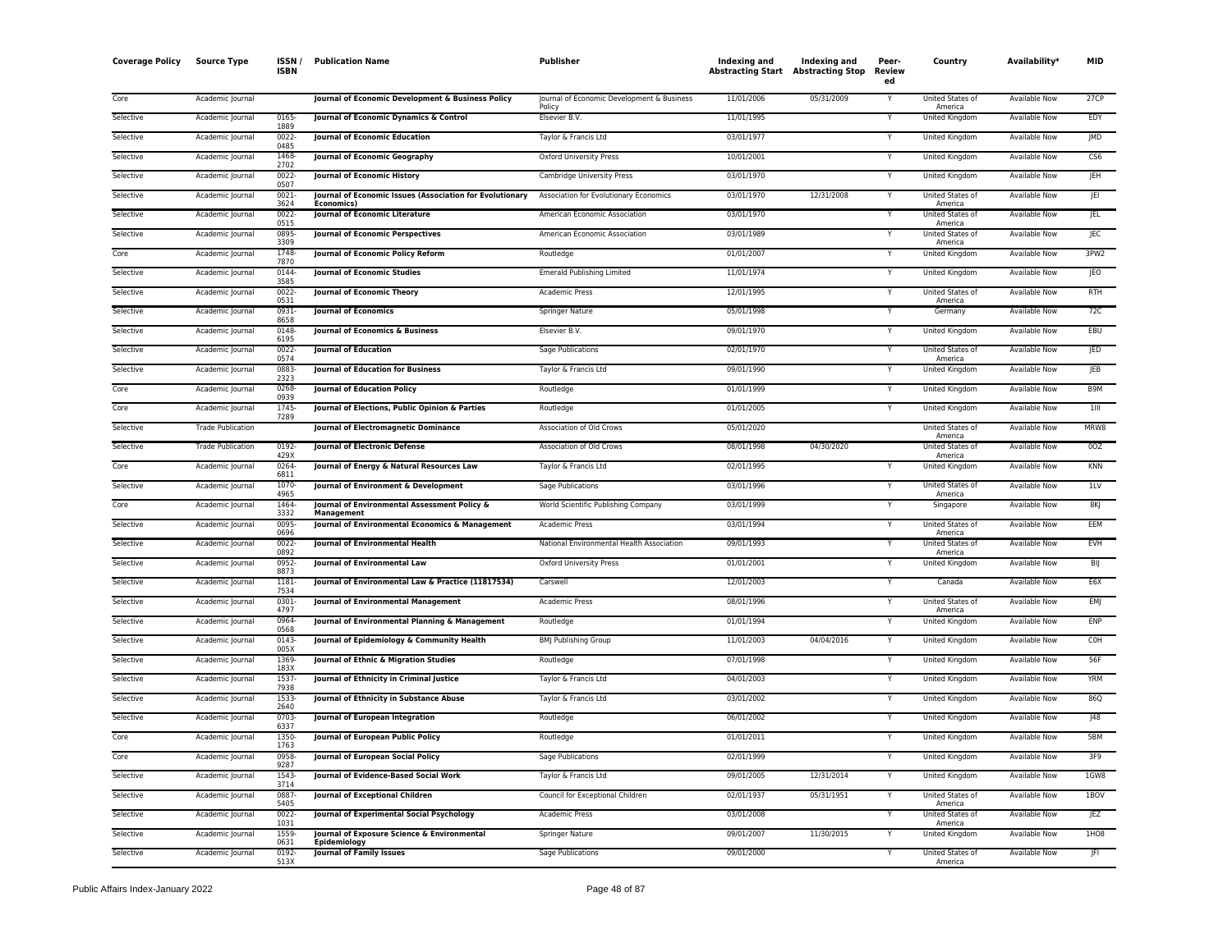| <b>Coverage Policy</b> | <b>Source Type</b>       | ISSN /<br><b>ISBN</b> | <b>Publication Name</b>                                                | <b>Publisher</b>                                     | Indexing and<br><b>Abstracting Start Abstracting Stop</b> | <b>Indexing and</b> | Peer-<br>Review<br>ed | Country                     | Availability*        | <b>MID</b>        |
|------------------------|--------------------------|-----------------------|------------------------------------------------------------------------|------------------------------------------------------|-----------------------------------------------------------|---------------------|-----------------------|-----------------------------|----------------------|-------------------|
| Core                   | Academic Journal         |                       | Journal of Economic Development & Business Policy                      | Journal of Economic Development & Business<br>Policy | 11/01/2006                                                | 05/31/2009          |                       | United States of<br>America | Available Now        | 27CP              |
| Selective              | Academic Journal         | 0165-<br>1889         | Journal of Economic Dynamics & Control                                 | Elsevier B.V.                                        | 11/01/1995                                                |                     | Y                     | <b>United Kingdom</b>       | <b>Available Now</b> | EDY               |
| Selective              | Academic Journal         | 0022-<br>0485         | Journal of Economic Education                                          | Taylor & Francis Ltd                                 | 03/01/1977                                                |                     |                       | United Kingdom              | Available Now        | JMD               |
| Selective              | Academic Journal         | 1468<br>2702          | Journal of Economic Geography                                          | <b>Oxford University Press</b>                       | 10/01/2001                                                |                     | Y                     | United Kingdom              | <b>Available Now</b> | CS6               |
| Selective              | Academic Journal         | 0022<br>0507          | Journal of Economic History                                            | Cambridge University Press                           | 03/01/1970                                                |                     | Y                     | United Kingdom              | Available Now        | JEH               |
| Selective              | Academic Journal         | 0021<br>3624          | Journal of Economic Issues (Association for Evolutionary<br>Economics) | Association for Evolutionary Economics               | 03/01/1970                                                | 12/31/2008          | Y                     | United States of<br>America | Available Now        | <b>JEI</b>        |
| Selective              | Academic Journal         | 0022-<br>0515         | Journal of Economic Literature                                         | American Economic Association                        | 03/01/1970                                                |                     | Y                     | United States of<br>America | Available Now        | JEL               |
| Selective              | Academic Journal         | 0895-<br>3309         | Journal of Economic Perspectives                                       | American Economic Association                        | 03/01/1989                                                |                     |                       | United States of<br>America | Available Now        | <b>JEC</b>        |
| Core                   | Academic Journal         | 1748<br>7870          | Journal of Economic Policy Reform                                      | Routledge                                            | 01/01/2007                                                |                     | Y                     | United Kingdom              | <b>Available Now</b> | 3PW <sub>2</sub>  |
| Selective              | Academic Journal         | 0144<br>3585          | Journal of Economic Studies                                            | <b>Emerald Publishing Limited</b>                    | 11/01/1974                                                |                     | Y                     | United Kingdom              | <b>Available Now</b> | JEO               |
| Selective              | Academic Journal         | 0022<br>0531          | Journal of Economic Theory                                             | <b>Academic Press</b>                                | 12/01/1995                                                |                     | Y                     | United States of<br>America | <b>Available Now</b> | <b>RTH</b>        |
| Selective              | Academic Journal         | 0931<br>8658          | <b>Journal of Economics</b>                                            | Springer Nature                                      | 05/01/1998                                                |                     |                       | Germany                     | Available Now        | 72C               |
| Selective              | Academic Journal         | 0148<br>6195          | Journal of Economics & Business                                        | Elsevier B.V.                                        | 09/01/1970                                                |                     | Υ                     | United Kingdom              | Available Now        | EBU               |
| Selective              | Academic Journal         | 0022-<br>0574         | <b>Journal of Education</b>                                            | Sage Publications                                    | 02/01/1970                                                |                     | Y                     | United States of<br>America | Available Now        | JED               |
| Selective              | Academic Journal         | 0883<br>2323          | <b>Journal of Education for Business</b>                               | Taylor & Francis Ltd                                 | 09/01/1990                                                |                     |                       | United Kingdom              | Available Now        | <b>IEB</b>        |
| Core                   | Academic Journal         | 0268<br>0939          | Journal of Education Policy                                            | Routledge                                            | 01/01/1999                                                |                     | Y                     | <b>United Kingdom</b>       | <b>Available Now</b> | B9M               |
| Core                   | Academic Journal         | 1745<br>7289          | Journal of Elections, Public Opinion & Parties                         | Routledge                                            | 01/01/2005                                                |                     | Y                     | United Kingdom              | Available Now        | 1III              |
| Selective              | <b>Trade Publication</b> |                       | <b>Journal of Electromagnetic Dominance</b>                            | Association of Old Crows                             | 05/01/2020                                                |                     |                       | United States of<br>America | <b>Available Now</b> | MRW8              |
| Selective              | <b>Trade Publication</b> | 0192-<br>429X         | Journal of Electronic Defense                                          | Association of Old Crows                             | 08/01/1998                                                | 04/30/2020          |                       | United States of<br>America | Available Now        | 0OZ               |
| Core                   | Academic Journal         | 0264<br>6811          | Journal of Energy & Natural Resources Law                              | Taylor & Francis Ltd                                 | 02/01/1995                                                |                     |                       | United Kingdom              | <b>Available Now</b> | KNN               |
| Selective              | Academic Journal         | 1070-<br>4965         | Journal of Environment & Development                                   | Sage Publications                                    | 03/01/1996                                                |                     |                       | United States of<br>America | <b>Available Now</b> | 11V               |
| Core                   | Academic Journal         | 1464<br>3332          | Journal of Environmental Assessment Policy &<br>Management             | World Scientific Publishing Company                  | 03/01/1999                                                |                     |                       | Singapore                   | <b>Available Now</b> | 8KJ               |
| Selective              | Academic Journal         | 0095-<br>0696         | Journal of Environmental Economics & Management                        | <b>Academic Press</b>                                | 03/01/1994                                                |                     | Y                     | United States of<br>America | <b>Available Now</b> | EEM               |
| Selective              | Academic Journal         | 0022<br>0892          | Journal of Environmental Health                                        | National Environmental Health Association            | 09/01/1993                                                |                     |                       | United States of<br>America | <b>Available Now</b> | <b>EVH</b>        |
| Selective              | Academic Journal         | 0952<br>8873          | Journal of Environmental Law                                           | Oxford University Press                              | 01/01/2001                                                |                     | Y                     | United Kingdom              | Available Now        | BIJ               |
| Selective              | Academic Journal         | 1181<br>7534          | Journal of Environmental Law & Practice (11817534)                     | Carswell                                             | 12/01/2003                                                |                     | Y                     | Canada                      | Available Now        | E6X               |
| Selective              | Academic Journal         | 0301-<br>4797         | Journal of Environmental Management                                    | <b>Academic Press</b>                                | 08/01/1996                                                |                     |                       | United States of<br>America | <b>Available Now</b> | EMJ               |
| Selective              | Academic Journal         | 0964<br>0568          | Journal of Environmental Planning & Management                         | Routledge                                            | 01/01/1994                                                |                     |                       | United Kingdom              | Available Now        | ENP               |
| Selective              | Academic Journal         | 0143<br>005X          | Journal of Epidemiology & Community Health                             | <b>BMJ Publishing Group</b>                          | 11/01/2003                                                | 04/04/2016          | Υ                     | United Kingdom              | <b>Available Now</b> | <b>COH</b>        |
| Selective              | Academic Journal         | 1369-<br>183X         | Journal of Ethnic & Migration Studies                                  | Routledge                                            | 07/01/1998                                                |                     |                       | United Kingdom              | Available Now        | 56F               |
| Selective              | Academic Journal         | 1537<br>7938          | Journal of Ethnicity in Criminal Justice                               | Taylor & Francis Ltd                                 | 04/01/2003                                                |                     | Y                     | United Kingdom              | Available Now        | <b>YRM</b>        |
| Selective              | Academic Journal         | 1533-<br>2640         | Journal of Ethnicity in Substance Abuse                                | Taylor & Francis Ltd                                 | 03/01/2002                                                |                     |                       | United Kingdom              | Available Now        | 86Q               |
| Selective              | Academic Journal         | 0703<br>6337          | Journal of European Integration                                        | Routledge                                            | 06/01/2002                                                |                     | Y                     | United Kingdom              | Available Now        | J48               |
| Core                   | Academic Journal         | 1350<br>1763          | Journal of European Public Policy                                      | Routledge                                            | 01/01/2011                                                |                     | Y                     | United Kingdom              | Available Now        | 5BM               |
| Core                   | Academic Journal         | 0958<br>9287          | Journal of European Social Policy                                      | Sage Publications                                    | 02/01/1999                                                |                     |                       | United Kingdom              | Available Now        | 3F9               |
| Selective              | Academic Journal         | 1543<br>3714          | Journal of Evidence-Based Social Work                                  | Taylor & Francis Ltd                                 | 09/01/2005                                                | 12/31/2014          | Y                     | <b>United Kingdom</b>       | <b>Available Now</b> | 1GW8              |
| Selective              | Academic Journal         | 0887<br>5405          | Journal of Exceptional Children                                        | Council for Exceptional Children                     | 02/01/1937                                                | 05/31/1951          | Y                     | United States of<br>America | Available Now        | 1BOV              |
| Selective              | Academic Journal         | 0022-<br>1031         | Journal of Experimental Social Psychology                              | Academic Press                                       | 03/01/2008                                                |                     |                       | United States of<br>America | <b>Available Now</b> | JEZ               |
| Selective              | Academic Journal         | 1559<br>0631          | Journal of Exposure Science & Environmental<br>Epidemiology            | Springer Nature                                      | 09/01/2007                                                | 11/30/2015          |                       | United Kingdom              | Available Now        | 1H <sub>O</sub> 8 |
| Selective              | Academic Journal         | 0192-<br>513X         | <b>Journal of Family Issues</b>                                        | Sage Publications                                    | 09/01/2000                                                |                     | Y                     | United States of<br>America | <b>Available Now</b> | JFI.              |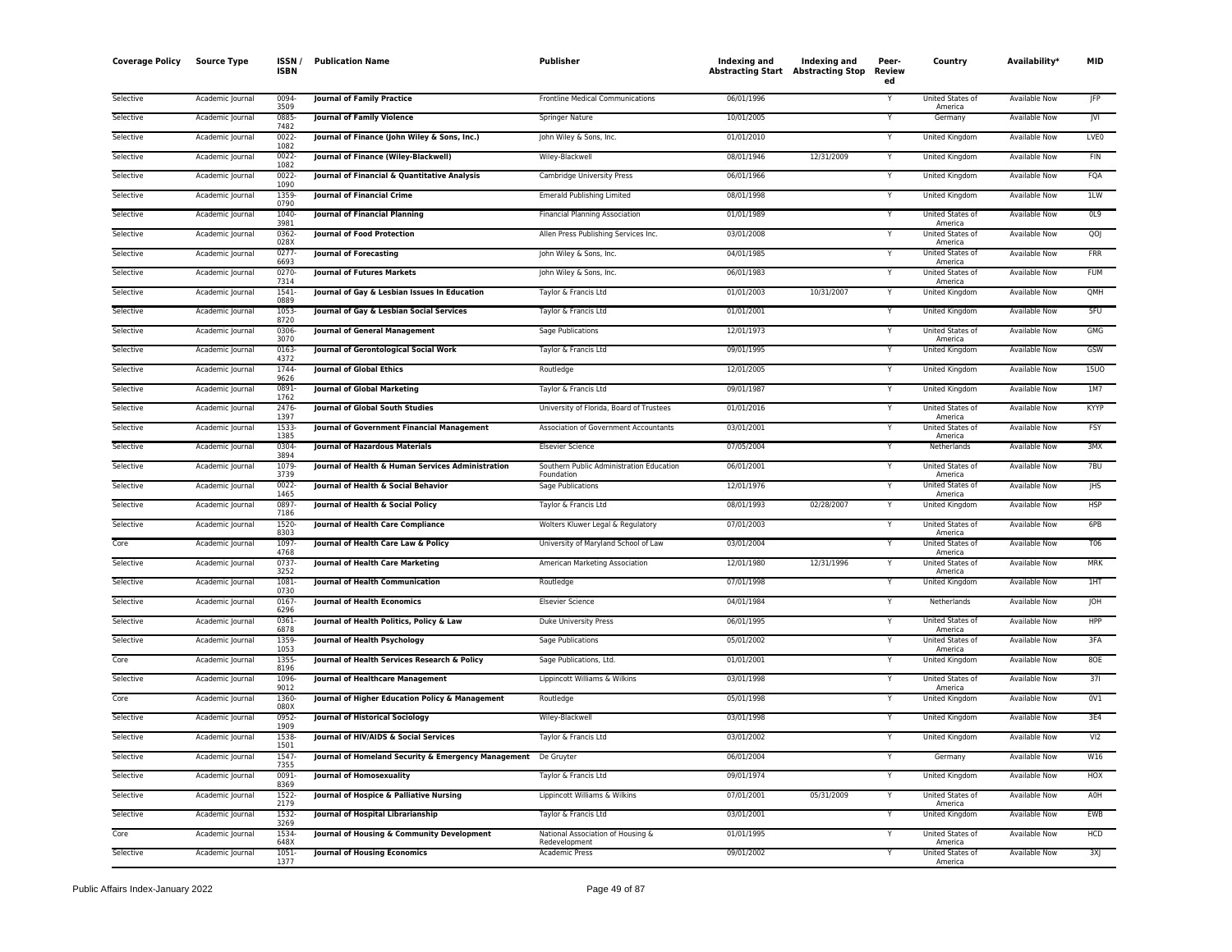| <b>Coverage Policy</b> | <b>Source Type</b> | <b>ISSN</b><br><b>ISBN</b> | <b>Publication Name</b>                                        | <b>Publisher</b>                                       | Indexing and<br><b>Abstracting Start</b> Abstracting Stop | Indexing and | Peer-<br>Review<br>ed | Country                                | Availability*        | <b>MID</b>  |
|------------------------|--------------------|----------------------------|----------------------------------------------------------------|--------------------------------------------------------|-----------------------------------------------------------|--------------|-----------------------|----------------------------------------|----------------------|-------------|
| Selective              | Academic Journal   | 0094<br>3509               | <b>Journal of Family Practice</b>                              | Frontline Medical Communications                       | 06/01/1996                                                |              |                       | United States of<br>America            | Available Now        | <b>JFP</b>  |
| Selective              | Academic Journal   | 0885<br>7482               | <b>Journal of Family Violence</b>                              | <b>Springer Nature</b>                                 | 10/01/2005                                                |              |                       | Germany                                | <b>Available Now</b> | <b>JVI</b>  |
| Selective              | Academic Journal   | 0022-<br>1082              | Journal of Finance (John Wiley & Sons, Inc.)                   | John Wiley & Sons, Inc.                                | 01/01/2010                                                |              |                       | United Kingdom                         | Available Now        | LVF0        |
| Selective              | Academic Journal   | 0022-<br>1082              | Journal of Finance (Wiley-Blackwell)                           | Wiley-Blackwell                                        | 08/01/1946                                                | 12/31/2009   | Υ                     | United Kingdom                         | <b>Available Now</b> | FIN         |
| Selective              | Academic Journal   | 0022<br>1090               | Journal of Financial & Quantitative Analysis                   | Cambridge University Press                             | 06/01/1966                                                |              | Y                     | United Kingdom                         | Available Now        | FQA         |
| Selective              | Academic Journal   | 1359<br>0790               | Journal of Financial Crime                                     | <b>Emerald Publishing Limited</b>                      | 08/01/1998                                                |              | Y                     | United Kingdom                         | Available Now        | 1LW         |
| Selective              | Academic Journal   | 1040<br>3981               | Journal of Financial Planning                                  | <b>Financial Planning Association</b>                  | 01/01/1989                                                |              | Y                     | United States of<br>America            | Available Now        | OL9         |
| Selective              | Academic Journal   | 0362-<br>028X              | Journal of Food Protection                                     | Allen Press Publishing Services Inc.                   | 03/01/2008                                                |              |                       | United States of<br>America            | <b>Available Now</b> | QO          |
| Selective              | Academic Journal   | 0277<br>6693               | Journal of Forecasting                                         | John Wiley & Sons, Inc.                                | 04/01/1985                                                |              | Y                     | United States of<br>America            | Available Now        | <b>FRR</b>  |
| Selective              | Academic Journal   | 0270-<br>7314              | <b>Journal of Futures Markets</b>                              | John Wiley & Sons, Inc.                                | 06/01/1983                                                |              | Υ                     | United States of<br>America            | Available Now        | <b>FUM</b>  |
| Selective              | Academic Journal   | 1541<br>0889               | Journal of Gay & Lesbian Issues In Education                   | Taylor & Francis Ltd                                   | 01/01/2003                                                | 10/31/2007   | Y                     | United Kingdom                         | Available Now        | QMH         |
| Selective              | Academic Journal   | 1053-<br>8720              | Journal of Gay & Lesbian Social Services                       | Taylor & Francis Ltd                                   | 01/01/2001                                                |              | Υ                     | United Kingdom                         | Available Now        | 5FU         |
| Selective              | Academic Journal   | 0306<br>3070               | Journal of General Management                                  | Sage Publications                                      | 12/01/1973                                                |              |                       | United States of<br>America            | Available Now        | <b>GMG</b>  |
| Selective              | Academic Journal   | 0163<br>4372               | Journal of Gerontological Social Work                          | Taylor & Francis Ltd                                   | 09/01/1995                                                |              | ٧                     | United Kingdom                         | Available Now        | GSW         |
| Selective              | Academic Journal   | 1744<br>9626               | <b>Journal of Global Ethics</b>                                | Routledge                                              | 12/01/2005                                                |              |                       | United Kingdom                         | Available Now        | <b>15UO</b> |
| Selective              | Academic Journal   | 0891<br>1762               | Journal of Global Marketing                                    | Taylor & Francis Ltd                                   | 09/01/1987                                                |              | Y                     | United Kingdom                         | <b>Available Now</b> | 1M7         |
| Selective              | Academic Journal   | 2476<br>1397               | Journal of Global South Studies                                | University of Florida, Board of Trustees               | 01/01/2016                                                |              | Y                     | United States of                       | <b>Available Now</b> | KYYP        |
| Selective              | Academic Journal   | 1533-<br>1385              | Journal of Government Financial Management                     | Association of Government Accountants                  | 03/01/2001                                                |              | Y                     | America<br>United States of<br>America | Available Now        | <b>FSY</b>  |
| Selective              | Academic Journal   | 0304<br>3894               | <b>Journal of Hazardous Materials</b>                          | <b>Elsevier Science</b>                                | 07/05/2004                                                |              | Y                     | Netherlands                            | <b>Available Now</b> | 3MX         |
| Selective              | Academic Journal   | 1079-<br>3739              | Journal of Health & Human Services Administration              | Southern Public Administration Education<br>Foundation | 06/01/2001                                                |              |                       | United States of<br>America            | Available Now        | 7BU         |
| Selective              | Academic Journal   | 0022-<br>1465              | Journal of Health & Social Behavior                            | Sage Publications                                      | 12/01/1976                                                |              | Ÿ                     | United States of                       | <b>Available Now</b> | <b>IHS</b>  |
| Selective              | Academic Journal   | 0897-<br>7186              | Journal of Health & Social Policy                              | Taylor & Francis Ltd                                   | 08/01/1993                                                | 02/28/2007   | Y                     | America<br>United Kingdom              | <b>Available Now</b> | <b>HSP</b>  |
| Selective              | Academic Journal   | 1520-<br>8303              | Journal of Health Care Compliance                              | Wolters Kluwer Legal & Regulatory                      | 07/01/2003                                                |              | Y                     | United States of<br>America            | <b>Available Now</b> | 6PB         |
| Core                   | Academic Journal   | 1097<br>4768               | Journal of Health Care Law & Policy                            | University of Maryland School of Law                   | 03/01/2004                                                |              | Υ                     | United States of<br>America            | Available Now        | <b>T06</b>  |
| Selective              | Academic Journal   | 0737-<br>3252              | Journal of Health Care Marketing                               | American Marketing Association                         | 12/01/1980                                                | 12/31/1996   |                       | United States of<br>America            | Available Now        | MRK         |
| Selective              | Academic Journal   | 1081<br>0730               | Journal of Health Communication                                | Routledge                                              | 07/01/1998                                                |              | Y                     | United Kingdom                         | <b>Available Now</b> | 1HT         |
| Selective              | Academic Journal   | 0167<br>6296               | Journal of Health Economics                                    | <b>Elsevier Science</b>                                | 04/01/1984                                                |              |                       | Netherlands                            | Available Now        | IOH         |
| Selective              | Academic Journal   | 0361-<br>6878              | Journal of Health Politics, Policy & Law                       | Duke University Press                                  | 06/01/1995                                                |              |                       | United States of<br>America            | <b>Available Now</b> | HPP         |
| Selective              | Academic Journal   | 1359<br>1053               | Journal of Health Psychology                                   | Sage Publications                                      | 05/01/2002                                                |              |                       | <b>United States of</b><br>America     | <b>Available Now</b> | 3FA         |
| Core                   | Academic Journal   | 1355<br>8196               | Journal of Health Services Research & Policy                   | Sage Publications, Ltd.                                | 01/01/2001                                                |              |                       | United Kingdom                         | Available Now        | 8OE         |
| Selective              | Academic Journal   | 1096<br>9012               | Journal of Healthcare Management                               | Lippincott Williams & Wilkins                          | 03/01/1998                                                |              | Y                     | United States of<br>America            | Available Now        | 371         |
| Core                   | Academic Journal   | 1360-<br>080X              | Journal of Higher Education Policy & Management                | Routledge                                              | 05/01/1998                                                |              |                       | United Kingdom                         | <b>Available Now</b> | 0V1         |
| Selective              | Academic Journal   | 0952-<br>1909              | <b>Journal of Historical Sociology</b>                         | Wiley-Blackwell                                        | 03/01/1998                                                |              | Y                     | United Kingdom                         | Available Now        | 3E4         |
| Selective              | Academic Journal   | 1538<br>1501               | Journal of HIV/AIDS & Social Services                          | Taylor & Francis Ltd                                   | 03/01/2002                                                |              |                       | United Kingdom                         | <b>Available Now</b> | VI2         |
| Selective              | Academic Journal   | 1547<br>7355               | Journal of Homeland Security & Emergency Management De Gruyter |                                                        | 06/01/2004                                                |              |                       | Germany                                | <b>Available Now</b> | W16         |
| Selective              | Academic Journal   | 0091-<br>8369              | Journal of Homosexuality                                       | Taylor & Francis Ltd                                   | 09/01/1974                                                |              |                       | United Kingdom                         | Available Now        | HOX         |
| Selective              | Academic Journal   | 1522-<br>2179              | Journal of Hospice & Palliative Nursing                        | Lippincott Williams & Wilkins                          | 07/01/2001                                                | 05/31/2009   | Y                     | United States of<br>America            | Available Now        | A0H         |
| Selective              | Academic Journal   | 1532-<br>3269              | Journal of Hospital Librarianship                              | Taylor & Francis Ltd                                   | 03/01/2001                                                |              | Y                     | United Kingdom                         | Available Now        | EWB         |
| Core                   | Academic Journal   | 1534<br>648X               | Journal of Housing & Community Development                     | National Association of Housing &<br>Redevelopment     | 01/01/1995                                                |              |                       | United States of<br>America            | Available Now        | <b>HCD</b>  |
| Selective              | Academic Journal   | 1051-<br>1377              | <b>Journal of Housing Economics</b>                            | <b>Academic Press</b>                                  | 09/01/2002                                                |              | Y                     | United States of<br>America            | <b>Available Now</b> | 3X          |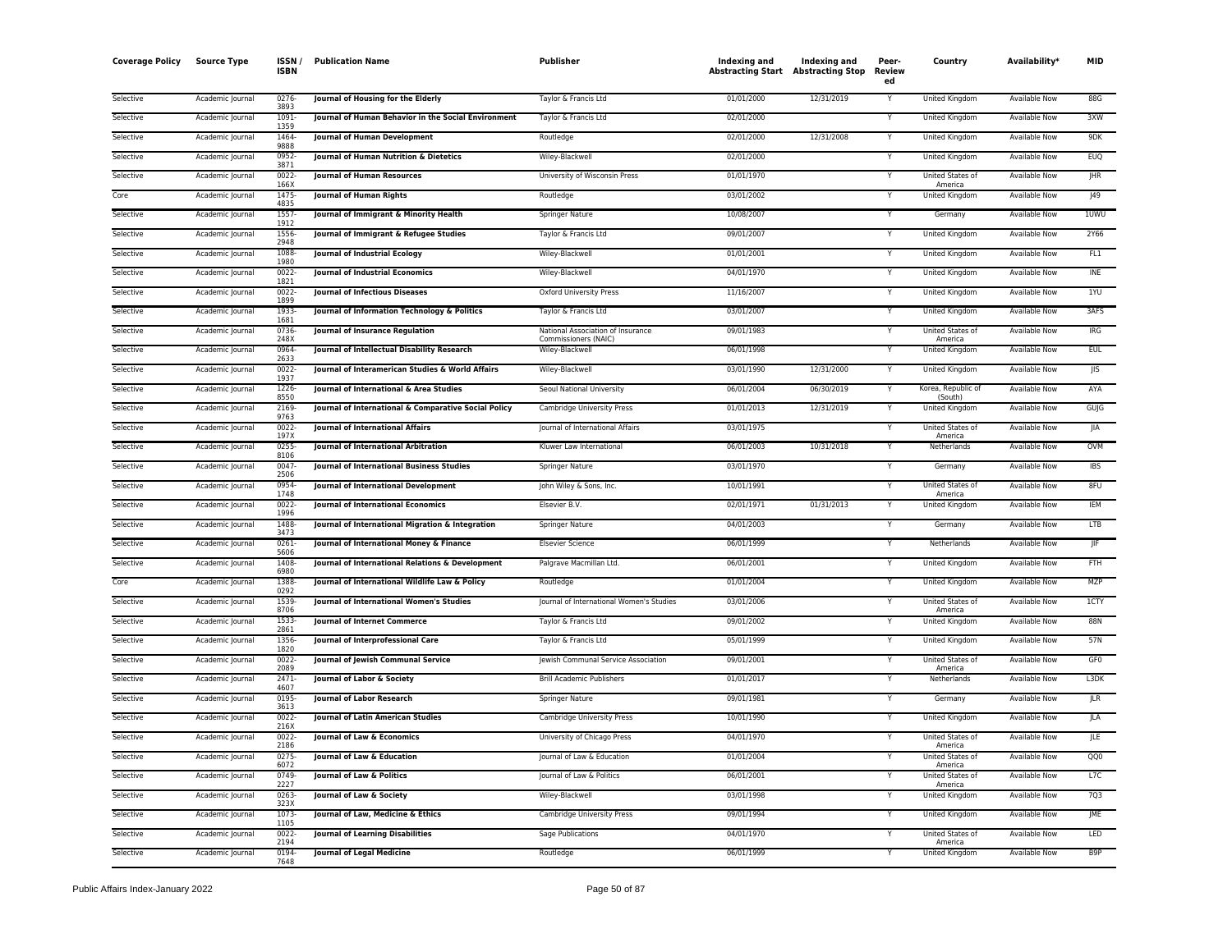| <b>Coverage Policy</b> | Source Type      | ISSN/<br><b>ISBN</b> | <b>Publication Name</b>                              | <b>Publisher</b>                                          | Indexing and<br><b>Abstracting Start Abstracting Stop</b> | Indexing and | Peer-<br>Review<br>ed | Country                            | Availability*        | <b>MID</b>       |
|------------------------|------------------|----------------------|------------------------------------------------------|-----------------------------------------------------------|-----------------------------------------------------------|--------------|-----------------------|------------------------------------|----------------------|------------------|
| Selective              | Academic Journal | 0276<br>3893         | Journal of Housing for the Elderly                   | Taylor & Francis Ltd                                      | 01/01/2000                                                | 12/31/2019   | Y                     | United Kingdom                     | Available Now        | 88G              |
| Selective              | Academic Journal | 1091<br>1359         | Journal of Human Behavior in the Social Environment  | Taylor & Francis Ltd                                      | 02/01/2000                                                |              |                       | United Kingdom                     | <b>Available Now</b> | 3XW              |
| Selective              | Academic Journal | 1464<br>9888         | Journal of Human Development                         | Routledge                                                 | 02/01/2000                                                | 12/31/2008   | Y                     | United Kingdom                     | <b>Available Now</b> | 9DK              |
| Selective              | Academic Journal | 0952<br>3871         | Journal of Human Nutrition & Dietetics               | Wiley-Blackwell                                           | 02/01/2000                                                |              | Y                     | United Kingdom                     | Available Now        | <b>EUQ</b>       |
| Selective              | Academic Journal | 0022<br>166X         | <b>Journal of Human Resources</b>                    | University of Wisconsin Press                             | 01/01/1970                                                |              | Y                     | United States of<br>America        | Available Now        | <b>JHR</b>       |
| Core                   | Academic Journal | 1475<br>4835         | Journal of Human Rights                              | Routledge                                                 | 03/01/2002                                                |              |                       | United Kingdom                     | Available Now        | $ 49\rangle$     |
| Selective              | Academic Journal | 1557<br>1912         | Journal of Immigrant & Minority Health               | Springer Nature                                           | 10/08/2007                                                |              | Y                     | Germany                            | Available Now        | 1UWU             |
| Selective              | Academic Journal | 1556<br>2948         | Journal of Immigrant & Refugee Studies               | Taylor & Francis Ltd                                      | 09/01/2007                                                |              | $\checkmark$          | United Kingdom                     | Available Now        | 2Y66             |
| Selective              | Academic Journal | 1088<br>1980         | Journal of Industrial Ecology                        | Wiley-Blackwell                                           | 01/01/2001                                                |              |                       | United Kingdom                     | Available Now        | FL1              |
| Selective              | Academic Journal | 0022<br>1821         | Journal of Industrial Economics                      | Wiley-Blackwell                                           | 04/01/1970                                                |              | Y                     | United Kingdom                     | Available Now        | <b>INE</b>       |
| Selective              | Academic Journal | 0022<br>1899         | <b>Journal of Infectious Diseases</b>                | Oxford University Press                                   | 11/16/2007                                                |              |                       | United Kingdom                     | <b>Available Now</b> | 1YU              |
| Selective              | Academic Journal | 1933<br>1681         | Journal of Information Technology & Politics         | Taylor & Francis Ltd                                      | 03/01/2007                                                |              | Y                     | <b>United Kingdom</b>              | <b>Available Now</b> | 3AFS             |
| Selective              | Academic Iournal | 0736<br>248X         | Journal of Insurance Regulation                      | National Association of Insurance<br>Commissioners (NAIC) | 09/01/1983                                                |              | Y                     | United States of<br>America        | <b>Available Now</b> | IRG              |
| Selective              | Academic Journal | 0964<br>2633         | Journal of Intellectual Disability Research          | Wiley-Blackwell                                           | 06/01/1998                                                |              | $\checkmark$          | United Kingdom                     | <b>Available Now</b> | <b>EUL</b>       |
| Selective              | Academic Journal | 0022<br>1937         | Journal of Interamerican Studies & World Affairs     | Wiley-Blackwell                                           | 03/01/1990                                                | 12/31/2000   | Y                     | United Kingdom                     | Available Now        | JIS              |
| Selective              | Academic Journal | 1226<br>8550         | Journal of International & Area Studies              | Seoul National University                                 | 06/01/2004                                                | 06/30/2019   |                       | Korea, Republic of<br>(South)      | <b>Available Now</b> | AYA              |
| Selective              | Academic Journal | 2169<br>9763         | Journal of International & Comparative Social Policy | Cambridge University Press                                | 01/01/2013                                                | 12/31/2019   | Y                     | <b>United Kingdom</b>              | <b>Available Now</b> | GUJG             |
| Selective              | Academic Journal | 0022<br>197X         | Journal of International Affairs                     | Journal of International Affairs                          | 03/01/1975                                                |              | Y                     | United States of<br>America        | Available Now        | JIA              |
| Selective              | Academic Journal | 0255<br>8106         | Journal of International Arbitration                 | Kluwer Law International                                  | 06/01/2003                                                | 10/31/2018   |                       | Netherlands                        | <b>Available Now</b> | OVM              |
| Selective              | Academic Journal | 0047-<br>2506        | Journal of International Business Studies            | Springer Nature                                           | 03/01/1970                                                |              | Y                     | Germany                            | <b>Available Now</b> | <b>IBS</b>       |
| Selective              | Academic Journal | 0954<br>1748         | Journal of International Development                 | John Wiley & Sons, Inc.                                   | 10/01/1991                                                |              |                       | United States of<br>America        | Available Now        | 8FU              |
| Selective              | Academic Journal | 0022<br>1996         | Journal of International Economics                   | Elsevier B.V                                              | 02/01/1971                                                | 01/31/2013   | Y                     | United Kingdom                     | Available Now        | <b>IEM</b>       |
| Selective              | Academic Journal | 1488<br>3473         | Journal of International Migration & Integration     | Springer Nature                                           | 04/01/2003                                                |              |                       | Germany                            | Available Now        | <b>LTB</b>       |
| Selective              | Academic Journal | 0261<br>5606         | Journal of International Money & Finance             | <b>Elsevier Science</b>                                   | 06/01/1999                                                |              | $\checkmark$          | Netherlands                        | Available Now        | JIF              |
| Selective              | Academic Journal | 1408<br>6980         | Journal of International Relations & Development     | Palgrave Macmillan Ltd.                                   | 06/01/2001                                                |              |                       | United Kingdom                     | Available Now        | <b>FTH</b>       |
| Core                   | Academic Journal | 1388<br>0292         | Journal of International Wildlife Law & Policy       | Routledge                                                 | 01/01/2004                                                |              | Y                     | <b>United Kingdom</b>              | <b>Available Now</b> | <b>MZP</b>       |
| Selective              | Academic Journal | 1539<br>8706         | Journal of International Women's Studies             | Journal of International Women's Studies                  | 03/01/2006                                                |              | Y                     | United States of<br>America        | <b>Available Now</b> | 1CTY             |
| Selective              | Academic Journal | 1533<br>2861         | <b>Journal of Internet Commerce</b>                  | Taylor & Francis Ltd                                      | 09/01/2002                                                |              |                       | United Kingdom                     | <b>Available Now</b> | 88N              |
| Selective              | Academic Journal | 1356<br>1820         | Journal of Interprofessional Care                    | Taylor & Francis Ltd                                      | 05/01/1999                                                |              | Y                     | United Kingdom                     | Available Now        | 57N              |
| Selective              | Academic Journal | 0022<br>2089         | Journal of Jewish Communal Service                   | Jewish Communal Service Association                       | 09/01/2001                                                |              |                       | United States of<br>America        | Available Now        | GF <sub>0</sub>  |
| Selective              | Academic Journal | 2471<br>4607         | Journal of Labor & Society                           | <b>Brill Academic Publishers</b>                          | 01/01/2017                                                |              | Y                     | Netherlands                        | <b>Available Now</b> | L3DK             |
| Selective              | Academic Journal | 0195<br>3613         | <b>Journal of Labor Research</b>                     | Springer Nature                                           | 09/01/1981                                                |              |                       | Germany                            | <b>Available Now</b> | JLR              |
| Selective              | Academic Journal | 0022<br>216X         | Journal of Latin American Studies                    | Cambridge University Press                                | 10/01/1990                                                |              | Y                     | United Kingdom                     | Available Now        | <b>JLA</b>       |
| Selective              | Academic Journal | 0022<br>2186         | Journal of Law & Economics                           | University of Chicago Press                               | 04/01/1970                                                |              |                       | United States of<br>America        | <b>Available Now</b> | ILE.             |
| Selective              | Academic Journal | $0275 -$<br>6072     | Journal of Law & Education                           | Journal of Law & Education                                | 01/01/2004                                                |              |                       | United States of<br>America        | <b>Available Now</b> | QQ0              |
| Selective              | Academic Journal | 0749<br>2227         | Journal of Law & Politics                            | Journal of Law & Politics                                 | 06/01/2001                                                |              | Y                     | <b>United States of</b><br>America | Available Now        | L7C              |
| Selective              | Academic Journal | 0263<br>323X         | Journal of Law & Society                             | Wiley-Blackwell                                           | 03/01/1998                                                |              |                       | United Kingdom                     | <b>Available Now</b> | 7Q3              |
| Selective              | Academic Journal | 1073-<br>1105        | Journal of Law, Medicine & Ethics                    | Cambridge University Press                                | 09/01/1994                                                |              | Y                     | United Kingdom                     | Available Now        | JME              |
| Selective              | Academic Journal | 0022<br>2194         | <b>Journal of Learning Disabilities</b>              | Sage Publications                                         | 04/01/1970                                                |              |                       | United States of<br>America        | <b>Available Now</b> | LED              |
| Selective              | Academic Journal | 0194<br>7648         | <b>Journal of Legal Medicine</b>                     | Routledge                                                 | 06/01/1999                                                |              | $\overline{Y}$        | United Kingdom                     | <b>Available Now</b> | B <sub>9</sub> P |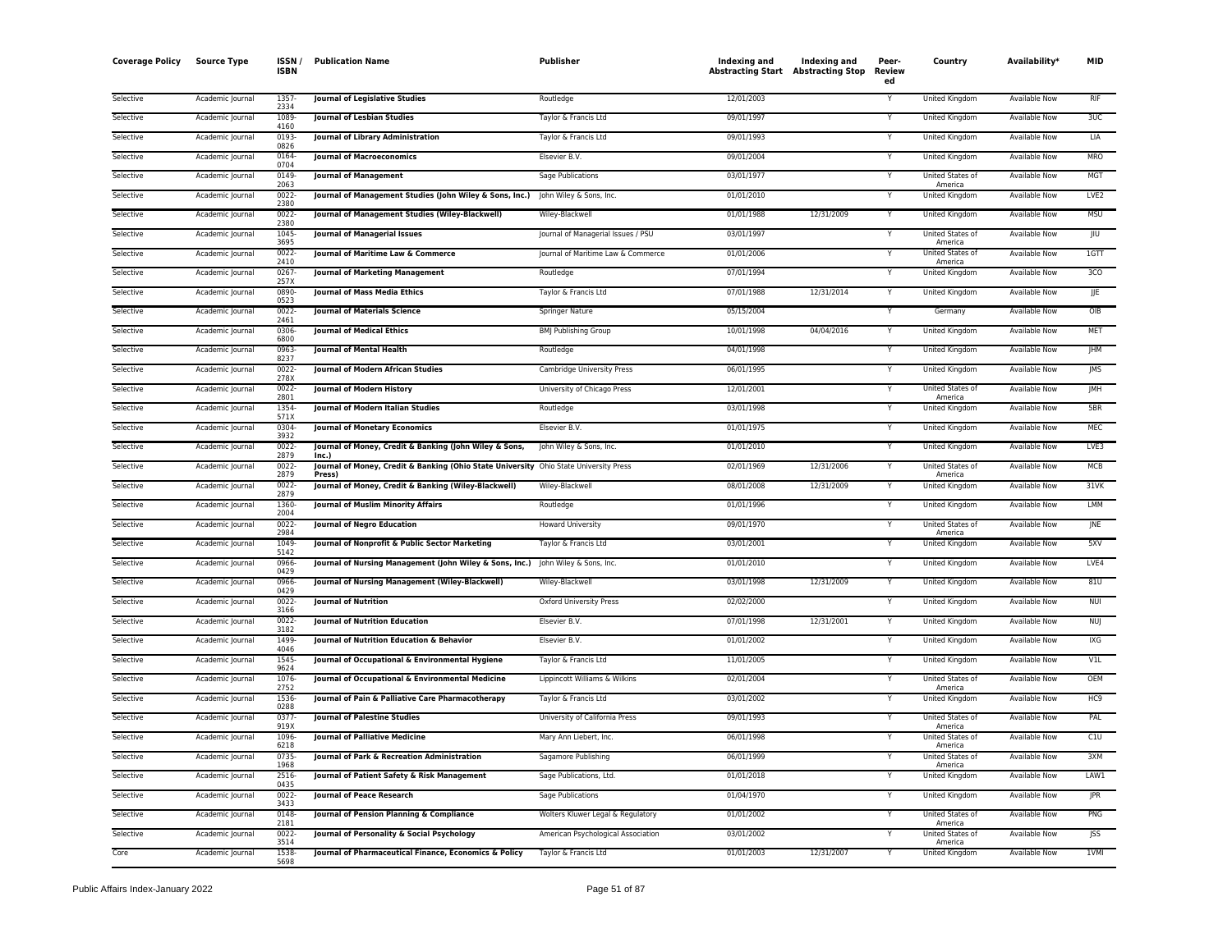| <b>Coverage Policy</b> | <b>Source Type</b> | ISSN /<br><b>ISBN</b> | <b>Publication Name</b>                                                                         | <b>Publisher</b>                   | Indexing and<br><b>Abstracting Start Abstracting Stop</b> | Indexing and | Peer-<br>Review<br>ed | Country                            | Availability*        | <b>MID</b>       |
|------------------------|--------------------|-----------------------|-------------------------------------------------------------------------------------------------|------------------------------------|-----------------------------------------------------------|--------------|-----------------------|------------------------------------|----------------------|------------------|
| Selective              | Academic Journal   | 1357-<br>2334         | Journal of Legislative Studies                                                                  | Routledge                          | 12/01/2003                                                |              |                       | <b>United Kingdom</b>              | <b>Available Now</b> | <b>RIF</b>       |
| Selective              | Academic Journal   | 1089<br>4160          | <b>Journal of Lesbian Studies</b>                                                               | Taylor & Francis Ltd               | 09/01/1997                                                |              | Y                     | United Kingdom                     | <b>Available Now</b> | 3UC              |
| Selective              | Academic Journal   | 0193<br>0826          | Journal of Library Administration                                                               | Taylor & Francis Ltd               | 09/01/1993                                                |              | Y                     | United Kingdom                     | <b>Available Now</b> | LIA              |
| Selective              | Academic Journal   | 0164<br>0704          | <b>Iournal of Macroeconomics</b>                                                                | Elsevier B.V.                      | 09/01/2004                                                |              | Y                     | United Kingdom                     | Available Now        | <b>MRO</b>       |
| Selective              | Academic Journal   | 0149<br>2063          | <b>Journal of Management</b>                                                                    | Sage Publications                  | 03/01/1977                                                |              | Y                     | United States of<br>America        | Available Now        | MGT              |
| Selective              | Academic Journal   | 0022<br>2380          | Journal of Management Studies (John Wiley & Sons, Inc.)                                         | John Wiley & Sons, Inc.            | 01/01/2010                                                |              |                       | <b>United Kingdom</b>              | Available Now        | LVE <sub>2</sub> |
| Selective              | Academic Journal   | 0022<br>2380          | Journal of Management Studies (Wiley-Blackwell)                                                 | Wiley-Blackwell                    | 01/01/1988                                                | 12/31/2009   | Y                     | <b>United Kingdom</b>              | <b>Available Now</b> | <b>MSU</b>       |
| Selective              | Academic Journal   | 1045-<br>3695         | <b>Journal of Managerial Issues</b>                                                             | Journal of Managerial Issues / PSU | 03/01/1997                                                |              | Y                     | United States of<br>America        | <b>Available Now</b> | JIU              |
| Selective              | Academic Journal   | 0022<br>2410          | Journal of Maritime Law & Commerce                                                              | Journal of Maritime Law & Commerce | 01/01/2006                                                |              |                       | United States of<br>America        | Available Now        | 16T              |
| Selective              | Academic Journal   | 0267<br>257X          | Journal of Marketing Management                                                                 | Routledge                          | 07/01/1994                                                |              | Y                     | United Kingdom                     | <b>Available Now</b> | 3 <sub>CO</sub>  |
| Selective              | Academic Journal   | 0890<br>0523          | Journal of Mass Media Ethics                                                                    | Taylor & Francis Ltd               | 07/01/1988                                                | 12/31/2014   | Υ                     | United Kingdom                     | Available Now        | JJE              |
| Selective              | Academic Journal   | $0022 -$<br>2461      | <b>Journal of Materials Science</b>                                                             | <b>Springer Nature</b>             | 05/15/2004                                                |              | Y                     | Germany                            | <b>Available Now</b> | OIB              |
| Selective              | Academic Journal   | 0306<br>6800          | <b>Journal of Medical Ethics</b>                                                                | <b>BMJ Publishing Group</b>        | 10/01/1998                                                | 04/04/2016   |                       | United Kingdom                     | Available Now        | <b>MET</b>       |
| Selective              | Academic Journal   | 0963<br>8237          | <b>Journal of Mental Health</b>                                                                 | Routledge                          | 04/01/1998                                                |              | Υ                     | United Kingdom                     | <b>Available Now</b> | JHM              |
| Selective              | Academic Journal   | $0022 -$<br>278X      | <b>Journal of Modern African Studies</b>                                                        | Cambridge University Press         | 06/01/1995                                                |              | Y                     | United Kingdom                     | Available Now        | <b>IMS</b>       |
| Selective              | Academic Journal   | 0022<br>2801          | <b>Journal of Modern History</b>                                                                | University of Chicago Press        | 12/01/2001                                                |              | Υ                     | United States of<br>America        | Available Now        | JMH              |
| Selective              | Academic Journal   | 1354<br>571X          | Journal of Modern Italian Studies                                                               | Routledge                          | 03/01/1998                                                |              | Y                     | United Kingdom                     | Available Now        | 5BR              |
| Selective              | Academic Journal   | 0304<br>3932          | <b>Journal of Monetary Economics</b>                                                            | Elsevier B.V.                      | 01/01/1975                                                |              | Y                     | United Kingdom                     | Available Now        | MEC              |
| Selective              | Academic Journal   | 0022<br>2879          | Journal of Money, Credit & Banking (John Wiley & Sons,<br>Inc.)                                 | John Wiley & Sons, Inc.            | 01/01/2010                                                |              | Y                     | <b>United Kingdom</b>              | <b>Available Now</b> | LVE3             |
| Selective              | Academic Journal   | 0022<br>2879          | Journal of Money, Credit & Banking (Ohio State University Ohio State University Press<br>Press) |                                    | 02/01/1969                                                | 12/31/2006   | Ý                     | United States of<br>America        | <b>Available Now</b> | <b>MCB</b>       |
| Selective              | Academic Journal   | $0022 -$<br>2879      | Journal of Money, Credit & Banking (Wiley-Blackwell)                                            | Wiley-Blackwell                    | 08/01/2008                                                | 12/31/2009   | Υ                     | United Kingdom                     | <b>Available Now</b> | $31$ VK          |
| Selective              | Academic Journal   | 1360<br>2004          | Journal of Muslim Minority Affairs                                                              | Routledge                          | 01/01/1996                                                |              | Y                     | <b>United Kingdom</b>              | Available Now        | <b>LMM</b>       |
| Selective              | Academic Journal   | 0022<br>2984          | <b>Journal of Negro Education</b>                                                               | Howard University                  | 09/01/1970                                                |              | Y                     | United States of<br>America        | Available Now        | JNE              |
| Selective              | Academic Journal   | 1049<br>5142          | Journal of Nonprofit & Public Sector Marketing                                                  | Taylor & Francis Ltd               | 03/01/2001                                                |              | Y                     | United Kingdom                     | Available Now        | 5XV              |
| Selective              | Academic Journal   | 0966<br>0429          | Journal of Nursing Management (John Wiley & Sons, Inc.)                                         | John Wiley & Sons, Inc.            | 01/01/2010                                                |              |                       | United Kingdom                     | Available Now        | LVE4             |
| Selective              | Academic Journal   | 0966<br>0429          | Journal of Nursing Management (Wiley-Blackwell)                                                 | Wiley-Blackwell                    | 03/01/1998                                                | 12/31/2009   | Y                     | <b>United Kingdom</b>              | <b>Available Now</b> | 81U              |
| Selective              | Academic Journal   | $0022 -$<br>3166      | <b>Journal of Nutrition</b>                                                                     | <b>Oxford University Press</b>     | 02/02/2000                                                |              | Y                     | <b>United Kingdom</b>              | <b>Available Now</b> | <b>NUI</b>       |
| Selective              | Academic Journal   | 0022<br>3182          | <b>Journal of Nutrition Education</b>                                                           | Elsevier B.V.                      | 07/01/1998                                                | 12/31/2001   | Y                     | United Kingdom                     | Available Now        | <b>NUJ</b>       |
| Selective              | Academic Journal   | 1499<br>4046          | Journal of Nutrition Education & Behavior                                                       | Elsevier B.V.                      | 01/01/2002                                                |              | Y                     | United Kingdom                     | <b>Available Now</b> | IXG              |
| Selective              | Academic Journal   | 1545<br>9624          | Journal of Occupational & Environmental Hygiene                                                 | Taylor & Francis Ltd               | 11/01/2005                                                |              |                       | United Kingdom                     | Available Now        | V <sub>1</sub> L |
| Selective              | Academic Journal   | 1076<br>2752          | Journal of Occupational & Environmental Medicine                                                | Lippincott Williams & Wilkins      | 02/01/2004                                                |              | Y                     | United States of<br>America        | <b>Available Now</b> | OEM              |
| Selective              | Academic Journal   | 1536<br>0288          | Journal of Pain & Palliative Care Pharmacotherapy                                               | Taylor & Francis Ltd               | 03/01/2002                                                |              | Y                     | <b>United Kingdom</b>              | Available Now        | HC <sub>9</sub>  |
| Selective              | Academic Journal   | 0377<br>919X          | <b>Journal of Palestine Studies</b>                                                             | University of California Press     | 09/01/1993                                                |              |                       | United States of<br>America        | Available Now        | PAL              |
| Selective              | Academic Journal   | 1096<br>6218          | <b>Journal of Palliative Medicine</b>                                                           | Mary Ann Liebert, Inc.             | 06/01/1998                                                |              |                       | United States of<br>America        | <b>Available Now</b> | C1U              |
| Selective              | Academic Journal   | 0735<br>1968          | Journal of Park & Recreation Administration                                                     | Sagamore Publishing                | 06/01/1999                                                |              |                       | United States of<br>America        | Available Now        | 3XM              |
| Selective              | Academic Journal   | 2516<br>0435          | Journal of Patient Safety & Risk Management                                                     | Sage Publications, Ltd.            | 01/01/2018                                                |              | Y                     | United Kingdom                     | Available Now        | LAW1             |
| Selective              | Academic Journal   | 0022<br>3433          | Journal of Peace Research                                                                       | Sage Publications                  | 01/04/1970                                                |              | Y                     | United Kingdom                     | Available Now        | <b>JPR</b>       |
| Selective              | Academic Journal   | 0148<br>2181          | Journal of Pension Planning & Compliance                                                        | Wolters Kluwer Legal & Regulatory  | 01/01/2002                                                |              | Y                     | United States of<br>America        | <b>Available Now</b> | PNG              |
| Selective              | Academic Journal   | 0022<br>3514          | Journal of Personality & Social Psychology                                                      | American Psychological Association | 03/01/2002                                                |              |                       | <b>United States of</b><br>America | Available Now        | JSS              |
| Core                   | Academic Journal   | 1538<br>5698          | Journal of Pharmaceutical Finance, Economics & Policy                                           | Taylor & Francis Ltd               | 01/01/2003                                                | 12/31/2007   | Y                     | United Kingdom                     | <b>Available Now</b> | 1VMI             |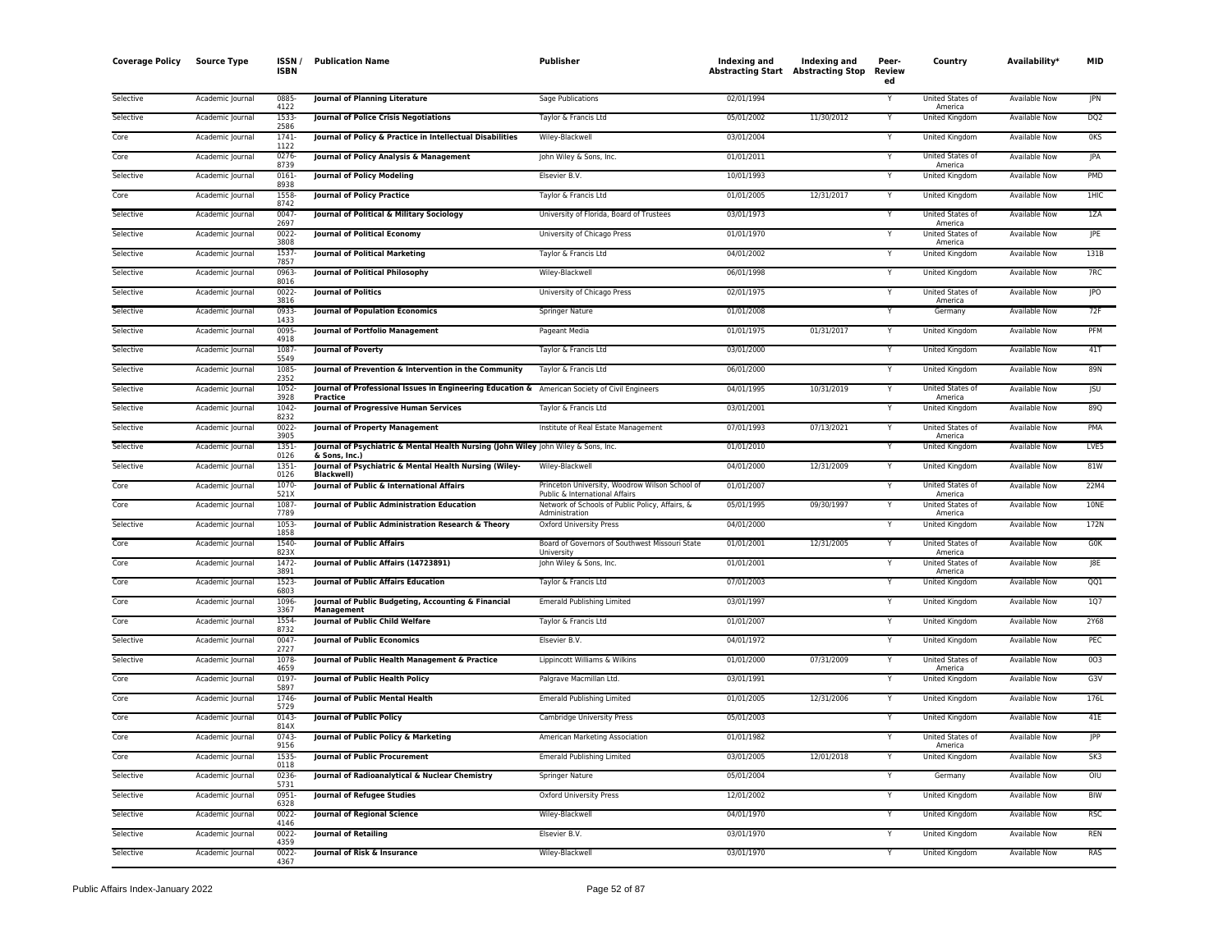| <b>Coverage Policy</b> | <b>Source Type</b> | <b>ISSN</b><br><b>ISBN</b> | <b>Publication Name</b>                                                                                   | Publisher                                                                                           | Indexing and<br>Abstracting Start Abstracting Stop | Indexing and | Peer-<br>Review<br>ed | Country                                | Availability*        | MID             |
|------------------------|--------------------|----------------------------|-----------------------------------------------------------------------------------------------------------|-----------------------------------------------------------------------------------------------------|----------------------------------------------------|--------------|-----------------------|----------------------------------------|----------------------|-----------------|
| Selective              | Academic Journal   | 0885<br>4122               | Journal of Planning Literature                                                                            | Sage Publications                                                                                   | 02/01/1994                                         |              |                       | United States of<br>America            | Available Now        | <b>JPN</b>      |
| Selective              | Academic Journal   | 1533<br>2586               | Journal of Police Crisis Negotiations                                                                     | Taylor & Francis Ltd                                                                                | 05/01/2002                                         | 11/30/2012   | Y                     | <b>United Kingdom</b>                  | <b>Available Now</b> | DQ <sub>2</sub> |
| Core                   | Academic Journal   | 1741<br>1122               | Journal of Policy & Practice in Intellectual Disabilities                                                 | Wiley-Blackwell                                                                                     | 03/01/2004                                         |              | Y                     | United Kingdom                         | Available Now        | 0KS             |
| Core                   | Academic Journal   | 0276-<br>8739              | Journal of Policy Analysis & Management                                                                   | John Wiley & Sons, Inc.                                                                             | 01/01/2011                                         |              | Y                     | United States of                       | <b>Available Now</b> | JPA             |
| Selective              | Academic Journal   | $0161 -$<br>8938           | <b>Journal of Policy Modeling</b>                                                                         | Elsevier B.V.                                                                                       | 10/01/1993                                         |              | Υ                     | America<br>United Kingdom              | Available Now        | PMD             |
| Core                   | Academic Journal   | 1558<br>8742               | <b>Journal of Policy Practice</b>                                                                         | Taylor & Francis Ltd                                                                                | 01/01/2005                                         | 12/31/2017   | Y                     | United Kingdom                         | Available Now        | 1HIC            |
| Selective              | Academic Journal   | 0047<br>2697               | Journal of Political & Military Sociology                                                                 | University of Florida, Board of Trustees                                                            | 03/01/1973                                         |              | Y                     | United States of                       | Available Now        | 1ZA             |
| Selective              | Academic Journal   | 0022<br>3808               | Journal of Political Economy                                                                              | University of Chicago Press                                                                         | 01/01/1970                                         |              |                       | America<br>United States of<br>America | <b>Available Now</b> | <b>IPE</b>      |
| Selective              | Academic Journal   | 1537<br>7857               | <b>Journal of Political Marketing</b>                                                                     | Taylor & Francis Ltd                                                                                | 04/01/2002                                         |              | Y                     | United Kingdom                         | Available Now        | 131B            |
| Selective              | Academic Journal   | 0963-<br>8016              | Journal of Political Philosophy                                                                           | Wiley-Blackwell                                                                                     | 06/01/1998                                         |              | Y                     | <b>United Kingdom</b>                  | Available Now        | 7RC             |
| Selective              | Academic Journal   | $0022 -$<br>3816           | <b>Journal of Politics</b>                                                                                | University of Chicago Press                                                                         | 02/01/1975                                         |              |                       | United States of<br>America            | Available Now        | <b>JPO</b>      |
| Selective              | Academic Journal   | 0933-<br>1433              | <b>Journal of Population Economics</b>                                                                    | Springer Nature                                                                                     | 01/01/2008                                         |              | Υ                     | Germany                                | Available Now        | 72F             |
| Selective              | Academic Journal   | 0095-<br>4918              | Journal of Portfolio Management                                                                           | Pageant Media                                                                                       | 01/01/1975                                         | 01/31/2017   | Y                     | United Kingdom                         | Available Now        | PFM             |
| Selective              | Academic Journal   | 1087-<br>5549              | <b>Journal of Poverty</b>                                                                                 | Taylor & Francis Ltd                                                                                | 03/01/2000                                         |              | Y                     | United Kingdom                         | Available Now        | 41T             |
| Selective              | Academic Journal   | 1085-<br>2352              | <b>Journal of Prevention &amp; Intervention in the Community</b>                                          | Taylor & Francis Ltd                                                                                | 06/01/2000                                         |              |                       | United Kingdom                         | Available Now        | 89N             |
| Selective              | Academic Journal   | 1052-<br>3928              | Journal of Professional Issues in Engineering Education & American Society of Civil Engineers<br>Practice |                                                                                                     | 04/01/1995                                         | 10/31/2019   | Y                     | <b>United States of</b><br>America     | Available Now        | <b>JSU</b>      |
| Selective              | Academic Journal   | 1042-<br>8232              | Journal of Progressive Human Services                                                                     | Taylor & Francis Ltd                                                                                | 03/01/2001                                         |              | Y                     | United Kingdom                         | Available Now        | <b>89Q</b>      |
| Selective              | Academic Journal   | 0022-<br>3905              | <b>Journal of Property Management</b>                                                                     | Institute of Real Estate Management                                                                 | 07/01/1993                                         | 07/13/2021   | Y                     | United States of<br>America            | Available Now        | PMA             |
| Selective              | Academic Journal   | 1351<br>0126               | Journal of Psychiatric & Mental Health Nursing (John Wiley John Wiley & Sons, Inc.                        |                                                                                                     | 01/01/2010                                         |              | Y                     | United Kingdom                         | <b>Available Now</b> | LVE5            |
| Selective              | Academic Journal   | 1351-<br>0126              | & Sons, Inc.)<br>Journal of Psychiatric & Mental Health Nursing (Wiley-<br><b>Blackwell</b> )             | Wiley-Blackwell                                                                                     | 04/01/2000                                         | 12/31/2009   |                       | United Kingdom                         | Available Now        | 81W             |
| Core                   | Academic Journal   | 1070-<br>521X              | Journal of Public & International Affairs                                                                 | Princeton University, Woodrow Wilson School of                                                      | 01/01/2007                                         |              | Ÿ                     | United States of<br>America            | <b>Available Now</b> | 22M4            |
| Core                   | Academic Journal   | 1087-<br>7789              | Journal of Public Administration Education                                                                | Public & International Affairs<br>Network of Schools of Public Policy, Affairs, &<br>Administration | 05/01/1995                                         | 09/30/1997   | Υ                     | United States of<br>America            | <b>Available Now</b> | 10NE            |
| Selective              | Academic Journal   | 1053<br>1858               | Journal of Public Administration Research & Theory                                                        | <b>Oxford University Press</b>                                                                      | 04/01/2000                                         |              | Y                     | <b>United Kingdom</b>                  | <b>Available Now</b> | 172N            |
| Core                   | Academic Journal   | 1540-<br>823X              | <b>Journal of Public Affairs</b>                                                                          | Board of Governors of Southwest Missouri State<br>University                                        | 01/01/2001                                         | 12/31/2005   | Y                     | United States of<br>America            | Available Now        | GOK             |
| Core                   | Academic Journal   | 1472<br>3891               | Journal of Public Affairs (14723891)                                                                      | John Wiley & Sons, Inc.                                                                             | 01/01/2001                                         |              |                       | United States of<br>America            | Available Now        | 8E              |
| Core                   | Academic Journal   | 1523-<br>6803              | Journal of Public Affairs Education                                                                       | Taylor & Francis Ltd                                                                                | 07/01/2003                                         |              | Y                     | United Kingdom                         | <b>Available Now</b> | QQ1             |
| Core                   | Academic Journal   | 1096-<br>3367              | Journal of Public Budgeting, Accounting & Financial<br>Management                                         | <b>Emerald Publishing Limited</b>                                                                   | 03/01/1997                                         |              |                       | United Kingdom                         | Available Now        | 107             |
| Core                   | Academic Journal   | 1554<br>8732               | Journal of Public Child Welfare                                                                           | Taylor & Francis Ltd                                                                                | 01/01/2007                                         |              | Y                     | <b>United Kingdom</b>                  | <b>Available Now</b> | <b>2Y68</b>     |
| Selective              | Academic Journal   | 0047<br>2727               | <b>Journal of Public Economics</b>                                                                        | Elsevier B.V.                                                                                       | 04/01/1972                                         |              | Υ                     | <b>United Kingdom</b>                  | <b>Available Now</b> | PEC             |
| Selective              | Academic Journal   | 1078<br>4659               | Journal of Public Health Management & Practice                                                            | Lippincott Williams & Wilkins                                                                       | 01/01/2000                                         | 07/31/2009   |                       | United States of<br>America            | Available Now        | 003             |
| Core                   | Academic Journal   | 0197<br>5897               | Journal of Public Health Policy                                                                           | Palgrave Macmillan Ltd.                                                                             | 03/01/1991                                         |              | Y                     | United Kingdom                         | Available Now        | G3V             |
| Core                   | Academic Journal   | 1746-<br>5729              | Journal of Public Mental Health                                                                           | <b>Emerald Publishing Limited</b>                                                                   | 01/01/2005                                         | 12/31/2006   |                       | United Kingdom                         | <b>Available Now</b> | 176L            |
| Core                   | Academic Journal   | 0143<br>814X               | Journal of Public Policy                                                                                  | Cambridge University Press                                                                          | 05/01/2003                                         |              | Y                     | United Kingdom                         | Available Now        | 41E             |
| Core                   | Academic Journal   | $0743-$<br>9156            | Journal of Public Policy & Marketing                                                                      | American Marketing Association                                                                      | 01/01/1982                                         |              |                       | United States of<br>America            | <b>Available Now</b> | <b>IPP</b>      |
| Core                   | Academic Journal   | 1535-<br>0118              | <b>Journal of Public Procurement</b>                                                                      | <b>Emerald Publishing Limited</b>                                                                   | 03/01/2005                                         | 12/01/2018   |                       | <b>United Kingdom</b>                  | <b>Available Now</b> | SK3             |
| Selective              | Academic Journal   | 0236<br>5731               | Journal of Radioanalytical & Nuclear Chemistry                                                            | Springer Nature                                                                                     | 05/01/2004                                         |              | Υ                     | Germany                                | Available Now        | O <sub>1</sub>  |
| Selective              | Academic Journal   | 0951<br>6328               | Journal of Refugee Studies                                                                                | Oxford University Press                                                                             | 12/01/2002                                         |              | Υ                     | United Kingdom                         | Available Now        | <b>BIW</b>      |
| Selective              | Academic Journal   | 0022-<br>4146              | Journal of Regional Science                                                                               | Wiley-Blackwell                                                                                     | 04/01/1970                                         |              | Υ                     | United Kingdom                         | Available Now        | <b>RSC</b>      |
| Selective              | Academic Journal   | 0022<br>4359               | <b>Journal of Retailing</b>                                                                               | Elsevier B.V.                                                                                       | 03/01/1970                                         |              |                       | United Kingdom                         | Available Now        | REN             |
| Selective              | Academic Journal   | 0022-<br>4367              | Journal of Risk & Insurance                                                                               | Wiley-Blackwell                                                                                     | 03/01/1970                                         |              | Y                     | United Kingdom                         | <b>Available Now</b> | <b>RAS</b>      |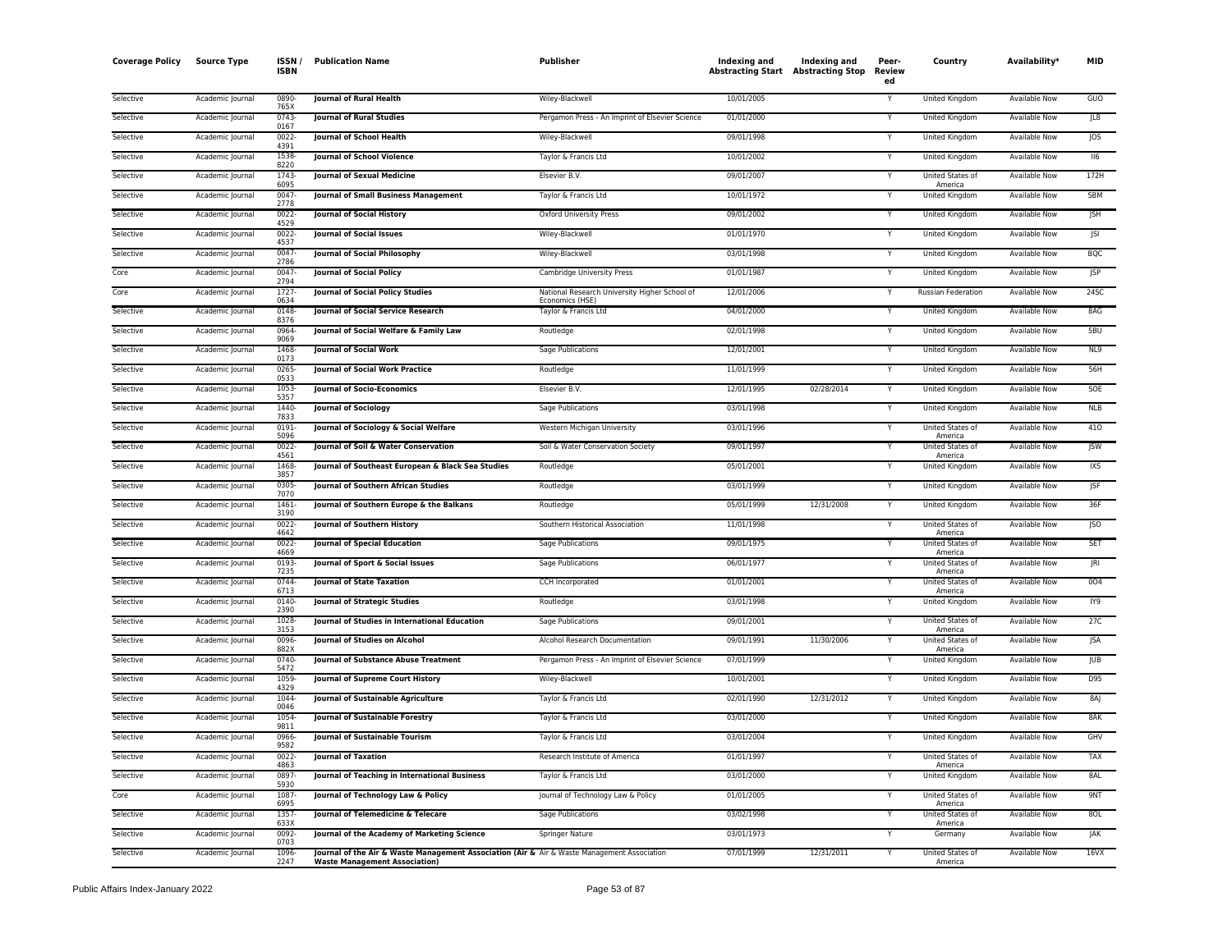| <b>Coverage Policy</b> | Source Type      | ISSN/<br><b>ISBN</b> | <b>Publication Name</b>                                                                                                             | Publisher                                                        | Indexing and<br><b>Abstracting Start Abstracting Stop</b> | Indexing and | Peer-<br>Review<br>ed | Country                            | Availability*        | <b>MID</b> |
|------------------------|------------------|----------------------|-------------------------------------------------------------------------------------------------------------------------------------|------------------------------------------------------------------|-----------------------------------------------------------|--------------|-----------------------|------------------------------------|----------------------|------------|
| Selective              | Academic Journal | 0890<br>765>         | Journal of Rural Health                                                                                                             | Wiley-Blackwell                                                  | 10/01/2005                                                |              | Y                     | United Kingdom                     | Available Now        | GUO        |
| Selective              | Academic Journal | 0743<br>0167         | <b>Journal of Rural Studies</b>                                                                                                     | Pergamon Press - An Imprint of Elsevier Science                  | 01/01/2000                                                |              |                       | United Kingdom                     | Available Now        | JL8        |
| Selective              | Academic Journal | 0022<br>4391         | Journal of School Health                                                                                                            | Wiley-Blackwell                                                  | 09/01/1998                                                |              | Υ                     | United Kingdom                     | Available Now        | <b>JOS</b> |
| Selective              | Academic Journal | 1538<br>8220         | <b>Journal of School Violence</b>                                                                                                   | Taylor & Francis Ltd                                             | 10/01/2002                                                |              | Y                     | United Kingdom                     | Available Now        | II6        |
| Selective              | Academic Journal | 1743<br>6095         | <b>Journal of Sexual Medicine</b>                                                                                                   | Elsevier B.V.                                                    | 09/01/2007                                                |              | Y                     | United States of<br>America        | <b>Available Now</b> | 172H       |
| Selective              | Academic Journal | 0047<br>2778         | <b>Journal of Small Business Management</b>                                                                                         | Taylor & Francis Ltd                                             | 10/01/1972                                                |              |                       | <b>United Kingdom</b>              | <b>Available Now</b> | <b>SBM</b> |
| Selective              | Academic Journal | 0022<br>4529         | <b>Journal of Social History</b>                                                                                                    | <b>Oxford University Press</b>                                   | 09/01/2002                                                |              | Y                     | <b>United Kingdom</b>              | <b>Available Now</b> | <b>JSH</b> |
| Selective              | Academic Journal | 0022<br>4537         | <b>Journal of Social Issues</b>                                                                                                     | Wiley-Blackwell                                                  | 01/01/1970                                                |              | Y                     | United Kingdom                     | <b>Available Now</b> | JSI        |
| Selective              | Academic Journal | 0047<br>2786         | Journal of Social Philosophy                                                                                                        | Wiley-Blackwell                                                  | 03/01/1998                                                |              | Y                     | United Kingdom                     | Available Now        | <b>BQC</b> |
| Core                   | Academic Journal | 0047<br>2794         | <b>Journal of Social Policy</b>                                                                                                     | Cambridge University Press                                       | 01/01/1987                                                |              | Y                     | United Kingdom                     | Available Now        | <b>JSP</b> |
| Core                   | Academic Journal | 1727<br>0634         | Journal of Social Policy Studies                                                                                                    | National Research University Higher School of<br>Economics (HSE) | 12/01/2006                                                |              | Y                     | Russian Federation                 | Available Now        | 24SC       |
| Selective              | Academic Journal | 0148<br>8376         | Journal of Social Service Research                                                                                                  | Taylor & Francis Ltd                                             | 04/01/2000                                                |              | Y                     | <b>United Kingdom</b>              | <b>Available Now</b> | 8AG        |
| Selective              | Academic Journal | 0964<br>9069         | Journal of Social Welfare & Family Law                                                                                              | Routledge                                                        | 02/01/1998                                                |              |                       | United Kingdom                     | Available Now        | 5BU        |
| Selective              | Academic Journal | 1468<br>0173         | Journal of Social Work                                                                                                              | Sage Publications                                                | 12/01/2001                                                |              | Y                     | United Kingdom                     | Available Now        | NL9        |
| Selective              | Academic Iournal | 0265<br>0533         | <b>Journal of Social Work Practice</b>                                                                                              | Routledge                                                        | 11/01/1999                                                |              | Y                     | United Kingdom                     | <b>Available Now</b> | 56H        |
| Selective              | Academic Journal | 1053<br>5357         | <b>Journal of Socio-Economics</b>                                                                                                   | Elsevier B.V.                                                    | 12/01/1995                                                | 02/28/2014   | Y                     | United Kingdom                     | <b>Available Now</b> | SOE        |
| Selective              | Academic Journal | 1440<br>7833         | <b>Journal of Sociology</b>                                                                                                         | Sage Publications                                                | 03/01/1998                                                |              | Y                     | United Kingdom                     | Available Now        | NLB        |
| Selective              | Academic Journal | 0191<br>5096         | Journal of Sociology & Social Welfare                                                                                               | Western Michigan University                                      | 03/01/1996                                                |              | Y                     | United States of<br>America        | Available Now        | 410        |
| Selective              | Academic Journal | 0022<br>4561         | Journal of Soil & Water Conservation                                                                                                | Soil & Water Conservation Society                                | 09/01/1997                                                |              | Y                     | United States of<br>America        | Available Now        | <b>JSW</b> |
| Selective              | Academic Journal | 1468<br>3857         | Journal of Southeast European & Black Sea Studies                                                                                   | Routledge                                                        | 05/01/2001                                                |              |                       | United Kingdom                     | Available Now        | <b>IXS</b> |
| Selective              | Academic Journal | 0305<br>7070         | Journal of Southern African Studies                                                                                                 | Routledge                                                        | 03/01/1999                                                |              | Y                     | United Kingdom                     | Available Now        | JSF        |
| Selective              | Academic Journal | 1461<br>3190         | Journal of Southern Europe & the Balkans                                                                                            | Routledge                                                        | 05/01/1999                                                | 12/31/2008   | Y                     | United Kingdom                     | <b>Available Now</b> | 36F        |
| Selective              | Academic Journal | 0022<br>4642         | Journal of Southern History                                                                                                         | Southern Historical Association                                  | 11/01/1998                                                |              | Y                     | United States of<br>America        | <b>Available Now</b> | JSO        |
| Selective              | Academic Journal | 0022<br>4669         | <b>Journal of Special Education</b>                                                                                                 | Sage Publications                                                | 09/01/1975                                                |              | Υ                     | <b>United States of</b><br>America | Available Now        | <b>SET</b> |
| Selective              | Academic Journal | 0193<br>7235         | Journal of Sport & Social Issues                                                                                                    | Sage Publications                                                | 06/01/1977                                                |              | Y                     | United States of<br>America        | Available Now        | JRI        |
| Selective              | Academic Journal | 0744<br>6713         | <b>Journal of State Taxation</b>                                                                                                    | CCH Incorporated                                                 | 01/01/2001                                                |              | Y                     | United States of<br>America        | Available Now        | 004        |
| Selective              | Academic Journal | 0140<br>2390         | Journal of Strategic Studies                                                                                                        | Routledge                                                        | 03/01/1998                                                |              | Y                     | United Kingdom                     | Available Now        | IY9        |
| Selective              | Academic Journal | 1028<br>3153         | Journal of Studies in International Education                                                                                       | Sage Publications                                                | 09/01/2001                                                |              | Y                     | United States of<br>America        | <b>Available Now</b> | 27C        |
| Selective              | Academic Journal | 0096<br>882X         | Journal of Studies on Alcohol                                                                                                       | Alcohol Research Documentation                                   | 09/01/1991                                                | 11/30/2006   |                       | United States of<br>America        | Available Now        | <b>JSA</b> |
| Selective              | Academic Journal | 0740<br>5472         | Journal of Substance Abuse Treatment                                                                                                | Pergamon Press - An Imprint of Elsevier Science                  | 07/01/1999                                                |              | Y                     | United Kingdom                     | <b>Available Now</b> | <b>JUB</b> |
| Selective              | Academic Journal | 1059<br>4329         | Journal of Supreme Court History                                                                                                    | Wiley-Blackwell                                                  | 10/01/2001                                                |              | Y                     | United Kingdom                     | Available Now        | D95        |
| Selective              | Academic Journal | 1044<br>0046         | Journal of Sustainable Agriculture                                                                                                  | Taylor & Francis Ltd                                             | 02/01/1990                                                | 12/31/2012   | Y                     | <b>United Kingdom</b>              | <b>Available Now</b> | 8AJ        |
| Selective              | Academic Journal | 1054<br>9811         | Journal of Sustainable Forestry                                                                                                     | Taylor & Francis Ltd                                             | 03/01/2000                                                |              | Y                     | United Kingdom                     | Available Now        | 8AK        |
| Selective              | Academic Journal | 0966<br>9582         | <b>Journal of Sustainable Tourism</b>                                                                                               | Taylor & Francis Ltd                                             | 03/01/2004                                                |              | Y                     | United Kingdom                     | Available Now        | GHV        |
| Selective              | Academic Journal | 0022<br>4863         | <b>Journal of Taxation</b>                                                                                                          | Research Institute of America                                    | 01/01/1997                                                |              | Y                     | United States of<br>America        | <b>Available Now</b> | <b>TAX</b> |
| Selective              | Academic Journal | 0897<br>5930         | Journal of Teaching in International Business                                                                                       | Taylor & Francis Ltd                                             | 03/01/2000                                                |              |                       | United Kingdom                     | Available Now        | 8AL        |
| Core                   | Academic Journal | 1087<br>6995         | Journal of Technology Law & Policy                                                                                                  | Journal of Technology Law & Policy                               | 01/01/2005                                                |              | Y                     | United States of<br>America        | Available Now        | 9NT        |
| Selective              | Academic Journal | 1357<br>633X         | Journal of Telemedicine & Telecare                                                                                                  | Sage Publications                                                | 03/02/1998                                                |              |                       | <b>United States of</b><br>America | <b>Available Now</b> | 8OL        |
| Selective              | Academic Journal | 0092<br>0703         | Journal of the Academy of Marketing Science                                                                                         | <b>Springer Nature</b>                                           | 03/01/1973                                                |              | Y                     | Germany                            | <b>Available Now</b> | JAK        |
| Selective              | Academic Journal | 1096<br>2247         | Journal of the Air & Waste Management Association (Air & Air & Waste Management Association<br><b>Waste Management Association)</b> |                                                                  | 07/01/1999                                                | 12/31/2011   | Y                     | United States of<br>America        | <b>Available Now</b> | 16VX       |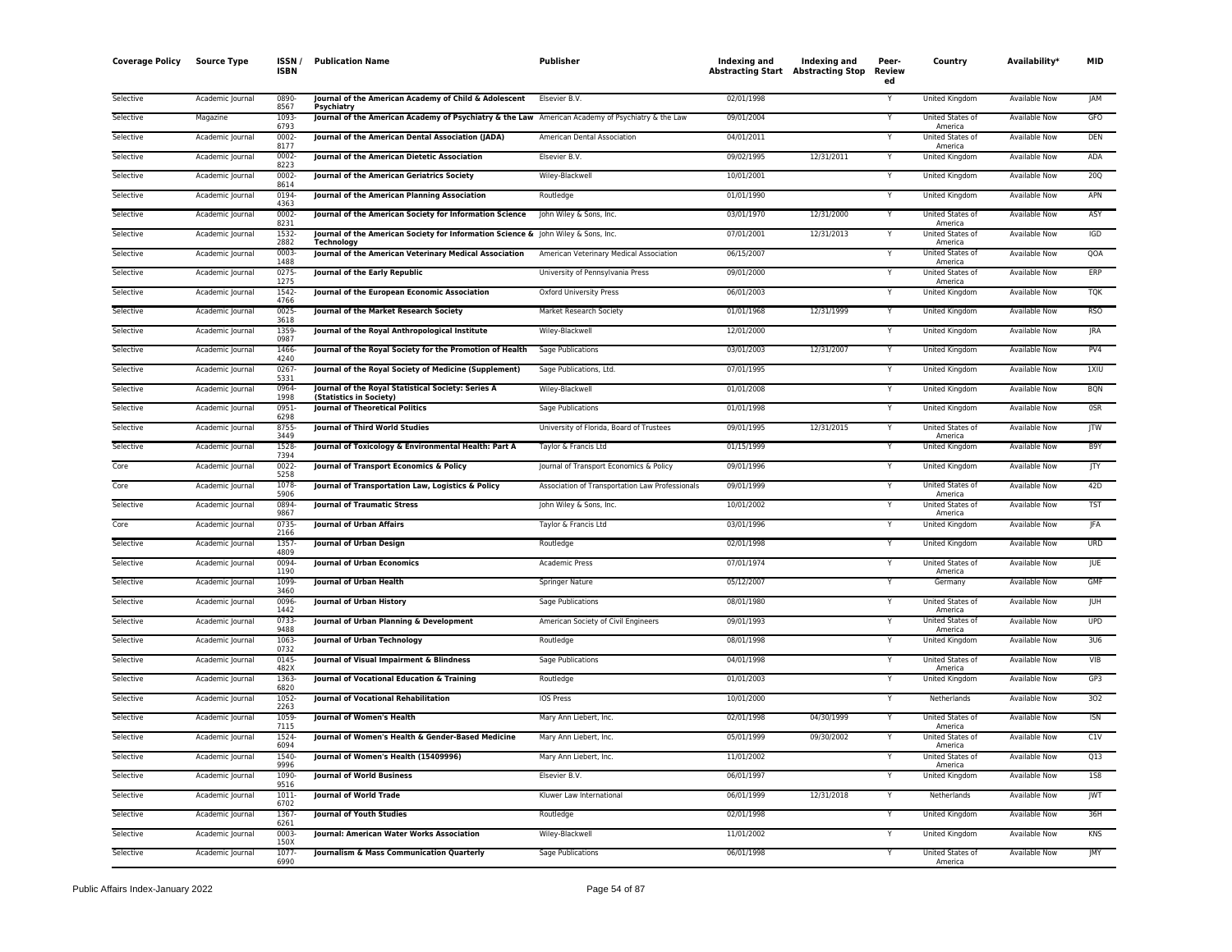| <b>Coverage Policy</b> | <b>Source Type</b> | <b>ISSN</b><br><b>ISBN</b> | <b>Publication Name</b>                                                                                | Publisher                                       | Indexing and<br><b>Abstracting Start Abstracting Stop</b> | Indexing and | Peer-<br><b>Review</b><br>ed | Country                     | Availability*        | <b>MID</b>       |
|------------------------|--------------------|----------------------------|--------------------------------------------------------------------------------------------------------|-------------------------------------------------|-----------------------------------------------------------|--------------|------------------------------|-----------------------------|----------------------|------------------|
| Selective              | Academic Journal   | 0890<br>8567               | Journal of the American Academy of Child & Adolescent<br>Psychiatry                                    | Elsevier B.V.                                   | 02/01/1998                                                |              |                              | United Kingdom              | Available Now        | JAM              |
| Selective              | Magazine           | 1093<br>6793               | Journal of the American Academy of Psychiatry & the Law American Academy of Psychiatry & the Law       |                                                 | 09/01/2004                                                |              | Y                            | United States of<br>America | <b>Available Now</b> | GFO              |
| Selective              | Academic Journal   | 0002<br>8177               | Journal of the American Dental Association (JADA)                                                      | American Dental Association                     | 04/01/2011                                                |              |                              | United States of<br>America | Available Now        | <b>DEN</b>       |
| Selective              | Academic Journal   | 0002<br>8223               | Journal of the American Dietetic Association                                                           | Elsevier B.V.                                   | 09/02/1995                                                | 12/31/2011   | Y                            | United Kingdom              | <b>Available Now</b> | ADA              |
| Selective              | Academic Journal   | 0002<br>8614               | Journal of the American Geriatrics Society                                                             | Wiley-Blackwell                                 | 10/01/2001                                                |              | Y                            | United Kingdom              | Available Now        | 200              |
| Selective              | Academic Journal   | 0194<br>4363               | Journal of the American Planning Association                                                           | Routledge                                       | 01/01/1990                                                |              | Υ                            | United Kingdom              | Available Now        | APN              |
| Selective              | Academic Journal   | 0002<br>8231               | Journal of the American Society for Information Science                                                | John Wiley & Sons, Inc.                         | 03/01/1970                                                | 12/31/2000   | Y                            | United States of<br>America | <b>Available Now</b> | ASY              |
| Selective              | Academic Journal   | 1532<br>2882               | Journal of the American Society for Information Science & John Wiley & Sons, Inc.<br><b>Technology</b> |                                                 | 07/01/2001                                                | 12/31/2013   | Y                            | United States of<br>America | Available Now        | IGD              |
| Selective              | Academic Journal   | 0003<br>1488               | Journal of the American Veterinary Medical Association                                                 | American Veterinary Medical Association         | 06/15/2007                                                |              | Υ                            | United States of<br>America | <b>Available Now</b> | QOA              |
| Selective              | Academic Journal   | 0275<br>1275               | <b>Journal of the Early Republic</b>                                                                   | University of Pennsylvania Press                | 09/01/2000                                                |              | Ÿ                            | United States of<br>America | Available Now        | ERP              |
| Selective              | Academic Journal   | 1542<br>4766               | Journal of the European Economic Association                                                           | Oxford University Press                         | 06/01/2003                                                |              | $\overline{\mathsf{Y}}$      | <b>United Kingdom</b>       | <b>Available Now</b> | <b>TOK</b>       |
| Selective              | Academic Journal   | 0025<br>3618               | Journal of the Market Research Society                                                                 | Market Research Society                         | 01/01/1968                                                | 12/31/1999   | Y                            | United Kingdom              | <b>Available Now</b> | <b>RSO</b>       |
| Selective              | Academic Journal   | 1359<br>0987               | Journal of the Royal Anthropological Institute                                                         | Wiley-Blackwell                                 | 12/01/2000                                                |              | Y                            | United Kingdom              | Available Now        | <b>JRA</b>       |
| Selective              | Academic Journal   | 1466<br>4240               | Journal of the Royal Society for the Promotion of Health                                               | Sage Publications                               | 03/01/2003                                                | 12/31/2007   | Y                            | United Kingdom              | Available Now        | PV4              |
| Selective              | Academic Journal   | 0267<br>5331               | Journal of the Royal Society of Medicine (Supplement)                                                  | Sage Publications, Ltd.                         | 07/01/1995                                                |              |                              | United Kingdom              | <b>Available Now</b> | 1XIU             |
| Selective              | Academic Journal   | 0964<br>1998               | Journal of the Royal Statistical Society: Series A<br>(Statistics in Society)                          | Wiley-Blackwell                                 | 01/01/2008                                                |              | Y                            | United Kingdom              | Available Now        | <b>BQN</b>       |
| Selective              | Academic Journal   | 0951<br>6298               | <b>Journal of Theoretical Politics</b>                                                                 | Sage Publications                               | 01/01/1998                                                |              | Y                            | United Kingdom              | <b>Available Now</b> | OSR              |
| Selective              | Academic Journal   | 8755<br>3449               | <b>Journal of Third World Studies</b>                                                                  | University of Florida, Board of Trustees        | 09/01/1995                                                | 12/31/2015   | Y                            | United States of<br>America | <b>Available Now</b> | JTW              |
| Selective              | Academic Journal   | 1528<br>7394               | Journal of Toxicology & Environmental Health: Part A                                                   | Taylor & Francis Ltd                            | 01/15/1999                                                |              | Y                            | United Kingdom              | <b>Available Now</b> | B <sub>9</sub> Y |
| Core                   | Academic Journal   | 0022<br>5258               | Journal of Transport Economics & Policy                                                                | Journal of Transport Economics & Policy         | 09/01/1996                                                |              | v                            | United Kingdom              | Available Now        | JTY              |
| Core                   | Academic Journal   | 1078<br>5906               | Journal of Transportation Law, Logistics & Policy                                                      | Association of Transportation Law Professionals | 09/01/1999                                                |              | Υ                            | United States of<br>America | Available Now        | 42D              |
| Selective              | Academic Journal   | 0894<br>9867               | <b>Journal of Traumatic Stress</b>                                                                     | John Wiley & Sons, Inc.                         | 10/01/2002                                                |              |                              | United States of<br>America | <b>Available Now</b> | <b>TST</b>       |
| Core                   | Academic Journal   | 0735<br>2166               | Journal of Urban Affairs                                                                               | Taylor & Francis Ltd                            | 03/01/1996                                                |              | Y                            | United Kingdom              | <b>Available Now</b> | JFA              |
| Selective              | Academic Journal   | 1357<br>4809               | <b>Journal of Urban Design</b>                                                                         | Routledge                                       | 02/01/1998                                                |              | Υ                            | United Kingdom              | <b>Available Now</b> | <b>URD</b>       |
| Selective              | Academic Journal   | 0094<br>1190               | <b>Iournal of Urban Economics</b>                                                                      | <b>Academic Press</b>                           | 07/01/1974                                                |              | Y                            | United States of<br>America | Available Now        | JUE              |
| Selective              | Academic Journal   | 1099<br>3460               | Journal of Urban Health                                                                                | Springer Nature                                 | 05/12/2007                                                |              | Υ                            | Germany                     | Available Now        | <b>GMF</b>       |
| Selective              | Academic Journal   | 0096<br>1442               | Journal of Urban History                                                                               | Sage Publications                               | 08/01/1980                                                |              | Y                            | United States of<br>America | <b>Available Now</b> | <b>JUH</b>       |
| Selective              | Academic Journal   | 0733-<br>9488              | Journal of Urban Planning & Development                                                                | American Society of Civil Engineers             | 09/01/1993                                                |              | Y                            | United States of<br>America | Available Now        | <b>UPD</b>       |
| Selective              | Academic Journal   | 1063<br>0732               | Journal of Urban Technology                                                                            | Routledge                                       | 08/01/1998                                                |              |                              | <b>United Kingdom</b>       | <b>Available Now</b> | 3U6              |
| Selective              | Academic Journal   | 0145<br>482X               | Journal of Visual Impairment & Blindness                                                               | Sage Publications                               | 04/01/1998                                                |              | Y                            | United States of<br>America | <b>Available Now</b> | VIB              |
| Selective              | Academic Journal   | 1363<br>6820               | Journal of Vocational Education & Training                                                             | Routledge                                       | 01/01/2003                                                |              | Y                            | United Kingdom              | Available Now        | GP3              |
| Selective              | Academic Journal   | 1052<br>2263               | <b>Journal of Vocational Rehabilitation</b>                                                            | <b>IOS Press</b>                                | 10/01/2000                                                |              | Y                            | Netherlands                 | <b>Available Now</b> | 302              |
| Selective              | Academic Journal   | 1059<br>7115               | Journal of Women's Health                                                                              | Mary Ann Liebert, Inc.                          | 02/01/1998                                                | 04/30/1999   | Υ                            | United States of<br>America | Available Now        | <b>ISN</b>       |
| Selective              | Academic Journal   | 1524<br>6094               | Journal of Women's Health & Gender-Based Medicine                                                      | Mary Ann Liebert, Inc.                          | 05/01/1999                                                | 09/30/2002   |                              | United States of<br>America | <b>Available Now</b> | C1V              |
| Selective              | Academic Journal   | 1540<br>9996               | Journal of Women's Health (15409996)                                                                   | Mary Ann Liebert, Inc.                          | 11/01/2002                                                |              | v                            | United States of<br>America | Available Now        | Q13              |
| Selective              | Academic Journal   | 1090<br>9516               | <b>Journal of World Business</b>                                                                       | Elsevier B.V.                                   | 06/01/1997                                                |              |                              | United Kingdom              | Available Now        | <b>1S8</b>       |
| Selective              | Academic Journal   | $1011 -$<br>6702           | <b>Journal of World Trade</b>                                                                          | Kluwer Law International                        | 06/01/1999                                                | 12/31/2018   | Y                            | Netherlands                 | <b>Available Now</b> | WT               |
| Selective              | Academic Journal   | 1367<br>6261               | <b>Journal of Youth Studies</b>                                                                        | Routledge                                       | 02/01/1998                                                |              | Y                            | United Kingdom              | <b>Available Now</b> | 36H              |
| Selective              | Academic Iournal   | 0003<br>150X               | Journal: American Water Works Association                                                              | Wiley-Blackwell                                 | 11/01/2002                                                |              | Υ                            | United Kingdom              | <b>Available Now</b> | <b>KNS</b>       |
| Selective              | Academic Journal   | 1077<br>6990               | Journalism & Mass Communication Quarterly                                                              | Sage Publications                               | 06/01/1998                                                |              | Υ                            | United States of<br>America | <b>Available Now</b> | <b>IMY</b>       |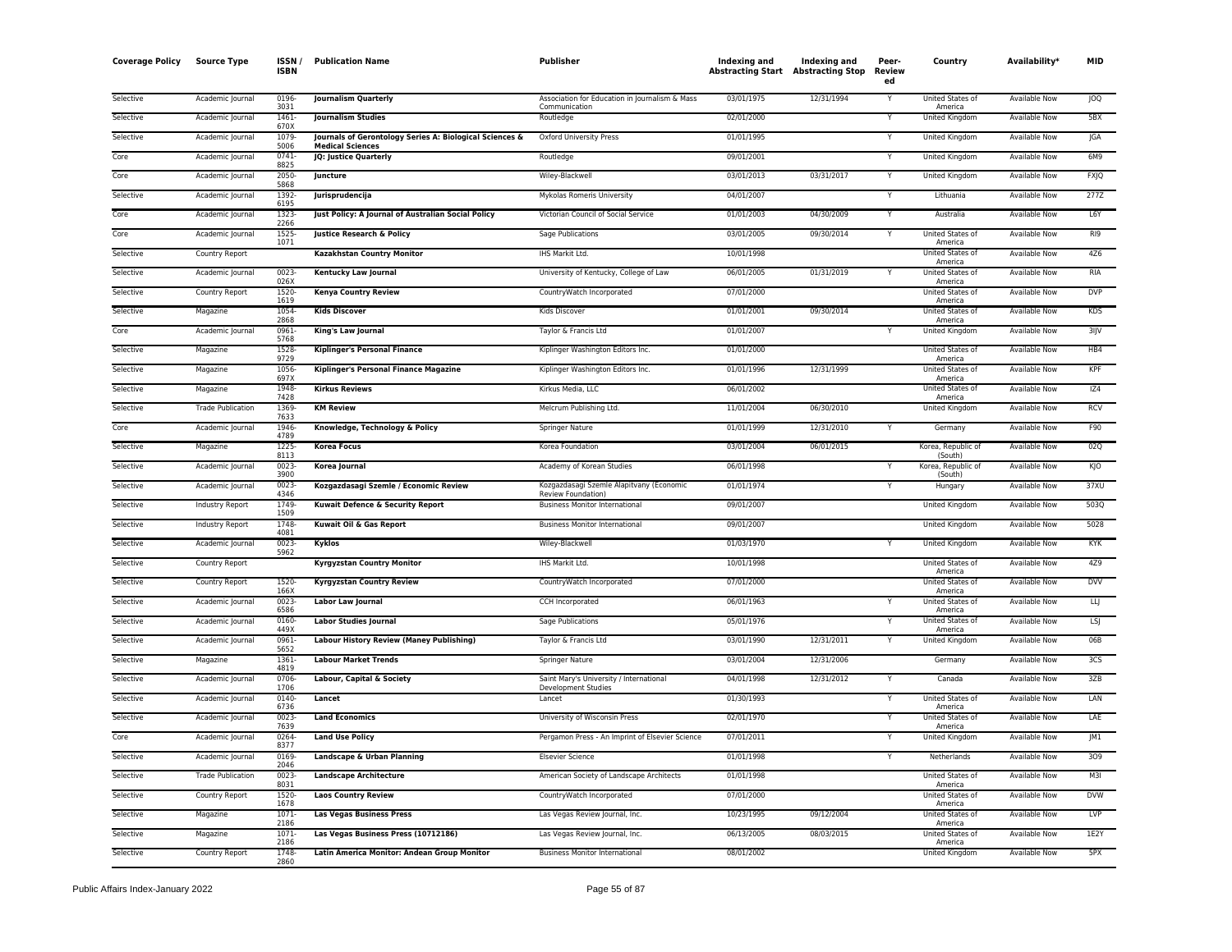| <b>Coverage Policy</b> | <b>Source Type</b>       | <b>ISSN</b><br><b>ISBN</b> | <b>Publication Name</b>                                                            | Publisher                                                       | Indexing and<br><b>Abstracting Start Abstracting Stop</b> | Indexing and | Peer-<br>Review<br>ed | Country                                | Availability*        | <b>MID</b>      |
|------------------------|--------------------------|----------------------------|------------------------------------------------------------------------------------|-----------------------------------------------------------------|-----------------------------------------------------------|--------------|-----------------------|----------------------------------------|----------------------|-----------------|
| Selective              | Academic Journal         | 0196-<br>3031              | <b>Journalism Quarterly</b>                                                        | Association for Education in Journalism & Mass<br>Communication | 03/01/1975                                                | 12/31/1994   | Y                     | United States of<br>America            | Available Now        | <b>JOQ</b>      |
| Selective              | Academic Journal         | 1461<br>670X               | <b>Journalism Studies</b>                                                          | Routledge                                                       | 02/01/2000                                                |              |                       | United Kingdom                         | Available Now        | 5BX             |
| Selective              | Academic Journal         | 1079-<br>5006              | Journals of Gerontology Series A: Biological Sciences &<br><b>Medical Sciences</b> | Oxford University Press                                         | 01/01/1995                                                |              | Y                     | United Kingdom                         | Available Now        | JGA             |
| Core                   | Academic Journal         | $0741 -$<br>8825           | JQ: Justice Quarterly                                                              | Routledge                                                       | 09/01/2001                                                |              | Ÿ                     | United Kingdom                         | <b>Available Now</b> | 6M9             |
| Core                   | Academic Journal         | 2050-<br>5868              | Juncture                                                                           | Wiley-Blackwell                                                 | 03/01/2013                                                | 03/31/2017   | $\mathsf{Y}$          | United Kingdom                         | Available Now        | <b>FXJQ</b>     |
| Selective              | Academic Journal         | 1392-<br>6195              | Jurisprudencija                                                                    | Mykolas Romeris University                                      | 04/01/2007                                                |              | Υ                     | Lithuania                              | <b>Available Now</b> | 277Z            |
| Core                   | Academic Journal         | 1323-<br>2266              | Just Policy: A Journal of Australian Social Policy                                 | Victorian Council of Social Service                             | 01/01/2003                                                | 04/30/2009   | Y                     | Australia                              | <b>Available Now</b> | L6Y             |
| Core                   | Academic Journal         | 1525<br>1071               | Justice Research & Policy                                                          | Sage Publications                                               | 03/01/2005                                                | 09/30/2014   | Y                     | United States of<br>America            | Available Now        | RI9             |
| Selective              | Country Report           |                            | Kazakhstan Country Monitor                                                         | IHS Markit Ltd.                                                 | 10/01/1998                                                |              |                       | United States of<br>America            | Available Now        | 4Z6             |
| Selective              | Academic Journal         | 0023-<br>026X              | <b>Kentucky Law Journal</b>                                                        | University of Kentucky, College of Law                          | 06/01/2005                                                | 01/31/2019   |                       | United States of<br>America            | <b>Available Now</b> | <b>RIA</b>      |
| Selective              | Country Report           | 1520-<br>1619              | Kenya Country Review                                                               | CountryWatch Incorporated                                       | 07/01/2000                                                |              |                       | United States of                       | Available Now        | <b>DVP</b>      |
| Selective              | Magazine                 | 1054<br>2868               | <b>Kids Discover</b>                                                               | Kids Discover                                                   | 01/01/2001                                                | 09/30/2014   |                       | America<br>United States of            | <b>Available Now</b> | <b>KDS</b>      |
| Core                   | Academic Journal         | 0961-<br>5768              | King's Law Journal                                                                 | Taylor & Francis Ltd                                            | 01/01/2007                                                |              | Y                     | America<br>United Kingdom              | <b>Available Now</b> | $3$ IJV         |
| Selective              | Magazine                 | 1528                       | <b>Kiplinger's Personal Finance</b>                                                | Kiplinger Washington Editors Inc.                               | 01/01/2000                                                |              |                       | United States of                       | <b>Available Now</b> | HB4             |
| Selective              | Magazine                 | 9729<br>1056               | Kiplinger's Personal Finance Magazine                                              | Kiplinger Washington Editors Inc.                               | 01/01/1996                                                | 12/31/1999   |                       | America<br>United States of            | Available Now        | KPF             |
| Selective              | Magazine                 | 697X<br>1948<br>7428       | <b>Kirkus Reviews</b>                                                              | Kirkus Media, LLC                                               | 06/01/2002                                                |              |                       | America<br>United States of<br>America | <b>Available Now</b> | IZ4             |
| Selective              | <b>Trade Publication</b> | 1369-                      | <b>KM Review</b>                                                                   | Melcrum Publishing Ltd.                                         | 11/01/2004                                                | 06/30/2010   |                       | <b>United Kingdom</b>                  | <b>Available Now</b> | <b>RCV</b>      |
| Core                   | Academic Journal         | 7633<br>1946<br>4789       | Knowledge, Technology & Policy                                                     | Springer Nature                                                 | 01/01/1999                                                | 12/31/2010   | Y                     | Germany                                | Available Now        | F90             |
| Selective              | Magazine                 | 1225-<br>8113              | <b>Korea Focus</b>                                                                 | Korea Foundation                                                | 03/01/2004                                                | 06/01/2015   |                       | Korea, Republic of                     | <b>Available Now</b> | 02Q             |
| Selective              | Academic Journal         | $0023 -$<br>3900           | Korea Journal                                                                      | Academy of Korean Studies                                       | 06/01/1998                                                |              |                       | (South)<br>Korea, Republic of          | <b>Available Now</b> | KJO             |
| Selective              | Academic Journal         | 0023-                      | Kozgazdasagi Szemle / Economic Review                                              | Kozgazdasagi Szemle Alapitvany (Economic                        | 01/01/1974                                                |              |                       | (South)<br>Hungary                     | Available Now        | 37XU            |
| Selective              | Industry Report          | 4346<br>1749<br>1509       | Kuwait Defence & Security Report                                                   | Review Foundation)<br><b>Business Monitor International</b>     | 09/01/2007                                                |              |                       | United Kingdom                         | Available Now        | 5030            |
| Selective              | Industry Report          | 1748-<br>4081              | Kuwait Oil & Gas Report                                                            | <b>Business Monitor International</b>                           | 09/01/2007                                                |              |                       | United Kingdom                         | Available Now        | 5028            |
| Selective              | Academic Journal         | 0023-<br>5962              | Kyklos                                                                             | Wiley-Blackwell                                                 | 01/03/1970                                                |              |                       | United Kingdom                         | Available Now        | <b>KYK</b>      |
| Selective              | Country Report           |                            | <b>Kyrgyzstan Country Monitor</b>                                                  | IHS Markit Ltd.                                                 | 10/01/1998                                                |              |                       | United States of<br>America            | Available Now        | 4Z9             |
| Selective              | Country Report           | 1520-<br>166X              | <b>Kyrgyzstan Country Review</b>                                                   | CountryWatch Incorporated                                       | 07/01/2000                                                |              |                       | United States of<br>America            | <b>Available Now</b> | <b>DVV</b>      |
| Selective              | Academic Journal         | $0023 -$<br>6586           | <b>Labor Law Journal</b>                                                           | CCH Incorporated                                                | 06/01/1963                                                |              | Y                     | <b>United States of</b><br>America     | <b>Available Now</b> | $\overline{u}$  |
| Selective              | Academic Journal         | 0160<br>449X               | <b>Labor Studies Journal</b>                                                       | Sage Publications                                               | 05/01/1976                                                |              | Y                     | United States of                       | <b>Available Now</b> | LSJ             |
| Selective              | Academic Journal         | 0961-<br>5652              | <b>Labour History Review (Maney Publishing)</b>                                    | Taylor & Francis Ltd                                            | 03/01/1990                                                | 12/31/2011   |                       | America<br>United Kingdom              | Available Now        | 06B             |
| Selective              | Magazine                 | 1361<br>4819               | <b>Labour Market Trends</b>                                                        | Springer Nature                                                 | 03/01/2004                                                | 12/31/2006   |                       | Germany                                | <b>Available Now</b> | 3C <sub>S</sub> |
| Selective              | Academic Journal         | 0706-<br>1706              | Labour, Capital & Society                                                          | Saint Mary's University / International<br>Development Studies  | 04/01/1998                                                | 12/31/2012   | v                     | Canada                                 | <b>Available Now</b> | 3ZB             |
| Selective              | Academic Journal         | 0140-<br>6736              | Lancet                                                                             | Lancet                                                          | 01/30/1993                                                |              |                       | United States of<br>America            | Available Now        | LAN             |
| Selective              | Academic Journal         | $0023 -$<br>7639           | <b>Land Economics</b>                                                              | University of Wisconsin Press                                   | 02/01/1970                                                |              |                       | United States of<br>America            | <b>Available Now</b> | LAE             |
| Core                   | Academic Journal         | 0264                       | <b>Land Use Policy</b>                                                             | Pergamon Press - An Imprint of Elsevier Science                 | 07/01/2011                                                |              |                       | <b>United Kingdom</b>                  | <b>Available Now</b> | IM1             |
| Selective              | Academic Journal         | 8377<br>0169<br>2046       | Landscape & Urban Planning                                                         | <b>Elsevier Science</b>                                         | 01/01/1998                                                |              | Y                     | Netherlands                            | <b>Available Now</b> | 309             |
| Selective              | <b>Trade Publication</b> | 0023<br>8031               | <b>Landscape Architecture</b>                                                      | American Society of Landscape Architects                        | 01/01/1998                                                |              |                       | United States of<br>America            | Available Now        | M3I             |
| Selective              | Country Report           | 1520-                      | <b>Laos Country Review</b>                                                         | CountryWatch Incorporated                                       | 07/01/2000                                                |              |                       | United States of                       | Available Now        | <b>DVW</b>      |
| Selective              | Magazine                 | 1678<br>1071-              | <b>Las Vegas Business Press</b>                                                    | Las Vegas Review Journal, Inc.                                  | 10/23/1995                                                | 09/12/2004   |                       | America<br>United States of            | <b>Available Now</b> | LVP             |
| Selective              | Magazine                 | 2186<br>1071<br>2186       | Las Vegas Business Press (10712186)                                                | Las Vegas Review Journal, Inc.                                  | 06/13/2005                                                | 08/03/2015   |                       | America<br>United States of            | Available Now        | 1E2Y            |
| Selective              | Country Report           | 1748<br>2860               | Latin America Monitor: Andean Group Monitor                                        | <b>Business Monitor International</b>                           | 08/01/2002                                                |              |                       | America<br><b>United Kingdom</b>       | <b>Available Now</b> | 5PX             |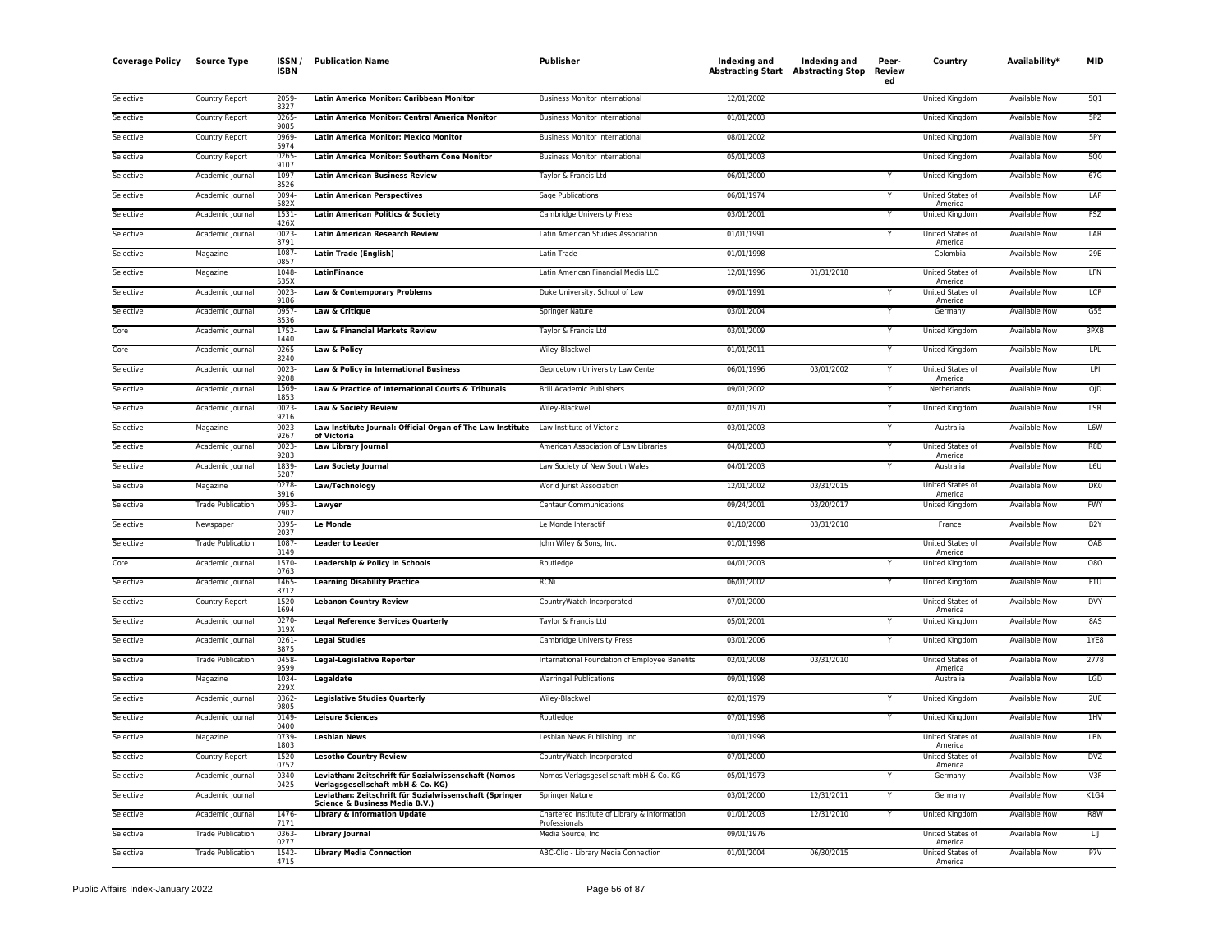| <b>Coverage Policy</b> | <b>Source Type</b>       | <b>ISSN</b><br><b>ISBN</b> | <b>Publication Name</b>                                                                             | Publisher                                                     | Indexing and<br><b>Abstracting Start Abstracting Stop</b> | Indexing and | Peer-<br>Review<br>ed | Country                            | Availability <sup>*</sup> | MID              |
|------------------------|--------------------------|----------------------------|-----------------------------------------------------------------------------------------------------|---------------------------------------------------------------|-----------------------------------------------------------|--------------|-----------------------|------------------------------------|---------------------------|------------------|
| Selective              | Country Report           | 2059<br>8327               | Latin America Monitor: Caribbean Monitor                                                            | <b>Business Monitor International</b>                         | 12/01/2002                                                |              |                       | United Kingdom                     | Available Now             | 501              |
| Selective              | Country Report           | 0265<br>9085               | Latin America Monitor: Central America Monitor                                                      | <b>Business Monitor International</b>                         | 01/01/2003                                                |              |                       | United Kingdom                     | Available Now             | 5PZ              |
| Selective              | Country Report           | 0969<br>5974               | Latin America Monitor: Mexico Monitor                                                               | <b>Business Monitor International</b>                         | 08/01/2002                                                |              |                       | United Kingdom                     | Available Now             | 5PY              |
| Selective              | Country Report           | 0265<br>9107               | Latin America Monitor: Southern Cone Monitor                                                        | <b>Business Monitor International</b>                         | 05/01/2003                                                |              |                       | United Kingdom                     | <b>Available Now</b>      | <b>5Q0</b>       |
| Selective              | Academic Journal         | 1097<br>8526               | <b>Latin American Business Review</b>                                                               | Taylor & Francis Ltd                                          | 06/01/2000                                                |              |                       | United Kingdom                     | Available Now             | 67G              |
| Selective              | Academic Journal         | 0094<br>582X               | <b>Latin American Perspectives</b>                                                                  | Sage Publications                                             | 06/01/1974                                                |              | Υ                     | <b>United States of</b><br>America | <b>Available Now</b>      | LAP              |
| Selective              | Academic Journal         | 1531<br>426                | Latin American Politics & Society                                                                   | Cambridge University Press                                    | 03/01/2001                                                |              | Y                     | <b>United Kingdom</b>              | <b>Available Now</b>      | <b>FSZ</b>       |
| Selective              | Academic Journal         | 0023<br>8791               | <b>Latin American Research Review</b>                                                               | Latin American Studies Association                            | 01/01/1991                                                |              | Y                     | United States of<br>America        | Available Now             | LAR              |
| Selective              | Magazine                 | 1087<br>0857               | <b>Latin Trade (English)</b>                                                                        | Latin Trade                                                   | 01/01/1998                                                |              |                       | Colombia                           | Available Now             | 29E              |
| Selective              | Magazine                 | 1048<br>535X               | <b>LatinFinance</b>                                                                                 | Latin American Financial Media LLC                            | 12/01/1996                                                | 01/31/2018   |                       | United States of<br>America        | <b>Available Now</b>      | LFN              |
| Selective              | Academic Journal         | 0023<br>9186               | Law & Contemporary Problems                                                                         | Duke University, School of Law                                | 09/01/1991                                                |              | Y                     | United States of<br>America        | Available Now             | LCP              |
| Selective              | Academic Journal         | 0957<br>8536               | Law & Critique                                                                                      | <b>Springer Nature</b>                                        | 03/01/2004                                                |              |                       | Germany                            | <b>Available Now</b>      | G55              |
| Core                   | Academic Journal         | 1752<br>1440               | Law & Financial Markets Review                                                                      | Taylor & Francis Ltd                                          | 03/01/2009                                                |              | Y                     | <b>United Kingdom</b>              | <b>Available Now</b>      | 3PXB             |
| Core                   | Academic Journal         | 0265<br>8240               | Law & Policy                                                                                        | Wiley-Blackwell                                               | 01/01/2011                                                |              | Y                     | <b>United Kingdom</b>              | <b>Available Now</b>      | LPL              |
| Selective              | Academic Journal         | 0023<br>9208               | Law & Policy in International Business                                                              | Georgetown University Law Center                              | 06/01/1996                                                | 03/01/2002   | Υ                     | United States of<br>America        | Available Now             | LPI              |
| Selective              | Academic Journal         | 1569<br>1853               | Law & Practice of International Courts & Tribunals                                                  | <b>Brill Academic Publishers</b>                              | 09/01/2002                                                |              | Υ                     | Netherlands                        | Available Now             | 0JD              |
| Selective              | Academic Journal         | 0023<br>9216               | Law & Society Review                                                                                | Wiley-Blackwell                                               | 02/01/1970                                                |              | ٧                     | United Kingdom                     | <b>Available Now</b>      | <b>LSR</b>       |
| Selective              | Magazine                 | 0023<br>9267               | Law Institute Journal: Official Organ of The Law Institute Law Institute of Victoria<br>of Victoria |                                                               | 03/01/2003                                                |              | Y                     | Australia                          | Available Now             | L6W              |
| Selective              | Academic Journal         | 0023<br>9283               | Law Library Journal                                                                                 | American Association of Law Libraries                         | 04/01/2003                                                |              |                       | United States of<br>America        | <b>Available Now</b>      | R8D              |
| Selective              | Academic Journal         | 1839<br>5287               | <b>Law Society Journal</b>                                                                          | Law Society of New South Wales                                | 04/01/2003                                                |              | Y                     | Australia                          | <b>Available Now</b>      | L6U              |
| Selective              | Magazine                 | 0278<br>3916               | Law/Technology                                                                                      | World Jurist Association                                      | 12/01/2002                                                | 03/31/2015   |                       | United States of<br>America        | Available Now             | DK0              |
| Selective              | <b>Trade Publication</b> | 0953<br>7902               | Lawyer                                                                                              | <b>Centaur Communications</b>                                 | 09/24/2001                                                | 03/20/2017   |                       | United Kingdom                     | Available Now             | <b>FWY</b>       |
| Selective              | Newspaper                | 0395<br>2037               | <b>Le Monde</b>                                                                                     | Le Monde Interactif                                           | 01/10/2008                                                | 03/31/2010   |                       | France                             | Available Now             | B <sub>2</sub> Y |
| Selective              | <b>Trade Publication</b> | 1087<br>8149               | <b>Leader to Leader</b>                                                                             | John Wiley & Sons, Inc.                                       | 01/01/1998                                                |              |                       | United States of<br>America        | <b>Available Now</b>      | OAB              |
| Core                   | Academic Journal         | 1570<br>0763               | Leadership & Policy in Schools                                                                      | Routledge                                                     | 04/01/2003                                                |              | Ÿ                     | United Kingdom                     | Available Now             | 080              |
| Selective              | Academic Journal         | 1465<br>8712               | <b>Learning Disability Practice</b>                                                                 | <b>RCNi</b>                                                   | 06/01/2002                                                |              | Y                     | <b>United Kingdom</b>              | Available Now             | <b>FTU</b>       |
| Selective              | Country Report           | 1520<br>1694               | <b>Lebanon Country Review</b>                                                                       | CountryWatch Incorporated                                     | 07/01/2000                                                |              |                       | United States of<br>America        | <b>Available Now</b>      | <b>DVY</b>       |
| Selective              | Academic Journal         | 0270<br>319X               | <b>Legal Reference Services Quarterly</b>                                                           | Taylor & Francis Ltd                                          | 05/01/2001                                                |              |                       | United Kingdom                     | Available Now             | 8AS              |
| Selective              | Academic Journal         | 0261<br>3875               | <b>Legal Studies</b>                                                                                | Cambridge University Press                                    | 03/01/2006                                                |              |                       | United Kingdom                     | Available Now             | 1YE8             |
| Selective              | <b>Trade Publication</b> | 0458<br>9599               | <b>Legal-Legislative Reporter</b>                                                                   | International Foundation of Employee Benefits                 | 02/01/2008                                                | 03/31/2010   |                       | United States of<br>America        | <b>Available Now</b>      | 2778             |
| Selective              | Magazine                 | 1034<br>229X               | Legaldate                                                                                           | <b>Warringal Publications</b>                                 | 09/01/1998                                                |              |                       | Australia                          | Available Now             | <b>LGD</b>       |
| Selective              | Academic Journal         | 0362<br>9805               | <b>Legislative Studies Quarterly</b>                                                                | Wiley-Blackwell                                               | 02/01/1979                                                |              |                       | <b>United Kingdom</b>              | <b>Available Now</b>      | 2UE              |
| Selective              | Academic Journal         | 0149<br>0400               | <b>Leisure Sciences</b>                                                                             | Routledge                                                     | 07/01/1998                                                |              | Y                     | United Kingdom                     | <b>Available Now</b>      | 1HV              |
| Selective              | Magazine                 | 0739<br>1803               | <b>Lesbian News</b>                                                                                 | Lesbian News Publishing, Inc.                                 | 10/01/1998                                                |              |                       | United States of<br>America        | <b>Available Now</b>      | LBN              |
| Selective              | Country Report           | 1520<br>0752               | <b>Lesotho Country Review</b>                                                                       | CountryWatch Incorporated                                     | 07/01/2000                                                |              |                       | United States of<br>America        | Available Now             | DV7              |
| Selective              | Academic Journal         | 0340<br>0425               | Leviathan: Zeitschrift für Sozialwissenschaft (Nomos<br>Verlagsgesellschaft mbH & Co. KG)           | Nomos Verlagsgesellschaft mbH & Co. KG                        | 05/01/1973                                                |              | Υ                     | Germany                            | Available Now             | V3F              |
| Selective              | Academic Journal         |                            | Leviathan: Zeitschrift für Sozialwissenschaft (Springer<br>Science & Business Media B.V.)           | <b>Springer Nature</b>                                        | 03/01/2000                                                | 12/31/2011   | Y                     | Germany                            | <b>Available Now</b>      | K1G4             |
| Selective              | Academic Journal         | 1476<br>7171               | <b>Library &amp; Information Update</b>                                                             | Chartered Institute of Library & Information<br>Professionals | 01/01/2003                                                | 12/31/2010   |                       | United Kingdom                     | Available Now             | R8W              |
| Selective              | <b>Trade Publication</b> | 0363<br>0277               | <b>Library Journal</b>                                                                              | Media Source, Inc.                                            | 09/01/1976                                                |              |                       | United States of<br>America        | <b>Available Now</b>      | IJ               |
| Selective              | <b>Trade Publication</b> | 1542<br>4715               | <b>Library Media Connection</b>                                                                     | ABC-Clio - Library Media Connection                           | 01/01/2004                                                | 06/30/2015   |                       | United States of<br>America        | <b>Available Now</b>      | P7V              |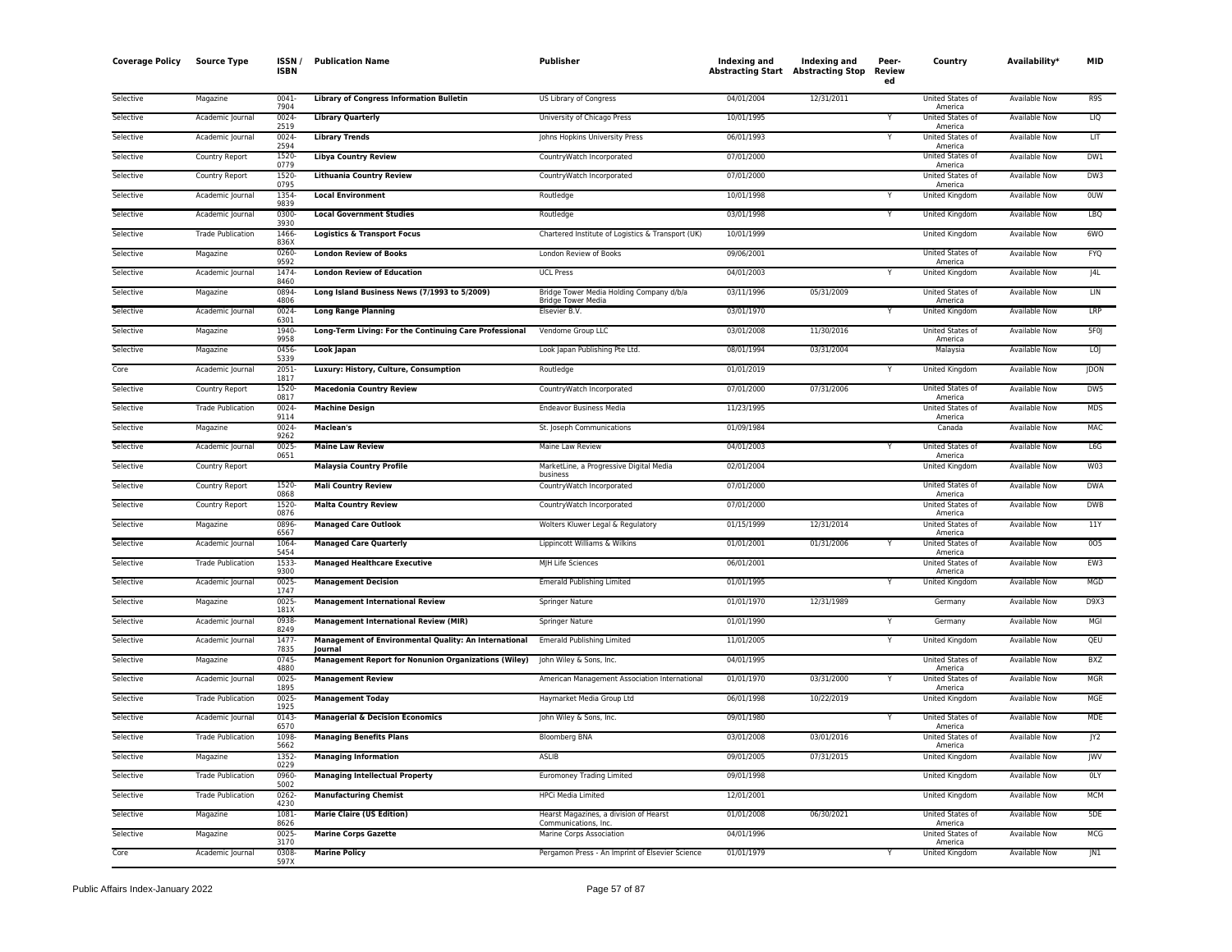| <b>Coverage Policy</b> | <b>Source Type</b>       | ISSN<br><b>ISBN</b> | <b>Publication Name</b>                                          | Publisher                                                             | Indexing and | Indexing and<br><b>Abstracting Start Abstracting Stop</b> | Peer-<br><b>Review</b><br>ed | Country                            | Availability*        | MID             |
|------------------------|--------------------------|---------------------|------------------------------------------------------------------|-----------------------------------------------------------------------|--------------|-----------------------------------------------------------|------------------------------|------------------------------------|----------------------|-----------------|
| Selective              | Magazine                 | 0041<br>7904        | <b>Library of Congress Information Bulletin</b>                  | US Library of Congress                                                | 04/01/2004   | 12/31/2011                                                |                              | United States of<br>America        | <b>Available Now</b> | R9S             |
| Selective              | Academic Journal         | 0024<br>2519        | <b>Library Quarterly</b>                                         | University of Chicago Press                                           | 10/01/1995   |                                                           | Υ                            | United States of<br>America        | Available Now        | LIQ             |
| Selective              | Academic Journal         | 0024<br>2594        | <b>Library Trends</b>                                            | Johns Hopkins University Press                                        | 06/01/1993   |                                                           | Υ                            | United States of<br>America        | Available Now        | LIT             |
| Selective              | Country Report           | 1520<br>0779        | <b>Libya Country Review</b>                                      | CountryWatch Incorporated                                             | 07/01/2000   |                                                           |                              | United States of<br>America        | Available Now        | DW1             |
| Selective              | Country Report           | 1520<br>0795        | <b>Lithuania Country Review</b>                                  | CountryWatch Incorporated                                             | 07/01/2000   |                                                           |                              | United States of<br>America        | <b>Available Now</b> | DW3             |
| Selective              | Academic Journal         | 1354<br>9839        | <b>Local Environment</b>                                         | Routledge                                                             | 10/01/1998   |                                                           | Y                            | <b>United Kingdom</b>              | <b>Available Now</b> | <b>OUW</b>      |
| Selective              | Academic Journal         | 0300<br>3930        | <b>Local Government Studies</b>                                  | Routledge                                                             | 03/01/1998   |                                                           | Y                            | <b>United Kingdom</b>              | <b>Available Now</b> | LBQ             |
| Selective              | <b>Trade Publication</b> | 1466<br>836X        | <b>Logistics &amp; Transport Focus</b>                           | Chartered Institute of Logistics & Transport (UK)                     | 10/01/1999   |                                                           |                              | United Kingdom                     | Available Now        | 6WO             |
| Selective              | Magazine                 | 0260<br>9592        | <b>London Review of Books</b>                                    | London Review of Books                                                | 09/06/2001   |                                                           |                              | United States of<br>America        | Available Now        | <b>FYQ</b>      |
| Selective              | Academic Journal         | 1474<br>8460        | <b>London Review of Education</b>                                | <b>UCL Press</b>                                                      | 04/01/2003   |                                                           |                              | United Kingdom                     | Available Now        | J4L             |
| Selective              | Magazine                 | 0894<br>4806        | Long Island Business News (7/1993 to 5/2009)                     | Bridge Tower Media Holding Company d/b/a<br><b>Bridge Tower Media</b> | 03/11/1996   | 05/31/2009                                                |                              | United States of<br>America        | <b>Available Now</b> | LIN             |
| Selective              | Academic Journal         | 0024<br>6301        | <b>Long Range Planning</b>                                       | Elsevier B.V.                                                         | 03/01/1970   |                                                           | Υ                            | United Kingdom                     | <b>Available Now</b> | LRP             |
| Selective              | Magazine                 | 1940<br>9958        | Long-Term Living: For the Continuing Care Professional           | Vendome Group LLC                                                     | 03/01/2008   | 11/30/2016                                                |                              | United States of<br>America        | <b>Available Now</b> | 5F <sub>0</sub> |
| Selective              | Magazine                 | 0456<br>5339        | Look Japan                                                       | Look Japan Publishing Pte Ltd.                                        | 08/01/1994   | 03/31/2004                                                |                              | Malaysia                           | Available Now        | LOJ             |
| Core                   | Academic Journal         | 2051<br>1817        | Luxury: History, Culture, Consumption                            | Routledge                                                             | 01/01/2019   |                                                           |                              | United Kingdom                     | <b>Available Now</b> | <b>JDON</b>     |
| Selective              | Country Report           | 1520<br>0817        | <b>Macedonia Country Review</b>                                  | CountryWatch Incorporated                                             | 07/01/2000   | 07/31/2006                                                |                              | United States of<br>America        | <b>Available Now</b> | DW5             |
| Selective              | <b>Trade Publication</b> | 0024<br>9114        | <b>Machine Design</b>                                            | <b>Endeavor Business Media</b>                                        | 11/23/1995   |                                                           |                              | United States of<br>America        | <b>Available Now</b> | <b>MDS</b>      |
| Selective              | Magazine                 | 0024<br>9262        | Maclean's                                                        | St. Joseph Communications                                             | 01/09/1984   |                                                           |                              | Canada                             | <b>Available Now</b> | <b>MAC</b>      |
| Selective              | Academic Journal         | 0025<br>0651        | <b>Maine Law Review</b>                                          | Maine Law Review                                                      | 04/01/2003   |                                                           |                              | United States of<br>America        | <b>Available Now</b> | L6G             |
| Selective              | Country Report           |                     | <b>Malaysia Country Profile</b>                                  | MarketLine, a Progressive Digital Media<br>business                   | 02/01/2004   |                                                           |                              | United Kingdom                     | Available Now        | W03             |
| Selective              | Country Report           | 1520<br>0868        | <b>Mali Country Review</b>                                       | CountryWatch Incorporated                                             | 07/01/2000   |                                                           |                              | United States of<br>America        | <b>Available Now</b> | <b>DWA</b>      |
| Selective              | Country Report           | 1520<br>0876        | <b>Malta Country Review</b>                                      | CountryWatch Incorporated                                             | 07/01/2000   |                                                           |                              | United States of<br>America        | Available Now        | <b>DWB</b>      |
| Selective              | Magazine                 | 0896<br>6567        | <b>Managed Care Outlook</b>                                      | Wolters Kluwer Legal & Regulatory                                     | 01/15/1999   | 12/31/2014                                                |                              | United States of<br>America        | <b>Available Now</b> | 11Y             |
| Selective              | Academic Journal         | 1064<br>5454        | <b>Managed Care Quarterly</b>                                    | Lippincott Williams & Wilkins                                         | 01/01/2001   | 01/31/2006                                                |                              | <b>United States of</b><br>America | Available Now        | 005             |
| Selective              | <b>Trade Publication</b> | 1533<br>9300        | <b>Managed Healthcare Executive</b>                              | MJH Life Sciences                                                     | 06/01/2001   |                                                           |                              | United States of<br>America        | Available Now        | EW3             |
| Selective              | Academic Journal         | 0025<br>1747        | <b>Management Decision</b>                                       | <b>Emerald Publishing Limited</b>                                     | 01/01/1995   |                                                           | Y                            | United Kingdom                     | Available Now        | MGD             |
| Selective              | Magazine                 | $0025 -$<br>181X    | <b>Management International Review</b>                           | Springer Nature                                                       | 01/01/1970   | 12/31/1989                                                |                              | Germany                            | <b>Available Now</b> | <b>D9X3</b>     |
| Selective              | Academic Journal         | 0938<br>8249        | <b>Management International Review (MIR)</b>                     | Springer Nature                                                       | 01/01/1990   |                                                           |                              | Germany                            | Available Now        | MGI             |
| Selective              | Academic Journal         | 1477<br>7835        | Management of Environmental Quality: An International<br>Journal | <b>Emerald Publishing Limited</b>                                     | 11/01/2005   |                                                           | Υ                            | United Kingdom                     | <b>Available Now</b> | QEU             |
| Selective              | Magazine                 | 0745<br>4880        | <b>Management Report for Nonunion Organizations (Wiley)</b>      | John Wiley & Sons, Inc.                                               | 04/01/1995   |                                                           |                              | United States of<br>America        | Available Now        | <b>BXZ</b>      |
| Selective              | Academic Journal         | 0025<br>1895        | <b>Management Review</b>                                         | American Management Association International                         | 01/01/1970   | 03/31/2000                                                | Y                            | United States of<br>America        | Available Now        | <b>MGR</b>      |
| Selective              | <b>Trade Publication</b> | 0025<br>1925        | <b>Management Today</b>                                          | Haymarket Media Group Ltd                                             | 06/01/1998   | 10/22/2019                                                |                              | United Kingdom                     | Available Now        | MGE             |
| Selective              | Academic Journal         | 0143<br>6570        | <b>Managerial &amp; Decision Economics</b>                       | John Wiley & Sons, Inc.                                               | 09/01/1980   |                                                           | Y                            | United States of<br>America        | <b>Available Now</b> | <b>MDE</b>      |
| Selective              | <b>Trade Publication</b> | 1098<br>5662        | <b>Managing Benefits Plans</b>                                   | <b>Bloomberg BNA</b>                                                  | 03/01/2008   | 03/01/2016                                                |                              | United States of<br>America        | Available Now        | Y2              |
| Selective              | Magazine                 | 1352<br>0229        | <b>Managing Information</b>                                      | <b>ASLIB</b>                                                          | 09/01/2005   | 07/31/2015                                                |                              | <b>United Kingdom</b>              | <b>Available Now</b> | <b>IWV</b>      |
| Selective              | <b>Trade Publication</b> | 0960<br>5002        | <b>Managing Intellectual Property</b>                            | <b>Euromoney Trading Limited</b>                                      | 09/01/1998   |                                                           |                              | United Kingdom                     | Available Now        | OLY             |
| Selective              | <b>Trade Publication</b> | 0262<br>4230        | <b>Manufacturing Chemist</b>                                     | <b>HPCi Media Limited</b>                                             | 12/01/2001   |                                                           |                              | United Kingdom                     | Available Now        | <b>MCM</b>      |
| Selective              | Magazine                 | 1081<br>8626        | <b>Marie Claire (US Edition)</b>                                 | Hearst Magazines, a division of Hearst<br>Communications, Inc.        | 01/01/2008   | 06/30/2021                                                |                              | United States of<br>America        | Available Now        | 5DE             |
| Selective              | Magazine                 | 0025<br>3170        | <b>Marine Corps Gazette</b>                                      | Marine Corps Association                                              | 04/01/1996   |                                                           |                              | United States of<br>America        | <b>Available Now</b> | <b>MCG</b>      |
| Core                   | Academic Journal         | 0308<br>597X        | <b>Marine Policy</b>                                             | Pergamon Press - An Imprint of Elsevier Science                       | 01/01/1979   |                                                           | Y                            | United Kingdom                     | <b>Available Now</b> | N1              |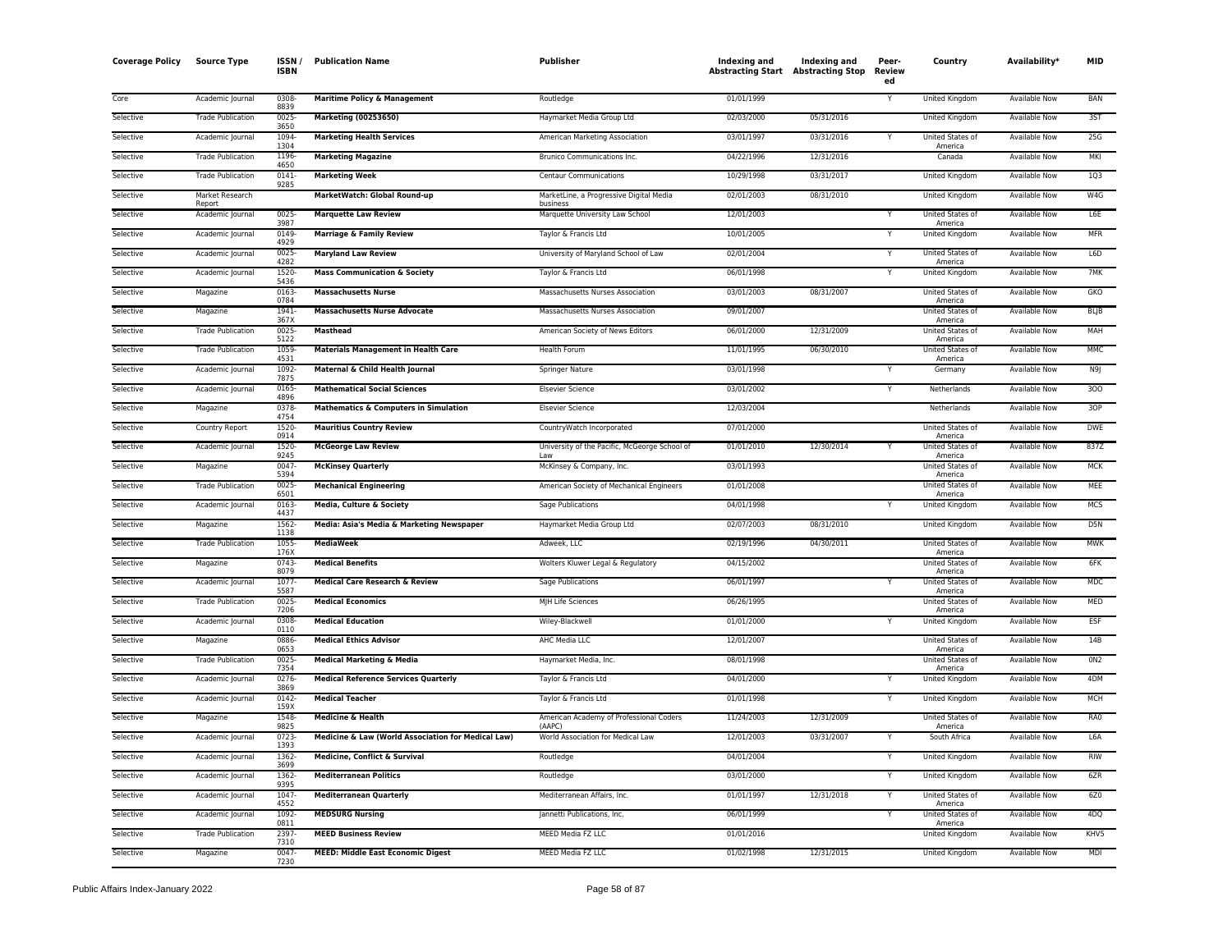| <b>Coverage Policy</b> | <b>Source Type</b>        | ISSN/<br><b>ISBN</b> | <b>Publication Name</b>                            | Publisher                                            | Indexing and<br><b>Abstracting Start Abstracting Stop</b> | Indexing and | Peer-<br>Review<br>ed   | Country                            | Availability*        | <b>MID</b>       |
|------------------------|---------------------------|----------------------|----------------------------------------------------|------------------------------------------------------|-----------------------------------------------------------|--------------|-------------------------|------------------------------------|----------------------|------------------|
| Core                   | Academic Journal          | 0308<br>8839         | <b>Maritime Policy &amp; Management</b>            | Routledge                                            | 01/01/1999                                                |              | Υ                       | United Kingdom                     | <b>Available Now</b> | <b>BAN</b>       |
| Selective              | <b>Trade Publication</b>  | 0025<br>3650         | <b>Marketing (00253650)</b>                        | Haymarket Media Group Ltd                            | 02/03/2000                                                | 05/31/2016   |                         | <b>United Kingdom</b>              | <b>Available Now</b> | 35T              |
| Selective              | Academic Journal          | 1094<br>1304         | <b>Marketing Health Services</b>                   | American Marketing Association                       | 03/01/1997                                                | 03/31/2016   | Υ                       | United States of<br>America        | <b>Available Now</b> | 25G              |
| Selective              | <b>Trade Publication</b>  | 1196<br>4650         | <b>Marketing Magazine</b>                          | Brunico Communications Inc.                          | 04/22/1996                                                | 12/31/2016   |                         | Canada                             | Available Now        | <b>MKI</b>       |
| Selective              | <b>Trade Publication</b>  | 0141<br>9285         | <b>Marketing Week</b>                              | <b>Centaur Communications</b>                        | 10/29/1998                                                | 03/31/2017   |                         | United Kingdom                     | <b>Available Now</b> | 1Q3              |
| Selective              | Market Research<br>Report |                      | MarketWatch: Global Round-up                       | MarketLine, a Progressive Digital Media<br>business  | 02/01/2003                                                | 08/31/2010   |                         | United Kingdom                     | Available Now        | W4G              |
| Selective              | Academic Journal          | 0025<br>3987         | <b>Marquette Law Review</b>                        | Marquette University Law School                      | 12/01/2003                                                |              | Ÿ                       | United States of<br>America        | <b>Available Now</b> | L6E              |
| Selective              | Academic Journal          | 0149<br>4929         | <b>Marriage &amp; Family Review</b>                | Taylor & Francis Ltd                                 | 10/01/2005                                                |              | Y                       | United Kingdom                     | <b>Available Now</b> | <b>MFR</b>       |
| Selective              | Academic Journal          | 0025<br>4282         | <b>Maryland Law Review</b>                         | University of Maryland School of Law                 | 02/01/2004                                                |              | Υ                       | United States of<br>America        | Available Now        | L6D              |
| Selective              | Academic Journal          | 1520<br>5436         | <b>Mass Communication &amp; Society</b>            | Taylor & Francis Ltd                                 | 06/01/1998                                                |              | Y                       | United Kingdom                     | <b>Available Now</b> | 7MK              |
| Selective              | Magazine                  | 0163<br>0784         | <b>Massachusetts Nurse</b>                         | Massachusetts Nurses Association                     | 03/01/2003                                                | 08/31/2007   |                         | United States of<br>America        | Available Now        | GKO              |
| Selective              | Magazine                  | 1941<br>367X         | <b>Massachusetts Nurse Advocate</b>                | Massachusetts Nurses Association                     | 09/01/2007                                                |              |                         | United States of<br>America        | <b>Available Now</b> | <b>BLJB</b>      |
| Selective              | <b>Trade Publication</b>  | 0025<br>5122         | <b>Masthead</b>                                    | American Society of News Editors                     | 06/01/2000                                                | 12/31/2009   |                         | United States of<br>America        | Available Now        | MAH              |
| Selective              | <b>Trade Publication</b>  | 1059<br>4531         | <b>Materials Management in Health Care</b>         | Health Forum                                         | 11/01/1995                                                | 06/30/2010   |                         | United States of<br>America        | <b>Available Now</b> | <b>MMC</b>       |
| Selective              | Academic Journal          | 1092<br>7875         | Maternal & Child Health Journal                    | Springer Nature                                      | 03/01/1998                                                |              |                         | Germany                            | <b>Available Now</b> | N9J              |
| Selective              | Academic Journal          | 0165<br>4896         | <b>Mathematical Social Sciences</b>                | <b>Elsevier Science</b>                              | 03/01/2002                                                |              | Y                       | Netherlands                        | Available Now        | 300              |
| Selective              | Magazine                  | 0378<br>4754         | <b>Mathematics &amp; Computers in Simulation</b>   | <b>Elsevier Science</b>                              | 12/03/2004                                                |              |                         | Netherlands                        | Available Now        | 3OP              |
| Selective              | Country Report            | 1520<br>0914         | <b>Mauritius Country Review</b>                    | CountryWatch Incorporated                            | 07/01/2000                                                |              |                         | United States of<br>America        | Available Now        | <b>DWE</b>       |
| Selective              | Academic Journal          | 1520<br>9245         | <b>McGeorge Law Review</b>                         | University of the Pacific, McGeorge School of<br>Law | 01/01/2010                                                | 12/30/2014   |                         | United States of<br>America        | <b>Available Now</b> | 837Z             |
| Selective              | Magazine                  | 0047<br>5394         | <b>McKinsey Quarterly</b>                          | McKinsey & Company, Inc.                             | 03/01/1993                                                |              |                         | United States of<br>America        | <b>Available Now</b> | <b>MCK</b>       |
| Selective              | <b>Trade Publication</b>  | 0025<br>6501         | <b>Mechanical Engineering</b>                      | American Society of Mechanical Engineers             | 01/01/2008                                                |              |                         | <b>United States of</b><br>America | <b>Available Now</b> | <b>MEE</b>       |
| Selective              | Academic Journal          | 0163<br>4437         | Media, Culture & Society                           | Sage Publications                                    | 04/01/1998                                                |              | Υ                       | United Kingdom                     | Available Now        | <b>MCS</b>       |
| Selective              | Magazine                  | 1562<br>1138         | Media: Asia's Media & Marketing Newspaper          | Haymarket Media Group Ltd                            | 02/07/2003                                                | 08/31/2010   |                         | United Kingdom                     | Available Now        | D <sub>5</sub> N |
| Selective              | <b>Trade Publication</b>  | 1055<br>176X         | <b>MediaWeek</b>                                   | Adweek, LLC                                          | 02/19/1996                                                | 04/30/2011   |                         | United States of<br>America        | Available Now        | <b>MWK</b>       |
| Selective              | Magazine                  | 0743<br>8079         | <b>Medical Benefits</b>                            | Wolters Kluwer Legal & Regulatory                    | 04/15/2002                                                |              |                         | United States of<br>America        | Available Now        | 6FK              |
| Selective              | Academic Journal          | 1077<br>5587         | <b>Medical Care Research &amp; Review</b>          | <b>Sage Publications</b>                             | 06/01/1997                                                |              | $\overline{\mathsf{Y}}$ | United States of<br>America        | <b>Available Now</b> | <b>MDC</b>       |
| Selective              | <b>Trade Publication</b>  | 0025<br>7206         | <b>Medical Economics</b>                           | MJH Life Sciences                                    | 06/26/1995                                                |              |                         | United States of<br>America        | <b>Available Now</b> | <b>MED</b>       |
| Selective              | Academic Journal          | 0308<br>0110         | <b>Medical Education</b>                           | Wiley-Blackwell                                      | 01/01/2000                                                |              | Υ                       | United Kingdom                     | <b>Available Now</b> | ESF              |
| Selective              | Magazine                  | 0886<br>0653         | <b>Medical Ethics Advisor</b>                      | AHC Media LLC                                        | 12/01/2007                                                |              |                         | United States of<br>America        | <b>Available Now</b> | 14B              |
| Selective              | <b>Trade Publication</b>  | 0025<br>7354         | <b>Medical Marketing &amp; Media</b>               | Haymarket Media, Inc.                                | 08/01/1998                                                |              |                         | United States of<br>America        | Available Now        | 0N2              |
| Selective              | Academic Journal          | 0276<br>3869         | <b>Medical Reference Services Quarterly</b>        | Taylor & Francis Ltd                                 | 04/01/2000                                                |              | Y                       | United Kingdom                     | <b>Available Now</b> | 4DM              |
| Selective              | Academic Journal          | 0142<br>159X         | <b>Medical Teacher</b>                             | Taylor & Francis Ltd                                 | 01/01/1998                                                |              |                         | United Kingdom                     | Available Now        | <b>MCH</b>       |
| Selective              | Magazine                  | 1548<br>9825         | <b>Medicine &amp; Health</b>                       | American Academy of Professional Coders<br>(AAPC)    | 11/24/2003                                                | 12/31/2009   |                         | United States of<br>America        | Available Now        | RA0              |
| Selective              | Academic Journal          | $0723-$<br>1393      | Medicine & Law (World Association for Medical Law) | World Association for Medical Law                    | 12/01/2003                                                | 03/31/2007   |                         | South Africa                       | <b>Available Now</b> | L6A              |
| Selective              | Academic Journal          | 1362<br>3699         | <b>Medicine, Conflict &amp; Survival</b>           | Routledge                                            | 04/01/2004                                                |              | Υ                       | <b>United Kingdom</b>              | <b>Available Now</b> | <b>RIW</b>       |
| Selective              | Academic Journal          | 1362<br>9395         | <b>Mediterranean Politics</b>                      | Routledge                                            | 03/01/2000                                                |              | Υ                       | United Kingdom                     | Available Now        | 6ZR              |
| Selective              | Academic Journal          | 1047<br>4552         | <b>Mediterranean Quarterly</b>                     | Mediterranean Affairs, Inc.                          | 01/01/1997                                                | 12/31/2018   | Y                       | United States of<br>America        | Available Now        | 6Z0              |
| Selective              | Academic Journal          | 1092<br>0811         | <b>MEDSURG Nursing</b>                             | Jannetti Publications, Inc.                          | 06/01/1999                                                |              | Υ                       | United States of<br>America        | <b>Available Now</b> | 4DQ              |
| Selective              | <b>Trade Publication</b>  | 2397<br>7310         | <b>MEED Business Review</b>                        | MEED Media FZ LLC                                    | 01/01/2016                                                |              |                         | United Kingdom                     | Available Now        | KHV5             |
| Selective              | Magazine                  | 0047<br>7230         | <b>MEED: Middle East Economic Digest</b>           | MEED Media FZ LLC                                    | 01/02/1998                                                | 12/31/2015   |                         | United Kingdom                     | <b>Available Now</b> | <b>MDI</b>       |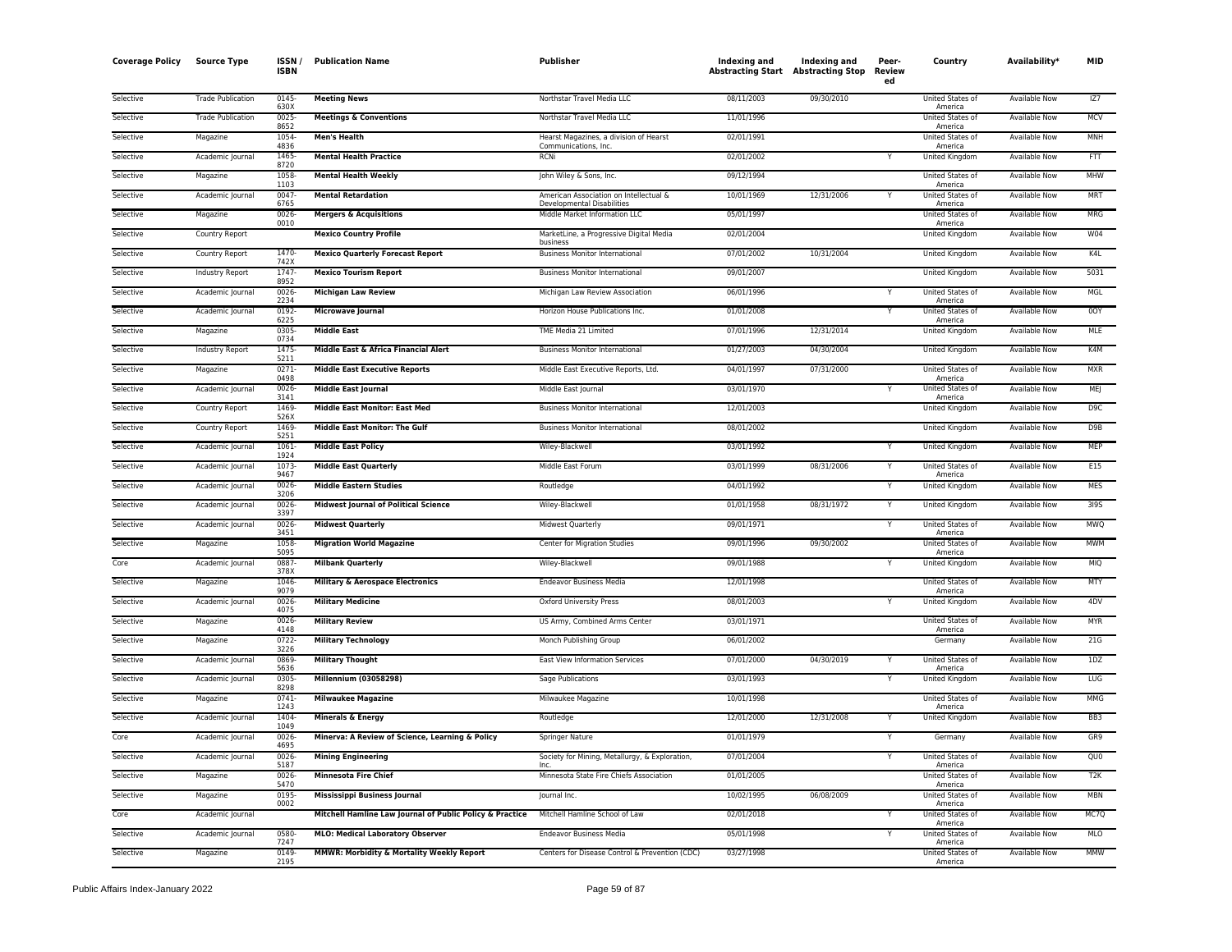| <b>Coverage Policy</b> | <b>Source Type</b>       | <b>ISSN</b><br><b>ISBN</b> | <b>Publication Name</b>                                  | <b>Publisher</b>                                                            | Indexing and<br><b>Abstracting Start</b> Abstracting Stop | Indexing and | Peer-<br>Review<br>ed | Country                            | Availability <sup>*</sup> | <b>MID</b>       |
|------------------------|--------------------------|----------------------------|----------------------------------------------------------|-----------------------------------------------------------------------------|-----------------------------------------------------------|--------------|-----------------------|------------------------------------|---------------------------|------------------|
| Selective              | <b>Trade Publication</b> | 0145<br>630X               | <b>Meeting News</b>                                      | Northstar Travel Media LLC                                                  | 08/11/2003                                                | 09/30/2010   |                       | United States of<br>America        | Available Now             | 177              |
| Selective              | <b>Trade Publication</b> | $0025 -$<br>8652           | <b>Meetings &amp; Conventions</b>                        | Northstar Travel Media LLC                                                  | 11/01/1996                                                |              |                       | United States of<br>America        | <b>Available Now</b>      | <b>MCV</b>       |
| Selective              | Magazine                 | 1054<br>4836               | <b>Men's Health</b>                                      | Hearst Magazines, a division of Hearst<br>Communications, Inc.              | 02/01/1991                                                |              |                       | United States of<br>America        | Available Now             | <b>MNH</b>       |
| Selective              | Academic Journal         | 1465-<br>8720              | <b>Mental Health Practice</b>                            | <b>RCNi</b>                                                                 | 02/01/2002                                                |              |                       | United Kingdom                     | <b>Available Now</b>      | FTT              |
| Selective              | Magazine                 | 1058<br>1103               | <b>Mental Health Weekly</b>                              | John Wiley & Sons, Inc.                                                     | 09/12/1994                                                |              |                       | United States of<br>America        | Available Now             | MHW              |
| Selective              | Academic Journal         | $0047 -$<br>6765           | <b>Mental Retardation</b>                                | American Association on Intellectual &<br><b>Developmental Disabilities</b> | 10/01/1969                                                | 12/31/2006   |                       | United States of<br>America        | Available Now             | <b>MRT</b>       |
| Selective              | Magazine                 | 0026<br>0010               | <b>Mergers &amp; Acquisitions</b>                        | Middle Market Information LLC                                               | 05/01/1997                                                |              |                       | United States of<br>America        | Available Now             | MRG              |
| Selective              | Country Report           |                            | <b>Mexico Country Profile</b>                            | MarketLine, a Progressive Digital Media<br>business                         | 02/01/2004                                                |              |                       | United Kingdom                     | <b>Available Now</b>      | <b>W04</b>       |
| Selective              | Country Report           | 1470<br>742X               | <b>Mexico Quarterly Forecast Report</b>                  | <b>Business Monitor International</b>                                       | 07/01/2002                                                | 10/31/2004   |                       | United Kingdom                     | Available Now             | K4L              |
| Selective              | Industry Report          | 1747<br>8952               | <b>Mexico Tourism Report</b>                             | <b>Business Monitor International</b>                                       | 09/01/2007                                                |              |                       | United Kingdom                     | Available Now             | 5031             |
| Selective              | Academic Journal         | 0026-<br>2234              | <b>Michigan Law Review</b>                               | Michigan Law Review Association                                             | 06/01/1996                                                |              |                       | United States of<br>America        | <b>Available Now</b>      | MGL              |
| Selective              | Academic Journal         | 0192-<br>622               | <b>Microwave Journal</b>                                 | Horizon House Publications Inc.                                             | 01/01/2008                                                |              | Y                     | United States of<br>America        | Available Now             | 0OY              |
| Selective              | Magazine                 | 0305<br>0734               | <b>Middle East</b>                                       | TME Media 21 Limited                                                        | 07/01/1996                                                | 12/31/2014   |                       | United Kingdom                     | Available Now             | MLE              |
| Selective              | Industry Report          | 1475-<br>5211              | Middle East & Africa Financial Alert                     | <b>Business Monitor International</b>                                       | 01/27/2003                                                | 04/30/2004   |                       | United Kingdom                     | Available Now             | K4M              |
| Selective              | Magazine                 | 0271<br>0498               | <b>Middle East Executive Reports</b>                     | Middle East Executive Reports, Ltd.                                         | 04/01/1997                                                | 07/31/2000   |                       | United States of<br>America        | Available Now             | <b>MXR</b>       |
| Selective              | Academic Journal         | 0026-<br>3141              | <b>Middle East Journal</b>                               | Middle East Journal                                                         | 03/01/1970                                                |              |                       | <b>United States of</b><br>America | <b>Available Now</b>      | <b>MEJ</b>       |
| Selective              | Country Report           | 1469<br>526X               | <b>Middle East Monitor: East Med</b>                     | <b>Business Monitor International</b>                                       | 12/01/2003                                                |              |                       | United Kingdom                     | Available Now             | D9C              |
| Selective              | Country Report           | 1469<br>5251               | <b>Middle East Monitor: The Gulf</b>                     | <b>Business Monitor International</b>                                       | 08/01/2002                                                |              |                       | United Kingdom                     | Available Now             | D <sub>9</sub> B |
| Selective              | Academic Journal         | 1061<br>1924               | <b>Middle East Policy</b>                                | Wiley-Blackwell                                                             | 03/01/1992                                                |              |                       | United Kingdom                     | Available Now             | <b>MEP</b>       |
| Selective              | Academic Journal         | 1073<br>9467               | <b>Middle East Quarterly</b>                             | Middle East Forum                                                           | 03/01/1999                                                | 08/31/2006   |                       | United States of<br>America        | Available Now             | E15              |
| Selective              | Academic Journal         | 0026-<br>3206              | <b>Middle Eastern Studies</b>                            | Routledge                                                                   | 04/01/1992                                                |              | Ÿ                     | <b>United Kingdom</b>              | <b>Available Now</b>      | <b>MES</b>       |
| Selective              | Academic Journal         | $0026 -$<br>3397           | <b>Midwest Journal of Political Science</b>              | Wiley-Blackwell                                                             | 01/01/1958                                                | 08/31/1972   | Y                     | <b>United Kingdom</b>              | <b>Available Now</b>      | <b>3195</b>      |
| Selective              | Academic Journal         | 0026<br>3451               | <b>Midwest Quarterly</b>                                 | Midwest Quarterly                                                           | 09/01/1971                                                |              | Y                     | United States of<br>America        | <b>Available Now</b>      | <b>MWQ</b>       |
| Selective              | Magazine                 | 1058<br>5095               | <b>Migration World Magazine</b>                          | Center for Migration Studies                                                | 09/01/1996                                                | 09/30/2002   |                       | United States of<br>America        | <b>Available Now</b>      | <b>MWM</b>       |
| Core                   | Academic Journal         | 0887<br>378X               | <b>Milbank Quarterly</b>                                 | Wiley-Blackwell                                                             | 09/01/1988                                                |              |                       | United Kingdom                     | Available Now             | <b>MIQ</b>       |
| Selective              | Magazine                 | 1046<br>9079               | <b>Military &amp; Aerospace Electronics</b>              | <b>Endeavor Business Media</b>                                              | 12/01/1998                                                |              |                       | United States of<br>America        | <b>Available Now</b>      | <b>MTY</b>       |
| Selective              | Academic Journal         | 0026-<br>4075              | <b>Military Medicine</b>                                 | <b>Oxford University Press</b>                                              | 08/01/2003                                                |              |                       | United Kingdom                     | Available Now             | 4DV              |
| Selective              | Magazine                 | 0026-<br>4148              | <b>Military Review</b>                                   | US Army, Combined Arms Center                                               | 03/01/1971                                                |              |                       | United States of<br>America        | <b>Available Now</b>      | <b>MYR</b>       |
| Selective              | Magazine                 | 0722<br>3226               | <b>Military Technology</b>                               | Monch Publishing Group                                                      | 06/01/2002                                                |              |                       | Germany                            | <b>Available Now</b>      | 21G              |
| Selective              | Academic Journal         | 0869<br>5636               | <b>Military Thought</b>                                  | East View Information Services                                              | 07/01/2000                                                | 04/30/2019   |                       | United States of<br>America        | Available Now             | 1DZ              |
| Selective              | Academic Journal         | 0305<br>8298               | Millennium (03058298)                                    | Sage Publications                                                           | 03/01/1993                                                |              | Y                     | United Kingdom                     | Available Now             | LUG              |
| Selective              | Magazine                 | $0741 -$<br>1243           | <b>Milwaukee Magazine</b>                                | Milwaukee Magazine                                                          | 10/01/1998                                                |              |                       | United States of<br>America        | <b>Available Now</b>      | <b>MMG</b>       |
| Selective              | Academic Journal         | 1404<br>1049               | <b>Minerals &amp; Energy</b>                             | Routledge                                                                   | 12/01/2000                                                | 12/31/2008   |                       | United Kingdom                     | Available Now             | BB <sub>3</sub>  |
| Core                   | Academic Journal         | 0026-<br>4695              | Minerva: A Review of Science, Learning & Policy          | Springer Nature                                                             | 01/01/1979                                                |              |                       | Germany                            | <b>Available Now</b>      | GR9              |
| Selective              | Academic Journal         | 0026<br>5187               | <b>Mining Engineering</b>                                | Society for Mining, Metallurgy, & Exploration,<br><b>Inc</b>                | 07/01/2004                                                |              |                       | United States of<br>America        | <b>Available Now</b>      | QUO              |
| Selective              | Magazine                 | 0026-<br>5470              | <b>Minnesota Fire Chief</b>                              | Minnesota State Fire Chiefs Association                                     | 01/01/2005                                                |              |                       | United States of<br>America        | Available Now             | T2K              |
| Selective              | Magazine                 | 0195<br>0002               | <b>Mississippi Business Journal</b>                      | Journal Inc.                                                                | 10/02/1995                                                | 06/08/2009   |                       | United States of<br>America        | Available Now             | <b>MBN</b>       |
| Core                   | Academic Journal         |                            | Mitchell Hamline Law Journal of Public Policy & Practice | Mitchell Hamline School of Law                                              | 02/01/2018                                                |              |                       | United States of<br>America        | Available Now             | MC7Q             |
| Selective              | Academic Journal         | 0580<br>7247               | <b>MLO: Medical Laboratory Observer</b>                  | <b>Endeavor Business Media</b>                                              | 05/01/1998                                                |              |                       | United States of<br>America        | Available Now             | <b>MLO</b>       |
| Selective              | Magazine                 | 0149<br>2195               | MMWR: Morbidity & Mortality Weekly Report                | Centers for Disease Control & Prevention (CDC)                              | 03/27/1998                                                |              |                       | United States of<br>America        | <b>Available Now</b>      | MMW              |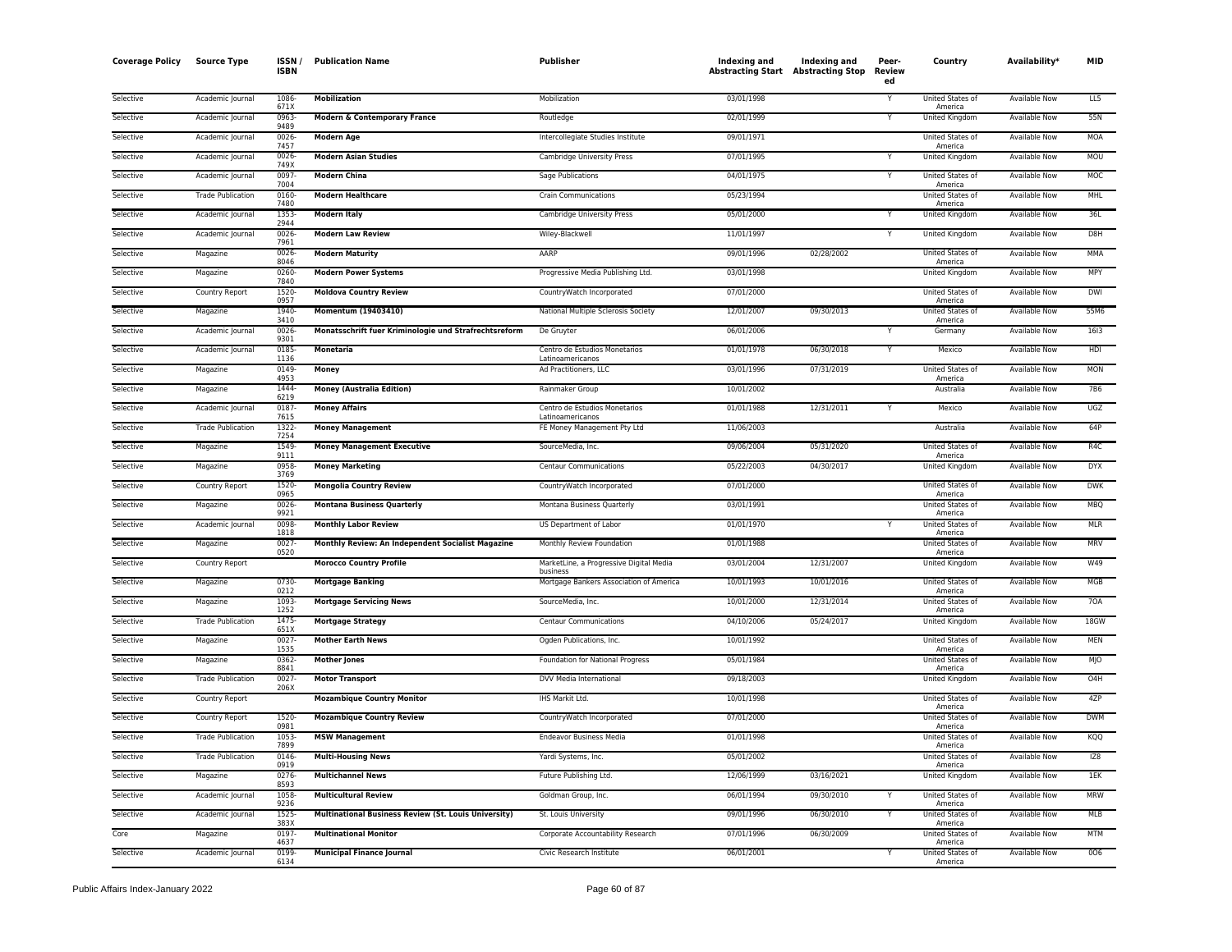| <b>Coverage Policy</b> | <b>Source Type</b>       | <b>ISSN</b><br><b>ISBN</b> | <b>Publication Name</b>                               | <b>Publisher</b>                                    | Indexing and<br><b>Abstracting Start Abstracting Stop</b> | Indexing and | Peer-<br>Review<br>ed | Country                            | Availability <sup>*</sup> | <b>MID</b>  |
|------------------------|--------------------------|----------------------------|-------------------------------------------------------|-----------------------------------------------------|-----------------------------------------------------------|--------------|-----------------------|------------------------------------|---------------------------|-------------|
| Selective              | Academic Journal         | 1086<br>671X               | <b>Mobilization</b>                                   | Mobilization                                        | 03/01/1998                                                |              | Υ                     | United States of<br>America        | Available Now             | 11.5        |
| Selective              | Academic Journal         | 0963<br>9489               | <b>Modern &amp; Contemporary France</b>               | Routledge                                           | 02/01/1999                                                |              | Y                     | <b>United Kingdom</b>              | <b>Available Now</b>      | 55N         |
| Selective              | Academic Journal         | 0026<br>7457               | <b>Modern Age</b>                                     | Intercollegiate Studies Institute                   | 09/01/1971                                                |              |                       | United States of<br>America        | Available Now             | <b>MOA</b>  |
| Selective              | Academic Journal         | 0026<br>749X               | <b>Modern Asian Studies</b>                           | Cambridge University Press                          | 07/01/1995                                                |              |                       | United Kingdom                     | <b>Available Now</b>      | <b>MOU</b>  |
| Selective              | Academic Journal         | 0097<br>7004               | <b>Modern China</b>                                   | Sage Publications                                   | 04/01/1975                                                |              | Y                     | United States of<br>America        | Available Now             | MOC         |
| Selective              | <b>Trade Publication</b> | 0160<br>7480               | <b>Modern Healthcare</b>                              | <b>Crain Communications</b>                         | 05/23/1994                                                |              |                       | United States of<br>America        | Available Now             | MHL         |
| Selective              | Academic Journal         | 1353<br>2944               | <b>Modern Italy</b>                                   | Cambridge University Press                          | 05/01/2000                                                |              | Y                     | United Kingdom                     | Available Now             | 36L         |
| Selective              | Academic Journal         | 0026<br>7961               | <b>Modern Law Review</b>                              | Wiley-Blackwell                                     | 11/01/1997                                                |              | Y                     | United Kingdom                     | Available Now             | D8H         |
| Selective              | Magazine                 | 0026<br>8046               | <b>Modern Maturity</b>                                | AARP                                                | 09/01/1996                                                | 02/28/2002   |                       | United States of<br>America        | <b>Available Now</b>      | <b>MMA</b>  |
| Selective              | Magazine                 | 0260<br>7840               | <b>Modern Power Systems</b>                           | Progressive Media Publishing Ltd.                   | 03/01/1998                                                |              |                       | United Kingdom                     | <b>Available Now</b>      | MPY         |
| Selective              | Country Report           | 1520<br>0957               | <b>Moldova Country Review</b>                         | CountryWatch Incorporated                           | 07/01/2000                                                |              |                       | United States of<br>America        | <b>Available Now</b>      | <b>DWI</b>  |
| Selective              | Magazine                 | 1940<br>3410               | Momentum (19403410)                                   | National Multiple Sclerosis Society                 | 12/01/2007                                                | 09/30/2013   |                       | United States of<br>America        | Available Now             | 55M6        |
| Selective              | Academic Journal         | 0026<br>9301               | Monatsschrift fuer Kriminologie und Strafrechtsreform | De Gruyter                                          | 06/01/2006                                                |              | Y                     | Germany                            | Available Now             | 1613        |
| Selective              | Academic Journal         | 0185<br>1136               | Monetaria                                             | Centro de Estudios Monetarios<br>Latinoamericanos   | 01/01/1978                                                | 06/30/2018   | Y                     | Mexico                             | Available Now             | HDI         |
| Selective              | Magazine                 | 0149<br>4953               | Money                                                 | Ad Practitioners, LLC                               | 03/01/1996                                                | 07/31/2019   |                       | United States of<br>America        | Available Now             | <b>MON</b>  |
| Selective              | Magazine                 | 1444<br>6219               | <b>Money (Australia Edition)</b>                      | Rainmaker Group                                     | 10/01/2002                                                |              |                       | Australia                          | <b>Available Now</b>      | <b>7B6</b>  |
| Selective              | Academic Journal         | 0187<br>7615               | <b>Money Affairs</b>                                  | Centro de Estudios Monetarios<br>Latinoamericanos   | 01/01/1988                                                | 12/31/2011   | Y                     | Mexico                             | <b>Available Now</b>      | UGZ         |
| Selective              | <b>Trade Publication</b> | 1322<br>7254               | <b>Money Management</b>                               | FE Money Management Pty Ltd                         | 11/06/2003                                                |              |                       | Australia                          | <b>Available Now</b>      | 64P         |
| Selective              | Magazine                 | 1549<br>9111               | <b>Money Management Executive</b>                     | SourceMedia, Inc.                                   | 09/06/2004                                                | 05/31/2020   |                       | United States of<br>America        | Available Now             | R4C         |
| Selective              | Magazine                 | 0958<br>3769               | <b>Money Marketing</b>                                | Centaur Communications                              | 05/22/2003                                                | 04/30/2017   |                       | United Kingdom                     | <b>Available Now</b>      | <b>DYX</b>  |
| Selective              | Country Report           | 1520<br>0965               | <b>Mongolia Country Review</b>                        | CountryWatch Incorporated                           | 07/01/2000                                                |              |                       | United States of<br>America        | <b>Available Now</b>      | <b>DWK</b>  |
| Selective              | Magazine                 | 0026<br>9921               | <b>Montana Business Quarterly</b>                     | Montana Business Quarterly                          | 03/01/1991                                                |              |                       | United States of<br>America        | <b>Available Now</b>      | <b>MBQ</b>  |
| Selective              | Academic Journal         | 0098<br>1818               | <b>Monthly Labor Review</b>                           | US Department of Labor                              | 01/01/1970                                                |              |                       | United States of<br>America        | <b>Available Now</b>      | <b>MLR</b>  |
| Selective              | Magazine                 | 0027<br>0520               | Monthly Review: An Independent Socialist Magazine     | Monthly Review Foundation                           | 01/01/1988                                                |              |                       | United States of<br>America        | <b>Available Now</b>      | <b>MRV</b>  |
| Selective              | Country Report           |                            | <b>Morocco Country Profile</b>                        | MarketLine, a Progressive Digital Media<br>business | 03/01/2004                                                | 12/31/2007   |                       | United Kingdom                     | Available Now             | W49         |
| Selective              | Magazine                 | 0730<br>0212               | <b>Mortgage Banking</b>                               | Mortgage Bankers Association of America             | 10/01/1993                                                | 10/01/2016   |                       | United States of<br>America        | Available Now             | MGB         |
| Selective              | Magazine                 | 1093<br>1252               | <b>Mortgage Servicing News</b>                        | SourceMedia, Inc.                                   | 10/01/2000                                                | 12/31/2014   |                       | United States of<br>America        | <b>Available Now</b>      | 70A         |
| Selective              | <b>Trade Publication</b> | 1475<br>651X               | <b>Mortgage Strategy</b>                              | <b>Centaur Communications</b>                       | 04/10/2006                                                | 05/24/2017   |                       | United Kingdom                     | Available Now             | <b>18GW</b> |
| Selective              | Magazine                 | 0027<br>1535               | <b>Mother Earth News</b>                              | Ogden Publications, Inc.                            | 10/01/1992                                                |              |                       | United States of<br>America        | <b>Available Now</b>      | <b>MEN</b>  |
| Selective              | Magazine                 | 0362<br>8841               | <b>Mother Jones</b>                                   | Foundation for National Progress                    | 05/01/1984                                                |              |                       | <b>United States of</b><br>America | Available Now             | MJO         |
| Selective              | <b>Trade Publication</b> | $0027 -$<br>206X           | <b>Motor Transport</b>                                | DVV Media International                             | 09/18/2003                                                |              |                       | United Kingdom                     | Available Now             | O4H         |
| Selective              | Country Report           |                            | <b>Mozambique Country Monitor</b>                     | IHS Markit Ltd.                                     | 10/01/1998                                                |              |                       | United States of<br>America        | Available Now             | 4ZP         |
| Selective              | Country Report           | 1520<br>0981               | <b>Mozambique Country Review</b>                      | CountryWatch Incorporated                           | 07/01/2000                                                |              |                       | United States of<br>America        | Available Now             | <b>DWM</b>  |
| Selective              | <b>Trade Publication</b> | 1053<br>7899               | <b>MSW Management</b>                                 | <b>Endeavor Business Media</b>                      | 01/01/1998                                                |              |                       | United States of<br>America        | Available Now             | KQQ         |
| Selective              | <b>Trade Publication</b> | 0146<br>0919               | <b>Multi-Housing News</b>                             | Yardi Systems, Inc.                                 | 05/01/2002                                                |              |                       | United States of<br>America        | Available Now             | IZ8         |
| Selective              | Magazine                 | 0276<br>8593               | <b>Multichannel News</b>                              | Future Publishing Ltd.                              | 12/06/1999                                                | 03/16/2021   |                       | <b>United Kingdom</b>              | <b>Available Now</b>      | 1EK         |
| Selective              | Academic Journal         | 1058<br>9236               | <b>Multicultural Review</b>                           | Goldman Group, Inc.                                 | 06/01/1994                                                | 09/30/2010   | Y                     | United States of<br>America        | Available Now             | <b>MRW</b>  |
| Selective              | Academic Journal         | 1525<br>383X               | Multinational Business Review (St. Louis University)  | St. Louis University                                | 09/01/1996                                                | 06/30/2010   |                       | United States of<br>America        | Available Now             | <b>MLB</b>  |
| Core                   | Magazine                 | 0197<br>4637               | <b>Multinational Monitor</b>                          | Corporate Accountability Research                   | 07/01/1996                                                | 06/30/2009   |                       | United States of<br>America        | Available Now             | <b>MTM</b>  |
| Selective              | Academic Journal         | 0199<br>6134               | <b>Municipal Finance Journal</b>                      | Civic Research Institute                            | 06/01/2001                                                |              | Y                     | United States of<br>America        | <b>Available Now</b>      | 006         |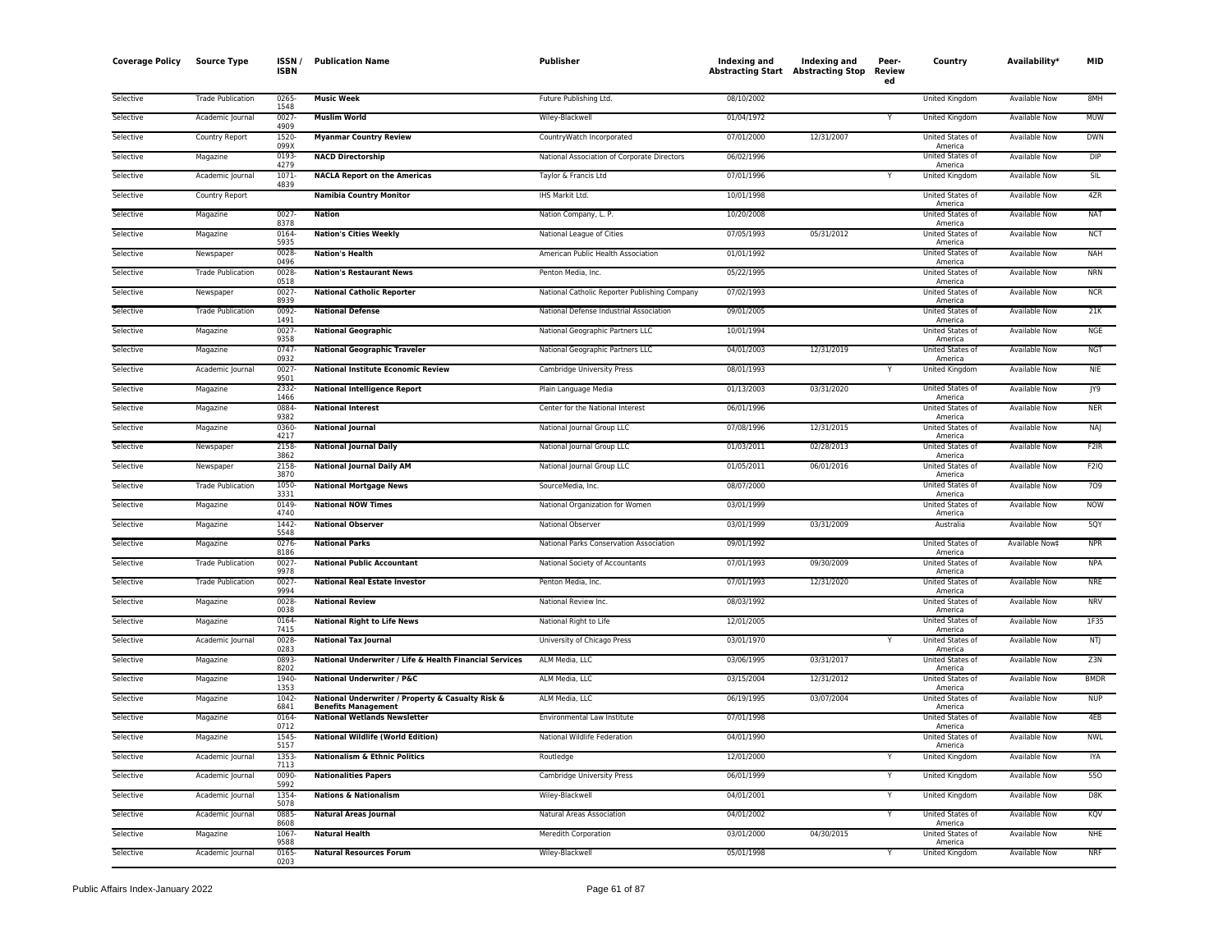| <b>Coverage Policy</b> | <b>Source Type</b>       | <b>ISSN</b><br><b>ISBN</b> | <b>Publication Name</b>                                                         | Publisher                                     | Indexing and<br><b>Abstracting Start Abstracting Stop</b> | Indexing and | Peer-<br><b>Review</b><br>ed | Country                                | Availability*        | <b>MID</b>        |
|------------------------|--------------------------|----------------------------|---------------------------------------------------------------------------------|-----------------------------------------------|-----------------------------------------------------------|--------------|------------------------------|----------------------------------------|----------------------|-------------------|
| Selective              | <b>Trade Publication</b> | 0265<br>1548               | <b>Music Week</b>                                                               | Future Publishing Ltd.                        | 08/10/2002                                                |              |                              | United Kingdom                         | Available Now        | 8MH               |
| Selective              | Academic Journal         | 0027<br>4909               | <b>Muslim World</b>                                                             | Wiley-Blackwell                               | 01/04/1972                                                |              | Y                            | United Kingdom                         | <b>Available Now</b> | <b>MUW</b>        |
| Selective              | Country Report           | 1520<br>099X               | <b>Myanmar Country Review</b>                                                   | CountryWatch Incorporated                     | 07/01/2000                                                | 12/31/2007   |                              | United States of<br>America            | Available Now        | <b>DWN</b>        |
| Selective              | Magazine                 | 0193<br>4279               | <b>NACD Directorship</b>                                                        | National Association of Corporate Directors   | 06/02/1996                                                |              |                              | United States of                       | <b>Available Now</b> | <b>DIP</b>        |
| Selective              | Academic Journal         | $1071 -$                   | <b>NACLA Report on the Americas</b>                                             | Taylor & Francis Ltd                          | 07/01/1996                                                |              | Y                            | America<br><b>United Kingdom</b>       | Available Now        | SIL               |
| Selective              | Country Report           | 4839                       | <b>Namibia Country Monitor</b>                                                  | IHS Markit Ltd.                               | 10/01/1998                                                |              |                              | United States of                       | <b>Available Now</b> | 4ZR               |
| Selective              | Magazine                 | 0027<br>8378               | <b>Nation</b>                                                                   | Nation Company, L. P.                         | 10/20/2008                                                |              |                              | America<br>United States of            | Available Now        | <b>NAT</b>        |
| Selective              | Magazine                 | 0164<br>5935               | <b>Nation's Cities Weekly</b>                                                   | National League of Cities                     | 07/05/1993                                                | 05/31/2012   |                              | America<br>United States of<br>America | Available Now        | <b>NCT</b>        |
| Selective              | Newspaper                | 0028<br>0496               | <b>Nation's Health</b>                                                          | American Public Health Association            | 01/01/1992                                                |              |                              | United States of<br>America            | <b>Available Now</b> | <b>NAH</b>        |
| Selective              | <b>Trade Publication</b> | 0028<br>0518               | <b>Nation's Restaurant News</b>                                                 | Penton Media, Inc.                            | 05/22/1995                                                |              |                              | United States of<br>America            | <b>Available Now</b> | <b>NRN</b>        |
| Selective              | Newspaper                | 0027<br>8939               | <b>National Catholic Reporter</b>                                               | National Catholic Reporter Publishing Company | 07/02/1993                                                |              |                              | United States of<br>America            | <b>Available Now</b> | <b>NCR</b>        |
| Selective              | <b>Trade Publication</b> | 0092<br>1491               | <b>National Defense</b>                                                         | National Defense Industrial Association       | 09/01/2005                                                |              |                              | United States of<br>America            | Available Now        | 21K               |
| Selective              | Magazine                 | $0027 -$<br>9358           | <b>National Geographic</b>                                                      | National Geographic Partners LLC              | 10/01/1994                                                |              |                              | United States of<br>America            | <b>Available Now</b> | <b>NGE</b>        |
| Selective              | Magazine                 | 0747-<br>0932              | <b>National Geographic Traveler</b>                                             | National Geographic Partners LLC              | 04/01/2003                                                | 12/31/2019   |                              | United States of<br>America            | Available Now        | <b>NGT</b>        |
| Selective              | Academic Journal         | 0027<br>9501               | <b>National Institute Economic Review</b>                                       | Cambridge University Press                    | 08/01/1993                                                |              |                              | United Kingdom                         | Available Now        | <b>NIE</b>        |
| Selective              | Magazine                 | 2332<br>1466               | <b>National Intelligence Report</b>                                             | Plain Language Media                          | 01/13/2003                                                | 03/31/2020   |                              | United States of<br>America            | <b>Available Now</b> | JY9               |
| Selective              | Magazine                 | 0884<br>9382               | <b>National Interest</b>                                                        | Center for the National Interest              | 06/01/1996                                                |              |                              | United States of<br>America            | <b>Available Now</b> | <b>NER</b>        |
| Selective              | Magazine                 | 0360<br>4217               | <b>National Journal</b>                                                         | National Journal Group LLC                    | 07/08/1996                                                | 12/31/2015   |                              | United States of<br>America            | <b>Available Now</b> | NAJ               |
| Selective              | Newspaper                | 2158<br>3862               | <b>National Journal Daily</b>                                                   | National Journal Group LLC                    | 01/03/2011                                                | 02/28/2013   |                              | United States of<br>America            | Available Now        | F <sub>2</sub> IR |
| Selective              | Newspaper                | 2158<br>3870               | <b>National Journal Daily AM</b>                                                | National Journal Group LLC                    | 01/05/2011                                                | 06/01/2016   |                              | United States of<br>America            | <b>Available Now</b> | <b>F2IQ</b>       |
| Selective              | <b>Trade Publication</b> | 1050<br>3331               | <b>National Mortgage News</b>                                                   | SourceMedia, Inc.                             | 08/07/2000                                                |              |                              | United States of<br>America            | <b>Available Now</b> | 709               |
| Selective              | Magazine                 | 0149<br>4740               | <b>National NOW Times</b>                                                       | National Organization for Women               | 03/01/1999                                                |              |                              | <b>United States of</b><br>America     | <b>Available Now</b> | <b>NOW</b>        |
| Selective              | Magazine                 | 1442<br>5548               | <b>National Observer</b>                                                        | National Observer                             | 03/01/1999                                                | 03/31/2009   |                              | Australia                              | <b>Available Now</b> | 5QY               |
| Selective              | Magazine                 | $0276 -$<br>8186           | <b>National Parks</b>                                                           | National Parks Conservation Association       | 09/01/1992                                                |              |                              | <b>United States of</b><br>America     | Available Now‡       | <b>NPR</b>        |
| Selective              | <b>Trade Publication</b> | 0027<br>9978               | <b>National Public Accountant</b>                                               | National Society of Accountants               | 07/01/1993                                                | 09/30/2009   |                              | United States of<br>America            | Available Now        | <b>NPA</b>        |
| Selective              | <b>Trade Publication</b> | $0027 -$<br>9994           | <b>National Real Estate Investor</b>                                            | Penton Media, Inc.                            | 07/01/1993                                                | 12/31/2020   |                              | United States of<br>America            | Available Now        | <b>NRE</b>        |
| Selective              | Magazine                 | 0028<br>0038               | <b>National Review</b>                                                          | National Review Inc.                          | 08/03/1992                                                |              |                              | United States of<br>America            | <b>Available Now</b> | <b>NRV</b>        |
| Selective              | Magazine                 | 0164<br>7415               | <b>National Right to Life News</b>                                              | National Right to Life                        | 12/01/2005                                                |              |                              | United States of<br>America            | Available Now        | 1F35              |
| Selective              | Academic Journal         | 0028-<br>0283              | <b>National Tax Journal</b>                                                     | University of Chicago Press                   | 03/01/1970                                                |              |                              | United States of<br>America            | <b>Available Now</b> | NTJ               |
| Selective              | Magazine                 | 0893<br>8202               | National Underwriter / Life & Health Financial Services                         | ALM Media, LLC                                | 03/06/1995                                                | 03/31/2017   |                              | United States of<br>America            | <b>Available Now</b> | Z3N               |
| Selective              | Magazine                 | 1940<br>1353               | National Underwriter / P&C                                                      | ALM Media, LLC                                | 03/15/2004                                                | 12/31/2012   |                              | United States of<br>America            | <b>Available Now</b> | <b>BMDR</b>       |
| Selective              | Magazine                 | 1042<br>6841               | National Underwriter / Property & Casualty Risk &<br><b>Benefits Management</b> | ALM Media, LLC                                | 06/19/1995                                                | 03/07/2004   |                              | United States of<br>America            | Available Now        | <b>NUP</b>        |
| Selective              | Magazine                 | 0164-<br>0712              | <b>National Wetlands Newsletter</b>                                             | Environmental Law Institute                   | 07/01/1998                                                |              |                              | United States of<br>America            | Available Now        | 4EB               |
| Selective              | Magazine                 | 1545<br>5157               | <b>National Wildlife (World Edition)</b>                                        | National Wildlife Federation                  | 04/01/1990                                                |              |                              | United States of<br>America            | Available Now        | <b>NWL</b>        |
| Selective              | Academic Journal         | 1353<br>7113               | <b>Nationalism &amp; Ethnic Politics</b>                                        | Routledge                                     | 12/01/2000                                                |              | Y                            | United Kingdom                         | Available Now        | <b>IYA</b>        |
| Selective              | Academic Journal         | 0090<br>5992               | <b>Nationalities Papers</b>                                                     | Cambridge University Press                    | 06/01/1999                                                |              | Y                            | <b>United Kingdom</b>                  | <b>Available Now</b> | 550               |
| Selective              | Academic Journal         | 1354<br>5078               | <b>Nations &amp; Nationalism</b>                                                | Wiley-Blackwell                               | 04/01/2001                                                |              | Y                            | United Kingdom                         | Available Now        | DSK               |
| Selective              | Academic Journal         | 0885<br>8608               | <b>Natural Areas Journal</b>                                                    | Natural Areas Association                     | 04/01/2002                                                |              | Y                            | United States of<br>America            | Available Now        | KQV               |
| Selective              | Magazine                 | 1067<br>9588               | <b>Natural Health</b>                                                           | Meredith Corporation                          | 03/01/2000                                                | 04/30/2015   |                              | United States of<br>America            | Available Now        | NHE               |
| Selective              | Academic Journal         | 0165<br>0203               | <b>Natural Resources Forum</b>                                                  | Wiley-Blackwell                               | 05/01/1998                                                |              | Y                            | United Kingdom                         | <b>Available Now</b> | <b>NRF</b>        |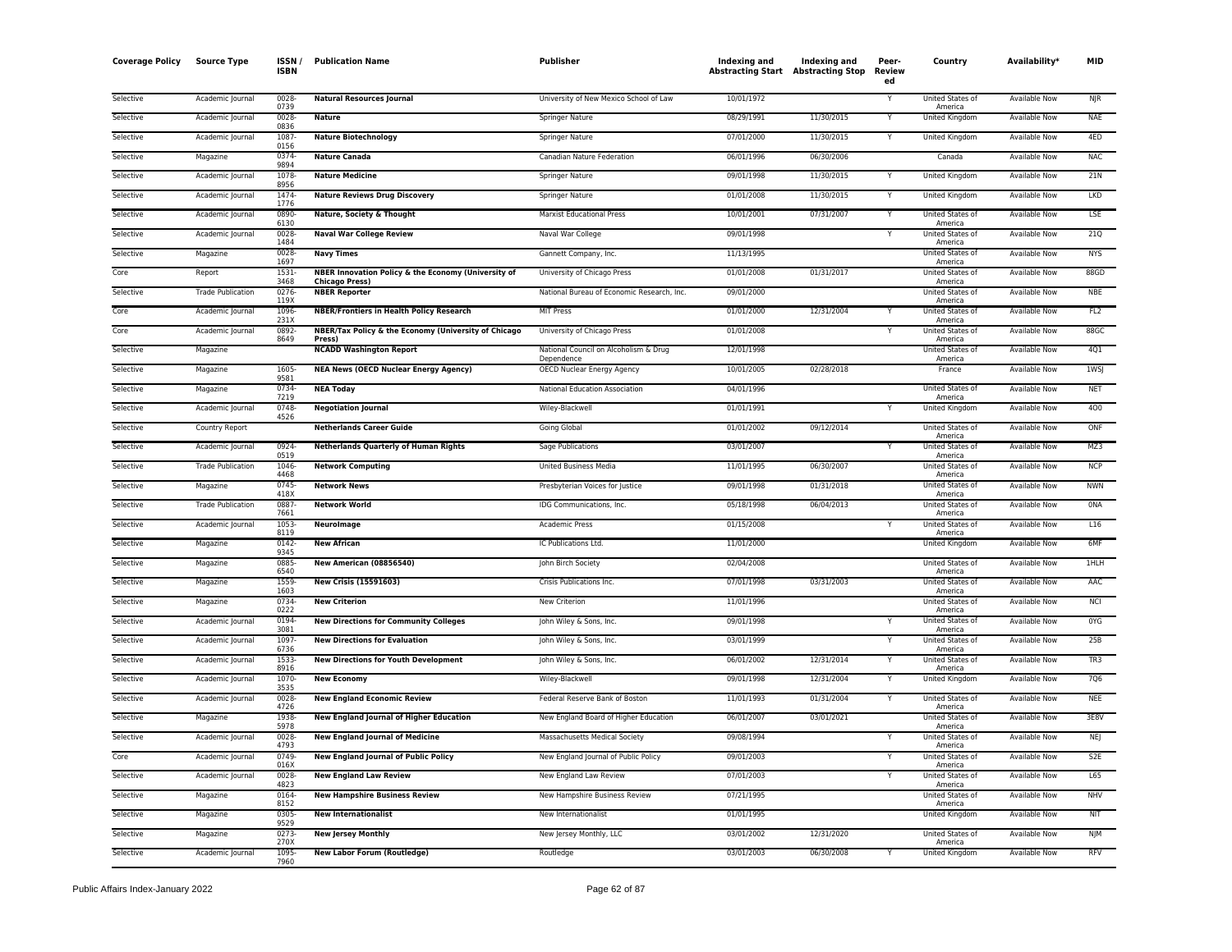| <b>Coverage Policy</b> | <b>Source Type</b>       | ISSN /<br><b>ISBN</b> | <b>Publication Name</b>                                                      | <b>Publisher</b>                                    | Indexing and<br><b>Abstracting Start Abstracting Stop</b> | Indexing and | Peer-<br>Review<br>ed | Country                            | Availability*        | <b>MID</b>      |
|------------------------|--------------------------|-----------------------|------------------------------------------------------------------------------|-----------------------------------------------------|-----------------------------------------------------------|--------------|-----------------------|------------------------------------|----------------------|-----------------|
| Selective              | Academic Journal         | 0028<br>0739          | <b>Natural Resources Journal</b>                                             | University of New Mexico School of Law              | 10/01/1972                                                |              |                       | United States of<br>America        | <b>Available Now</b> | <b>NJR</b>      |
| Selective              | Academic Journal         | 0028<br>0836          | <b>Nature</b>                                                                | Springer Nature                                     | 08/29/1991                                                | 11/30/2015   |                       | United Kingdom                     | Available Now        | <b>NAE</b>      |
| Selective              | Academic Journal         | 1087<br>0156          | <b>Nature Biotechnology</b>                                                  | Springer Nature                                     | 07/01/2000                                                | 11/30/2015   | Υ                     | <b>United Kingdom</b>              | Available Now        | 4FD             |
| Selective              | Magazine                 | 0374<br>9894          | <b>Nature Canada</b>                                                         | Canadian Nature Federation                          | 06/01/1996                                                | 06/30/2006   |                       | Canada                             | Available Now        | <b>NAC</b>      |
| Selective              | Academic Journal         | 1078<br>8956          | <b>Nature Medicine</b>                                                       | Springer Nature                                     | 09/01/1998                                                | 11/30/2015   | Y                     | United Kingdom                     | <b>Available Now</b> | 21N             |
| Selective              | Academic Journal         | 1474<br>1776          | <b>Nature Reviews Drug Discovery</b>                                         | Springer Nature                                     | 01/01/2008                                                | 11/30/2015   |                       | United Kingdom                     | Available Now        | <b>LKD</b>      |
| Selective              | Academic Journal         | 0890<br>6130          | Nature, Society & Thought                                                    | <b>Marxist Educational Press</b>                    | 10/01/2001                                                | 07/31/2007   |                       | United States of<br>America        | <b>Available Now</b> | LSE             |
| Selective              | Academic Journal         | 0028-<br>1484         | <b>Naval War College Review</b>                                              | Naval War College                                   | 09/01/1998                                                |              | Y                     | United States of<br>America        | <b>Available Now</b> | 21Q             |
| Selective              | Magazine                 | 0028-<br>1697         | <b>Navy Times</b>                                                            | Gannett Company, Inc.                               | 11/13/1995                                                |              |                       | United States of<br>America        | Available Now        | <b>NYS</b>      |
| Core                   | Report                   | 1531-<br>3468         | NBER Innovation Policy & the Economy (University of<br><b>Chicago Press)</b> | University of Chicago Press                         | 01/01/2008                                                | 01/31/2017   |                       | United States of<br>America        | <b>Available Now</b> | 88GD            |
| Selective              | <b>Trade Publication</b> | 0276<br>119X          | <b>NBER Reporter</b>                                                         | National Bureau of Economic Research, Inc.          | 09/01/2000                                                |              |                       | United States of<br>America        | Available Now        | <b>NBE</b>      |
| Core                   | Academic Journal         | 1096<br>231X          | <b>NBER/Frontiers in Health Policy Research</b>                              | <b>MIT Press</b>                                    | 01/01/2000                                                | 12/31/2004   | Y                     | United States of<br>America        | <b>Available Now</b> | FL <sub>2</sub> |
| Core                   | Academic Journal         | 0892<br>8649          | NBER/Tax Policy & the Economy (University of Chicago<br>Press)               | University of Chicago Press                         | 01/01/2008                                                |              |                       | United States of<br>America        | Available Now        | 88GC            |
| Selective              | Magazine                 |                       | <b>NCADD Washington Report</b>                                               | National Council on Alcoholism & Drug<br>Dependence | 12/01/1998                                                |              |                       | United States of<br>America        | <b>Available Now</b> | 4Q1             |
| Selective              | Magazine                 | 1605<br>9581          | <b>NEA News (OECD Nuclear Energy Agency)</b>                                 | OECD Nuclear Energy Agency                          | 10/01/2005                                                | 02/28/2018   |                       | France                             | <b>Available Now</b> | 1WSJ            |
| Selective              | Magazine                 | 0734<br>7219          | <b>NEA Today</b>                                                             | National Education Association                      | 04/01/1996                                                |              |                       | <b>United States of</b><br>America | Available Now        | <b>NET</b>      |
| Selective              | Academic Journal         | 0748<br>4526          | <b>Negotiation Journal</b>                                                   | Wiley-Blackwell                                     | 01/01/1991                                                |              | Y                     | United Kingdom                     | Available Now        | 400             |
| Selective              | Country Report           |                       | <b>Netherlands Career Guide</b>                                              | Going Global                                        | 01/01/2002                                                | 09/12/2014   |                       | United States of<br>America        | Available Now        | ONF             |
| Selective              | Academic Journal         | 0924<br>0519          | <b>Netherlands Quarterly of Human Rights</b>                                 | Sage Publications                                   | 03/01/2007                                                |              |                       | United States of<br>America        | <b>Available Now</b> | MZ3             |
| Selective              | <b>Trade Publication</b> | 1046<br>4468          | <b>Network Computing</b>                                                     | <b>United Business Media</b>                        | 11/01/1995                                                | 06/30/2007   |                       | United States of<br>America        | <b>Available Now</b> | <b>NCP</b>      |
| Selective              | Magazine                 | 0745<br>418X          | <b>Network News</b>                                                          | Presbyterian Voices for Justice                     | 09/01/1998                                                | 01/31/2018   |                       | United States of<br>America        | <b>Available Now</b> | <b>NWN</b>      |
| Selective              | <b>Trade Publication</b> | 0887<br>7661          | <b>Network World</b>                                                         | IDG Communications, Inc.                            | 05/18/1998                                                | 06/04/2013   |                       | United States of<br>America        | Available Now        | <b>ONA</b>      |
| Selective              | Academic Journal         | 1053<br>8119          | Neurolmage                                                                   | Academic Press                                      | 01/15/2008                                                |              | Y                     | United States of<br>America        | Available Now        | L16             |
| Selective              | Magazine                 | 0142<br>9345          | <b>New African</b>                                                           | IC Publications Ltd.                                | 11/01/2000                                                |              |                       | United Kingdom                     | Available Now        | 6MF             |
| Selective              | Magazine                 | 0885<br>6540          | <b>New American (08856540)</b>                                               | John Birch Society                                  | 02/04/2008                                                |              |                       | United States of<br>America        | Available Now        | 1HLH            |
| Selective              | Magazine                 | 1559<br>1603          | <b>New Crisis (15591603)</b>                                                 | Crisis Publications Inc.                            | 07/01/1998                                                | 03/31/2003   |                       | United States of<br>America        | <b>Available Now</b> | AAC             |
| Selective              | Magazine                 | 0734-<br>0222         | <b>New Criterion</b>                                                         | New Criterion                                       | 11/01/1996                                                |              |                       | United States of<br>America        | <b>Available Now</b> | <b>NCI</b>      |
| Selective              | Academic Journal         | 0194<br>3081          | <b>New Directions for Community Colleges</b>                                 | John Wiley & Sons, Inc.                             | 09/01/1998                                                |              |                       | United States of<br>America        | <b>Available Now</b> | 0YG             |
| Selective              | Academic Journal         | 1097<br>6736          | <b>New Directions for Evaluation</b>                                         | John Wiley & Sons, Inc.                             | 03/01/1999                                                |              | Y                     | United States of<br>America        | <b>Available Now</b> | 25B             |
| Selective              | Academic Journal         | 1533<br>8916          | <b>New Directions for Youth Development</b>                                  | John Wiley & Sons, Inc.                             | 06/01/2002                                                | 12/31/2014   |                       | United States of<br>America        | Available Now        | TR3             |
| Selective              | Academic Journal         | 1070-<br>3535         | <b>New Economy</b>                                                           | Wiley-Blackwell                                     | 09/01/1998                                                | 12/31/2004   | Y                     | <b>United Kingdom</b>              | <b>Available Now</b> | 706             |
| Selective              | Academic Journal         | 0028<br>4726          | <b>New England Economic Review</b>                                           | Federal Reserve Bank of Boston                      | 11/01/1993                                                | 01/31/2004   |                       | United States of<br>America        | Available Now        | <b>NEE</b>      |
| Selective              | Magazine                 | 1938<br>5978          | <b>New England Journal of Higher Education</b>                               | New England Board of Higher Education               | 06/01/2007                                                | 03/01/2021   |                       | United States of<br>America        | Available Now        | 3E8V            |
| Selective              | Academic Journal         | 0028<br>4793          | <b>New England Journal of Medicine</b>                                       | Massachusetts Medical Society                       | 09/08/1994                                                |              |                       | United States of<br>America        | <b>Available Now</b> | <b>NEJ</b>      |
| Core                   | Academic Journal         | 0749<br>016X          | <b>New England Journal of Public Policy</b>                                  | New England Journal of Public Policy                | 09/01/2003                                                |              |                       | <b>United States of</b><br>America | Available Now        | S <sub>2E</sub> |
| Selective              | Academic Journal         | 0028<br>4823          | <b>New England Law Review</b>                                                | New England Law Review                              | 07/01/2003                                                |              | Y                     | United States of<br>America        | Available Now        | L65             |
| Selective              | Magazine                 | 0164<br>8152          | <b>New Hampshire Business Review</b>                                         | New Hampshire Business Review                       | 07/21/1995                                                |              |                       | United States of<br>America        | Available Now        | <b>NHV</b>      |
| Selective              | Magazine                 | 0305<br>9529          | <b>New Internationalist</b>                                                  | New Internationalist                                | 01/01/1995                                                |              |                       | <b>United Kingdom</b>              | <b>Available Now</b> | <b>NIT</b>      |
| Selective              | Magazine                 | 0273<br>270X          | <b>New Jersey Monthly</b>                                                    | New Jersey Monthly, LLC                             | 03/01/2002                                                | 12/31/2020   |                       | United States of<br>America        | Available Now        | <b>NJM</b>      |
| Selective              | Academic Journal         | 1095<br>7960          | <b>New Labor Forum (Routledge)</b>                                           | Routledge                                           | 03/01/2003                                                | 06/30/2008   |                       | United Kingdom                     | <b>Available Now</b> | <b>RFV</b>      |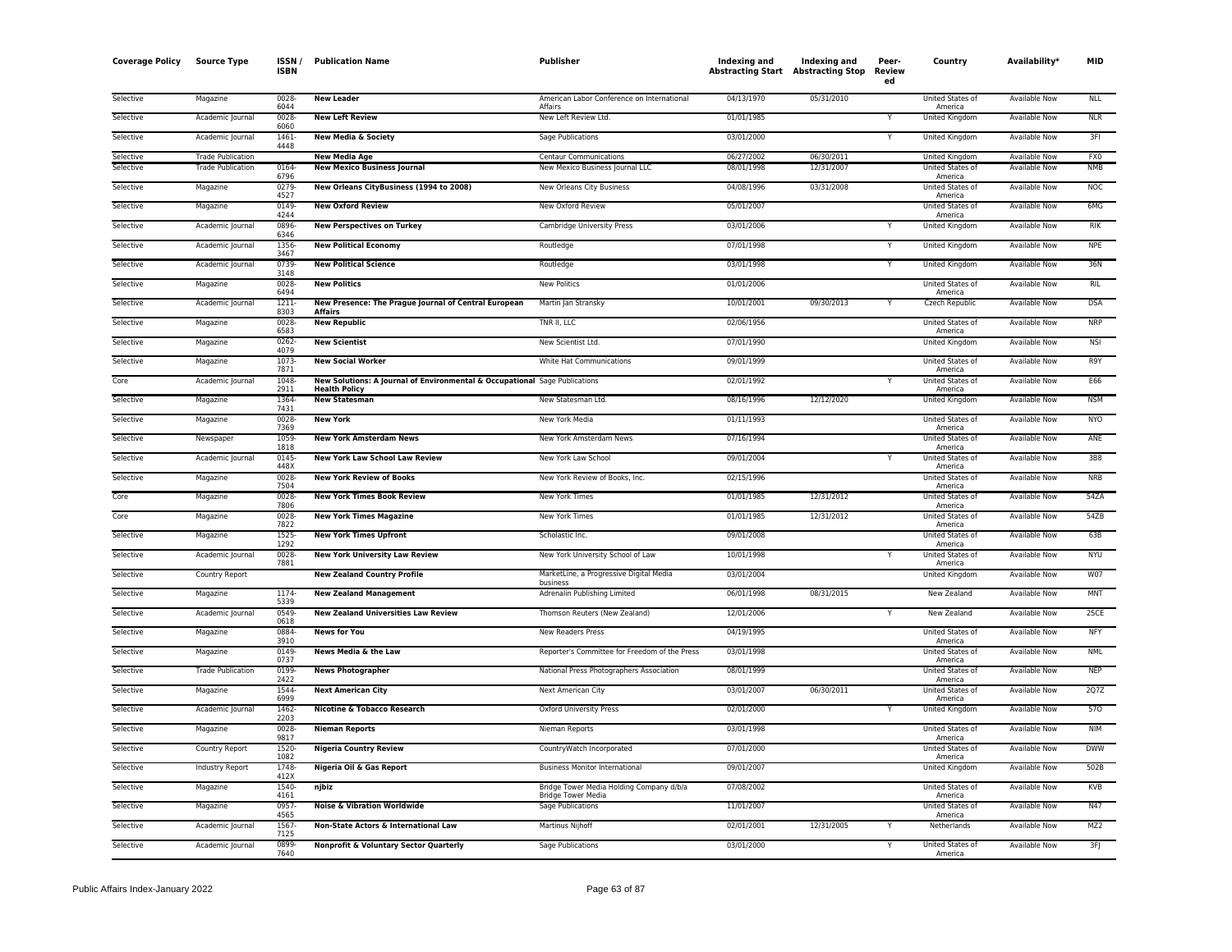| <b>Coverage Policy</b> | <b>Source Type</b>       | ISSN /<br><b>ISBN</b> | <b>Publication Name</b>                                                                            | <b>Publisher</b>                                                      | Indexing and<br><b>Abstracting Start Abstracting Stop</b> | <b>Indexing and</b> | Peer-<br>Review<br>ed | Country                            | Availability*        | <b>MID</b> |
|------------------------|--------------------------|-----------------------|----------------------------------------------------------------------------------------------------|-----------------------------------------------------------------------|-----------------------------------------------------------|---------------------|-----------------------|------------------------------------|----------------------|------------|
| Selective              | Magazine                 | 0028-<br>6044         | <b>New Leader</b>                                                                                  | American Labor Conference on International<br>Affairs                 | 04/13/1970                                                | 05/31/2010          |                       | United States of<br>America        | <b>Available Now</b> | <b>NLL</b> |
| Selective              | Academic Journal         | 0028<br>6060          | <b>New Left Review</b>                                                                             | New Left Review Ltd.                                                  | 01/01/1985                                                |                     |                       | <b>United Kingdom</b>              | <b>Available Now</b> | <b>NLR</b> |
| Selective              | Academic Journal         | 1461<br>4448          | <b>New Media &amp; Society</b>                                                                     | Sage Publications                                                     | 03/01/2000                                                |                     | Υ                     | United Kingdom                     | Available Now        | 3FI        |
| Selective              | <b>Trade Publication</b> |                       | <b>New Media Age</b>                                                                               | <b>Centaur Communications</b>                                         | 06/27/2002                                                | 06/30/2011          |                       | United Kingdom                     | Available Now        | FX0        |
| Selective              | <b>Trade Publication</b> | 0164<br>6796          | <b>New Mexico Business Journal</b>                                                                 | New Mexico Business Journal LLC                                       | 08/01/1998                                                | 12/31/2007          |                       | United States of<br>America        | <b>Available Now</b> | <b>NMB</b> |
| Selective              | Magazine                 | 0279<br>4527          | New Orleans CityBusiness (1994 to 2008)                                                            | New Orleans City Business                                             | 04/08/1996                                                | 03/31/2008          |                       | United States of<br>America        | <b>Available Now</b> | <b>NOC</b> |
| Selective              | Magazine                 | 0149-<br>4244         | <b>New Oxford Review</b>                                                                           | New Oxford Review                                                     | 05/01/2007                                                |                     |                       | <b>United States of</b><br>America | <b>Available Now</b> | 6MG        |
| Selective              | Academic Journal         | 0896<br>6346          | <b>New Perspectives on Turkey</b>                                                                  | Cambridge University Press                                            | 03/01/2006                                                |                     |                       | United Kingdom                     | Available Now        | <b>RIK</b> |
| Selective              | Academic Journal         | 1356-<br>3467         | <b>New Political Economy</b>                                                                       | Routledge                                                             | 07/01/1998                                                |                     | Y                     | United Kingdom                     | Available Now        | <b>NPE</b> |
| Selective              | Academic Journal         | 0739<br>3148          | <b>New Political Science</b>                                                                       | Routledge                                                             | 03/01/1998                                                |                     |                       | United Kingdom                     | <b>Available Now</b> | 36N        |
| Selective              | Magazine                 | 0028<br>6494          | <b>New Politics</b>                                                                                | <b>New Politics</b>                                                   | 01/01/2006                                                |                     |                       | United States of<br>America        | <b>Available Now</b> | <b>RIL</b> |
| Selective              | Academic Journal         | 1211<br>8303          | New Presence: The Prague Journal of Central European<br><b>Affairs</b>                             | Martin Jan Stransky                                                   | 10/01/2001                                                | 09/30/2013          |                       | Czech Republic                     | <b>Available Now</b> | <b>DSA</b> |
| Selective              | Magazine                 | 0028<br>6583          | <b>New Republic</b>                                                                                | TNR II, LLC                                                           | 02/06/1956                                                |                     |                       | United States of<br>America        | <b>Available Now</b> | <b>NRP</b> |
| Selective              | Magazine                 | 0262-<br>4079         | <b>New Scientist</b>                                                                               | New Scientist Ltd.                                                    | 07/01/1990                                                |                     |                       | United Kingdom                     | Available Now        | <b>NSI</b> |
| Selective              | Magazine                 | 1073<br>7871          | <b>New Social Worker</b>                                                                           | White Hat Communications                                              | 09/01/1999                                                |                     |                       | United States of<br>America        | Available Now        | R9Y        |
| Core                   | Academic Journal         | 1048<br>2911          | New Solutions: A Journal of Environmental & Occupational Sage Publications<br><b>Health Policy</b> |                                                                       | 02/01/1992                                                |                     |                       | <b>United States of</b><br>America | <b>Available Now</b> | E66        |
| Selective              | Magazine                 | 1364<br>7431          | <b>New Statesman</b>                                                                               | New Statesman Ltd.                                                    | 08/16/1996                                                | 12/12/2020          |                       | United Kingdom                     | <b>Available Now</b> | <b>NSM</b> |
| Selective              | Magazine                 | 0028<br>7369          | <b>New York</b>                                                                                    | New York Media                                                        | 01/11/1993                                                |                     |                       | United States of<br>America        | Available Now        | <b>NYO</b> |
| Selective              | Newspaper                | 1059-<br>1818         | <b>New York Amsterdam News</b>                                                                     | New York Amsterdam News                                               | 07/16/1994                                                |                     |                       | United States of<br>America        | Available Now        | ANE        |
| Selective              | Academic Journal         | 0145<br>448X          | <b>New York Law School Law Review</b>                                                              | New York Law School                                                   | 09/01/2004                                                |                     | Y                     | <b>United States of</b><br>America | <b>Available Now</b> | <b>3B8</b> |
| Selective              | Magazine                 | 0028<br>7504          | <b>New York Review of Books</b>                                                                    | New York Review of Books, Inc.                                        | 02/15/1996                                                |                     |                       | United States of<br>America        | Available Now        | <b>NRB</b> |
| Core                   | Magazine                 | 0028<br>7806          | <b>New York Times Book Review</b>                                                                  | New York Times                                                        | 01/01/1985                                                | 12/31/2012          |                       | United States of<br>America        | Available Now        | 54ZA       |
| Core                   | Magazine                 | 0028<br>7822          | <b>New York Times Magazine</b>                                                                     | New York Times                                                        | 01/01/1985                                                | 12/31/2012          |                       | United States of<br>America        | Available Now        | 54ZB       |
| Selective              | Magazine                 | 1525-<br>1292         | <b>New York Times Upfront</b>                                                                      | Scholastic Inc.                                                       | 09/01/2008                                                |                     |                       | United States of<br>America        | Available Now        | 63B        |
| Selective              | Academic Journal         | 0028-<br>7881         | <b>New York University Law Review</b>                                                              | New York University School of Law                                     | 10/01/1998                                                |                     | Y                     | United States of<br>America        | Available Now        | <b>NYU</b> |
| Selective              | Country Report           |                       | <b>New Zealand Country Profile</b>                                                                 | MarketLine, a Progressive Digital Media<br>business                   | 03/01/2004                                                |                     |                       | United Kingdom                     | <b>Available Now</b> | W07        |
| Selective              | Magazine                 | 1174<br>5339          | <b>New Zealand Management</b>                                                                      | Adrenalin Publishing Limited                                          | 06/01/1998                                                | 08/31/2015          |                       | New Zealand                        | Available Now        | MNT        |
| Selective              | Academic Journal         | 0549<br>0618          | <b>New Zealand Universities Law Review</b>                                                         | Thomson Reuters (New Zealand)                                         | 12/01/2006                                                |                     |                       | New Zealand                        | Available Now        | 2SCE       |
| Selective              | Magazine                 | 0884<br>3910          | <b>News for You</b>                                                                                | New Readers Press                                                     | 04/19/1995                                                |                     |                       | United States of<br>America        | <b>Available Now</b> | <b>NFY</b> |
| Selective              | Magazine                 | 0149<br>0737          | News Media & the Law                                                                               | Reporter's Committee for Freedom of the Press                         | 03/01/1998                                                |                     |                       | United States of<br>America        | Available Now        | <b>NML</b> |
| Selective              | <b>Trade Publication</b> | 0199<br>2422          | <b>News Photographer</b>                                                                           | National Press Photographers Association                              | 08/01/1999                                                |                     |                       | United States of<br>America        | <b>Available Now</b> | <b>NEP</b> |
| Selective              | Magazine                 | 1544-<br>6999         | <b>Next American City</b>                                                                          | Next American City                                                    | 03/01/2007                                                | 06/30/2011          |                       | United States of<br>America        | Available Now        | 2Q7Z       |
| Selective              | Academic Journal         | 1462<br>2203          | Nicotine & Tobacco Research                                                                        | Oxford University Press                                               | 02/01/2000                                                |                     |                       | United Kingdom                     | <b>Available Now</b> | 570        |
| Selective              | Magazine                 | 0028<br>9817          | <b>Nieman Reports</b>                                                                              | Nieman Reports                                                        | 03/01/1998                                                |                     |                       | United States of<br>America        | <b>Available Now</b> | <b>NIM</b> |
| Selective              | Country Report           | 1520-<br>1082         | <b>Nigeria Country Review</b>                                                                      | CountryWatch Incorporated                                             | 07/01/2000                                                |                     |                       | <b>United States of</b><br>America | <b>Available Now</b> | <b>DWW</b> |
| Selective              | Industry Report          | 1748<br>412X          | Nigeria Oil & Gas Report                                                                           | <b>Business Monitor International</b>                                 | 09/01/2007                                                |                     |                       | <b>United Kingdom</b>              | Available Now        | 502B       |
| Selective              | Magazine                 | 1540<br>4161          | njbiz                                                                                              | Bridge Tower Media Holding Company d/b/a<br><b>Bridge Tower Media</b> | 07/08/2002                                                |                     |                       | United States of<br>America        | Available Now        | <b>KVB</b> |
| Selective              | Magazine                 | 0957<br>4565          | <b>Noise &amp; Vibration Worldwide</b>                                                             | Sage Publications                                                     | 11/01/2007                                                |                     |                       | United States of<br>America        | <b>Available Now</b> | N47        |
| Selective              | Academic Journal         | 1567<br>7125          | Non-State Actors & International Law                                                               | Martinus Nijhoff                                                      | 02/01/2001                                                | 12/31/2005          |                       | Netherlands                        | Available Now        | MZ2        |
| Selective              | Academic Journal         | 0899-<br>7640         | Nonprofit & Voluntary Sector Quarterly                                                             | Sage Publications                                                     | 03/01/2000                                                |                     | Y                     | United States of<br>America        | <b>Available Now</b> | 3FJ        |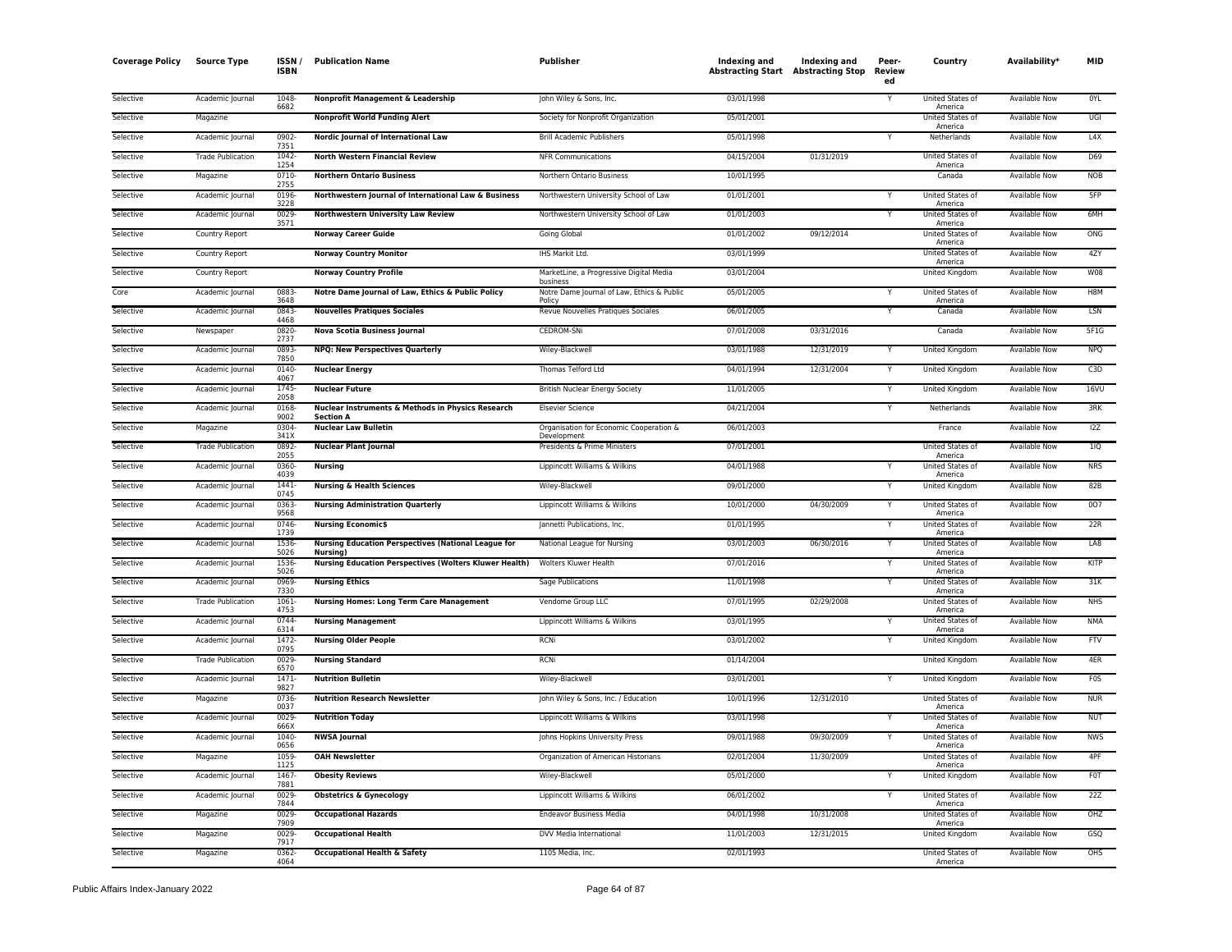| <b>Coverage Policy</b> | <b>Source Type</b>       | <b>ISSN</b><br><b>ISBN</b> | <b>Publication Name</b>                                                | Publisher                                              | Indexing and<br><b>Abstracting Start Abstracting Stop</b> | Indexing and | Peer-<br>Review<br>ed | Country                            | Availability*        | MID         |
|------------------------|--------------------------|----------------------------|------------------------------------------------------------------------|--------------------------------------------------------|-----------------------------------------------------------|--------------|-----------------------|------------------------------------|----------------------|-------------|
| Selective              | Academic Journal         | 1048<br>6682               | Nonprofit Management & Leadership                                      | John Wiley & Sons, Inc.                                | 03/01/1998                                                |              |                       | United States of<br>America        | Available Now        | 0YL         |
| Selective              | Magazine                 |                            | <b>Nonprofit World Funding Alert</b>                                   | Society for Nonprofit Organization                     | 05/01/2001                                                |              |                       | United States of<br>America        | Available Now        | UGI         |
| Selective              | Academic Journal         | 0902<br>7351               | Nordic Journal of International Law                                    | <b>Brill Academic Publishers</b>                       | 05/01/1998                                                |              | Y                     | Netherlands                        | Available Now        | L4X         |
| Selective              | <b>Trade Publication</b> | 1042<br>1254               | <b>North Western Financial Review</b>                                  | <b>NFR Communications</b>                              | 04/15/2004                                                | 01/31/2019   |                       | United States of<br>America        | <b>Available Now</b> | D69         |
| Selective              | Magazine                 | 0710<br>2755               | <b>Northern Ontario Business</b>                                       | Northern Ontario Business                              | 10/01/1995                                                |              |                       | Canada                             | Available Now        | <b>NOB</b>  |
| Selective              | Academic Journal         | 0196<br>3228               | Northwestern Journal of International Law & Business                   | Northwestern University School of Law                  | 01/01/2001                                                |              |                       | United States of<br>America        | <b>Available Now</b> | 5FP         |
| Selective              | Academic Journal         | 0029<br>3571               | <b>Northwestern University Law Review</b>                              | Northwestern University School of Law                  | 01/01/2003                                                |              | Y                     | United States of<br>America        | <b>Available Now</b> | 6MH         |
| Selective              | Country Report           |                            | <b>Norway Career Guide</b>                                             | Going Global                                           | 01/01/2002                                                | 09/12/2014   |                       | United States of<br>America        | Available Now        | ONG         |
| Selective              | Country Report           |                            | <b>Norway Country Monitor</b>                                          | IHS Markit Ltd.                                        | 03/01/1999                                                |              |                       | United States of<br>America        | Available Now        | 4ZY         |
| Selective              | Country Report           |                            | <b>Norway Country Profile</b>                                          | MarketLine, a Progressive Digital Media<br>business    | 03/01/2004                                                |              |                       | United Kingdom                     | <b>Available Now</b> | <b>W08</b>  |
| Core                   | Academic Journal         | 0883<br>3648               | Notre Dame Journal of Law, Ethics & Public Policy                      | Notre Dame Journal of Law, Ethics & Public<br>Policy   | 05/01/2005                                                |              | Y                     | United States of<br>America        | Available Now        | H8M         |
| Selective              | Academic Journal         | 0843<br>4468               | <b>Nouvelles Pratiques Sociales</b>                                    | Revue Nouvelles Pratiques Sociales                     | 06/01/2005                                                |              |                       | Canada                             | <b>Available Now</b> | LSN         |
| Selective              | Newspaper                | 0820<br>2737               | <b>Nova Scotia Business Journal</b>                                    | <b>CEDROM-SNi</b>                                      | 07/01/2008                                                | 03/31/2016   |                       | Canada                             | <b>Available Now</b> | 5F1G        |
| Selective              | Academic Journal         | 0893<br>7850               | <b>NPQ: New Perspectives Quarterly</b>                                 | Wiley-Blackwell                                        | 03/01/1988                                                | 12/31/2019   | Y                     | United Kingdom                     | <b>Available Now</b> | <b>NPQ</b>  |
| Selective              | Academic Journal         | 0140<br>4067               | <b>Nuclear Energy</b>                                                  | Thomas Telford Ltd                                     | 04/01/1994                                                | 12/31/2004   | v                     | United Kingdom                     | Available Now        | C3D         |
| Selective              | Academic Journal         | 1745<br>2058               | <b>Nuclear Future</b>                                                  | <b>British Nuclear Energy Society</b>                  | 11/01/2005                                                |              | Y                     | United Kingdom                     | Available Now        | 16VU        |
| Selective              | Academic Journal         | 0168<br>9002               | Nuclear Instruments & Methods in Physics Research<br><b>Section A</b>  | <b>Elsevier Science</b>                                | 04/21/2004                                                |              |                       | Netherlands                        | <b>Available Now</b> | 3RK         |
| Selective              | Magazine                 | 0304<br>341X               | <b>Nuclear Law Bulletin</b>                                            | Organisation for Economic Cooperation &<br>Development | 06/01/2003                                                |              |                       | France                             | Available Now        | 12Z         |
| Selective              | <b>Trade Publication</b> | 0892<br>2055               | <b>Nuclear Plant Journal</b>                                           | Presidents & Prime Ministers                           | 07/01/2001                                                |              |                       | United States of<br>America        | <b>Available Now</b> | 11Q         |
| Selective              | Academic Journal         | 0360<br>4039               | <b>Nursing</b>                                                         | Lippincott Williams & Wilkins                          | 04/01/1988                                                |              |                       | United States of<br>America        | <b>Available Now</b> | <b>NRS</b>  |
| Selective              | Academic Journal         | 1441<br>0745               | <b>Nursing &amp; Health Sciences</b>                                   | Wiley-Blackwell                                        | 09/01/2000                                                |              | Y                     | United Kingdom                     | Available Now        | 82B         |
| Selective              | Academic Journal         | 0363<br>9568               | <b>Nursing Administration Quarterly</b>                                | Lippincott Williams & Wilkins                          | 10/01/2000                                                | 04/30/2009   | Y                     | United States of<br>America        | Available Now        | 007         |
| Selective              | Academic Journal         | 0746<br>1739               | <b>Nursing Economic\$</b>                                              | Jannetti Publications, Inc.                            | 01/01/1995                                                |              | Y                     | United States of<br>America        | Available Now        | 22R         |
| Selective              | Academic Journal         | 1536<br>5026               | <b>Nursing Education Perspectives (National League for</b><br>Nursing) | National League for Nursing                            | 03/01/2003                                                | 06/30/2016   |                       | United States of<br>America        | <b>Available Now</b> | LA8         |
| Selective              | Academic Journal         | 1536<br>5026               | <b>Nursing Education Perspectives (Wolters Kluwer Health)</b>          | Wolters Kluwer Health                                  | 07/01/2016                                                |              | Ÿ                     | United States of<br>America        | Available Now        | <b>KITP</b> |
| Selective              | Academic Journal         | 0969<br>7330               | <b>Nursing Ethics</b>                                                  | Sage Publications                                      | 11/01/1998                                                |              | Y                     | United States of<br>America        | <b>Available Now</b> | 31K         |
| Selective              | <b>Trade Publication</b> | 1061<br>4753               | <b>Nursing Homes: Long Term Care Management</b>                        | Vendome Group LLC                                      | 07/01/1995                                                | 02/29/2008   |                       | United States of<br>America        | <b>Available Now</b> | <b>NHS</b>  |
| Selective              | Academic Journal         | 0744<br>6314               | <b>Nursing Management</b>                                              | Lippincott Williams & Wilkins                          | 03/01/1995                                                |              |                       | United States of<br>America        | Available Now        | <b>NMA</b>  |
| Selective              | Academic Journal         | 1472<br>0795               | <b>Nursing Older People</b>                                            | <b>RCNi</b>                                            | 03/01/2002                                                |              |                       | United Kingdom                     | Available Now        | <b>FTV</b>  |
| Selective              | <b>Trade Publication</b> | 0029<br>6570               | <b>Nursing Standard</b>                                                | RCNi                                                   | 01/14/2004                                                |              |                       | United Kingdom                     | <b>Available Now</b> | 4ER         |
| Selective              | Academic Journal         | 1471<br>9827               | <b>Nutrition Bulletin</b>                                              | Wiley-Blackwell                                        | 03/01/2001                                                |              |                       | United Kingdom                     | Available Now        | <b>FOS</b>  |
| Selective              | Magazine                 | 0736<br>0037               | <b>Nutrition Research Newsletter</b>                                   | John Wiley & Sons, Inc. / Education                    | 10/01/1996                                                | 12/31/2010   |                       | United States of<br>America        | <b>Available Now</b> | <b>NUR</b>  |
| Selective              | Academic Journal         | 0029<br>666X               | <b>Nutrition Today</b>                                                 | Lippincott Williams & Wilkins                          | 03/01/1998                                                |              |                       | United States of<br>America        | Available Now        | <b>NUT</b>  |
| Selective              | Academic Journal         | 1040<br>0656               | <b>NWSA Journal</b>                                                    | Johns Hopkins University Press                         | 09/01/1988                                                | 09/30/2009   | Y                     | <b>United States of</b><br>America | <b>Available Now</b> | <b>NWS</b>  |
| Selective              | Magazine                 | 1059<br>1125               | <b>OAH Newsletter</b>                                                  | Organization of American Historians                    | 02/01/2004                                                | 11/30/2009   |                       | United States of<br>America        | Available Now        | 4PF         |
| Selective              | Academic Journal         | 1467<br>7881               | <b>Obesity Reviews</b>                                                 | Wiley-Blackwell                                        | 05/01/2000                                                |              | Y                     | United Kingdom                     | Available Now        | <b>FOT</b>  |
| Selective              | Academic Journal         | 0029<br>7844               | <b>Obstetrics &amp; Gynecology</b>                                     | Lippincott Williams & Wilkins                          | 06/01/2002                                                |              | Y                     | United States of<br>America        | <b>Available Now</b> | 22Z         |
| Selective              | Magazine                 | 0029<br>7909               | <b>Occupational Hazards</b>                                            | <b>Endeavor Business Media</b>                         | 04/01/1998                                                | 10/31/2008   |                       | United States of<br>America        | Available Now        | OHZ         |
| Selective              | Magazine                 | 0029<br>7917               | <b>Occupational Health</b>                                             | DVV Media International                                | 11/01/2003                                                | 12/31/2015   |                       | <b>United Kingdom</b>              | <b>Available Now</b> | GSQ         |
| Selective              | Magazine                 | 0362<br>4064               | <b>Occupational Health &amp; Safety</b>                                | 1105 Media, Inc.                                       | 02/01/1993                                                |              |                       | United States of<br>America        | <b>Available Now</b> | OHS         |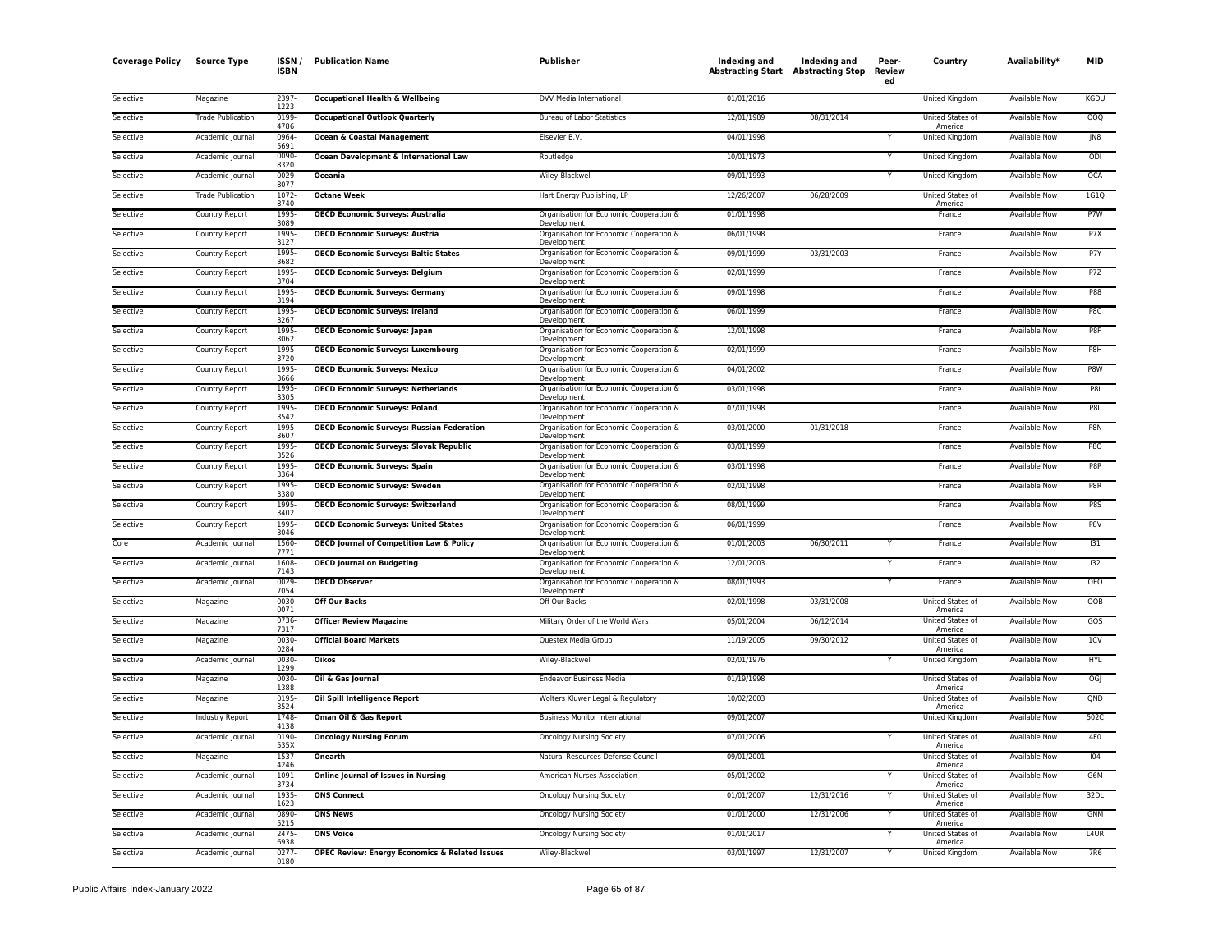| <b>Coverage Policy</b> | <b>Source Type</b>       | ISSN /<br><b>ISBN</b> | <b>Publication Name</b>                                   | Publisher                                              | Indexing and | Indexing and<br><b>Abstracting Start Abstracting Stop</b> | Peer-<br><b>Review</b><br>ed | Country                     | Availability*        | MID             |
|------------------------|--------------------------|-----------------------|-----------------------------------------------------------|--------------------------------------------------------|--------------|-----------------------------------------------------------|------------------------------|-----------------------------|----------------------|-----------------|
| Selective              | Magazine                 | 2397<br>1223          | <b>Occupational Health &amp; Wellbeing</b>                | DVV Media International                                | 01/01/2016   |                                                           |                              | United Kingdom              | <b>Available Now</b> | <b>KGDU</b>     |
| Selective              | <b>Trade Publication</b> | 0199-<br>4786         | <b>Occupational Outlook Quarterly</b>                     | <b>Bureau of Labor Statistics</b>                      | 12/01/1989   | 08/31/2014                                                |                              | United States of<br>America | Available Now        | OOQ             |
| Selective              | Academic Journal         | 0964-<br>5691         | <b>Ocean &amp; Coastal Management</b>                     | Elsevier B.V.                                          | 04/01/1998   |                                                           |                              | <b>United Kingdom</b>       | <b>Available Now</b> | J <sub>N8</sub> |
| Selective              | Academic Journal         | 0090<br>8320          | Ocean Development & International Law                     | Routledge                                              | 10/01/1973   |                                                           | Y                            | United Kingdom              | <b>Available Now</b> | ODI             |
| Selective              | Academic Journal         | 0029<br>8077          | Oceania                                                   | Wiley-Blackwell                                        | 09/01/1993   |                                                           | Y                            | United Kingdom              | <b>Available Now</b> | OCA             |
| Selective              | <b>Trade Publication</b> | 1072<br>8740          | <b>Octane Week</b>                                        | Hart Energy Publishing, LP                             | 12/26/2007   | 06/28/2009                                                |                              | United States of<br>America | <b>Available Now</b> | 1G1Q            |
| Selective              | Country Report           | 1995<br>3089          | <b>OECD Economic Surveys: Australia</b>                   | Organisation for Economic Cooperation &<br>Development | 01/01/1998   |                                                           |                              | France                      | Available Now        | P7W             |
| Selective              | Country Report           | 1995<br>3127          | <b>OECD Economic Surveys: Austria</b>                     | Organisation for Economic Cooperation &<br>Development | 06/01/1998   |                                                           |                              | France                      | Available Now        | P7X             |
| Selective              | Country Report           | 1995<br>3682          | <b>OECD Economic Surveys: Baltic States</b>               | Organisation for Economic Cooperation &<br>Development | 09/01/1999   | 03/31/2003                                                |                              | France                      | Available Now        | P7Y             |
| Selective              | Country Report           | 1995<br>3704          | <b>OECD Economic Surveys: Belgium</b>                     | Organisation for Economic Cooperation &<br>Development | 02/01/1999   |                                                           |                              | France                      | Available Now        | P7Z             |
| Selective              | Country Report           | 1995<br>3194          | <b>OECD Economic Surveys: Germany</b>                     | Organisation for Economic Cooperation &<br>Development | 09/01/1998   |                                                           |                              | France                      | <b>Available Now</b> | P88             |
| Selective              | Country Report           | 1995<br>3267          | <b>OECD Economic Surveys: Ireland</b>                     | Organisation for Economic Cooperation &<br>Development | 06/01/1999   |                                                           |                              | France                      | <b>Available Now</b> | P8C             |
| Selective              | Country Report           | 1995<br>3062          | <b>OECD Economic Surveys: Japan</b>                       | Organisation for Economic Cooperation &<br>Development | 12/01/1998   |                                                           |                              | France                      | Available Now        | P8F             |
| Selective              | Country Report           | 1995-<br>3720         | <b>OECD Economic Surveys: Luxembourg</b>                  | Organisation for Economic Cooperation &<br>Development | 02/01/1999   |                                                           |                              | France                      | Available Now        | P8H             |
| Selective              | Country Report           | 1995<br>3666          | <b>OECD Economic Surveys: Mexico</b>                      | Organisation for Economic Cooperation &<br>Development | 04/01/2002   |                                                           |                              | France                      | Available Now        | P8W             |
| Selective              | <b>Country Report</b>    | 1995<br>3305          | <b>OECD Economic Surveys: Netherlands</b>                 | Organisation for Economic Cooperation &<br>Development | 03/01/1998   |                                                           |                              | France                      | <b>Available Now</b> | <b>P81</b>      |
| Selective              | Country Report           | 1995-<br>3542         | <b>OECD Economic Surveys: Poland</b>                      | Organisation for Economic Cooperation &<br>Development | 07/01/1998   |                                                           |                              | France                      | <b>Available Now</b> | P8L             |
| Selective              | Country Report           | 1995<br>3607          | <b>OECD Economic Surveys: Russian Federation</b>          | Organisation for Economic Cooperation &<br>Development | 03/01/2000   | 01/31/2018                                                |                              | France                      | <b>Available Now</b> | P8N             |
| Selective              | Country Report           | 1995<br>3526          | <b>OECD Economic Surveys: Slovak Republic</b>             | Organisation for Economic Cooperation &<br>Development | 03/01/1999   |                                                           |                              | France                      | Available Now        | <b>P80</b>      |
| Selective              | Country Report           | 1995<br>3364          | <b>OECD Economic Surveys: Spain</b>                       | Organisation for Economic Cooperation &<br>Development | 03/01/1998   |                                                           |                              | France                      | <b>Available Now</b> | P8P             |
| Selective              | Country Report           | 1995<br>3380          | <b>OECD Economic Surveys: Sweden</b>                      | Organisation for Economic Cooperation &<br>Development | 02/01/1998   |                                                           |                              | France                      | <b>Available Now</b> | P8R             |
| Selective              | <b>Country Report</b>    | 1995<br>3402          | <b>OECD Economic Surveys: Switzerland</b>                 | Organisation for Economic Cooperation &<br>Development | 08/01/1999   |                                                           |                              | France                      | <b>Available Now</b> | P8S             |
| Selective              | Country Report           | 1995<br>3046          | <b>OECD Economic Surveys: United States</b>               | Organisation for Economic Cooperation &<br>Development | 06/01/1999   |                                                           |                              | France                      | <b>Available Now</b> | P8V             |
| Core                   | Academic Journal         | 1560<br>7771          | <b>OECD Journal of Competition Law &amp; Policy</b>       | Organisation for Economic Cooperation &<br>Development | 01/01/2003   | 06/30/2011                                                |                              | France                      | <b>Available Now</b> | 131             |
| Selective              | Academic Journal         | 1608<br>7143          | <b>OECD Journal on Budgeting</b>                          | Organisation for Economic Cooperation &<br>Development | 12/01/2003   |                                                           |                              | France                      | Available Now        | 132             |
| Selective              | Academic Journal         | 0029<br>7054          | <b>OECD Observer</b>                                      | Organisation for Economic Cooperation &<br>Development | 08/01/1993   |                                                           | Y                            | France                      | <b>Available Now</b> | <b>OEO</b>      |
| Selective              | Magazine                 | 0030-<br>0071         | <b>Off Our Backs</b>                                      | Off Our Backs                                          | 02/01/1998   | 03/31/2008                                                |                              | United States of<br>America | <b>Available Now</b> | OOB             |
| Selective              | Magazine                 | 0736<br>7317          | <b>Officer Review Magazine</b>                            | Military Order of the World Wars                       | 05/01/2004   | 06/12/2014                                                |                              | United States of<br>America | <b>Available Now</b> | GOS             |
| Selective              | Magazine                 | 0030-<br>0284         | <b>Official Board Markets</b>                             | Questex Media Group                                    | 11/19/2005   | 09/30/2012                                                |                              | United States of<br>America | <b>Available Now</b> | 1 <sup>C</sup>  |
| Selective              | Academic Journal         | 0030<br>1299          | <b>Oikos</b>                                              | Wiley-Blackwell                                        | 02/01/1976   |                                                           |                              | United Kingdom              | <b>Available Now</b> | <b>HYL</b>      |
| Selective              | Magazine                 | 0030-<br>1388         | Oil & Gas Journal                                         | <b>Endeavor Business Media</b>                         | 01/19/1998   |                                                           |                              | United States of<br>America | Available Now        | OGJ             |
| Selective              | Magazine                 | 0195-<br>3524         | Oil Spill Intelligence Report                             | Wolters Kluwer Legal & Regulatory                      | 10/02/2003   |                                                           |                              | United States of<br>America | <b>Available Now</b> | QND             |
| Selective              | Industry Report          | 1748<br>4138          | <b>Oman Oil &amp; Gas Report</b>                          | <b>Business Monitor International</b>                  | 09/01/2007   |                                                           |                              | <b>United Kingdom</b>       | <b>Available Now</b> | 502C            |
| Selective              | Academic Journal         | 0190-<br>535X         | <b>Oncology Nursing Forum</b>                             | <b>Oncology Nursing Society</b>                        | 07/01/2006   |                                                           |                              | United States of<br>America | <b>Available Now</b> | 4F <sub>0</sub> |
| Selective              | Magazine                 | 1537<br>4246          | <b>Onearth</b>                                            | Natural Resources Defense Council                      | 09/01/2001   |                                                           |                              | United States of<br>America | <b>Available Now</b> | 104             |
| Selective              | Academic Journal         | 1091<br>3734          | <b>Online Journal of Issues in Nursing</b>                | American Nurses Association                            | 05/01/2002   |                                                           | Υ                            | United States of<br>America | <b>Available Now</b> | G6M             |
| Selective              | Academic Journal         | 1935<br>1623          | <b>ONS Connect</b>                                        | <b>Oncology Nursing Society</b>                        | 01/01/2007   | 12/31/2016                                                | Y                            | United States of<br>America | Available Now        | 32DL            |
| Selective              | Academic Journal         | 0890-<br>5215         | <b>ONS News</b>                                           | <b>Oncology Nursing Society</b>                        | 01/01/2000   | 12/31/2006                                                | Y                            | United States of<br>America | Available Now        | <b>GNM</b>      |
| Selective              | Academic Journal         | 2475<br>6938          | <b>ONS Voice</b>                                          | <b>Oncology Nursing Society</b>                        | 01/01/2017   |                                                           |                              | United States of<br>America | Available Now        | L4UR            |
| Selective              | Academic Journal         | 0277<br>0180          | <b>OPEC Review: Energy Economics &amp; Related Issues</b> | Wiley-Blackwell                                        | 03/01/1997   | 12/31/2007                                                | Y                            | <b>United Kingdom</b>       | Available Now        | 7R6             |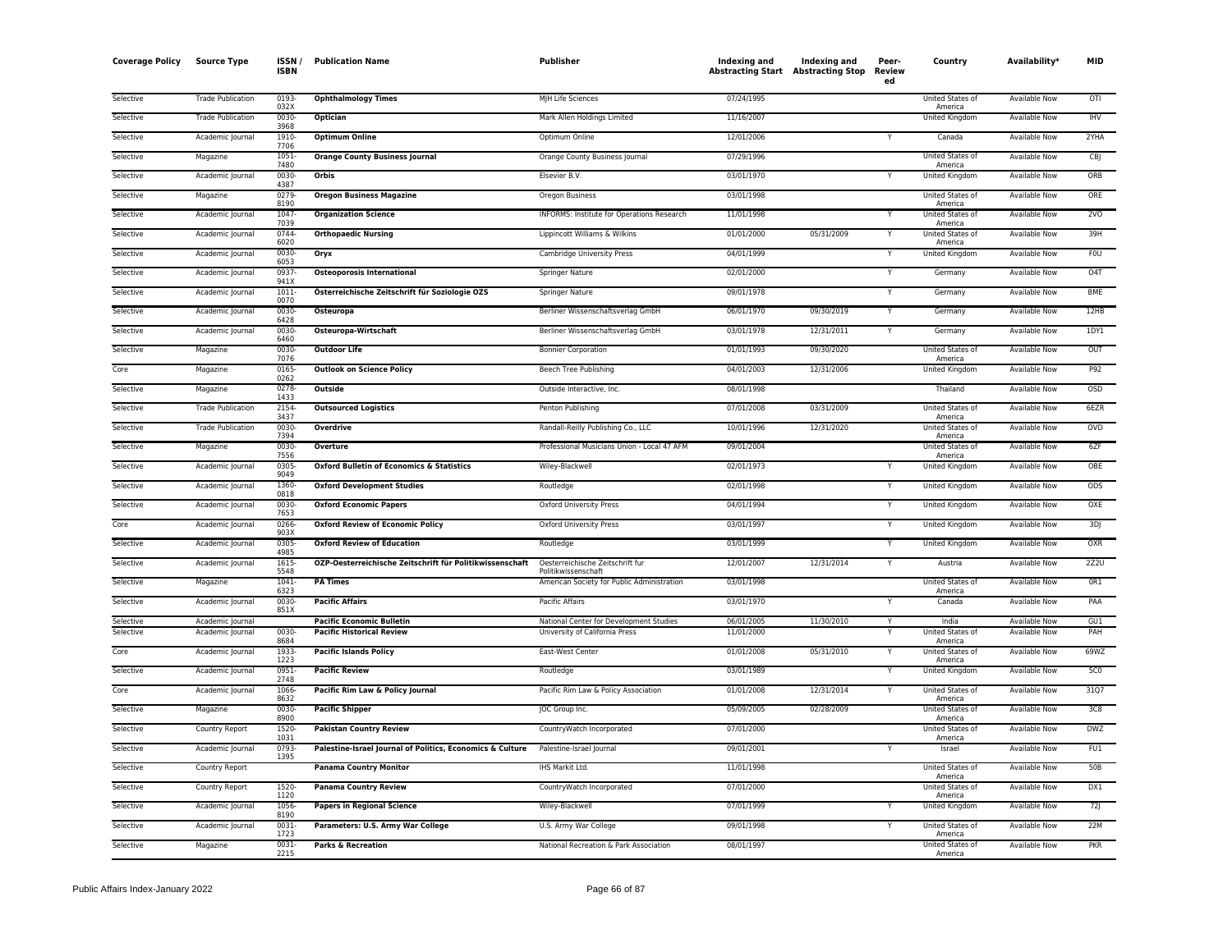| <b>Coverage Policy</b> | <b>Source Type</b>       | ISSN /<br><b>ISBN</b> | <b>Publication Name</b>                                   | <b>Publisher</b>                                        | Indexing and<br><b>Abstracting Start Abstracting Stop</b> | Indexing and | Peer-<br>Review<br>ed | Country                            | Availability <sup>*</sup> | <b>MID</b>       |
|------------------------|--------------------------|-----------------------|-----------------------------------------------------------|---------------------------------------------------------|-----------------------------------------------------------|--------------|-----------------------|------------------------------------|---------------------------|------------------|
| Selective              | <b>Trade Publication</b> | 0193<br>032X          | <b>Ophthalmology Times</b>                                | MJH Life Sciences                                       | 07/24/1995                                                |              |                       | United States of<br>America        | <b>Available Now</b>      | OTI              |
| Selective              | <b>Trade Publication</b> | 0030-<br>3968         | Optician                                                  | Mark Allen Holdings Limited                             | 11/16/2007                                                |              |                       | United Kingdom                     | Available Now             | <b>IHV</b>       |
| Selective              | Academic Journal         | 1910-<br>7706         | <b>Optimum Online</b>                                     | Optimum Online                                          | 12/01/2006                                                |              | Y                     | Canada                             | <b>Available Now</b>      | 2YHA             |
| Selective              | Magazine                 | $1051 -$<br>7480      | <b>Orange County Business Journal</b>                     | Orange County Business Journal                          | 07/29/1996                                                |              |                       | United States of<br>America        | Available Now             | CB               |
| Selective              | Academic Journal         | 0030-<br>4387         | Orbis                                                     | Elsevier B.V.                                           | 03/01/1970                                                |              |                       | United Kingdom                     | Available Now             | ORB              |
| Selective              | Magazine                 | 0279<br>8190          | <b>Oregon Business Magazine</b>                           | Oregon Business                                         | 03/01/1998                                                |              |                       | United States of<br>America        | Available Now             | ORE              |
| Selective              | Academic Journal         | 1047<br>7039          | <b>Organization Science</b>                               | INFORMS: Institute for Operations Research              | 11/01/1998                                                |              |                       | United States of<br>America        | <b>Available Now</b>      | 2VO              |
| Selective              | Academic Journal         | 0744<br>6020          | <b>Orthopaedic Nursing</b>                                | Lippincott Williams & Wilkins                           | 01/01/2000                                                | 05/31/2009   |                       | United States of<br>America        | <b>Available Now</b>      | 39H              |
| Selective              | Academic Journal         | 0030-<br>6053         | Oryx                                                      | Cambridge University Press                              | 04/01/1999                                                |              |                       | United Kingdom                     | Available Now             | <b>FOU</b>       |
| Selective              | Academic Journal         | 0937-<br>941X         | <b>Osteoporosis International</b>                         | <b>Springer Nature</b>                                  | 02/01/2000                                                |              |                       | Germany                            | Available Now             | O <sub>4</sub> T |
| Selective              | Academic Journal         | 1011<br>0070          | Österreichische Zeitschrift für Soziologie OZS            | Springer Nature                                         | 09/01/1978                                                |              |                       | Germany                            | Available Now             | <b>BME</b>       |
| Selective              | Academic Journal         | 0030-                 | Osteuropa                                                 | Berliner Wissenschaftsverlag GmbH                       | 06/01/1970                                                | 09/30/2019   |                       | Germany                            | <b>Available Now</b>      | 12HB             |
| Selective              | Academic Journal         | 6428<br>0030          | Osteuropa-Wirtschaft                                      | Berliner Wissenschaftsverlag GmbH                       | 03/01/1978                                                | 12/31/2011   |                       | Germany                            | <b>Available Now</b>      | 1DY1             |
| Selective              | Magazine                 | 6460<br>0030-         | <b>Outdoor Life</b>                                       | <b>Bonnier Corporation</b>                              | 01/01/1993                                                | 09/30/2020   |                       | United States of                   | Available Now             | OUT              |
| Core                   | Magazine                 | 7076<br>0165          | <b>Outlook on Science Policy</b>                          | Beech Tree Publishing                                   | 04/01/2003                                                | 12/31/2006   |                       | America<br>United Kingdom          | Available Now             | P92              |
| Selective              | Magazine                 | 0262<br>0278<br>1433  | Outside                                                   | Outside Interactive, Inc.                               | 08/01/1998                                                |              |                       | Thailand                           | Available Now             | <b>OSD</b>       |
| Selective              | <b>Trade Publication</b> | 2154                  | <b>Outsourced Logistics</b>                               | Penton Publishing                                       | 07/01/2008                                                | 03/31/2009   |                       | <b>United States of</b>            | <b>Available Now</b>      | 6EZR             |
| Selective              | <b>Trade Publication</b> | 3437<br>0030-         | Overdrive                                                 | Randall-Reilly Publishing Co., LLC                      | 10/01/1996                                                | 12/31/2020   |                       | America<br>United States of        | Available Now             | OVD              |
| Selective              | Magazine                 | 7394<br>0030-         | Overture                                                  | Professional Musicians Union - Local 47 AFM             | 09/01/2004                                                |              |                       | America<br>United States of        | Available Now             | 6ZF              |
| Selective              | Academic Journal         | 7556<br>0305<br>9049  | <b>Oxford Bulletin of Economics &amp; Statistics</b>      | Wiley-Blackwell                                         | 02/01/1973                                                |              |                       | America<br>United Kingdom          | Available Now             | OBE              |
| Selective              | Academic Journal         | 1360-                 | <b>Oxford Development Studies</b>                         | Routledge                                               | 02/01/1998                                                |              |                       | <b>United Kingdom</b>              | <b>Available Now</b>      | <b>ODS</b>       |
| Selective              | Academic Journal         | 0818<br>$0030 -$      | <b>Oxford Economic Papers</b>                             | <b>Oxford University Press</b>                          | 04/01/1994                                                |              |                       | <b>United Kingdom</b>              | <b>Available Now</b>      | OXE              |
| Core                   | Academic Journal         | 7653<br>0266-<br>903X | <b>Oxford Review of Economic Policy</b>                   | Oxford University Press                                 | 03/01/1997                                                |              |                       | United Kingdom                     | Available Now             | 3DJ              |
| Selective              | Academic Journal         | 0305<br>4985          | <b>Oxford Review of Education</b>                         | Routledge                                               | 03/01/1999                                                |              |                       | United Kingdom                     | Available Now             | OXR              |
| Selective              | Academic Journal         | 1615<br>5548          | OZP-Oesterreichische Zeitschrift für Politikwissenschaft  | Oesterreichische Zeitschrift fur<br>Politikwissenschaft | 12/01/2007                                                | 12/31/2014   |                       | Austria                            | Available Now             | 2Z2U             |
| Selective              | Magazine                 | 1041<br>6323          | <b>PA Times</b>                                           | American Society for Public Administration              | 03/01/1998                                                |              |                       | United States of<br>America        | <b>Available Now</b>      | OR1              |
| Selective              | Academic Journal         | 0030<br>851X          | <b>Pacific Affairs</b>                                    | <b>Pacific Affairs</b>                                  | 03/01/1970                                                |              |                       | Canada                             | <b>Available Now</b>      | PAA              |
| Selective              | Academic Journal         |                       | <b>Pacific Economic Bulletin</b>                          | National Center for Development Studies                 | 06/01/2005                                                | 11/30/2010   |                       | India                              | <b>Available Now</b>      | GU1              |
| Selective              | Academic Journal         | 0030-<br>8684         | <b>Pacific Historical Review</b>                          | University of California Press                          | 11/01/2000                                                |              |                       | United States of<br>America        | Available Now             | PAH              |
| Core                   | Academic Journal         | 1933-<br>1223         | <b>Pacific Islands Policy</b>                             | East-West Center                                        | 01/01/2008                                                | 05/31/2010   |                       | United States of<br>America        | Available Now             | 69WZ             |
| Selective              | Academic Journal         | 0951-<br>2748         | <b>Pacific Review</b>                                     | Routledge                                               | 03/01/1989                                                |              |                       | <b>United Kingdom</b>              | <b>Available Now</b>      | 5C <sub>0</sub>  |
| Core                   | Academic Journal         | 1066<br>8632          | Pacific Rim Law & Policy Journal                          | Pacific Rim Law & Policy Association                    | 01/01/2008                                                | 12/31/2014   |                       | United States of<br>America        | <b>Available Now</b>      | 3107             |
| Selective              | Magazine                 | 0030-<br>8900         | <b>Pacific Shipper</b>                                    | JOC Group Inc.                                          | 05/09/2005                                                | 02/28/2009   |                       | United States of<br>America        | Available Now             | 3C8              |
| Selective              | Country Report           | 1520-<br>1031         | <b>Pakistan Country Review</b>                            | CountryWatch Incorporated                               | 07/01/2000                                                |              |                       | United States of<br>America        | Available Now             | DWZ              |
| Selective              | Academic Journal         | 0793<br>1395          | Palestine-Israel Journal of Politics, Economics & Culture | Palestine-Israel Journal                                | 09/01/2001                                                |              |                       | Israel                             | Available Now             | FUI              |
| Selective              | Country Report           |                       | <b>Panama Country Monitor</b>                             | IHS Markit Ltd.                                         | 11/01/1998                                                |              |                       | <b>United States of</b><br>America | <b>Available Now</b>      | <b>50B</b>       |
| Selective              | Country Report           | 1520<br>1120          | <b>Panama Country Review</b>                              | CountryWatch Incorporated                               | 07/01/2000                                                |              |                       | United States of<br>America        | Available Now             | DX1              |
| Selective              | Academic Journal         | 1056<br>8190          | <b>Papers in Regional Science</b>                         | Wiley-Blackwell                                         | 07/01/1999                                                |              |                       | United Kingdom                     | Available Now             | 72J              |
| Selective              | Academic Journal         | 0031<br>1723          | Parameters: U.S. Army War College                         | U.S. Army War College                                   | 09/01/1998                                                |              | $\checkmark$          | United States of<br>America        | Available Now             | 22M              |
| Selective              | Magazine                 | $0031 -$<br>2215      | <b>Parks &amp; Recreation</b>                             | National Recreation & Park Association                  | 08/01/1997                                                |              |                       | United States of<br>America        | Available Now             | <b>PKR</b>       |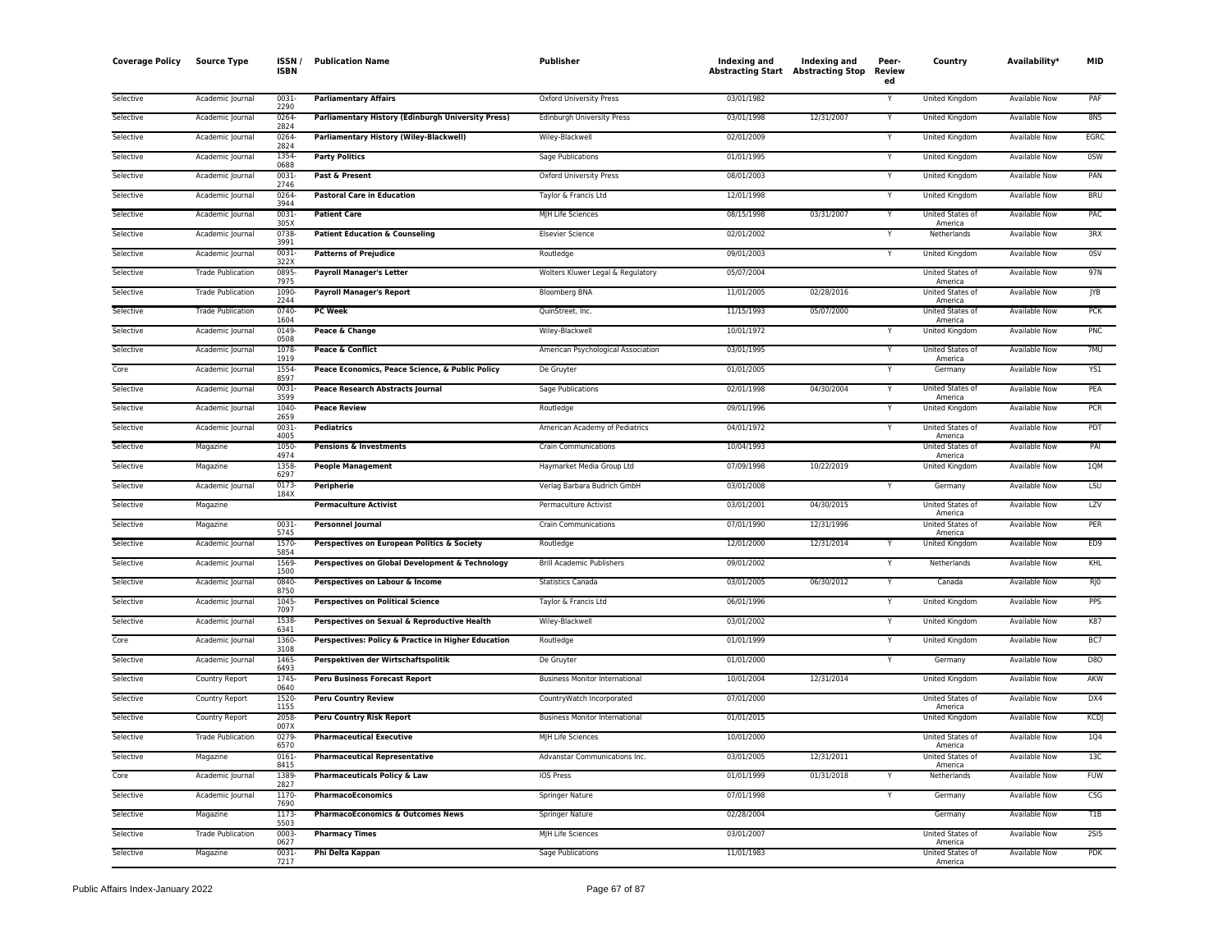| <b>Coverage Policy</b> | <b>Source Type</b>       | ISSN,<br><b>ISBN</b> | <b>Publication Name</b>                             | Publisher                             | Indexing and<br><b>Abstracting Start Abstracting Stop</b> | Indexing and | Peer-<br>Review<br>ed | Country                            | Availability*        | <b>MID</b>      |
|------------------------|--------------------------|----------------------|-----------------------------------------------------|---------------------------------------|-----------------------------------------------------------|--------------|-----------------------|------------------------------------|----------------------|-----------------|
| Selective              | Academic Journal         | 0031<br>2290         | <b>Parliamentary Affairs</b>                        | Oxford University Press               | 03/01/1982                                                |              | Y                     | United Kingdom                     | Available Now        | PAF             |
| Selective              | Academic Journal         | 0264<br>2824         | Parliamentary History (Edinburgh University Press)  | Edinburgh University Press            | 03/01/1998                                                | 12/31/2007   |                       | United Kingdom                     | Available Now        | 8N5             |
| Selective              | Academic Journal         | 0264<br>2824         | Parliamentary History (Wiley-Blackwell)             | Wiley-Blackwell                       | 02/01/2009                                                |              | Y                     | United Kingdom                     | Available Now        | EGRC            |
| Selective              | Academic Journal         | 1354<br>0688         | <b>Party Politics</b>                               | Sage Publications                     | 01/01/1995                                                |              |                       | <b>United Kingdom</b>              | <b>Available Now</b> | 0SW             |
| Selective              | Academic Journal         | 0031<br>2746         | Past & Present                                      | Oxford University Press               | 08/01/2003                                                |              | Y                     | United Kingdom                     | Available Now        | PAN             |
| Selective              | Academic Journal         | 0264<br>3944         | <b>Pastoral Care in Education</b>                   | Taylor & Francis Ltd                  | 12/01/1998                                                |              | Y                     | <b>United Kingdom</b>              | <b>Available Now</b> | <b>BRU</b>      |
| Selective              | Academic Journal         | 0031<br>305X         | <b>Patient Care</b>                                 | MJH Life Sciences                     | 08/15/1998                                                | 03/31/2007   | Y                     | United States of<br>America        | Available Now        | PAC             |
| Selective              | Academic Journal         | 0738<br>3991         | <b>Patient Education &amp; Counseling</b>           | <b>Elsevier Science</b>               | 02/01/2002                                                |              |                       | Netherlands                        | <b>Available Now</b> | 3RX             |
| Selective              | Academic Journal         | 0031<br>322X         | <b>Patterns of Prejudice</b>                        | Routledge                             | 09/01/2003                                                |              | Y                     | United Kingdom                     | Available Now        | 0SV             |
| Selective              | <b>Trade Publication</b> | 0895<br>7975         | <b>Payroll Manager's Letter</b>                     | Wolters Kluwer Legal & Regulatory     | 05/07/2004                                                |              |                       | United States of<br>America        | Available Now        | 97N             |
| Selective              | <b>Trade Publication</b> | 1090<br>2244         | <b>Payroll Manager's Report</b>                     | <b>Bloomberg BNA</b>                  | 11/01/2005                                                | 02/28/2016   |                       | <b>United States of</b><br>America | <b>Available Now</b> | <b>JYB</b>      |
| Selective              | <b>Trade Publication</b> | 0740<br>1604         | <b>PC Week</b>                                      | QuinStreet, Inc.                      | 11/15/1993                                                | 05/07/2000   |                       | United States of<br>America        | <b>Available Now</b> | PCK             |
| Selective              | Academic Journal         | 0149<br>0508         | Peace & Change                                      | Wiley-Blackwell                       | 10/01/1972                                                |              |                       | United Kingdom                     | Available Now        | PNC             |
| Selective              | Academic Journal         | 1078<br>1919         | Peace & Conflict                                    | American Psychological Association    | 03/01/1995                                                |              | Y                     | United States of<br>America        | <b>Available Now</b> | 7MU             |
| Core                   | Academic Journal         | 1554<br>8597         | Peace Economics, Peace Science, & Public Policy     | De Gruyter                            | 01/01/2005                                                |              |                       | Germany                            | Available Now        | YS1             |
| Selective              | Academic Journal         | 0031<br>3599         | Peace Research Abstracts Journal                    | Sage Publications                     | 02/01/1998                                                | 04/30/2004   | Y                     | <b>United States of</b><br>America | Available Now        | PEA             |
| Selective              | Academic Journal         | 1040<br>2659         | <b>Peace Review</b>                                 | Routledge                             | 09/01/1996                                                |              |                       | United Kingdom                     | Available Now        | <b>PCR</b>      |
| Selective              | Academic Journal         | 0031<br>4005         | Pediatrics                                          | American Academy of Pediatrics        | 04/01/1972                                                |              |                       | United States of<br>America        | Available Now        | PDT             |
| Selective              | Magazine                 | 1050-<br>4974        | <b>Pensions &amp; Investments</b>                   | <b>Crain Communications</b>           | 10/04/1993                                                |              |                       | United States of<br>America        | Available Now        | PAI             |
| Selective              | Magazine                 | 1358<br>6297         | <b>People Management</b>                            | Haymarket Media Group Ltd             | 07/09/1998                                                | 10/22/2019   |                       | <b>United Kingdom</b>              | <b>Available Now</b> | 1QM             |
| Selective              | Academic Journal         | 0173<br>184X         | Peripherie                                          | Verlag Barbara Budrich GmbH           | 03/01/2008                                                |              |                       | Germany                            | <b>Available Now</b> | LSU             |
| Selective              | Magazine                 |                      | <b>Permaculture Activist</b>                        | Permaculture Activist                 | 03/01/2001                                                | 04/30/2015   |                       | <b>United States of</b><br>America | <b>Available Now</b> | LZV             |
| Selective              | Magazine                 | 0031<br>5745         | <b>Personnel Journal</b>                            | Crain Communications                  | 07/01/1990                                                | 12/31/1996   |                       | United States of<br>America        | Available Now        | PER             |
| Selective              | Academic Journal         | 1570<br>5854         | Perspectives on European Politics & Society         | Routledge                             | 12/01/2000                                                | 12/31/2014   |                       | United Kingdom                     | Available Now        | ED <sub>9</sub> |
| Selective              | Academic Journal         | 1569<br>1500         | Perspectives on Global Development & Technology     | <b>Brill Academic Publishers</b>      | 09/01/2002                                                |              |                       | Netherlands                        | Available Now        | KHL             |
| Selective              | Academic Journal         | 0840<br>8750         | Perspectives on Labour & Income                     | <b>Statistics Canada</b>              | 03/01/2005                                                | 06/30/2012   | Y                     | Canada                             | Available Now        | R <sub>I0</sub> |
| Selective              | Academic Journal         | 1045<br>7097         | <b>Perspectives on Political Science</b>            | Taylor & Francis Ltd                  | 06/01/1996                                                |              |                       | <b>United Kingdom</b>              | <b>Available Now</b> | <b>PPS</b>      |
| Selective              | Academic Journal         | 1538<br>6341         | Perspectives on Sexual & Reproductive Health        | Wiley-Blackwell                       | 03/01/2002                                                |              | Y                     | United Kingdom                     | <b>Available Now</b> | K87             |
| Core                   | Academic Journal         | 1360<br>3108         | Perspectives: Policy & Practice in Higher Education | Routledge                             | 01/01/1999                                                |              |                       | United Kingdom                     | Available Now        | BC7             |
| Selective              | Academic Journal         | 1465<br>6493         | Perspektiven der Wirtschaftspolitik                 | De Gruyter                            | 01/01/2000                                                |              | Y                     | Germany                            | <b>Available Now</b> | <b>D80</b>      |
| Selective              | Country Report           | 1745<br>0640         | <b>Peru Business Forecast Report</b>                | <b>Business Monitor International</b> | 10/01/2004                                                | 12/31/2014   |                       | <b>United Kingdom</b>              | Available Now        | AKW             |
| Selective              | Country Report           | 1520<br>1155         | <b>Peru Country Review</b>                          | CountryWatch Incorporated             | 07/01/2000                                                |              |                       | United States of<br>America        | Available Now        | DX4             |
| Selective              | Country Report           | 2058<br>007X         | <b>Peru Country Risk Report</b>                     | <b>Business Monitor International</b> | 01/01/2015                                                |              |                       | United Kingdom                     | Available Now        | <b>KCDJ</b>     |
| Selective              | <b>Trade Publication</b> | 0279<br>6570         | <b>Pharmaceutical Executive</b>                     | MJH Life Sciences                     | 10/01/2000                                                |              |                       | United States of<br>America        | Available Now        | <b>1Q4</b>      |
| Selective              | Magazine                 | 0161<br>8415         | <b>Pharmaceutical Representative</b>                | Advanstar Communications Inc.         | 03/01/2005                                                | 12/31/2011   |                       | United States of<br>America        | Available Now        | 13C             |
| Core                   | Academic Journal         | 1389<br>2827         | <b>Pharmaceuticals Policy &amp; Law</b>             | <b>IOS Press</b>                      | 01/01/1999                                                | 01/31/2018   |                       | Netherlands                        | <b>Available Now</b> | <b>FUW</b>      |
| Selective              | Academic Journal         | 1170<br>7690         | <b>PharmacoEconomics</b>                            | <b>Springer Nature</b>                | 07/01/1998                                                |              | Y                     | Germany                            | <b>Available Now</b> | C5G             |
| Selective              | Magazine                 | 1173<br>5503         | <b>PharmacoEconomics &amp; Outcomes News</b>        | Springer Nature                       | 02/28/2004                                                |              |                       | Germany                            | <b>Available Now</b> | T1B             |
| Selective              | <b>Trade Publication</b> | 0003<br>0627         | <b>Pharmacy Times</b>                               | MJH Life Sciences                     | 03/01/2007                                                |              |                       | <b>United States of</b><br>America | <b>Available Now</b> | <b>2SI5</b>     |
| Selective              | Magazine                 | 0031<br>7217         | Phi Delta Kappan                                    | Sage Publications                     | 11/01/1983                                                |              |                       | United States of<br>America        | <b>Available Now</b> | <b>PDK</b>      |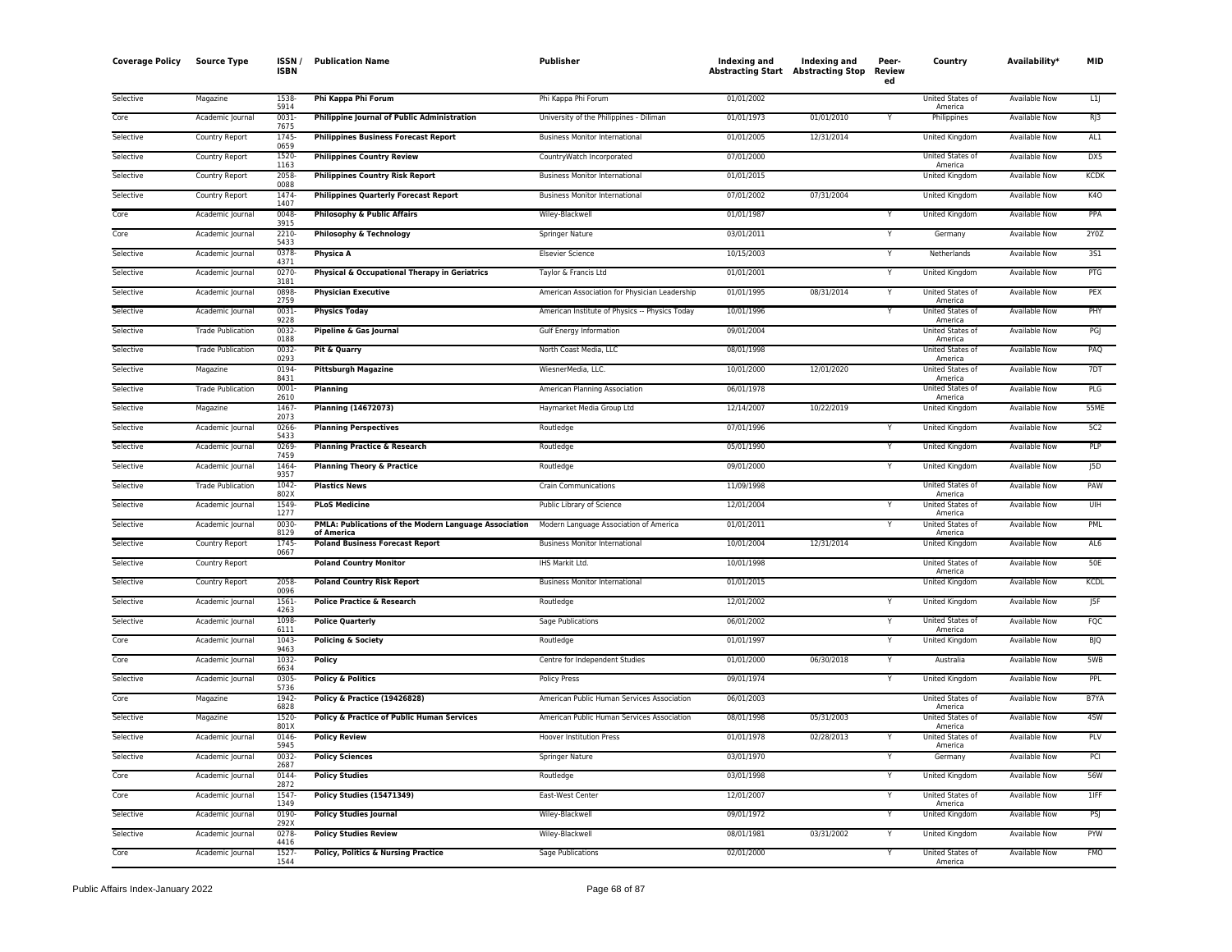| <b>Coverage Policy</b> | <b>Source Type</b>       | ISSN /<br>ISBN   | <b>Publication Name</b>                                             | Publisher                                      | Indexing and<br><b>Abstracting Start Abstracting Stop</b> | <b>Indexing and</b> | Peer-<br>Review<br>ed | Country                     | Availability <sup>*</sup> | <b>MID</b>  |
|------------------------|--------------------------|------------------|---------------------------------------------------------------------|------------------------------------------------|-----------------------------------------------------------|---------------------|-----------------------|-----------------------------|---------------------------|-------------|
| Selective              | Magazine                 | 1538-<br>5914    | Phi Kappa Phi Forum                                                 | Phi Kappa Phi Forum                            | 01/01/2002                                                |                     |                       | United States of<br>America | Available Now             | L1          |
| Core                   | Academic Journal         | 0031<br>7675     | <b>Philippine Journal of Public Administration</b>                  | University of the Philippines - Diliman        | 01/01/1973                                                | 01/01/2010          | Y                     | Philippines                 | <b>Available Now</b>      | RJ3         |
| Selective              | Country Report           | 1745<br>0659     | <b>Philippines Business Forecast Report</b>                         | <b>Business Monitor International</b>          | 01/01/2005                                                | 12/31/2014          |                       | United Kingdom              | Available Now             | AL1         |
| Selective              | Country Report           | 1520<br>1163     | <b>Philippines Country Review</b>                                   | CountryWatch Incorporated                      | 07/01/2000                                                |                     |                       | United States of<br>America | Available Now             | DX5         |
| Selective              | Country Report           | 2058-<br>0088    | <b>Philippines Country Risk Report</b>                              | <b>Business Monitor International</b>          | 01/01/2015                                                |                     |                       | United Kingdom              | Available Now             | <b>KCDK</b> |
| Selective              | Country Report           | 1474<br>1407     | <b>Philippines Quarterly Forecast Report</b>                        | <b>Business Monitor International</b>          | 07/01/2002                                                | 07/31/2004          |                       | United Kingdom              | Available Now             | <b>K40</b>  |
| Core                   | Academic Journal         | 0048<br>3915     | Philosophy & Public Affairs                                         | Wiley-Blackwell                                | 01/01/1987                                                |                     | Υ                     | United Kingdom              | Available Now             | PPA         |
| Core                   | Academic Journal         | 2210<br>5433     | Philosophy & Technology                                             | Springer Nature                                | 03/01/2011                                                |                     |                       | Germany                     | Available Now             | 2Y0Z        |
| Selective              | Academic Journal         | 0378-<br>4371    | Physica A                                                           | <b>Elsevier Science</b>                        | 10/15/2003                                                |                     | Y                     | Netherlands                 | Available Now             | 3S1         |
| Selective              | Academic Journal         | 0270<br>3181     | Physical & Occupational Therapy in Geriatrics                       | Taylor & Francis Ltd                           | 01/01/2001                                                |                     |                       | United Kingdom              | <b>Available Now</b>      | PTG         |
| Selective              | Academic Journal         | 0898<br>2759     | <b>Physician Executive</b>                                          | American Association for Physician Leadership  | 01/01/1995                                                | 08/31/2014          | Y                     | United States of<br>America | <b>Available Now</b>      | PEX         |
| Selective              | Academic Journal         | 0031<br>9228     | <b>Physics Today</b>                                                | American Institute of Physics -- Physics Today | 10/01/1996                                                |                     | Υ                     | United States of<br>America | <b>Available Now</b>      | PHY         |
| Selective              | <b>Trade Publication</b> | 0032<br>0188     | Pipeline & Gas Journal                                              | Gulf Energy Information                        | 09/01/2004                                                |                     |                       | United States of<br>America | <b>Available Now</b>      | PGJ         |
| Selective              | <b>Trade Publication</b> | 0032<br>0293     | Pit & Quarry                                                        | North Coast Media, LLC                         | 08/01/1998                                                |                     |                       | United States of<br>America | Available Now             | PAO         |
| Selective              | Magazine                 | 0194<br>8431     | <b>Pittsburgh Magazine</b>                                          | WiesnerMedia, LLC.                             | 10/01/2000                                                | 12/01/2020          |                       | United States of<br>America | Available Now             | 7DT         |
| Selective              | <b>Trade Publication</b> | 0001<br>2610     | Planning                                                            | American Planning Association                  | 06/01/1978                                                |                     |                       | United States of<br>America | <b>Available Now</b>      | PLG         |
| Selective              | Magazine                 | 1467<br>2073     | <b>Planning (14672073)</b>                                          | Haymarket Media Group Ltd                      | 12/14/2007                                                | 10/22/2019          |                       | United Kingdom              | Available Now             | 55ME        |
| Selective              | Academic Journal         | 0266<br>5433     | <b>Planning Perspectives</b>                                        | Routledge                                      | 07/01/1996                                                |                     |                       | United Kingdom              | <b>Available Now</b>      | 5C2         |
| Selective              | Academic Journal         | 0269<br>7459     | <b>Planning Practice &amp; Research</b>                             | Routledge                                      | 05/01/1990                                                |                     |                       | <b>United Kingdom</b>       | <b>Available Now</b>      | PLP         |
| Selective              | Academic Journal         | 1464<br>9357     | <b>Planning Theory &amp; Practice</b>                               | Routledge                                      | 09/01/2000                                                |                     | Υ                     | United Kingdom              | Available Now             | J5D         |
| Selective              | <b>Trade Publication</b> | 1042<br>802X     | <b>Plastics News</b>                                                | <b>Crain Communications</b>                    | 11/09/1998                                                |                     |                       | United States of<br>America | Available Now             | PAW         |
| Selective              | Academic Journal         | 1549<br>1277     | <b>PLoS Medicine</b>                                                | Public Library of Science                      | 12/01/2004                                                |                     |                       | United States of<br>America | Available Now             | UIH         |
| Selective              | Academic Journal         | 0030<br>8129     | PMLA: Publications of the Modern Language Association<br>of America | Modern Language Association of America         | 01/01/2011                                                |                     | Y                     | United States of<br>America | <b>Available Now</b>      | PML         |
| Selective              | Country Report           | 1745<br>0667     | <b>Poland Business Forecast Report</b>                              | <b>Business Monitor International</b>          | 10/01/2004                                                | 12/31/2014          |                       | United Kingdom              | Available Now             | AL6         |
| Selective              | Country Report           |                  | <b>Poland Country Monitor</b>                                       | IHS Markit Ltd.                                | 10/01/1998                                                |                     |                       | United States of<br>America | Available Now             | 50E         |
| Selective              | Country Report           | 2058<br>0096     | <b>Poland Country Risk Report</b>                                   | <b>Business Monitor International</b>          | 01/01/2015                                                |                     |                       | United Kingdom              | <b>Available Now</b>      | <b>KCDL</b> |
| Selective              | Academic Journal         | 1561<br>4263     | Police Practice & Research                                          | Routledge                                      | 12/01/2002                                                |                     | Υ                     | United Kingdom              | Available Now             | J5F         |
| Selective              | Academic Journal         | 1098<br>6111     | <b>Police Quarterly</b>                                             | Sage Publications                              | 06/01/2002                                                |                     |                       | United States of<br>America | Available Now             | FQC         |
| Core                   | Academic Journal         | 1043<br>9463     | Policing & Society                                                  | Routledge                                      | 01/01/1997                                                |                     |                       | United Kingdom              | Available Now             | <b>BJQ</b>  |
| Core                   | Academic Journal         | 1032<br>6634     | Policy                                                              | Centre for Independent Studies                 | 01/01/2000                                                | 06/30/2018          | Y                     | Australia                   | <b>Available Now</b>      | 5WB         |
| Selective              | Academic Journal         | 0305<br>5736     | <b>Policy &amp; Politics</b>                                        | <b>Policy Press</b>                            | 09/01/1974                                                |                     |                       | <b>United Kingdom</b>       | <b>Available Now</b>      | PPL         |
| Core                   | Magazine                 | 1942<br>6828     | Policy & Practice (19426828)                                        | American Public Human Services Association     | 06/01/2003                                                |                     |                       | United States of<br>America | <b>Available Now</b>      | B7YA        |
| Selective              | Magazine                 | 1520<br>801X     | <b>Policy &amp; Practice of Public Human Services</b>               | American Public Human Services Association     | 08/01/1998                                                | 05/31/2003          |                       | United States of<br>America | Available Now             | 4SW         |
| Selective              | Academic Journal         | 0146<br>5945     | <b>Policy Review</b>                                                | <b>Hoover Institution Press</b>                | 01/01/1978                                                | 02/28/2013          | v                     | United States of<br>America | <b>Available Now</b>      | PLV         |
| Selective              | Academic Journal         | 0032<br>2687     | <b>Policy Sciences</b>                                              | Springer Nature                                | 03/01/1970                                                |                     |                       | Germany                     | Available Now             | PCI         |
| Core                   | Academic Journal         | 0144<br>2872     | <b>Policy Studies</b>                                               | Routledge                                      | 03/01/1998                                                |                     | Υ                     | United Kingdom              | Available Now             | 56W         |
| Core                   | Academic Journal         | 1547<br>1349     | <b>Policy Studies (15471349)</b>                                    | East-West Center                               | 12/01/2007                                                |                     | Y                     | United States of<br>America | <b>Available Now</b>      | $1$ IFF     |
| Selective              | Academic Journal         | 0190<br>292X     | <b>Policy Studies Journal</b>                                       | Wiley-Blackwell                                | 09/01/1972                                                |                     |                       | United Kingdom              | Available Now             | PSJ         |
| Selective              | Academic Journal         | 0278<br>4416     | <b>Policy Studies Review</b>                                        | Wiley-Blackwell                                | 08/01/1981                                                | 03/31/2002          |                       | United Kingdom              | <b>Available Now</b>      | PYW         |
| Core                   | Academic Journal         | $1527 -$<br>1544 | Policy, Politics & Nursing Practice                                 | Sage Publications                              | 02/01/2000                                                |                     | Y                     | United States of<br>America | <b>Available Now</b>      | <b>FMO</b>  |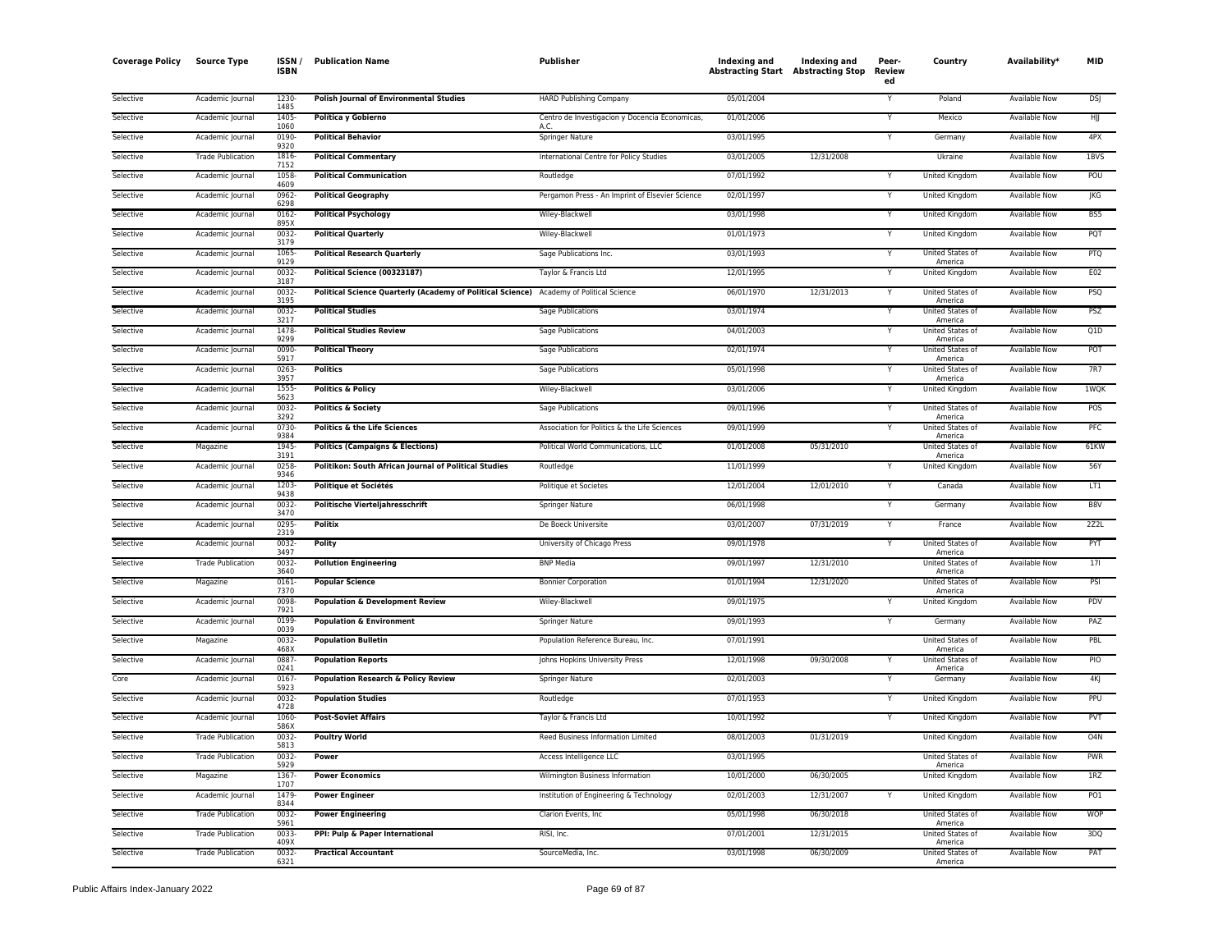| <b>Coverage Policy</b> | <b>Source Type</b>       | <b>ISSN</b><br><b>ISBN</b> | <b>Publication Name</b>                                                                 | Publisher                                       | Indexing and<br><b>Abstracting Start Abstracting Stop</b> | Indexing and | Peer-<br>Review<br>ed | Country                     | Availability*        | <b>MID</b>      |
|------------------------|--------------------------|----------------------------|-----------------------------------------------------------------------------------------|-------------------------------------------------|-----------------------------------------------------------|--------------|-----------------------|-----------------------------|----------------------|-----------------|
| Selective              | Academic Journal         | 1230-<br>1485              | <b>Polish Journal of Environmental Studies</b>                                          | HARD Publishing Company                         | 05/01/2004                                                |              | Y                     | Poland                      | Available Now        | <b>DSJ</b>      |
| Selective              | Academic Journal         | 1405<br>1060               | Política y Gobierno                                                                     | Centro de Investigacion y Docencia Economicas,  | 01/01/2006                                                |              |                       | Mexico                      | Available Now        | НJJ             |
| Selective              | Academic Journal         | 0190-<br>9320              | <b>Political Behavior</b>                                                               | Springer Nature                                 | 03/01/1995                                                |              | Y                     | Germany                     | Available Now        | 4PX             |
| Selective              | <b>Trade Publication</b> | 1816<br>7152               | <b>Political Commentary</b>                                                             | International Centre for Policy Studies         | 03/01/2005                                                | 12/31/2008   |                       | Ukraine                     | <b>Available Now</b> | 1BVS            |
| Selective              | Academic Journal         | 1058<br>4609               | <b>Political Communication</b>                                                          | Routledge                                       | 07/01/1992                                                |              | Y                     | United Kingdom              | Available Now        | POU             |
| Selective              | Academic Journal         | 0962<br>6298               | <b>Political Geography</b>                                                              | Pergamon Press - An Imprint of Elsevier Science | 02/01/1997                                                |              | Y                     | United Kingdom              | Available Now        | IKG             |
| Selective              | Academic Journal         | $0162 -$<br>895X           | <b>Political Psychology</b>                                                             | Wiley-Blackwell                                 | 03/01/1998                                                |              | Y                     | <b>United Kingdom</b>       | <b>Available Now</b> | BS5             |
| Selective              | Academic Journal         | 0032-<br>3179              | <b>Political Quarterly</b>                                                              | Wiley-Blackwell                                 | 01/01/1973                                                |              | Y                     | United Kingdom              | Available Now        | PQT             |
| Selective              | Academic Journal         | 1065<br>9129               | <b>Political Research Quarterly</b>                                                     | Sage Publications Inc.                          | 03/01/1993                                                |              |                       | United States of<br>America | Available Now        | PTQ             |
| Selective              | Academic Journal         | 0032-<br>3187              | Political Science (00323187)                                                            | Taylor & Francis Ltd                            | 12/01/1995                                                |              | Y                     | United Kingdom              | <b>Available Now</b> | E02             |
| Selective              | Academic Journal         | 0032<br>3195               | Political Science Quarterly (Academy of Political Science) Academy of Political Science |                                                 | 06/01/1970                                                | 12/31/2013   |                       | United States of<br>America | Available Now        | PSQ             |
| Selective              | Academic Journal         | 0032<br>3217               | <b>Political Studies</b>                                                                | <b>Sage Publications</b>                        | 03/01/1974                                                |              |                       | United States of<br>America | <b>Available Now</b> | PSZ             |
| Selective              | Academic Journal         | 1478<br>9299               | <b>Political Studies Review</b>                                                         | Sage Publications                               | 04/01/2003                                                |              | Y                     | United States of<br>America | <b>Available Now</b> | Q1D             |
| Selective              | Academic Journal         | 0090<br>5917               | <b>Political Theory</b>                                                                 | Sage Publications                               | 02/01/1974                                                |              |                       | United States of<br>America | <b>Available Now</b> | POT             |
| Selective              | Academic Journal         | 0263<br>3957               | <b>Politics</b>                                                                         | Sage Publications                               | 05/01/1998                                                |              | Y                     | United States of<br>America | Available Now        | 7R7             |
| Selective              | Academic Journal         | 1555<br>5623               | <b>Politics &amp; Policy</b>                                                            | Wiley-Blackwell                                 | 03/01/2006                                                |              | Υ                     | United Kingdom              | Available Now        | <b>1WQK</b>     |
| Selective              | Academic Journal         | 0032<br>3292               | <b>Politics &amp; Society</b>                                                           | Sage Publications                               | 09/01/1996                                                |              | Y                     | United States of<br>America | Available Now        | POS             |
| Selective              | Academic Journal         | 0730<br>9384               | <b>Politics &amp; the Life Sciences</b>                                                 | Association for Politics & the Life Sciences    | 09/01/1999                                                |              |                       | United States of<br>America | <b>Available Now</b> | PFC             |
| Selective              | Magazine                 | 1945<br>3191               | <b>Politics (Campaigns &amp; Elections)</b>                                             | Political World Communications, LLC             | 01/01/2008                                                | 05/31/2010   |                       | United States of<br>America | Available Now        | 61KW            |
| Selective              | Academic Journal         | 0258<br>9346               | Politikon: South African Journal of Political Studies                                   | Routledge                                       | 11/01/1999                                                |              |                       | <b>United Kingdom</b>       | <b>Available Now</b> | 56Y             |
| Selective              | Academic Journal         | 1203<br>9438               | Politique et Sociétés                                                                   | Politique et Societes                           | 12/01/2004                                                | 12/01/2010   | Y                     | Canada                      | <b>Available Now</b> | LT1             |
| Selective              | Academic Journal         | 0032<br>3470               | Politische Vierteljahresschrift                                                         | <b>Springer Nature</b>                          | 06/01/1998                                                |              |                       | Germany                     | Available Now        | B8V             |
| Selective              | Academic Journal         | 0295<br>2319               | <b>Politix</b>                                                                          | De Boeck Universite                             | 03/01/2007                                                | 07/31/2019   | Y                     | France                      | <b>Available Now</b> | 2Z2L            |
| Selective              | Academic Journal         | 0032<br>3497               | Polity                                                                                  | University of Chicago Press                     | 09/01/1978                                                |              | Y                     | United States of<br>America | Available Now        | PYT             |
| Selective              | <b>Trade Publication</b> | 0032<br>3640               | <b>Pollution Engineering</b>                                                            | <b>BNP Media</b>                                | 09/01/1997                                                | 12/31/2010   |                       | United States of<br>America | Available Now        | 171             |
| Selective              | Magazine                 | $0161 -$<br>7370           | <b>Popular Science</b>                                                                  | <b>Bonnier Corporation</b>                      | 01/01/1994                                                | 12/31/2020   |                       | United States of<br>America | <b>Available Now</b> | PSI             |
| Selective              | Academic Journal         | 0098<br>7921               | <b>Population &amp; Development Review</b>                                              | Wiley-Blackwell                                 | 09/01/1975                                                |              |                       | United Kingdom              | <b>Available Now</b> | PDV             |
| Selective              | Academic Journal         | 0199<br>0039               | <b>Population &amp; Environment</b>                                                     | Springer Nature                                 | 09/01/1993                                                |              | Y                     | Germany                     | <b>Available Now</b> | PAZ             |
| Selective              | Magazine                 | 0032<br>468X               | <b>Population Bulletin</b>                                                              | Population Reference Bureau, Inc.               | 07/01/1991                                                |              |                       | United States of<br>America | <b>Available Now</b> | PBL             |
| Selective              | Academic Journal         | 0887<br>0241               | <b>Population Reports</b>                                                               | Johns Hopkins University Press                  | 12/01/1998                                                | 09/30/2008   |                       | United States of<br>America | Available Now        | PIO             |
| Core                   | Academic Journal         | 0167<br>5923               | Population Research & Policy Review                                                     | Springer Nature                                 | 02/01/2003                                                |              | Y                     | Germany                     | Available Now        | 4KJ             |
| Selective              | Academic Journal         | 0032<br>4728               | <b>Population Studies</b>                                                               | Routledge                                       | 07/01/1953                                                |              |                       | <b>United Kingdom</b>       | <b>Available Now</b> | PPU             |
| Selective              | Academic Journal         | 1060<br>586X               | <b>Post-Soviet Affairs</b>                                                              | Taylor & Francis Ltd                            | 10/01/1992                                                |              | Y                     | United Kingdom              | Available Now        | PVT             |
| Selective              | <b>Trade Publication</b> | 0032<br>5813               | <b>Poultry World</b>                                                                    | Reed Business Information Limited               | 08/01/2003                                                | 01/31/2019   |                       | <b>United Kingdom</b>       | <b>Available Now</b> | 04N             |
| Selective              | <b>Trade Publication</b> | 0032<br>5929               | Power                                                                                   | Access Intelligence LLC                         | 03/01/1995                                                |              |                       | United States of<br>America | <b>Available Now</b> | <b>PWR</b>      |
| Selective              | Magazine                 | 1367<br>1707               | <b>Power Economics</b>                                                                  | Wilmington Business Information                 | 10/01/2000                                                | 06/30/2005   |                       | United Kingdom              | Available Now        | 1RZ             |
| Selective              | Academic Journal         | 1479<br>8344               | <b>Power Engineer</b>                                                                   | Institution of Engineering & Technology         | 02/01/2003                                                | 12/31/2007   | Y                     | United Kingdom              | Available Now        | PO <sub>1</sub> |
| Selective              | <b>Trade Publication</b> | 0032<br>5961               | <b>Power Engineering</b>                                                                | Clarion Events, Inc.                            | 05/01/1998                                                | 06/30/2018   |                       | United States of<br>America | Available Now        | <b>WOP</b>      |
| Selective              | <b>Trade Publication</b> | 0033<br>409X               | PPI: Pulp & Paper International                                                         | RISI, Inc.                                      | 07/01/2001                                                | 12/31/2015   |                       | United States of<br>America | Available Now        | 3DQ             |
| Selective              | <b>Trade Publication</b> | 0032<br>6321               | <b>Practical Accountant</b>                                                             | SourceMedia, Inc.                               | 03/01/1998                                                | 06/30/2009   |                       | United States of<br>America | <b>Available Now</b> | PAT             |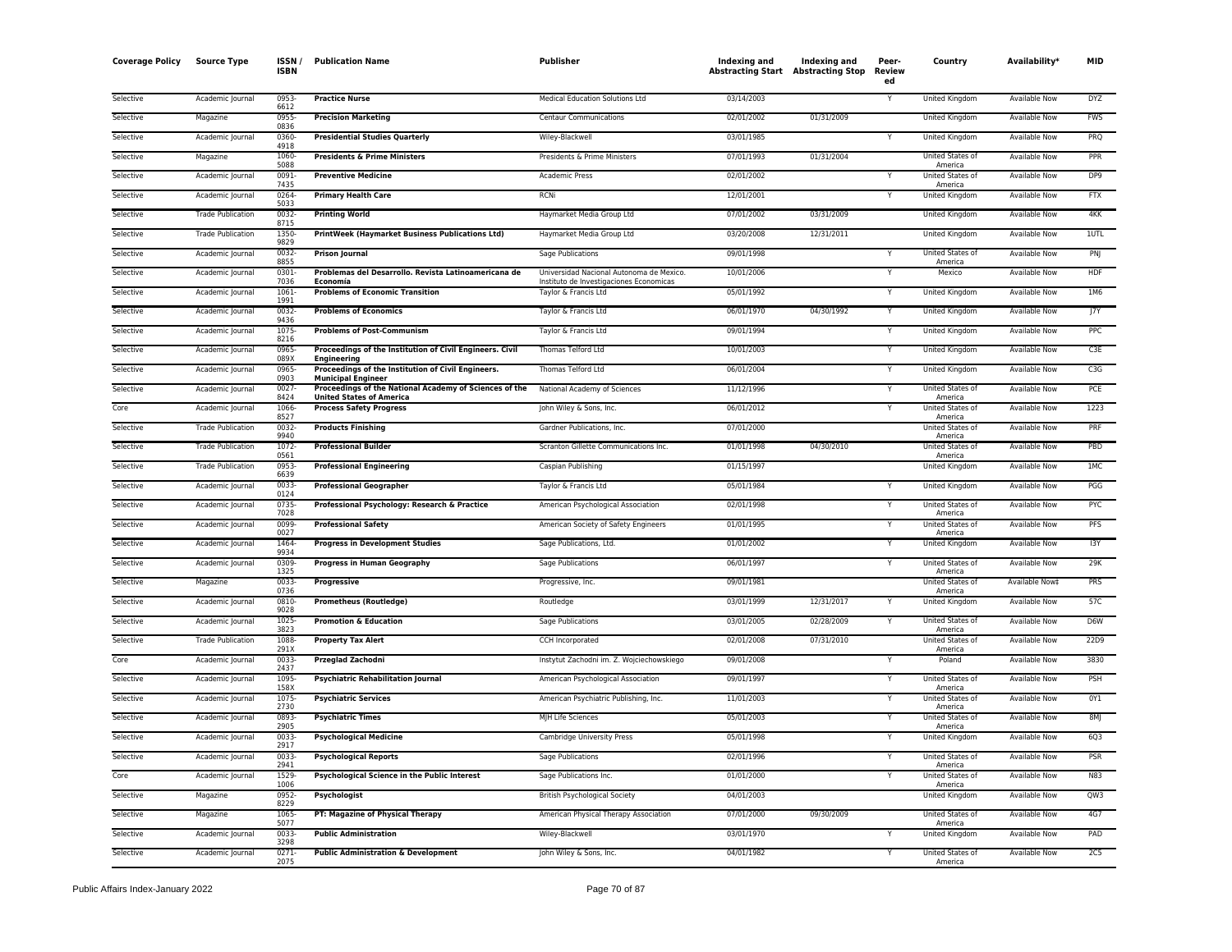| <b>Coverage Policy</b> | <b>Source Type</b>       | ISSN/<br><b>ISBN</b> | <b>Publication Name</b>                                                                   | Publisher                                                                           | Indexing and<br><b>Abstracting Start Abstracting Stop</b> | Indexing and | Peer-<br>Review<br>ed | Country                            | Availability*        | <b>MID</b> |
|------------------------|--------------------------|----------------------|-------------------------------------------------------------------------------------------|-------------------------------------------------------------------------------------|-----------------------------------------------------------|--------------|-----------------------|------------------------------------|----------------------|------------|
| Selective              | Academic Journal         | 0953<br>6612         | <b>Practice Nurse</b>                                                                     | Medical Education Solutions Ltd                                                     | 03/14/2003                                                |              |                       | United Kingdom                     | <b>Available Now</b> | <b>DYZ</b> |
| Selective              | Magazine                 | 0955<br>0836         | <b>Precision Marketing</b>                                                                | <b>Centaur Communications</b>                                                       | 02/01/2002                                                | 01/31/2009   |                       | <b>United Kingdom</b>              | <b>Available Now</b> | <b>FWS</b> |
| Selective              | Academic Journal         | 0360<br>4918         | <b>Presidential Studies Quarterly</b>                                                     | Wiley-Blackwell                                                                     | 03/01/1985                                                |              | Υ                     | United Kingdom                     | <b>Available Now</b> | PRQ        |
| Selective              | Magazine                 | 1060-<br>5088        | <b>Presidents &amp; Prime Ministers</b>                                                   | Presidents & Prime Ministers                                                        | 07/01/1993                                                | 01/31/2004   |                       | United States of<br>America        | Available Now        | <b>PPR</b> |
| Selective              | Academic Journal         | 0091-<br>7435        | <b>Preventive Medicine</b>                                                                | Academic Press                                                                      | 02/01/2002                                                |              | Y                     | United States of<br>America        | Available Now        | DP9        |
| Selective              | Academic Journal         | 0264<br>5033         | <b>Primary Health Care</b>                                                                | <b>RCNi</b>                                                                         | 12/01/2001                                                |              |                       | United Kingdom                     | Available Now        | <b>FTX</b> |
| Selective              | <b>Trade Publication</b> | 0032<br>8715         | <b>Printing World</b>                                                                     | Haymarket Media Group Ltd                                                           | 07/01/2002                                                | 03/31/2009   |                       | <b>United Kingdom</b>              | <b>Available Now</b> | 4KK        |
| Selective              | <b>Trade Publication</b> | 1350-<br>9829        | <b>PrintWeek (Haymarket Business Publications Ltd)</b>                                    | Haymarket Media Group Ltd                                                           | 03/20/2008                                                | 12/31/2011   |                       | United Kingdom                     | <b>Available Now</b> | 1UTL       |
| Selective              | Academic Journal         | 0032<br>8855         | Prison Journal                                                                            | Sage Publications                                                                   | 09/01/1998                                                |              | Y                     | United States of<br>America        | Available Now        | PN         |
| Selective              | Academic Journal         | 0301<br>7036         | Problemas del Desarrollo. Revista Latinoamericana de<br>Economía                          | Universidad Nacional Autonoma de Mexico.<br>Instituto de Investigaciones Economicas | 10/01/2006                                                |              | Y                     | Mexico                             | Available Now        | HDF        |
| Selective              | Academic Journal         | 1061<br>1991         | <b>Problems of Economic Transition</b>                                                    | Taylor & Francis Ltd                                                                | 05/01/1992                                                |              | v                     | United Kingdom                     | Available Now        | 1M6        |
| Selective              | Academic Journal         | 0032<br>9436         | <b>Problems of Economics</b>                                                              | Taylor & Francis Ltd                                                                | 06/01/1970                                                | 04/30/1992   | Y                     | <b>United Kingdom</b>              | <b>Available Now</b> | 17Y        |
| Selective              | Academic Journal         | 1075<br>8216         | <b>Problems of Post-Communism</b>                                                         | Taylor & Francis Ltd                                                                | 09/01/1994                                                |              |                       | United Kingdom                     | Available Now        | PPC        |
| Selective              | Academic Journal         | 0965<br>089X         | Proceedings of the Institution of Civil Engineers. Civil<br>Enaineerina                   | Thomas Telford Ltd                                                                  | 10/01/2003                                                |              |                       | <b>United Kingdom</b>              | <b>Available Now</b> | C3E        |
| Selective              | Academic Journal         | 0965<br>0903         | Proceedings of the Institution of Civil Engineers.<br><b>Municipal Engineer</b>           | Thomas Telford Ltd                                                                  | 06/01/2004                                                |              | Y                     | United Kingdom                     | Available Now        | C3G        |
| Selective              | Academic Journal         | 0027<br>8424         | Proceedings of the National Academy of Sciences of the<br><b>United States of America</b> | National Academy of Sciences                                                        | 11/12/1996                                                |              | Y                     | United States of<br>America        | Available Now        | PCE        |
| Core                   | Academic Journal         | 1066<br>8527         | <b>Process Safety Progress</b>                                                            | John Wiley & Sons, Inc.                                                             | 06/01/2012                                                |              | Y                     | United States of<br>America        | Available Now        | 1223       |
| Selective              | <b>Trade Publication</b> | 0032<br>9940         | <b>Products Finishing</b>                                                                 | Gardner Publications, Inc.                                                          | 07/01/2000                                                |              |                       | United States of<br>America        | Available Now        | PRF        |
| Selective              | <b>Trade Publication</b> | 1072<br>0561         | <b>Professional Builder</b>                                                               | Scranton Gillette Communications Inc                                                | 01/01/1998                                                | 04/30/2010   |                       | United States of<br>America        | <b>Available Now</b> | PBD        |
| Selective              | <b>Trade Publication</b> | 0953<br>6639         | <b>Professional Engineering</b>                                                           | Caspian Publishing                                                                  | 01/15/1997                                                |              |                       | United Kingdom                     | <b>Available Now</b> | 1MC        |
| Selective              | Academic Journal         | 0033<br>0124         | <b>Professional Geographer</b>                                                            | Taylor & Francis Ltd                                                                | 05/01/1984                                                |              |                       | <b>United Kingdom</b>              | <b>Available Now</b> | PGG        |
| Selective              | Academic Journal         | 0735<br>7028         | Professional Psychology: Research & Practice                                              | American Psychological Association                                                  | 02/01/1998                                                |              | Y                     | United States of<br>America        | Available Now        | PYC        |
| Selective              | Academic Journal         | 0099<br>0027         | <b>Professional Safety</b>                                                                | American Society of Safety Engineers                                                | 01/01/1995                                                |              | Y                     | United States of<br>America        | Available Now        | PFS        |
| Selective              | Academic Journal         | 1464<br>9934         | <b>Progress in Development Studies</b>                                                    | Sage Publications, Ltd.                                                             | 01/01/2002                                                |              | Y                     | United Kingdom                     | Available Now        | I3Y        |
| Selective              | Academic Journal         | 0309<br>1325         | <b>Progress in Human Geography</b>                                                        | Sage Publications                                                                   | 06/01/1997                                                |              |                       | United States of<br>America        | Available Now        | 29K        |
| Selective              | Magazine                 | 0033<br>0736         | <b>Progressive</b>                                                                        | Progressive, Inc.                                                                   | 09/01/1981                                                |              |                       | United States of<br>America        | Available Now‡       | PRS        |
| Selective              | Academic Journal         | 0810-<br>9028        | <b>Prometheus (Routledge)</b>                                                             | Routledge                                                                           | 03/01/1999                                                | 12/31/2017   | Y                     | <b>United Kingdom</b>              | <b>Available Now</b> | 57C        |
| Selective              | Academic Journal         | 1025<br>3823         | <b>Promotion &amp; Education</b>                                                          | Sage Publications                                                                   | 03/01/2005                                                | 02/28/2009   | Y                     | United States of<br>America        | <b>Available Now</b> | D6W        |
| Selective              | <b>Trade Publication</b> | 1088<br>291X         | <b>Property Tax Alert</b>                                                                 | CCH Incorporated                                                                    | 02/01/2008                                                | 07/31/2010   |                       | United States of<br>America        | <b>Available Now</b> | 22D9       |
| Core                   | Academic Journal         | 0033<br>2437         | Przeglad Zachodni                                                                         | Instytut Zachodni im. Z. Wojciechowskiego                                           | 09/01/2008                                                |              |                       | Poland                             | Available Now        | 3830       |
| Selective              | Academic Journal         | 1095<br>158X         | <b>Psychiatric Rehabilitation Journal</b>                                                 | American Psychological Association                                                  | 09/01/1997                                                |              | Y                     | United States of<br>America        | <b>Available Now</b> | PSH        |
| Selective              | Academic Journal         | 1075<br>2730         | <b>Psychiatric Services</b>                                                               | American Psychiatric Publishing, Inc.                                               | 11/01/2003                                                |              |                       | United States of<br>America        | Available Now        | 0Y1        |
| Selective              | Academic Journal         | 0893<br>2905         | <b>Psychiatric Times</b>                                                                  | MJH Life Sciences                                                                   | 05/01/2003                                                |              |                       | United States of<br>America        | Available Now        | 8MJ        |
| Selective              | Academic Journal         | 0033<br>2917         | <b>Psychological Medicine</b>                                                             | Cambridge University Press                                                          | 05/01/1998                                                |              |                       | United Kingdom                     | <b>Available Now</b> | 6Q3        |
| Selective              | Academic Journal         | 0033<br>2941         | <b>Psychological Reports</b>                                                              | Sage Publications                                                                   | 02/01/1996                                                |              | Y                     | <b>United States of</b><br>America | Available Now        | <b>PSR</b> |
| Core                   | Academic Journal         | 1529<br>1006         | Psychological Science in the Public Interest                                              | Sage Publications Inc.                                                              | 01/01/2000                                                |              | Y                     | United States of<br>America        | Available Now        | N83        |
| Selective              | Magazine                 | 0952<br>8229         | Psychologist                                                                              | <b>British Psychological Society</b>                                                | 04/01/2003                                                |              |                       | United Kingdom                     | Available Now        | QW3        |
| Selective              | Magazine                 | 1065<br>5077         | PT: Magazine of Physical Therapy                                                          | American Physical Therapy Association                                               | 07/01/2000                                                | 09/30/2009   |                       | United States of<br>America        | <b>Available Now</b> | 4G7        |
| Selective              | Academic Journal         | 0033<br>3298         | <b>Public Administration</b>                                                              | Wiley-Blackwell                                                                     | 03/01/1970                                                |              |                       | United Kingdom                     | Available Now        | PAD        |
| Selective              | Academic Journal         | 0271<br>2075         | <b>Public Administration &amp; Development</b>                                            | John Wiley & Sons, Inc.                                                             | 04/01/1982                                                |              | Y                     | United States of<br>America        | <b>Available Now</b> | 2C5        |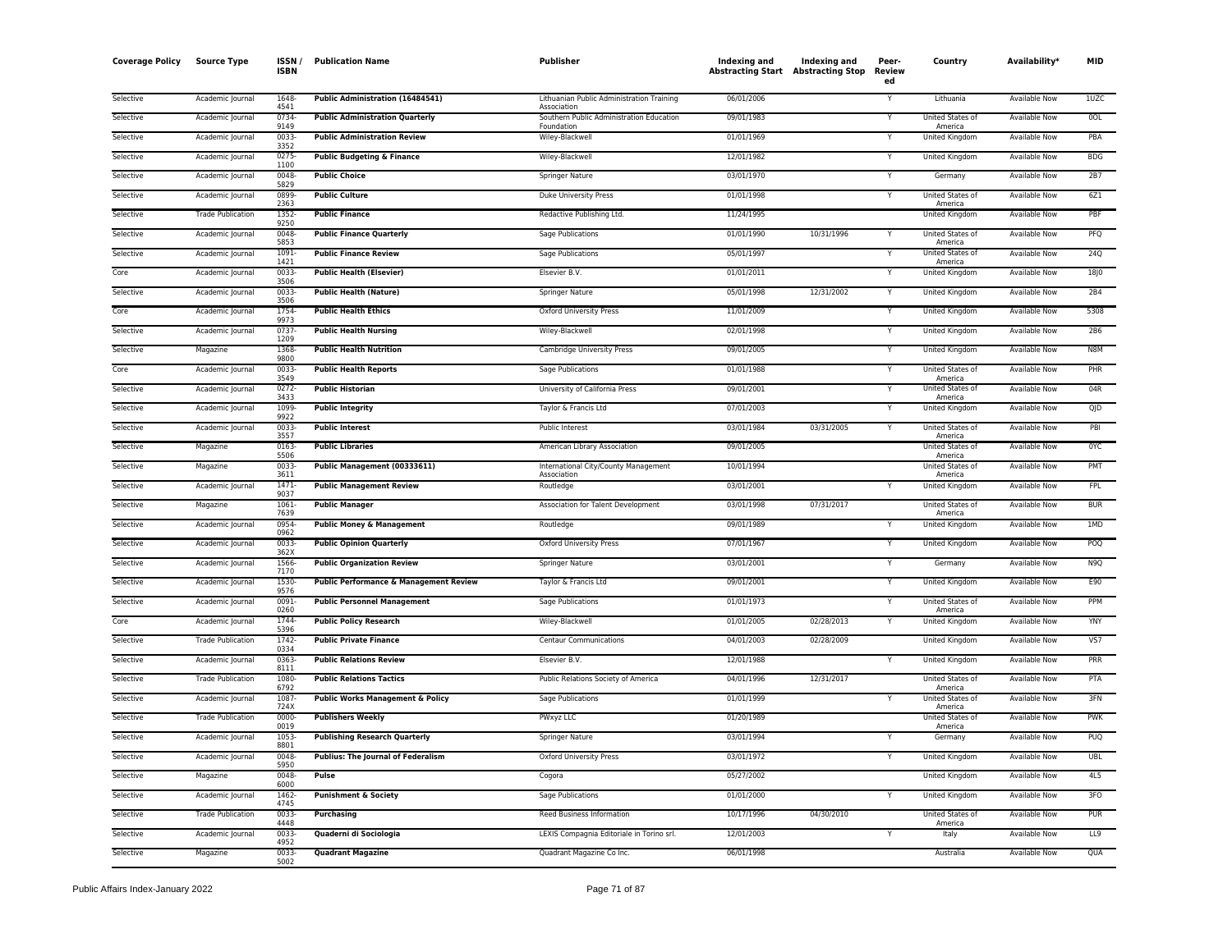| <b>Coverage Policy</b> | <b>Source Type</b>       | ISSN /<br><b>ISBN</b> | <b>Publication Name</b>                   | Publisher                                                | Indexing and<br><b>Abstracting Start Abstracting Stop</b> | Indexing and | Peer-<br>Review<br>ed | Country                                | Availability*        | <b>MID</b>      |
|------------------------|--------------------------|-----------------------|-------------------------------------------|----------------------------------------------------------|-----------------------------------------------------------|--------------|-----------------------|----------------------------------------|----------------------|-----------------|
| Selective              | Academic Journal         | 1648<br>4541          | Public Administration (16484541)          | Lithuanian Public Administration Training<br>Association | 06/01/2006                                                |              |                       | Lithuania                              | Available Now        | 1UZC            |
| Selective              | Academic Journal         | 0734<br>9149          | <b>Public Administration Quarterly</b>    | Southern Public Administration Education<br>Foundation   | 09/01/1983                                                |              |                       | United States of<br>America            | <b>Available Now</b> | <b>OOL</b>      |
| Selective              | Academic Journal         | 0033-<br>3352         | <b>Public Administration Review</b>       | Wiley-Blackwell                                          | 01/01/1969                                                |              | Y                     | <b>United Kingdom</b>                  | <b>Available Now</b> | PBA             |
| Selective              | Academic Journal         | $0275 -$<br>1100      | <b>Public Budgeting &amp; Finance</b>     | Wiley-Blackwell                                          | 12/01/1982                                                |              | Y                     | <b>United Kingdom</b>                  | <b>Available Now</b> | <b>BDG</b>      |
| Selective              | Academic Journal         | 0048<br>5829          | <b>Public Choice</b>                      | Springer Nature                                          | 03/01/1970                                                |              | Υ                     | Germany                                | Available Now        | 2B7             |
| Selective              | Academic Journal         | 0899<br>2363          | <b>Public Culture</b>                     | Duke University Press                                    | 01/01/1998                                                |              |                       | United States of<br>America            | Available Now        | 6Z1             |
| Selective              | <b>Trade Publication</b> | 1352<br>9250          | <b>Public Finance</b>                     | Redactive Publishing Ltd.                                | 11/24/1995                                                |              |                       | <b>United Kingdom</b>                  | <b>Available Now</b> | PBF             |
| Selective              | Academic Journal         | 0048<br>5853          | <b>Public Finance Quarterly</b>           | Sage Publications                                        | 01/01/1990                                                | 10/31/1996   |                       | United States of<br>America            | Available Now        | PFQ             |
| Selective              | Academic Journal         | 1091                  | <b>Public Finance Review</b>              | Sage Publications                                        | 05/01/1997                                                |              |                       | United States of                       | <b>Available Now</b> | <b>24Q</b>      |
| Core                   | Academic Journal         | 1421<br>0033<br>3506  | <b>Public Health (Elsevier)</b>           | Elsevier B.V.                                            | 01/01/2011                                                |              | Υ                     | America<br>United Kingdom              | Available Now        | <b>18J0</b>     |
| Selective              | Academic Journal         | 0033                  | <b>Public Health (Nature)</b>             | Springer Nature                                          | 05/01/1998                                                | 12/31/2002   | Y                     | United Kingdom                         | Available Now        | 2B4             |
| Core                   | Academic Journal         | 3506<br>1754<br>9973  | <b>Public Health Ethics</b>               | Oxford University Press                                  | 11/01/2009                                                |              | Y                     | United Kingdom                         | Available Now        | 5308            |
| Selective              | Academic Journal         | 0737                  | <b>Public Health Nursing</b>              | Wiley-Blackwell                                          | 02/01/1998                                                |              | Y                     | <b>United Kingdom</b>                  | <b>Available Now</b> | 2B6             |
| Selective              | Magazine                 | 1209<br>1368<br>9800  | <b>Public Health Nutrition</b>            | Cambridge University Press                               | 09/01/2005                                                |              | Y                     | United Kingdom                         | <b>Available Now</b> | N8M             |
| Core                   | Academic Journal         | 0033<br>3549          | <b>Public Health Reports</b>              | Sage Publications                                        | 01/01/1988                                                |              | Y                     | United States of<br>America            | Available Now        | PHR             |
| Selective              | Academic Journal         | $0272 -$<br>3433      | <b>Public Historian</b>                   | University of California Press                           | 09/01/2001                                                |              | Y                     | United States of                       | <b>Available Now</b> | 04R             |
| Selective              | Academic Journal         | 1099                  | <b>Public Integrity</b>                   | Taylor & Francis Ltd                                     | 07/01/2003                                                |              | Y                     | America<br>United Kingdom              | Available Now        | QJD             |
| Selective              | Academic Journal         | 9922<br>0033          | <b>Public Interest</b>                    | Public Interest                                          | 03/01/1984                                                | 03/31/2005   | Y                     | United States of                       | Available Now        | PBI             |
| Selective              | Magazine                 | 3557<br>0163          | <b>Public Libraries</b>                   | American Library Association                             | 09/01/2005                                                |              |                       | America<br>United States of            | Available Now        | 0YC             |
| Selective              | Magazine                 | 5506<br>0033          | Public Management (00333611)              | International City/County Management                     | 10/01/1994                                                |              |                       | America<br>United States of            | <b>Available Now</b> | PMT             |
| Selective              | Academic Journal         | 3611<br>1471          | <b>Public Management Review</b>           | Association<br>Routledge                                 | 03/01/2001                                                |              | Y                     | America<br>United Kingdom              | <b>Available Now</b> | <b>FPL</b>      |
| Selective              | Magazine                 | 9037<br>1061          | <b>Public Manager</b>                     | Association for Talent Development                       | 03/01/1998                                                | 07/31/2017   |                       | United States of                       | Available Now        | <b>BUR</b>      |
| Selective              | Academic Journal         | 7639<br>0954          | <b>Public Money &amp; Management</b>      | Routledge                                                | 09/01/1989                                                |              | v                     | America<br>United Kingdom              | Available Now        | 1MD             |
| Selective              | Academic Journal         | 0962<br>0033          | <b>Public Opinion Quarterly</b>           | Oxford University Press                                  | 07/01/1967                                                |              | Y                     | United Kingdom                         | Available Now        | POQ             |
| Selective              | Academic Journal         | 362X<br>1566          | <b>Public Organization Review</b>         | Springer Nature                                          | 03/01/2001                                                |              | Y                     | Germany                                | Available Now        | N9Q             |
| Selective              | Academic Journal         | 7170<br>1530          | Public Performance & Management Review    | Taylor & Francis Ltd                                     | 09/01/2001                                                |              | Y                     | <b>United Kingdom</b>                  | Available Now        | E90             |
| Selective              | Academic Journal         | 9576<br>0091          | <b>Public Personnel Management</b>        | <b>Sage Publications</b>                                 | 01/01/1973                                                |              |                       | United States of                       | <b>Available Now</b> | PPM             |
| Core                   | Academic Journal         | 0260<br>1744          | <b>Public Policy Research</b>             | Wiley-Blackwell                                          | 01/01/2005                                                | 02/28/2013   | Y                     | America<br>United Kingdom              | <b>Available Now</b> | <b>YNY</b>      |
| Selective              | <b>Trade Publication</b> | 5396<br>1742          | <b>Public Private Finance</b>             | Centaur Communications                                   | 04/01/2003                                                | 02/28/2009   |                       | <b>United Kingdom</b>                  | <b>Available Now</b> | VS7             |
| Selective              | Academic Journal         | 0334<br>0363          | <b>Public Relations Review</b>            | Elsevier B.V.                                            | 12/01/1988                                                |              |                       | United Kingdom                         | Available Now        | PRR             |
| Selective              | <b>Trade Publication</b> | 8111<br>1080-         | <b>Public Relations Tactics</b>           | Public Relations Society of America                      | 04/01/1996                                                | 12/31/2017   |                       | United States of                       | Available Now        | PTA             |
| Selective              | Academic Journal         | 6792<br>1087<br>724X  | Public Works Management & Policy          | <b>Sage Publications</b>                                 | 01/01/1999                                                |              |                       | America<br>United States of<br>America | <b>Available Now</b> | 3FN             |
| Selective              | <b>Trade Publication</b> | 0000<br>0019          | <b>Publishers Weekly</b>                  | PWxyz LLC                                                | 01/20/1989                                                |              |                       | United States of                       | Available Now        | <b>PWK</b>      |
| Selective              | Academic Journal         | 1053-<br>8801         | <b>Publishing Research Quarterly</b>      | <b>Springer Nature</b>                                   | 03/01/1994                                                |              |                       | America<br>Germany                     | <b>Available Now</b> | <b>PUQ</b>      |
| Selective              | Academic Journal         | 0048                  | <b>Publius: The Journal of Federalism</b> | <b>Oxford University Press</b>                           | 03/01/1972                                                |              | Y                     | <b>United Kingdom</b>                  | <b>Available Now</b> | <b>UBL</b>      |
| Selective              | Magazine                 | 5950<br>0048<br>6000  | Pulse                                     | Cogora                                                   | 05/27/2002                                                |              |                       | United Kingdom                         | Available Now        | 4L5             |
| Selective              | Academic Journal         | 1462                  | <b>Punishment &amp; Society</b>           | Sage Publications                                        | 01/01/2000                                                |              | Y                     | United Kingdom                         | Available Now        | 3FO             |
| Selective              | <b>Trade Publication</b> | 4745<br>0033          | <b>Purchasing</b>                         | Reed Business Information                                | 10/17/1996                                                | 04/30/2010   |                       | United States of                       | <b>Available Now</b> | <b>PUR</b>      |
| Selective              | Academic Journal         | 4448<br>0033          | Quaderni di Sociologia                    | LEXIS Compagnia Editoriale in Torino srl.                | 12/01/2003                                                |              |                       | America<br>Italy                       | Available Now        | LL <sub>9</sub> |
| Selective              | Magazine                 | 4952<br>0033<br>5002  | <b>Quadrant Magazine</b>                  | Quadrant Magazine Co Inc.                                | 06/01/1998                                                |              |                       | Australia                              | <b>Available Now</b> | QUA             |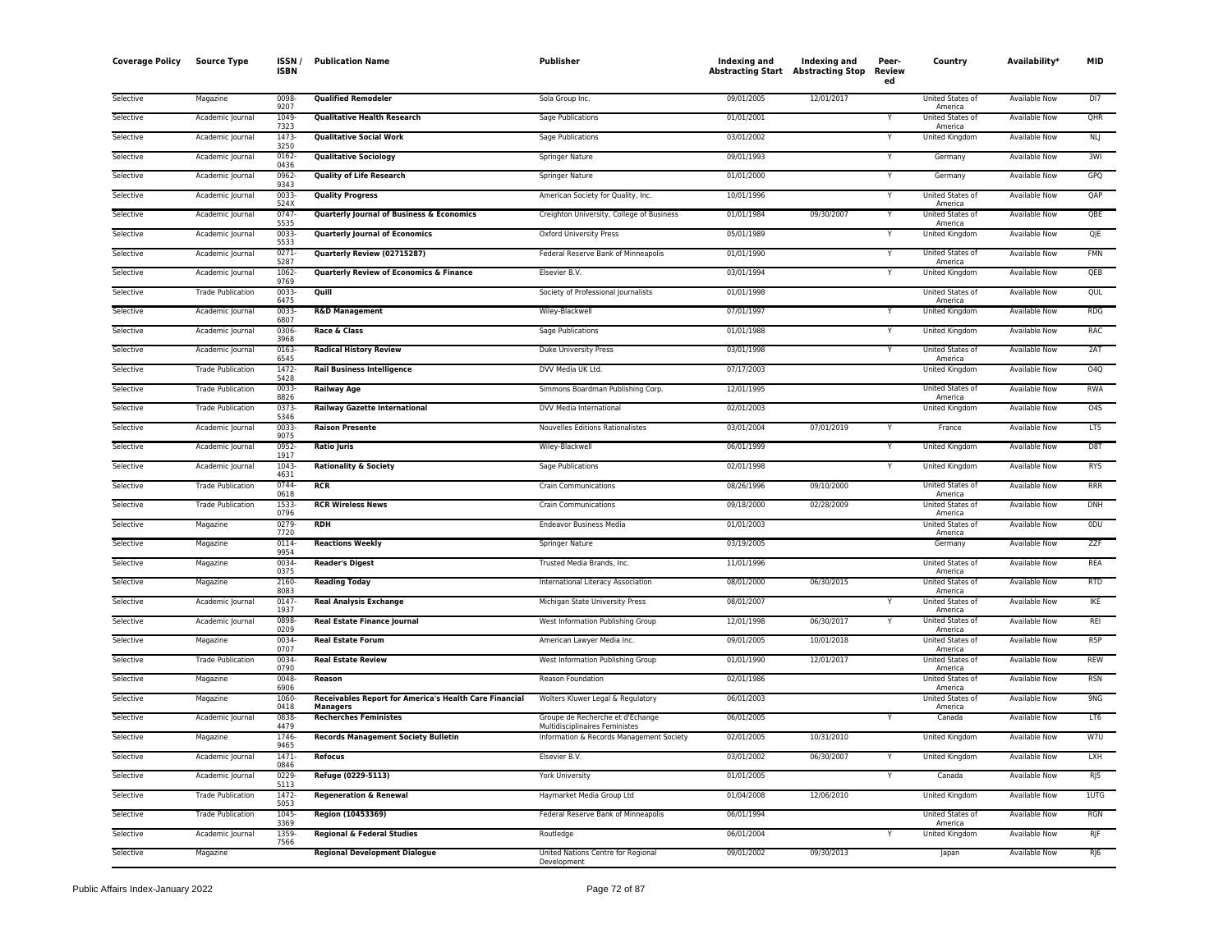| <b>Coverage Policy</b> | <b>Source Type</b>       | ISSN /<br><b>ISBN</b> | <b>Publication Name</b>                                                   | Publisher                                                          | Indexing and | Indexing and<br><b>Abstracting Start Abstracting Stop</b> | Peer-<br>Review<br>ed | Country                            | Availability*        | <b>MID</b>       |
|------------------------|--------------------------|-----------------------|---------------------------------------------------------------------------|--------------------------------------------------------------------|--------------|-----------------------------------------------------------|-----------------------|------------------------------------|----------------------|------------------|
| Selective              | Magazine                 | 0098<br>9207          | <b>Qualified Remodeler</b>                                                | Sola Group Inc.                                                    | 09/01/2005   | 12/01/2017                                                |                       | United States of<br>America        | Available Now        | DI <sub>7</sub>  |
| Selective              | Academic Journal         | 1049<br>7323          | <b>Qualitative Health Research</b>                                        | Sage Publications                                                  | 01/01/2001   |                                                           | Y                     | United States of<br>America        | Available Now        | QHR              |
| Selective              | Academic Journal         | 1473-<br>3250         | <b>Qualitative Social Work</b>                                            | Sage Publications                                                  | 03/01/2002   |                                                           |                       | <b>United Kingdom</b>              | <b>Available Now</b> | NLJ              |
| Selective              | Academic Journal         | 0162<br>0436          | <b>Qualitative Sociology</b>                                              | <b>Springer Nature</b>                                             | 09/01/1993   |                                                           | Y                     | Germany                            | <b>Available Now</b> | 3MI              |
| Selective              | Academic Journal         | 0962<br>9343          | <b>Quality of Life Research</b>                                           | Springer Nature                                                    | 01/01/2000   |                                                           | Y                     | Germany                            | Available Now        | GPQ              |
| Selective              | Academic Journal         | 0033<br>524X          | <b>Quality Progress</b>                                                   | American Society for Quality, Inc.                                 | 10/01/1996   |                                                           | v                     | United States of<br>America        | Available Now        | QAP              |
| Selective              | Academic Journal         | 0747<br>5535          | Quarterly Journal of Business & Economics                                 | Creighton University, College of Business                          | 01/01/1984   | 09/30/2007                                                | Y                     | United States of<br>America        | Available Now        | QBE              |
| Selective              | Academic Journal         | 0033<br>5533          | <b>Quarterly Journal of Economics</b>                                     | <b>Oxford University Press</b>                                     | 05/01/1989   |                                                           |                       | <b>United Kingdom</b>              | <b>Available Now</b> | QJE              |
| Selective              | Academic Journal         | 0271<br>5287          | Quarterly Review (02715287)                                               | Federal Reserve Bank of Minneapolis                                | 01/01/1990   |                                                           | Y                     | United States of<br>America        | <b>Available Now</b> | <b>FMN</b>       |
| Selective              | Academic Journal         | 1062<br>9769          | Quarterly Review of Economics & Finance                                   | Elsevier B.V.                                                      | 03/01/1994   |                                                           | Y                     | United Kingdom                     | <b>Available Now</b> | OEB              |
| Selective              | <b>Trade Publication</b> | 0033<br>6475          | Quill                                                                     | Society of Professional Journalists                                | 01/01/1998   |                                                           |                       | United States of<br>America        | <b>Available Now</b> | QUL              |
| Selective              | Academic Journal         | 0033<br>6807          | <b>R&amp;D Management</b>                                                 | Wiley-Blackwell                                                    | 07/01/1997   |                                                           | Y                     | United Kingdom                     | Available Now        | RDS              |
| Selective              | Academic Journal         | 0306<br>3968          | Race & Class                                                              | Sage Publications                                                  | 01/01/1988   |                                                           | Y                     | United Kingdom                     | Available Now        | <b>RAC</b>       |
| Selective              | Academic Journal         | 0163<br>6545          | <b>Radical History Review</b>                                             | Duke University Press                                              | 03/01/1998   |                                                           | Υ                     | United States of<br>America        | Available Now        | 2AT              |
| Selective              | <b>Trade Publication</b> | 1472<br>5428          | <b>Rail Business Intelligence</b>                                         | DVV Media UK Ltd.                                                  | 07/17/2003   |                                                           |                       | United Kingdom                     | Available Now        | O <sub>4</sub> Q |
| Selective              | <b>Trade Publication</b> | 0033<br>8826          | <b>Railway Age</b>                                                        | Simmons Boardman Publishing Corp.                                  | 12/01/1995   |                                                           |                       | United States of<br>America        | <b>Available Now</b> | <b>RWA</b>       |
| Selective              | <b>Trade Publication</b> | 0373-<br>5346         | <b>Railway Gazette International</b>                                      | DVV Media International                                            | 02/01/2003   |                                                           |                       | <b>United Kingdom</b>              | <b>Available Now</b> | 045              |
| Selective              | Academic Journal         | 0033<br>9075          | <b>Raison Presente</b>                                                    | Nouvelles Editions Rationalistes                                   | 03/01/2004   | 07/01/2019                                                |                       | France                             | <b>Available Now</b> | LT5              |
| Selective              | Academic Journal         | 0952<br>1917          | <b>Ratio Juris</b>                                                        | Wiley-Blackwell                                                    | 06/01/1999   |                                                           | Y                     | <b>United Kingdom</b>              | <b>Available Now</b> | D <sub>8</sub> T |
| Selective              | Academic Journal         | 1043<br>4631          | <b>Rationality &amp; Society</b>                                          | Sage Publications                                                  | 02/01/1998   |                                                           | v                     | United Kingdom                     | Available Now        | <b>RYS</b>       |
| Selective              | <b>Trade Publication</b> | 0744<br>0618          | <b>RCR</b>                                                                | <b>Crain Communications</b>                                        | 08/26/1996   | 09/10/2000                                                |                       | United States of<br>America        | Available Now        | <b>RRR</b>       |
| Selective              | <b>Trade Publication</b> | 1533<br>0796          | <b>RCR Wireless News</b>                                                  | <b>Crain Communications</b>                                        | 09/18/2000   | 02/28/2009                                                |                       | United States of<br>America        | <b>Available Now</b> | <b>DNH</b>       |
| Selective              | Magazine                 | 0279<br>7720          | <b>RDH</b>                                                                | <b>Endeavor Business Media</b>                                     | 01/01/2003   |                                                           |                       | United States of<br>America        | <b>Available Now</b> | 0DU              |
| Selective              | Magazine                 | 0114<br>9954          | <b>Reactions Weekly</b>                                                   | Springer Nature                                                    | 03/19/2005   |                                                           |                       | Germany                            | Available Now        | ZZF              |
| Selective              | Magazine                 | 0034<br>0375          | <b>Reader's Digest</b>                                                    | Trusted Media Brands, Inc.                                         | 11/01/1996   |                                                           |                       | United States of<br>America        | <b>Available Now</b> | <b>REA</b>       |
| Selective              | Magazine                 | 2160-<br>8083         | <b>Reading Today</b>                                                      | International Literacy Association                                 | 08/01/2000   | 06/30/2015                                                |                       | <b>United States of</b><br>America | Available Now        | <b>RTD</b>       |
| Selective              | Academic Journal         | 0147<br>1937          | <b>Real Analysis Exchange</b>                                             | Michigan State University Press                                    | 08/01/2007   |                                                           | Y                     | United States of<br>America        | Available Now        | IKE              |
| Selective              | Academic Journal         | 0898<br>0209          | Real Estate Finance Journal                                               | West Information Publishing Group                                  | 12/01/1998   | 06/30/2017                                                |                       | United States of<br>America        | Available Now        | REI              |
| Selective              | Magazine                 | 0034<br>0707          | <b>Real Estate Forum</b>                                                  | American Lawyer Media Inc.                                         | 09/01/2005   | 10/01/2018                                                |                       | United States of<br>America        | Available Now        | R <sub>5</sub> P |
| Selective              | <b>Trade Publication</b> | 0034-<br>0790         | <b>Real Estate Review</b>                                                 | West Information Publishing Group                                  | 01/01/1990   | 12/01/2017                                                |                       | United States of<br>America        | Available Now        | <b>REW</b>       |
| Selective              | Magazine                 | 0048-<br>6906         | Reason                                                                    | Reason Foundation                                                  | 02/01/1986   |                                                           |                       | United States of<br>America        | <b>Available Now</b> | <b>RSN</b>       |
| Selective              | Magazine                 | 1060-<br>0418         | Receivables Report for America's Health Care Financial<br><b>Managers</b> | Wolters Kluwer Legal & Regulatory                                  | 06/01/2003   |                                                           |                       | United States of<br>America        | <b>Available Now</b> | 9NG              |
| Selective              | Academic Journal         | 0838<br>4479          | <b>Recherches Feministes</b>                                              | Groupe de Recherche et d'Echange<br>Multidisciplinaires Feministes | 06/01/2005   |                                                           |                       | Canada                             | <b>Available Now</b> | LT6              |
| Selective              | Magazine                 | 1746<br>9465          | <b>Records Management Society Bulletin</b>                                | Information & Records Management Society                           | 02/01/2005   | 10/31/2010                                                |                       | United Kingdom                     | <b>Available Now</b> | W7U              |
| Selective              | Academic Journal         | 1471<br>0846          | Refocus                                                                   | Elsevier B.V.                                                      | 03/01/2002   | 06/30/2007                                                |                       | United Kingdom                     | Available Now        | LXH              |
| Selective              | Academic Journal         | 0229<br>5113          | Refuge (0229-5113)                                                        | <b>York University</b>                                             | 01/01/2005   |                                                           | Y                     | Canada                             | <b>Available Now</b> | RJ5              |
| Selective              | <b>Trade Publication</b> | 1472<br>5053          | <b>Regeneration &amp; Renewal</b>                                         | Haymarket Media Group Ltd                                          | 01/04/2008   | 12/06/2010                                                |                       | <b>United Kingdom</b>              | <b>Available Now</b> | 1UTG             |
| Selective              | <b>Trade Publication</b> | 1045<br>3369          | Region (10453369)                                                         | Federal Reserve Bank of Minneapolis                                | 06/01/1994   |                                                           |                       | United States of<br>America        | Available Now        | <b>RGN</b>       |
| Selective              | Academic Journal         | 1359<br>7566          | <b>Regional &amp; Federal Studies</b>                                     | Routledge                                                          | 06/01/2004   |                                                           |                       | United Kingdom                     | <b>Available Now</b> | RJF              |
| Selective              | Magazine                 |                       | <b>Regional Development Dialogue</b>                                      | United Nations Centre for Regional<br>Development                  | 09/01/2002   | 09/30/2013                                                |                       | Japan                              | <b>Available Now</b> | RJ <sub>6</sub>  |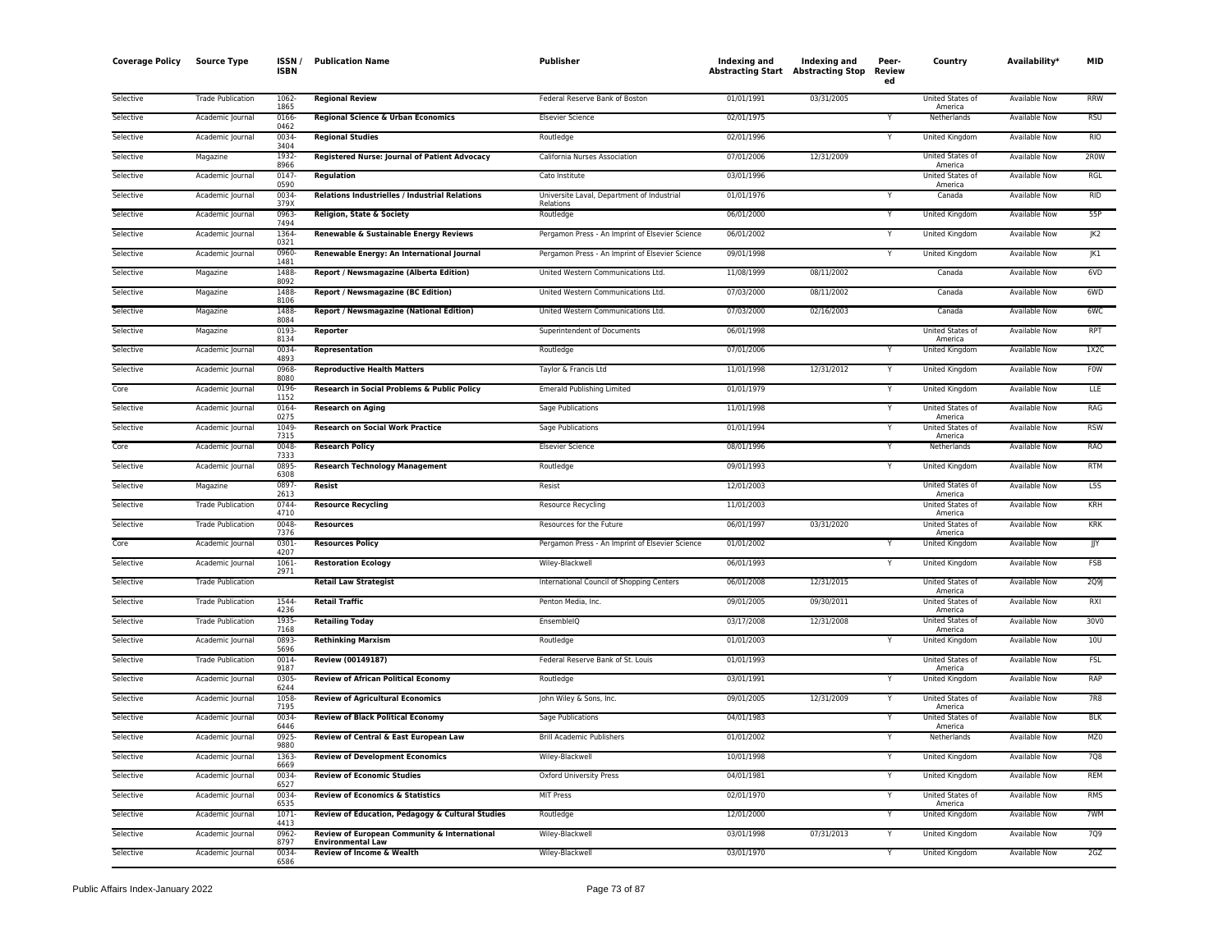| <b>Coverage Policy</b> | <b>Source Type</b>       | ISSN /<br><b>ISBN</b> | <b>Publication Name</b>                                                  | Publisher                                       | Indexing and<br><b>Abstracting Start Abstracting Stop</b> | Indexing and | Peer-<br>Review<br>ed | Country                          | Availability*        | <b>MID</b>  |
|------------------------|--------------------------|-----------------------|--------------------------------------------------------------------------|-------------------------------------------------|-----------------------------------------------------------|--------------|-----------------------|----------------------------------|----------------------|-------------|
| Selective              | <b>Trade Publication</b> | 1062-<br>1865         | <b>Regional Review</b>                                                   | Federal Reserve Bank of Boston                  | 01/01/1991                                                | 03/31/2005   |                       | United States of<br>America      | <b>Available Now</b> | <b>RRW</b>  |
| Selective              | Academic Journal         | 0166<br>0462          | <b>Regional Science &amp; Urban Economics</b>                            | <b>Elsevier Science</b>                         | 02/01/1975                                                |              |                       | Netherlands                      | <b>Available Now</b> | <b>RSU</b>  |
| Selective              | Academic Journal         | 0034<br>3404          | <b>Regional Studies</b>                                                  | Routledge                                       | 02/01/1996                                                |              | Y                     | <b>United Kingdom</b>            | Available Now        | <b>RIO</b>  |
| Selective              | Magazine                 | 1932                  | Registered Nurse: Journal of Patient Advocacy                            | California Nurses Association                   | 07/01/2006                                                | 12/31/2009   |                       | United States of                 | Available Now        | 2R0W        |
| Selective              | Academic Journal         | 8966<br>0147          | Regulation                                                               | Cato Institute                                  | 03/01/1996                                                |              |                       | America<br>United States of      | <b>Available Now</b> | RGL         |
| Selective              | Academic Journal         | 0590<br>0034          | Relations Industrielles / Industrial Relations                           | Universite Laval, Department of Industrial      | 01/01/1976                                                |              |                       | America<br>Canada                | Available Now        | <b>RID</b>  |
| Selective              | Academic Journal         | 379X<br>0963          | Religion, State & Society                                                | Relations<br>Routledge                          | 06/01/2000                                                |              |                       | <b>United Kingdom</b>            | <b>Available Now</b> | 55P         |
| Selective              | Academic Journal         | 7494<br>1364          | Renewable & Sustainable Energy Reviews                                   | Pergamon Press - An Imprint of Elsevier Science | 06/01/2002                                                |              | Y                     | United Kingdom                   | <b>Available Now</b> | JK2         |
| Selective              | Academic Journal         | 0321<br>0960          | Renewable Energy: An International Journal                               | Pergamon Press - An Imprint of Elsevier Science | 09/01/1998                                                |              |                       | United Kingdom                   | Available Now        | JK1         |
| Selective              | Magazine                 | 1481<br>1488          | Report / Newsmagazine (Alberta Edition)                                  | United Western Communications Ltd.              | 11/08/1999                                                | 08/11/2002   |                       | Canada                           | Available Now        | 6VD         |
| Selective              | Magazine                 | 8092<br>1488          | <b>Report / Newsmagazine (BC Edition)</b>                                | United Western Communications Ltd.              | 07/03/2000                                                | 08/11/2002   |                       | Canada                           | Available Now        | 6WD         |
| Selective              | Magazine                 | 8106<br>1488          | <b>Report / Newsmagazine (National Edition)</b>                          | United Western Communications Ltd.              | 07/03/2000                                                | 02/16/2003   |                       | Canada                           | <b>Available Now</b> | 6WC         |
| Selective              | Magazine                 | 8084<br>0193          | Reporter                                                                 | Superintendent of Documents                     | 06/01/1998                                                |              |                       | United States of                 | Available Now        | <b>RPT</b>  |
| Selective              | Academic Journal         | 8134<br>0034          | Representation                                                           | Routledge                                       | 07/01/2006                                                |              |                       | America<br><b>United Kingdom</b> | <b>Available Now</b> | 1X2C        |
|                        |                          | 4893<br>0968-         |                                                                          |                                                 |                                                           |              |                       |                                  |                      | <b>FOW</b>  |
| Selective              | Academic Journal         | 8080                  | <b>Reproductive Health Matters</b>                                       | Taylor & Francis Ltd                            | 11/01/1998                                                | 12/31/2012   | Y                     | United Kingdom                   | Available Now        |             |
| Core                   | Academic Journal         | 0196<br>1152          | Research in Social Problems & Public Policy                              | <b>Emerald Publishing Limited</b>               | 01/01/1979                                                |              | Y                     | United Kingdom                   | Available Now        | LLE         |
| Selective              | Academic Journal         | 0164<br>0275          | <b>Research on Aging</b>                                                 | Sage Publications                               | 11/01/1998                                                |              | Y                     | United States of<br>America      | Available Now        | RAG         |
| Selective              | Academic Journal         | 1049<br>7315          | <b>Research on Social Work Practice</b>                                  | Sage Publications                               | 01/01/1994                                                |              |                       | United States of<br>America      | Available Now        | <b>RSW</b>  |
| Core                   | Academic Journal         | 0048<br>7333          | <b>Research Policy</b>                                                   | <b>Elsevier Science</b>                         | 08/01/1996                                                |              |                       | Netherlands                      | <b>Available Now</b> | <b>RAO</b>  |
| Selective              | Academic Journal         | 0895<br>6308          | <b>Research Technology Management</b>                                    | Routledge                                       | 09/01/1993                                                |              | Y                     | United Kingdom                   | <b>Available Now</b> | <b>RTM</b>  |
| Selective              | Magazine                 | 0897<br>2613          | Resist                                                                   | Resist                                          | 12/01/2003                                                |              |                       | United States of<br>America      | <b>Available Now</b> | L5S         |
| Selective              | <b>Trade Publication</b> | 0744<br>4710          | <b>Resource Recycling</b>                                                | Resource Recycling                              | 11/01/2003                                                |              |                       | United States of<br>America      | Available Now        | <b>KRH</b>  |
| Selective              | <b>Trade Publication</b> | 0048<br>7376          | <b>Resources</b>                                                         | Resources for the Future                        | 06/01/1997                                                | 03/31/2020   |                       | United States of<br>America      | Available Now        | KRK         |
| Core                   | Academic Journal         | 0301<br>4207          | <b>Resources Policy</b>                                                  | Pergamon Press - An Imprint of Elsevier Science | 01/01/2002                                                |              |                       | United Kingdom                   | Available Now        | JJY         |
| Selective              | Academic Journal         | 1061<br>2971          | <b>Restoration Ecology</b>                                               | Wiley-Blackwell                                 | 06/01/1993                                                |              |                       | United Kingdom                   | Available Now        | FSB         |
| Selective              | <b>Trade Publication</b> |                       | <b>Retail Law Strategist</b>                                             | International Council of Shopping Centers       | 06/01/2008                                                | 12/31/2015   |                       | United States of<br>America      | <b>Available Now</b> | <b>2Q91</b> |
| Selective              | <b>Trade Publication</b> | 1544<br>4236          | <b>Retail Traffic</b>                                                    | Penton Media, Inc.                              | 09/01/2005                                                | 09/30/2011   |                       | United States of<br>America      | <b>Available Now</b> | RXI         |
| Selective              | <b>Trade Publication</b> | 1935                  | <b>Retailing Today</b>                                                   | EnsembleIQ                                      | 03/17/2008                                                | 12/31/2008   |                       | United States of                 | <b>Available Now</b> | 30V0        |
| Selective              | Academic Journal         | 7168<br>0893          | <b>Rethinking Marxism</b>                                                | Routledge                                       | 01/01/2003                                                |              |                       | America<br>United Kingdom        | <b>Available Now</b> | 10U         |
| Selective              | <b>Trade Publication</b> | 5696<br>0014          | Review (00149187)                                                        | Federal Reserve Bank of St. Louis               | 01/01/1993                                                |              |                       | United States of                 | Available Now        | FSL         |
| Selective              | Academic Journal         | 9187<br>0305          | <b>Review of African Political Economy</b>                               | Routledge                                       | 03/01/1991                                                |              | Y                     | America<br><b>United Kingdom</b> | <b>Available Now</b> | RAP         |
| Selective              | Academic Journal         | 6244<br>1058          | <b>Review of Agricultural Economics</b>                                  | John Wiley & Sons, Inc.                         | 09/01/2005                                                | 12/31/2009   |                       | United States of                 | Available Now        | 7R8         |
| Selective              | Academic Journal         | 7195<br>0034          | <b>Review of Black Political Economy</b>                                 | Sage Publications                               | 04/01/1983                                                |              |                       | America<br>United States of      | Available Now        | <b>BLK</b>  |
| Selective              | Academic Journal         | 6446<br>0925-         | Review of Central & East European Law                                    | <b>Brill Academic Publishers</b>                | 01/01/2002                                                |              |                       | America<br>Netherlands           | <b>Available Now</b> | MZ0         |
| Selective              | Academic Journal         | 9880<br>1363          | <b>Review of Development Economics</b>                                   | Wiley-Blackwell                                 | 10/01/1998                                                |              | Y                     | <b>United Kingdom</b>            | <b>Available Now</b> | 708         |
| Selective              | Academic Journal         | 6669<br>0034          | <b>Review of Economic Studies</b>                                        | <b>Oxford University Press</b>                  | 04/01/1981                                                |              | Υ                     | United Kingdom                   | Available Now        | <b>REM</b>  |
| Selective              | Academic Journal         | 6527<br>0034          | <b>Review of Economics &amp; Statistics</b>                              | MIT Press                                       | 02/01/1970                                                |              | Υ                     | United States of                 | Available Now        | <b>RMS</b>  |
| Selective              | Academic Journal         | 6535<br>$1071-$       | Review of Education, Pedagogy & Cultural Studies                         | Routledge                                       | 12/01/2000                                                |              | Y                     | America<br><b>United Kingdom</b> | <b>Available Now</b> | 7WM         |
|                        |                          | 4413<br>0962          |                                                                          |                                                 |                                                           |              |                       |                                  |                      |             |
| Selective              | Academic Journal         | 8797                  | Review of European Community & International<br><b>Environmental Law</b> | Wiley-Blackwell                                 | 03/01/1998                                                | 07/31/2013   |                       | United Kingdom                   | Available Now        | 7Q9         |
| Selective              | Academic Journal         | 0034<br>6586          | <b>Review of Income &amp; Wealth</b>                                     | Wiley-Blackwell                                 | 03/01/1970                                                |              | Y                     | <b>United Kingdom</b>            | <b>Available Now</b> | 2GZ         |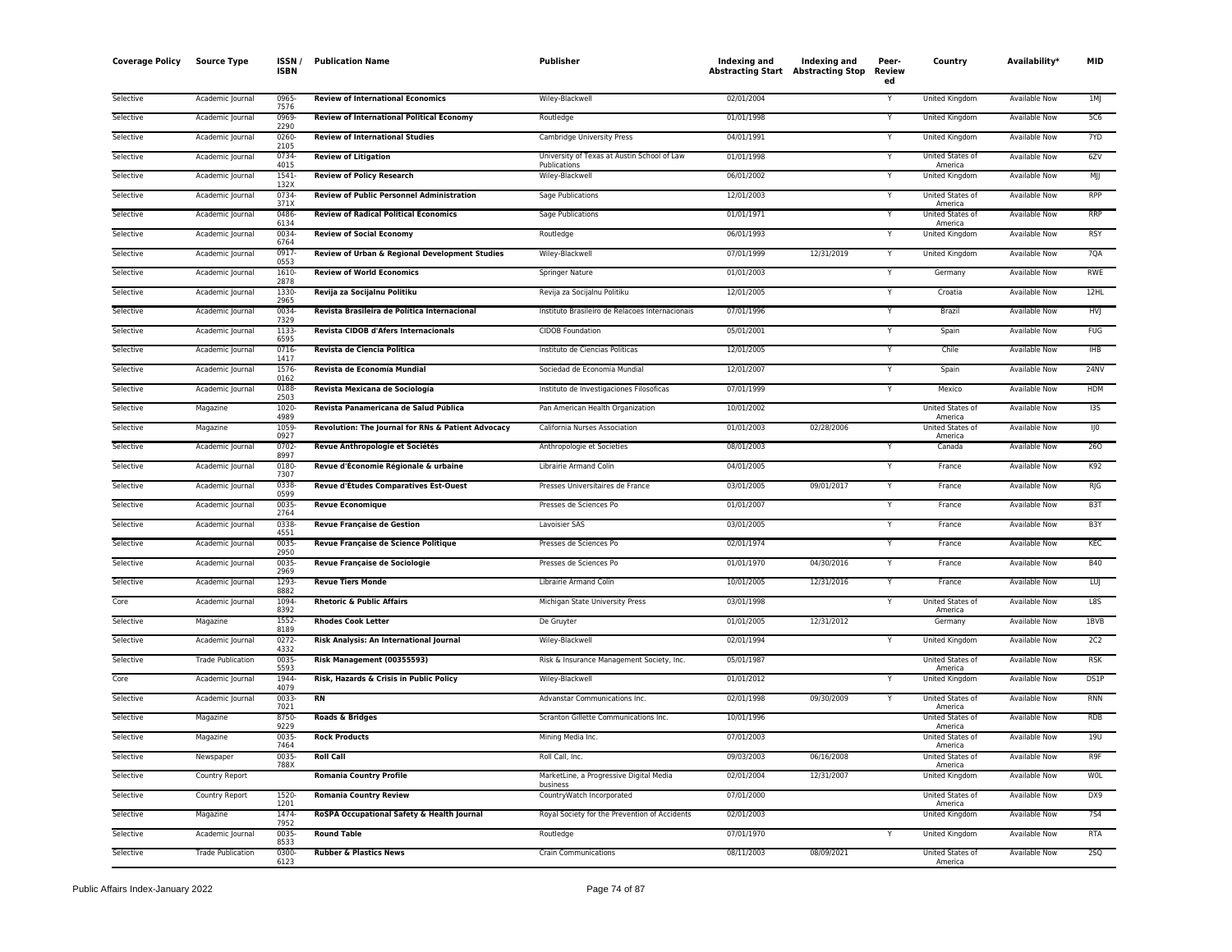| <b>Coverage Policy</b> | <b>Source Type</b>       | ISSN/<br><b>ISBN</b> | <b>Publication Name</b>                            | Publisher                                                   | Indexing and<br><b>Abstracting Start Abstracting Stop</b> | Indexing and | Peer-<br><b>Review</b><br>ed | Country                            | Availability*        | <b>MID</b>       |
|------------------------|--------------------------|----------------------|----------------------------------------------------|-------------------------------------------------------------|-----------------------------------------------------------|--------------|------------------------------|------------------------------------|----------------------|------------------|
| Selective              | Academic Journal         | 0965<br>7576         | <b>Review of International Economics</b>           | Wiley-Blackwell                                             | 02/01/2004                                                |              |                              | United Kingdom                     | Available Now        | 1MJ              |
| Selective              | Academic Journal         | 0969<br>2290         | Review of International Political Economy          | Routledge                                                   | 01/01/1998                                                |              | Y                            | United Kingdom                     | Available Now        | 5C6              |
| Selective              | Academic Journal         | 0260<br>2105         | <b>Review of International Studies</b>             | Cambridge University Press                                  | 04/01/1991                                                |              | Y                            | United Kingdom                     | <b>Available Now</b> | 7YD              |
| Selective              | Academic Journal         | 0734<br>4015         | <b>Review of Litigation</b>                        | University of Texas at Austin School of Law<br>Publications | 01/01/1998                                                |              | Y                            | United States of<br>America        | <b>Available Now</b> | 6ZV              |
| Selective              | Academic Journal         | 1541<br>132X         | <b>Review of Policy Research</b>                   | Wiley-Blackwell                                             | 06/01/2002                                                |              |                              | United Kingdom                     | Available Now        | MJJ              |
| Selective              | Academic Journal         | 0734<br>371X         | <b>Review of Public Personnel Administration</b>   | Sage Publications                                           | 12/01/2003                                                |              | v                            | United States of<br>America        | Available Now        | <b>RPP</b>       |
| Selective              | Academic Journal         | 0486<br>6134         | <b>Review of Radical Political Economics</b>       | Sage Publications                                           | 01/01/1971                                                |              | Y                            | United States of<br>America        | Available Now        | <b>RRP</b>       |
| Selective              | Academic Journal         | 0034<br>6764         | <b>Review of Social Economy</b>                    | Routledge                                                   | 06/01/1993                                                |              |                              | <b>United Kingdom</b>              | <b>Available Now</b> | <b>RSY</b>       |
| Selective              | Academic Journal         | 0917<br>0553         | Review of Urban & Regional Development Studies     | Wiley-Blackwell                                             | 07/01/1999                                                | 12/31/2019   | Y                            | United Kingdom                     | <b>Available Now</b> | 7QA              |
| Selective              | Academic Journal         | 1610<br>2878         | <b>Review of World Economics</b>                   | Springer Nature                                             | 01/01/2003                                                |              | Y                            | Germany                            | <b>Available Now</b> | <b>RWE</b>       |
| Selective              | Academic Journal         | 1330<br>2965         | Revija za Socijalnu Politiku                       | Revija za Socijalnu Politiku                                | 12/01/2005                                                |              | Υ                            | Croatia                            | <b>Available Now</b> | 12HL             |
| Selective              | Academic Journal         | 0034<br>7329         | Revista Brasileira de Política Internacional       | Instituto Brasileiro de Relacoes Internacionais             | 07/01/1996                                                |              | Y                            | Brazil                             | Available Now        | <b>HVJ</b>       |
| Selective              | Academic Journal         | 1133<br>6595         | Revista CIDOB d'Afers Internacionals               | <b>CIDOB Foundation</b>                                     | 05/01/2001                                                |              | Y                            | Spain                              | Available Now        | FUG              |
| Selective              | Academic Journal         | 0716<br>1417         | Revista de Ciencia Politica                        | Instituto de Ciencias Politicas                             | 12/01/2005                                                |              | Y                            | Chile                              | Available Now        | IHB              |
| Selective              | Academic Journal         | 1576<br>0162         | Revista de Economía Mundial                        | Sociedad de Economia Mundial                                | 12/01/2007                                                |              |                              | Spain                              | Available Now        | 24NV             |
| Selective              | Academic Journal         | 0188<br>2503         | Revista Mexicana de Sociología                     | Instituto de Investigaciones Filosoficas                    | 07/01/1999                                                |              | Y                            | Mexico                             | Available Now        | <b>HDM</b>       |
| Selective              | Magazine                 | 1020<br>4989         | Revista Panamericana de Salud Pública              | Pan American Health Organization                            | 10/01/2002                                                |              |                              | United States of<br>America        | <b>Available Now</b> | 135              |
| Selective              | Magazine                 | 1059<br>0927         | Revolution: The Journal for RNs & Patient Advocacy | California Nurses Association                               | 01/01/2003                                                | 02/28/2006   |                              | United States of<br>America        | <b>Available Now</b> | IJ0              |
| Selective              | Academic Journal         | 0702<br>8997         | Revue Anthropologie et Sociétés                    | Anthropologie et Societies                                  | 08/01/2003                                                |              |                              | Canada                             | <b>Available Now</b> | 260              |
| Selective              | Academic Journal         | 0180<br>7307         | Revue d'Économie Régionale & urbaine               | Librairie Armand Colin                                      | 04/01/2005                                                |              | v                            | France                             | Available Now        | K92              |
| Selective              | Academic Journal         | 0338<br>0599         | Revue d'Études Comparatives Est-Ouest              | Presses Universitaires de France                            | 03/01/2005                                                | 09/01/2017   | Y                            | France                             | Available Now        | RJG              |
| Selective              | Academic Journal         | 0035<br>2764         | <b>Revue Economiaue</b>                            | Presses de Sciences Po                                      | 01/01/2007                                                |              | Y                            | France                             | <b>Available Now</b> | B <sub>3</sub> T |
| Selective              | Academic Journal         | 0338<br>4551         | <b>Revue Française de Gestion</b>                  | Lavoisier SAS                                               | 03/01/2005                                                |              | Y                            | France                             | <b>Available Now</b> | B <sub>3</sub> Y |
| Selective              | Academic Journal         | 0035<br>2950         | Revue Française de Science Politique               | Presses de Sciences Po                                      | 02/01/1974                                                |              |                              | France                             | Available Now        | KEC              |
| Selective              | Academic Journal         | 0035<br>2969         | <b>Revue Française de Sociologie</b>               | Presses de Sciences Po                                      | 01/01/1970                                                | 04/30/2016   | Y                            | France                             | <b>Available Now</b> | <b>B40</b>       |
| Selective              | Academic Journal         | 1293<br>8887         | <b>Revue Tiers Monde</b>                           | Librairie Armand Colin                                      | 10/01/2005                                                | 12/31/2016   | Y                            | France                             | <b>Available Now</b> | LUJ              |
| Core                   | Academic Journal         | 1094<br>8392         | <b>Rhetoric &amp; Public Affairs</b>               | Michigan State University Press                             | 03/01/1998                                                |              | Y                            | United States of<br>America        | Available Now        | L8S              |
| Selective              | Magazine                 | 1552<br>8189         | <b>Rhodes Cook Letter</b>                          | De Gruyter                                                  | 01/01/2005                                                | 12/31/2012   |                              | Germany                            | <b>Available Now</b> | 1BVB             |
| Selective              | Academic Journal         | 0272<br>4332         | Risk Analysis: An International Journal            | Wiley-Blackwell                                             | 02/01/1994                                                |              |                              | United Kingdom                     | Available Now        | 2C2              |
| Selective              | <b>Trade Publication</b> | 0035<br>5593         | Risk Management (00355593)                         | Risk & Insurance Management Society, Inc.                   | 05/01/1987                                                |              |                              | United States of<br>America        | Available Now        | RSK              |
| Core                   | Academic Journal         | 1944<br>4079         | Risk, Hazards & Crisis in Public Policy            | Wiley-Blackwell                                             | 01/01/2012                                                |              | Y                            | United Kingdom                     | <b>Available Now</b> | DS1P             |
| Selective              | Academic Journal         | 0033<br>7021         | <b>RN</b>                                          | Advanstar Communications Inc.                               | 02/01/1998                                                | 09/30/2009   | Y                            | United States of<br>America        | <b>Available Now</b> | <b>RNN</b>       |
| Selective              | Magazine                 | 8750<br>9229         | <b>Roads &amp; Bridges</b>                         | Scranton Gillette Communications Inc.                       | 10/01/1996                                                |              |                              | <b>United States of</b><br>America | <b>Available Now</b> | <b>RDB</b>       |
| Selective              | Magazine                 | 0035<br>7464         | <b>Rock Products</b>                               | Mining Media Inc.                                           | 07/01/2003                                                |              |                              | United States of<br>America        | <b>Available Now</b> | 19U              |
| Selective              | Newspaper                | 0035<br>788X         | <b>Roll Call</b>                                   | Roll Call, Inc.                                             | 09/03/2003                                                | 06/16/2008   |                              | United States of<br>America        | Available Now        | R9F              |
| Selective              | <b>Country Report</b>    |                      | <b>Romania Country Profile</b>                     | MarketLine, a Progressive Digital Media<br>business         | 02/01/2004                                                | 12/31/2007   |                              | <b>United Kingdom</b>              | <b>Available Now</b> | <b>WOL</b>       |
| Selective              | Country Report           | 1520<br>1201         | <b>Romania Country Review</b>                      | CountryWatch Incorporated                                   | 07/01/2000                                                |              |                              | United States of<br>America        | <b>Available Now</b> | DX9              |
| Selective              | Magazine                 | 1474<br>7952         | RoSPA Occupational Safety & Health Journal         | Royal Society for the Prevention of Accidents               | 02/01/2003                                                |              |                              | United Kingdom                     | Available Now        | <b>7S4</b>       |
| Selective              | Academic Journal         | 0035<br>8533         | <b>Round Table</b>                                 | Routledge                                                   | 07/01/1970                                                |              |                              | <b>United Kingdom</b>              | <b>Available Now</b> | <b>RTA</b>       |
| Selective              | <b>Trade Publication</b> | 0300<br>6123         | <b>Rubber &amp; Plastics News</b>                  | Crain Communications                                        | 08/11/2003                                                | 08/09/2021   |                              | United States of<br>America        | <b>Available Now</b> | 25Q              |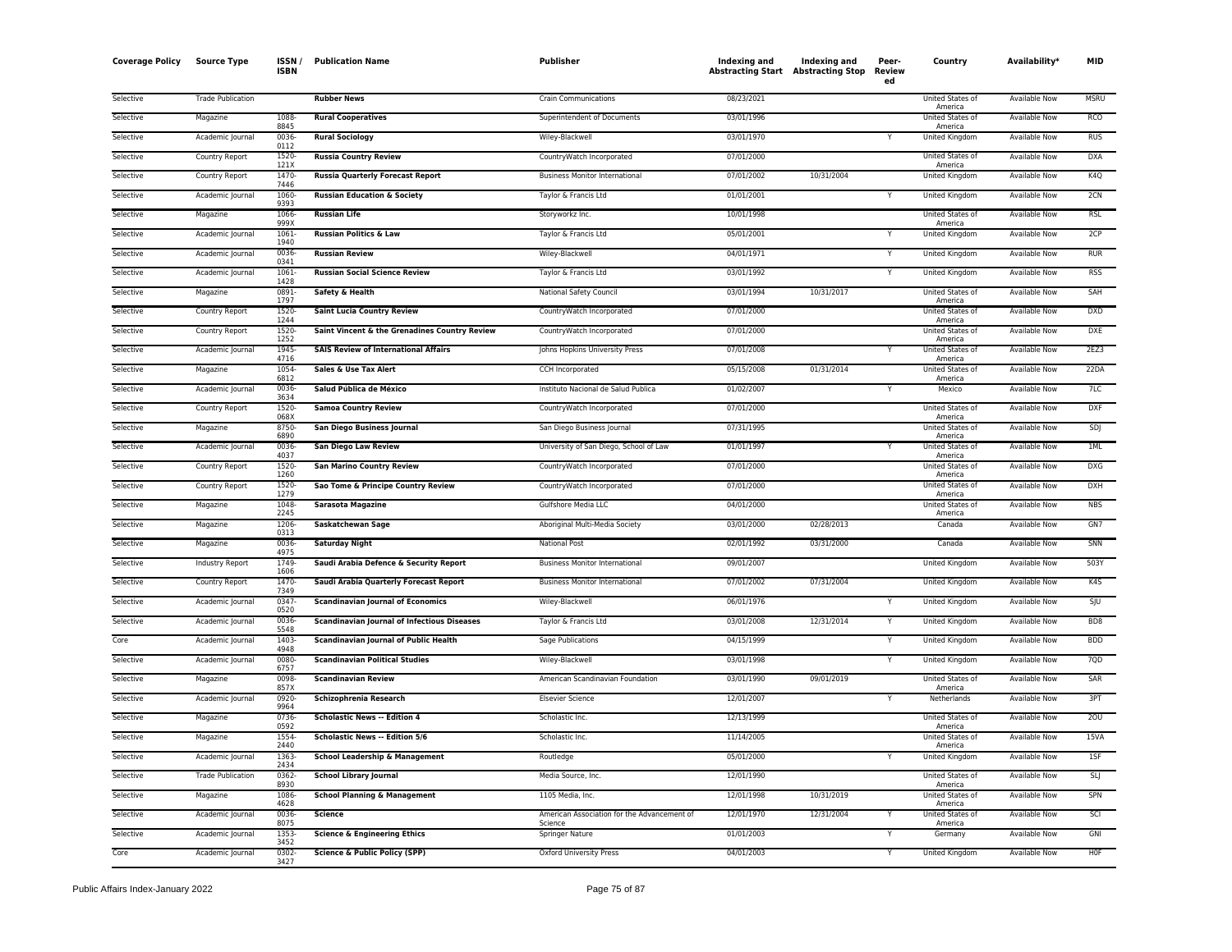| Coverage Policy | <b>Source Type</b>       | <b>ISSN</b><br><b>ISBN</b> | <b>Publication Name</b>                            | Publisher                                              | Indexing and<br><b>Abstracting Start Abstracting Stop</b> | Indexing and | Peer-<br>Review<br>ed | Country                     | Availability*        | MID              |
|-----------------|--------------------------|----------------------------|----------------------------------------------------|--------------------------------------------------------|-----------------------------------------------------------|--------------|-----------------------|-----------------------------|----------------------|------------------|
| Selective       | <b>Trade Publication</b> |                            | <b>Rubber News</b>                                 | <b>Crain Communications</b>                            | 08/23/2021                                                |              |                       | United States of<br>America | <b>Available Now</b> | <b>MSRU</b>      |
| Selective       | Magazine                 | 1088<br>8845               | <b>Rural Cooperatives</b>                          | Superintendent of Documents                            | 03/01/1996                                                |              |                       | United States of<br>America | Available Now        | <b>RCO</b>       |
| Selective       | Academic Journal         | 0036<br>0112               | <b>Rural Sociology</b>                             | Wiley-Blackwell                                        | 03/01/1970                                                |              | Y                     | United Kingdom              | Available Now        | <b>RUS</b>       |
| Selective       | Country Report           | 1520-<br>121X              | <b>Russia Country Review</b>                       | CountryWatch Incorporated                              | 07/01/2000                                                |              |                       | United States of<br>America | Available Now        | <b>DXA</b>       |
| Selective       | Country Report           | 1470<br>7446               | <b>Russia Quarterly Forecast Report</b>            | <b>Business Monitor International</b>                  | 07/01/2002                                                | 10/31/2004   |                       | United Kingdom              | <b>Available Now</b> | K <sub>4</sub> Q |
| Selective       | Academic Journal         | 1060-<br>9393              | <b>Russian Education &amp; Society</b>             | Taylor & Francis Ltd                                   | 01/01/2001                                                |              |                       | <b>United Kingdom</b>       | <b>Available Now</b> | 2CN              |
| Selective       | Magazine                 | 1066<br>999X               | <b>Russian Life</b>                                | Storyworkz Inc.                                        | 10/01/1998                                                |              |                       | United States of<br>America | <b>Available Now</b> | <b>RSL</b>       |
| Selective       | Academic Journal         | 1061-<br>1940              | <b>Russian Politics &amp; Law</b>                  | Taylor & Francis Ltd                                   | 05/01/2001                                                |              | Y                     | United Kingdom              | Available Now        | 2CP              |
| Selective       | Academic Journal         | 0036<br>0341               | <b>Russian Review</b>                              | Wiley-Blackwell                                        | 04/01/1971                                                |              | Y                     | United Kingdom              | Available Now        | <b>RUR</b>       |
| Selective       | Academic Journal         | 1061-<br>1428              | <b>Russian Social Science Review</b>               | Taylor & Francis Ltd                                   | 03/01/1992                                                |              |                       | United Kingdom              | Available Now        | <b>RSS</b>       |
| Selective       | Magazine                 | 0891-<br>1797              | Safety & Health                                    | National Safety Council                                | 03/01/1994                                                | 10/31/2017   |                       | United States of<br>America | <b>Available Now</b> | SAH              |
| Selective       | Country Report           | $1520 -$<br>1244           | <b>Saint Lucia Country Review</b>                  | CountryWatch Incorporated                              | 07/01/2000                                                |              |                       | United States of<br>America | <b>Available Now</b> | <b>DXD</b>       |
| Selective       | Country Report           | 1520-<br>1252              | Saint Vincent & the Grenadines Country Review      | CountryWatch Incorporated                              | 07/01/2000                                                |              |                       | United States of<br>America | <b>Available Now</b> | <b>DXE</b>       |
| Selective       | Academic Journal         | 1945-<br>4716              | <b>SAIS Review of International Affairs</b>        | Johns Hopkins University Press                         | 07/01/2008                                                |              |                       | United States of<br>America | Available Now        | 2EZ3             |
| Selective       | Magazine                 | 1054<br>6812               | Sales & Use Tax Alert                              | CCH Incorporated                                       | 05/15/2008                                                | 01/31/2014   |                       | United States of<br>America | Available Now        | 22DA             |
| Selective       | Academic Journal         | 0036-<br>3634              | Salud Pública de México                            | Instituto Nacional de Salud Publica                    | 01/02/2007                                                |              | Y                     | Mexico                      | <b>Available Now</b> | 7LC              |
| Selective       | <b>Country Report</b>    | 1520-<br>068X              | <b>Samoa Country Review</b>                        | CountryWatch Incorporated                              | 07/01/2000                                                |              |                       | United States of<br>America | <b>Available Now</b> | <b>DXF</b>       |
| Selective       | Magazine                 | 8750-<br>6890              | San Diego Business Journal                         | San Diego Business Journal                             | 07/31/1995                                                |              |                       | United States of<br>America | <b>Available Now</b> | SDI              |
| Selective       | Academic Journal         | 0036-<br>4037              | <b>San Diego Law Review</b>                        | University of San Diego, School of Law                 | 01/01/1997                                                |              |                       | United States of<br>America | <b>Available Now</b> | 1ML              |
| Selective       | Country Report           | 1520-<br>1260              | <b>San Marino Country Review</b>                   | CountryWatch Incorporated                              | 07/01/2000                                                |              |                       | United States of<br>America | Available Now        | DXG              |
| Selective       | Country Report           | 1520-<br>1279              | Sao Tome & Principe Country Review                 | CountryWatch Incorporated                              | 07/01/2000                                                |              |                       | United States of<br>America | <b>Available Now</b> | <b>DXH</b>       |
| Selective       | Magazine                 | 1048-<br>2245              | <b>Sarasota Magazine</b>                           | Gulfshore Media LLC                                    | 04/01/2000                                                |              |                       | United States of<br>America | Available Now        | <b>NBS</b>       |
| Selective       | Magazine                 | 1206-<br>0313              | <b>Saskatchewan Sage</b>                           | Aboriginal Multi-Media Society                         | 03/01/2000                                                | 02/28/2013   |                       | Canada                      | <b>Available Now</b> | GN7              |
| Selective       | Magazine                 | 0036<br>4975               | <b>Saturday Night</b>                              | National Post                                          | 02/01/1992                                                | 03/31/2000   |                       | Canada                      | <b>Available Now</b> | SNN              |
| Selective       | Industry Report          | 1749<br>1606               | Saudi Arabia Defence & Security Report             | <b>Business Monitor International</b>                  | 09/01/2007                                                |              |                       | United Kingdom              | Available Now        | 503Y             |
| Selective       | Country Report           | 1470-<br>7349              | Saudi Arabia Quarterly Forecast Report             | <b>Business Monitor International</b>                  | 07/01/2002                                                | 07/31/2004   |                       | United Kingdom              | Available Now        | K4S              |
| Selective       | Academic Journal         | 0347<br>0520               | <b>Scandinavian Journal of Economics</b>           | Wiley-Blackwell                                        | 06/01/1976                                                |              |                       | <b>United Kingdom</b>       | <b>Available Now</b> | S <sub>1</sub> U |
| Selective       | Academic Journal         | 0036-<br>5548              | <b>Scandinavian Journal of Infectious Diseases</b> | Taylor & Francis Ltd                                   | 03/01/2008                                                | 12/31/2014   |                       | United Kingdom              | Available Now        | BD <sub>8</sub>  |
| Core            | Academic Journal         | 1403<br>4948               | <b>Scandinavian Journal of Public Health</b>       | Sage Publications                                      | 04/15/1999                                                |              | Υ                     | United Kingdom              | <b>Available Now</b> | <b>BDD</b>       |
| Selective       | Academic Journal         | 0080<br>6757               | <b>Scandinavian Political Studies</b>              | Wiley-Blackwell                                        | 03/01/1998                                                |              | Y                     | United Kingdom              | Available Now        | 7QD              |
| Selective       | Magazine                 | 0098-<br>857>              | <b>Scandinavian Review</b>                         | American Scandinavian Foundation                       | 03/01/1990                                                | 09/01/2019   |                       | United States of<br>America | Available Now        | SAR              |
| Selective       | Academic Journal         | 0920-<br>9964              | Schizophrenia Research                             | <b>Elsevier Science</b>                                | 12/01/2007                                                |              |                       | Netherlands                 | Available Now        | 3PT              |
| Selective       | Magazine                 | 0736-<br>0592              | <b>Scholastic News -- Edition 4</b>                | Scholastic Inc.                                        | 12/13/1999                                                |              |                       | United States of<br>America | <b>Available Now</b> | 20U              |
| Selective       | Magazine                 | 1554<br>2440               | <b>Scholastic News -- Edition 5/6</b>              | Scholastic Inc.                                        | 11/14/2005                                                |              |                       | United States of<br>America | Available Now        | 15VA             |
| Selective       | Academic Journal         | 1363<br>2434               | <b>School Leadership &amp; Management</b>          | Routledge                                              | 05/01/2000                                                |              |                       | United Kingdom              | <b>Available Now</b> | 1SF              |
| Selective       | <b>Trade Publication</b> | 0362<br>8930               | <b>School Library Journal</b>                      | Media Source, Inc.                                     | 12/01/1990                                                |              |                       | United States of<br>America | Available Now        | <b>SLJ</b>       |
| Selective       | Magazine                 | 1086<br>4628               | <b>School Planning &amp; Management</b>            | 1105 Media, Inc.                                       | 12/01/1998                                                | 10/31/2019   |                       | United States of<br>America | Available Now        | SPN              |
| Selective       | Academic Journal         | 0036-<br>8075              | <b>Science</b>                                     | American Association for the Advancement of<br>Science | 12/01/1970                                                | 12/31/2004   |                       | United States of<br>America | Available Now        | SCI              |
| Selective       | Academic Journal         | 1353<br>3452               | <b>Science &amp; Engineering Ethics</b>            | Springer Nature                                        | 01/01/2003                                                |              |                       | Germany                     | Available Now        | GNI              |
| Core            | Academic Journal         | 0302-<br>3427              | <b>Science &amp; Public Policy (SPP)</b>           | Oxford University Press                                | 04/01/2003                                                |              | Y                     | United Kingdom              | <b>Available Now</b> | <b>HOF</b>       |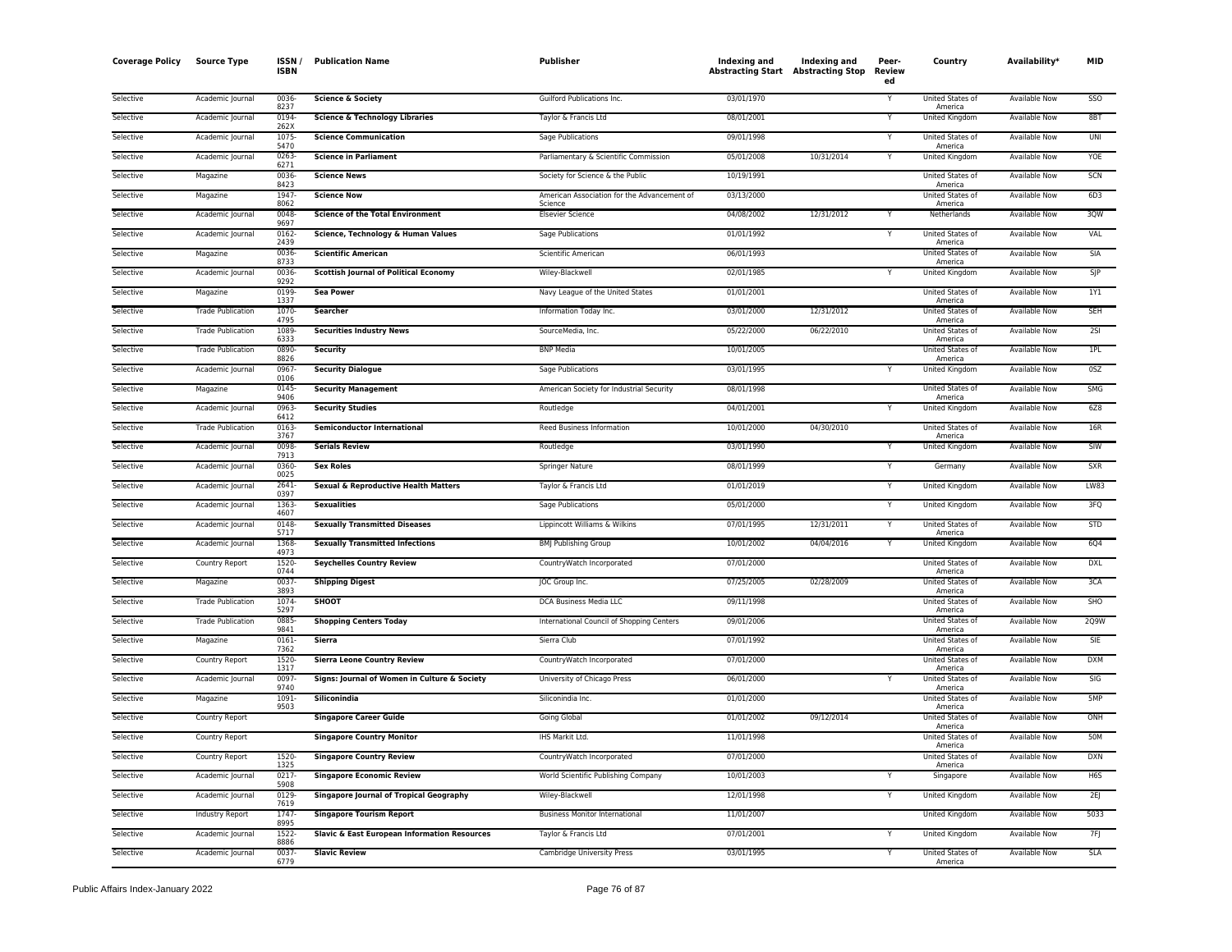| Coverage Policy | <b>Source Type</b>       | ISSN<br><b>ISBN</b> | <b>Publication Name</b>                        | Publisher                                              | Indexing and<br><b>Abstracting Start Abstracting Stop</b> | Indexing and | Peer-<br><b>Review</b><br>ed | Country                     | Availability*        | MID         |
|-----------------|--------------------------|---------------------|------------------------------------------------|--------------------------------------------------------|-----------------------------------------------------------|--------------|------------------------------|-----------------------------|----------------------|-------------|
| Selective       | Academic Journal         | 0036<br>8237        | <b>Science &amp; Society</b>                   | Guilford Publications Inc.                             | 03/01/1970                                                |              | Y                            | United States of<br>America | <b>Available Now</b> | SSO         |
| Selective       | Academic Journal         | 0194<br>262X        | <b>Science &amp; Technology Libraries</b>      | Taylor & Francis Ltd                                   | 08/01/2001                                                |              |                              | United Kingdom              | Available Now        | 8BT         |
| Selective       | Academic Journal         | 1075-<br>5470       | <b>Science Communication</b>                   | Sage Publications                                      | 09/01/1998                                                |              | Y                            | United States of<br>America | Available Now        | UNI         |
| Selective       | Academic Journal         | 0263-<br>6271       | <b>Science in Parliament</b>                   | Parliamentary & Scientific Commission                  | 05/01/2008                                                | 10/31/2014   | Y                            | United Kingdom              | Available Now        | YOE         |
| Selective       | Magazine                 | 0036<br>8423        | <b>Science News</b>                            | Society for Science & the Public                       | 10/19/1991                                                |              |                              | United States of<br>America | Available Now        | SCN         |
| Selective       | Magazine                 | 1947-<br>8062       | <b>Science Now</b>                             | American Association for the Advancement of<br>Science | 03/13/2000                                                |              |                              | United States of<br>America | <b>Available Now</b> | 6D3         |
| Selective       | Academic Journal         | 0048-<br>9697       | <b>Science of the Total Environment</b>        | <b>Elsevier Science</b>                                | 04/08/2002                                                | 12/31/2012   | Y                            | Netherlands                 | <b>Available Now</b> | 3QW         |
| Selective       | Academic Journal         | 0162-<br>2439       | Science, Technology & Human Values             | <b>Sage Publications</b>                               | 01/01/1992                                                |              | Υ                            | United States of<br>America | <b>Available Now</b> | VAL         |
| Selective       | Magazine                 | 0036<br>8733        | <b>Scientific American</b>                     | Scientific American                                    | 06/01/1993                                                |              |                              | United States of<br>America | <b>Available Now</b> | SIA         |
| Selective       | Academic Journal         | 0036-<br>9292       | <b>Scottish Journal of Political Economy</b>   | Wiley-Blackwell                                        | 02/01/1985                                                |              |                              | United Kingdom              | Available Now        | $S$ JP      |
| Selective       | Magazine                 | 0199<br>1337        | <b>Sea Power</b>                               | Navy League of the United States                       | 01/01/2001                                                |              |                              | United States of<br>America | <b>Available Now</b> | 1Y1         |
| Selective       | <b>Trade Publication</b> | 1070-<br>4795       | Searcher                                       | Information Today Inc.                                 | 03/01/2000                                                | 12/31/2012   |                              | United States of<br>America | Available Now        | <b>SEH</b>  |
| Selective       | <b>Trade Publication</b> | 1089<br>6333        | <b>Securities Industry News</b>                | SourceMedia, Inc.                                      | 05/22/2000                                                | 06/22/2010   |                              | United States of<br>America | <b>Available Now</b> | 2S1         |
| Selective       | <b>Trade Publication</b> | 0890-<br>8826       | <b>Security</b>                                | <b>BNP Media</b>                                       | 10/01/2005                                                |              |                              | United States of<br>America | <b>Available Now</b> | 1PL         |
| Selective       | Academic Journal         | 0967<br>0106        | <b>Security Dialogue</b>                       | Sage Publications                                      | 03/01/1995                                                |              |                              | United Kingdom              | Available Now        | 0SZ         |
| Selective       | Magazine                 | 0145<br>9406        | <b>Security Management</b>                     | American Society for Industrial Security               | 08/01/1998                                                |              |                              | United States of<br>America | Available Now        | <b>SMG</b>  |
| Selective       | Academic Journal         | 0963-<br>6412       | <b>Security Studies</b>                        | Routledge                                              | 04/01/2001                                                |              | Y                            | United Kingdom              | Available Now        | 6Z8         |
| Selective       | <b>Trade Publication</b> | 0163<br>3767        | <b>Semiconductor International</b>             | Reed Business Information                              | 10/01/2000                                                | 04/30/2010   |                              | United States of<br>America | <b>Available Now</b> | 16R         |
| Selective       | Academic Journal         | 0098<br>7913        | <b>Serials Review</b>                          | Routledge                                              | 03/01/1990                                                |              |                              | United Kingdom              | Available Now        | SIW         |
| Selective       | Academic Journal         | 0360-<br>0025       | <b>Sex Roles</b>                               | Springer Nature                                        | 08/01/1999                                                |              | Y                            | Germany                     | <b>Available Now</b> | <b>SXR</b>  |
| Selective       | Academic Journal         | $2641 -$<br>0397    | Sexual & Reproductive Health Matters           | Taylor & Francis Ltd                                   | 01/01/2019                                                |              | Y                            | <b>United Kingdom</b>       | Available Now        | <b>LW83</b> |
| Selective       | Academic Journal         | 1363<br>4607        | <b>Sexualities</b>                             | Sage Publications                                      | 05/01/2000                                                |              | Y                            | United Kingdom              | Available Now        | 3FQ         |
| Selective       | Academic Journal         | 0148<br>5717        | <b>Sexually Transmitted Diseases</b>           | Lippincott Williams & Wilkins                          | 07/01/1995                                                | 12/31/2011   | Υ                            | United States of<br>America | Available Now        | STD         |
| Selective       | Academic Journal         | 1368<br>4973        | <b>Sexually Transmitted Infections</b>         | <b>BMJ Publishing Group</b>                            | 10/01/2002                                                | 04/04/2016   |                              | United Kingdom              | <b>Available Now</b> | <b>6Q4</b>  |
| Selective       | Country Report           | 1520<br>0744        | <b>Seychelles Country Review</b>               | CountryWatch Incorporated                              | 07/01/2000                                                |              |                              | United States of<br>America | <b>Available Now</b> | <b>DXL</b>  |
| Selective       | Magazine                 | 0037<br>3893        | <b>Shipping Digest</b>                         | JOC Group Inc.                                         | 07/25/2005                                                | 02/28/2009   |                              | United States of<br>America | <b>Available Now</b> | 3CA         |
| Selective       | <b>Trade Publication</b> | 1074<br>5297        | <b>SHOOT</b>                                   | <b>DCA Business Media LLC</b>                          | 09/11/1998                                                |              |                              | United States of<br>America | <b>Available Now</b> | SHO         |
| Selective       | <b>Trade Publication</b> | 0885<br>9841        | <b>Shopping Centers Today</b>                  | International Council of Shopping Centers              | 09/01/2006                                                |              |                              | United States of<br>America | Available Now        | 2Q9W        |
| Selective       | Magazine                 | 0161<br>7362        | Sierra                                         | Sierra Club                                            | 07/01/1992                                                |              |                              | United States of<br>America | Available Now        | SIE         |
| Selective       | Country Report           | 1520-<br>1317       | <b>Sierra Leone Country Review</b>             | CountryWatch Incorporated                              | 07/01/2000                                                |              |                              | United States of<br>America | <b>Available Now</b> | <b>DXM</b>  |
| Selective       | Academic Journal         | 0097<br>9740        | Signs: Journal of Women in Culture & Society   | University of Chicago Press                            | 06/01/2000                                                |              |                              | United States of<br>America | Available Now        | <b>SIG</b>  |
| Selective       | Magazine                 | 1091<br>9503        | <b>Siliconindia</b>                            | Siliconindia Inc.                                      | 01/01/2000                                                |              |                              | United States of<br>America | <b>Available Now</b> | 5MP         |
| Selective       | Country Report           |                     | <b>Singapore Career Guide</b>                  | Going Global                                           | 01/01/2002                                                | 09/12/2014   |                              | United States of<br>America | <b>Available Now</b> | ONH         |
| Selective       | Country Report           |                     | <b>Singapore Country Monitor</b>               | IHS Markit Ltd.                                        | 11/01/1998                                                |              |                              | United States of<br>America | Available Now        | 50M         |
| Selective       | Country Report           | 1520-<br>1325       | <b>Singapore Country Review</b>                | CountryWatch Incorporated                              | 07/01/2000                                                |              |                              | United States of<br>America | Available Now        | <b>DXN</b>  |
| Selective       | Academic Journal         | 0217-<br>5908       | <b>Singapore Economic Review</b>               | World Scientific Publishing Company                    | 10/01/2003                                                |              |                              | Singapore                   | Available Now        | H6S         |
| Selective       | Academic Journal         | 0129-<br>7619       | <b>Singapore Journal of Tropical Geography</b> | Wiley-Blackwell                                        | 12/01/1998                                                |              | Y                            | <b>United Kingdom</b>       | <b>Available Now</b> | 2E          |
| Selective       | Industry Report          | 1747<br>8995        | <b>Singapore Tourism Report</b>                | <b>Business Monitor International</b>                  | 11/01/2007                                                |              |                              | United Kingdom              | Available Now        | 5033        |
| Selective       | Academic Journal         | 1522-<br>8886       | Slavic & East European Information Resources   | Taylor & Francis Ltd                                   | 07/01/2001                                                |              |                              | United Kingdom              | <b>Available Now</b> | 7F          |
| Selective       | Academic Journal         | 0037-<br>6779       | <b>Slavic Review</b>                           | Cambridge University Press                             | 03/01/1995                                                |              | Y                            | United States of<br>America | <b>Available Now</b> | <b>SLA</b>  |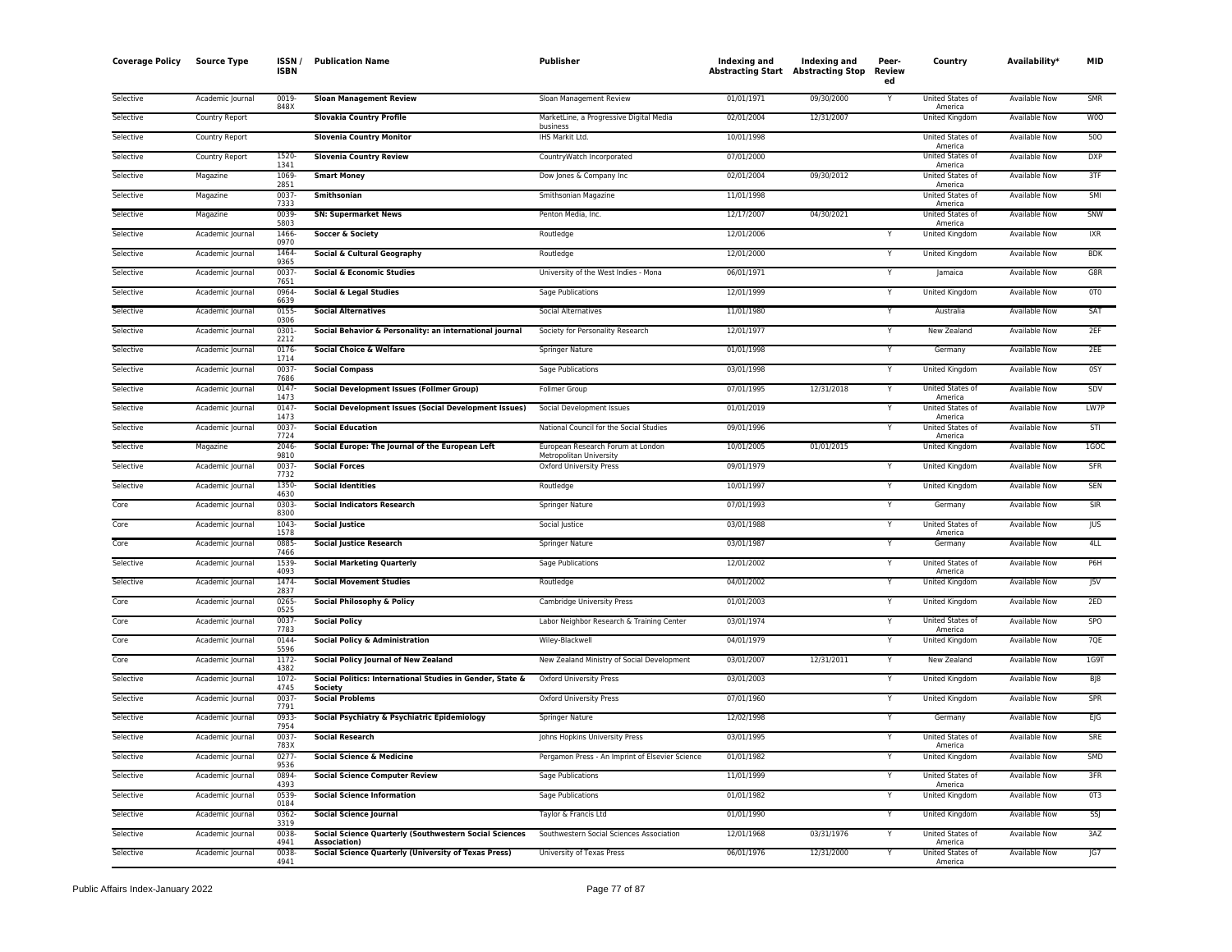| <b>Coverage Policy</b> | <b>Source Type</b>    | ISSN/<br><b>ISBN</b> | <b>Publication Name</b>                                                             | Publisher                                           | Indexing and<br><b>Abstracting Start Abstracting Stop</b> | Indexing and | Peer-<br><b>Review</b><br>ed | Country                                | Availability*        | <b>MID</b>     |
|------------------------|-----------------------|----------------------|-------------------------------------------------------------------------------------|-----------------------------------------------------|-----------------------------------------------------------|--------------|------------------------------|----------------------------------------|----------------------|----------------|
| Selective              | Academic Journal      | 0019<br>848X         | <b>Sloan Management Review</b>                                                      | Sloan Management Review                             | 01/01/1971                                                | 09/30/2000   |                              | United States of<br>America            | Available Now        | <b>SMR</b>     |
| Selective              | <b>Country Report</b> |                      | <b>Slovakia Country Profile</b>                                                     | MarketLine, a Progressive Digital Media<br>business | 02/01/2004                                                | 12/31/2007   |                              | <b>United Kingdom</b>                  | <b>Available Now</b> | W <sub>0</sub> |
| Selective              | Country Report        |                      | <b>Slovenia Country Monitor</b>                                                     | IHS Markit Ltd.                                     | 10/01/1998                                                |              |                              | United States of<br>America            | <b>Available Now</b> | 500            |
| Selective              | Country Report        | 1520<br>1341         | <b>Slovenia Country Review</b>                                                      | CountryWatch Incorporated                           | 07/01/2000                                                |              |                              | United States of<br>America            | <b>Available Now</b> | <b>DXP</b>     |
| Selective              | Magazine              | 1069<br>2851         | <b>Smart Money</b>                                                                  | Dow Jones & Company Inc                             | 02/01/2004                                                | 09/30/2012   |                              | <b>United States of</b><br>America     | Available Now        | 3TF            |
| Selective              | Magazine              | 0037                 | <b>Smithsonian</b>                                                                  | Smithsonian Magazine                                | 11/01/1998                                                |              |                              | United States of                       | Available Now        | SMI            |
| Selective              | Magazine              | 7333<br>0039         | <b>SN: Supermarket News</b>                                                         | Penton Media, Inc.                                  | 12/17/2007                                                | 04/30/2021   |                              | America<br>United States of            | <b>Available Now</b> | SNW            |
| Selective              | Academic Journal      | 5803<br>1466         | Soccer & Society                                                                    | Routledge                                           | 12/01/2006                                                |              |                              | America<br>United Kingdom              | Available Now        | IXR            |
| Selective              | Academic Journal      | 0970<br>1464         | Social & Cultural Geography                                                         | Routledge                                           | 12/01/2000                                                |              | Y                            | United Kingdom                         | <b>Available Now</b> | <b>BDK</b>     |
| Selective              | Academic Journal      | 9365<br>0037         | <b>Social &amp; Economic Studies</b>                                                | University of the West Indies - Mona                | 06/01/1971                                                |              | Y                            | Jamaica                                | Available Now        | G8R            |
| Selective              | Academic Journal      | 7651<br>0964         | Social & Legal Studies                                                              | Sage Publications                                   | 12/01/1999                                                |              | Y                            | United Kingdom                         | Available Now        | OTO            |
| Selective              | Academic Journal      | 6639<br>0155         | <b>Social Alternatives</b>                                                          | Social Alternatives                                 | 11/01/1980                                                |              | Y                            | Australia                              | Available Now        | SAT            |
| Selective              | Academic Journal      | 0306<br>0301         | Social Behavior & Personality: an international journal                             | Society for Personality Research                    | 12/01/1977                                                |              | Y                            | <b>New Zealand</b>                     | <b>Available Now</b> | 2EF            |
| Selective              | Academic Journal      | 2212<br>0176         | Social Choice & Welfare                                                             | Springer Nature                                     | 01/01/1998                                                |              | Y                            | Germany                                | <b>Available Now</b> | 2EE            |
| Selective              | Academic Journal      | 1714<br>0037         | <b>Social Compass</b>                                                               | Sage Publications                                   | 03/01/1998                                                |              | Y                            | United Kingdom                         | Available Now        | 0SY            |
| Selective              | Academic Journal      | 7686<br>0147         | <b>Social Development Issues (Follmer Group)</b>                                    | <b>Follmer Group</b>                                | 07/01/1995                                                | 12/31/2018   | Y                            | United States of                       | <b>Available Now</b> | SDV            |
| Selective              | Academic Journal      | 1473<br>0147         | <b>Social Development Issues (Social Development Issues)</b>                        | Social Development Issues                           | 01/01/2019                                                |              | Υ                            | America<br>United States of            | Available Now        | LW7P           |
| Selective              | Academic Journal      | 1473<br>0037         | <b>Social Education</b>                                                             | National Council for the Social Studies             | 09/01/1996                                                |              |                              | America<br>United States of            | Available Now        | STI            |
| Selective              | Magazine              | 7724<br>2046         | Social Europe: The Journal of the European Left                                     | European Research Forum at London                   | 10/01/2005                                                | 01/01/2015   |                              | America<br>United Kingdom              | Available Now        | 1GOC           |
| Selective              | Academic Journal      | 9810<br>0037         | <b>Social Forces</b>                                                                | Metropolitan University<br>Oxford University Press  | 09/01/1979                                                |              |                              | <b>United Kingdom</b>                  | <b>Available Now</b> | SFR            |
|                        |                       | 7732                 |                                                                                     |                                                     |                                                           |              | Y                            |                                        |                      |                |
| Selective              | Academic Journal      | 1350<br>4630         | <b>Social Identities</b>                                                            | Routledge                                           | 10/01/1997                                                |              |                              | United Kingdom                         | <b>Available Now</b> | SEN            |
| Core                   | Academic Journal      | 0303<br>8300         | <b>Social Indicators Research</b>                                                   | Springer Nature                                     | 07/01/1993                                                |              | Υ                            | Germany                                | Available Now        | SIR            |
| Core                   | Academic Journal      | 1043<br>1578         | <b>Social Justice</b>                                                               | Social Justice                                      | 03/01/1988                                                |              | Y                            | United States of<br>America            | Available Now        | <b>JUS</b>     |
| Core                   | Academic Journal      | 0885<br>7466         | <b>Social Justice Research</b>                                                      | Springer Nature                                     | 03/01/1987                                                |              | Y                            | Germany                                | Available Now        | 4LL            |
| Selective              | Academic Journal      | 1539<br>4093         | <b>Social Marketing Quarterly</b>                                                   | Sage Publications                                   | 12/01/2002                                                |              | Y                            | United States of<br>America            | Available Now        | P6H            |
| Selective              | Academic Journal      | 1474<br>2837         | <b>Social Movement Studies</b>                                                      | Routledge                                           | 04/01/2002                                                |              | Y                            | United Kingdom                         | Available Now        | J5V            |
| Core                   | Academic Journal      | 0265<br>0525         | Social Philosophy & Policy                                                          | Cambridge University Press                          | 01/01/2003                                                |              | Y                            | United Kingdom                         | <b>Available Now</b> | 2ED            |
| Core                   | Academic Journal      | 0037<br>7783         | <b>Social Policy</b>                                                                | Labor Neighbor Research & Training Center           | 03/01/1974                                                |              | Y                            | United States of<br>America            | <b>Available Now</b> | <b>SPO</b>     |
| Core                   | Academic Journal      | 0144<br>5596         | <b>Social Policy &amp; Administration</b>                                           | Wiley-Blackwell                                     | 04/01/1979                                                |              | Y                            | United Kingdom                         | <b>Available Now</b> | 7QE            |
| Core                   | Academic Journal      | 1172<br>4382         | <b>Social Policy Journal of New Zealand</b>                                         | New Zealand Ministry of Social Development          | 03/01/2007                                                | 12/31/2011   | Υ                            | New Zealand                            | Available Now        | 1G9T           |
| Selective              | Academic Journal      | 1072-<br>4745        | Social Politics: International Studies in Gender, State &<br>Society                | Oxford University Press                             | 03/01/2003                                                |              | Υ                            | United Kingdom                         | Available Now        | BJ8            |
| Selective              | Academic Journal      | 0037<br>7791         | <b>Social Problems</b>                                                              | <b>Oxford University Press</b>                      | 07/01/1960                                                |              | Y                            | United Kingdom                         | <b>Available Now</b> | <b>SPR</b>     |
| Selective              | Academic Journal      | 0933<br>7954         | Social Psychiatry & Psychiatric Epidemiology                                        | Springer Nature                                     | 12/02/1998                                                |              | Y                            | Germany                                | Available Now        | E G            |
| Selective              | Academic Journal      | 0037<br>783X         | <b>Social Research</b>                                                              | Johns Hopkins University Press                      | 03/01/1995                                                |              | Y                            | United States of<br>America            | <b>Available Now</b> | SRE            |
| Selective              | Academic Journal      | 0277<br>9536         | <b>Social Science &amp; Medicine</b>                                                | Pergamon Press - An Imprint of Elsevier Science     | 01/01/1982                                                |              | Υ                            | United Kingdom                         | Available Now        | <b>SMD</b>     |
| Selective              | Academic Journal      | 0894<br>4393         | <b>Social Science Computer Review</b>                                               | Sage Publications                                   | 11/01/1999                                                |              | Y                            | United States of<br>America            | Available Now        | 3FR            |
| Selective              | Academic Journal      | 0539<br>0184         | <b>Social Science Information</b>                                                   | Sage Publications                                   | 01/01/1982                                                |              | Y                            | United Kingdom                         | Available Now        | OT3            |
| Selective              | Academic Journal      | 0362                 | <b>Social Science Journal</b>                                                       | Taylor & Francis Ltd                                | 01/01/1990                                                |              | Y                            | United Kingdom                         | <b>Available Now</b> | SSJ            |
| Selective              | Academic Journal      | 3319<br>0038         | <b>Social Science Quarterly (Southwestern Social Sciences</b>                       | Southwestern Social Sciences Association            | 12/01/1968                                                | 03/31/1976   |                              | United States of                       | Available Now        | 3AZ            |
| Selective              | Academic Journal      | 4941<br>0038<br>4941 | <b>Association</b> )<br><b>Social Science Quarterly (University of Texas Press)</b> | University of Texas Press                           | 06/01/1976                                                | 12/31/2000   | Y                            | America<br>United States of<br>America | <b>Available Now</b> | G7             |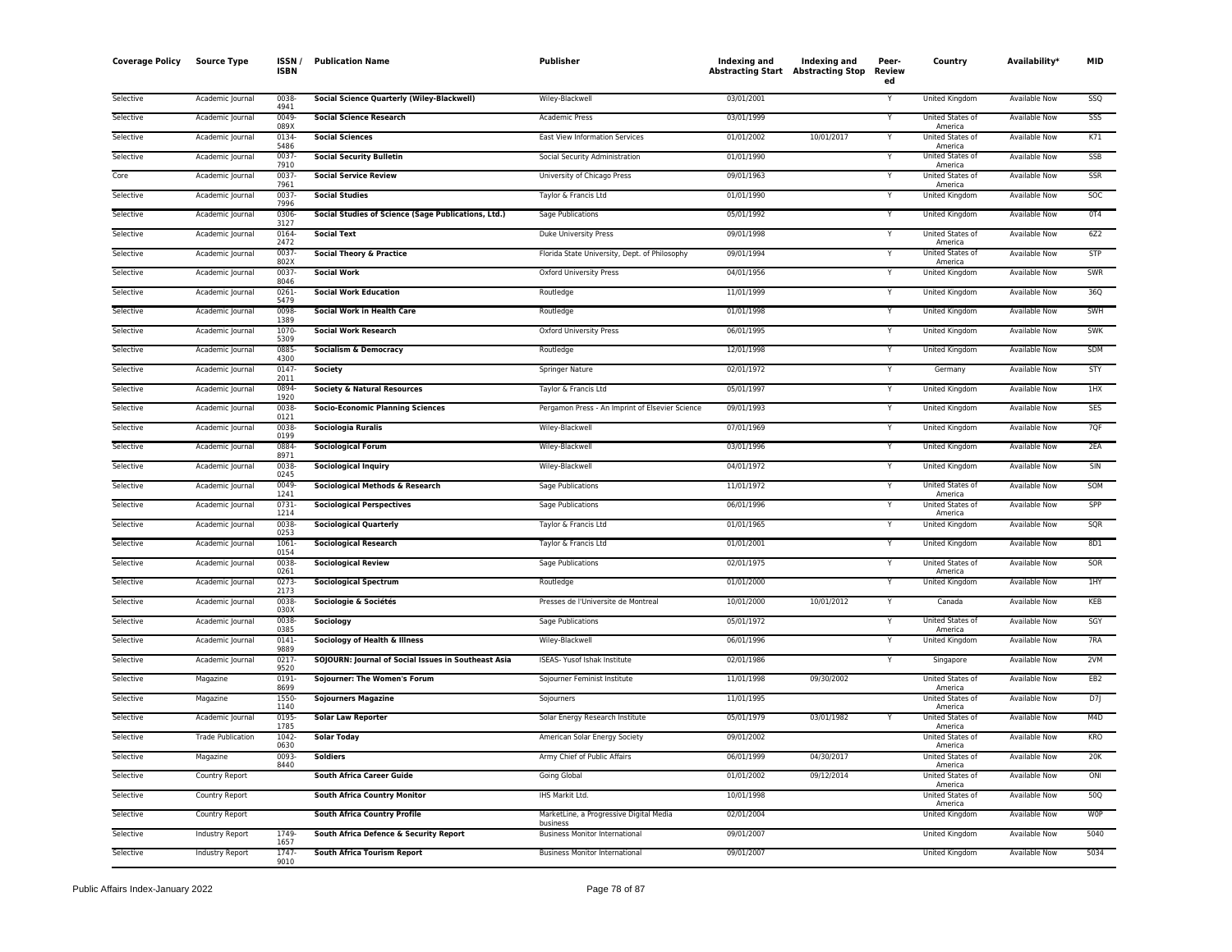| Coverage Policy | <b>Source Type</b>       | ISSN<br><b>ISBN</b> | <b>Publication Name</b>                             | Publisher                                           | Indexing and<br><b>Abstracting Start Abstracting Stop</b> | Indexing and | Peer-<br><b>Review</b><br>ed | Country                     | Availability*        | MID              |
|-----------------|--------------------------|---------------------|-----------------------------------------------------|-----------------------------------------------------|-----------------------------------------------------------|--------------|------------------------------|-----------------------------|----------------------|------------------|
| Selective       | Academic Journal         | 0038<br>4941        | <b>Social Science Quarterly (Wiley-Blackwell)</b>   | Wiley-Blackwell                                     | 03/01/2001                                                |              | Y                            | <b>United Kingdom</b>       | <b>Available Now</b> | SSQ              |
| Selective       | Academic Journal         | 0049<br>089X        | <b>Social Science Research</b>                      | Academic Press                                      | 03/01/1999                                                |              | Y                            | United States of<br>America | Available Now        | SSS              |
| Selective       | Academic Journal         | 0134<br>5486        | <b>Social Sciences</b>                              | East View Information Services                      | 01/01/2002                                                | 10/01/2017   |                              | United States of<br>America | Available Now        | K71              |
| Selective       | Academic Journal         | 0037-<br>7910       | <b>Social Security Bulletin</b>                     | Social Security Administration                      | 01/01/1990                                                |              | Υ                            | United States of<br>America | Available Now        | SSB              |
| Core            | Academic Journal         | 0037<br>7961        | <b>Social Service Review</b>                        | University of Chicago Press                         | 09/01/1963                                                |              |                              | United States of<br>America | Available Now        | <b>SSR</b>       |
| Selective       | Academic Journal         | 0037<br>7996        | <b>Social Studies</b>                               | Taylor & Francis Ltd                                | 01/01/1990                                                |              | Y                            | <b>United Kingdom</b>       | <b>Available Now</b> | SOC              |
| Selective       | Academic Journal         | 0306<br>3127        | Social Studies of Science (Sage Publications, Ltd.) | <b>Sage Publications</b>                            | 05/01/1992                                                |              | Υ                            | United Kingdom              | <b>Available Now</b> | 0T4              |
| Selective       | Academic Journal         | 0164<br>2472        | <b>Social Text</b>                                  | Duke University Press                               | 09/01/1998                                                |              | Υ                            | United States of<br>America | Available Now        | 6Z2              |
| Selective       | Academic Journal         | 0037<br>802X        | <b>Social Theory &amp; Practice</b>                 | Florida State University, Dept. of Philosophy       | 09/01/1994                                                |              |                              | United States of<br>America | Available Now        | <b>STP</b>       |
| Selective       | Academic Journal         | 0037<br>8046        | <b>Social Work</b>                                  | <b>Oxford University Press</b>                      | 04/01/1956                                                |              |                              | United Kingdom              | <b>Available Now</b> | SWR              |
| Selective       | Academic Journal         | 0261<br>5479        | <b>Social Work Education</b>                        | Routledge                                           | 11/01/1999                                                |              | Y                            | United Kingdom              | <b>Available Now</b> | 36Q              |
| Selective       | Academic Journal         | 0098<br>1389        | <b>Social Work in Health Care</b>                   | Routledge                                           | 01/01/1998                                                |              | Y                            | United Kingdom              | <b>Available Now</b> | SWH              |
| Selective       | Academic Journal         | 1070<br>5309        | <b>Social Work Research</b>                         | Oxford University Press                             | 06/01/1995                                                |              | Υ                            | United Kingdom              | Available Now        | <b>SWK</b>       |
| Selective       | Academic Journal         | 0885<br>4300        | <b>Socialism &amp; Democracy</b>                    | Routledge                                           | 12/01/1998                                                |              | Y                            | United Kingdom              | Available Now        | SDM              |
| Selective       | Academic Journal         | 0147<br>2011        | Society                                             | Springer Nature                                     | 02/01/1972                                                |              |                              | Germany                     | <b>Available Now</b> | STY              |
| Selective       | Academic Journal         | 0894<br>1920        | <b>Society &amp; Natural Resources</b>              | Taylor & Francis Ltd                                | 05/01/1997                                                |              |                              | <b>United Kingdom</b>       | <b>Available Now</b> | 1HX              |
| Selective       | Academic Journal         | 0038<br>0121        | <b>Socio-Economic Planning Sciences</b>             | Pergamon Press - An Imprint of Elsevier Science     | 09/01/1993                                                |              | Υ                            | United Kingdom              | <b>Available Now</b> | <b>SES</b>       |
| Selective       | Academic Journal         | 0038<br>0199        | <b>Sociologia Ruralis</b>                           | Wiley-Blackwell                                     | 07/01/1969                                                |              | Y                            | United Kingdom              | <b>Available Now</b> | 7QF              |
| Selective       | Academic Journal         | 0884<br>8971        | <b>Sociological Forum</b>                           | Wiley-Blackwell                                     | 03/01/1996                                                |              | Y                            | United Kingdom              | Available Now        | 2EA              |
| Selective       | Academic Journal         | 0038<br>0245        | <b>Sociological Inquiry</b>                         | Wiley-Blackwell                                     | 04/01/1972                                                |              |                              | United Kingdom              | Available Now        | SIN              |
| Selective       | Academic Journal         | 0049<br>1241        | Sociological Methods & Research                     | Sage Publications                                   | 11/01/1972                                                |              | Υ                            | United States of<br>America | Available Now        | SOM              |
| Selective       | Academic Journal         | 0731<br>1214        | <b>Sociological Perspectives</b>                    | Sage Publications                                   | 06/01/1996                                                |              |                              | United States of<br>America | <b>Available Now</b> | SPP              |
| Selective       | Academic Journal         | 0038<br>0253        | <b>Sociological Quarterly</b>                       | Taylor & Francis Ltd                                | 01/01/1965                                                |              |                              | United Kingdom              | <b>Available Now</b> | SQR              |
| Selective       | Academic Journal         | 1061<br>0154        | <b>Sociological Research</b>                        | Taylor & Francis Ltd                                | 01/01/2001                                                |              | Y                            | United Kingdom              | <b>Available Now</b> | 8D1              |
| Selective       | Academic Journal         | 0038<br>0261        | <b>Sociological Review</b>                          | Sage Publications                                   | 02/01/1975                                                |              |                              | United States of<br>America | Available Now        | SOR              |
| Selective       | Academic Journal         | 0273<br>2173        | <b>Sociological Spectrum</b>                        | Routledge                                           | 01/01/2000                                                |              | Υ                            | United Kingdom              | Available Now        | 1HY              |
| Selective       | Academic Journal         | 0038<br>030X        | Sociologie & Sociétés                               | Presses de l'Universite de Montreal                 | 10/01/2000                                                | 10/01/2012   |                              | Canada                      | Available Now        | KEB              |
| Selective       | Academic Journal         | 0038<br>0385        | Sociology                                           | Sage Publications                                   | 05/01/1972                                                |              |                              | United States of<br>America | <b>Available Now</b> | SGY              |
| Selective       | Academic Journal         | 0141<br>9889        | Sociology of Health & Illness                       | Wiley-Blackwell                                     | 06/01/1996                                                |              |                              | United Kingdom              | Available Now        | 7RA              |
| Selective       | Academic Journal         | 0217<br>9520        | SOJOURN: Journal of Social Issues in Southeast Asia | ISEAS- Yusof Ishak Institute                        | 02/01/1986                                                |              | Υ                            | Singapore                   | <b>Available Now</b> | 2VM              |
| Selective       | Magazine                 | 0191<br>8699        | Sojourner: The Women's Forum                        | Sojourner Feminist Institute                        | 11/01/1998                                                | 09/30/2002   |                              | United States of<br>America | Available Now        | EB <sub>2</sub>  |
| Selective       | Magazine                 | 1550<br>1140        | <b>Sojourners Magazine</b>                          | Sojourners                                          | 11/01/1995                                                |              |                              | United States of<br>America | Available Now        | D7               |
| Selective       | Academic Journal         | 0195<br>1785        | <b>Solar Law Reporter</b>                           | Solar Energy Research Institute                     | 05/01/1979                                                | 03/01/1982   |                              | United States of<br>America | Available Now        | M <sub>4</sub> D |
| Selective       | <b>Trade Publication</b> | 1042<br>0630        | <b>Solar Today</b>                                  | American Solar Energy Society                       | 09/01/2002                                                |              |                              | United States of<br>America | <b>Available Now</b> | KRO              |
| Selective       | Magazine                 | 0093<br>8440        | <b>Soldiers</b>                                     | Army Chief of Public Affairs                        | 06/01/1999                                                | 04/30/2017   |                              | United States of<br>America | Available Now        | 20K              |
| Selective       | <b>Country Report</b>    |                     | <b>South Africa Career Guide</b>                    | Going Global                                        | 01/01/2002                                                | 09/12/2014   |                              | United States of<br>America | <b>Available Now</b> | ONI              |
| Selective       | Country Report           |                     | <b>South Africa Country Monitor</b>                 | IHS Markit Ltd.                                     | 10/01/1998                                                |              |                              | United States of<br>America | <b>Available Now</b> | 50Q              |
| Selective       | Country Report           |                     | <b>South Africa Country Profile</b>                 | MarketLine, a Progressive Digital Media<br>business | 02/01/2004                                                |              |                              | United Kingdom              | Available Now        | <b>WOP</b>       |
| Selective       | Industry Report          | 1749<br>1657        | South Africa Defence & Security Report              | <b>Business Monitor International</b>               | 09/01/2007                                                |              |                              | United Kingdom              | Available Now        | 5040             |
| Selective       | Industry Report          | 1747<br>9010        | <b>South Africa Tourism Report</b>                  | <b>Business Monitor International</b>               | 09/01/2007                                                |              |                              | <b>United Kingdom</b>       | <b>Available Now</b> | 5034             |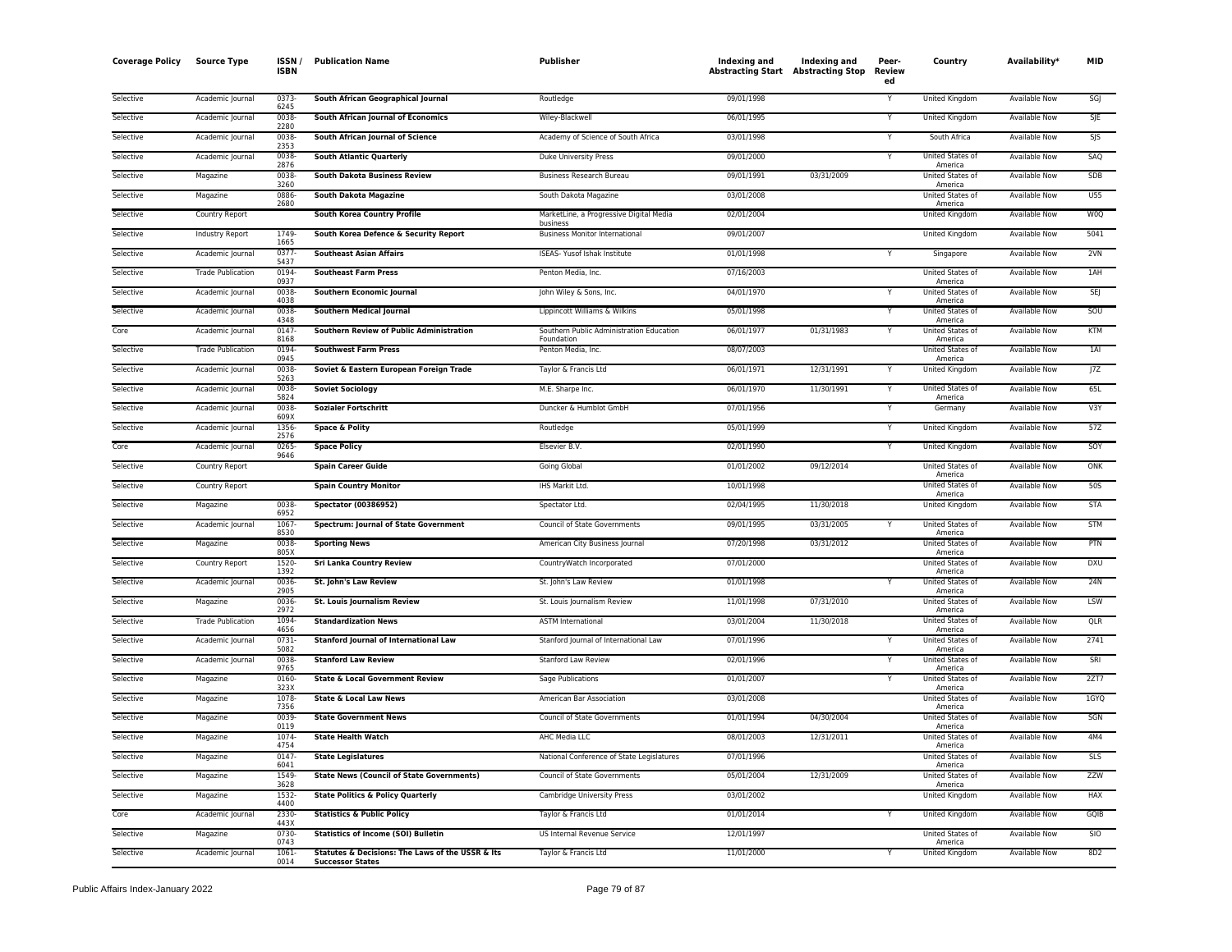| <b>Coverage Policy</b> | <b>Source Type</b>       | ISSN/<br><b>ISBN</b> | <b>Publication Name</b>                                                     | <b>Publisher</b>                                       | Indexing and<br><b>Abstracting Start Abstracting Stop</b> | <b>Indexing and</b> | Peer-<br>Review<br>ed | Country                            | Availability*        | <b>MID</b> |
|------------------------|--------------------------|----------------------|-----------------------------------------------------------------------------|--------------------------------------------------------|-----------------------------------------------------------|---------------------|-----------------------|------------------------------------|----------------------|------------|
| Selective              | Academic Journal         | $0373-$<br>6245      | South African Geographical Journal                                          | Routledge                                              | 09/01/1998                                                |                     | Y                     | <b>United Kingdom</b>              | <b>Available Now</b> | SGJ        |
| Selective              | Academic Journal         | 0038<br>2280         | South African Journal of Economics                                          | Wiley-Blackwell                                        | 06/01/1995                                                |                     | v                     | <b>United Kingdom</b>              | <b>Available Now</b> | SJE        |
| Selective              | Academic Journal         | 0038<br>2353         | South African Journal of Science                                            | Academy of Science of South Africa                     | 03/01/1998                                                |                     | Y                     | South Africa                       | Available Now        | SJS        |
| Selective              | Academic Journal         | 0038<br>2876         | <b>South Atlantic Quarterly</b>                                             | Duke University Press                                  | 09/01/2000                                                |                     | Υ                     | United States of<br>America        | Available Now        | SAQ        |
| Selective              | Magazine                 | 0038<br>3260         | <b>South Dakota Business Review</b>                                         | <b>Business Research Bureau</b>                        | 09/01/1991                                                | 03/31/2009          |                       | United States of<br>America        | Available Now        | SDB        |
| Selective              | Magazine                 | 0886<br>2680         | <b>South Dakota Magazine</b>                                                | South Dakota Magazine                                  | 03/01/2008                                                |                     |                       | United States of<br>America        | Available Now        | U55        |
| Selective              | Country Report           |                      | <b>South Korea Country Profile</b>                                          | MarketLine, a Progressive Digital Media<br>business    | 02/01/2004                                                |                     |                       | United Kingdom                     | <b>Available Now</b> | W0Q        |
| Selective              | <b>Industry Report</b>   | 1749<br>1665         | South Korea Defence & Security Report                                       | <b>Business Monitor International</b>                  | 09/01/2007                                                |                     |                       | United Kingdom                     | <b>Available Now</b> | 5041       |
| Selective              | Academic Journal         | 0377<br>5437         | <b>Southeast Asian Affairs</b>                                              | ISEAS- Yusof Ishak Institute                           | 01/01/1998                                                |                     |                       | Singapore                          | <b>Available Now</b> | 2VN        |
| Selective              | <b>Trade Publication</b> | 0194<br>0937         | <b>Southeast Farm Press</b>                                                 | Penton Media, Inc.                                     | 07/16/2003                                                |                     |                       | United States of<br>America        | <b>Available Now</b> | 1AH        |
| Selective              | Academic Journal         | 0038<br>4038         | Southern Economic Journal                                                   | John Wiley & Sons, Inc.                                | 04/01/1970                                                |                     |                       | United States of<br>America        | Available Now        | SEJ        |
| Selective              | Academic Journal         | 0038<br>4348         | <b>Southern Medical Journal</b>                                             | Lippincott Williams & Wilkins                          | 05/01/1998                                                |                     | Υ                     | United States of<br>America        | Available Now        | SOU        |
| Core                   | Academic Journal         | 0147<br>8168         | Southern Review of Public Administration                                    | Southern Public Administration Education<br>Foundation | 06/01/1977                                                | 01/31/1983          | Y                     | United States of<br>America        | Available Now        | <b>KTM</b> |
| Selective              | <b>Trade Publication</b> | 0194<br>0945         | <b>Southwest Farm Press</b>                                                 | Penton Media, Inc.                                     | 08/07/2003                                                |                     |                       | United States of<br>America        | Available Now        | 1AI        |
| Selective              | Academic Journal         | 0038<br>5263         | Soviet & Eastern European Foreign Trade                                     | Taylor & Francis Ltd                                   | 06/01/1971                                                | 12/31/1991          |                       | United Kingdom                     | Available Now        | 7Z         |
| Selective              | Academic Journal         | 0038<br>5824         | <b>Soviet Sociology</b>                                                     | M.E. Sharpe Inc.                                       | 06/01/1970                                                | 11/30/1991          | Y                     | United States of<br>America        | <b>Available Now</b> | 65L        |
| Selective              | Academic Journal         | 0038<br>609X         | <b>Sozialer Fortschritt</b>                                                 | Duncker & Humblot GmbH                                 | 07/01/1956                                                |                     | Y                     | Germany                            | <b>Available Now</b> | V3Y        |
| Selective              | Academic Journal         | 1356<br>2576         | <b>Space &amp; Polity</b>                                                   | Routledge                                              | 05/01/1999                                                |                     | Υ                     | United Kingdom                     | <b>Available Now</b> | 57Z        |
| Core                   | Academic Journal         | 0265<br>9646         | <b>Space Policy</b>                                                         | Elsevier B.V.                                          | 02/01/1990                                                |                     | Y                     | United Kingdom                     | <b>Available Now</b> | SOY        |
| Selective              | Country Report           |                      | <b>Spain Career Guide</b>                                                   | Going Global                                           | 01/01/2002                                                | 09/12/2014          |                       | United States of<br>America        | Available Now        | ONK        |
| Selective              | Country Report           |                      | <b>Spain Country Monitor</b>                                                | IHS Markit Ltd.                                        | 10/01/1998                                                |                     |                       | United States of<br>America        | Available Now        | 50S        |
| Selective              | Magazine                 | 0038<br>6952         | <b>Spectator (00386952)</b>                                                 | Spectator Ltd.                                         | 02/04/1995                                                | 11/30/2018          |                       | United Kingdom                     | Available Now        | <b>STA</b> |
| Selective              | Academic Journal         | 1067<br>8530         | <b>Spectrum: Journal of State Government</b>                                | Council of State Governments                           | 09/01/1995                                                | 03/31/2005          |                       | United States of<br>America        | <b>Available Now</b> | <b>STM</b> |
| Selective              | Magazine                 | 0038<br>805X         | <b>Sporting News</b>                                                        | American City Business Journal                         | 07/20/1998                                                | 03/31/2012          |                       | United States of<br>America        | Available Now        | PTN        |
| Selective              | Country Report           | 1520<br>1392         | <b>Sri Lanka Country Review</b>                                             | CountryWatch Incorporated                              | 07/01/2000                                                |                     |                       | United States of<br>America        | <b>Available Now</b> | <b>DXU</b> |
| Selective              | Academic Journal         | 0036<br>2905         | St. John's Law Review                                                       | St. John's Law Review                                  | 01/01/1998                                                |                     | Y                     | United States of<br>America        | Available Now        | 24N        |
| Selective              | Magazine                 | 0036<br>2972         | <b>St. Louis Journalism Review</b>                                          | St. Louis Journalism Review                            | 11/01/1998                                                | 07/31/2010          |                       | United States of<br>America        | <b>Available Now</b> | LSW        |
| Selective              | <b>Trade Publication</b> | 1094<br>4656         | <b>Standardization News</b>                                                 | <b>ASTM International</b>                              | 03/01/2004                                                | 11/30/2018          |                       | United States of<br>America        | <b>Available Now</b> | QLR        |
| Selective              | Academic Journal         | 0731<br>5082         | <b>Stanford Journal of International Law</b>                                | Stanford Journal of International Law                  | 07/01/1996                                                |                     |                       | United States of<br>America        | Available Now        | 2741       |
| Selective              | Academic Journal         | 0038<br>9765         | <b>Stanford Law Review</b>                                                  | <b>Stanford Law Review</b>                             | 02/01/1996                                                |                     | Y                     | United States of<br>America        | <b>Available Now</b> | SRI        |
| Selective              | Magazine                 | 0160<br>323X         | <b>State &amp; Local Government Review</b>                                  | Sage Publications                                      | 01/01/2007                                                |                     |                       | United States of<br>America        | <b>Available Now</b> | 2ZTT       |
| Selective              | Magazine                 | 1078<br>7356         | <b>State &amp; Local Law News</b>                                           | American Bar Association                               | 03/01/2008                                                |                     |                       | United States of<br>America        | <b>Available Now</b> | 1GYQ       |
| Selective              | Magazine                 | 0039<br>0119         | <b>State Government News</b>                                                | Council of State Governments                           | 01/01/1994                                                | 04/30/2004          |                       | United States of<br>America        | Available Now        | SGN        |
| Selective              | Magazine                 | 1074<br>4754         | <b>State Health Watch</b>                                                   | AHC Media LLC                                          | 08/01/2003                                                | 12/31/2011          |                       | United States of<br>America        | <b>Available Now</b> | 4M4        |
| Selective              | Magazine                 | 0147<br>6041         | <b>State Legislatures</b>                                                   | National Conference of State Legislatures              | 07/01/1996                                                |                     |                       | United States of<br>America        | <b>Available Now</b> | <b>SLS</b> |
| Selective              | Magazine                 | 1549<br>3628         | <b>State News (Council of State Governments)</b>                            | Council of State Governments                           | 05/01/2004                                                | 12/31/2009          |                       | <b>United States of</b><br>America | Available Now        | <b>ZZW</b> |
| Selective              | Magazine                 | 1532<br>4400         | <b>State Politics &amp; Policy Quarterly</b>                                | Cambridge University Press                             | 03/01/2002                                                |                     |                       | United Kingdom                     | Available Now        | <b>HAX</b> |
| Core                   | Academic Journal         | 2330<br>443X         | <b>Statistics &amp; Public Policy</b>                                       | Taylor & Francis Ltd                                   | 01/01/2014                                                |                     |                       | United Kingdom                     | Available Now        | GQIB       |
| Selective              | Magazine                 | 0730<br>0743         | <b>Statistics of Income (SOI) Bulletin</b>                                  | US Internal Revenue Service                            | 12/01/1997                                                |                     |                       | United States of<br>America        | Available Now        | <b>SIO</b> |
| Selective              | Academic Journal         | 1061<br>0014         | Statutes & Decisions: The Laws of the USSR & Its<br><b>Successor States</b> | Taylor & Francis Ltd                                   | 11/01/2000                                                |                     |                       | United Kingdom                     | <b>Available Now</b> | 8D2        |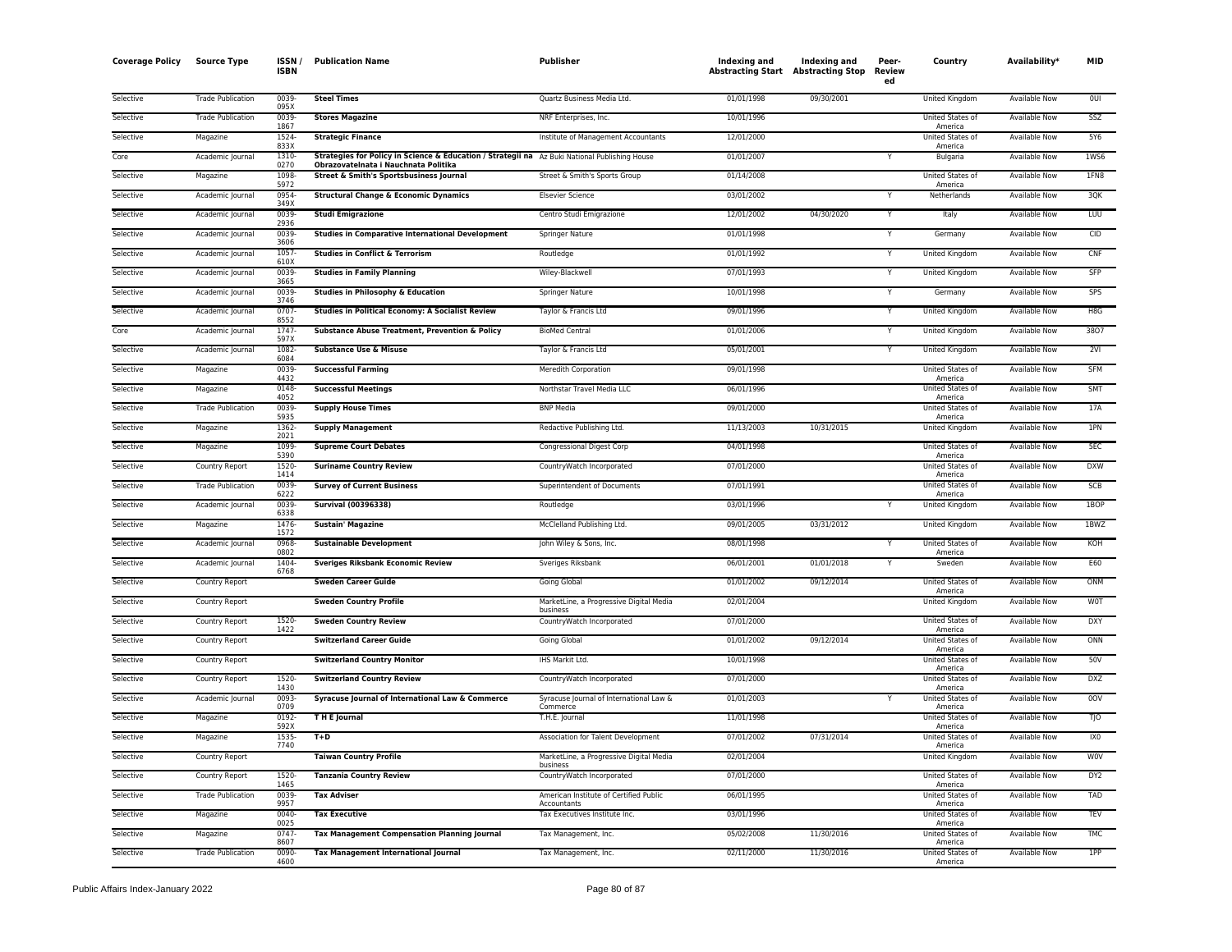| <b>Coverage Policy</b> | <b>Source Type</b>       | <b>ISSN</b><br><b>ISBN</b> | <b>Publication Name</b>                                                                       | <b>Publisher</b>                                      | Indexing and<br><b>Abstracting Start Abstracting Stop</b> | Indexing and | Peer-<br><b>Review</b><br>ed | Country                            | Availability*        | <b>MID</b>             |
|------------------------|--------------------------|----------------------------|-----------------------------------------------------------------------------------------------|-------------------------------------------------------|-----------------------------------------------------------|--------------|------------------------------|------------------------------------|----------------------|------------------------|
| Selective              | <b>Trade Publication</b> | 0039<br>095X               | <b>Steel Times</b>                                                                            | Quartz Business Media Ltd.                            | 01/01/1998                                                | 09/30/2001   |                              | United Kingdom                     | Available Now        | 0UI                    |
| Selective              | <b>Trade Publication</b> | 0039<br>1867               | <b>Stores Magazine</b>                                                                        | NRF Enterprises, Inc.                                 | 10/01/1996                                                |              |                              | United States of                   | <b>Available Now</b> | SSZ                    |
| Selective              | Magazine                 | 1524                       | <b>Strategic Finance</b>                                                                      | Institute of Management Accountants                   | 12/01/2000                                                |              |                              | America<br>United States of        | Available Now        | 5Y6                    |
| Core                   | Academic Journal         | 833X<br>1310               | Strategies for Policy in Science & Education / Strategii na Az Buki National Publishing House |                                                       | 01/01/2007                                                |              |                              | America<br>Bulgaria                | <b>Available Now</b> | <b>1WS6</b>            |
| Selective              | Magazine                 | 0270<br>1098               | Obrazovatelnata i Nauchnata Politika<br>Street & Smith's Sportsbusiness Journal               | Street & Smith's Sports Group                         | 01/14/2008                                                |              |                              | <b>United States of</b>            | Available Now        | 1FN8                   |
| Selective              | Academic Journal         | 5972<br>0954               | <b>Structural Change &amp; Economic Dynamics</b>                                              | <b>Elsevier Science</b>                               | 03/01/2002                                                |              | Y                            | America<br>Netherlands             | <b>Available Now</b> | 30K                    |
| Selective              | Academic Journal         | 349X<br>0039               | <b>Studi Emigrazione</b>                                                                      | Centro Studi Emigrazione                              | 12/01/2002                                                | 04/30/2020   | Y                            | Italy                              | Available Now        | LUU                    |
| Selective              | Academic Journal         | 2936<br>0039               | <b>Studies in Comparative International Development</b>                                       | Springer Nature                                       | 01/01/1998                                                |              |                              | Germany                            | Available Now        | CID                    |
| Selective              | Academic Journal         | 3606<br>1057               | <b>Studies in Conflict &amp; Terrorism</b>                                                    | Routledge                                             | 01/01/1992                                                |              | Y                            | United Kingdom                     | <b>Available Now</b> | CNF                    |
| Selective              | Academic Journal         | 610X<br>0039               | <b>Studies in Family Planning</b>                                                             | Wiley-Blackwell                                       | 07/01/1993                                                |              | Y                            | United Kingdom                     | Available Now        | SFP                    |
| Selective              | Academic Journal         | 3665<br>0039               | <b>Studies in Philosophy &amp; Education</b>                                                  | Springer Nature                                       | 10/01/1998                                                |              | Y                            | Germany                            | <b>Available Now</b> | <b>SPS</b>             |
| Selective              | Academic Journal         | 3746<br>0707               | <b>Studies in Political Economy: A Socialist Review</b>                                       | Taylor & Francis Ltd                                  | 09/01/1996                                                |              | Υ                            | United Kingdom                     | Available Now        | H8G                    |
| Core                   | Academic Journal         | 8552<br>1747               | Substance Abuse Treatment, Prevention & Policy                                                | <b>BioMed Central</b>                                 | 01/01/2006                                                |              | Y                            | United Kingdom                     | Available Now        | 3807                   |
| Selective              | Academic Journal         | 597X<br>1082               | <b>Substance Use &amp; Misuse</b>                                                             | Taylor & Francis Ltd                                  | 05/01/2001                                                |              |                              | United Kingdom                     | Available Now        | 2VI                    |
| Selective              | Magazine                 | 6084<br>0039               | <b>Successful Farming</b>                                                                     | Meredith Corporation                                  | 09/01/1998                                                |              |                              | United States of                   | Available Now        | <b>SFM</b>             |
| Selective              | Magazine                 | 4432<br>0148               | <b>Successful Meetings</b>                                                                    | Northstar Travel Media LLC                            | 06/01/1996                                                |              |                              | America<br>United States of        | <b>Available Now</b> | SMT                    |
| Selective              | <b>Trade Publication</b> | 4052<br>0039               | <b>Supply House Times</b>                                                                     | <b>BNP Media</b>                                      | 09/01/2000                                                |              |                              | America<br>United States of        | <b>Available Now</b> | 17A                    |
| Selective              | Magazine                 | 5935<br>1362-              | <b>Supply Management</b>                                                                      | Redactive Publishing Ltd.                             | 11/13/2003                                                | 10/31/2015   |                              | America<br><b>United Kingdom</b>   | <b>Available Now</b> | 1PN                    |
| Selective              | Magazine                 | 2021<br>1099               | <b>Supreme Court Debates</b>                                                                  | Congressional Digest Corp                             | 04/01/1998                                                |              |                              | United States of                   | Available Now        | 5EC                    |
| Selective              | Country Report           | 5390<br>1520               | <b>Suriname Country Review</b>                                                                | CountryWatch Incorporated                             | 07/01/2000                                                |              |                              | America<br>United States of        | <b>Available Now</b> | <b>DXW</b>             |
| Selective              | <b>Trade Publication</b> | 1414<br>0039               | <b>Survey of Current Business</b>                                                             | Superintendent of Documents                           | 07/01/1991                                                |              |                              | America<br>United States of        | <b>Available Now</b> | <b>SCB</b>             |
| Selective              | Academic Journal         | 6222<br>0039               | <b>Survival (00396338)</b>                                                                    | Routledge                                             | 03/01/1996                                                |              | Y                            | America<br><b>United Kingdom</b>   | <b>Available Now</b> | 1BOP                   |
| Selective              | Magazine                 | 6338<br>1476               | <b>Sustain' Magazine</b>                                                                      | McClelland Publishing Ltd.                            | 09/01/2005                                                | 03/31/2012   |                              | United Kingdom                     | <b>Available Now</b> | 1BWZ                   |
| Selective              | Academic Journal         | 1572<br>0968               | <b>Sustainable Development</b>                                                                | John Wiley & Sons, Inc.                               | 08/01/1998                                                |              |                              | United States of                   | <b>Available Now</b> | KOH                    |
| Selective              | Academic Journal         | 0802<br>1404               | <b>Sveriges Riksbank Economic Review</b>                                                      | Sveriges Riksbank                                     | 06/01/2001                                                | 01/01/2018   |                              | America<br>Sweden                  | Available Now        | E60                    |
| Selective              | Country Report           | 6768                       | <b>Sweden Career Guide</b>                                                                    | Going Global                                          | 01/01/2002                                                | 09/12/2014   |                              | United States of                   | Available Now        | ONM                    |
| Selective              | <b>Country Report</b>    |                            | <b>Sweden Country Profile</b>                                                                 | MarketLine, a Progressive Digital Media               | 02/01/2004                                                |              |                              | America<br><b>United Kingdom</b>   | <b>Available Now</b> | <b>WOT</b>             |
| Selective              | Country Report           | 1520                       | <b>Sweden Country Review</b>                                                                  | business<br>CountryWatch Incorporated                 | 07/01/2000                                                |              |                              | United States of                   | Available Now        | <b>DXY</b>             |
| Selective              | Country Report           | 1422                       | <b>Switzerland Career Guide</b>                                                               | Going Global                                          | 01/01/2002                                                | 09/12/2014   |                              | America<br>United States of        | <b>Available Now</b> | ONN                    |
| Selective              | Country Report           |                            | <b>Switzerland Country Monitor</b>                                                            | IHS Markit Ltd.                                       | 10/01/1998                                                |              |                              | America<br><b>United States of</b> | Available Now        | 50V                    |
| Selective              | Country Report           | 1520                       | <b>Switzerland Country Review</b>                                                             | CountryWatch Incorporated                             | 07/01/2000                                                |              |                              | America<br>United States of        | Available Now        | <b>DXZ</b>             |
| Selective              | Academic Journal         | 1430<br>0093               | Syracuse Journal of International Law & Commerce                                              | Syracuse Journal of International Law &               | 01/01/2003                                                |              |                              | America<br>United States of        | Available Now        | 0OV                    |
| Selective              | Magazine                 | 0709<br>0192               | THE Journal                                                                                   | Commerce<br>T.H.E. Journal                            | 11/01/1998                                                |              |                              | America<br>United States of        | Available Now        | TJO                    |
| Selective              | Magazine                 | 592X<br>1535               | $T+D$                                                                                         | Association for Talent Development                    | 07/01/2002                                                | 07/31/2014   |                              | America<br>United States of        | Available Now        | IX <sub>0</sub>        |
|                        |                          | 7740                       |                                                                                               |                                                       | 02/01/2004                                                |              |                              | America                            |                      |                        |
| Selective              | Country Report           | 1520                       | <b>Taiwan Country Profile</b>                                                                 | MarketLine, a Progressive Digital Media<br>business   |                                                           |              |                              | United Kingdom<br>United States of | Available Now        | <b>WOV</b>             |
| Selective              | Country Report           | 1465                       | <b>Tanzania Country Review</b>                                                                | CountryWatch Incorporated                             | 07/01/2000                                                |              |                              | America                            | <b>Available Now</b> | DY <sub>2</sub><br>TAD |
| Selective              | <b>Trade Publication</b> | 0039<br>9957               | <b>Tax Adviser</b>                                                                            | American Institute of Certified Public<br>Accountants | 06/01/1995                                                |              |                              | United States of<br>America        | Available Now        |                        |
| Selective              | Magazine                 | 0040-<br>0025              | <b>Tax Executive</b>                                                                          | Tax Executives Institute Inc.                         | 03/01/1996                                                |              |                              | United States of<br>America        | Available Now        | <b>TEV</b>             |
| Selective              | Magazine                 | 0747<br>8607               | <b>Tax Management Compensation Planning Journal</b>                                           | Tax Management, Inc.                                  | 05/02/2008                                                | 11/30/2016   |                              | United States of<br>America        | Available Now        | <b>TMC</b>             |
| Selective              | <b>Trade Publication</b> | 0090<br>4600               | <b>Tax Management International Journal</b>                                                   | Tax Management, Inc.                                  | 02/11/2000                                                | 11/30/2016   |                              | United States of<br>America        | <b>Available Now</b> | 1PP                    |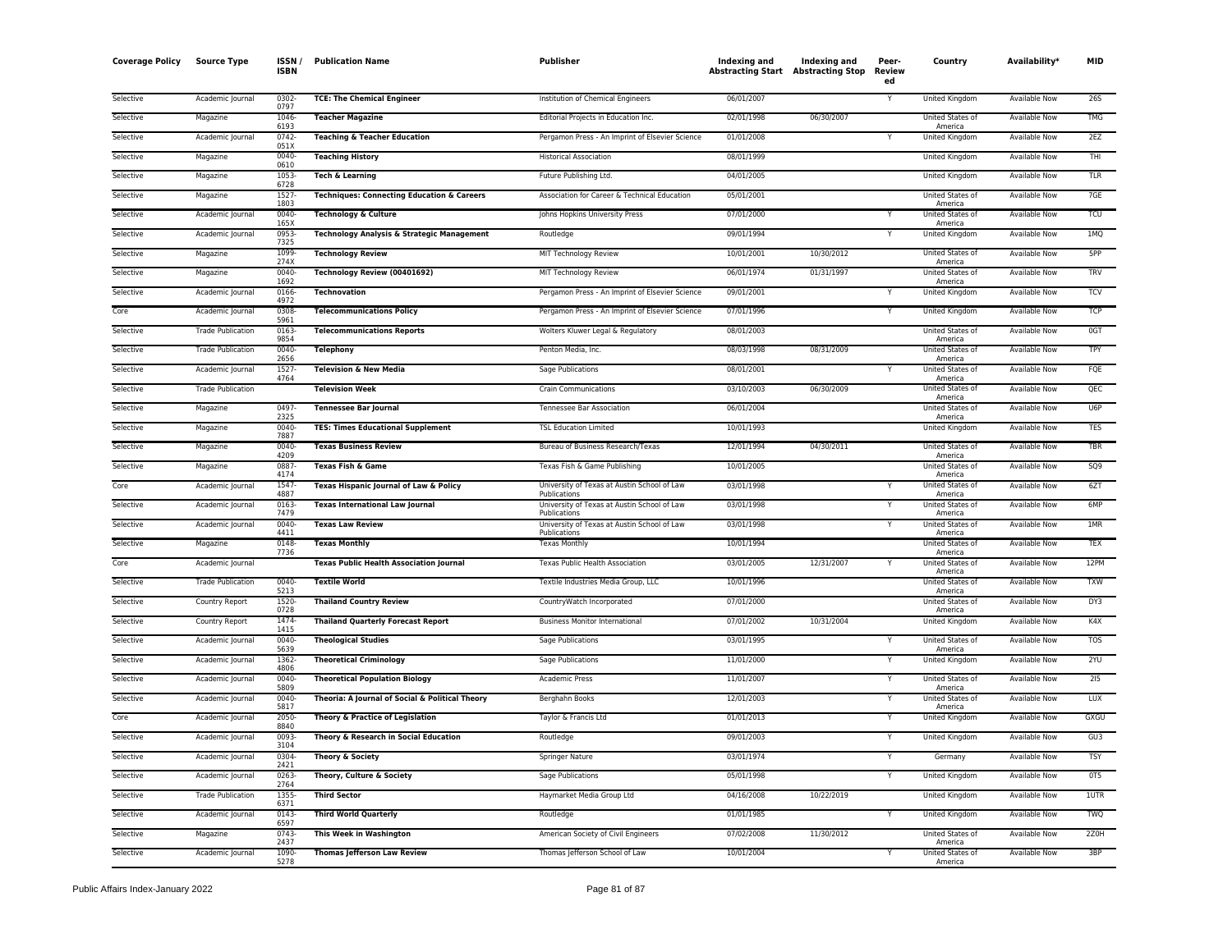| <b>Coverage Policy</b> | <b>Source Type</b>       | ISSN/<br><b>ISBN</b>  | <b>Publication Name</b>                               | Publisher                                                   | Indexing and<br>Abstracting Start Abstracting Stop | Indexing and | Peer-<br><b>Review</b><br>ed | Country                                | Availability*        | <b>MID</b> |
|------------------------|--------------------------|-----------------------|-------------------------------------------------------|-------------------------------------------------------------|----------------------------------------------------|--------------|------------------------------|----------------------------------------|----------------------|------------|
| Selective              | Academic Journal         | 0302-<br>0797         | <b>TCE: The Chemical Engineer</b>                     | Institution of Chemical Engineers                           | 06/01/2007                                         |              |                              | United Kingdom                         | Available Now        | <b>265</b> |
| Selective              | Magazine                 | 1046-<br>6193         | <b>Teacher Magazine</b>                               | Editorial Projects in Education Inc.                        | 02/01/1998                                         | 06/30/2007   |                              | United States of<br>America            | <b>Available Now</b> | <b>TMG</b> |
| Selective              | Academic Journal         | $0742 -$<br>051X      | <b>Teaching &amp; Teacher Education</b>               | Pergamon Press - An Imprint of Elsevier Science             | 01/01/2008                                         |              | Υ                            | <b>United Kingdom</b>                  | <b>Available Now</b> | 2EZ        |
| Selective              | Magazine                 | 0040-<br>0610         | <b>Teaching History</b>                               | <b>Historical Association</b>                               | 08/01/1999                                         |              |                              | United Kingdom                         | <b>Available Now</b> | THI        |
| Selective              | Magazine                 | 1053                  | Tech & Learning                                       | Future Publishing Ltd.                                      | 04/01/2005                                         |              |                              | United Kingdom                         | Available Now        | <b>TLR</b> |
| Selective              | Magazine                 | 6728<br>1527          | <b>Techniques: Connecting Education &amp; Careers</b> | Association for Career & Technical Education                | 05/01/2001                                         |              |                              | United States of                       | Available Now        | 7GE        |
| Selective              | Academic Journal         | 1803<br>0040-         | <b>Technology &amp; Culture</b>                       | Johns Hopkins University Press                              | 07/01/2000                                         |              | v                            | America<br>United States of            | <b>Available Now</b> | <b>TCU</b> |
| Selective              | Academic Journal         | 165X<br>0953-<br>7325 | Technology Analysis & Strategic Management            | Routledge                                                   | 09/01/1994                                         |              |                              | America<br>United Kingdom              | Available Now        | 1MQ        |
| Selective              | Magazine                 | 1099                  | <b>Technology Review</b>                              | MIT Technology Review                                       | 10/01/2001                                         | 10/30/2012   |                              | United States of                       | <b>Available Now</b> | 5PP        |
| Selective              | Magazine                 | 274X<br>0040-         | Technology Review (00401692)                          | MIT Technology Review                                       | 06/01/1974                                         | 01/31/1997   |                              | America<br><b>United States of</b>     | Available Now        | <b>TRV</b> |
| Selective              | Academic Journal         | 1692<br>0166-         | Technovation                                          | Pergamon Press - An Imprint of Elsevier Science             | 09/01/2001                                         |              |                              | America<br>United Kingdom              | Available Now        | <b>TCV</b> |
| Core                   | Academic Journal         | 4972<br>0308          | <b>Telecommunications Policy</b>                      | Pergamon Press - An Imprint of Elsevier Science             | 07/01/1996                                         |              | Y                            | United Kingdom                         | Available Now        | <b>TCP</b> |
| Selective              | <b>Trade Publication</b> | 5961<br>0163-         | <b>Telecommunications Reports</b>                     | Wolters Kluwer Legal & Regulatory                           | 08/01/2003                                         |              |                              | United States of                       | <b>Available Now</b> | 0GT        |
| Selective              | <b>Trade Publication</b> | 9854<br>0040          | <b>Telephony</b>                                      | Penton Media, Inc.                                          | 08/03/1998                                         | 08/31/2009   |                              | America<br>United States of            | <b>Available Now</b> | <b>TPY</b> |
| Selective              | Academic Journal         | 2656<br>1527-<br>4764 | <b>Television &amp; New Media</b>                     | Sage Publications                                           | 08/01/2001                                         |              |                              | America<br>United States of            | <b>Available Now</b> | FQE        |
| Selective              | <b>Trade Publication</b> |                       | <b>Television Week</b>                                | <b>Crain Communications</b>                                 | 03/10/2003                                         | 06/30/2009   |                              | America<br>United States of            | <b>Available Now</b> | QEC        |
| Selective              | Magazine                 | 0497                  | <b>Tennessee Bar Journal</b>                          | Tennessee Bar Association                                   | 06/01/2004                                         |              |                              | America<br>United States of            | Available Now        | U6P        |
| Selective              | Magazine                 | 2325<br>0040-         | <b>TES: Times Educational Supplement</b>              | <b>TSL Education Limited</b>                                | 10/01/1993                                         |              |                              | America<br>United Kingdom              | Available Now        | <b>TES</b> |
| Selective              | Magazine                 | 7887<br>0040-         | <b>Texas Business Review</b>                          | Bureau of Business Research/Texas                           | 12/01/1994                                         | 04/30/2011   |                              | United States of                       | Available Now        | TBR        |
| Selective              | Magazine                 | 4209<br>0887          | <b>Texas Fish &amp; Game</b>                          | Texas Fish & Game Publishing                                | 10/01/2005                                         |              |                              | America<br>United States of            | <b>Available Now</b> | SO9        |
| Core                   | Academic Journal         | 4174<br>1547-         | Texas Hispanic Journal of Law & Policy                | University of Texas at Austin School of Law                 | 03/01/1998                                         |              |                              | America<br>United States of            | <b>Available Now</b> | 6ZT        |
| Selective              | Academic Journal         | 4887<br>0163          | <b>Texas International Law Journal</b>                | Publications<br>University of Texas at Austin School of Law | 03/01/1998                                         |              | Υ                            | America<br>United States of            | Available Now        | 6MP        |
| Selective              | Academic Journal         | 7479<br>0040-         | <b>Texas Law Review</b>                               | Publications<br>University of Texas at Austin School of Law | 03/01/1998                                         |              | Y                            | America<br>United States of            | <b>Available Now</b> | 1MR        |
| Selective              | Magazine                 | 4411<br>0148          | <b>Texas Monthly</b>                                  | Publications<br><b>Texas Monthly</b>                        | 10/01/1994                                         |              |                              | America<br>United States of            | Available Now        | <b>TEX</b> |
| Core                   | Academic Journal         | 7736                  | <b>Texas Public Health Association Journal</b>        | Texas Public Health Association                             | 03/01/2005                                         | 12/31/2007   |                              | America<br>United States of<br>America | <b>Available Now</b> | 12PM       |
| Selective              | <b>Trade Publication</b> | 0040-<br>5213         | <b>Textile World</b>                                  | Textile Industries Media Group, LLC                         | 10/01/1996                                         |              |                              | United States of                       | <b>Available Now</b> | <b>TXW</b> |
| Selective              | <b>Country Report</b>    | 1520-<br>0728         | <b>Thailand Country Review</b>                        | CountryWatch Incorporated                                   | 07/01/2000                                         |              |                              | America<br>United States of            | <b>Available Now</b> | DY3        |
| Selective              | Country Report           | 1474                  | <b>Thailand Quarterly Forecast Report</b>             | <b>Business Monitor International</b>                       | 07/01/2002                                         | 10/31/2004   |                              | America<br>United Kingdom              | <b>Available Now</b> | K4X        |
| Selective              | Academic Journal         | 1415<br>0040          | <b>Theological Studies</b>                            | <b>Sage Publications</b>                                    | 03/01/1995                                         |              |                              | <b>United States of</b>                | <b>Available Now</b> | <b>TOS</b> |
| Selective              | Academic Journal         | 5639<br>1362-         | <b>Theoretical Criminology</b>                        | Sage Publications                                           | 11/01/2000                                         |              |                              | America<br>United Kingdom              | Available Now        | 2YU        |
| Selective              | Academic Journal         | 4806<br>0040-         | <b>Theoretical Population Biology</b>                 | <b>Academic Press</b>                                       | 11/01/2007                                         |              | Y                            | United States of                       | Available Now        | 215        |
| Selective              | Academic Journal         | 5809<br>0040-<br>5817 | Theoria: A Journal of Social & Political Theory       | Berghahn Books                                              | 12/01/2003                                         |              |                              | America<br>United States of<br>America | <b>Available Now</b> | <b>LUX</b> |
| Core                   | Academic Journal         | 2050-<br>8840         | Theory & Practice of Legislation                      | Taylor & Francis Ltd                                        | 01/01/2013                                         |              |                              | United Kingdom                         | Available Now        | GXGU       |
| Selective              | Academic Journal         | 0093-<br>3104         | Theory & Research in Social Education                 | Routledge                                                   | 09/01/2003                                         |              |                              | United Kingdom                         | <b>Available Now</b> | GU3        |
| Selective              | Academic Journal         | 0304<br>2421          | Theory & Society                                      | <b>Springer Nature</b>                                      | 03/01/1974                                         |              |                              | Germany                                | <b>Available Now</b> | <b>TSY</b> |
| Selective              | Academic Journal         | 0263-<br>2764         | Theory, Culture & Society                             | <b>Sage Publications</b>                                    | 05/01/1998                                         |              | Y                            | United Kingdom                         | Available Now        | OT5        |
| Selective              | <b>Trade Publication</b> | 1355-<br>6371         | <b>Third Sector</b>                                   | Haymarket Media Group Ltd                                   | 04/16/2008                                         | 10/22/2019   |                              | United Kingdom                         | Available Now        | 1UTR       |
| Selective              | Academic Journal         | 0143<br>6597          | <b>Third World Quarterly</b>                          | Routledge                                                   | 01/01/1985                                         |              |                              | United Kingdom                         | <b>Available Now</b> | <b>TWQ</b> |
| Selective              | Magazine                 | 0743<br>2437          | This Week in Washington                               | American Society of Civil Engineers                         | 07/02/2008                                         | 11/30/2012   |                              | United States of<br>America            | Available Now        | 2Z0H       |
| Selective              | Academic Journal         | 1090-<br>5278         | <b>Thomas Jefferson Law Review</b>                    | Thomas Jefferson School of Law                              | 10/01/2004                                         |              | Y                            | United States of<br>America            | <b>Available Now</b> | 3BP        |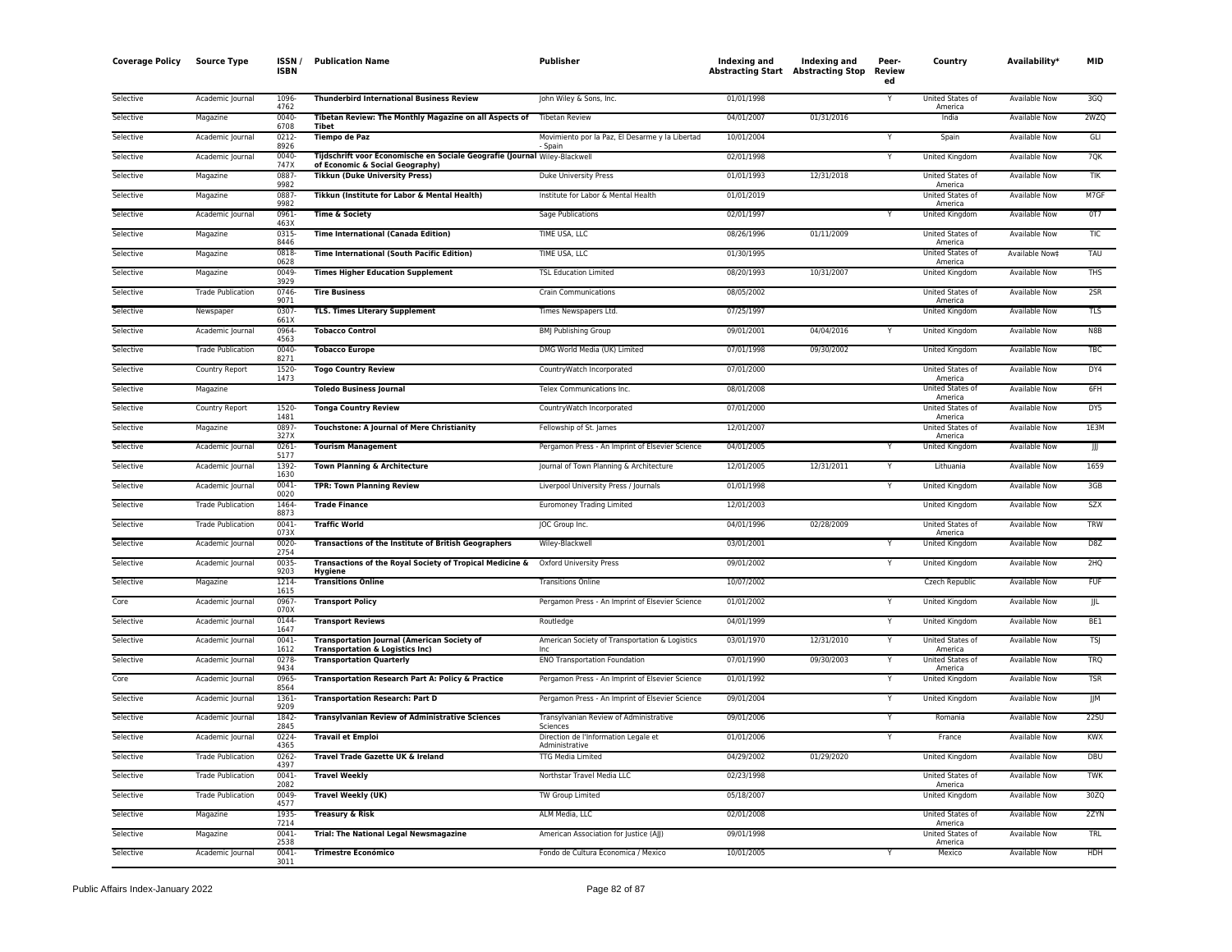| <b>Coverage Policy</b> | <b>Source Type</b>       | ISSN /<br><b>ISBN</b> | <b>Publication Name</b>                                                                          | <b>Publisher</b>                                           | Indexing and<br><b>Abstracting Start Abstracting Stop</b> | Indexing and | Peer-<br>Review<br>ed | Country                                | Availability*        | <b>MID</b> |
|------------------------|--------------------------|-----------------------|--------------------------------------------------------------------------------------------------|------------------------------------------------------------|-----------------------------------------------------------|--------------|-----------------------|----------------------------------------|----------------------|------------|
| Selective              | Academic Journal         | 1096<br>4762          | <b>Thunderbird International Business Review</b>                                                 | John Wiley & Sons, Inc.                                    | 01/01/1998                                                |              | Υ                     | United States of<br>America            | <b>Available Now</b> | 3GQ        |
| Selective              | Magazine                 | 0040<br>6708          | Tibetan Review: The Monthly Magazine on all Aspects of<br>Tibet                                  | <b>Tibetan Review</b>                                      | 04/01/2007                                                | 01/31/2016   |                       | India                                  | <b>Available Now</b> | 2WZO       |
| Selective              | Academic Journal         | $0212 -$<br>8926      | <b>Tiempo de Paz</b>                                                                             | Movimiento por la Paz, El Desarme y la Libertad<br>- Spain | 10/01/2004                                                |              | Y                     | Spain                                  | <b>Available Now</b> | GLI        |
| Selective              | Academic Journal         | 0040<br>747X          | Tijdschrift voor Economische en Sociale Geografie (Journal Wiley-Blackwell                       |                                                            | 02/01/1998                                                |              | Y                     | United Kingdom                         | Available Now        | 7QK        |
| Selective              | Magazine                 | 0887<br>9982          | of Economic & Social Geography)<br><b>Tikkun (Duke University Press)</b>                         | Duke University Press                                      | 01/01/1993                                                | 12/31/2018   |                       | United States of                       | Available Now        | TIK        |
| Selective              | Magazine                 | 0887<br>9982          | Tikkun (Institute for Labor & Mental Health)                                                     | Institute for Labor & Mental Health                        | 01/01/2019                                                |              |                       | America<br>United States of<br>America | Available Now        | M7GF       |
| Selective              | Academic Journal         | 0961<br>463X          | <b>Time &amp; Society</b>                                                                        | Sage Publications                                          | 02/01/1997                                                |              | Y                     | <b>United Kingdom</b>                  | <b>Available Now</b> | 0T7        |
| Selective              | Magazine                 | 0315<br>8446          | <b>Time International (Canada Edition)</b>                                                       | TIME USA, LLC                                              | 08/26/1996                                                | 01/11/2009   |                       | United States of<br>America            | <b>Available Now</b> | <b>TIC</b> |
| Selective              | Magazine                 | 0818<br>0628          | <b>Time International (South Pacific Edition)</b>                                                | TIME USA, LLC                                              | 01/30/1995                                                |              |                       | <b>United States of</b><br>America     | Available Now‡       | TAU        |
| Selective              | Magazine                 | 0049<br>3929          | <b>Times Higher Education Supplement</b>                                                         | <b>TSL Education Limited</b>                               | 08/20/1993                                                | 10/31/2007   |                       | United Kingdom                         | <b>Available Now</b> | <b>THS</b> |
| Selective              | <b>Trade Publication</b> | 0746<br>9071          | <b>Tire Business</b>                                                                             | <b>Crain Communications</b>                                | 08/05/2002                                                |              |                       | United States of<br>America            | Available Now        | 2SR        |
| Selective              | Newspaper                | 0307<br>661X          | <b>TLS. Times Literary Supplement</b>                                                            | Times Newspapers Ltd.                                      | 07/25/1997                                                |              |                       | United Kingdom                         | <b>Available Now</b> | <b>TLS</b> |
| Selective              | Academic Journal         | 0964<br>4563          | <b>Tobacco Control</b>                                                                           | <b>BMJ Publishing Group</b>                                | 09/01/2001                                                | 04/04/2016   |                       | United Kingdom                         | Available Now        | N8B        |
| Selective              | <b>Trade Publication</b> | 0040<br>8271          | <b>Tobacco Europe</b>                                                                            | DMG World Media (UK) Limited                               | 07/01/1998                                                | 09/30/2002   |                       | United Kingdom                         | <b>Available Now</b> | <b>TBC</b> |
| Selective              | Country Report           | 1520<br>1473          | <b>Togo Country Review</b>                                                                       | CountryWatch Incorporated                                  | 07/01/2000                                                |              |                       | United States of<br>America            | Available Now        | DY4        |
| Selective              | Magazine                 |                       | <b>Toledo Business Journal</b>                                                                   | Telex Communications Inc.                                  | 08/01/2008                                                |              |                       | <b>United States of</b><br>America     | Available Now        | 6FH        |
| Selective              | Country Report           | 1520<br>1481          | <b>Tonga Country Review</b>                                                                      | CountryWatch Incorporated                                  | 07/01/2000                                                |              |                       | United States of<br>America            | Available Now        | DY5        |
| Selective              | Magazine                 | 0897<br>327X          | Touchstone: A Journal of Mere Christianity                                                       | Fellowship of St. James                                    | 12/01/2007                                                |              |                       | United States of<br>America            | Available Now        | 1E3M       |
| Selective              | Academic Journal         | 0261<br>5177          | <b>Tourism Management</b>                                                                        | Pergamon Press - An Imprint of Elsevier Science            | 04/01/2005                                                |              |                       | United Kingdom                         | <b>Available Now</b> | Ш          |
| Selective              | Academic Journal         | 1392<br>1630          | Town Planning & Architecture                                                                     | Journal of Town Planning & Architecture                    | 12/01/2005                                                | 12/31/2011   | Υ                     | Lithuania                              | <b>Available Now</b> | 1659       |
| Selective              | Academic Journal         | 0041<br>0020          | <b>TPR: Town Planning Review</b>                                                                 | Liverpool University Press / Journals                      | 01/01/1998                                                |              | Υ                     | United Kingdom                         | <b>Available Now</b> | 3GB        |
| Selective              | <b>Trade Publication</b> | 1464<br>8873          | <b>Trade Finance</b>                                                                             | <b>Euromoney Trading Limited</b>                           | 12/01/2003                                                |              |                       | United Kingdom                         | <b>Available Now</b> | SZX        |
| Selective              | <b>Trade Publication</b> | 0041<br>073X          | <b>Traffic World</b>                                                                             | JOC Group Inc.                                             | 04/01/1996                                                | 02/28/2009   |                       | United States of<br>America            | Available Now        | <b>TRW</b> |
| Selective              | Academic Journal         | 0020<br>2754          | <b>Transactions of the Institute of British Geographers</b>                                      | Wiley-Blackwell                                            | 03/01/2001                                                |              |                       | United Kingdom                         | Available Now        | D8Z        |
| Selective              | Academic Journal         | 0035<br>9203          | Transactions of the Royal Society of Tropical Medicine &<br>Hygiene                              | Oxford University Press                                    | 09/01/2002                                                |              |                       | United Kingdom                         | Available Now        | 2HQ        |
| Selective              | Magazine                 | 1214<br>1615          | <b>Transitions Online</b>                                                                        | <b>Transitions Online</b>                                  | 10/07/2002                                                |              |                       | <b>Czech Republic</b>                  | <b>Available Now</b> | <b>FUF</b> |
| Core                   | Academic Journal         | 0967<br>070X          | <b>Transport Policy</b>                                                                          | Pergamon Press - An Imprint of Elsevier Science            | 01/01/2002                                                |              | Y                     | <b>United Kingdom</b>                  | <b>Available Now</b> | JJL        |
| Selective              | Academic Journal         | 0144<br>1647          | <b>Transport Reviews</b>                                                                         | Routledge                                                  | 04/01/1999                                                |              | Y                     | United Kingdom                         | Available Now        | BE1        |
| Selective              | Academic Journal         | 0041<br>1612          | <b>Transportation Journal (American Society of</b><br><b>Transportation &amp; Logistics Inc)</b> | American Society of Transportation & Logistics             | 03/01/1970                                                | 12/31/2010   | Y                     | United States of<br>America            | <b>Available Now</b> | <b>TSJ</b> |
| Selective              | Academic Journal         | 0278<br>9434          | <b>Transportation Quarterly</b>                                                                  | <b>ENO Transportation Foundation</b>                       | 07/01/1990                                                | 09/30/2003   |                       | United States of<br>America            | Available Now        | <b>TRQ</b> |
| Core                   | Academic Journal         | 0965<br>8564          | Transportation Research Part A: Policy & Practice                                                | Pergamon Press - An Imprint of Elsevier Science            | 01/01/1992                                                |              | Υ                     | United Kingdom                         | <b>Available Now</b> | <b>TSR</b> |
| Selective              | Academic Journal         | 1361<br>9209          | <b>Transportation Research: Part D</b>                                                           | Pergamon Press - An Imprint of Elsevier Science            | 09/01/2004                                                |              |                       | United Kingdom                         | Available Now        | JJM        |
| Selective              | Academic Journal         | 1842<br>2845          | <b>Transylvanian Review of Administrative Sciences</b>                                           | Transylvanian Review of Administrative<br>Sciences         | 09/01/2006                                                |              |                       | Romania                                | Available Now        | 22SU       |
| Selective              | Academic Journal         | 0224<br>4365          | <b>Travail et Emploi</b>                                                                         | Direction de l'Information Legale et<br>Administrative     | 01/01/2006                                                |              | Y                     | France                                 | <b>Available Now</b> | KWX        |
| Selective              | <b>Trade Publication</b> | 0262<br>4397          | Travel Trade Gazette UK & Ireland                                                                | <b>TTG Media Limited</b>                                   | 04/29/2002                                                | 01/29/2020   |                       | <b>United Kingdom</b>                  | Available Now        | <b>DBU</b> |
| Selective              | <b>Trade Publication</b> | 0041<br>2082          | <b>Travel Weekly</b>                                                                             | Northstar Travel Media LLC                                 | 02/23/1998                                                |              |                       | United States of<br>America            | Available Now        | <b>TWK</b> |
| Selective              | <b>Trade Publication</b> | 0049<br>4577          | <b>Travel Weekly (UK)</b>                                                                        | TW Group Limited                                           | 05/18/2007                                                |              |                       | United Kingdom                         | Available Now        | 30ZQ       |
| Selective              | Magazine                 | 1935<br>7214          | <b>Treasury &amp; Risk</b>                                                                       | ALM Media, LLC                                             | 02/01/2008                                                |              |                       | United States of<br>America            | <b>Available Now</b> | 2ZYN       |
| Selective              | Magazine                 | 0041<br>2538          | <b>Trial: The National Legal Newsmagazine</b>                                                    | American Association for Justice (AJJ)                     | 09/01/1998                                                |              |                       | United States of<br>America            | Available Now        | TRL        |
| Selective              | Academic Journal         | 0041<br>3011          | <b>Trimestre Económico</b>                                                                       | Fondo de Cultura Economica / Mexico                        | 10/01/2005                                                |              | Y                     | Mexico                                 | <b>Available Now</b> | <b>HDH</b> |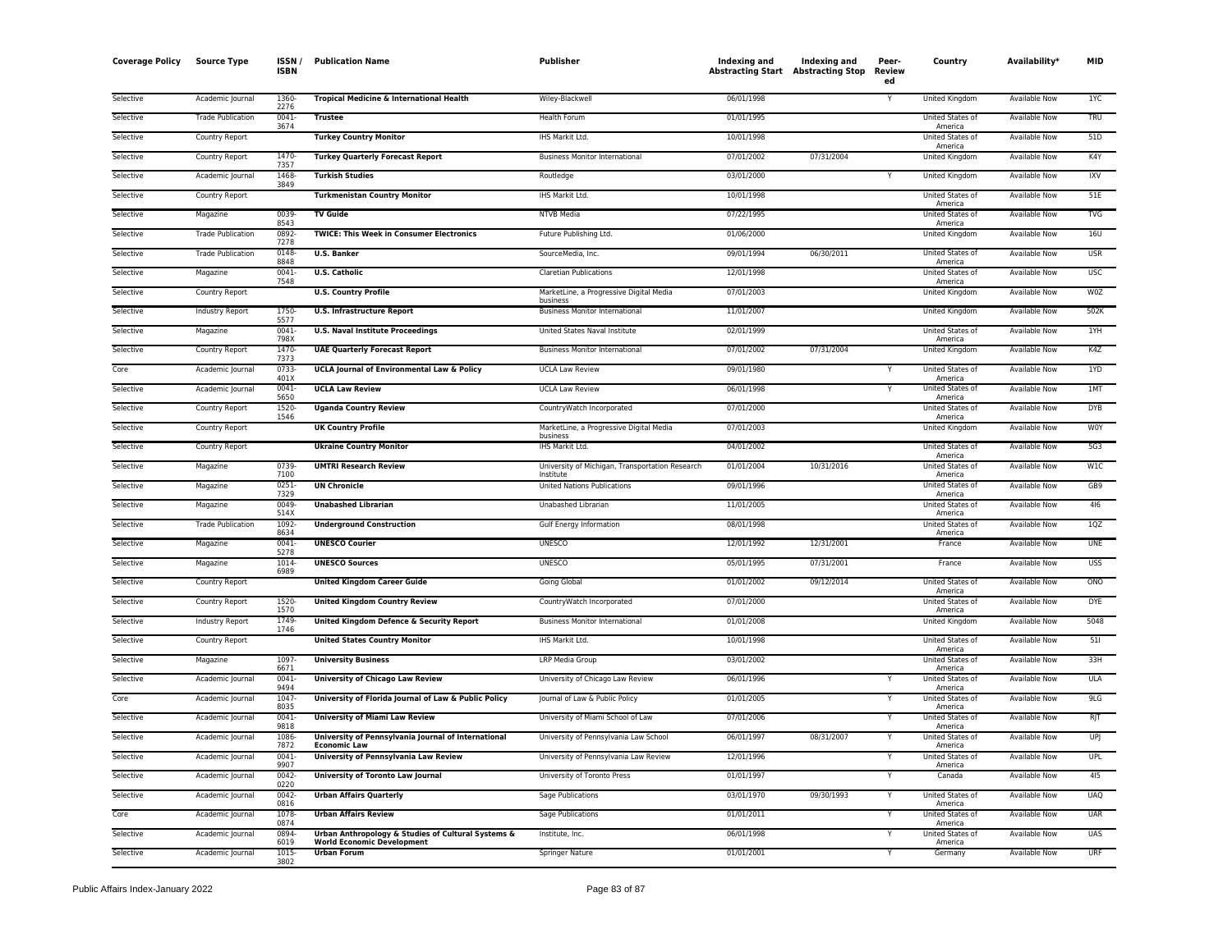| <b>Coverage Policy</b> | <b>Source Type</b>       | ISSN<br><b>ISBN</b> | <b>Publication Name</b>                                                                 | Publisher                                                    | Indexing and | Indexing and<br><b>Abstracting Start Abstracting Stop</b> | Peer-<br>Review<br>ed | Country                            | Availability <sup>*</sup> | MID        |
|------------------------|--------------------------|---------------------|-----------------------------------------------------------------------------------------|--------------------------------------------------------------|--------------|-----------------------------------------------------------|-----------------------|------------------------------------|---------------------------|------------|
| Selective              | Academic Journal         | 1360<br>2276        | Tropical Medicine & International Health                                                | Wiley-Blackwell                                              | 06/01/1998   |                                                           |                       | United Kingdom                     | <b>Available Now</b>      | 1YC        |
| Selective              | <b>Trade Publication</b> | 0041<br>3674        | <b>Trustee</b>                                                                          | Health Forum                                                 | 01/01/1995   |                                                           |                       | United States of<br>America        | Available Now             | <b>TRU</b> |
| Selective              | Country Report           |                     | <b>Turkey Country Monitor</b>                                                           | IHS Markit Ltd.                                              | 10/01/1998   |                                                           |                       | United States of<br>America        | Available Now             | 51D        |
| Selective              | Country Report           | 1470<br>7357        | <b>Turkey Quarterly Forecast Report</b>                                                 | <b>Business Monitor International</b>                        | 07/01/2002   | 07/31/2004                                                |                       | United Kingdom                     | <b>Available Now</b>      | K4Y        |
| Selective              | Academic Journal         | 1468<br>3849        | <b>Turkish Studies</b>                                                                  | Routledge                                                    | 03/01/2000   |                                                           |                       | United Kingdom                     | Available Now             | <b>IXV</b> |
| Selective              | Country Report           |                     | <b>Turkmenistan Country Monitor</b>                                                     | IHS Markit Ltd.                                              | 10/01/1998   |                                                           |                       | United States of<br>America        | <b>Available Now</b>      | 51E        |
| Selective              | Magazine                 | 0039<br>8543        | <b>TV Guide</b>                                                                         | <b>NTVB Media</b>                                            | 07/22/1995   |                                                           |                       | United States of<br>America        | Available Now             | <b>TVG</b> |
| Selective              | <b>Trade Publication</b> | 0892<br>7278        | <b>TWICE: This Week in Consumer Electronics</b>                                         | Future Publishing Ltd.                                       | 01/06/2000   |                                                           |                       | United Kingdom                     | Available Now             | 16U        |
| Selective              | <b>Trade Publication</b> | 0148<br>8848        | <b>U.S. Banker</b>                                                                      | SourceMedia, Inc.                                            | 09/01/1994   | 06/30/2011                                                |                       | United States of<br>America        | Available Now             | <b>USR</b> |
| Selective              | Magazine                 | $0041 -$<br>7548    | <b>U.S. Catholic</b>                                                                    | <b>Claretian Publications</b>                                | 12/01/1998   |                                                           |                       | United States of<br>America        | <b>Available Now</b>      | <b>USC</b> |
| Selective              | <b>Country Report</b>    |                     | <b>U.S. Country Profile</b>                                                             | MarketLine, a Progressive Digital Media<br>business          | 07/01/2003   |                                                           |                       | United Kingdom                     | <b>Available Now</b>      | <b>W0Z</b> |
| Selective              | <b>Industry Report</b>   | 1750<br>5577        | <b>U.S. Infrastructure Report</b>                                                       | <b>Business Monitor International</b>                        | 11/01/2007   |                                                           |                       | United Kingdom                     | <b>Available Now</b>      | 502K       |
| Selective              | Magazine                 | 0041<br>798X        | <b>U.S. Naval Institute Proceedings</b>                                                 | United States Naval Institute                                | 02/01/1999   |                                                           |                       | United States of<br>America        | Available Now             | 1YH        |
| Selective              | Country Report           | 1470<br>7373        | <b>UAE Quarterly Forecast Report</b>                                                    | <b>Business Monitor International</b>                        | 07/01/2002   | 07/31/2004                                                |                       | United Kingdom                     | Available Now             | K4Z        |
| Core                   | Academic Journal         | 0733<br>401X        | <b>UCLA Journal of Environmental Law &amp; Policy</b>                                   | <b>UCLA Law Review</b>                                       | 09/01/1980   |                                                           |                       | United States of<br>America        | <b>Available Now</b>      | 1YD        |
| Selective              | Academic Journal         | 0041<br>5650        | <b>UCLA Law Review</b>                                                                  | <b>UCLA Law Review</b>                                       | 06/01/1998   |                                                           |                       | United States of<br>America        | Available Now             | 1MT        |
| Selective              | Country Report           | 1520<br>1546        | <b>Uganda Country Review</b>                                                            | CountryWatch Incorporated                                    | 07/01/2000   |                                                           |                       | <b>United States of</b><br>America | <b>Available Now</b>      | <b>DYB</b> |
| Selective              | Country Report           |                     | <b>UK Country Profile</b>                                                               | MarketLine, a Progressive Digital Media<br>business          | 07/01/2003   |                                                           |                       | United Kingdom                     | Available Now             | W0Y        |
| Selective              | Country Report           |                     | <b>Ukraine Country Monitor</b>                                                          | IHS Markit Ltd.                                              | 04/01/2002   |                                                           |                       | United States of<br>America        | <b>Available Now</b>      | 5G3        |
| Selective              | Magazine                 | 0739<br>7100        | <b>UMTRI Research Review</b>                                                            | University of Michigan, Transportation Research<br>Institute | 01/01/2004   | 10/31/2016                                                |                       | United States of<br>America        | Available Now             | W1C        |
| Selective              | Magazine                 | 0251<br>7329        | <b>UN Chronicle</b>                                                                     | <b>United Nations Publications</b>                           | 09/01/1996   |                                                           |                       | United States of<br>America        | <b>Available Now</b>      | GB9        |
| Selective              | Magazine                 | 0049<br>514X        | <b>Unabashed Librarian</b>                                                              | Unabashed Librarian                                          | 11/01/2005   |                                                           |                       | United States of<br>America        | Available Now             | 416        |
| Selective              | <b>Trade Publication</b> | 1092<br>8634        | <b>Underground Construction</b>                                                         | Gulf Energy Information                                      | 08/01/1998   |                                                           |                       | <b>United States of</b><br>America | <b>Available Now</b>      | 1QZ        |
| Selective              | Magazine                 | 0041-<br>5278       | <b>UNESCO Courier</b>                                                                   | <b>UNESCO</b>                                                | 12/01/1992   | 12/31/2001                                                |                       | France                             | Available Now             | <b>UNE</b> |
| Selective              | Magazine                 | 1014<br>6989        | <b>UNESCO Sources</b>                                                                   | <b>UNESCO</b>                                                | 05/01/1995   | 07/31/2001                                                |                       | France                             | Available Now             | <b>USS</b> |
| Selective              | Country Report           |                     | <b>United Kingdom Career Guide</b>                                                      | Going Global                                                 | 01/01/2002   | 09/12/2014                                                |                       | United States of<br>America        | Available Now             | ONO        |
| Selective              | Country Report           | 1520<br>1570        | <b>United Kingdom Country Review</b>                                                    | CountryWatch Incorporated                                    | 07/01/2000   |                                                           |                       | United States of<br>America        | <b>Available Now</b>      | <b>DYE</b> |
| Selective              | Industry Report          | 1749<br>1746        | United Kingdom Defence & Security Report                                                | <b>Business Monitor International</b>                        | 01/01/2008   |                                                           |                       | United Kingdom                     | <b>Available Now</b>      | 5048       |
| Selective              | Country Report           |                     | <b>United States Country Monitor</b>                                                    | IHS Markit Ltd.                                              | 10/01/1998   |                                                           |                       | United States of<br>America        | Available Now             | 511        |
| Selective              | Magazine                 | 1097<br>6671        | <b>University Business</b>                                                              | <b>LRP Media Group</b>                                       | 03/01/2002   |                                                           |                       | United States of<br>America        | <b>Available Now</b>      | 33H        |
| Selective              | Academic Journal         | 0041<br>9494        | <b>University of Chicago Law Review</b>                                                 | University of Chicago Law Review                             | 06/01/1996   |                                                           |                       | United States of<br>America        | Available Now             | <b>ULA</b> |
| Core                   | Academic Journal         | 1047<br>8035        | University of Florida Journal of Law & Public Policy                                    | Journal of Law & Public Policy                               | 01/01/2005   |                                                           |                       | United States of<br>America        | Available Now             | 9LG        |
| Selective              | Academic Journal         | 0041<br>9818        | <b>University of Miami Law Review</b>                                                   | University of Miami School of Law                            | 07/01/2006   |                                                           | Y                     | United States of<br>America        | Available Now             | RJT        |
| Selective              | Academic Journal         | 1086<br>7872        | University of Pennsylvania Journal of International<br><b>Economic Law</b>              | University of Pennsylvania Law School                        | 06/01/1997   | 08/31/2007                                                |                       | United States of<br>America        | <b>Available Now</b>      | <b>UPJ</b> |
| Selective              | Academic Journal         | 0041<br>9907        | University of Pennsylvania Law Review                                                   | University of Pennsylvania Law Review                        | 12/01/1996   |                                                           |                       | United States of<br>America        | Available Now             | <b>UPL</b> |
| Selective              | Academic Journal         | 0042<br>0220        | <b>University of Toronto Law Journal</b>                                                | University of Toronto Press                                  | 01/01/1997   |                                                           | Y                     | Canada                             | <b>Available Now</b>      | 415        |
| Selective              | Academic Journal         | 0042<br>0816        | <b>Urban Affairs Quarterly</b>                                                          | Sage Publications                                            | 03/01/1970   | 09/30/1993                                                | Y                     | United States of<br>America        | <b>Available Now</b>      | <b>UAQ</b> |
| Core                   | Academic Journal         | 1078<br>0874        | <b>Urban Affairs Review</b>                                                             | Sage Publications                                            | 01/01/2011   |                                                           |                       | United States of<br>America        | Available Now             | <b>UAR</b> |
| Selective              | Academic Journal         | 0894<br>6019        | Urban Anthropology & Studies of Cultural Systems &<br><b>World Economic Development</b> | Institute, Inc.                                              | 06/01/1998   |                                                           |                       | United States of<br>America        | Available Now             | UAS        |
| Selective              | Academic Journal         | 1015<br>3802        | <b>Urban Forum</b>                                                                      | Springer Nature                                              | 01/01/2001   |                                                           | Y                     | Germany                            | <b>Available Now</b>      | <b>URF</b> |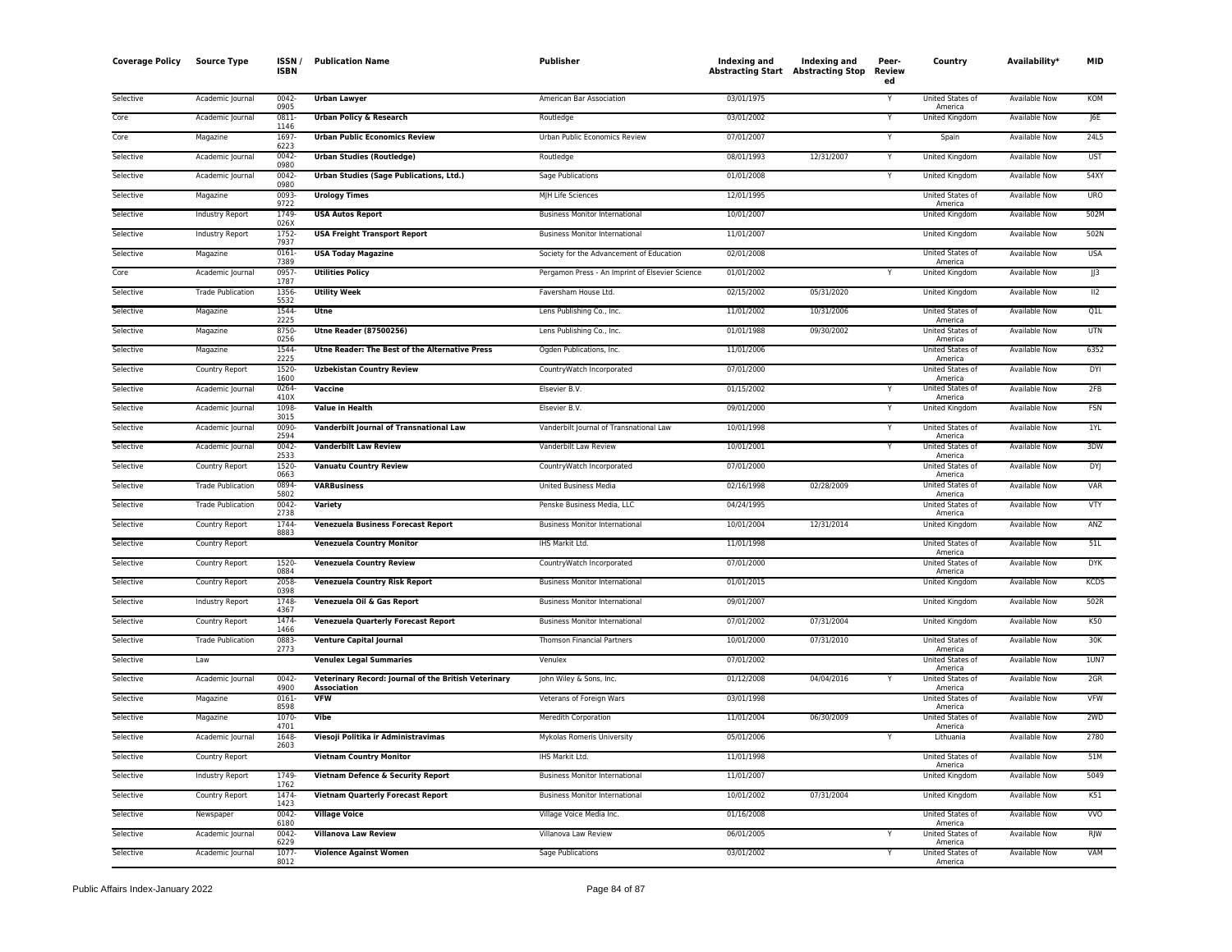| <b>Coverage Policy</b> | <b>Source Type</b>       | ISSN/<br><b>ISBN</b> | <b>Publication Name</b>                                                    | <b>Publisher</b>                                | Indexing and<br><b>Abstracting Start Abstracting Stop</b> | Indexing and | Peer-<br>Review<br>ed | Country                     | Availability <sup>*</sup> | <b>MID</b>       |
|------------------------|--------------------------|----------------------|----------------------------------------------------------------------------|-------------------------------------------------|-----------------------------------------------------------|--------------|-----------------------|-----------------------------|---------------------------|------------------|
| Selective              | Academic Journal         | $0042 -$<br>0905     | <b>Urban Lawyer</b>                                                        | American Bar Association                        | 03/01/1975                                                |              |                       | United States of<br>America | <b>Available Now</b>      | KOM              |
| Core                   | Academic Journal         | 0811-<br>1146        | <b>Urban Policy &amp; Research</b>                                         | Routledge                                       | 03/01/2002                                                |              |                       | <b>United Kingdom</b>       | <b>Available Now</b>      | J6E              |
| Core                   | Magazine                 | 1697<br>6223         | <b>Urban Public Economics Review</b>                                       | Urban Public Economics Review                   | 07/01/2007                                                |              |                       | Spain                       | <b>Available Now</b>      | 24L5             |
| Selective              | Academic Journal         | 0042-<br>0980        | <b>Urban Studies (Routledge)</b>                                           | Routledge                                       | 08/01/1993                                                | 12/31/2007   |                       | United Kingdom              | <b>Available Now</b>      | <b>UST</b>       |
| Selective              | Academic Journal         | 0042-<br>0980        | Urban Studies (Sage Publications, Ltd.)                                    | Sage Publications                               | 01/01/2008                                                |              |                       | United Kingdom              | Available Now             | 54XY             |
| Selective              | Magazine                 | 0093<br>9722         | <b>Urology Times</b>                                                       | MJH Life Sciences                               | 12/01/1995                                                |              |                       | United States of<br>America | <b>Available Now</b>      | <b>URO</b>       |
| Selective              | <b>Industry Report</b>   | 1749<br>026X         | <b>USA Autos Report</b>                                                    | <b>Business Monitor International</b>           | 10/01/2007                                                |              |                       | <b>United Kingdom</b>       | <b>Available Now</b>      | 502M             |
| Selective              | Industry Report          | 1752-<br>7937        | <b>USA Freight Transport Report</b>                                        | <b>Business Monitor International</b>           | 11/01/2007                                                |              |                       | United Kingdom              | Available Now             | 502N             |
| Selective              | Magazine                 | $0161 -$<br>7389     | <b>USA Today Magazine</b>                                                  | Society for the Advancement of Education        | 02/01/2008                                                |              |                       | United States of<br>America | <b>Available Now</b>      | <b>USA</b>       |
| Core                   | Academic Journal         | 0957-<br>1787        | <b>Utilities Policy</b>                                                    | Pergamon Press - An Imprint of Elsevier Science | 01/01/2002                                                |              |                       | United Kingdom              | Available Now             | J3               |
| Selective              | <b>Trade Publication</b> | 1356<br>5532         | <b>Utility Week</b>                                                        | Faversham House Ltd.                            | 02/15/2002                                                | 05/31/2020   |                       | United Kingdom              | Available Now             | $\overline{112}$ |
| Selective              | Magazine                 | 1544<br>2225         | Utne                                                                       | Lens Publishing Co., Inc.                       | 11/01/2002                                                | 10/31/2006   |                       | United States of<br>America | Available Now             | Q1L              |
| Selective              | Magazine                 | 8750<br>0256         | <b>Utne Reader (87500256)</b>                                              | Lens Publishing Co., Inc.                       | 01/01/1988                                                | 09/30/2002   |                       | United States of<br>America | Available Now             | <b>UTN</b>       |
| Selective              | Magazine                 | 1544-<br>2225        | Utne Reader: The Best of the Alternative Press                             | Ogden Publications, Inc.                        | 11/01/2006                                                |              |                       | United States of<br>America | Available Now             | 6352             |
| Selective              | Country Report           | 1520-<br>1600        | <b>Uzbekistan Country Review</b>                                           | CountryWatch Incorporated                       | 07/01/2000                                                |              |                       | United States of<br>America | <b>Available Now</b>      | DYI              |
| Selective              | Academic Journal         | 0264<br>410X         | Vaccine                                                                    | Elsevier B.V.                                   | 01/15/2002                                                |              |                       | United States of<br>America | <b>Available Now</b>      | 2FB              |
| Selective              | Academic Journal         | 1098<br>3015         | <b>Value in Health</b>                                                     | Elsevier B.V.                                   | 09/01/2000                                                |              |                       | <b>United Kingdom</b>       | <b>Available Now</b>      | <b>FSN</b>       |
| Selective              | Academic Journal         | 0090<br>2594         | <b>Vanderbilt Journal of Transnational Law</b>                             | Vanderbilt Journal of Transnational Law         | 10/01/1998                                                |              |                       | United States of<br>America | Available Now             | 1YL              |
| Selective              | Academic Journal         | 0042<br>2533         | <b>Vanderbilt Law Review</b>                                               | Vanderbilt Law Review                           | 10/01/2001                                                |              |                       | United States of<br>America | Available Now             | 3DW              |
| Selective              | Country Report           | 1520<br>0663         | <b>Vanuatu Country Review</b>                                              | CountryWatch Incorporated                       | 07/01/2000                                                |              |                       | United States of<br>America | Available Now             | <b>DYJ</b>       |
| Selective              | <b>Trade Publication</b> | 0894-<br>5802        | <b>VARBusiness</b>                                                         | <b>United Business Media</b>                    | 02/16/1998                                                | 02/28/2009   |                       | United States of<br>America | <b>Available Now</b>      | <b>VAR</b>       |
| Selective              | <b>Trade Publication</b> | $0042 -$<br>2738     | Variety                                                                    | Penske Business Media, LLC                      | 04/24/1995                                                |              |                       | United States of<br>America | <b>Available Now</b>      | <b>VTY</b>       |
| Selective              | Country Report           | 1744<br>8883         | Venezuela Business Forecast Report                                         | <b>Business Monitor International</b>           | 10/01/2004                                                | 12/31/2014   |                       | United Kingdom              | Available Now             | ANZ              |
| Selective              | Country Report           |                      | <b>Venezuela Country Monitor</b>                                           | IHS Markit Ltd.                                 | 11/01/1998                                                |              |                       | United States of<br>America | <b>Available Now</b>      | 51L              |
| Selective              | Country Report           | 1520-<br>0884        | <b>Venezuela Country Review</b>                                            | CountryWatch Incorporated                       | 07/01/2000                                                |              |                       | United States of<br>America | Available Now             | <b>DYK</b>       |
| Selective              | Country Report           | 2058-<br>0398        | Venezuela Country Risk Report                                              | <b>Business Monitor Internationa</b>            | 01/01/2015                                                |              |                       | United Kingdom              | Available Now             | <b>KCDS</b>      |
| Selective              | Industry Report          | 1748<br>4367         | Venezuela Oil & Gas Report                                                 | <b>Business Monitor International</b>           | 09/01/2007                                                |              |                       | <b>United Kingdom</b>       | <b>Available Now</b>      | 502R             |
| Selective              | Country Report           | 1474<br>1466         | <b>Venezuela Quarterly Forecast Report</b>                                 | <b>Business Monitor International</b>           | 07/01/2002                                                | 07/31/2004   |                       | United Kingdom              | Available Now             | K50              |
| Selective              | <b>Trade Publication</b> | 0883<br>2773         | <b>Venture Capital Journal</b>                                             | <b>Thomson Financial Partners</b>               | 10/01/2000                                                | 07/31/2010   |                       | United States of<br>America | Available Now             | 30K              |
| Selective              | Law                      |                      | <b>Venulex Legal Summaries</b>                                             | Venulex                                         | 07/01/2002                                                |              |                       | United States of<br>America | <b>Available Now</b>      | <b>1UN7</b>      |
| Selective              | Academic Journal         | 0042-<br>4900        | Veterinary Record: Journal of the British Veterinary<br><b>Association</b> | John Wiley & Sons, Inc.                         | 01/12/2008                                                | 04/04/2016   |                       | United States of<br>America | Available Now             | 2GR              |
| Selective              | Magazine                 | $0161 -$<br>8598     | <b>VFW</b>                                                                 | Veterans of Foreign Wars                        | 03/01/1998                                                |              |                       | United States of<br>America | <b>Available Now</b>      | <b>VFW</b>       |
| Selective              | Magazine                 | 1070<br>4701         | Vibe                                                                       | Meredith Corporation                            | 11/01/2004                                                | 06/30/2009   |                       | United States of<br>America | <b>Available Now</b>      | 2WD              |
| Selective              | Academic Journal         | 1648<br>2603         | Viesoji Politika ir Administravimas                                        | Mykolas Romeris University                      | 05/01/2006                                                |              |                       | Lithuania                   | Available Now             | 2780             |
| Selective              | Country Report           |                      | <b>Vietnam Country Monitor</b>                                             | IHS Markit Ltd.                                 | 11/01/1998                                                |              |                       | United States of<br>America | Available Now             | 51M              |
| Selective              | <b>Industry Report</b>   | 1749<br>1762         | Vietnam Defence & Security Report                                          | <b>Business Monitor International</b>           | 11/01/2007                                                |              |                       | <b>United Kingdom</b>       | <b>Available Now</b>      | 5049             |
| Selective              | Country Report           | 1474<br>1423         | <b>Vietnam Quarterly Forecast Report</b>                                   | <b>Business Monitor International</b>           | 10/01/2002                                                | 07/31/2004   |                       | <b>United Kingdom</b>       | <b>Available Now</b>      | K51              |
| Selective              | Newspaper                | 0042-<br>6180        | <b>Village Voice</b>                                                       | Village Voice Media Inc.                        | 01/16/2008                                                |              |                       | United States of<br>America | Available Now             | W <sub>0</sub>   |
| Selective              | Academic Journal         | 0042-<br>6229        | <b>Villanova Law Review</b>                                                | Villanova Law Review                            | 06/01/2005                                                |              |                       | United States of<br>America | <b>Available Now</b>      | <b>RJW</b>       |
| Selective              | Academic Journal         | 1077-<br>8012        | <b>Violence Against Women</b>                                              | Sage Publications                               | 03/01/2002                                                |              | Y                     | United States of<br>America | Available Now             | VAM              |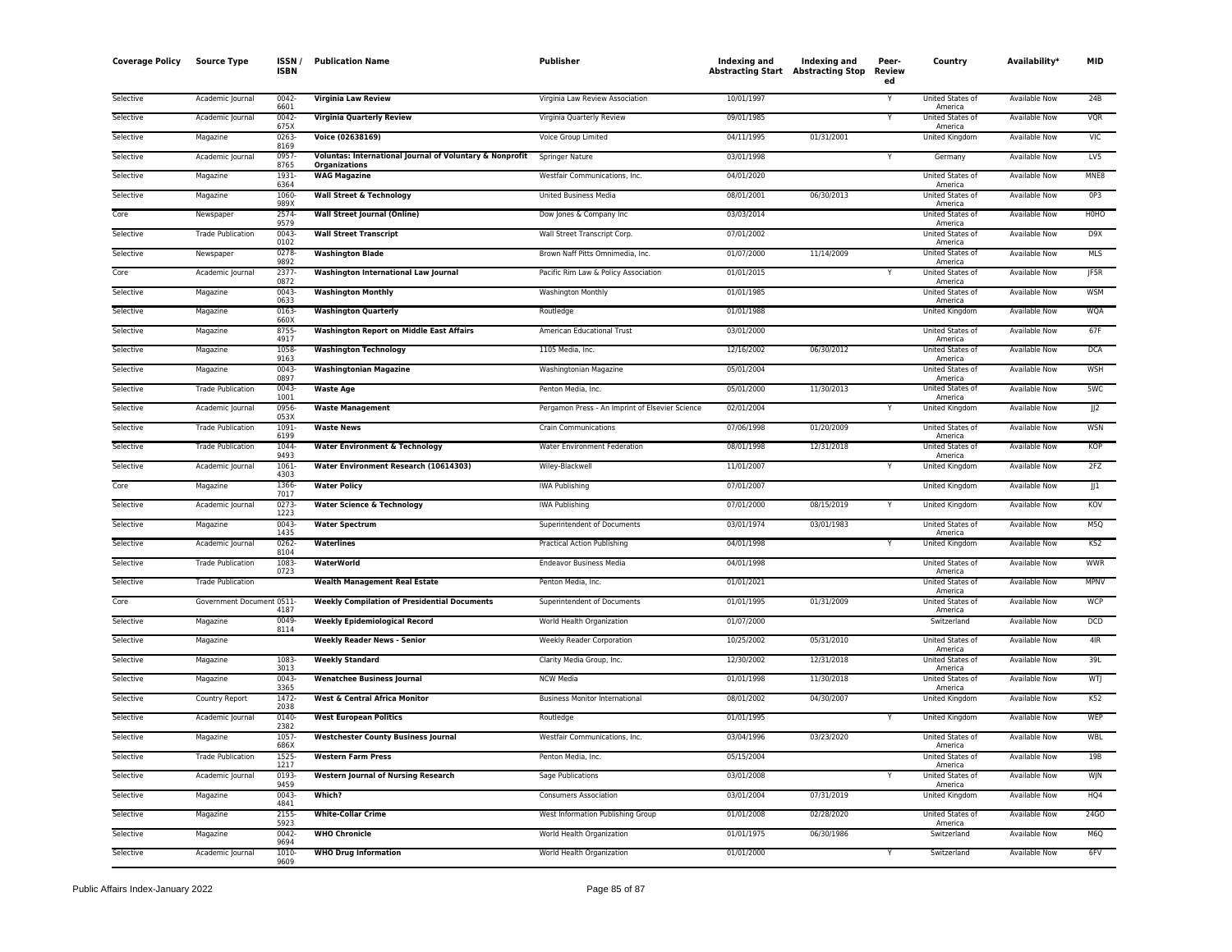| <b>Coverage Policy</b> | <b>Source Type</b>        | ISSN /<br><b>ISBN</b> | <b>Publication Name</b>                                  | Publisher                                       | Indexing and<br><b>Abstracting Start Abstracting Stop</b> | <b>Indexing and</b> | Peer-<br>Review<br>ed | Country                                | Availability <sup>*</sup> | <b>MID</b>              |
|------------------------|---------------------------|-----------------------|----------------------------------------------------------|-------------------------------------------------|-----------------------------------------------------------|---------------------|-----------------------|----------------------------------------|---------------------------|-------------------------|
| Selective              | Academic Journal          | 0042<br>6601          | Virginia Law Review                                      | Virginia Law Review Association                 | 10/01/1997                                                |                     |                       | United States of<br>America            | Available Now             | 24B                     |
| Selective              | Academic Journal          | 0042<br>675X          | <b>Virginia Quarterly Review</b>                         | Virginia Quarterly Review                       | 09/01/1985                                                |                     | Y                     | United States of<br>America            | <b>Available Now</b>      | <b>VQR</b>              |
| Selective              | Magazine                  | 0263<br>8169          | Voice (02638169)                                         | Voice Group Limited                             | 04/11/1995                                                | 01/31/2001          |                       | United Kingdom                         | Available Now             | VIC                     |
| Selective              | Academic Journal          | 0957<br>8765          | Voluntas: International Journal of Voluntary & Nonprofit | <b>Springer Nature</b>                          | 03/01/1998                                                |                     |                       | Germany                                | <b>Available Now</b>      | LV <sub>5</sub>         |
| Selective              | Magazine                  | 1931<br>6364          | Organizations<br><b>WAG Magazine</b>                     | Westfair Communications, Inc.                   | 04/01/2020                                                |                     |                       | <b>United States of</b><br>America     | Available Now             | MNE8                    |
| Selective              | Magazine                  | 1060<br>989X          | <b>Wall Street &amp; Technology</b>                      | <b>United Business Media</b>                    | 08/01/2001                                                | 06/30/2013          |                       | United States of                       | Available Now             | 0P3                     |
| Core                   | Newspaper                 | 2574<br>9579          | <b>Wall Street Journal (Online)</b>                      | Dow Jones & Company Inc                         | 03/03/2014                                                |                     |                       | America<br>United States of            | Available Now             | HOHO                    |
| Selective              | <b>Trade Publication</b>  | 0043<br>0102          | <b>Wall Street Transcript</b>                            | Wall Street Transcript Corp.                    | 07/01/2002                                                |                     |                       | America<br>United States of<br>America | <b>Available Now</b>      | D9X                     |
| Selective              | Newspaper                 | 0278<br>9892          | <b>Washington Blade</b>                                  | Brown Naff Pitts Omnimedia, Inc.                | 01/07/2000                                                | 11/14/2009          |                       | United States of<br>America            | Available Now             | <b>MLS</b>              |
| Core                   | Academic Journal          | 2377<br>0872          | Washington International Law Journal                     | Pacific Rim Law & Policy Association            | 01/01/2015                                                |                     |                       | United States of                       | Available Now             | <b>IF5R</b>             |
| Selective              | Magazine                  | 0043                  | <b>Washington Monthly</b>                                | <b>Washington Monthly</b>                       | 01/01/1985                                                |                     |                       | America<br>United States of            | <b>Available Now</b>      | <b>WSM</b>              |
| Selective              | Magazine                  | 0633<br>0163-         | <b>Washington Quarterly</b>                              | Routledge                                       | 01/01/1988                                                |                     |                       | America<br>United Kingdom              | Available Now             | <b>WQA</b>              |
| Selective              | Magazine                  | 660X<br>8755          | <b>Washington Report on Middle East Affairs</b>          | American Educational Trust                      | 03/01/2000                                                |                     |                       | United States of                       | Available Now             | 67F                     |
| Selective              | Magazine                  | 4917<br>1058          | <b>Washington Technology</b>                             | 1105 Media, Inc.                                | 12/16/2002                                                | 06/30/2012          |                       | America<br>United States of            | Available Now             | <b>DCA</b>              |
| Selective              | Magazine                  | 9163<br>0043<br>0897  | <b>Washingtonian Magazine</b>                            | Washingtonian Magazine                          | 05/01/2004                                                |                     |                       | America<br>United States of<br>America | <b>Available Now</b>      | <b>WSH</b>              |
| Selective              | <b>Trade Publication</b>  | 0043<br>1001          | <b>Waste Age</b>                                         | Penton Media, Inc.                              | 05/01/2000                                                | 11/30/2013          |                       | United States of                       | <b>Available Now</b>      | 5WC                     |
| Selective              | Academic Journal          | 0956<br>053X          | <b>Waste Management</b>                                  | Pergamon Press - An Imprint of Elsevier Science | 02/01/2004                                                |                     | Y                     | America<br><b>United Kingdom</b>       | <b>Available Now</b>      | $\overline{\mathbb{R}}$ |
| Selective              | <b>Trade Publication</b>  | 1091                  | <b>Waste News</b>                                        | <b>Crain Communications</b>                     | 07/06/1998                                                | 01/20/2009          |                       | United States of                       | Available Now             | <b>WSN</b>              |
| Selective              | <b>Trade Publication</b>  | 6199<br>1044          | <b>Water Environment &amp; Technology</b>                | Water Environment Federation                    | 08/01/1998                                                | 12/31/2018          |                       | America<br>United States of            | Available Now             | <b>KOP</b>              |
| Selective              | Academic Journal          | 9493<br>1061          | Water Environment Research (10614303)                    | Wiley-Blackwell                                 | 11/01/2007                                                |                     |                       | America<br>United Kingdom              | Available Now             | 2FZ                     |
| Core                   | Magazine                  | 4303<br>1366<br>7017  | <b>Water Policy</b>                                      | <b>IWA Publishing</b>                           | 07/01/2007                                                |                     |                       | <b>United Kingdom</b>                  | <b>Available Now</b>      | J1                      |
| Selective              | Academic Journal          | 0273<br>1223          | <b>Water Science &amp; Technology</b>                    | <b>IWA Publishing</b>                           | 07/01/2000                                                | 08/15/2019          | Y                     | United Kingdom                         | <b>Available Now</b>      | KOV                     |
| Selective              | Magazine                  | 0043<br>1435          | <b>Water Spectrum</b>                                    | Superintendent of Documents                     | 03/01/1974                                                | 03/01/1983          |                       | United States of                       | <b>Available Now</b>      | M <sub>5</sub> Q        |
| Selective              | Academic Journal          | 0262-                 | <b>Waterlines</b>                                        | <b>Practical Action Publishing</b>              | 04/01/1998                                                |                     |                       | America<br>United Kingdom              | Available Now             | KS <sub>2</sub>         |
| Selective              | <b>Trade Publication</b>  | 8104<br>1083<br>0723  | WaterWorld                                               | <b>Endeavor Business Media</b>                  | 04/01/1998                                                |                     |                       | United States of<br>America            | Available Now             | <b>WWR</b>              |
| Selective              | <b>Trade Publication</b>  |                       | <b>Wealth Management Real Estate</b>                     | Penton Media, Inc.                              | 01/01/2021                                                |                     |                       | United States of<br>America            | <b>Available Now</b>      | <b>MPNV</b>             |
| Core                   | Government Document 0511- | 4187                  | <b>Weekly Compilation of Presidential Documents</b>      | Superintendent of Documents                     | 01/01/1995                                                | 01/31/2009          |                       | United States of<br>America            | Available Now             | <b>WCP</b>              |
| Selective              | Magazine                  | 0049<br>8114          | <b>Weekly Epidemiological Record</b>                     | World Health Organization                       | 01/07/2000                                                |                     |                       | Switzerland                            | <b>Available Now</b>      | <b>DCD</b>              |
| Selective              | Magazine                  |                       | <b>Weekly Reader News - Senior</b>                       | <b>Weekly Reader Corporation</b>                | 10/25/2002                                                | 05/31/2010          |                       | United States of<br>America            | Available Now             | 4 <sub>IR</sub>         |
| Selective              | Magazine                  | 1083<br>3013          | <b>Weekly Standard</b>                                   | Clarity Media Group, Inc.                       | 12/30/2002                                                | 12/31/2018          |                       | United States of<br>America            | Available Now             | 39L                     |
| Selective              | Magazine                  | 0043-<br>3365         | <b>Wenatchee Business Journal</b>                        | <b>NCW Media</b>                                | 01/01/1998                                                | 11/30/2018          |                       | United States of<br>America            | Available Now             | WTJ                     |
| Selective              | Country Report            | 1472<br>2038          | <b>West &amp; Central Africa Monitor</b>                 | <b>Business Monitor International</b>           | 08/01/2002                                                | 04/30/2007          |                       | United Kingdom                         | <b>Available Now</b>      | K52                     |
| Selective              | Academic Journal          | 0140<br>2382          | <b>West European Politics</b>                            | Routledge                                       | 01/01/1995                                                |                     |                       | United Kingdom                         | Available Now             | <b>WEP</b>              |
| Selective              | Magazine                  | 1057<br>686X          | <b>Westchester County Business Journal</b>               | Westfair Communications, Inc.                   | 03/04/1996                                                | 03/23/2020          |                       | United States of<br>America            | <b>Available Now</b>      | WBL                     |
| Selective              | <b>Trade Publication</b>  | 1525<br>1217          | <b>Western Farm Press</b>                                | Penton Media, Inc.                              | 05/15/2004                                                |                     |                       | <b>United States of</b><br>America     | <b>Available Now</b>      | 19 <sub>B</sub>         |
| Selective              | Academic Journal          | 0193<br>9459          | <b>Western Journal of Nursing Research</b>               | Sage Publications                               | 03/01/2008                                                |                     | Y                     | United States of<br>America            | Available Now             | WJN                     |
| Selective              | Magazine                  | 0043-<br>4841         | Which?                                                   | <b>Consumers Association</b>                    | 03/01/2004                                                | 07/31/2019          |                       | United Kingdom                         | Available Now             | HQ4                     |
| Selective              | Magazine                  | 2155<br>5923          | <b>White-Collar Crime</b>                                | West Information Publishing Group               | 01/01/2008                                                | 02/28/2020          |                       | United States of<br>America            | Available Now             | 24GO                    |
| Selective              | Magazine                  | 0042<br>9694          | <b>WHO Chronicle</b>                                     | World Health Organization                       | 01/01/1975                                                | 06/30/1986          |                       | Switzerland                            | Available Now             | M <sub>6</sub> Q        |
| Selective              | Academic Journal          | 1010<br>9609          | <b>WHO Drug Information</b>                              | World Health Organization                       | 01/01/2000                                                |                     |                       | Switzerland                            | <b>Available Now</b>      | 6FV                     |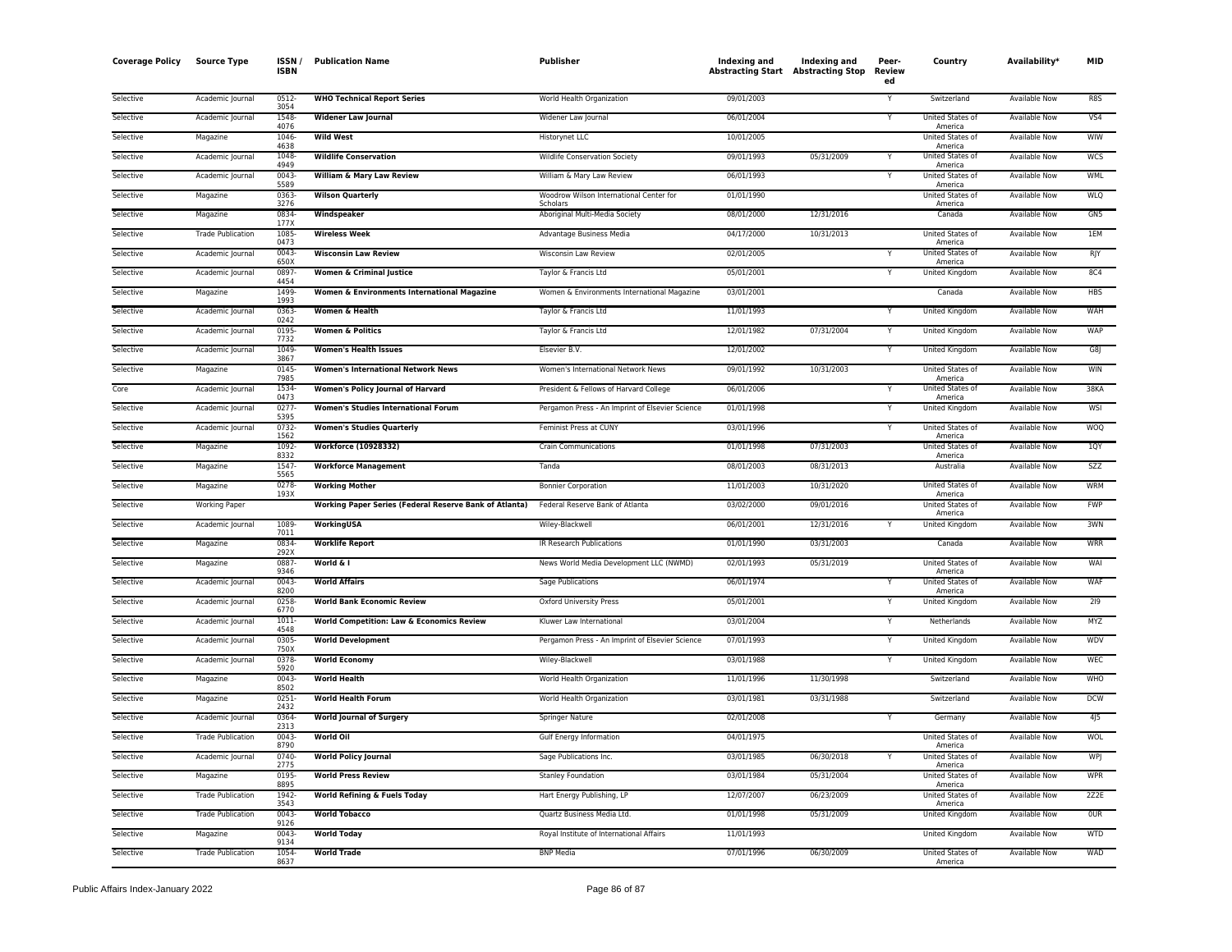| <b>Coverage Policy</b> | <b>Source Type</b>       | ISSN /<br><b>ISBN</b> | <b>Publication Name</b>                                       | Publisher                                           | Indexing and<br><b>Abstracting Start Abstracting Stop</b> | Indexing and | Peer-<br>Review<br>ed | Country                            | Availability <sup>*</sup> | <b>MID</b>      |
|------------------------|--------------------------|-----------------------|---------------------------------------------------------------|-----------------------------------------------------|-----------------------------------------------------------|--------------|-----------------------|------------------------------------|---------------------------|-----------------|
| Selective              | Academic Journal         | $0512 -$<br>3054      | <b>WHO Technical Report Series</b>                            | World Health Organization                           | 09/01/2003                                                |              |                       | Switzerland                        | Available Now             | R8S             |
| Selective              | Academic Journal         | 1548<br>4076          | <b>Widener Law Journal</b>                                    | Widener Law Journal                                 | 06/01/2004                                                |              | Y                     | United States of<br>America        | Available Now             | VS <sub>4</sub> |
| Selective              | Magazine                 | 1046-<br>4638         | <b>Wild West</b>                                              | Historynet LLC                                      | 10/01/2005                                                |              |                       | United States of<br>America        | Available Now             | WIW             |
| Selective              | Academic Journal         | 1048<br>4949          | <b>Wildlife Conservation</b>                                  | Wildlife Conservation Society                       | 09/01/1993                                                | 05/31/2009   |                       | United States of<br>America        | <b>Available Now</b>      | <b>WCS</b>      |
| Selective              | Academic Journal         | 0043<br>5589          | <b>William &amp; Mary Law Review</b>                          | William & Mary Law Review                           | 06/01/1993                                                |              |                       | United States of<br>America        | Available Now             | <b>WML</b>      |
| Selective              | Magazine                 | 0363<br>3276          | <b>Wilson Quarterly</b>                                       | Woodrow Wilson International Center for<br>Scholars | 01/01/1990                                                |              |                       | United States of<br>America        | <b>Available Now</b>      | <b>WLQ</b>      |
| Selective              | Magazine                 | 0834<br>177X          | Windspeaker                                                   | Aboriginal Multi-Media Society                      | 08/01/2000                                                | 12/31/2016   |                       | Canada                             | Available Now             | GN <sub>5</sub> |
| Selective              | <b>Trade Publication</b> | 1085<br>0473          | <b>Wireless Week</b>                                          | Advantage Business Media                            | 04/17/2000                                                | 10/31/2013   |                       | United States of<br>America        | <b>Available Now</b>      | 1EM             |
| Selective              | Academic Journal         | 0043-<br>650X         | <b>Wisconsin Law Review</b>                                   | Wisconsin Law Review                                | 02/01/2005                                                |              |                       | United States of<br>America        | Available Now             | RJY             |
| Selective              | Academic Journal         | 0897<br>4454          | <b>Women &amp; Criminal Justice</b>                           | Taylor & Francis Ltd                                | 05/01/2001                                                |              |                       | United Kingdom                     | Available Now             | <b>8C4</b>      |
| Selective              | Magazine                 | 1499<br>1993          | Women & Environments International Magazine                   | Women & Environments International Magazine         | 03/01/2001                                                |              |                       | Canada                             | <b>Available Now</b>      | <b>HBS</b>      |
| Selective              | Academic Journal         | 0363-<br>0242         | Women & Health                                                | Taylor & Francis Ltd                                | 11/01/1993                                                |              |                       | <b>United Kingdom</b>              | <b>Available Now</b>      | WAH             |
| Selective              | Academic Journal         | 0195<br>7732          | <b>Women &amp; Politics</b>                                   | Taylor & Francis Ltd                                | 12/01/1982                                                | 07/31/2004   |                       | <b>United Kingdom</b>              | <b>Available Now</b>      | <b>WAP</b>      |
| Selective              | Academic Journal         | 1049<br>3867          | <b>Women's Health Issues</b>                                  | Elsevier B.V.                                       | 12/01/2002                                                |              |                       | United Kingdom                     | Available Now             | G8J             |
| Selective              | Magazine                 | 0145<br>7985          | <b>Women's International Network News</b>                     | Women's International Network News                  | 09/01/1992                                                | 10/31/2003   |                       | United States of<br>America        | <b>Available Now</b>      | <b>WIN</b>      |
| Core                   | Academic Journal         | 1534<br>0473          | <b>Women's Policy Journal of Harvard</b>                      | President & Fellows of Harvard College              | 06/01/2006                                                |              |                       | United States of<br>America        | <b>Available Now</b>      | 38KA            |
| Selective              | Academic Journal         | 0277<br>5395          | <b>Women's Studies International Forum</b>                    | Pergamon Press - An Imprint of Elsevier Science     | 01/01/1998                                                |              |                       | <b>United Kingdom</b>              | <b>Available Now</b>      | WSI             |
| Selective              | Academic Journal         | 0732<br>1562          | <b>Women's Studies Quarterly</b>                              | Feminist Press at CUNY                              | 03/01/1996                                                |              |                       | United States of<br>America        | <b>Available Now</b>      | <b>WOQ</b>      |
| Selective              | Magazine                 | 1092<br>8332          | <b>Workforce (10928332)</b>                                   | <b>Crain Communications</b>                         | 01/01/1998                                                | 07/31/2003   |                       | United States of<br>America        | Available Now             | 10Y             |
| Selective              | Magazine                 | 1547<br>5565          | <b>Workforce Management</b>                                   | Tanda                                               | 08/01/2003                                                | 08/31/2013   |                       | Australia                          | Available Now             | <b>SZZ</b>      |
| Selective              | Magazine                 | 0278-<br>193X         | <b>Working Mother</b>                                         | <b>Bonnier Corporation</b>                          | 11/01/2003                                                | 10/31/2020   |                       | United States of<br>America        | Available Now             | WRM             |
| Selective              | <b>Working Paper</b>     |                       | <b>Working Paper Series (Federal Reserve Bank of Atlanta)</b> | Federal Reserve Bank of Atlanta                     | 03/02/2000                                                | 09/01/2016   |                       | United States of<br>America        | <b>Available Now</b>      | <b>FWP</b>      |
| Selective              | Academic Journal         | 1089<br>7011          | WorkingUSA                                                    | Wiley-Blackwell                                     | 06/01/2001                                                | 12/31/2016   |                       | United Kingdom                     | Available Now             | 3WN             |
| Selective              | Magazine                 | 0834<br>292X          | <b>Worklife Report</b>                                        | IR Research Publications                            | 01/01/1990                                                | 03/31/2003   |                       | Canada                             | <b>Available Now</b>      | <b>WRR</b>      |
| Selective              | Magazine                 | 0887<br>9346          | World & I                                                     | News World Media Development LLC (NWMD)             | 02/01/1993                                                | 05/31/2019   |                       | United States of<br>America        | <b>Available Now</b>      | WAI             |
| Selective              | Academic Journal         | 0043<br>8200          | <b>World Affairs</b>                                          | Sage Publications                                   | 06/01/1974                                                |              |                       | United States of<br>America        | Available Now             | WAF             |
| Selective              | Academic Journal         | 0258-<br>6770         | <b>World Bank Economic Review</b>                             | Oxford University Press                             | 05/01/2001                                                |              |                       | United Kingdom                     | Available Now             | 219             |
| Selective              | Academic Journal         | 1011<br>4548          | <b>World Competition: Law &amp; Economics Review</b>          | Kluwer Law International                            | 03/01/2004                                                |              | Y                     | Netherlands                        | Available Now             | MYZ             |
| Selective              | Academic Journal         | 0305<br>750X          | <b>World Development</b>                                      | Pergamon Press - An Imprint of Elsevier Science     | 07/01/1993                                                |              |                       | United Kingdom                     | Available Now             | <b>WDV</b>      |
| Selective              | Academic Journal         | 0378<br>5920          | <b>World Economy</b>                                          | Wiley-Blackwell                                     | 03/01/1988                                                |              |                       | United Kingdom                     | <b>Available Now</b>      | <b>WEC</b>      |
| Selective              | Magazine                 | $0043 -$<br>8502      | <b>World Health</b>                                           | World Health Organization                           | 11/01/1996                                                | 11/30/1998   |                       | Switzerland                        | <b>Available Now</b>      | <b>WHO</b>      |
| Selective              | Magazine                 | 0251<br>2432          | <b>World Health Forum</b>                                     | World Health Organization                           | 03/01/1981                                                | 03/31/1988   |                       | Switzerland                        | Available Now             | <b>DCW</b>      |
| Selective              | Academic Journal         | 0364<br>2313          | <b>World Journal of Surgery</b>                               | Springer Nature                                     | 02/01/2008                                                |              |                       | Germany                            | Available Now             | 4J5             |
| Selective              | <b>Trade Publication</b> | 0043<br>8790          | World Oil                                                     | Gulf Energy Information                             | 04/01/1975                                                |              |                       | United States of<br>America        | Available Now             | <b>WOL</b>      |
| Selective              | Academic Journal         | 0740-<br>2775         | <b>World Policy Journal</b>                                   | Sage Publications Inc.                              | 03/01/1985                                                | 06/30/2018   |                       | United States of<br>America        | <b>Available Now</b>      | WPI             |
| Selective              | Magazine                 | 0195<br>8895          | <b>World Press Review</b>                                     | <b>Stanley Foundation</b>                           | 03/01/1984                                                | 05/31/2004   |                       | United States of<br>America        | <b>Available Now</b>      | <b>WPR</b>      |
| Selective              | <b>Trade Publication</b> | 1942<br>3543          | <b>World Refining &amp; Fuels Today</b>                       | Hart Energy Publishing, LP                          | 12/07/2007                                                | 06/23/2009   |                       | <b>United States of</b><br>America | <b>Available Now</b>      | 2Z2E            |
| Selective              | <b>Trade Publication</b> | 0043<br>9126          | <b>World Tobacco</b>                                          | Quartz Business Media Ltd.                          | 01/01/1998                                                | 05/31/2009   |                       | United Kingdom                     | Available Now             | <b>OUR</b>      |
| Selective              | Magazine                 | 0043<br>9134          | <b>World Today</b>                                            | Royal Institute of International Affairs            | 11/01/1993                                                |              |                       | United Kingdom                     | Available Now             | WTD             |
| Selective              | <b>Trade Publication</b> | 1054<br>8637          | <b>World Trade</b>                                            | <b>BNP Media</b>                                    | 07/01/1996                                                | 06/30/2009   |                       | United States of<br>America        | Available Now             | WAD             |